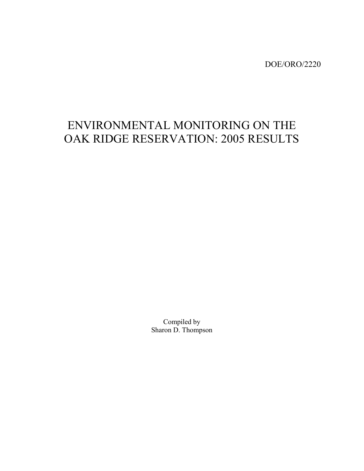DOE/ORO/2220

# ENVIRONMENTAL MONITORING ON THE OAK RIDGE RESERVATION: 2005 RESULTS

Compiled by Sharon D. Thompson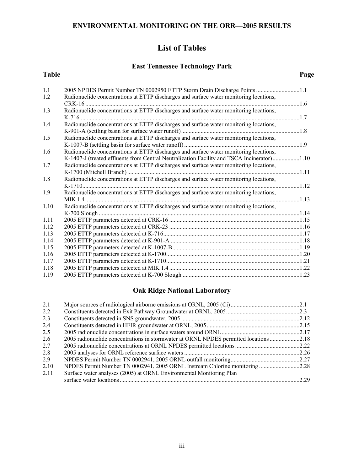### **List of Tables**

### **East Tennessee Technology Park**

#### **Table Page**

| 1.1  | 2005 NPDES Permit Number TN 0002950 ETTP Storm Drain Discharge Points 1.1                  |  |
|------|--------------------------------------------------------------------------------------------|--|
| 1.2  | Radionuclide concentrations at ETTP discharges and surface water monitoring locations,     |  |
|      |                                                                                            |  |
| 1.3  | Radionuclide concentrations at ETTP discharges and surface water monitoring locations,     |  |
|      |                                                                                            |  |
| 1.4  | Radionuclide concentrations at ETTP discharges and surface water monitoring locations,     |  |
|      |                                                                                            |  |
| 1.5  | Radionuclide concentrations at ETTP discharges and surface water monitoring locations,     |  |
|      |                                                                                            |  |
| 1.6  | Radionuclide concentrations at ETTP discharges and surface water monitoring locations,     |  |
|      | K-1407-J (treated effluents from Central Neutralization Facility and TSCA Incinerator)1.10 |  |
| 1.7  | Radionuclide concentrations at ETTP discharges and surface water monitoring locations,     |  |
|      |                                                                                            |  |
| 1.8  | Radionuclide concentrations at ETTP discharges and surface water monitoring locations,     |  |
|      |                                                                                            |  |
| 1.9  | Radionuclide concentrations at ETTP discharges and surface water monitoring locations,     |  |
|      |                                                                                            |  |
| 1.10 | Radionuclide concentrations at ETTP discharges and surface water monitoring locations,     |  |
|      |                                                                                            |  |
| 1.11 |                                                                                            |  |
| 1.12 |                                                                                            |  |
| 1.13 |                                                                                            |  |
| 1.14 |                                                                                            |  |
| 1.15 |                                                                                            |  |
| 1.16 |                                                                                            |  |
| 1.17 |                                                                                            |  |
| 1.18 |                                                                                            |  |
| 1.19 |                                                                                            |  |

### **Oak Ridge National Laboratory**

| 2.1  |                                                                             |  |
|------|-----------------------------------------------------------------------------|--|
| 2.2  |                                                                             |  |
| 2.3  |                                                                             |  |
| 2.4  |                                                                             |  |
| 2.5  |                                                                             |  |
| 2.6  |                                                                             |  |
| 2.7  |                                                                             |  |
| 2.8  |                                                                             |  |
| 2.9  |                                                                             |  |
| 2.10 | NPDES Permit Number TN 0002941, 2005 ORNL Instream Chlorine monitoring 2.28 |  |
| 2.11 | Surface water analyses (2005) at ORNL Environmental Monitoring Plan         |  |
|      |                                                                             |  |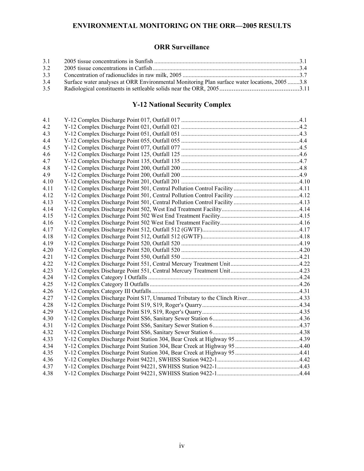### **ENVIRONMENTAL MONITORING ON THE ORR—2005 RESULTS**

### **ORR Surveillance**

| 3.1 |                                                                                              |  |
|-----|----------------------------------------------------------------------------------------------|--|
| 3.2 |                                                                                              |  |
| 3.3 |                                                                                              |  |
| 3.4 | Surface water analyses at ORR Environmental Monitoring Plan surface water locations, 20053.8 |  |
| 3.5 |                                                                                              |  |

### **Y-12 National Security Complex**

| 4.1  |  |
|------|--|
| 4.2  |  |
| 4.3  |  |
| 4.4  |  |
| 4.5  |  |
| 4.6  |  |
| 4.7  |  |
| 4.8  |  |
| 4.9  |  |
| 4.10 |  |
| 4.11 |  |
| 4.12 |  |
| 4.13 |  |
| 4.14 |  |
| 4.15 |  |
| 4.16 |  |
| 4.17 |  |
| 4.18 |  |
| 4.19 |  |
| 4.20 |  |
| 4.21 |  |
| 4.22 |  |
| 4.23 |  |
| 4.24 |  |
| 4.25 |  |
| 4.26 |  |
| 4.27 |  |
| 4.28 |  |
| 4.29 |  |
| 4.30 |  |
| 4.31 |  |
| 4.32 |  |
| 4.33 |  |
| 4.34 |  |
| 4.35 |  |
| 4.36 |  |
| 4.37 |  |
| 4.38 |  |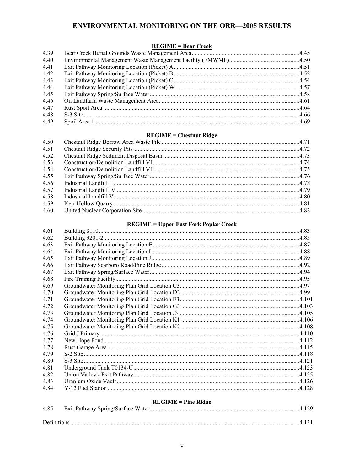### **ENVIRONMENTAL MONITORING ON THE ORR-2005 RESULTS**

#### $REGIME = Bear Creek$ </u>

| 4.39 |  |
|------|--|
| 4.40 |  |
| 4.41 |  |
| 4.42 |  |
| 4.43 |  |
| 4.44 |  |
| 4.45 |  |
| 4.46 |  |
| 4.47 |  |
| 4.48 |  |
| 4.49 |  |

#### **REGIME = Chestnut Ridge**

| 4.51<br>4.52<br>4.53<br>4.54<br>4.55<br>4.56<br>4.57<br>Industrial Landfill IV $\ldots$ 4.79<br>4.58<br>4.59<br>4.60 | 4.50 |  |
|----------------------------------------------------------------------------------------------------------------------|------|--|
|                                                                                                                      |      |  |
|                                                                                                                      |      |  |
|                                                                                                                      |      |  |
|                                                                                                                      |      |  |
|                                                                                                                      |      |  |
|                                                                                                                      |      |  |
|                                                                                                                      |      |  |
|                                                                                                                      |      |  |
|                                                                                                                      |      |  |
|                                                                                                                      |      |  |

### **REGIME = Upper East Fork Poplar Creek**

|       | $\frac{1}{2}$ $\frac{1}{2}$ $\frac{1}{2}$ $\frac{1}{2}$ $\frac{1}{2}$ $\frac{1}{2}$ $\frac{1}{2}$ $\frac{1}{2}$ $\frac{1}{2}$ $\frac{1}{2}$ $\frac{1}{2}$ $\frac{1}{2}$ $\frac{1}{2}$ $\frac{1}{2}$ $\frac{1}{2}$ $\frac{1}{2}$ $\frac{1}{2}$ $\frac{1}{2}$ $\frac{1}{2}$ $\frac{1}{2}$ $\frac{1}{2}$ $\frac{1}{2}$ |  |
|-------|---------------------------------------------------------------------------------------------------------------------------------------------------------------------------------------------------------------------------------------------------------------------------------------------------------------------|--|
| 4.61  |                                                                                                                                                                                                                                                                                                                     |  |
| 4.62  |                                                                                                                                                                                                                                                                                                                     |  |
| 4.63  |                                                                                                                                                                                                                                                                                                                     |  |
| 4.64  |                                                                                                                                                                                                                                                                                                                     |  |
| 4.65  |                                                                                                                                                                                                                                                                                                                     |  |
| 4.66  |                                                                                                                                                                                                                                                                                                                     |  |
| 4.67  |                                                                                                                                                                                                                                                                                                                     |  |
| 4.68  |                                                                                                                                                                                                                                                                                                                     |  |
| 4.69  |                                                                                                                                                                                                                                                                                                                     |  |
| 4.70  |                                                                                                                                                                                                                                                                                                                     |  |
| 4.71  | 4.101. 4.101. 4.101. 4.101. 4.101. 4.101. 4.101. 4.101. 4.101. 4.101. 4.101. 4.101. 4.101. 4.101. 4.101. 4.101                                                                                                                                                                                                      |  |
| 4 7 2 |                                                                                                                                                                                                                                                                                                                     |  |
| 4.73  |                                                                                                                                                                                                                                                                                                                     |  |
| 4.74  |                                                                                                                                                                                                                                                                                                                     |  |
| 4.75  |                                                                                                                                                                                                                                                                                                                     |  |
| 4.76  |                                                                                                                                                                                                                                                                                                                     |  |
| 4.77  |                                                                                                                                                                                                                                                                                                                     |  |
| 4.78  |                                                                                                                                                                                                                                                                                                                     |  |
| 4.79  |                                                                                                                                                                                                                                                                                                                     |  |
| 4.80  |                                                                                                                                                                                                                                                                                                                     |  |
| 4.81  |                                                                                                                                                                                                                                                                                                                     |  |
| 4.82  |                                                                                                                                                                                                                                                                                                                     |  |
| 4.83  |                                                                                                                                                                                                                                                                                                                     |  |
| 4.84  |                                                                                                                                                                                                                                                                                                                     |  |
|       | $REGIME = Pine Ridge$                                                                                                                                                                                                                                                                                               |  |
| 4.85  |                                                                                                                                                                                                                                                                                                                     |  |

| $\overline{\phantom{a}}$ |  |
|--------------------------|--|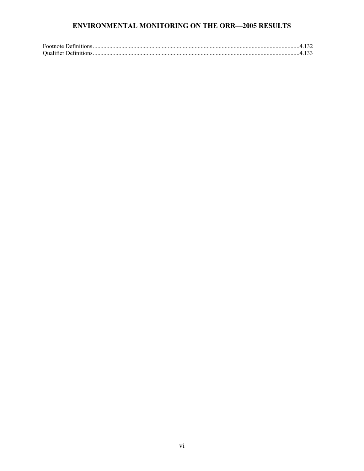### **ENVIRONMENTAL MONITORING ON THE ORR—2005 RESULTS**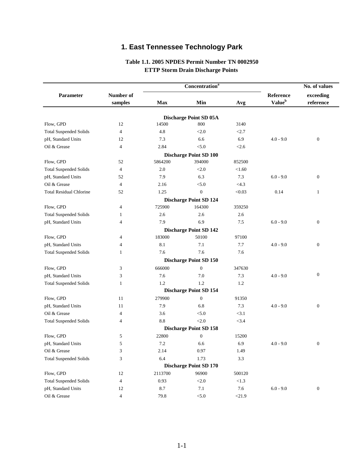# **1. East Tennessee Technology Park**

### **Table 1.1. 2005 NPDES Permit Number TN 0002950 ETTP Storm Drain Discharge Points**

|                                |                      |            | Concentration <sup>a</sup>              |          |                                        | No. of values          |  |
|--------------------------------|----------------------|------------|-----------------------------------------|----------|----------------------------------------|------------------------|--|
| Parameter                      | Number of<br>samples | <b>Max</b> | Min                                     | Avg      | Reference<br><b>Value</b> <sup>b</sup> | exceeding<br>reference |  |
|                                |                      |            |                                         |          |                                        |                        |  |
| Flow, GPD                      | 12                   | 14500      | <b>Discharge Point SD 05A</b><br>800    | 3140     |                                        |                        |  |
| <b>Total Suspended Solids</b>  | $\overline{4}$       | 4.8        | < 2.0                                   | < 2.7    |                                        |                        |  |
| pH, Standard Units             | 12                   | 7.3        | 6.6                                     | 6.9      | $4.0 - 9.0$                            | $\mathbf{0}$           |  |
| Oil & Grease                   | $\overline{4}$       | 2.84       | < 5.0                                   | < 2.6    |                                        |                        |  |
|                                |                      |            |                                         |          |                                        |                        |  |
| Flow, GPD                      | 52                   | 5864200    | <b>Discharge Point SD 100</b><br>394000 | 852500   |                                        |                        |  |
| <b>Total Suspended Solids</b>  | $\overline{4}$       | 2.0        | < 2.0                                   | < 1.60   |                                        |                        |  |
| pH, Standard Units             | 52                   | 7.9        | 6.3                                     | 7.3      | $6.0 - 9.0$                            | $\boldsymbol{0}$       |  |
| Oil & Grease                   | $\overline{4}$       | 2.16       | < 5.0                                   | $<$ 4.3  |                                        |                        |  |
| <b>Total Residual Chlorine</b> | 52                   | 1.25       | $\overline{0}$                          | < 0.03   | 0.14                                   | $\mathbf{1}$           |  |
|                                |                      |            |                                         |          |                                        |                        |  |
| Flow, GPD                      | $\overline{4}$       | 725900     | <b>Discharge Point SD 124</b><br>164300 | 359250   |                                        |                        |  |
|                                | 1                    | 2.6        | 2.6                                     | 2.6      |                                        |                        |  |
| <b>Total Suspended Solids</b>  | 4                    | 7.9        | 6.9                                     | 7.5      | $6.0 - 9.0$                            | $\boldsymbol{0}$       |  |
| pH, Standard Units             |                      |            |                                         |          |                                        |                        |  |
| Flow, GPD                      | $\overline{4}$       | 183000     | <b>Discharge Point SD 142</b><br>50100  | 97100    |                                        |                        |  |
| pH, Standard Units             | 4                    | 8.1        | 7.1                                     | 7.7      | $4.0 - 9.0$                            | $\boldsymbol{0}$       |  |
|                                |                      |            | 7.6                                     |          |                                        |                        |  |
| <b>Total Suspended Solids</b>  | 1                    | 7.6        |                                         | 7.6      |                                        |                        |  |
|                                |                      |            | <b>Discharge Point SD 150</b>           |          |                                        |                        |  |
| Flow, GPD                      | 3                    | 666000     | $\overline{0}$                          | 347630   |                                        |                        |  |
| pH, Standard Units             | 3                    | 7.6        | 7.0                                     | 7.3      | $4.0 - 9.0$                            | $\boldsymbol{0}$       |  |
| <b>Total Suspended Solids</b>  | $\mathbf{1}$         | 1.2        | 1.2                                     | 1.2      |                                        |                        |  |
|                                |                      |            | <b>Discharge Point SD 154</b>           |          |                                        |                        |  |
| Flow, GPD                      | 11                   | 279900     | $\boldsymbol{0}$                        | 91350    |                                        |                        |  |
| pH, Standard Units             | 11                   | 7.9        | 6.8                                     | 7.3      | $4.0 - 9.0$                            | $\mathbf{0}$           |  |
| Oil & Grease                   | $\overline{4}$       | 3.6        | < 5.0                                   | <3.1     |                                        |                        |  |
| <b>Total Suspended Solids</b>  | 4                    | 8.8        | < 2.0                                   | < 3.4    |                                        |                        |  |
|                                |                      |            | <b>Discharge Point SD 158</b>           |          |                                        |                        |  |
| Flow, GPD                      | 5                    | 22800      | $\boldsymbol{0}$                        | 15200    |                                        |                        |  |
| pH, Standard Units             | 5                    | 7.2        | 6.6                                     | 6.9      | $4.0 - 9.0$                            | $\boldsymbol{0}$       |  |
| Oil & Grease                   | $\mathfrak{Z}$       | 2.14       | 0.97                                    | 1.49     |                                        |                        |  |
| <b>Total Suspended Solids</b>  | 3                    | 6.4        | 1.73                                    | $3.3\,$  |                                        |                        |  |
|                                |                      |            | <b>Discharge Point SD 170</b>           |          |                                        |                        |  |
| Flow, GPD                      | 12                   | 2113700    | 96900                                   | 500120   |                                        |                        |  |
| <b>Total Suspended Solids</b>  | $\overline{4}$       | 0.93       | $<2.0$                                  | < 1.3    |                                        |                        |  |
| pH, Standard Units             | 12                   | $8.7\,$    | 7.1                                     | $7.6\,$  | $6.0 - 9.0$                            | $\boldsymbol{0}$       |  |
| Oil & Grease                   | $\overline{4}$       | 79.8       | $< 5.0$                                 | $<$ 21.9 |                                        |                        |  |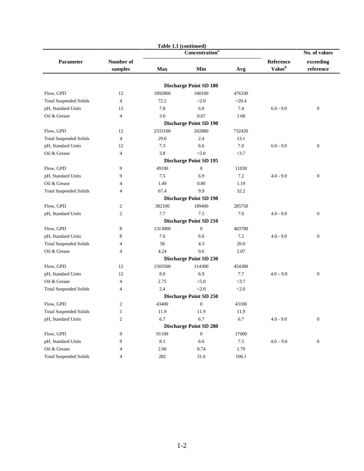|                               |                | Table 1.1 (continued) |                               |          |                           |                  |
|-------------------------------|----------------|-----------------------|-------------------------------|----------|---------------------------|------------------|
|                               |                |                       | Concentration <sup>a</sup>    |          |                           | No. of values    |
| Parameter                     | Number of      |                       |                               |          | Reference                 | exceeding        |
|                               | samples        | <b>Max</b>            | Min                           | Avg      | <b>Value</b> <sup>b</sup> | reference        |
|                               |                |                       |                               |          |                           |                  |
|                               |                |                       | <b>Discharge Point SD 180</b> |          |                           |                  |
| Flow, GPD                     | 12             | 1892800               | 100100                        | 476330   |                           |                  |
| <b>Total Suspended Solids</b> | $\overline{4}$ | 72.2                  | < 2.0                         | $<$ 20.4 |                           |                  |
| pH, Standard Units            | 12             | 7.8                   | 6.8                           | 7.4      | $6.0 - 9.0$               | $\boldsymbol{0}$ |
| Oil & Grease                  | $\overline{4}$ | 3.6                   | 0.67                          | 1.68     |                           |                  |
|                               |                |                       | <b>Discharge Point SD 190</b> |          |                           |                  |
| Flow, GPD                     | 12             | 2333100               | 202800                        | 732420   |                           |                  |
| <b>Total Suspended Solids</b> | $\overline{4}$ | 29.6                  | 2.4                           | 13.1     |                           |                  |
| pH, Standard Units            | 12             | 7.3                   | 6.6                           | 7.0      | $6.0 - 9.0$               | $\boldsymbol{0}$ |
| Oil & Grease                  | $\overline{4}$ | 3.8                   | < 5.0                         | <3.7     |                           |                  |
|                               |                |                       | <b>Discharge Point SD 195</b> |          |                           |                  |
| Flow, GPD                     | 9              | 49100                 | $\boldsymbol{0}$              | 11030    |                           |                  |
| pH, Standard Units            | 9              | 7.5                   | 6.9                           | 7.2      | $4.0 - 9.0$               | $\mathbf{0}$     |
| Oil & Grease                  | 4              | 1.49                  | 0.86                          | 1.19     |                           |                  |
| <b>Total Suspended Solids</b> | $\overline{4}$ | 67.4                  | 9.9                           | 32.2     |                           |                  |
|                               |                |                       | <b>Discharge Point SD 198</b> |          |                           |                  |
| Flow, GPD                     | 2              | 382100                | 189400                        | 285750   |                           |                  |
| pH, Standard Units            | $\overline{c}$ | 7.7                   | 7.5                           | 7.6      | $4.0 - 9.0$               | $\boldsymbol{0}$ |
|                               |                |                       | <b>Discharge Point SD 210</b> |          |                           |                  |
| Flow, GPD                     | 8              | 1313000               | $\boldsymbol{0}$              | 403700   |                           |                  |
| pH, Standard Units            | 8              | 7.6                   | 6.6                           | 7.2      | $4.0 - 9.0$               | $\theta$         |
| <b>Total Suspended Solids</b> | $\overline{4}$ | 58                    | 4.3                           | 20.0     |                           |                  |
| Oil & Grease                  | $\overline{4}$ | 4.24                  | 0.6                           | 2.07     |                           |                  |
|                               |                |                       | <b>Discharge Point SD 230</b> |          |                           |                  |
| Flow, GPD                     | 12             | 1503500               | 114300                        | 454380   |                           |                  |
| pH, Standard Units            | 12             | 8.0                   | 6.9                           | 7.7      | $4.0 - 9.0$               | $\boldsymbol{0}$ |
| Oil & Grease                  | $\overline{4}$ | 2.75                  | < 5.0                         | <3.7     |                           |                  |
| <b>Total Suspended Solids</b> | $\overline{4}$ | 2.4                   | < 2.0                         | < 2.0    |                           |                  |
|                               |                |                       | <b>Discharge Point SD 250</b> |          |                           |                  |
| Flow, GPD                     | $\overline{c}$ | 43400                 | $\boldsymbol{0}$              | 43100    |                           |                  |
| <b>Total Suspended Solids</b> | $\mathbf{1}$   | 11.9                  | 11.9                          | 11.9     |                           |                  |
| pH, Standard Units            | $\mathfrak{2}$ | 6.7                   | 6.7                           | 6.7      | $4.0 - 9.0$               | $\boldsymbol{0}$ |
|                               |                |                       | <b>Discharge Point SD 280</b> |          |                           |                  |
| Flow, GPD                     | 9              | 91100                 | $\boldsymbol{0}$              | 17000    |                           |                  |
| pH, Standard Units            | 9              | $8.1\,$               | 6.6                           | 7.5      | $4.0 - 9.0$               | $\boldsymbol{0}$ |
| Oil & Grease                  | 4              | 2.96                  | 0.74                          | 1.79     |                           |                  |
| <b>Total Suspended Solids</b> | $\overline{4}$ | 282                   | $31.6\,$                      | 106.1    |                           |                  |
|                               |                |                       |                               |          |                           |                  |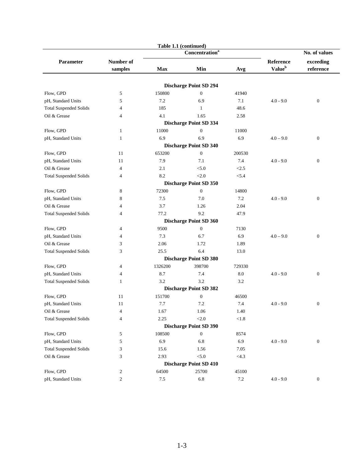|                               |                | Table 1.1 (continued) |                               |            |             |                  |
|-------------------------------|----------------|-----------------------|-------------------------------|------------|-------------|------------------|
|                               |                |                       | Concentration <sup>a</sup>    |            |             | No. of values    |
| Parameter                     | Number of      |                       |                               |            | Reference   | exceeding        |
|                               | samples        | <b>Max</b>            | Min                           | Avg        | Valueb      | reference        |
|                               |                |                       |                               |            |             |                  |
|                               |                |                       | <b>Discharge Point SD 294</b> |            |             |                  |
| Flow, GPD                     | 5              | 150800                | $\boldsymbol{0}$              | 41940      |             |                  |
| pH, Standard Units            | 5              | 7.2                   | 6.9                           | 7.1        | $4.0 - 9.0$ | $\theta$         |
| <b>Total Suspended Solids</b> | 4              | 185                   | 1                             | 48.6       |             |                  |
| Oil & Grease                  | 4              | 4.1                   | 1.65                          | 2.58       |             |                  |
|                               |                |                       | <b>Discharge Point SD 334</b> |            |             |                  |
| Flow, GPD                     | $\mathbf{1}$   | 11000                 | $\boldsymbol{0}$              | 11000      |             |                  |
| pH, Standard Units            | 1              | 6.9                   | 6.9                           | 6.9        | $4.0 - 9.0$ | $\boldsymbol{0}$ |
|                               |                |                       | <b>Discharge Point SD 340</b> |            |             |                  |
| Flow, GPD                     | 11             | 653200                | $\boldsymbol{0}$              | 200530     |             |                  |
| pH, Standard Units            | 11             | 7.9                   | 7.1                           | 7.4        | $4.0 - 9.0$ | $\mathbf{0}$     |
| Oil & Grease                  | $\overline{4}$ | 2.1                   | < 5.0                         | <2.5       |             |                  |
| <b>Total Suspended Solids</b> | 4              | 8.2                   | < 2.0                         | < 5.4      |             |                  |
|                               |                |                       | <b>Discharge Point SD 350</b> |            |             |                  |
| Flow, GPD                     | 8              | 72300                 | $\boldsymbol{0}$              | 14800      |             |                  |
| pH, Standard Units            | 8              | 7.5                   | 7.0                           | 7.2        | $4.0 - 9.0$ | $\overline{0}$   |
| Oil & Grease                  | 4              | 3.7                   | 1.26                          | 2.04       |             |                  |
| <b>Total Suspended Solids</b> | 4              | 77.2                  | 9.2                           | 47.9       |             |                  |
|                               |                |                       | <b>Discharge Point SD 360</b> |            |             |                  |
| Flow, GPD                     | 4              | 9500                  | $\boldsymbol{0}$              | 7130       |             |                  |
| pH, Standard Units            | 4              | 7.3                   | 6.7                           | 6.9        | $4.0 - 9.0$ | $\mathbf{0}$     |
| Oil & Grease                  | 3              | 2.06                  | 1.72                          | 1.89       |             |                  |
| <b>Total Suspended Solids</b> | 3              | 25.5                  | 6.4                           | 13.0       |             |                  |
|                               |                |                       | <b>Discharge Point SD 380</b> |            |             |                  |
| Flow, GPD                     | 4              | 1326200               | 398700                        | 729330     |             |                  |
| pH, Standard Units            | 4              | 8.7                   | 7.4                           | 8.0        | $4.0 - 9.0$ | $\boldsymbol{0}$ |
| <b>Total Suspended Solids</b> | 1              | 3.2                   | 3.2                           | 3.2        |             |                  |
|                               |                |                       | <b>Discharge Point SD 382</b> |            |             |                  |
| Flow, GPD                     | 11             | 151700                | $\boldsymbol{0}$              | 46500      |             |                  |
| pH, Standard Units            | 11             | 7.7                   | 7.2                           | 7.4        | $4.0 - 9.0$ | $\boldsymbol{0}$ |
| Oil & Grease                  | 4              | $1.67\,$              | 1.06                          | 1.40       |             |                  |
| <b>Total Suspended Solids</b> | 4              | 2.25                  | < 2.0                         | $<\!\!1.8$ |             |                  |
|                               |                |                       | <b>Discharge Point SD 390</b> |            |             |                  |
| Flow, GPD                     | 5              | 108500                | $\boldsymbol{0}$              | 8574       |             |                  |
| pH, Standard Units            | 5              | 6.9                   | 6.8                           | 6.9        | $4.0 - 9.0$ | $\boldsymbol{0}$ |
| <b>Total Suspended Solids</b> | 3              | 15.6                  | 1.56                          | 7.05       |             |                  |
| Oil & Grease                  | 3              | 2.93                  | $<\!\!5.0$                    | $<$ 4.3    |             |                  |
|                               |                |                       | <b>Discharge Point SD 410</b> |            |             |                  |
| Flow, GPD                     | 2              | 64500                 | 25700                         | 45100      |             |                  |
| pH, Standard Units            | $\overline{c}$ | $7.5\,$               | $6.8\,$                       | $7.2\,$    | $4.0 - 9.0$ | $\boldsymbol{0}$ |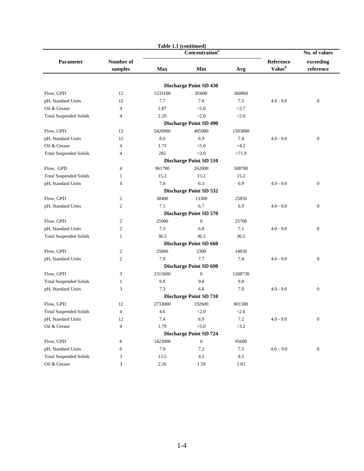|                               |                  | Table 1.1 (continued) |                               |          |                    |                  |
|-------------------------------|------------------|-----------------------|-------------------------------|----------|--------------------|------------------|
|                               |                  |                       | Concentration <sup>a</sup>    |          |                    | No. of values    |
| Parameter                     | Number of        |                       |                               |          | Reference          | exceeding        |
|                               | samples          | <b>Max</b>            | Min                           | Avg      | Value <sup>b</sup> | reference        |
|                               |                  |                       |                               |          |                    |                  |
|                               |                  |                       | <b>Discharge Point SD 430</b> |          |                    |                  |
| Flow, GPD                     | 12               | 1233100               | 85600                         | 360860   |                    |                  |
| pH, Standard Units            | 12               | 7.7                   | 7.0                           | 7.5      | $4.0 - 9.0$        | $\boldsymbol{0}$ |
| Oil & Grease                  | $\overline{4}$   | 2.87                  | < 5.0                         | <3.7     |                    |                  |
| <b>Total Suspended Solids</b> | 4                | 2.29                  | < 2.0                         | < 2.0    |                    |                  |
|                               |                  |                       | <b>Discharge Point SD 490</b> |          |                    |                  |
| Flow, GPD                     | 12               | 5426900               | 405900                        | 1503880  |                    |                  |
| pH, Standard Units            | 12               | 8.0                   | 6.9                           | 7.4      | $4.0 - 9.0$        | $\boldsymbol{0}$ |
| Oil & Grease                  | 4                | 1.73                  | < 5.0                         | $<$ 4.2  |                    |                  |
| <b>Total Suspended Solids</b> | 4                | 282                   | < 2.0                         | < 71.9   |                    |                  |
|                               |                  |                       | <b>Discharge Point SD 510</b> |          |                    |                  |
| Flow, GPD                     | 4                | 961700                | 262000                        | 508780   |                    |                  |
| <b>Total Suspended Solids</b> | 1                | 15.2                  | 15.2                          | 15.2     |                    |                  |
| pH, Standard Units            | 4                | 7.6                   | 6.3                           | 6.9      | $4.0 - 9.0$        | $\boldsymbol{0}$ |
|                               |                  |                       | <b>Discharge Point SD 532</b> |          |                    |                  |
| Flow, GPD                     | $\overline{c}$   | 38400                 | 13300                         | 25850    |                    |                  |
| pH, Standard Units            | $\overline{c}$   | 7.1                   | 6.7                           | 6.9      | $4.0 - 9.0$        | $\boldsymbol{0}$ |
|                               |                  |                       | <b>Discharge Point SD 570</b> |          |                    |                  |
| Flow, GPD                     | $\boldsymbol{2}$ | 25900                 | $\mathbf{0}$                  | 25700    |                    |                  |
| pH, Standard Units            | $\overline{c}$   | 7.3                   | 6.8                           | 7.1      | $4.0 - 9.0$        | $\boldsymbol{0}$ |
| <b>Total Suspended Solids</b> | $\mathbf{1}$     | 36.5                  | 36.5                          | 36.5     |                    |                  |
|                               |                  |                       | <b>Discharge Point SD 660</b> |          |                    |                  |
| Flow, GPD                     | $\overline{c}$   | 25800                 | 2300                          | 14050    |                    |                  |
| pH, Standard Units            | 2                | 7.9                   | 7.7                           | 7.8      | $4.0 - 9.0$        | $\boldsymbol{0}$ |
|                               |                  |                       | <b>Discharge Point SD 690</b> |          |                    |                  |
| Flow, GPD                     | 3                | 2315600               | $\boldsymbol{0}$              | 1208730  |                    |                  |
| <b>Total Suspended Solids</b> | $\mathbf{1}$     | 9.8                   | 9.8                           | 9.8      |                    |                  |
| pH, Standard Units            | 3                | 7.3                   | 6.8                           | 7.0      | $4.0 - 9.0$        | $\boldsymbol{0}$ |
|                               |                  |                       | <b>Discharge Point SD 710</b> |          |                    |                  |
| Flow, GPD                     | 12               | 2733000               | 192600                        | 801580   |                    |                  |
| <b>Total Suspended Solids</b> | $\overline{4}$   | 4.6                   | < 2.0                         | < 2.6    |                    |                  |
| pH, Standard Units            | 12               | 7.4                   | 6.9                           | $7.2\,$  | $4.0 - 9.0$        | $\boldsymbol{0}$ |
| Oil & Grease                  | $\overline{4}$   | 1.79                  | $< 5.0$                       | $<3.2\,$ |                    |                  |
|                               |                  |                       | <b>Discharge Point SD 724</b> |          |                    |                  |
| Flow, GPD                     | 6                | 1423000               | $\boldsymbol{0}$              | 95680    |                    |                  |
| pH, Standard Units            | 6                | 7.9                   | 7.2                           | $7.5$    | $4.0 - 9.0$        | $\boldsymbol{0}$ |
| <b>Total Suspended Solids</b> | 3                | 13.5                  | 4.5                           | 8.5      |                    |                  |
| Oil & Grease                  | 3                | 2.26                  | 1.59                          | 1.83     |                    |                  |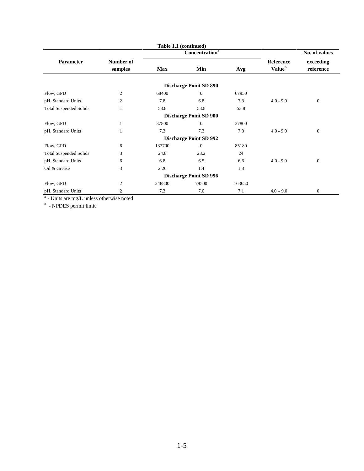|                               |                      |        | Table 1.1 (continued)         |        |                                        |                        |
|-------------------------------|----------------------|--------|-------------------------------|--------|----------------------------------------|------------------------|
|                               |                      |        | Concentration <sup>a</sup>    |        |                                        | No. of values          |
| Parameter                     | Number of<br>samples | Max    | Min                           | Avg    | Reference<br><b>Value</b> <sup>b</sup> | exceeding<br>reference |
|                               |                      |        | <b>Discharge Point SD 890</b> |        |                                        |                        |
| Flow, GPD                     | 2                    | 68400  | $\Omega$                      | 67950  |                                        |                        |
| pH, Standard Units            | $\overline{c}$       | 7.8    | 6.8                           | 7.3    | $4.0 - 9.0$                            | $\mathbf{0}$           |
| <b>Total Suspended Solids</b> | 1                    | 53.8   | 53.8                          | 53.8   |                                        |                        |
|                               |                      |        | <b>Discharge Point SD 900</b> |        |                                        |                        |
| Flow, GPD                     |                      | 37800  | $\Omega$                      | 37800  |                                        |                        |
| pH, Standard Units            |                      | 7.3    | 7.3                           | 7.3    | $4.0 - 9.0$                            | $\overline{0}$         |
|                               |                      |        | <b>Discharge Point SD 992</b> |        |                                        |                        |
| Flow, GPD                     | 6                    | 132700 | $\Omega$                      | 85180  |                                        |                        |
| <b>Total Suspended Solids</b> | 3                    | 24.8   | 23.2                          | 24     |                                        |                        |
| pH, Standard Units            | 6                    | 6.8    | 6.5                           | 6.6    | $4.0 - 9.0$                            | $\mathbf{0}$           |
| Oil & Grease                  | 3                    | 2.26   | 1.4                           | 1.8    |                                        |                        |
|                               |                      |        | <b>Discharge Point SD 996</b> |        |                                        |                        |
| Flow, GPD                     | 2                    | 248800 | 78500                         | 163650 |                                        |                        |
| pH, Standard Units            | 2                    | 7.3    | 7.0                           | 7.1    | $4.0 - 9.0$                            | $\overline{0}$         |

*a* - Units are mg/L unless otherwise noted *b* - NPDES permit limit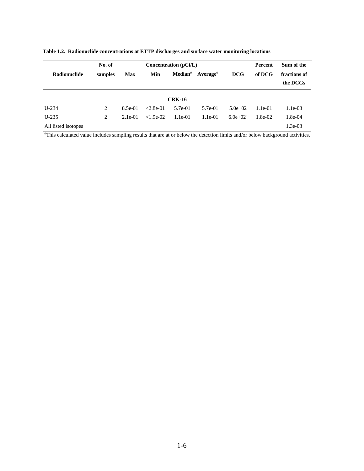|                     | No. of  | Concentration $(pCi/L)$ |             |                     |                                      |            | Percent   | Sum of the               |
|---------------------|---------|-------------------------|-------------|---------------------|--------------------------------------|------------|-----------|--------------------------|
| <b>Radionuclide</b> | samples | <b>Max</b>              | Min         | $\mathbf{Median}^a$ | $A$ verage <sup><math>a</math></sup> | <b>DCG</b> | of DCG    | fractions of<br>the DCGs |
|                     |         |                         |             | <b>CRK-16</b>       |                                      |            |           |                          |
| $U-234$             | 2       | 8.5e-01                 | $< 2.8e-01$ | 5.7e-01             | 5.7e-01                              | $5.0e+02$  | $1.1e-01$ | $1.1e-03$                |
| $U-235$             | 2       | $2.1e-01$               | $< 1.9e-02$ | $1.1e-01$           | $1.1e-01$                            | $6.0e+02$  | $1.8e-02$ | 1.8e-04                  |
| All listed isotopes |         |                         |             |                     |                                      |            |           | $1.3e-03$                |

**Table 1.2. Radionuclide concentrations at ETTP discharges and surface water monitoring locations**

*a* This calculated value includes sampling results that are at or below the detection limits and/or below background activities.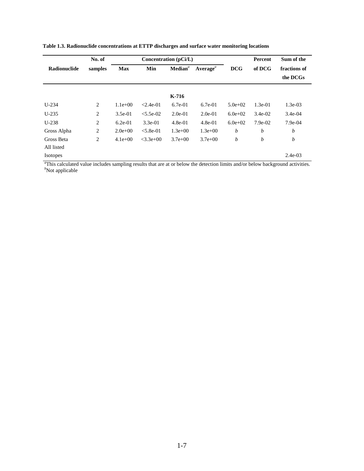|                 | No. of                                              |           |                                   | Concentration (pCi/L) |             |                          | Percent   | Sum of the |
|-----------------|-----------------------------------------------------|-----------|-----------------------------------|-----------------------|-------------|--------------------------|-----------|------------|
| Radionuclide    | <b>Max</b><br>Min<br>$\mathbf{Median}^a$<br>samples |           | Average <sup><math>a</math></sup> | <b>DCG</b>            | of DCG      | fractions of<br>the DCGs |           |            |
|                 |                                                     |           |                                   | $K-716$               |             |                          |           |            |
| $U-234$         | $\overline{2}$                                      | $1.1e+00$ | $< 2.4e-01$                       | $6.7e-01$             | $6.7e-01$   | $5.0e + 02$              | $1.3e-01$ | $1.3e-03$  |
| $U-235$         | 2                                                   | $3.5e-01$ | $< 5.5e-02$                       | $2.0e-01$             | $2.0e-01$   | $6.0e + 02$              | $3.4e-02$ | $3.4e-04$  |
| $U-238$         | 2                                                   | $6.2e-01$ | $3.3e-01$                         | $4.8e-01$             | $4.8e-01$   | $6.0e + 02$              | 7.9e-02   | $7.9e-04$  |
| Gross Alpha     | 2                                                   | $2.0e+00$ | $< 5.8e-01$                       | $1.3e+00$             | $1.3e+00$   | b                        | b         | b          |
| Gross Beta      | 2                                                   | $4.1e+00$ | $<3.3e+0.0$                       | $3.7e + 00$           | $3.7e + 00$ | b                        | b         | b          |
| All listed      |                                                     |           |                                   |                       |             |                          |           |            |
| <b>Isotopes</b> |                                                     |           |                                   |                       |             |                          |           | $2.4e-03$  |

**Table 1.3. Radionuclide concentrations at ETTP discharges and surface water monitoring locations**

This calculated value includes sampling results that are at or below the detection limits and/or below background activities. *b* Not applicable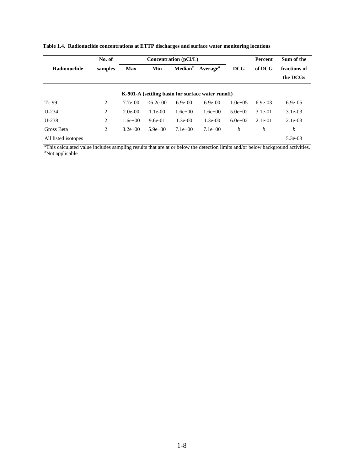|                     | No. of  |             |            | Concentration (pCi/L) |                                                   |              | Percent   | Sum of the               |
|---------------------|---------|-------------|------------|-----------------------|---------------------------------------------------|--------------|-----------|--------------------------|
| <b>Radionuclide</b> | samples | <b>Max</b>  | Min        | $Mediana$             | $A$ verage $^a$                                   | <b>DCG</b>   | of DCG    | fractions of<br>the DCGs |
|                     |         |             |            |                       | K-901-A (settling basin for surface water runoff) |              |           |                          |
| $Tc-99$             | 2       | $7.7e - 00$ | $<6.2e-00$ | $6.9e-00$             | $6.9e-00$                                         | $1.0e + 0.5$ | $6.9e-03$ | $6.9e-05$                |
| $U-234$             | 2       | $2.0e-00$   | $1.1e-00$  | $1.6e + 00$           | $1.6e + 00$                                       | $5.0e+02$    | $3.1e-01$ | $3.1e-03$                |
| $U-238$             | 2       | $1.6e + 00$ | $9.6e-01$  | $1.3e-00$             | $1.3e-00$                                         | $6.0e+02$    | $2.1e-01$ | $2.1e-0.3$               |
| Gross Beta          | 2       | $8.2e+00$   | $5.9e+00$  | $7.1e+00$             | $7.1e+00$                                         | b            | b         | b                        |
| All listed isotopes |         |             |            |                       |                                                   |              |           | 5.3e-03                  |

**Table 1.4. Radionuclide concentrations at ETTP discharges and surface water monitoring locations**

*a* This calculated value includes sampling results that are at or below the detection limits and/or below background activities. *b* Not applicable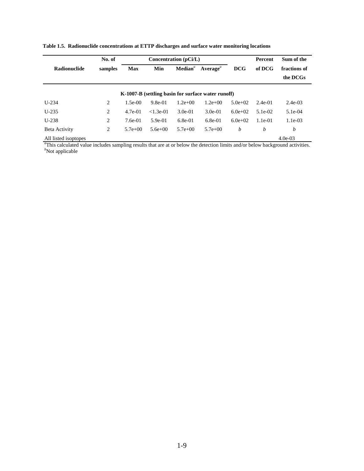|                      | No. of         |            |             | Concentration (pCi/L) |                                                    |             | Percent   | Sum of the               |
|----------------------|----------------|------------|-------------|-----------------------|----------------------------------------------------|-------------|-----------|--------------------------|
| <b>Radionuclide</b>  | samples        | <b>Max</b> | Min         | $\mathbf{Median}^a$   | $A$ verage <sup><math>a</math></sup>               | <b>DCG</b>  | of DCG    | fractions of<br>the DCGs |
|                      |                |            |             |                       | K-1007-B (settling basin for surface water runoff) |             |           |                          |
| $U-234$              | $\overline{2}$ | $1.5e-00$  | $9.8e-01$   | $1.2e+00$             | $1.2e + 00$                                        | $5.0e + 02$ | $2.4e-01$ | $2.4e-03$                |
| $U-235$              | 2              | $4.7e-01$  | $< 1.3e-01$ | $3.0e-01$             | $3.0e-01$                                          | $6.0e+02$   | $5.1e-02$ | $5.1e-04$                |
| $U-238$              | 2              | $7.6e-01$  | $5.9e-01$   | $6.8e-01$             | $6.8e-01$                                          | $6.0e+02$   | $1.1e-01$ | $1.1e-03$                |
| Beta Activity        | 2              | $5.7e+00$  | $5.6e + 00$ | $5.7e+00$             | $5.7e+00$                                          | b           | b         | b                        |
| All listed isoptopes |                |            |             |                       |                                                    |             |           | $4.0e-03$                |

**Table 1.5. Radionuclide concentrations at ETTP discharges and surface water monitoring locations**

All listed isoptopes 4.0e-03<br>
<sup>a</sup>This calculated value includes sampling results that are at or below the detection limits and/or below background activities.<br>
<sup>b</sup>Not applicable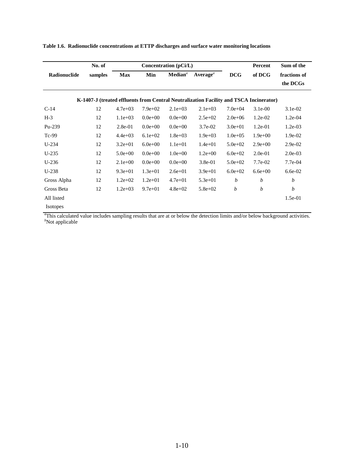|                 | No. of  |             |             | Concentration (pCi/L) |                                                                                        |                  | Percent     | Sum of the   |
|-----------------|---------|-------------|-------------|-----------------------|----------------------------------------------------------------------------------------|------------------|-------------|--------------|
| Radionuclide    | samples | <b>Max</b>  | Min         | $\mathbf{Median}^a$   | $A$ verage $^a$                                                                        | <b>DCG</b>       | of DCG      | fractions of |
|                 |         |             |             |                       |                                                                                        |                  |             | the DCGs     |
|                 |         |             |             |                       | K-1407-J (treated effluents from Central Neutralization Facility and TSCA Incinerator) |                  |             |              |
|                 |         |             |             |                       |                                                                                        |                  |             |              |
| $C-14$          | 12      | $4.7e+03$   | $7.9e+02$   | $2.1e+03$             | $2.1e+03$                                                                              | $7.0e + 04$      | $3.1e-00$   | $3.1e-02$    |
| $H-3$           | 12      | $1.1e+03$   | $0.0e + 00$ | $0.0e + 00$           | $2.5e+02$                                                                              | $2.0e + 06$      | $1.2e-02$   | $1.2e-04$    |
| $Pu-239$        | 12      | $2.8e-01$   | $0.0e + 00$ | $0.0e + 00$           | $3.7e-02$                                                                              | $3.0e + 01$      | $1.2e-01$   | $1.2e-03$    |
| $Tc-99$         | 12      | $4.4e+03$   | $6.1e+02$   | $1.8e + 03$           | $1.9e+03$                                                                              | $1.0e + 0.5$     | $1.9e+00$   | 1.9e-02      |
| $U-234$         | 12      | $3.2e + 01$ | $6.0e + 00$ | $1.1e + 01$           | $1.4e + 01$                                                                            | $5.0e + 02$      | $2.9e+00$   | $2.9e-02$    |
| $U-235$         | 12      | $5.0e + 00$ | $0.0e + 00$ | $1.0e + 00$           | $1.2e+00$                                                                              | $6.0e + 02$      | $2.0e-01$   | $2.0e-03$    |
| $U-236$         | 12      | $2.1e+00$   | $0.0e + 00$ | $0.0e + 00$           | $3.8e-01$                                                                              | $5.0e + 02$      | 7.7e-02     | 7.7e-04      |
| $U-238$         | 12      | $9.3e + 01$ | $1.3e + 01$ | $2.6e + 01$           | $3.9e + 01$                                                                            | $6.0e + 02$      | $6.6e + 00$ | $6.6e-02$    |
| Gross Alpha     | 12      | $1.2e + 02$ | $1.2e + 01$ | $4.7e + 01$           | $5.3e + 01$                                                                            | $\boldsymbol{b}$ | b           | b            |
| Gross Beta      | 12      | $1.2e + 03$ | $9.7e + 01$ | $4.8e + 02$           | $5.8e + 02$                                                                            | b                | b           | b            |
| All listed      |         |             |             |                       |                                                                                        |                  |             | $1.5e-01$    |
| <b>Isotopes</b> |         |             |             |                       |                                                                                        |                  |             |              |

**Table 1.6. Radionuclide concentrations at ETTP discharges and surface water monitoring locations**

*a* This calculated value includes sampling results that are at or below the detection limits and/or below background activities. *b* Not applicable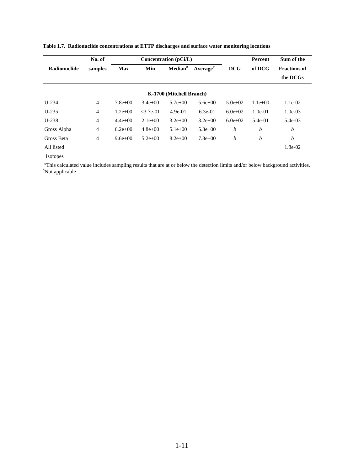|                     | No. of  |             |             | Concentration $(pCi/L)$  |                 |                  | Percent          | Sum of the                      |
|---------------------|---------|-------------|-------------|--------------------------|-----------------|------------------|------------------|---------------------------------|
| <b>Radionuclide</b> | samples | <b>Max</b>  | Min         | $\mathbf{Median}^a$      | $A$ verage $^a$ | <b>DCG</b>       | of DCG           | <b>Fractions of</b><br>the DCGs |
|                     |         |             |             | K-1700 (Mitchell Branch) |                 |                  |                  |                                 |
| $U-234$             | 4       | $7.8e+00$   | $3.4e + 00$ | $5.7e+00$                | $5.6e+00$       | $5.0e+02$        | $1.1e+00$        | $1.1e-02$                       |
| $U-235$             | 4       | $1.2e+00$   | $<$ 3.7e-01 | $4.9e-01$                | $6.3e-01$       | $6.0e+02$        | $1.0e-01$        | $1.0e-03$                       |
| $U-238$             | 4       | $4.4e+00$   | $2.1e+00$   | $3.2e+00$                | $3.2e+00$       | $6.0e+02$        | 5.4e-01          | $5.4e-03$                       |
| Gross Alpha         | 4       | $6.2e+00$   | $4.8e + 00$ | $5.1e+00$                | $5.3e+00$       | $\boldsymbol{b}$ | $\boldsymbol{b}$ | $\boldsymbol{b}$                |
| Gross Beta          | 4       | $9.6e + 00$ | $5.2e+00$   | $8.2e+00$                | $7.8e+00$       | b                | b                | b                               |
| All listed          |         |             |             |                          |                 |                  |                  | 1.8e-02                         |
| <b>Isotopes</b>     |         |             |             |                          |                 |                  |                  |                                 |

**Table 1.7. Radionuclide concentrations at ETTP discharges and surface water monitoring locations**

<sup>*a*</sup>This calculated value includes sampling results that are at or below the detection limits and/or below background activities.<br><sup>*b*</sup>Not applicable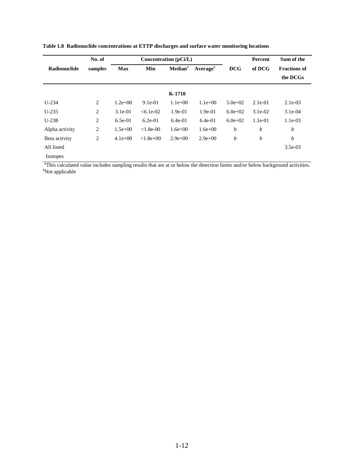|                | No. of         |             |               | Concentration (pCi/L) |                      |            | Percent   | Sum of the                      |
|----------------|----------------|-------------|---------------|-----------------------|----------------------|------------|-----------|---------------------------------|
| Radionuclide   | samples        | <b>Max</b>  | Min           | $\mathbf{Median}^a$   | Average <sup>a</sup> | <b>DCG</b> | of DCG    | <b>Fractions of</b><br>the DCGs |
|                |                |             |               | K-1710                |                      |            |           |                                 |
| $U-234$        | $\overline{2}$ | $1.2e + 00$ | $9.1e-01$     | $1.1e+00$             | $1.1e+00$            | $5.0e+02$  | $2.1e-01$ | $2.1e-03$                       |
| $U-235$        | 2              | $3.1e-01$   | $< 6.1e-02$   | $1.9e-01$             | $1.9e-01$            | $6.0e+02$  | $3.1e-02$ | $3.1e-04$                       |
| $U-238$        | 2              | $6.5e-01$   | $6.2e-01$     | $6.4e-01$             | $6.4e-01$            | $6.0e+02$  | $1.1e-01$ | $1.1e-03$                       |
| Alpha activity | 2              | $1.5e+00$   | $< 1.8e-00$   | $1.6e + 00$           | $1.6e + 00$          | b          | b         | b                               |
| Beta activity  | $\overline{2}$ | $4.1e+00$   | $< 1.8e + 00$ | $2.9e+00$             | $2.9e+00$            | b          | b         | b                               |
| All listed     |                |             |               |                       |                      |            |           | $3.5e-03$                       |
| Isotopes       |                |             |               |                       |                      |            |           |                                 |

**Table 1.8 Radionuclide concentrations at ETTP discharges and surface water monitoring locations**

<sup>*a*</sup>This calculated value includes sampling results that are at or below the detection limits and/or below background activities.<br><sup>*b*</sup>Not applicable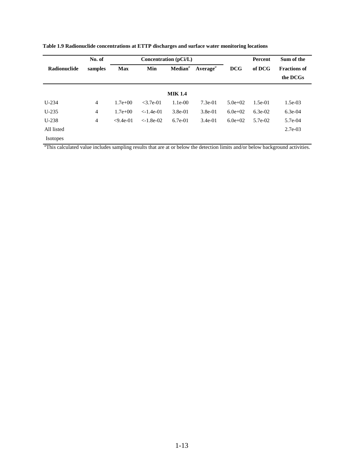|              | No. of         |             |             | Concentration (pCi/L) |                                   |             | Percent   | Sum of the                      |
|--------------|----------------|-------------|-------------|-----------------------|-----------------------------------|-------------|-----------|---------------------------------|
| Radionuclide | samples        | <b>Max</b>  | Min         | $\mathbf{Median}^a$   | Average <sup><math>a</math></sup> | <b>DCG</b>  | of DCG    | <b>Fractions of</b><br>the DCGs |
|              |                |             |             | <b>MIK 1.4</b>        |                                   |             |           |                                 |
| $U-234$      | $\overline{4}$ | $1.7e + 00$ | $<$ 3.7e-01 | $1.1e-00$             | $7.3e-01$                         | $5.0e + 02$ | $1.5e-01$ | $1.5e-03$                       |
| $U-235$      | $\overline{4}$ | $1.7e + 00$ | $<-1.4e-01$ | $3.8e-01$             | $3.8e-01$                         | $6.0e + 02$ | $6.3e-02$ | $6.3e-04$                       |
| $U-238$      | $\overline{4}$ | $<9.4e-01$  | $<-1.8e-02$ | $6.7e-01$             | $3.4e-01$                         | $6.0e+02$   | 5.7e-02   | 5.7e-04                         |
| All listed   |                |             |             |                       |                                   |             |           | $2.7e-03$                       |
| Isotopes     |                |             |             |                       |                                   |             |           |                                 |

**Table 1.9 Radionuclide concentrations at ETTP discharges and surface water monitoring locations**

*a* This calculated value includes sampling results that are at or below the detection limits and/or below background activities.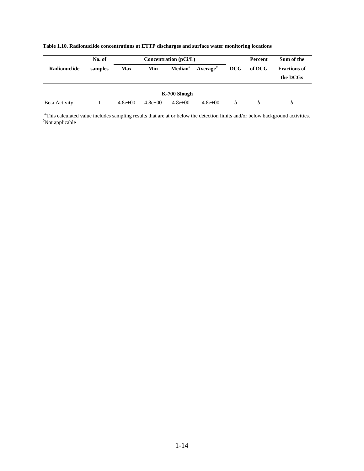| No. of<br>Concentration $(pCi/L)$ |         |            |             |              |                    |            | Percent | Sum of the                      |
|-----------------------------------|---------|------------|-------------|--------------|--------------------|------------|---------|---------------------------------|
| Radionuclide                      | samples | <b>Max</b> | Min         |              | $Mediana Averagea$ | <b>DCG</b> | of DCG  | <b>Fractions of</b><br>the DCGs |
|                                   |         |            |             | K-700 Slough |                    |            |         |                                 |
| Beta Activity                     |         | $4.8e+00$  | $4.8e + 00$ | $4.8e + 00$  | $4.8e + 00$        | h          | h       | b                               |

#### **Table 1.10. Radionuclide concentrations at ETTP discharges and surface water monitoring locations**

<sup>a</sup>This calculated value includes sampling results that are at or below the detection limits and/or below background activities.<br><sup>b</sup>Not applicable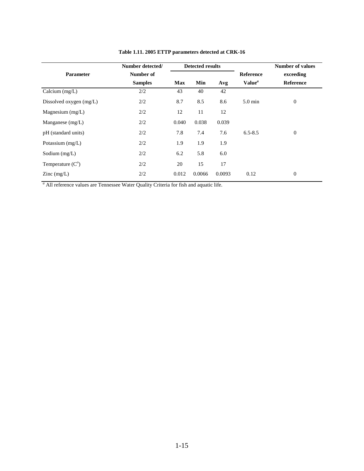|                                          | Number detected/ |            | <b>Detected results</b> |        |                           | <b>Number of values</b> |
|------------------------------------------|------------------|------------|-------------------------|--------|---------------------------|-------------------------|
| <b>Parameter</b>                         | Number of        |            |                         |        | Reference                 | exceeding               |
|                                          | <b>Samples</b>   | <b>Max</b> | Min                     | Avg    | Value <sup><i>a</i></sup> | <b>Reference</b>        |
| Calcium $(mg/L)$                         | 2/2              | 43         | 40                      | 42     |                           |                         |
| Dissolved oxygen $(mg/L)$                | 2/2              | 8.7        | 8.5                     | 8.6    | $5.0 \text{ min}$         | $\mathbf{0}$            |
| Magnesium $(mg/L)$                       | 2/2              | 12         | 11                      | 12     |                           |                         |
| Manganese $(mg/L)$                       | 2/2              | 0.040      | 0.038                   | 0.039  |                           |                         |
| pH (standard units)                      | 2/2              | 7.8        | 7.4                     | 7.6    | $6.5 - 8.5$               | $\boldsymbol{0}$        |
| Potassium $(mg/L)$                       | 2/2              | 1.9        | 1.9                     | 1.9    |                           |                         |
| Sodium $(mg/L)$                          | 2/2              | 6.2        | 5.8                     | 6.0    |                           |                         |
| Temperature $(C^{\circ})$                | 2/2              | 20         | 15                      | 17     |                           |                         |
| $\text{Zinc} \left( \text{mg/L} \right)$ | 2/2              | 0.012      | 0.0066                  | 0.0093 | 0.12                      | $\boldsymbol{0}$        |

**Table 1.11. 2005 ETTP parameters detected at CRK-16**

<sup>a</sup> All reference values are Tennessee Water Quality Criteria for fish and aquatic life.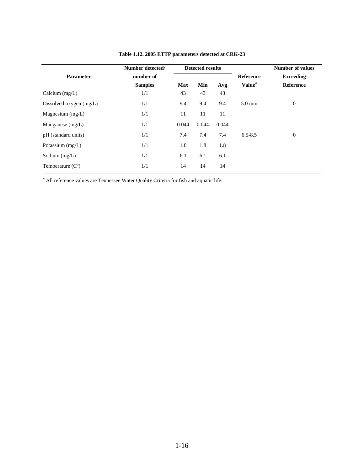|                           | Number detected/ | <b>Detected results</b> |       |       |                    | <b>Number of values</b> |
|---------------------------|------------------|-------------------------|-------|-------|--------------------|-------------------------|
| <b>Parameter</b>          | number of        |                         |       |       | <b>Reference</b>   | <b>Exceeding</b>        |
|                           | <b>Samples</b>   | <b>Max</b>              | Min   | Avg   | Value <sup>a</sup> | <b>Reference</b>        |
| Calcium $(mg/L)$          | 1/1              | 43                      | 43    | 43    |                    |                         |
| Dissolved oxygen $(mg/L)$ | 1/1              | 9.4                     | 9.4   | 9.4   | $5.0 \text{ min}$  | $\boldsymbol{0}$        |
| Magnesium $(mg/L)$        | 1/1              | 11                      | 11    | 11    |                    |                         |
| Manganese $(mg/L)$        | 1/1              | 0.044                   | 0.044 | 0.044 |                    |                         |
| pH (standard units)       | 1/1              | 7.4                     | 7.4   | 7.4   | $6.5 - 8.5$        | $\mathbf{0}$            |
| Potassium $(mg/L)$        | 1/1              | 1.8                     | 1.8   | 1.8   |                    |                         |
| Sodium $(mg/L)$           | 1/1              | 6.1                     | 6.1   | 6.1   |                    |                         |
| Temperature $(C^{\circ})$ | 1/1              | 14                      | 14    | 14    |                    |                         |

**Table 1.12. 2005 ETTP parameters detected at CRK-23**

*a* All reference values are Tennessee Water Quality Criteria for fish and aquatic life.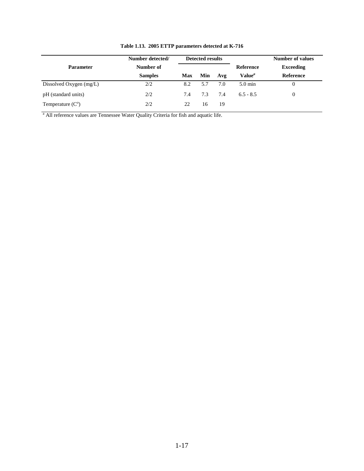|                            | Number detected/<br><b>Detected results</b> |     |     |     |                           | Number of values |
|----------------------------|---------------------------------------------|-----|-----|-----|---------------------------|------------------|
| <b>Parameter</b>           | Number of                                   |     |     |     | Reference                 | <b>Exceeding</b> |
|                            | <b>Samples</b>                              | Max | Min | Avg | Value <sup><i>a</i></sup> | <b>Reference</b> |
| Dissolved Oxygen $(mg/L)$  | 2/2                                         | 8.2 | 5.7 | 7.0 | $5.0 \text{ min}$         | 0                |
| pH (standard units)        | 2/2                                         | 7.4 | 7.3 | 7.4 | $6.5 - 8.5$               | $\theta$         |
| Temperature $(C^{\prime})$ | 2/2                                         | 22  | 16  | 19  |                           |                  |

**Table 1.13. 2005 ETTP parameters detected at K-716**

<sup>a</sup> All reference values are Tennessee Water Quality Criteria for fish and aquatic life.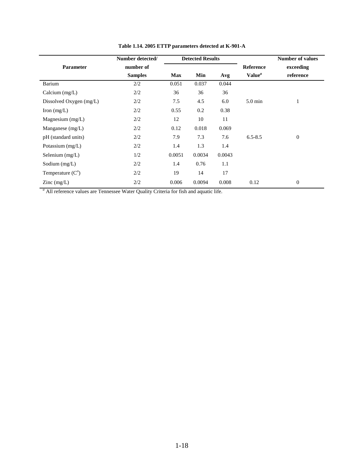|                                          | Number detected/ |            | <b>Detected Results</b> |        |                    | <b>Number of values</b> |
|------------------------------------------|------------------|------------|-------------------------|--------|--------------------|-------------------------|
| Parameter                                | number of        |            |                         |        | Reference          | exceeding               |
|                                          | <b>Samples</b>   | <b>Max</b> | Min                     | Avg    | Value <sup>a</sup> | reference               |
| Barium                                   | 2/2              | 0.051      | 0.037                   | 0.044  |                    |                         |
| Calcium $(mg/L)$                         | 2/2              | 36         | 36                      | 36     |                    |                         |
| Dissolved Oxygen (mg/L)                  | 2/2              | 7.5        | 4.5                     | 6.0    | $5.0 \text{ min}$  |                         |
| Iron $(mg/L)$                            | 2/2              | 0.55       | 0.2                     | 0.38   |                    |                         |
| Magnesium $(mg/L)$                       | 2/2              | 12         | 10                      | 11     |                    |                         |
| Manganese $(mg/L)$                       | 2/2              | 0.12       | 0.018                   | 0.069  |                    |                         |
| pH (standard units)                      | 2/2              | 7.9        | 7.3                     | 7.6    | $6.5 - 8.5$        | $\mathbf{0}$            |
| Potassium (mg/L)                         | 2/2              | 1.4        | 1.3                     | 1.4    |                    |                         |
| Selenium $(mg/L)$                        | 1/2              | 0.0051     | 0.0034                  | 0.0043 |                    |                         |
| Sodium $(mg/L)$                          | 2/2              | 1.4        | 0.76                    | 1.1    |                    |                         |
| Temperature $(C^{\circ})$                | 2/2              | 19         | 14                      | 17     |                    |                         |
| $\text{Zinc} \left( \text{mg/L} \right)$ | 2/2              | 0.006      | 0.0094                  | 0.008  | 0.12               | $\theta$                |

**Table 1.14. 2005 ETTP parameters detected at K-901-A**

<sup>a</sup> All reference values are Tennessee Water Quality Criteria for fish and aquatic life.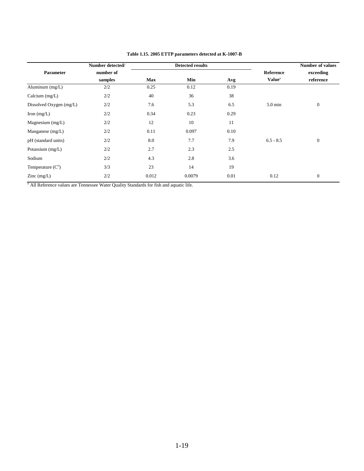|                         | Number detected/ |            | <b>Detected results</b> |      |                           | <b>Number of values</b> |
|-------------------------|------------------|------------|-------------------------|------|---------------------------|-------------------------|
| Parameter               | number of        |            |                         |      | <b>Reference</b>          | exceeding               |
|                         | samples          | <b>Max</b> | Min                     | Avg  | <b>Value</b> <sup>a</sup> | reference               |
| Aluminum (mg/L)         | 2/2              | 0.25       | 0.12                    | 0.19 |                           |                         |
| Calcium $(mg/L)$        | 2/2              | 40         | 36                      | 38   |                           |                         |
| Dissolved Oxygen (mg/L) | 2/2              | 7.6        | 5.3                     | 6.5  | $5.0 \text{ min}$         | $\boldsymbol{0}$        |
| Iron $(mg/L)$           | 2/2              | 0.34       | 0.23                    | 0.29 |                           |                         |
| Magnesium $(mg/L)$      | 2/2              | 12         | 10                      | 11   |                           |                         |
| Manganese $(mg/L)$      | 2/2              | 0.11       | 0.097                   | 0.10 |                           |                         |
| pH (standard units)     | 2/2              | 8.0        | 7.7                     | 7.9  | $6.5 - 8.5$               | $\mathbf{0}$            |
| Potassium (mg/L)        | 2/2              | 2.7        | 2.3                     | 2.5  |                           |                         |
| Sodium                  | 2/2              | 4.3        | 2.8                     | 3.6  |                           |                         |
| Temperature $(Co)$      | 3/3              | 23         | 14                      | 19   |                           |                         |
| $\text{Zinc}$ (mg/L)    | 2/2              | 0.012      | 0.0079                  | 0.01 | 0.12                      | $\mathbf{0}$            |

#### **Table 1.15. 2005 ETTP parameters detected at K-1007-B**

*a* All Reference values are Tennessee Water Quality Standards for fish and aquatic life.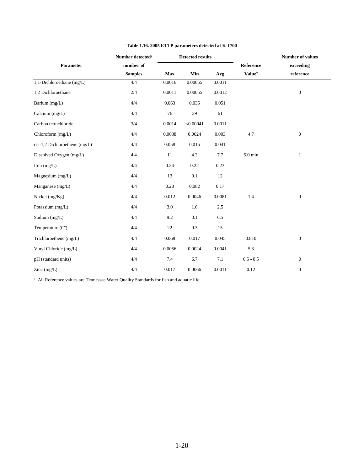|                                 | Number detected/ |         | <b>Detected results</b> |         |                    | <b>Number of values</b> |
|---------------------------------|------------------|---------|-------------------------|---------|--------------------|-------------------------|
| Parameter                       | number of        |         |                         |         | Reference          | exceeding               |
|                                 | <b>Samples</b>   | Max     | Min                     | Avg     | Value <sup>a</sup> | reference               |
| 1,1-Dichloroethane (mg/L)       | 4/4              | 0.0016  | 0.00055                 | 0.0011  |                    |                         |
| 1,2 Dichloroethane              | 2/4              | 0.0011  | 0.00055                 | 0.0012  |                    | $\boldsymbol{0}$        |
| Barium (mg/L)                   | 4/4              | 0.063   | 0.035                   | 0.051   |                    |                         |
| Calcium (mg/L)                  | 4/4              | 76      | 39                      | 61      |                    |                         |
| Carbon tetrachloride            | 3/4              | 0.0014  | < 0.00041               | 0.0011  |                    |                         |
| Chloroform $(mg/L)$             | 4/4              | 0.0038  | 0.0024                  | 0.003   | 4.7                | $\boldsymbol{0}$        |
| $cis-1,2$ Dichloroethene (mg/L) | 4/4              | 0.058   | 0.015                   | 0.041   |                    |                         |
| Dissolved Oxygen (mg/L)         | 4.4              | 11      | 4.2                     | $7.7\,$ | 5.0 min            | $\mathbf{1}$            |
| Iron $(mg/L)$                   | 4/4              | 0.24    | 0.22                    | 0.23    |                    |                         |
| Magnesium (mg/L)                | 4/4              | 13      | 9.1                     | 12      |                    |                         |
| Manganese (mg/L)                | 4/4              | 0.28    | 0.082                   | 0.17    |                    |                         |
| Nickel $(mg/Kg)$                | 4/4              | 0.012   | 0.0046                  | 0.0081  | 1.4                | $\mathbf{0}$            |
| Potassium (mg/L)                | 4/4              | $3.0\,$ | 1.6                     | 2.5     |                    |                         |
| Sodium (mg/L)                   | 4/4              | 9.2     | 3.1                     | 6.5     |                    |                         |
| Temperature $(Co)$              | 4/4              | $22\,$  | 9.3                     | 15      |                    |                         |
| Trichloroethene (mg/L)          | 4/4              | 0.068   | 0.017                   | 0.045   | 0.810              | $\boldsymbol{0}$        |
| Vinyl Chloride (mg/L)           | 4/4              | 0.0056  | 0.0024                  | 0.0041  | 5.3                |                         |
| pH (standard units)             | 4/4              | 7.4     | 6.7                     | $7.1\,$ | $6.5 - 8.5$        | $\boldsymbol{0}$        |
| Zinc $(mg/L)$                   | 4/4              | 0.017   | 0.0066                  | 0.0011  | 0.12               | $\boldsymbol{0}$        |

#### **Table 1.16. 2005 ETTP parameters detected at K-1700**

<sup>a</sup> All Reference values are Tennessee Water Quality Standards for fish and aquatic life.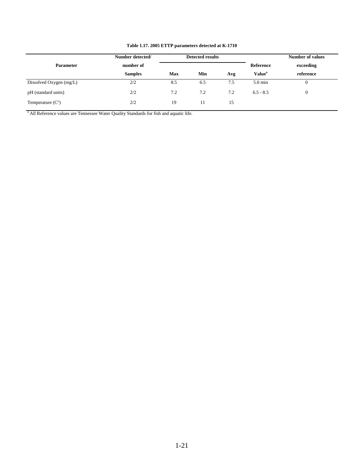| Number detected/        |                |            | <b>Detected results</b> |     |                           | <b>Number of values</b> |
|-------------------------|----------------|------------|-------------------------|-----|---------------------------|-------------------------|
| <b>Parameter</b>        | number of      |            |                         |     | Reference                 | exceeding               |
|                         | <b>Samples</b> | <b>Max</b> | Min                     | Avg | <b>Value</b> <sup>a</sup> | reference               |
| Dissolved Oxygen (mg/L) | 2/2            | 8.5        | 6.5                     | 7.5 | $5.0 \text{ min}$         |                         |
| pH (standard units)     | 2/2            | 7.2        | 7.2                     | 7.2 | $6.5 - 8.5$               | 0                       |
| Temperature $(Co)$      | 2/2            | 19         | 11                      | 15  |                           |                         |

#### **Table 1.17. 2005 ETTP parameters detected at K-1710**

*<sup>a</sup>* All Reference values are Tennessee Water Quality Standards for fish and aquatic life.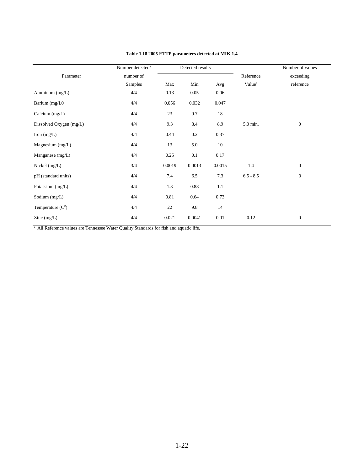|                         | Number detected/ |        | Detected results |        |                    | Number of values |
|-------------------------|------------------|--------|------------------|--------|--------------------|------------------|
| Parameter               | number of        |        |                  |        | Reference          | exceeding        |
|                         | Samples          | Max    | Min              | Avg    | Value <sup>a</sup> | reference        |
| Aluminum (mg/L)         | 4/4              | 0.13   | 0.05             | 0.06   |                    |                  |
| Barium (mg/L0           | 4/4              | 0.056  | 0.032            | 0.047  |                    |                  |
| Calcium $(mg/L)$        | 4/4              | 23     | 9.7              | 18     |                    |                  |
| Dissolved Oxygen (mg/L) | 4/4              | 9.3    | 8.4              | 8.9    | 5.0 min.           | $\boldsymbol{0}$ |
| Iron $(mg/L)$           | 4/4              | 0.44   | 0.2              | 0.37   |                    |                  |
| Magnesium (mg/L)        | 4/4              | 13     | 5.0              | 10     |                    |                  |
| Manganese (mg/L)        | 4/4              | 0.25   | 0.1              | 0.17   |                    |                  |
| Nickel (mg/L)           | 3/4              | 0.0019 | 0.0013           | 0.0015 | 1.4                | $\boldsymbol{0}$ |
| pH (standard units)     | 4/4              | 7.4    | 6.5              | 7.3    | $6.5 - 8.5$        | $\mathbf{0}$     |
| Potassium (mg/L)        | 4/4              | 1.3    | 0.88             | 1.1    |                    |                  |
| Sodium (mg/L)           | 4/4              | 0.81   | 0.64             | 0.73   |                    |                  |
| Temperature $(Co)$      | 4/4              | 22     | 9.8              | 14     |                    |                  |
| Zinc $(mg/L)$           | 4/4              | 0.021  | 0.0041           | 0.01   | 0.12               | $\mathbf{0}$     |

#### **Table 1.18 2005 ETTP parameters detected at MIK 1.4**

<sup>a</sup> All Reference values are Tennessee Water Quality Standards for fish and aquatic life.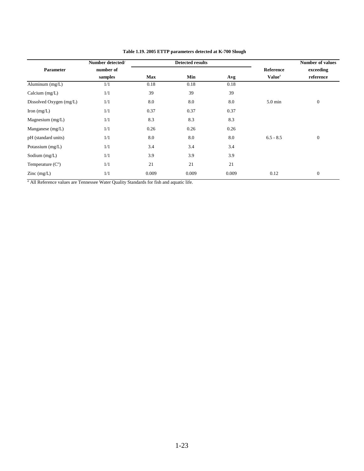|                                          | Number detected/     |            | <b>Detected results</b> |       |                                               | <b>Number of values</b> |
|------------------------------------------|----------------------|------------|-------------------------|-------|-----------------------------------------------|-------------------------|
| <b>Parameter</b>                         | number of<br>samples | <b>Max</b> | Min                     | Avg   | <b>Reference</b><br><b>Value</b> <sup>a</sup> | exceeding<br>reference  |
| Aluminum (mg/L)                          | 1/1                  | 0.18       | 0.18                    | 0.18  |                                               |                         |
| Calcium $(mg/L)$                         | 1/1                  | 39         | 39                      | 39    |                                               |                         |
| Dissolved Oxygen (mg/L)                  | 1/1                  | 8.0        | 8.0                     | 8.0   | $5.0 \text{ min}$                             | $\mathbf{0}$            |
| Iron $(mg/L)$                            | 1/1                  | 0.37       | 0.37                    | 0.37  |                                               |                         |
| Magnesium $(mg/L)$                       | 1/1                  | 8.3        | 8.3                     | 8.3   |                                               |                         |
| Manganese $(mg/L)$                       | 1/1                  | 0.26       | 0.26                    | 0.26  |                                               |                         |
| pH (standard units)                      | 1/1                  | 8.0        | 8.0                     | 8.0   | $6.5 - 8.5$                                   | $\mathbf{0}$            |
| Potassium $(mg/L)$                       | 1/1                  | 3.4        | 3.4                     | 3.4   |                                               |                         |
| Sodium $(mg/L)$                          | 1/1                  | 3.9        | 3.9                     | 3.9   |                                               |                         |
| Temperature $(Co)$                       | 1/1                  | 21         | 21                      | 21    |                                               |                         |
| $\text{Zinc} \left( \text{mg/L} \right)$ | 1/1                  | 0.009      | 0.009                   | 0.009 | 0.12                                          | $\mathbf{0}$            |

#### **Table 1.19. 2005 ETTP parameters detected at K-700 Slough**

*a* All Reference values are Tennessee Water Quality Standards for fish and aquatic life.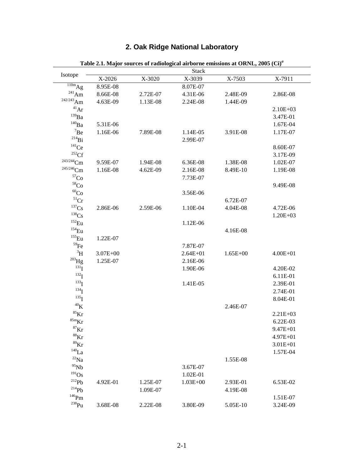|                                  |              |          |              | Table 2.1. Major sources of radiological airborne emissions at ORNL, 2005 (Ci) <sup>a</sup> |              |
|----------------------------------|--------------|----------|--------------|---------------------------------------------------------------------------------------------|--------------|
| Isotope                          |              |          | <b>Stack</b> |                                                                                             |              |
|                                  | X-2026       | X-3020   | X-3039       | X-7503                                                                                      | X-7911       |
| $\overline{\hbox{110m}}\bar{Ag}$ | 8.95E-08     |          | 8.07E-07     |                                                                                             |              |
| $^{241}$ Am                      | 8.66E-08     | 2.72E-07 | 4.31E-06     | 2.48E-09                                                                                    | 2.86E-08     |
| $242/243$ Am                     | 4.63E-09     | 1.13E-08 | 2.24E-08     | 1.44E-09                                                                                    |              |
| $\rm ^{41}Ar$                    |              |          |              |                                                                                             | $2.10E + 03$ |
| $^{139}\mathrm{Ba}$              |              |          |              |                                                                                             | 3.47E-01     |
| $\rm ^{140}Ba$                   | 5.31E-06     |          |              |                                                                                             | 1.67E-04     |
| $\mathrm{^7Be}$                  | 1.16E-06     | 7.89E-08 | 1.14E-05     | 3.91E-08                                                                                    | 1.17E-07     |
| $^{214}Bi$                       |              |          | 2.99E-07     |                                                                                             |              |
| $^{141}\mathrm{Ce}$              |              |          |              |                                                                                             | 8.60E-07     |
| $^{252}\mathrm{Cf}$              |              |          |              |                                                                                             | 3.17E-09     |
| $243/244$ Cm                     | 9.59E-07     | 1.94E-08 | 6.36E-08     | 1.38E-08                                                                                    | 1.02E-07     |
| $245/246$ Cm                     | 1.16E-08     | 4.62E-09 | 2.16E-08     | 8.49E-10                                                                                    | 1.19E-08     |
| $^{57}\mathrm{Co}$               |              |          | 7.73E-07     |                                                                                             |              |
| $^{58}\mathrm{Co}$               |              |          |              |                                                                                             | 9.49E-08     |
| $^{60}\mathrm{Co}$               |              |          | 3.56E-06     |                                                                                             |              |
| ${}^{51}Cr$                      |              |          |              | 6.72E-07                                                                                    |              |
| $137$ Cs                         | 2.86E-06     | 2.59E-06 | 1.10E-04     | 4.04E-08                                                                                    | 4.72E-06     |
| $^{138}Cs$                       |              |          |              |                                                                                             | $1.20E + 03$ |
| $^{152}$ Eu                      |              |          | 1.12E-06     |                                                                                             |              |
| $^{154}\mathrm{Eu}$              |              |          |              | 4.16E-08                                                                                    |              |
| $^{155}$ Eu                      | 1.22E-07     |          |              |                                                                                             |              |
| $^{59}$ Fe                       |              |          | 7.87E-07     |                                                                                             |              |
| $\rm ^3H$                        | $3.07E + 00$ |          | $2.64E + 01$ | $1.65E + 00$                                                                                | $4.00E + 01$ |
| $^{203}\mathrm{Hg}$              | 1.25E-07     |          | 2.16E-06     |                                                                                             |              |
| $^{131}$ I                       |              |          | 1.90E-06     |                                                                                             | 4.20E-02     |
| $^{132}$ I                       |              |          |              |                                                                                             | 6.11E-01     |
| $^{133}$ I                       |              |          | 1.41E-05     |                                                                                             | 2.39E-01     |
| $^{134}$ I                       |              |          |              |                                                                                             | 2.74E-01     |
| $^{135}$ I                       |              |          |              |                                                                                             | 8.04E-01     |
| ${}^{40}\mathrm{K}$              |              |          |              | 2.46E-07                                                                                    |              |
| $^{85}\mathrm{Kr}$               |              |          |              |                                                                                             | $2.21E + 03$ |
| ${}^{85\mathrm{m}}\mathrm{Kr}$   |              |          |              |                                                                                             | 6.22E-03     |
| ${}^{87}\text{Kr}$               |              |          |              |                                                                                             | 9.47E+01     |
| ${}^{88}\text{Kr}$               |              |          |              |                                                                                             | $4.97E + 01$ |
| ${}^{89}$ Kr                     |              |          |              |                                                                                             | $3.01E + 01$ |
| $^{140}$ La                      |              |          |              |                                                                                             | 1.57E-04     |
| $^{22}$ Na $\,$                  |              |          |              | 1.55E-08                                                                                    |              |
| $^{95}\mathrm{Nb}$               |              |          | 3.67E-07     |                                                                                             |              |
| $^{191}Os$                       |              |          | 1.02E-01     |                                                                                             |              |
| $\mathrm{^{212}Pb}$              | 4.92E-01     | 1.25E-07 | $1.03E + 00$ | 2.93E-01                                                                                    | 6.53E-02     |
| $\mathrm{^{214}Pb}$              |              | 1.09E-07 |              | 4.19E-08                                                                                    |              |
| $146$ Pm                         |              |          |              |                                                                                             | 1.51E-07     |
| $^{238}Pu$                       | 3.68E-08     | 2.22E-08 | 3.80E-09     | 5.05E-10                                                                                    | 3.24E-09     |

# 2. Oak Ridge National Laboratory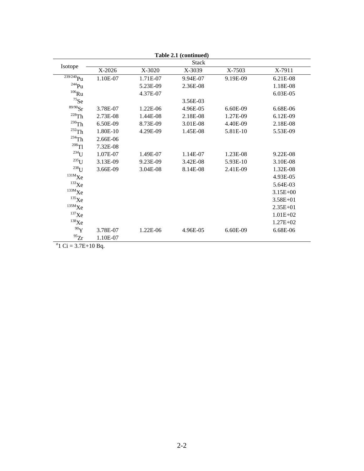|                                    |          |            | Table 2.1 (continued) |          |              |
|------------------------------------|----------|------------|-----------------------|----------|--------------|
|                                    |          |            | <b>Stack</b>          |          |              |
| Isotope                            | X-2026   | X-3020     | X-3039                | X-7503   | X-7911       |
| $\overline{^{239/240}}\mathrm{Pu}$ | 1.10E-07 | 1.71E-07   | 9.94E-07              | 9.19E-09 | 6.21E-08     |
| $^{244}$ Pu                        |          | 5.23E-09   | 2.36E-08              |          | 1.18E-08     |
| $106$ Ru                           |          | 4.37E-07   |                       |          | 6.03E-05     |
| $^{75}\mathrm{Se}$                 |          |            | 3.56E-03              |          |              |
| ${}^{89/90}\mathrm{Sr}$            | 3.78E-07 | $1.22E-06$ | 4.96E-05              | 6.60E-09 | 6.68E-06     |
| $^{228}\mathrm{Th}$                | 2.73E-08 | 1.44E-08   | 2.18E-08              | 1.27E-09 | 6.12E-09     |
| $^{230}\mathrm{Th}$                | 6.50E-09 | 8.73E-09   | 3.01E-08              | 4.40E-09 | 2.18E-08     |
| $^{232}Th$                         | 1.80E-10 | 4.29E-09   | 1.45E-08              | 5.81E-10 | 5.53E-09     |
| $^{234}$ Th                        | 2.66E-06 |            |                       |          |              |
| $^{208}$ Tl                        | 7.32E-08 |            |                       |          |              |
| $234$ U                            | 1.07E-07 | 1.49E-07   | 1.14E-07              | 1.23E-08 | 9.22E-08     |
| $^{235}$ U                         | 3.13E-09 | 9.23E-09   | 3.42E-08              | 5.93E-10 | 3.10E-08     |
| $238$ U                            | 3.66E-09 | 3.04E-08   | 8.14E-08              | 2.41E-09 | 1.32E-08     |
| 131MXe                             |          |            |                       |          | 4.93E-05     |
| $133$ Xe                           |          |            |                       |          | 5.64E-03     |
| $\rm ^{133M}Xe$                    |          |            |                       |          | $3.15E + 00$ |
| $^{135}$ Xe                        |          |            |                       |          | $3.58E + 01$ |
| $\mathrm{^{135M}Xe}$               |          |            |                       |          | $2.35E + 01$ |
| $137$ Xe                           |          |            |                       |          | $1.01E + 02$ |
| $138$ Xe                           |          |            |                       |          | $1.27E + 02$ |
| $^{90}\mathrm{Y}$                  | 3.78E-07 | 1.22E-06   | 4.96E-05              | 6.60E-09 | 6.68E-06     |
| $^{95}Zr$                          | 1.10E-07 |            |                       |          |              |

<sup>a</sup>1 Ci = 3.7E+10 Bq.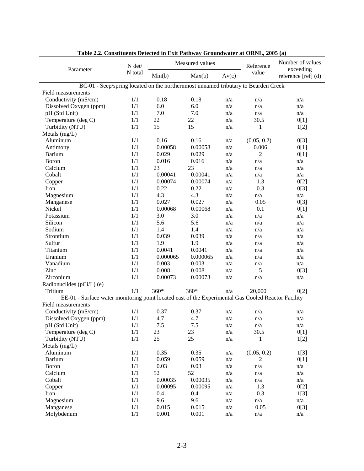| Table 2.2. Constituents Detected in Exit Pathway Groundwater at ORNL, 2005 (a)                      | N det/  |          | Measured values | Reference | Number of values<br>exceeding |                       |
|-----------------------------------------------------------------------------------------------------|---------|----------|-----------------|-----------|-------------------------------|-----------------------|
| Parameter                                                                                           | N total | Min(b)   | Max(b)          | Av(c)     | value                         | reference $[ref]$ (d) |
| BC-01 - Seep/spring located on the northernmost unnamed tributary to Bearden Creek                  |         |          |                 |           |                               |                       |
| Field measurements                                                                                  |         |          |                 |           |                               |                       |
| Conductivity (mS/cm)                                                                                | 1/1     | 0.18     | 0.18            | n/a       | n/a                           | n/a                   |
| Dissolved Oxygen (ppm)                                                                              | 1/1     | 6.0      | 6.0             | n/a       | n/a                           | n/a                   |
| pH (Std Unit)                                                                                       | 1/1     | 7.0      | 7.0             | n/a       | n/a                           | n/a                   |
| Temperature (deg C)                                                                                 | 1/1     | 22       | 22              | n/a       | 30.5                          | 0[1]                  |
| Turbidity (NTU)                                                                                     | 1/1     | 15       | 15              | n/a       | 1                             | 1[2]                  |
| Metals $(mg/L)$                                                                                     |         |          |                 |           |                               |                       |
| Aluminum                                                                                            | 1/1     | 0.16     | 0.16            | n/a       | (0.05, 0.2)                   | 0[3]                  |
| Antimony                                                                                            | 1/1     | 0.00058  | 0.00058         | n/a       | 0.006                         | 0[1]                  |
| Barium                                                                                              | 1/1     | 0.029    | 0.029           | n/a       | 2                             | 0[1]                  |
| Boron                                                                                               | 1/1     | 0.016    | 0.016           | n/a       | n/a                           | n/a                   |
| Calcium                                                                                             | 1/1     | 23       | 23              | n/a       | n/a                           | n/a                   |
| Cobalt                                                                                              | 1/1     | 0.00041  | 0.00041         | n/a       | n/a                           | n/a                   |
| Copper                                                                                              | 1/1     | 0.00074  | 0.00074         | n/a       | 1.3                           | 0[2]                  |
| Iron                                                                                                | 1/1     | 0.22     | 0.22            | n/a       | 0.3                           | 0[3]                  |
| Magnesium                                                                                           | 1/1     | 4.3      | 4.3             | n/a       | n/a                           | n/a                   |
| Manganese                                                                                           | 1/1     | 0.027    | 0.027           | n/a       | 0.05                          | 0[3]                  |
| Nickel                                                                                              | 1/1     | 0.00068  | 0.00068         | n/a       | 0.1                           | 0[1]                  |
| Potassium                                                                                           | 1/1     | 3.0      | 3.0             | n/a       | n/a                           | n/a                   |
| Silicon                                                                                             | 1/1     | 5.6      | 5.6             | n/a       | n/a                           | n/a                   |
| Sodium                                                                                              | 1/1     | 1.4      | 1.4             | n/a       | n/a                           | n/a                   |
| Strontium                                                                                           | 1/1     | 0.039    | 0.039           | n/a       | n/a                           | n/a                   |
| Sulfur                                                                                              | 1/1     | 1.9      | 1.9             | n/a       | n/a                           | n/a                   |
| Titanium                                                                                            | 1/1     | 0.0041   | 0.0041          | n/a       | n/a                           | n/a                   |
| Uranium                                                                                             | 1/1     | 0.000065 | 0.000065        | n/a       | n/a                           | n/a                   |
| Vanadium                                                                                            | 1/1     | 0.003    | 0.003           | n/a       | n/a                           | n/a                   |
| Zinc                                                                                                | 1/1     | 0.008    | 0.008           | n/a       | 5                             | 0[3]                  |
| Zirconium                                                                                           | 1/1     | 0.00073  | 0.00073         | n/a       | n/a                           | n/a                   |
| Radionuclides (pCi/L) (e)                                                                           |         |          |                 |           |                               |                       |
| Tritium                                                                                             | 1/1     | $360*$   | $360*$          | n/a       | 20,000                        | 0[2]                  |
| EE-01 - Surface water monitoring point located east of the Experimental Gas Cooled Reactor Facility |         |          |                 |           |                               |                       |
| Field measurements                                                                                  |         |          |                 |           |                               |                       |
| Conductivity (mS/cm)                                                                                | 1/1     | 0.37     | 0.37            | n/a       | n/a                           | n/a                   |
| Dissolved Oxygen (ppm)                                                                              | 1/1     | 4.7      | 4.7             | n/a       | n/a                           | n/a                   |
| pH (Std Unit)                                                                                       | 1/1     | $7.5$    | $7.5$           | n/a       | n/a                           | n/a                   |
| Temperature (deg C)                                                                                 | 1/1     | 23       | 23              | n/a       | 30.5                          | 0[1]                  |
| Turbidity (NTU)                                                                                     | 1/1     | 25       | 25              | n/a       | $\mathbf{1}$                  | 1[2]                  |
| Metals (mg/L)                                                                                       |         |          |                 |           |                               |                       |
| Aluminum                                                                                            | 1/1     | 0.35     | 0.35            | n/a       | (0.05, 0.2)                   | 1[3]                  |
| <b>Barium</b>                                                                                       | 1/1     | 0.059    | 0.059           | n/a       | 2                             | 0[1]                  |
| Boron                                                                                               | 1/1     | 0.03     | 0.03            | n/a       | n/a                           | n/a                   |
| Calcium                                                                                             | 1/1     | 52       | 52              | n/a       | n/a                           | n/a                   |
| Cobalt                                                                                              | 1/1     | 0.00035  | 0.00035         | n/a       | n/a                           | n/a                   |
| Copper                                                                                              | 1/1     | 0.00095  | 0.00095         | n/a       | 1.3                           | 0[2]                  |
| Iron                                                                                                | 1/1     | 0.4      | 0.4             | n/a       | 0.3                           | 1[3]                  |
| Magnesium                                                                                           | 1/1     | 9.6      | 9.6             | n/a       | n/a                           | n/a                   |
| Manganese                                                                                           | 1/1     | 0.015    | 0.015           | n/a       | 0.05                          | 0[3]                  |
| Molybdenum                                                                                          | 1/1     | 0.001    | 0.001           | n/a       | n/a                           | n/a                   |

**Table 2.2. Constituents Detected in Exit Pathway Groundwater at ORNL, 2005 (a)**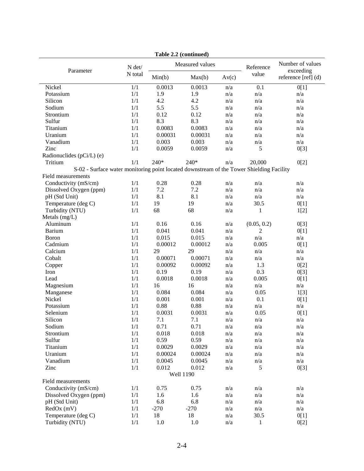|                                                                                          |         |               | Table 2.2 (continued) |       |                         |                                                      |
|------------------------------------------------------------------------------------------|---------|---------------|-----------------------|-------|-------------------------|------------------------------------------------------|
| Parameter                                                                                | N det/  |               | Measured values       |       | Reference               | Number of values<br>exceeding<br>reference [ref] (d) |
|                                                                                          | N total | Min(b)        | Max(b)                | Av(c) | value                   |                                                      |
| Nickel                                                                                   | 1/1     | 0.0013        | 0.0013                | n/a   | 0.1                     | 0[1]                                                 |
| Potassium                                                                                | 1/1     | 1.9           | 1.9                   | n/a   | $\mathrm{n}/\mathrm{a}$ | n/a                                                  |
| Silicon                                                                                  | 1/1     | 4.2           | 4.2                   | n/a   | n/a                     | n/a                                                  |
| Sodium                                                                                   | 1/1     | 5.5           | 5.5                   | n/a   | n/a                     | n/a                                                  |
| Strontium                                                                                | 1/1     | 0.12          | 0.12                  | n/a   | n/a                     | n/a                                                  |
| Sulfur                                                                                   | 1/1     | 8.3           | 8.3                   | n/a   | n/a                     | n/a                                                  |
| Titanium                                                                                 | 1/1     | 0.0083        | 0.0083                | n/a   | n/a                     | n/a                                                  |
| Uranium                                                                                  | 1/1     | 0.00031       | 0.00031               | n/a   | n/a                     | n/a                                                  |
| Vanadium                                                                                 | 1/1     | 0.003         | 0.003                 | n/a   | n/a                     | n/a                                                  |
| Zinc                                                                                     | 1/1     | 0.0059        | 0.0059                | n/a   | 5                       | 0[3]                                                 |
| Radionuclides (pCi/L) (e)                                                                |         |               |                       |       |                         |                                                      |
| Tritium                                                                                  | 1/1     | 240*          | 240*                  | n/a   | 20,000                  | 0[2]                                                 |
| S-02 - Surface water monitoring point located downstream of the Tower Shielding Facility |         |               |                       |       |                         |                                                      |
| Field measurements                                                                       |         |               |                       |       |                         |                                                      |
| Conductivity (mS/cm)                                                                     | 1/1     | 0.28          | 0.28                  | n/a   | n/a                     | n/a                                                  |
| Dissolved Oxygen (ppm)                                                                   | 1/1     | 7.2           | 7.2                   | n/a   | n/a                     | n/a                                                  |
| pH (Std Unit)                                                                            | 1/1     | 8.1           | 8.1                   | n/a   | n/a                     | n/a                                                  |
| Temperature (deg C)                                                                      | 1/1     | 19            | 19                    | n/a   | 30.5                    | 0[1]                                                 |
| Turbidity (NTU)                                                                          | 1/1     | 68            | 68                    | n/a   | $\mathbf{1}$            | 1[2]                                                 |
| Metals (mg/L)                                                                            |         |               |                       |       |                         |                                                      |
| Aluminum                                                                                 | 1/1     | 0.16          | 0.16                  | n/a   | (0.05, 0.2)             | 0[3]                                                 |
| <b>Barium</b>                                                                            | 1/1     | 0.041         | 0.041                 | n/a   | $\overline{c}$          | 0[1]                                                 |
| Boron                                                                                    | 1/1     | 0.015         | 0.015                 | n/a   | n/a                     | n/a                                                  |
| Cadmium                                                                                  | 1/1     | 0.00012       | 0.00012               | n/a   | 0.005                   | 0[1]                                                 |
| Calcium                                                                                  | 1/1     | 29            | 29                    | n/a   | n/a                     | n/a                                                  |
| Cobalt                                                                                   | 1/1     | 0.00071       | 0.00071               | n/a   | n/a                     | n/a                                                  |
| Copper                                                                                   | 1/1     | 0.00092       | 0.00092               | n/a   | 1.3                     | 0[2]                                                 |
| Iron                                                                                     | 1/1     | 0.19          | 0.19                  | n/a   | 0.3                     | 0[3]                                                 |
| Lead                                                                                     | 1/1     | 0.0018        | 0.0018                | n/a   | 0.005                   | 0[1]                                                 |
| Magnesium                                                                                | 1/1     | 16            | 16                    | n/a   | n/a                     | n/a                                                  |
| Manganese                                                                                | 1/1     | 0.084         | 0.084                 | n/a   | 0.05                    |                                                      |
| Nickel                                                                                   | 1/1     |               | 0.001                 |       | 0.1                     | 1[3]                                                 |
| Potassium                                                                                | 1/1     | 0.001<br>0.88 | 0.88                  | n/a   | n/a                     | 0[1]                                                 |
| Selenium                                                                                 | 1/1     | 0.0031        | 0.0031                | n/a   | 0.05                    | n/a                                                  |
|                                                                                          |         |               |                       | n/a   |                         | 0[1]                                                 |
| Silicon                                                                                  | 1/1     | 7.1           | 7.1                   | n/a   | n/a                     | n/a                                                  |
| Sodium                                                                                   | 1/1     | 0.71          | 0.71                  | n/a   | n/a                     | n/a                                                  |
| Strontium                                                                                | 1/1     | 0.018         | 0.018                 | n/a   | n/a                     | n/a                                                  |
| Sulfur<br>Titanium                                                                       | 1/1     | 0.59          | 0.59                  | n/a   | n/a                     | n/a                                                  |
|                                                                                          | 1/1     | 0.0029        | 0.0029                | n/a   | n/a                     | n/a                                                  |
| Uranium                                                                                  | 1/1     | 0.00024       | 0.00024               | n/a   | n/a                     | n/a                                                  |
| Vanadium                                                                                 | 1/1     | 0.0045        | 0.0045                | n/a   | $\mathrm{n}/\mathrm{a}$ | n/a                                                  |
| Zinc                                                                                     | 1/1     | 0.012         | 0.012                 | n/a   | 5                       | 0[3]                                                 |
|                                                                                          |         |               | <b>Well 1190</b>      |       |                         |                                                      |
| Field measurements                                                                       |         |               |                       |       |                         |                                                      |
| Conductivity (mS/cm)                                                                     | 1/1     | 0.75          | 0.75                  | n/a   | n/a                     | n/a                                                  |
| Dissolved Oxygen (ppm)                                                                   | 1/1     | 1.6           | 1.6                   | n/a   | n/a                     | n/a                                                  |
| pH (Std Unit)                                                                            | 1/1     | 6.8           | 6.8                   | n/a   | n/a                     | n/a                                                  |
| $RedOx$ (mV)                                                                             | 1/1     | $-270$        | $-270$                | n/a   | n/a                     | n/a                                                  |
| Temperature (deg C)                                                                      | 1/1     | 18            | 18                    | n/a   | 30.5                    | 0[1]                                                 |
| Turbidity (NTU)                                                                          | 1/1     | 1.0           | 1.0                   | n/a   | $\mathbf{1}$            | 0[2]                                                 |

**Table 2.2 (continued)**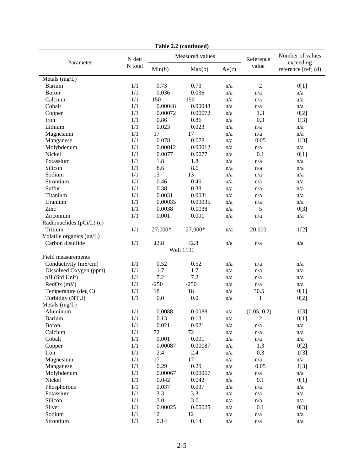|                           |                   |                 | <b>Lavit 4.4</b> (Continued) |                         |                         |                               |
|---------------------------|-------------------|-----------------|------------------------------|-------------------------|-------------------------|-------------------------------|
| Parameter                 | N det/<br>N total | Measured values |                              |                         | Reference               | Number of values<br>exceeding |
|                           |                   | Min(b)          | Max(b)                       | Av(c)                   | value                   | reference [ref] (d)           |
| Metals (mg/L)             |                   |                 |                              |                         |                         |                               |
| Barium                    | 1/1               | 0.73            | 0.73                         | n/a                     | $\sqrt{2}$              | 0[1]                          |
| <b>B</b> oron             | 1/1               | 0.036           | 0.036                        | n/a                     | n/a                     | n/a                           |
| Calcium                   | 1/1               | 150             | 150                          | n/a                     | n/a                     | n/a                           |
| Cobalt                    | 1/1               | 0.00048         | 0.00048                      | n/a                     | n/a                     | n/a                           |
| Copper                    | 1/1               | 0.00072         | 0.00072                      | n/a                     | 1.3                     | 0[2]                          |
| Iron                      | 1/1               | 0.86            | 0.86                         | n/a                     | 0.3                     | 1[3]                          |
| Lithium                   | 1/1               | 0.023           | 0.023                        | n/a                     | n/a                     | n/a                           |
| Magnesium                 | 1/1               | 17              | 17                           | n/a                     | n/a                     | n/a                           |
| Manganese                 | 1/1               | 0.078           | 0.078                        | n/a                     | 0.05                    | 1[3]                          |
| Molybdenum                | 1/1               | 0.00012         | 0.00012                      | n/a                     | n/a                     | n/a                           |
| Nickel                    | 1/1               | 0.0077          | 0.0077                       | n/a                     | 0.1                     | 0[1]                          |
| Potassium                 | 1/1               | 1.8             | 1.8                          | n/a                     | n/a                     | n/a                           |
| Silicon                   | 1/1               | 8.6             | 8.6                          | n/a                     | n/a                     | n/a                           |
| Sodium                    | 1/1               | 13              | 13                           | n/a                     | n/a                     | n/a                           |
| Strontium                 | 1/1               | 0.46            | 0.46                         | n/a                     | n/a                     | n/a                           |
| Sulfur                    | 1/1               | 0.38            | 0.38                         | n/a                     | n/a                     | n/a                           |
| Titanium                  | 1/1               | 0.0031          | 0.0031                       | n/a                     | n/a                     | n/a                           |
| Uranium                   | 1/1               | 0.00035         | 0.00035                      | n/a                     | n/a                     | n/a                           |
| Zinc                      | 1/1               | 0.0038          | 0.0038                       | n/a                     | 5                       | 0[3]                          |
| Zirconium                 | 1/1               | 0.001           | 0.001                        | n/a                     | n/a                     | n/a                           |
| Radionuclides (pCi/L) (e) |                   |                 |                              |                         |                         |                               |
| Tritium                   | 1/1               | 27,000*         | 27,000*                      | n/a                     | 20,000                  | 1[2]                          |
| Volatile organics (ug/L)  |                   |                 |                              |                         |                         |                               |
| Carbon disulfide          | 1/1               | J2.8            | J2.8                         | n/a                     | n/a                     | n/a                           |
|                           |                   |                 | <b>Well 1191</b>             |                         |                         |                               |
| Field measurements        |                   |                 |                              |                         |                         |                               |
| Conductivity (mS/cm)      | 1/1               | 0.52            | 0.52                         | n/a                     | n/a                     | n/a                           |
| Dissolved Oxygen (ppm)    | 1/1               | 1.7             | 1.7                          | n/a                     | n/a                     | n/a                           |
| pH (Std Unit)             | 1/1               | 7.2             | 7.2                          | n/a                     | n/a                     | n/a                           |
| RedOx (mV)                | 1/1               | $-250$          | $-250$                       | n/a                     | n/a                     | n/a                           |
| Temperature (deg C)       | 1/1               | 18              | 18                           | n/a                     | 30.5                    | 0[1]                          |
| Turbidity (NTU)           | 1/1               | 0.0             | 0.0                          | n/a                     | 1                       | 0[2]                          |
| Metals (mg/L)             |                   |                 |                              |                         |                         |                               |
| Aluminum                  | 1/1               | 0.0088          | 0.0088                       | n/a                     | (0.05, 0.2)             | 1[3]                          |
| <b>Barium</b>             | $1/1$             | 0.13            | 0.13                         | $\mathrm{n}/\mathrm{a}$ | $\sqrt{2}$              | 0[1]                          |
| Boron                     | 1/1               | 0.021           | 0.021                        | n/a                     | $\mathrm{n}/\mathrm{a}$ | n/a                           |
| Calcium                   | 1/1               | 72              | $72\,$                       | n/a                     | n/a                     | n/a                           |
| Cobalt                    | 1/1               | 0.001           | 0.001                        | n/a                     | n/a                     | n/a                           |
|                           | 1/1               | 0.00087         | 0.00087                      | n/a                     | 1.3                     | 0[2]                          |
| Copper<br>Iron            | 1/1               | 2.4             | 2.4                          | n/a                     | 0.3                     |                               |
|                           |                   |                 | 17                           |                         |                         | 1[3]                          |
| Magnesium                 | 1/1               | 17<br>0.29      |                              | n/a                     | n/a<br>0.05             | n/a                           |
| Manganese                 | 1/1               |                 | 0.29                         | n/a                     |                         | 1[3]                          |
| Molybdenum                | 1/1               | 0.00067         | 0.00067                      | n/a                     | n/a                     | n/a                           |
| Nickel                    | 1/1               | 0.042           | 0.042                        | n/a                     | 0.1                     | 0[1]                          |
| Phosphorous               | 1/1               | 0.037           | 0.037                        | n/a                     | n/a                     | n/a                           |
| Potassium                 | 1/1               | 3.3             | 3.3                          | n/a                     | n/a                     | n/a                           |
| Silicon                   | 1/1               | 3.0             | 3.0                          | n/a                     | n/a                     | n/a                           |
| Silver                    | 1/1               | 0.00025         | 0.00025                      | n/a                     | 0.1                     | 0[3]                          |
| Sodium                    | 1/1               | 12              | 12                           | n/a                     | n/a                     | n/a                           |
| Strontium                 | $1/1\,$           | 0.14            | 0.14                         | n/a                     | n/a                     | n/a                           |

|  | Table 2.2 (continued) |
|--|-----------------------|
|--|-----------------------|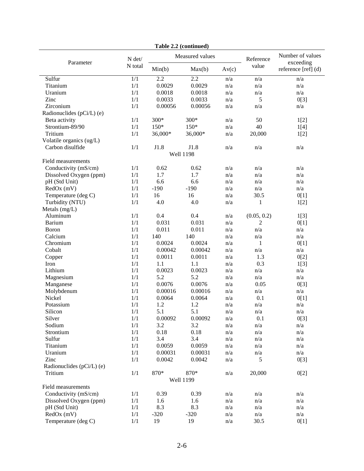|                           |         |                  | rabie 2.2 (continueu) |       |                    |                                                      |  |  |
|---------------------------|---------|------------------|-----------------------|-------|--------------------|------------------------------------------------------|--|--|
| Parameter                 | N det/  |                  | Measured values       |       | Reference<br>value | Number of values<br>exceeding<br>reference [ref] (d) |  |  |
|                           | N total | Min(b)           | Max(b)                | Av(c) |                    |                                                      |  |  |
| Sulfur                    | 1/1     | $\overline{2.2}$ | $\overline{2.2}$      | n/a   | n/a                | n/a                                                  |  |  |
| Titanium                  | 1/1     | 0.0029           | 0.0029                | n/a   | n/a                | n/a                                                  |  |  |
| Uranium                   | 1/1     | 0.0018           | 0.0018                | n/a   | n/a                | n/a                                                  |  |  |
| Zinc                      | 1/1     | 0.0033           | 0.0033                | n/a   | 5                  | 0[3]                                                 |  |  |
| Zirconium                 | 1/1     | 0.00056          | 0.00056               | n/a   | n/a                | n/a                                                  |  |  |
| Radionuclides (pCi/L) (e) |         |                  |                       |       |                    |                                                      |  |  |
| Beta activity             | 1/1     | 300*             | 300*                  | n/a   | 50                 | 1[2]                                                 |  |  |
| Strontium-89/90           | 1/1     | $150*$           | $150*$                | n/a   | 40                 | 1[4]                                                 |  |  |
| Tritium                   | 1/1     | 36,000*          | 36,000*               | n/a   | 20,000             | 1[2]                                                 |  |  |
| Volatile organics (ug/L)  |         |                  |                       |       |                    |                                                      |  |  |
| Carbon disulfide          | 1/1     | J1.8             | J1.8                  | n/a   | n/a                | n/a                                                  |  |  |
| <b>Well 1198</b>          |         |                  |                       |       |                    |                                                      |  |  |
| Field measurements        |         |                  |                       |       |                    |                                                      |  |  |
| Conductivity (mS/cm)      | 1/1     | 0.62             | 0.62                  | n/a   | n/a                | n/a                                                  |  |  |
| Dissolved Oxygen (ppm)    | 1/1     | 1.7              | 1.7                   | n/a   | n/a                | n/a                                                  |  |  |
| pH (Std Unit)             | 1/1     | 6.6              | 6.6                   | n/a   | n/a                | n/a                                                  |  |  |
| RedOx (mV)                | 1/1     | $-190$           | $-190$                | n/a   | n/a                | n/a                                                  |  |  |
| Temperature (deg C)       | 1/1     | 16               | 16                    | n/a   | 30.5               | 0[1]                                                 |  |  |
| Turbidity (NTU)           | 1/1     | 4.0              | 4.0                   | n/a   | 1                  | 1[2]                                                 |  |  |
| Metals (mg/L)             |         |                  |                       |       |                    |                                                      |  |  |
| Aluminum                  | 1/1     | 0.4              | 0.4                   | n/a   | (0.05, 0.2)        | 1[3]                                                 |  |  |
| <b>Barium</b>             | 1/1     | 0.031            | 0.031                 | n/a   | 2                  | 0[1]                                                 |  |  |
| <b>Boron</b>              | 1/1     | 0.011            | 0.011                 | n/a   | n/a                | n/a                                                  |  |  |
| Calcium                   | 1/1     | 140              | 140                   | n/a   | n/a                | n/a                                                  |  |  |
| Chromium                  | 1/1     | 0.0024           | 0.0024                | n/a   | 1                  | 0[1]                                                 |  |  |
| Cobalt                    | 1/1     | 0.00042          | 0.00042               | n/a   | n/a                | n/a                                                  |  |  |
| Copper                    | 1/1     | 0.0011           | 0.0011                | n/a   | 1.3                | 0[2]                                                 |  |  |
| Iron                      | 1/1     | 1.1              | 1.1                   | n/a   | 0.3                | 1[3]                                                 |  |  |
| Lithium                   | 1/1     | 0.0023           | 0.0023                | n/a   | n/a                | n/a                                                  |  |  |
| Magnesium                 | 1/1     | 5.2              | 5.2                   | n/a   | n/a                | n/a                                                  |  |  |
| Manganese                 | 1/1     | 0.0076           | 0.0076                | n/a   | 0.05               | 0[3]                                                 |  |  |
| Molybdenum                | 1/1     | 0.00016          | 0.00016               | n/a   | n/a                | n/a                                                  |  |  |
| Nickel                    | 1/1     | 0.0064           | 0.0064                | n/a   | 0.1                | 0[1]                                                 |  |  |
| Potassium                 | 1/1     | 1.2              | 1.2                   | n/a   | n/a                | n/a                                                  |  |  |
| Silicon                   | 1/1     | 5.1              | 5.1                   | n/a   | n/a                | n/a                                                  |  |  |
| Silver                    | 1/1     | 0.00092          | 0.00092               | n/a   | 0.1                | 0[3]                                                 |  |  |
| Sodium                    | 1/1     | 3.2              | 3.2                   | n/a   | n/a                | n/a                                                  |  |  |
| Strontium                 | $1/1\,$ | 0.18             | 0.18                  | n/a   | n/a                | n/a                                                  |  |  |
| Sulfur                    | 1/1     | 3.4              | 3.4                   | n/a   | n/a                | n/a                                                  |  |  |
| Titanium                  | $1/1\,$ | 0.0059           | 0.0059                | n/a   | n/a                | n/a                                                  |  |  |
| Uranium                   | 1/1     | 0.00031          | 0.00031               | n/a   | n/a                | n/a                                                  |  |  |
| Zinc                      | 1/1     | 0.0042           | 0.0042                | n/a   | 5                  | 0[3]                                                 |  |  |
| Radionuclides (pCi/L) (e) |         |                  |                       |       |                    |                                                      |  |  |
| Tritium                   | 1/1     | 870*             | 870*                  | n/a   | 20,000             | 0[2]                                                 |  |  |
|                           |         |                  | <b>Well 1199</b>      |       |                    |                                                      |  |  |
| Field measurements        |         |                  |                       |       |                    |                                                      |  |  |
| Conductivity (mS/cm)      | 1/1     | 0.39             | 0.39                  | n/a   | n/a                | n/a                                                  |  |  |
| Dissolved Oxygen (ppm)    | 1/1     | 1.6              | 1.6                   | n/a   | n/a                | n/a                                                  |  |  |
| pH (Std Unit)             | 1/1     | 8.3              | 8.3                   | n/a   | n/a                | n/a                                                  |  |  |
| RedOx (mV)                | 1/1     | $-320$           | $-320$                | n/a   | n/a                | n/a                                                  |  |  |
| Temperature (deg C)       | 1/1     | 19               | 19                    | n/a   | 30.5               | 0[1]                                                 |  |  |

**Table 2.2 (continued)**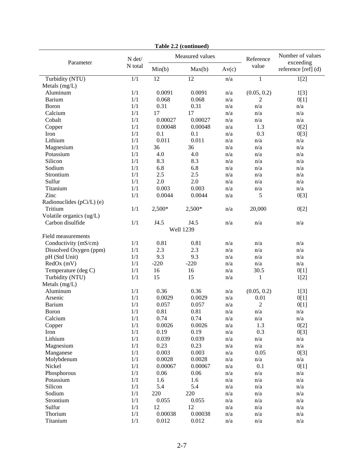| rabie 2.2 (continueu)     |         |                 |                  |                         |                         |                               |  |
|---------------------------|---------|-----------------|------------------|-------------------------|-------------------------|-------------------------------|--|
| Parameter                 | N det/  | Measured values |                  |                         | Reference               | Number of values<br>exceeding |  |
|                           | N total | Min(b)          | Max(b)           | Av(c)                   | value                   | reference [ref] (d)           |  |
| Turbidity (NTU)           | 1/1     | $\overline{12}$ | $\overline{12}$  | n/a                     | $\mathbf{1}$            | 1[2]                          |  |
| Metals $(mg/L)$           |         |                 |                  |                         |                         |                               |  |
| Aluminum                  | 1/1     | 0.0091          | 0.0091           | n/a                     | (0.05, 0.2)             | 1[3]                          |  |
| <b>Barium</b>             | 1/1     | 0.068           | 0.068            | n/a                     | 2                       | 0[1]                          |  |
| Boron                     | 1/1     | 0.31            | 0.31             | n/a                     | n/a                     | n/a                           |  |
| Calcium                   | 1/1     | 17              | 17               | n/a                     | n/a                     | n/a                           |  |
| Cobalt                    | 1/1     | 0.00027         | 0.00027          | n/a                     | n/a                     | n/a                           |  |
| Copper                    | 1/1     | 0.00048         | 0.00048          | n/a                     | 1.3                     | 0[2]                          |  |
| Iron                      | 1/1     | 0.1             | 0.1              | n/a                     | 0.3                     | 0[3]                          |  |
| Lithium                   | 1/1     | 0.011           | 0.011            | n/a                     | n/a                     | n/a                           |  |
| Magnesium                 | 1/1     | 36              | 36               | n/a                     | n/a                     | n/a                           |  |
| Potassium                 | 1/1     | 4.0             | 4.0              | n/a                     | n/a                     | n/a                           |  |
| Silicon                   | 1/1     | 8.3             | 8.3              | n/a                     | n/a                     | n/a                           |  |
| Sodium                    | 1/1     | 6.8             | 6.8              | n/a                     | n/a                     | n/a                           |  |
| Strontium                 | 1/1     | 2.5             | 2.5              | n/a                     | n/a                     | n/a                           |  |
| Sulfur                    | 1/1     | $2.0\,$         | 2.0              | n/a                     | n/a                     | n/a                           |  |
| Titanium                  | 1/1     | 0.003           | 0.003            | n/a                     | n/a                     | n/a                           |  |
| Zinc                      | 1/1     | 0.0044          | 0.0044           | n/a                     | 5                       | 0[3]                          |  |
| Radionuclides (pCi/L) (e) |         |                 |                  |                         |                         |                               |  |
| Tritium                   | 1/1     | $2,500*$        | 2,500*           | n/a                     | 20,000                  | 0[2]                          |  |
| Volatile organics (ug/L)  |         |                 |                  |                         |                         |                               |  |
| Carbon disulfide          | 1/1     | J4.5            | J4.5             | n/a                     | n/a                     | n/a                           |  |
|                           |         |                 | <b>Well 1239</b> |                         |                         |                               |  |
| Field measurements        |         |                 |                  |                         |                         |                               |  |
| Conductivity (mS/cm)      | 1/1     | 0.81            | 0.81             | n/a                     | n/a                     | n/a                           |  |
| Dissolved Oxygen (ppm)    | 1/1     | 2.3             | 2.3              | n/a                     | n/a                     | n/a                           |  |
| pH (Std Unit)             | 1/1     | 9.3             | 9.3              | n/a                     | n/a                     | n/a                           |  |
| RedOx (mV)                | 1/1     | $-220$          | $-220$           | n/a                     | n/a                     | n/a                           |  |
| Temperature (deg C)       | 1/1     | 16              | 16               | n/a                     | 30.5                    | 0[1]                          |  |
| Turbidity (NTU)           | 1/1     | 15              | 15               | n/a                     | 1                       | 1[2]                          |  |
| Metals (mg/L)             |         |                 |                  |                         |                         |                               |  |
| Aluminum                  | 1/1     | 0.36            | 0.36             | n/a                     | (0.05, 0.2)             | 1[3]                          |  |
| Arsenic                   | 1/1     | 0.0029          | 0.0029           | n/a                     | 0.01                    | 0[1]                          |  |
| <b>Barium</b>             | 1/1     | 0.057           | 0.057            | n/a                     | $\overline{2}$          | 0[1]                          |  |
| Boron                     | 1/1     | 0.81            | 0.81             | n/a                     | n/a                     | n/a                           |  |
| Calcium                   | 1/1     | 0.74            | 0.74             | $\mathrm{n}/\mathrm{a}$ | n/a                     | n/a                           |  |
| Copper                    | 1/1     | 0.0026          | 0.0026           | n/a                     | 1.3                     | 0[2]                          |  |
| Iron                      | 1/1     | 0.19            | 0.19             | n/a                     | 0.3                     | 0[3]                          |  |
| Lithium                   | 1/1     | 0.039           | 0.039            | n/a                     | n/a                     | n/a                           |  |
| Magnesium                 | 1/1     | 0.23            | 0.23             | n/a                     | n/a                     | n/a                           |  |
| Manganese                 | 1/1     | 0.003           | 0.003            | n/a                     | 0.05                    | 0[3]                          |  |
| Molybdenum                | 1/1     | 0.0028          | 0.0028           | n/a                     | $\mathrm{n}/\mathrm{a}$ | n/a                           |  |
| Nickel                    | 1/1     | 0.00067         | 0.00067          | n/a                     | 0.1                     | 0[1]                          |  |
| Phosphorous               | 1/1     | 0.06            | 0.06             | n/a                     | n/a                     | n/a                           |  |
| Potassium                 | 1/1     | 1.6             | 1.6              | n/a                     | n/a                     | n/a                           |  |
| Silicon                   | 1/1     | 5.4             | 5.4              | n/a                     | n/a                     | n/a                           |  |
| Sodium                    | 1/1     | 220             | 220              | n/a                     | n/a                     | n/a                           |  |
| Strontium                 | 1/1     | 0.055           | 0.055            | $\mathrm{n}/\mathrm{a}$ | n/a                     | n/a                           |  |
| Sulfur                    | $1/1\,$ | 12              | 12               | n/a                     | $\mathrm{n}/\mathrm{a}$ | n/a                           |  |
| Thorium                   | 1/1     | 0.00038         | 0.00038          | n/a                     | n/a                     | n/a                           |  |
| Titanium                  | $1/1\,$ | 0.012           | 0.012            | n/a                     | $\mathrm{n}/\mathrm{a}$ | $\mathrm{n}/\mathrm{a}$       |  |

**Table 2.2 (continued)**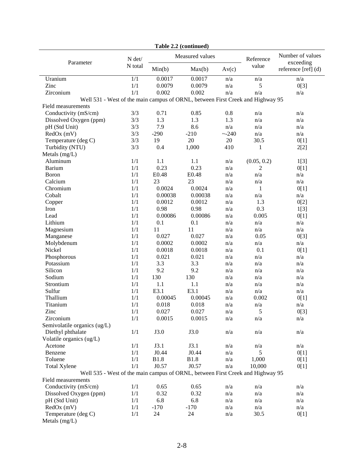|                                                                                |                  |             | <b>Lavit 4.4</b> (Continueu) |           |                               |                     |
|--------------------------------------------------------------------------------|------------------|-------------|------------------------------|-----------|-------------------------------|---------------------|
| Parameter                                                                      | N det/           |             | Measured values              | Reference | Number of values<br>exceeding |                     |
|                                                                                | N total          | Min(b)      | Max(b)                       | Av(c)     | value                         | reference [ref] (d) |
| Uranium                                                                        | $\overline{1/1}$ | 0.0017      | 0.0017                       | n/a       | n/a                           | n/a                 |
| Zinc                                                                           | 1/1              | 0.0079      | 0.0079                       | n/a       | 5                             | 0[3]                |
| Zirconium                                                                      | 1/1              | 0.002       | 0.002                        | n/a       | n/a                           | n/a                 |
| Well 531 - West of the main campus of ORNL, between First Creek and Highway 95 |                  |             |                              |           |                               |                     |
| Field measurements                                                             |                  |             |                              |           |                               |                     |
| Conductivity (mS/cm)                                                           | 3/3              | 0.71        | 0.85                         | 0.8       | n/a                           | n/a                 |
| Dissolved Oxygen (ppm)                                                         | 3/3              | 1.3         | 1.3                          | 1.3       | n/a                           | n/a                 |
| pH (Std Unit)                                                                  | 3/3              | 7.9         | 8.6                          | n/a       | n/a                           | n/a                 |
| RedOx (mV)                                                                     | 3/3              | $-290$      | $-210$                       | ~240      | n/a                           | n/a                 |
| Temperature (deg C)                                                            | 3/3              | 19          | 20                           | 20        | 30.5                          | 0[1]                |
| Turbidity (NTU)                                                                | 3/3              | 0.4         | 1,000                        | 410       | $\mathbf{1}$                  | 2[2]                |
| Metals (mg/L)                                                                  |                  |             |                              |           |                               |                     |
| Aluminum                                                                       | 1/1              | 1.1         | 1.1                          | n/a       | (0.05, 0.2)                   | 1[3]                |
| <b>Barium</b>                                                                  | 1/1              | 0.23        | 0.23                         | n/a       | $\mathbf{2}$                  | 0[1]                |
| <b>Boron</b>                                                                   | 1/1              | E0.48       | E0.48                        | n/a       | n/a                           | n/a                 |
| Calcium                                                                        | 1/1              | 23          | 23                           | n/a       | n/a                           | n/a                 |
| Chromium                                                                       | 1/1              | 0.0024      | 0.0024                       | n/a       | $\mathbf{1}$                  | 0[1]                |
| Cobalt                                                                         | 1/1              | 0.00038     | 0.00038                      | n/a       | n/a                           | n/a                 |
| Copper                                                                         | 1/1              | 0.0012      | 0.0012                       | n/a       | 1.3                           | 0[2]                |
| Iron                                                                           | 1/1              | 0.98        | 0.98                         | n/a       | 0.3                           | 1[3]                |
| Lead                                                                           | 1/1              | 0.00086     | 0.00086                      | n/a       | 0.005                         | 0[1]                |
| Lithium                                                                        | 1/1              | 0.1         | 0.1                          | n/a       | n/a                           | n/a                 |
| Magnesium                                                                      | 1/1              | 11          | 11                           | n/a       | n/a                           | n/a                 |
| Manganese                                                                      | 1/1              | 0.027       | 0.027                        | n/a       | 0.05                          | 0[3]                |
| Molybdenum                                                                     | 1/1              | 0.0002      | 0.0002                       | n/a       | n/a                           | n/a                 |
| Nickel                                                                         | 1/1              | 0.0018      | 0.0018                       | n/a       | 0.1                           | 0[1]                |
| Phosphorous                                                                    | 1/1              | 0.021       | 0.021                        | n/a       | n/a                           | n/a                 |
| Potassium                                                                      | 1/1              | 3.3         | 3.3                          | n/a       | n/a                           | n/a                 |
| Silicon                                                                        | 1/1              | 9.2         | 9.2                          | n/a       | n/a                           | n/a                 |
| Sodium                                                                         | 1/1              | 130         | 130                          | n/a       | n/a                           | n/a                 |
| Strontium                                                                      | 1/1              | 1.1         | 1.1                          | n/a       | n/a                           | n/a                 |
| Sulfur                                                                         | 1/1              | E3.1        | E3.1                         | n/a       | n/a                           | n/a                 |
| Thallium                                                                       | 1/1              | 0.00045     | 0.00045                      | n/a       | 0.002                         | 0[1]                |
| Titanium                                                                       | 1/1              | 0.018       | 0.018                        | n/a       | n/a                           | n/a                 |
| Zinc                                                                           | 1/1              | 0.027       | 0.027                        | n/a       | 5                             | 0[3]                |
| Zirconium                                                                      | 1/1              | 0.0015      | 0.0015                       | n/a       | n/a                           | n/a                 |
| Semivolatile organics (ug/L)                                                   |                  |             |                              |           |                               |                     |
| Diethyl phthalate                                                              | 1/1              | J3.0        | J3.0                         | n/a       | n/a                           | n/a                 |
| Volatile organics (ug/L)                                                       |                  |             |                              |           |                               |                     |
| Acetone                                                                        | 1/1              | J3.1        | J3.1                         | n/a       | n/a                           | n/a                 |
| Benzene                                                                        | 1/1              | J0.44       | J0.44                        | n/a       | 5                             | 0[1]                |
| Toluene                                                                        | 1/1              | <b>B1.8</b> | <b>B1.8</b>                  | n/a       | 1,000                         | 0[1]                |
| <b>Total Xylene</b>                                                            | 1/1              | J0.57       | J0.57                        | n/a       | 10,000                        | 0[1]                |
| Well 535 - West of the main campus of ORNL, between First Creek and Highway 95 |                  |             |                              |           |                               |                     |
| Field measurements                                                             |                  |             |                              |           |                               |                     |
| Conductivity (mS/cm)                                                           | 1/1              | 0.65        | 0.65                         | n/a       | n/a                           | n/a                 |
| Dissolved Oxygen (ppm)                                                         | 1/1              | 0.32        | 0.32                         | n/a       | n/a                           | n/a                 |
| pH (Std Unit)                                                                  | 1/1              | 6.8         | 6.8                          | n/a       | n/a                           | n/a                 |
| $RedOx$ (mV)                                                                   | 1/1              | $-170$      | $-170$                       | n/a       | n/a                           | n/a                 |
| Temperature (deg C)                                                            | 1/1              | 24          | 24                           | n/a       | 30.5                          | 0[1]                |
| Metals (mg/L)                                                                  |                  |             |                              |           |                               |                     |

|  | Table 2.2 (continued) |
|--|-----------------------|
|--|-----------------------|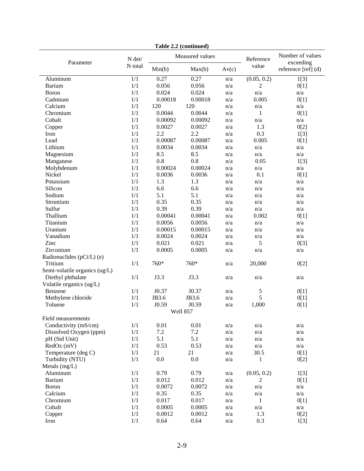|                               |                  |         | <b>Lavit 4.4</b> (Continued) |       |              |                               |
|-------------------------------|------------------|---------|------------------------------|-------|--------------|-------------------------------|
| Parameter                     | N det/           |         | Measured values              |       |              | Number of values<br>exceeding |
|                               | N total          | Min(b)  | Max(b)                       | Av(c) | value        | reference [ref] (d)           |
| Aluminum                      | $\overline{1/1}$ | 0.27    | 0.27                         | n/a   | (0.05, 0.2)  | 1[3]                          |
| <b>Barium</b>                 | 1/1              | 0.056   | 0.056                        | n/a   | 2            | 0[1]                          |
| Boron                         | 1/1              | 0.024   | 0.024                        | n/a   | n/a          | n/a                           |
| Cadmium                       | 1/1              | 0.00018 | 0.00018                      | n/a   | 0.005        | 0[1]                          |
| Calcium                       | 1/1              | 120     | 120                          | n/a   | n/a          | n/a                           |
| Chromium                      | 1/1              | 0.0044  | 0.0044                       | n/a   | $\mathbf{1}$ | 0[1]                          |
| Cobalt                        | 1/1              | 0.00092 | 0.00092                      | n/a   | n/a          | n/a                           |
| Copper                        | 1/1              | 0.0027  | 0.0027                       | n/a   | 1.3          | 0[2]                          |
| Iron                          | 1/1              | 2.2     | 2.2                          | n/a   | 0.3          | 1[3]                          |
| Lead                          | 1/1              | 0.00087 | 0.00087                      | n/a   | 0.005        | 0[1]                          |
| Lithium                       | 1/1              | 0.0034  | 0.0034                       | n/a   | n/a          | n/a                           |
| Magnesium                     | 1/1              | 8.5     | 8.5                          | n/a   | n/a          | n/a                           |
| Manganese                     | 1/1              | 0.8     | 0.8                          | n/a   | 0.05         | 1[3]                          |
| Molybdenum                    | 1/1              | 0.00024 | 0.00024                      | n/a   | n/a          | n/a                           |
| Nickel                        | 1/1              | 0.0036  | 0.0036                       | n/a   | 0.1          | 0[1]                          |
| Potassium                     | 1/1              | 1.3     | 1.3                          | n/a   | n/a          | n/a                           |
| Silicon                       | 1/1              | 6.6     | 6.6                          | n/a   | n/a          | n/a                           |
| Sodium                        | 1/1              | 5.1     | 5.1                          | n/a   | n/a          | n/a                           |
| Strontium                     | 1/1              | 0.35    | 0.35                         | n/a   | n/a          | n/a                           |
| Sulfur                        | 1/1              | 0.39    | 0.39                         | n/a   | n/a          | n/a                           |
| Thallium                      | 1/1              | 0.00041 | 0.00041                      | n/a   | 0.002        | 0[1]                          |
| Titanium                      | 1/1              | 0.0056  | 0.0056                       | n/a   | n/a          | n/a                           |
| Uranium                       | 1/1              | 0.00015 | 0.00015                      | n/a   | n/a          | n/a                           |
| Vanadium                      | 1/1              | 0.0024  | 0.0024                       | n/a   | n/a          | n/a                           |
| Zinc                          | 1/1              | 0.021   | 0.021                        | n/a   | 5            | 0[3]                          |
| Zirconium                     | 1/1              | 0.0005  | 0.0005                       | n/a   | n/a          | n/a                           |
| Radionuclides (pCi/L) (e)     |                  |         |                              |       |              |                               |
| Tritium                       | 1/1              | 760*    | 760*                         | n/a   | 20,000       | 0[2]                          |
| Semi-volatile organics (ug/L) |                  |         |                              |       |              |                               |
| Diethyl phthalate             | 1/1              | J3.3    | J3.3                         | n/a   | n/a          | n/a                           |
| Volatile organics (ug/L)      |                  |         |                              |       |              |                               |
| Benzene                       | 1/1              | J0.37   | J0.37                        | n/a   | 5            | 0[1]                          |
| Methylene chloride            | 1/1              | JB3.6   | JB3.6                        | n/a   | 5            | 0[1]                          |
| Toluene                       | 1/1              | J0.59   | J0.59                        | n/a   | 1,000        | 0[1]                          |
|                               |                  |         | Well 857                     |       |              |                               |
| Field measurements            |                  |         |                              |       |              |                               |
| Conductivity (mS/cm)          | 1/1              | 0.01    | 0.01                         | n/a   | n/a          | n/a                           |
| Dissolved Oxygen (ppm)        | 1/1              | 7.2     | 7.2                          | n/a   | n/a          | n/a                           |
| pH (Std Unit)                 | 1/1              | 5.1     | 5.1                          | n/a   | n/a          | n/a                           |
| RedOx (mV)                    | 1/1              | 0.53    | 0.53                         | n/a   | n/a          | n/a                           |
| Temperature (deg C)           | 1/1              | 21      | 21                           | n/a   | 30.5         | 0[1]                          |
| Turbidity (NTU)               | 1/1              | 0.0     | 0.0                          | n/a   | 1            | 0[2]                          |
| Metals $(mg/L)$               |                  |         |                              |       |              |                               |
| Aluminum                      | 1/1              | 0.79    | 0.79                         | n/a   | (0.05, 0.2)  | 1[3]                          |
| <b>Barium</b>                 | 1/1              | 0.012   | 0.012                        | n/a   | 2            | 0[1]                          |
| <b>Boron</b>                  | 1/1              | 0.0072  | 0.0072                       | n/a   | n/a          | n/a                           |
| Calcium                       | $1/1\,$          | 0.35    | 0.35                         | n/a   | n/a          | n/a                           |
| Chromium                      | 1/1              | 0.017   | 0.017                        | n/a   | $\mathbf{1}$ | 0[1]                          |
| Cobalt                        | 1/1              | 0.0005  | 0.0005                       | n/a   | n/a          | n/a                           |
| Copper                        | 1/1              | 0.0012  | 0.0012                       | n/a   | 1.3          | 0[2]                          |
| Iron                          | 1/1              | 0.64    | 0.64                         | n/a   | 0.3          | 1[3]                          |

|  | Table 2.2 (continued) |
|--|-----------------------|
|--|-----------------------|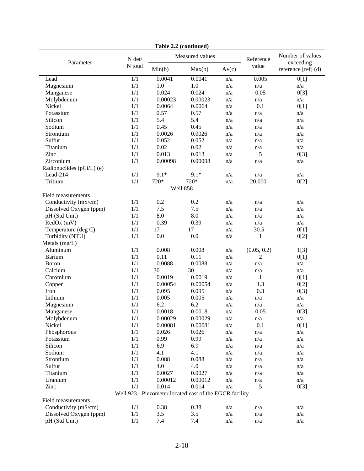| <b>Table 2.2</b> (continued) |         |                                                         |                 |           |                               |                     |  |
|------------------------------|---------|---------------------------------------------------------|-----------------|-----------|-------------------------------|---------------------|--|
| Parameter                    | N det/  |                                                         | Measured values | Reference | Number of values<br>exceeding |                     |  |
|                              | N total | Min(b)                                                  | Max(b)<br>Av(c) |           | value                         | reference [ref] (d) |  |
| Lead                         | 1/1     | 0.0041                                                  | 0.0041          | n/a       | 0.005                         | 0[1]                |  |
| Magnesium                    | 1/1     | 1.0                                                     | 1.0             | n/a       | n/a                           | n/a                 |  |
| Manganese                    | 1/1     | 0.024                                                   | 0.024           | n/a       | 0.05                          | 0[3]                |  |
| Molybdenum                   | 1/1     | 0.00023                                                 | 0.00023         | n/a       | n/a                           | n/a                 |  |
| Nickel                       | 1/1     | 0.0064                                                  | 0.0064          | n/a       | 0.1                           | 0[1]                |  |
| Potassium                    | 1/1     | 0.57                                                    | 0.57            | n/a       | n/a                           | n/a                 |  |
| Silicon                      | 1/1     | 5.4                                                     | 5.4             | n/a       | n/a                           | n/a                 |  |
| Sodium                       | 1/1     | 0.45                                                    | 0.45            | n/a       | n/a                           | n/a                 |  |
| Strontium                    | 1/1     | 0.0026                                                  | 0.0026          | n/a       | n/a                           | n/a                 |  |
| Sulfur                       | 1/1     | 0.052                                                   | 0.052           | n/a       | n/a                           | n/a                 |  |
| Titanium                     | 1/1     | 0.02                                                    | 0.02            | n/a       | n/a                           | n/a                 |  |
| Zinc                         | 1/1     | 0.013                                                   | 0.013           | n/a       | 5                             | 0[3]                |  |
| Zirconium                    | 1/1     | 0.00098                                                 | 0.00098         | n/a       | n/a                           | n/a                 |  |
| Radionuclides (pCi/L) (e)    |         |                                                         |                 |           |                               |                     |  |
| Lead-214                     | 1/1     | $9.1*$                                                  | $9.1*$          | n/a       | n/a                           | n/a                 |  |
| Tritium                      | 1/1     | 720*                                                    | 720*            | n/a       | 20,000                        | 0[2]                |  |
|                              |         | Well 858                                                |                 |           |                               |                     |  |
| Field measurements           |         |                                                         |                 |           |                               |                     |  |
| Conductivity (mS/cm)         | 1/1     | 0.2                                                     | 0.2             | n/a       | n/a                           | n/a                 |  |
| Dissolved Oxygen (ppm)       | 1/1     | 7.5                                                     | 7.5             | n/a       | n/a                           | n/a                 |  |
| pH (Std Unit)                | 1/1     | 8.0                                                     | 8.0             | n/a       | n/a                           | n/a                 |  |
| $RedOx$ (mV)                 | 1/1     | 0.39                                                    | 0.39            | n/a       | n/a                           | n/a                 |  |
| Temperature (deg C)          | 1/1     | 17                                                      | 17              | n/a       | 30.5                          | 0[1]                |  |
| Turbidity (NTU)              | 1/1     | 0.0                                                     | 0.0             | n/a       | 1                             | 0[2]                |  |
| Metals $(mg/L)$              |         |                                                         |                 |           |                               |                     |  |
| Aluminum                     | 1/1     | 0.008                                                   | 0.008           | n/a       | (0.05, 0.2)                   | 1[3]                |  |
| <b>Barium</b>                | 1/1     | 0.11                                                    | 0.11            | n/a       | 2                             | 0[1]                |  |
| <b>B</b> oron                | 1/1     | 0.0088                                                  | 0.0088          | n/a       | n/a                           | n/a                 |  |
| Calcium                      | 1/1     | 30                                                      | 30              | n/a       | n/a                           | n/a                 |  |
| Chromium                     | 1/1     | 0.0019                                                  | 0.0019          | n/a       | 1                             | 0[1]                |  |
| Copper                       | 1/1     | 0.00054                                                 | 0.00054         | n/a       | 1.3                           | 0[2]                |  |
| Iron                         | 1/1     | 0.095                                                   | 0.095           | n/a       | 0.3                           | 0[3]                |  |
| Lithium                      | 1/1     | 0.005                                                   | 0.005           | n/a       | n/a                           | n/a                 |  |
| Magnesium                    | 1/1     | 6.2                                                     | 6.2             | n/a       | n/a                           | n/a                 |  |
| Manganese                    | 1/1     | 0.0018                                                  | 0.0018          | n/a       | 0.05                          | 0[3]                |  |
| Molybdenum                   | 1/1     | 0.00029                                                 | 0.00029         | n/a       | n/a                           | n/a                 |  |
| Nickel                       | 1/1     | 0.00081                                                 | 0.00081         | n/a       | 0.1                           | 0[1]                |  |
| Phosphorous                  | 1/1     | 0.026                                                   | 0.026           | n/a       | n/a                           | n/a                 |  |
| Potassium                    | 1/1     | 0.99                                                    | 0.99            | n/a       | n/a                           | n/a                 |  |
| Silicon                      | 1/1     | 6.9                                                     | 6.9             | n/a       | n/a                           | n/a                 |  |
| Sodium                       | 1/1     | 4.1                                                     | 4.1             | n/a       | n/a                           | n/a                 |  |
| Strontium                    | 1/1     | 0.088                                                   | 0.088           | n/a       | n/a                           | n/a                 |  |
| Sulfur                       | 1/1     | 4.0                                                     | 4.0             | n/a       | n/a                           | n/a                 |  |
| Titanium                     | 1/1     | 0.0027                                                  | 0.0027          | n/a       | n/a                           | n/a                 |  |
| Uranium                      | 1/1     | 0.00012                                                 | 0.00012         | n/a       | n/a                           | n/a                 |  |
| Zinc                         | 1/1     | 0.014                                                   | 0.014           | n/a       | 5                             | 0[3]                |  |
|                              |         | Well 923 - Piezometer located east of the EGCR facility |                 |           |                               |                     |  |
| Field measurements           |         |                                                         |                 |           |                               |                     |  |
| Conductivity (mS/cm)         | 1/1     | 0.38                                                    | 0.38            | n/a       | n/a                           | n/a                 |  |
| Dissolved Oxygen (ppm)       | 1/1     | 3.5                                                     | 3.5             | n/a       | n/a                           | n/a                 |  |
| pH (Std Unit)                | 1/1     | 7.4                                                     | 7.4             | n/a       | n/a                           | n/a                 |  |

**Table 2.2 (continued)**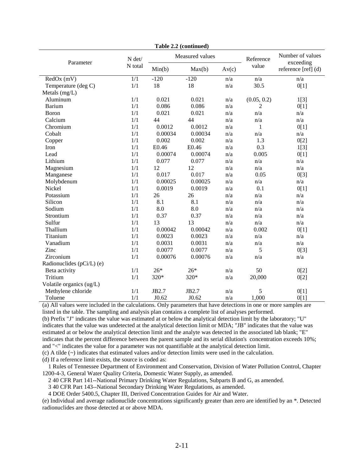| Parameter                 | N det/           |         | Measured values | Reference | Number of values<br>exceeding |                     |
|---------------------------|------------------|---------|-----------------|-----------|-------------------------------|---------------------|
|                           | N total          | Min(b)  | Max(b)          | Av(c)     | value                         | reference [ref] (d) |
| $RedOx$ (mV)              | $\overline{1/1}$ | $-120$  | $-120$          | n/a       | n/a                           | n/a                 |
| Temperature (deg C)       | 1/1              | 18      | 18              | n/a       | 30.5                          | 0[1]                |
| Metals (mg/L)             |                  |         |                 |           |                               |                     |
| Aluminum                  | 1/1              | 0.021   | 0.021           | n/a       | (0.05, 0.2)                   | 1[3]                |
| <b>Barium</b>             | 1/1              | 0.086   | 0.086           | n/a       | 2                             | 0[1]                |
| Boron                     | 1/1              | 0.021   | 0.021           | n/a       | n/a                           | n/a                 |
| Calcium                   | 1/1              | 44      | 44              | n/a       | n/a                           | n/a                 |
| Chromium                  | 1/1              | 0.0012  | 0.0012          | n/a       | $\mathbf{1}$                  | 0[1]                |
| Cobalt                    | 1/1              | 0.00034 | 0.00034         | n/a       | n/a                           | n/a                 |
| Copper                    | 1/1              | 0.002   | 0.002           | n/a       | 1.3                           | 0[2]                |
| Iron                      | 1/1              | E0.46   | E0.46           | n/a       | 0.3                           | 1[3]                |
| Lead                      | 1/1              | 0.00074 | 0.00074         | n/a       | 0.005                         | 0[1]                |
| Lithium                   | 1/1              | 0.077   | 0.077           | n/a       | n/a                           | n/a                 |
| Magnesium                 | 1/1              | 12      | 12              | n/a       | n/a                           | n/a                 |
| Manganese                 | 1/1              | 0.017   | 0.017           | n/a       | 0.05                          | 0[3]                |
| Molybdenum                | 1/1              | 0.00025 | 0.00025         | n/a       | n/a                           | n/a                 |
| Nickel                    | 1/1              | 0.0019  | 0.0019          | n/a       | 0.1                           | 0[1]                |
| Potassium                 | 1/1              | 26      | 26              | n/a       | n/a                           | n/a                 |
| Silicon                   | 1/1              | 8.1     | 8.1             | n/a       | n/a                           | n/a                 |
| Sodium                    | 1/1              | 8.0     | 8.0             | n/a       | n/a                           | n/a                 |
| Strontium                 | 1/1              | 0.37    | 0.37            | n/a       | n/a                           | n/a                 |
| Sulfur                    | 1/1              | 13      | 13              | n/a       | n/a                           | n/a                 |
| Thallium                  | 1/1              | 0.00042 | 0.00042         | n/a       | 0.002                         | 0[1]                |
| Titanium                  | 1/1              | 0.0023  | 0.0023          | n/a       | n/a                           | n/a                 |
| Vanadium                  | 1/1              | 0.0031  | 0.0031          | n/a       | n/a                           | n/a                 |
| Zinc                      | 1/1              | 0.0077  | 0.0077          | n/a       | 5                             | 0[3]                |
| Zirconium                 | 1/1              | 0.00076 | 0.00076         | n/a       | n/a                           | n/a                 |
| Radionuclides (pCi/L) (e) |                  |         |                 |           |                               |                     |
| Beta activity             | 1/1              | $26*$   | $26*$           | n/a       | 50                            | 0[2]                |
| Tritium                   | 1/1              | 320*    | 320*            | n/a       | 20,000                        | 0[2]                |
| Volatile organics (ug/L)  |                  |         |                 |           |                               |                     |
| Methylene chloride        | 1/1              | JB2.7   | JB2.7           | n/a       | 5                             | 0[1]                |
| Toluene                   | 1/1              | J0.62   | J0.62           | n/a       | 1,000                         | 0[1]                |

**Table 2.2 (continued)** 

(a) All values were included in the calculations. Only parameters that have detections in one or more samples are listed in the table. The sampling and analysis plan contains a complete list of analyses performed.

(b) Prefix "J" indicates the value was estimated at or below the analytical detection limit by the laboratory; "U" indicates that the value was undetected at the analytical detection limit or MDA; "JB" indicates that the value was estimated at or below the analytical detection limit and the analyte was detected in the associated lab blank; "E" indicates that the percent difference between the parent sample and its serial dilution's concentration exceeds 10%; and "<" indicates the value for a parameter was not quantifiable at the analytical detection limit.

(c) A tilde (~) indicates that estimated values and/or detection limits were used in the calculation.

(d) If a reference limit exists, the source is coded as:

 1 Rules of Tennessee Department of Environment and Conservation, Division of Water Pollution Control, Chapter 1200-4-3, General Water Quality Criteria, Domestic Water Supply, as amended.

2 40 CFR Part 141--National Primary Drinking Water Regulations, Subparts B and G, as amended.

3 40 CFR Part 143--National Secondary Drinking Water Regulations, as amended.

4 DOE Order 5400.5, Chapter III, Derived Concentration Guides for Air and Water.

(e) Individual and average radionuclide concentrations significantly greater than zero are identified by an \*. Detected radionuclides are those detected at or above MDA.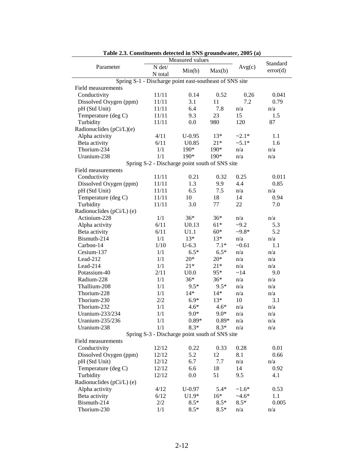| Table 2.3. Constituents detected in SNS groundwater, 2005 (a)<br>Measured values |                                                         |                   |         |          |          |  |  |
|----------------------------------------------------------------------------------|---------------------------------------------------------|-------------------|---------|----------|----------|--|--|
| Parameter                                                                        |                                                         |                   |         | Standard |          |  |  |
|                                                                                  | N det/                                                  | Min(b)            | Max(b)  | Avg(c)   | error(d) |  |  |
|                                                                                  | N total                                                 |                   |         |          |          |  |  |
|                                                                                  | Spring S-1 - Discharge point east-southeast of SNS site |                   |         |          |          |  |  |
| Field measurements                                                               |                                                         |                   | 0.52    |          |          |  |  |
| Conductivity                                                                     | 11/11                                                   | 0.14              | 11      | 0.26     | 0.041    |  |  |
| Dissolved Oxygen (ppm)                                                           | 11/11                                                   | 3.1               |         | 7.2      | 0.79     |  |  |
| pH (Std Unit)                                                                    | 11/11                                                   | 6.4               | 7.8     | n/a      | n/a      |  |  |
| Temperature (deg C)                                                              | 11/11                                                   | 9.3               | 23      | 15       | 1.5      |  |  |
| Turbidity                                                                        | 11/11                                                   | 0.0               | 980     | 120      | 87       |  |  |
| Radionuclides $(pCi/L)(e)$                                                       |                                                         |                   |         |          |          |  |  |
| Alpha activity                                                                   | 4/11                                                    | $U-0.95$          | $13*$   | $-2.1*$  | 1.1      |  |  |
| Beta activity                                                                    | 6/11                                                    | U <sub>0.85</sub> | $21*$   | $~5.1*$  | 1.6      |  |  |
| Thorium-234                                                                      | 1/1                                                     | 190*              | 190*    | n/a      | n/a      |  |  |
| Uranium-238                                                                      | 1/1                                                     | 190*              | 190*    | n/a      | n/a      |  |  |
|                                                                                  | Spring S-2 - Discharge point south of SNS site          |                   |         |          |          |  |  |
| Field measurements                                                               |                                                         |                   |         |          |          |  |  |
| Conductivity                                                                     | 11/11                                                   | 0.21              | 0.32    | 0.25     | 0.011    |  |  |
| Dissolved Oxygen (ppm)                                                           | 11/11                                                   | 1.3               | 9.9     | 4.4      | 0.85     |  |  |
| pH (Std Unit)                                                                    | 11/11                                                   | 6.5               | 7.5     | n/a      | n/a      |  |  |
| Temperature (deg C)                                                              | 11/11                                                   | 10                | 18      | 14       | 0.94     |  |  |
| Turbidity                                                                        | 11/11                                                   | 3.0               | 77      | 22       | 7.0      |  |  |
| Radionuclides (pCi/L) (e)                                                        |                                                         |                   |         |          |          |  |  |
| Actinium-228                                                                     | 1/1                                                     | $36*$             | $36*$   | n/a      | n/a      |  |  |
| Alpha activity                                                                   | 6/11                                                    | U <sub>0.13</sub> | $61*$   | $-9.2$   | 5.3      |  |  |
| Beta activity                                                                    | 6/11                                                    | U1.1              | $60*$   | $-9.8*$  | 5.2      |  |  |
| Bismuth-214                                                                      | 1/1                                                     | $13*$             | $13*$   | n/a      | n/a      |  |  |
| Carbon-14                                                                        | 1/10                                                    | $U-6.3$           | $7.1*$  | $-0.61$  | 1.1      |  |  |
| Cesium-137                                                                       | 1/1                                                     | $6.5*$            | $6.5*$  | n/a      | n/a      |  |  |
| Lead-212                                                                         | 1/1                                                     | $20*$             | $20*$   | n/a      | n/a      |  |  |
| Lead-214                                                                         | 1/1                                                     | $21*$             | $21*$   | n/a      | n/a      |  |  |
| Potassium-40                                                                     | 2/11                                                    | U <sub>0.0</sub>  | $95*$   | ~14      | 9.0      |  |  |
| Radium-228                                                                       | 1/1                                                     | $36*$             | $36*$   | n/a      | n/a      |  |  |
| Thallium-208                                                                     | 1/1                                                     | $9.5*$            | $9.5*$  | n/a      | n/a      |  |  |
| Thorium-228                                                                      | 1/1                                                     | $14*$             | 14*     | n/a      | n/a      |  |  |
| Thorium-230                                                                      | 2/2                                                     | $6.9*$            | $13*$   | 10       | 3.1      |  |  |
| Thorium-232                                                                      | 1/1                                                     | $4.6*$            | $4.6*$  | n/a      | n/a      |  |  |
| Uranium-233/234                                                                  | 1/1                                                     | $9.0*$            | $9.0*$  | n/a      | n/a      |  |  |
| Uranium-235/236                                                                  | 1/1                                                     | $0.89*$           | $0.89*$ | n/a      | n/a      |  |  |
| Uranium-238                                                                      | 1/1                                                     | $8.3*$            | $8.3*$  | n/a      | n/a      |  |  |
|                                                                                  | Spring S-3 - Discharge point south of SNS site          |                   |         |          |          |  |  |
| Field measurements                                                               |                                                         |                   |         |          |          |  |  |
| Conductivity                                                                     | 12/12                                                   | 0.22              | 0.33    | 0.28     | 0.01     |  |  |
| Dissolved Oxygen (ppm)                                                           | 12/12                                                   | 5.2               | 12      | 8.1      | 0.66     |  |  |
| pH (Std Unit)                                                                    | 12/12                                                   | 6.7               | 7.7     | n/a      | n/a      |  |  |
| Temperature (deg C)                                                              | 12/12                                                   | 6.6               | 18      | 14       | 0.92     |  |  |
| Turbidity                                                                        | 12/12                                                   | 0.0               | 51      | 9.5      | 4.1      |  |  |
| Radionuclides (pCi/L) (e)                                                        |                                                         |                   |         |          |          |  |  |
| Alpha activity                                                                   | 4/12                                                    | $U-0.97$          | $5.4*$  | $~1.6*$  | 0.53     |  |  |
| Beta activity                                                                    | 6/12                                                    | $U1.9*$           | $16*$   | $-4.6*$  | 1.1      |  |  |
| Bismuth-214                                                                      | 2/2                                                     | $8.5*$            | $8.5*$  | $8.5*$   | 0.005    |  |  |
| Thorium-230                                                                      | 1/1                                                     | $8.5*$            | $8.5*$  | n/a      | n/a      |  |  |
|                                                                                  |                                                         |                   |         |          |          |  |  |

**Table 2.3. Constituents detected in SNS groundwater, 2005 (a)**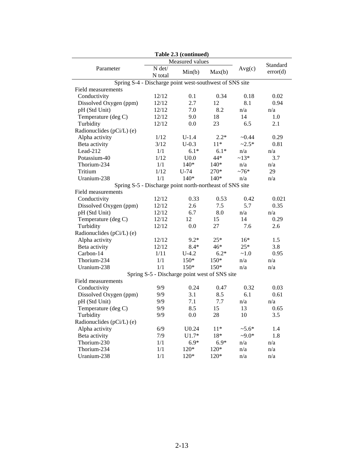| Table 2.3 (continued)                                    |                   |                                               |        |            |          |  |  |
|----------------------------------------------------------|-------------------|-----------------------------------------------|--------|------------|----------|--|--|
|                                                          |                   | Measured values                               |        |            | Standard |  |  |
| Parameter                                                | N det/<br>N total | Min(b)                                        | Max(b) | Avg(c)     | error(d) |  |  |
| Spring S-4 - Discharge point west-southwest of SNS site  |                   |                                               |        |            |          |  |  |
| Field measurements                                       |                   |                                               |        |            |          |  |  |
| Conductivity                                             | 12/12             | 0.1                                           | 0.34   | 0.18       | 0.02     |  |  |
| Dissolved Oxygen (ppm)                                   | 12/12             | 2.7                                           | 12     | 8.1        | 0.94     |  |  |
| pH (Std Unit)                                            | 12/12             | 7.0                                           | 8.2    | n/a        | n/a      |  |  |
| Temperature (deg C)                                      | 12/12             | 9.0                                           | 18     | 14         | 1.0      |  |  |
| Turbidity                                                | 12/12             | 0.0                                           | 23     | 6.5        | 2.1      |  |  |
| Radionuclides (pCi/L) (e)                                |                   |                                               |        |            |          |  |  |
| Alpha activity                                           | 1/12              | $U-1.4$                                       | $2.2*$ | ~10.44     | 0.29     |  |  |
| Beta activity                                            | 3/12              | $U-0.3$                                       | $11*$  | $~2.5*$    | 0.81     |  |  |
| Lead-212                                                 | 1/1               | $6.1*$                                        | $6.1*$ | n/a        | n/a      |  |  |
| Potassium-40                                             | 1/12              | U <sub>0.0</sub>                              | 44*    | $~13*$     | 3.7      |  |  |
| Thorium-234                                              | 1/1               | $140*$                                        | $140*$ | n/a        | n/a      |  |  |
| Tritium                                                  | 1/12              | $U-74$                                        | 270*   | $~10^{-7}$ | 29       |  |  |
| Uranium-238                                              | 1/1               | $140*$                                        | $140*$ | n/a        | n/a      |  |  |
| Spring S-5 - Discharge point north-northeast of SNS site |                   |                                               |        |            |          |  |  |
| Field measurements                                       |                   |                                               |        |            |          |  |  |
| Conductivity                                             | 12/12             | 0.33                                          | 0.53   | 0.42       | 0.021    |  |  |
| Dissolved Oxygen (ppm)                                   | 12/12             | 2.6                                           | 7.5    | 5.7        | 0.35     |  |  |
| pH (Std Unit)                                            | 12/12             | 6.7                                           | 8.0    | n/a        | n/a      |  |  |
| Temperature (deg C)                                      | 12/12             | 12                                            | 15     | 14         | 0.29     |  |  |
| Turbidity                                                | 12/12             | 0.0                                           | 27     | 7.6        | 2.6      |  |  |
| Radionuclides (pCi/L) (e)                                |                   |                                               |        |            |          |  |  |
| Alpha activity                                           | 12/12             | $9.2*$                                        | $25*$  | $16*$      | 1.5      |  |  |
| Beta activity                                            | 12/12             | $8.4*$                                        | 46*    | $25*$      | 3.8      |  |  |
| Carbon-14                                                | 1/11              | $U-4.2$                                       | $6.2*$ | ~1.0       | 0.95     |  |  |
| Thorium-234                                              | 1/1               | $150*$                                        | 150*   | n/a        | n/a      |  |  |
| Uranium-238                                              | 1/1               | $150*$                                        | $150*$ | n/a        | n/a      |  |  |
|                                                          |                   | Spring S-5 - Discharge point west of SNS site |        |            |          |  |  |
| Field measurements                                       |                   |                                               |        |            |          |  |  |
| Conductivity                                             | 9/9               | 0.24                                          | 0.47   | 0.32       | 0.03     |  |  |
| Dissolved Oxygen (ppm)                                   | 9/9               | 3.1                                           | 8.5    | 6.1        | 0.61     |  |  |
| pH (Std Unit)                                            | 9/9               | 7.1                                           | 7.7    | n/a        | n/a      |  |  |
| Temperature (deg C)                                      | 9/9               | 8.5                                           | 15     | 13         | 0.65     |  |  |
| Turbidity                                                | 9/9               | 0.0                                           | 28     | 10         | 3.5      |  |  |
| Radionuclides (pCi/L) (e)                                |                   |                                               |        |            |          |  |  |
| Alpha activity                                           | 6/9               | U0.24                                         | $11*$  | $~5.6*$    | 1.4      |  |  |
| Beta activity                                            | 7/9               | $U1.7*$                                       | 18*    | $-9.0*$    | 1.8      |  |  |
| Thorium-230                                              | 1/1               | $6.9*$                                        | $6.9*$ | n/a        | n/a      |  |  |
| Thorium-234                                              | 1/1               | $120*$                                        | $120*$ | n/a        | n/a      |  |  |
| Uranium-238                                              | 1/1               | 120*                                          | 120*   | n/a        | n/a      |  |  |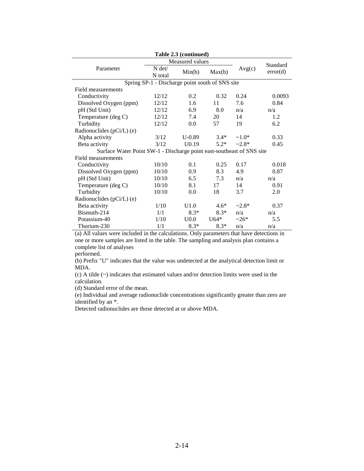|                                                                       |                                                 | Table 2.3 (continued) |        |         |          |
|-----------------------------------------------------------------------|-------------------------------------------------|-----------------------|--------|---------|----------|
|                                                                       |                                                 | Standard              |        |         |          |
| Parameter                                                             | N det/<br>N total                               | Min(b)                | Max(b) | Avg(c)  | error(d) |
|                                                                       | Spring SP-1 - Discharge point south of SNS site |                       |        |         |          |
| Field measurements                                                    |                                                 |                       |        |         |          |
| Conductivity                                                          | 12/12                                           | 0.2                   | 0.32   | 0.24    | 0.0093   |
| Dissolved Oxygen (ppm)                                                | 12/12                                           | 1.6                   | 11     | 7.6     | 0.84     |
| pH (Std Unit)                                                         | 12/12                                           | 6.9                   | 8.0    | n/a     | n/a      |
| Temperature (deg C)                                                   | 12/12                                           | 7.4                   | 20     | 14      | 1.2      |
| Turbidity                                                             | 12/12                                           | 0.0                   | 57     | 19      | 6.2      |
| Radionuclides (pCi/L) (e)                                             |                                                 |                       |        |         |          |
| Alpha activity                                                        | 3/12                                            | $U-0.89$              | $3.4*$ | $~1.0*$ | 0.33     |
| Beta activity                                                         | 3/12                                            | U <sub>0.19</sub>     | $5.2*$ | $-2.8*$ | 0.45     |
| Surface Water Point SW-1 - Discharge point east-southeast of SNS site |                                                 |                       |        |         |          |
| Field measurements                                                    |                                                 |                       |        |         |          |
| Conductivity                                                          | 10/10                                           | 0.1                   | 0.25   | 0.17    | 0.018    |
| Dissolved Oxygen (ppm)                                                | 10/10                                           | 0.9                   | 8.3    | 4.9     | 0.87     |
| pH (Std Unit)                                                         | 10/10                                           | 6.5                   | 7.3    | n/a     | n/a      |
| Temperature (deg C)                                                   | 10/10                                           | 8.1                   | 17     | 14      | 0.91     |
| Turbidity                                                             | 10/10                                           | 0.0                   | 18     | 3.7     | 2.0      |
| Radionuclides (pCi/L) (e)                                             |                                                 |                       |        |         |          |
| Beta activity                                                         | 1/10                                            | U1.0                  | $4.6*$ | $-2.8*$ | 0.37     |
| Bismuth-214                                                           | 1/1                                             | $8.3*$                | $8.3*$ | n/a     | n/a      |
| Potassium-40                                                          | 1/10                                            | U <sub>0.0</sub>      | $U64*$ | $-26*$  | 5.5      |
| Thorium-230                                                           | 1/1                                             | $8.3*$                | $8.3*$ | n/a     | n/a      |

(a) All values were included in the calculations. Only parameters that have detections in one or more samples are listed in the table. The sampling and analysis plan contains a complete list of analyses

performed.

(b) Prefix "U" indicates that the value was undetected at the analytical detection limit or MDA.

(c) A tilde (~) indicates that estimated values and/or detection limits were used in the calculation.

(d) Standard error of the mean.

(e) Individual and average radionuclide concentrations significantly greater than zero are identified by an \*.

Detected radionuclides are those detected at or above MDA.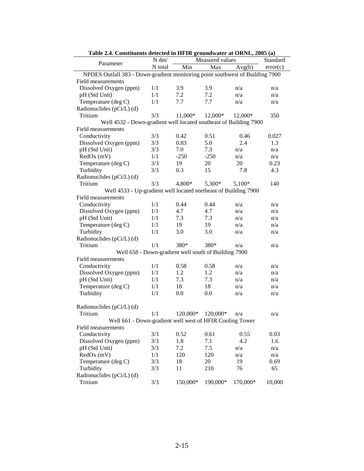|                                                                               | Table 2.4. Constituents detected in Fir in groundwater at Onive, 2005 (a)<br>N det/<br>Measured values<br>Standard |                                                      |                   |           |          |  |
|-------------------------------------------------------------------------------|--------------------------------------------------------------------------------------------------------------------|------------------------------------------------------|-------------------|-----------|----------|--|
| Parameter                                                                     | N total                                                                                                            | Min                                                  | Max               | Avg(b)    | error(c) |  |
| NPDES Outfall 383 - Down-gradient monitoring point southwest of Building 7900 |                                                                                                                    |                                                      |                   |           |          |  |
| Field measurements                                                            |                                                                                                                    |                                                      |                   |           |          |  |
| Dissolved Oxygen (ppm)                                                        | 1/1                                                                                                                | 3.9                                                  | 3.9               | n/a       | n/a      |  |
| pH (Std Unit)                                                                 | 1/1                                                                                                                | 7.2                                                  | 7.2               | n/a       | n/a      |  |
| Temperature (deg C)                                                           | $1/1\,$                                                                                                            | 7.7                                                  | 7.7               | n/a       | n/a      |  |
| Radionuclides (pCi/L) (d)                                                     |                                                                                                                    |                                                      |                   |           |          |  |
| Tritium                                                                       | 3/3                                                                                                                | 11,000*                                              | $12,000*$         | $12,000*$ | 350      |  |
| Well 4532 - Down-gradient well located southeast of Building 7900             |                                                                                                                    |                                                      |                   |           |          |  |
| Field measurements                                                            |                                                                                                                    |                                                      |                   |           |          |  |
| Conductivity                                                                  | 3/3                                                                                                                | 0.42                                                 | 0.51              | 0.46      | 0.027    |  |
| Dissolved Oxygen (ppm)                                                        | 3/3                                                                                                                | 0.83                                                 | 5.0               | 2.4       | 1.3      |  |
| pH (Std Unit)                                                                 | 3/3                                                                                                                | 7.0                                                  | 7.3               | n/a       | n/a      |  |
| RedOx (mV)                                                                    | 1/1                                                                                                                | $-250$                                               | $-250$            | n/a       | n/a      |  |
| Temperature (deg C)                                                           | 3/3                                                                                                                | 19                                                   | 20                | 20        | 0.23     |  |
| Turbidity                                                                     | 3/3                                                                                                                | 0.3                                                  | 15                | 7.8       | 4.3      |  |
| Radionuclides (pCi/L) (d)                                                     |                                                                                                                    |                                                      |                   |           |          |  |
| Tritium                                                                       | 3/3                                                                                                                | 4,800*                                               | 5,300*            | $5,100*$  | 140      |  |
| Well 4533 - Up-gradient well located northeast of Building 7900               |                                                                                                                    |                                                      |                   |           |          |  |
| Field measurements                                                            |                                                                                                                    |                                                      |                   |           |          |  |
| Conductivity                                                                  | 1/1                                                                                                                | 0.44                                                 | 0.44              | n/a       | n/a      |  |
| Dissolved Oxygen (ppm)                                                        | 1/1                                                                                                                | 4.7                                                  | 4.7               | n/a       | n/a      |  |
| pH (Std Unit)                                                                 | 1/1                                                                                                                | 7.3                                                  | 7.3               | n/a       | n/a      |  |
| Temperature (deg C)                                                           | 1/1                                                                                                                | 19                                                   | 19                | n/a       | n/a      |  |
| Turbidity                                                                     | 1/1                                                                                                                | 3.0                                                  | 3.0               | n/a       | n/a      |  |
| Radionuclides (pCi/L) (d)                                                     |                                                                                                                    |                                                      |                   |           |          |  |
| Tritium                                                                       | 1/1                                                                                                                | 380*                                                 | 380*              | n/a       | n/a      |  |
|                                                                               |                                                                                                                    | Well 658 - Down-gradient well south of Building 7900 |                   |           |          |  |
| Field measurements                                                            |                                                                                                                    |                                                      |                   |           |          |  |
| Conductivity                                                                  | 1/1                                                                                                                | 0.58                                                 | 0.58              | n/a       | n/a      |  |
| Dissolved Oxygen (ppm)                                                        | 1/1                                                                                                                | 1.2                                                  | 1.2               | n/a       | n/a      |  |
| pH (Std Unit)                                                                 | 1/1                                                                                                                | 7.3                                                  | 7.3               | n/a       | n/a      |  |
| Temperature (deg C)                                                           | 1/1                                                                                                                | 18                                                   | 18                | n/a       | n/a      |  |
| Turbidity                                                                     | 1/1                                                                                                                | 0.0                                                  | 0.0               | n/a       | n/a      |  |
|                                                                               |                                                                                                                    |                                                      |                   |           |          |  |
| Radionuclides (pCi/L) (d)                                                     |                                                                                                                    |                                                      |                   |           |          |  |
| Tritium                                                                       | 1/1                                                                                                                |                                                      | 120,000* 120,000* | n/a       | n/a      |  |
| Well 661 - Down-gradient well west of HFIR Cooling Tower                      |                                                                                                                    |                                                      |                   |           |          |  |
| Field measurements                                                            |                                                                                                                    |                                                      |                   |           |          |  |
| Conductivity                                                                  | 3/3                                                                                                                | 0.52                                                 | 0.61              | 0.55      | 0.03     |  |
| Dissolved Oxygen (ppm)                                                        | 3/3                                                                                                                | 1.8                                                  | 7.1               | 4.2       | 1.6      |  |
| pH (Std Unit)                                                                 | 3/3                                                                                                                | 7.2                                                  | 7.5               | n/a       | n/a      |  |
| RedOx (mV)                                                                    | 1/1                                                                                                                | 120                                                  | 120               | n/a       | n/a      |  |
| Temperature (deg C)                                                           | 3/3                                                                                                                | 18                                                   | 20                | 19        | 0.69     |  |
| Turbidity                                                                     | 3/3                                                                                                                | 11                                                   | 210               | 76        | 65       |  |
| Radionuclides (pCi/L) (d)                                                     |                                                                                                                    |                                                      |                   |           |          |  |
| Tritium                                                                       | 3/3                                                                                                                | 150,000*                                             | 190,000*          | 170,000*  | 10,000   |  |

**Table 2.4. Constituents detected in HFIR groundwater at ORNL, 2005 (a)**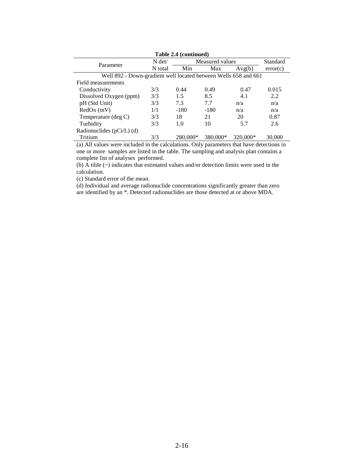| Table 2.4 (continued)                                           |          |          |                 |          |          |  |  |
|-----------------------------------------------------------------|----------|----------|-----------------|----------|----------|--|--|
| Parameter                                                       | $N \det$ |          | Measured values |          |          |  |  |
|                                                                 | N total  | Min      | Max             | Avg(b)   | error(c) |  |  |
| Well 892 - Down-gradient well located between Wells 658 and 661 |          |          |                 |          |          |  |  |
| Field measurements                                              |          |          |                 |          |          |  |  |
| Conductivity                                                    | 3/3      | 0.44     | 0.49            | 0.47     | 0.015    |  |  |
| Dissolved Oxygen (ppm)                                          | 3/3      | 1.5      | 8.5             | 4.1      | 2.2      |  |  |
| pH (Std Unit)                                                   | 3/3      | 7.3      | 7.7             | n/a      | n/a      |  |  |
| $RedOx$ (mV)                                                    | 1/1      | $-180$   | $-180$          | n/a      | n/a      |  |  |
| Temperature (deg C)                                             | 3/3      | 18       | 21              | 20       | 0.87     |  |  |
| Turbidity                                                       | 3/3      | 1.0      | 10              | 5.7      | 2.6      |  |  |
| Radionuclides $(pCi/L)$ (d)                                     |          |          |                 |          |          |  |  |
| Tritium                                                         | 3/3      | 280,000* | 380,000*        | 320,000* | 30,000   |  |  |
|                                                                 |          |          |                 |          |          |  |  |

(a) All values were included in the calculations. Only parameters that have detections in one or more samples are listed in the table. The sampling and analysis plan contains a complete list of analyses performed.

(b)  $\overline{A}$  tilde ( $\sim$ ) indicates that estimated values and/or detection limits were used in the calculation.

(c) Standard error of the mean.

(d) Individual and average radionuclide concentrations significantly greater than zero are identified by an \*. Detected radionuclides are those detected at or above MDA.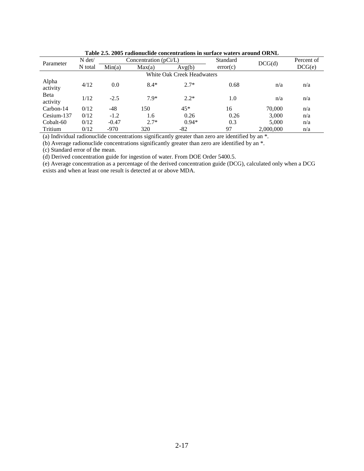|                            | Tame 23. 2003 Faunique Concentrations in surface waters around OKND |         |                         |         |          |           |            |  |  |  |
|----------------------------|---------------------------------------------------------------------|---------|-------------------------|---------|----------|-----------|------------|--|--|--|
| Parameter                  | $N \det$                                                            |         | Concentration $(pCi/L)$ |         | Standard | DCG(d)    | Percent of |  |  |  |
|                            | N total<br>Min(a)<br>Avg(b)<br>Max(a)                               |         | error(c)                |         | DCG(e)   |           |            |  |  |  |
| White Oak Creek Headwaters |                                                                     |         |                         |         |          |           |            |  |  |  |
| Alpha<br>activity          | 4/12                                                                | 0.0     | $8.4*$                  | $2.7*$  | 0.68     | n/a       | n/a        |  |  |  |
| <b>B</b> eta<br>activity   | 1/12                                                                | $-2.5$  | $7.9*$                  | $2.2*$  | 1.0      | n/a       | n/a        |  |  |  |
| Carbon-14                  | 0/12                                                                | $-48$   | 150                     | $45*$   | 16       | 70,000    | n/a        |  |  |  |
| Cesium-137                 | 0/12                                                                | $-1.2$  | 1.6                     | 0.26    | 0.26     | 3,000     | n/a        |  |  |  |
| Cobalt-60                  | 0/12                                                                | $-0.47$ | $2.7*$                  | $0.94*$ | 0.3      | 5.000     | n/a        |  |  |  |
| Tritium                    | 0/12                                                                | $-970$  | 320                     | -82     | 97       | 2,000,000 | n/a        |  |  |  |

**Table 2.5. 2005 radionuclide concentrations in surface waters around ORNL** 

(a) Individual radionuclide concentrations significantly greater than zero are identified by an \*.

(b) Average radionuclide concentrations significantly greater than zero are identified by an  $*$ .

(c) Standard error of the mean.

(d) Derived concentration guide for ingestion of water. From DOE Order 5400.5.

(e) Average concentration as a percentage of the derived concentration guide (DCG), calculated only when a DCG exists and when at least one result is detected at or above MDA.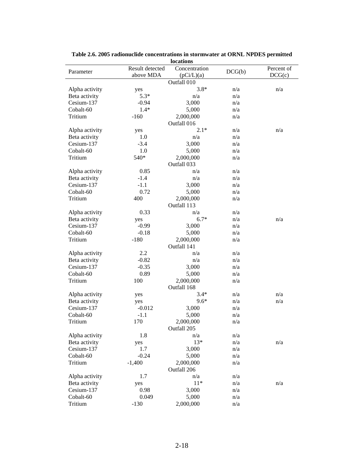|                |                              | <b>rocations</b>            |        |                      |
|----------------|------------------------------|-----------------------------|--------|----------------------|
| Parameter      | Result detected<br>above MDA | Concentration<br>(pCi/L)(a) | DCG(b) | Percent of<br>DCG(c) |
|                |                              | Outfall 010                 |        |                      |
| Alpha activity |                              | $3.8*$                      | n/a    | n/a                  |
| Beta activity  | yes<br>$5.3*$                | n/a                         | n/a    |                      |
| Cesium-137     |                              | 3,000                       | n/a    |                      |
|                | $-0.94$                      |                             |        |                      |
| Cobalt-60      | $1.4*$                       | 5,000                       | n/a    |                      |
| Tritium        | $-160$                       | 2,000,000<br>Outfall 016    | n/a    |                      |
| Alpha activity | yes                          | $2.1*$                      | n/a    | n/a                  |
| Beta activity  | 1.0                          | n/a                         | n/a    |                      |
| Cesium-137     | $-3.4$                       | 3,000                       | n/a    |                      |
| Cobalt-60      | 1.0                          | 5,000                       | n/a    |                      |
| Tritium        | 540*                         | 2,000,000                   | n/a    |                      |
|                |                              | Outfall 033                 |        |                      |
| Alpha activity | 0.85                         | n/a                         | n/a    |                      |
| Beta activity  | $-1.4$                       | n/a                         | n/a    |                      |
| Cesium-137     | $-1.1$                       | 3,000                       | n/a    |                      |
| Cobalt-60      | 0.72                         | 5,000                       | n/a    |                      |
| Tritium        | 400                          | 2,000,000                   | n/a    |                      |
|                |                              | Outfall 113                 |        |                      |
| Alpha activity | 0.33                         | n/a                         | n/a    |                      |
| Beta activity  | yes                          | $6.7*$                      | n/a    | n/a                  |
| Cesium-137     | $-0.99$                      | 3,000                       | n/a    |                      |
| Cobalt-60      | $-0.18$                      | 5,000                       | n/a    |                      |
| Tritium        | $-180$                       | 2,000,000<br>Outfall 141    | n/a    |                      |
| Alpha activity | 2.2                          | n/a                         | n/a    |                      |
| Beta activity  | $-0.82$                      | n/a                         | n/a    |                      |
| Cesium-137     | $-0.35$                      | 3,000                       | n/a    |                      |
| Cobalt-60      | 0.89                         | 5,000                       | n/a    |                      |
| Tritium        | 100                          | 2,000,000                   | n/a    |                      |
|                |                              | Outfall 168                 |        |                      |
| Alpha activity | yes                          | $3.4*$                      | n/a    | n/a                  |
| Beta activity  | yes                          | $9.6*$                      | n/a    | n/a                  |
| Cesium-137     | $-0.012$                     | 3,000                       | n/a    |                      |
| Cobalt-60      | $-1.1$                       | 5,000                       | n/a    |                      |
| Tritium        | 170                          | 2,000,000                   | n/a    |                      |
|                |                              | Outfall 205                 |        |                      |
| Alpha activity | 1.8                          | n/a                         | n/a    |                      |
| Beta activity  | yes                          | $13*$                       | n/a    | n/a                  |
| Cesium-137     | 1.7                          | 3,000                       | n/a    |                      |
| Cobalt-60      | $-0.24$                      | 5,000                       | n/a    |                      |
| Tritium        | $-1,400$                     | 2,000,000                   | n/a    |                      |
|                |                              | Outfall 206                 |        |                      |
| Alpha activity | 1.7                          | n/a                         | n/a    |                      |
| Beta activity  | yes                          | $11*$                       | n/a    | n/a                  |
| Cesium-137     | 0.98                         | 3,000                       | n/a    |                      |
| Cobalt-60      | 0.049                        | 5,000                       | n/a    |                      |
| Tritium        | $-130$                       | 2,000,000                   | n/a    |                      |

**Table 2.6. 2005 radionuclide concentrations in stormwater at ORNL NPDES permitted locations**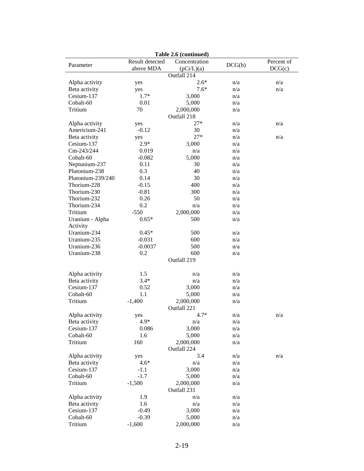| Table 2.6 (continued) |                 |               |        |            |  |  |  |  |
|-----------------------|-----------------|---------------|--------|------------|--|--|--|--|
| Parameter             | Result detected | Concentration | DCG(b) | Percent of |  |  |  |  |
|                       | above MDA       | (pCi/L)(a)    |        | DCG(c)     |  |  |  |  |
|                       |                 | Outfall 214   |        |            |  |  |  |  |
| Alpha activity        | yes             | $2.6*$        | n/a    | n/a        |  |  |  |  |
| Beta activity         | yes             | $7.6*$        | n/a    | n/a        |  |  |  |  |
| Cesium-137            | $1.7*$          | 3,000         | n/a    |            |  |  |  |  |
| Cobalt-60             | 0.01            | 5,000         | n/a    |            |  |  |  |  |
| Tritium               | 70              | 2,000,000     | n/a    |            |  |  |  |  |
|                       |                 | Outfall 218   |        |            |  |  |  |  |
| Alpha activity        | yes             | $27*$         | n/a    | n/a        |  |  |  |  |
| Americium-241         | $-0.12$         | 30            | n/a    |            |  |  |  |  |
| Beta activity         | yes             | $27*$         | n/a    | n/a        |  |  |  |  |
| Cesium-137            | $2.9*$          | 3,000         | n/a    |            |  |  |  |  |
| Cm-243/244            | 0.019           | n/a           | n/a    |            |  |  |  |  |
| Cobalt-60             | $-0.082$        | 5,000         | n/a    |            |  |  |  |  |
| Neptunium-237         | 0.11            | 30            | n/a    |            |  |  |  |  |
| Plutonium-238         | 0.3             | 40            | n/a    |            |  |  |  |  |
| Plutonium-239/240     | 0.14            | 30            | n/a    |            |  |  |  |  |
| Thorium-228           | $-0.15$         | 400           | n/a    |            |  |  |  |  |
| Thorium-230           | $-0.81$         | 300           | n/a    |            |  |  |  |  |
| Thorium-232           |                 | 50            | n/a    |            |  |  |  |  |
| Thorium-234           | 0.26<br>0.2     |               |        |            |  |  |  |  |
|                       |                 | n/a           | n/a    |            |  |  |  |  |
| Tritium               | $-550$          | 2,000,000     | n/a    |            |  |  |  |  |
| Uranium - Alpha       | $0.65*$         | 500           | n/a    |            |  |  |  |  |
| Activity              |                 |               |        |            |  |  |  |  |
| Uranium-234           | $0.45*$         | 500           | n/a    |            |  |  |  |  |
| Uranium-235           | $-0.031$        | 600           | n/a    |            |  |  |  |  |
| Uranium-236           | $-0.0037$       | 500           | n/a    |            |  |  |  |  |
| Uranium-238           | 0.2             | 600           | n/a    |            |  |  |  |  |
|                       |                 | Outfall 219   |        |            |  |  |  |  |
|                       |                 |               |        |            |  |  |  |  |
| Alpha activity        | 1.5             | n/a           | n/a    |            |  |  |  |  |
| Beta activity         | $3.4*$          | n/a           | n/a    |            |  |  |  |  |
| Cesium-137            | 0.52            | 3,000         | n/a    |            |  |  |  |  |
| Cobalt-60             | 1.1             | 5,000         | n/a    |            |  |  |  |  |
| Tritium               | $-1,400$        | 2,000,000     | n/a    |            |  |  |  |  |
|                       |                 | Outfall 221   |        |            |  |  |  |  |
| Alpha activity        | yes             | $4.7*$        | n/a    | n/a        |  |  |  |  |
| Beta activity         | 4.9*            | n/a           | n/a    |            |  |  |  |  |
| Cesium-137            | 0.086           | 3,000         | n/a    |            |  |  |  |  |
| Cobalt-60             | 1.6             | 5,000         | n/a    |            |  |  |  |  |
| Tritium               | 160             | 2,000,000     | n/a    |            |  |  |  |  |
|                       |                 | Outfall 224   |        |            |  |  |  |  |
| Alpha activity        | yes             | 3.4           | n/a    | n/a        |  |  |  |  |
| Beta activity         | $4.6*$          | n/a           | n/a    |            |  |  |  |  |
| Cesium-137            | $-1.1$          | 3,000         | n/a    |            |  |  |  |  |
| Cobalt-60             | $-1.7$          | 5,000         | n/a    |            |  |  |  |  |
| Tritium               | $-1,500$        | 2,000,000     | n/a    |            |  |  |  |  |
|                       |                 | Outfall 231   |        |            |  |  |  |  |
| Alpha activity        | 1.9             | n/a           | n/a    |            |  |  |  |  |
| Beta activity         | 1.6             | n/a           | n/a    |            |  |  |  |  |
| Cesium-137            | $-0.49$         | 3,000         | n/a    |            |  |  |  |  |
| Cobalt-60             | $-0.39$         | 5,000         | n/a    |            |  |  |  |  |
| Tritium               |                 |               |        |            |  |  |  |  |
|                       | $-1,600$        | 2,000,000     | n/a    |            |  |  |  |  |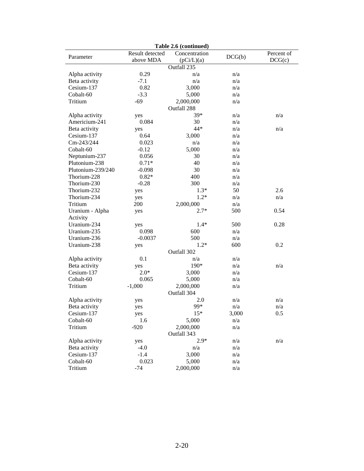| Table 2.6 (continued)           |                              |                             |            |                      |  |  |  |  |
|---------------------------------|------------------------------|-----------------------------|------------|----------------------|--|--|--|--|
| Parameter                       | Result detected<br>above MDA | Concentration<br>(pCi/L)(a) | DCG(b)     | Percent of<br>DCG(c) |  |  |  |  |
|                                 |                              | Outfall 235                 |            |                      |  |  |  |  |
|                                 | 0.29                         | n/a                         | n/a        |                      |  |  |  |  |
| Alpha activity<br>Beta activity | $-7.1$                       | n/a                         | n/a        |                      |  |  |  |  |
| Cesium-137                      |                              |                             |            |                      |  |  |  |  |
| Cobalt-60                       | 0.82<br>$-3.3$               | 3,000                       | n/a<br>n/a |                      |  |  |  |  |
| Tritium                         | $-69$                        | 5,000                       |            |                      |  |  |  |  |
|                                 |                              | 2,000,000                   | n/a        |                      |  |  |  |  |
|                                 |                              | Outfall 288<br>39*          |            |                      |  |  |  |  |
| Alpha activity                  | yes                          |                             | n/a        | n/a                  |  |  |  |  |
| Americium-241                   | 0.084                        | 30                          | n/a        |                      |  |  |  |  |
| Beta activity                   | yes                          | 44*                         | n/a        | n/a                  |  |  |  |  |
| Cesium-137                      | 0.64                         | 3,000                       | n/a        |                      |  |  |  |  |
| Cm-243/244                      | 0.023                        | n/a                         | n/a        |                      |  |  |  |  |
| Cobalt-60                       | $-0.12$                      | 5,000                       | n/a        |                      |  |  |  |  |
| Neptunium-237                   | 0.056                        | 30                          | n/a        |                      |  |  |  |  |
| Plutonium-238                   | $0.71*$                      | 40                          | n/a        |                      |  |  |  |  |
| Plutonium-239/240               | $-0.098$                     | 30                          | n/a        |                      |  |  |  |  |
| Thorium-228                     | $0.82*$                      | 400                         | n/a        |                      |  |  |  |  |
| Thorium-230                     | $-0.28$                      | 300                         | n/a        |                      |  |  |  |  |
| Thorium-232                     | yes                          | $1.3*$                      | 50         | 2.6                  |  |  |  |  |
| Thorium-234                     | yes                          | $1.2*$                      | n/a        | n/a                  |  |  |  |  |
| Tritium                         | 200                          | 2,000,000                   | n/a        |                      |  |  |  |  |
| Uranium - Alpha                 | yes                          | $2.7*$                      | 500        | 0.54                 |  |  |  |  |
| Activity                        |                              |                             |            |                      |  |  |  |  |
| Uranium-234                     | yes                          | $1.4*$                      | 500        | 0.28                 |  |  |  |  |
| Uranium-235                     | 0.098                        | 600                         | n/a        |                      |  |  |  |  |
| Uranium-236                     | $-0.0037$                    | 500                         | n/a        |                      |  |  |  |  |
| Uranium-238                     | yes                          | $1.2*$                      | 600        | 0.2                  |  |  |  |  |
|                                 |                              | Outfall 302                 |            |                      |  |  |  |  |
| Alpha activity                  | 0.1                          | n/a                         | n/a        |                      |  |  |  |  |
| Beta activity                   | yes                          | 190*                        | n/a        | n/a                  |  |  |  |  |
| Cesium-137                      | $2.0*$                       | 3,000                       | n/a        |                      |  |  |  |  |
| Cobalt-60                       | 0.065                        | 5,000                       | n/a        |                      |  |  |  |  |
| Tritium                         | $-1,000$                     | 2,000,000                   | n/a        |                      |  |  |  |  |
|                                 |                              | Outfall 304                 |            |                      |  |  |  |  |
| Alpha activity                  | yes                          | 2.0                         | n/a        | n/a                  |  |  |  |  |
| Beta activity                   | yes                          | 99*                         | n/a        | n/a                  |  |  |  |  |
| Cesium-137                      | yes                          | $15*$                       | 3,000      | 0.5                  |  |  |  |  |
| Cobalt-60                       | 1.6                          | 5,000                       | n/a        |                      |  |  |  |  |
| Tritium                         | $-920$                       | 2,000,000                   | n/a        |                      |  |  |  |  |
|                                 |                              | Outfall 343                 |            |                      |  |  |  |  |
| Alpha activity                  | yes                          | $2.9*$                      | n/a        | n/a                  |  |  |  |  |
| Beta activity                   | $-4.0$                       | n/a                         | n/a        |                      |  |  |  |  |
| Cesium-137                      | $-1.4$                       | 3,000                       | n/a        |                      |  |  |  |  |
| Cobalt-60                       | 0.023                        | 5,000                       | n/a        |                      |  |  |  |  |
| Tritium                         | $-74$                        | 2,000,000                   | n/a        |                      |  |  |  |  |
|                                 |                              |                             |            |                      |  |  |  |  |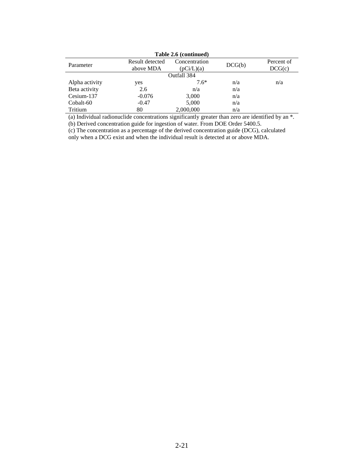|                | Table 2.6 (continued)        |                            |        |                      |  |  |  |  |  |  |
|----------------|------------------------------|----------------------------|--------|----------------------|--|--|--|--|--|--|
| Parameter      | Result detected<br>above MDA | Concentration<br>pCi/L)(a) | DCG(b) | Percent of<br>DCG(c) |  |  |  |  |  |  |
| Outfall 384    |                              |                            |        |                      |  |  |  |  |  |  |
| Alpha activity | yes                          | $7.6*$                     | n/a    | n/a                  |  |  |  |  |  |  |
| Beta activity  | 2.6                          | n/a                        | n/a    |                      |  |  |  |  |  |  |
| Cesium-137     | $-0.076$                     | 3,000                      | n/a    |                      |  |  |  |  |  |  |
| Cobalt-60      | $-0.47$                      | 5,000                      | n/a    |                      |  |  |  |  |  |  |
| Tritium        | 80                           | 2,000,000                  | n/a    |                      |  |  |  |  |  |  |

(a) Individual radionuclide concentrations significantly greater than zero are identified by an \*.

(b) Derived concentration guide for ingestion of water. From DOE Order 5400.5.

(c) The concentration as a percentage of the derived concentration guide (DCG), calculated only when a DCG exist and when the individual result is detected at or above MDA.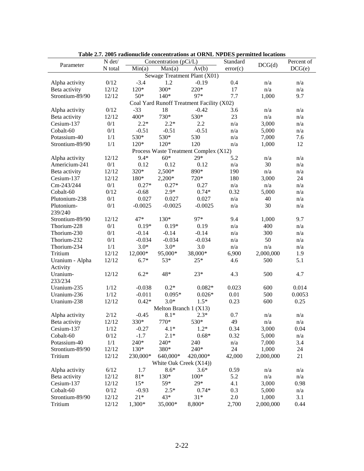|                                  | N det/        |           | Concentration (pCi/L)  | Table 2.7. 2005 Taulonuchue concenti ations at OKRE IM DES permitteu locations | Standard                |            | Percent of |
|----------------------------------|---------------|-----------|------------------------|--------------------------------------------------------------------------------|-------------------------|------------|------------|
| Parameter                        | N total       | Min(a)    |                        | Av(b)                                                                          | error(c)                | DCG(d)     | DCG(e)     |
|                                  |               |           | Max(a)                 | Sewage Treatment Plant $(\overline{X01})$                                      |                         |            |            |
|                                  |               | $-3.4$    | 1.2                    |                                                                                |                         |            |            |
| Alpha activity                   | 0/12<br>12/12 | $120*$    | 300*                   | $-0.19$<br>220*                                                                | 0.4<br>17               | n/a<br>n/a | n/a        |
| Beta activity<br>Strontium-89/90 |               | $50*$     | $140*$                 | 97*                                                                            |                         |            | n/a<br>9.7 |
|                                  | 12/12         |           |                        |                                                                                | 7.7                     | 1,000      |            |
|                                  |               |           |                        | Coal Yard Runoff Treatment Facility (X02)                                      |                         |            |            |
| Alpha activity                   | 0/12          | $-33$     | 18                     | $-0.42$                                                                        | 3.6                     | n/a        | n/a        |
| Beta activity                    | 12/12         | 400*      | 730*                   | 530*                                                                           | 23                      | n/a        | n/a        |
| Cesium-137                       | 0/1           | $2.2*$    | $2.2*$                 | 2.2                                                                            | n/a                     | 3,000      | n/a        |
| Cobalt-60                        | $0/1$         | $-0.51$   | $-0.51$                | $-0.51$                                                                        | n/a                     | 5,000      | n/a        |
| Potassium-40                     | $1/1\,$       | 530*      | 530*                   | 530                                                                            | n/a                     | 7,000      | 7.6        |
| Strontium-89/90                  | 1/1           | $120*$    | $120*$                 | 120                                                                            | n/a                     | 1,000      | 12         |
|                                  |               |           |                        | Process Waste Treatment Complex (X12)                                          |                         |            |            |
| Alpha activity                   | 12/12         | 9.4*      | $60*$                  | $29*$                                                                          | 5.2                     | n/a        | n/a        |
| Americium-241                    | 0/1           | 0.12      | 0.12                   | 0.12                                                                           | n/a                     | 30         | n/a        |
| Beta activity                    | 12/12         | 320*      | 2,500*                 | 890*                                                                           | 190                     | n/a        | n/a        |
| Cesium-137                       | 12/12         | 180*      | $2,200*$               | 720*                                                                           | 180                     | 3,000      | 24         |
| Cm-243/244                       | 0/1           | $0.27*$   | $0.27*$                | 0.27                                                                           | n/a                     | n/a        | n/a        |
| Cobalt-60                        | 0/12          | $-0.68$   | $2.9*$                 | $0.74*$                                                                        | 0.32                    | 5,000      | n/a        |
| Plutonium-238                    | 0/1           | 0.027     | 0.027                  | 0.027                                                                          | n/a                     | 40         | n/a        |
| Plutonium-<br>239/240            | 0/1           | $-0.0025$ | $-0.0025$              | $-0.0025$                                                                      | n/a                     | 30         | n/a        |
| Strontium-89/90                  | 12/12         | $47*$     | 130*                   | 97*                                                                            | 9.4                     | 1,000      | 9.7        |
| Thorium-228                      | 0/1           | $0.19*$   | $0.19*$                | 0.19                                                                           | n/a                     | 400        | n/a        |
| Thorium-230                      | 0/1           | $-0.14$   | $-0.14$                | $-0.14$                                                                        | n/a                     | 300        | n/a        |
| Thorium-232                      | $0/1$         | $-0.034$  | $-0.034$               | $-0.034$                                                                       | n/a                     | 50         | n/a        |
| Thorium-234                      | 1/1           | $3.0*$    | $3.0*$                 | 3.0                                                                            | n/a                     | n/a        | n/a        |
| Tritium                          | 12/12         | 12,000*   | 95,000*                | 38,000*                                                                        | 6,900                   | 2,000,000  | 1.9        |
| Uranium - Alpha                  | 12/12         | $6.7*$    | 53*                    | $25*$                                                                          | 4.6                     | 500        | 5.1        |
| Activity                         |               |           |                        |                                                                                |                         |            |            |
| Uranium-                         | 12/12         | $6.2*$    | 48*                    | $23*$                                                                          | 4.3                     | 500        | 4.7        |
| 233/234                          |               |           |                        |                                                                                |                         |            |            |
| Uranium-235                      | 1/12          | $-0.038$  | $0.2*$                 | $0.082*$                                                                       | 0.023                   | 600        | 0.014      |
| Uranium-236                      | 1/12          | $-0.011$  | $0.095*$               | $0.026*$                                                                       | 0.01                    | 500        | 0.0053     |
| Uranium-238                      | 12/12         | $0.42*$   | $3.0*$                 | $1.5*$                                                                         | 0.23                    | 600        | 0.25       |
|                                  |               |           | Melton Branch 1 (X13)  |                                                                                |                         |            |            |
| Alpha activity                   | 2/12          | $-0.45$   | $8.1*$                 | $2.3*$                                                                         | 0.7                     | n/a        | n/a        |
| Beta activity                    | 12/12         | 330*      | $770*$                 | 530*                                                                           | 49                      | n/a        | n/a        |
| Cesium-137                       | 1/12          | $-0.27$   | $4.1*$                 | $1.2*$                                                                         | 0.34                    | 3,000      | 0.04       |
| Cobalt-60                        | 0/12          | $-1.7$    | $2.1*$                 | $0.68*$                                                                        | 0.32                    | 5,000      | n/a        |
| Potassium-40                     | 1/1           | 240*      | 240*                   | 240                                                                            | $\mathrm{n}/\mathrm{a}$ | 7,000      | 3.4        |
| Strontium-89/90                  | 12/12         | $130*$    | 380*                   | 240*                                                                           | 24                      | 1,000      | 24         |
| Tritium                          | 12/12         | 230,000*  | 640,000*               | 420,000*                                                                       | 42,000                  | 2,000,000  | 21         |
|                                  |               |           | White Oak Creek (X14)) |                                                                                |                         |            |            |
| Alpha activity                   | 6/12          | 1.7       | $8.6*$                 | $3.6*$                                                                         | 0.59                    | n/a        | n/a        |
| Beta activity                    | 12/12         | $81*$     | 130*                   | $100*$                                                                         | 5.2                     | n/a        | n/a        |
| Cesium-137                       | 12/12         | $15*$     | 59*                    | $29*$                                                                          | 4.1                     | 3,000      | 0.98       |
| Cobalt-60                        | 0/12          | $-0.93$   | $2.5*$                 | $0.74*$                                                                        | 0.3                     | 5,000      | n/a        |
| Strontium-89/90                  | 12/12         | $21*$     | 43*                    | $31*$                                                                          | 2.0                     | 1,000      | 3.1        |
| Tritium                          | 12/12         | 1,300*    | 35,000*                | 8,800*                                                                         | 2,700                   | 2,000,000  | 0.44       |

**Table 2.7. 2005 radionuclide concentrations at ORNL NPDES permitted locations**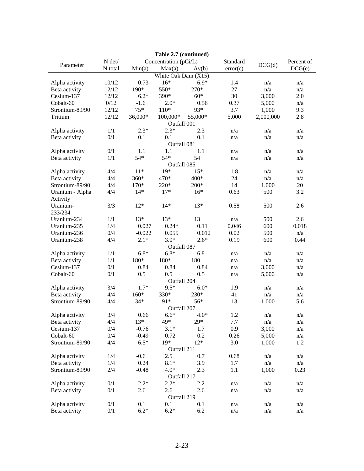| Table 2.7 (continued) |          |                            |                       |         |          |           |            |  |
|-----------------------|----------|----------------------------|-----------------------|---------|----------|-----------|------------|--|
|                       | $N$ det/ |                            | Concentration (pCi/L) |         | Standard | DCG(d)    | Percent of |  |
| Parameter             | N total  | $\overline{\text{Min}}(a)$ | Max(a)                | Av(b)   | error(c) |           | DCG(e)     |  |
| White Oak Dam (X15)   |          |                            |                       |         |          |           |            |  |
| Alpha activity        | 10/12    | 0.73                       | $16*$                 | $6.9*$  | 1.4      | n/a       | n/a        |  |
| Beta activity         | 12/12    | 190*                       | 550*                  | 270*    | 27       | n/a       | n/a        |  |
| Cesium-137            | 12/12    | $6.2*$                     | 390*                  | $60*$   | 30       | 3,000     | 2.0        |  |
| Cobalt-60             | 0/12     | $-1.6$                     | $2.0*$                | 0.56    | 0.37     | 5,000     | n/a        |  |
| Strontium-89/90       | 12/12    | $75*$                      | $110*$                | 93*     | 3.7      | 1,000     | 9.3        |  |
| Tritium               | 12/12    | 36,000*                    | 100,000*              | 55,000* | 5,000    | 2,000,000 | 2.8        |  |
|                       |          |                            | Outfall 001           |         |          |           |            |  |
| Alpha activity        | 1/1      | $2.3*$                     | $2.3*$                | 2.3     | n/a      | n/a       | n/a        |  |
| Beta activity         | 0/1      | 0.1                        | 0.1                   | 0.1     | n/a      | n/a       | n/a        |  |
|                       |          |                            | Outfall 081           |         |          |           |            |  |
| Alpha activity        | 0/1      | 1.1                        | 1.1                   | 1.1     | n/a      | n/a       | n/a        |  |
| Beta activity         | 1/1      | $54*$                      | $54*$                 | 54      | n/a      | n/a       | n/a        |  |
|                       |          |                            | Outfall 085           |         |          |           |            |  |
| Alpha activity        | 4/4      | $11*$                      | 19*                   | $15*$   | 1.8      | n/a       | n/a        |  |
| Beta activity         | 4/4      | 360*                       | 470*                  | 400*    | 24       | n/a       | n/a        |  |
| Strontium-89/90       | 4/4      | $170*$                     | 220*                  | $200*$  | 14       | 1,000     | 20         |  |
| Uranium - Alpha       | 4/4      | $14*$                      | $17*$                 | $16*$   | 0.63     | 500       | 3.2        |  |
| Activity              |          |                            |                       |         |          |           |            |  |
| Uranium-              | 3/3      | $12*$                      | $14*$                 | $13*$   | 0.58     | 500       | 2.6        |  |
| 233/234               |          |                            |                       |         |          |           |            |  |
| Uranium-234           | 1/1      | $13*$                      | $13*$                 | 13      | n/a      | 500       | 2.6        |  |
| Uranium-235           | 1/4      | 0.027                      | $0.24*$               | 0.11    | 0.046    | 600       | 0.018      |  |
| Uranium-236           | 0/4      | $-0.022$                   | 0.055                 | 0.012   | 0.02     | 500       | n/a        |  |
| Uranium-238           | 4/4      | $2.1*$                     | $3.0*$                | $2.6*$  | 0.19     | 600       | 0.44       |  |
|                       |          |                            | Outfall 087           |         |          |           |            |  |
| Alpha activity        | 1/1      | $6.8*$                     | $6.8*$                | 6.8     | n/a      | n/a       | n/a        |  |
| Beta activity         | 1/1      | 180*                       | 180*                  | 180     | n/a      | n/a       | n/a        |  |
| Cesium-137            | 0/1      | 0.84                       | 0.84                  | 0.84    | n/a      | 3,000     | n/a        |  |
| Cobalt-60             | 0/1      | 0.5                        | 0.5                   | 0.5     | n/a      | 5,000     | n/a        |  |
|                       |          |                            | Outfall 204           |         |          |           |            |  |
| Alpha activity        | 3/4      | $1.7*$                     | $9.5*$                | $6.0*$  | 1.9      | n/a       | n/a        |  |
| Beta activity         | 4/4      | $160*$                     | 330*                  | 230*    | 41       | n/a       | n/a        |  |
| Strontium-89/90       | 4/4      | $34*$                      | 91*                   | 56*     | 13       | 1,000     | 5.6        |  |
|                       |          |                            | Outfall 207           |         |          |           |            |  |
| Alpha activity        | 3/4      | 0.66                       | $6.6*$                | $4.0*$  | 1.2      | n/a       | n/a        |  |
| Beta activity         | 4/4      | $13*$                      | 49*                   | $29*$   | 7.7      | n/a       | n/a        |  |
| Cesium-137            | 0/4      | $-0.76$                    | $3.1*$                | 1.7     | 0.9      | 3,000     | n/a        |  |
| Cobalt-60             | 0/4      | $-0.49$                    | 0.72                  | 0.2     | 0.26     | 5,000     | n/a        |  |
| Strontium-89/90       | 4/4      | $6.5*$                     | $19*$                 | $12*$   | 3.0      | 1,000     | 1.2        |  |
|                       |          |                            | Outfall 211           |         |          |           |            |  |
| Alpha activity        | 1/4      | $-0.6$                     | 2.5                   | 0.7     | 0.68     | n/a       | n/a        |  |
| Beta activity         | 1/4      | 0.24                       | $8.1*$                | 3.9     | 1.7      | n/a       | n/a        |  |
| Strontium-89/90       | 2/4      | $-0.48$                    | $4.0*$                | 2.3     | 1.1      | 1,000     | 0.23       |  |
|                       |          |                            | Outfall 217           |         |          |           |            |  |
| Alpha activity        | 0/1      | $2.2*$                     | $2.2*$                | 2.2     | n/a      | n/a       | n/a        |  |
| Beta activity         | 0/1      | 2.6                        | 2.6                   | 2.6     | n/a      | n/a       | n/a        |  |
|                       |          |                            | Outfall 219           |         |          |           |            |  |
| Alpha activity        | 0/1      | 0.1                        | 0.1                   | 0.1     | n/a      | n/a       | n/a        |  |
| Beta activity         | 0/1      | $6.2*$                     | $6.2*$                | 6.2     | n/a      | n/a       | n/a        |  |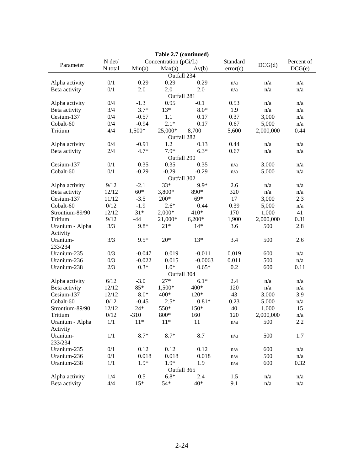|                 |                |          | Table 2.7 (continued) |           |          |           |                         |
|-----------------|----------------|----------|-----------------------|-----------|----------|-----------|-------------------------|
|                 | $N$ $\rm det/$ |          | Concentration (pCi/L) |           | Standard | DCG(d)    | Percent of              |
| Parameter       | N total        | Min(a)   | Max(a)                | Av(b)     | error(c) |           | DCG(e)                  |
|                 |                |          | Outfall 234           |           |          |           |                         |
| Alpha activity  | 0/1            | 0.29     | 0.29                  | 0.29      | n/a      | n/a       | n/a                     |
| Beta activity   | 0/1            | 2.0      | 2.0                   | 2.0       | n/a      | n/a       | n/a                     |
|                 |                |          | Outfall 281           |           |          |           |                         |
| Alpha activity  | 0/4            | $-1.3$   | 0.95                  | $-0.1$    | 0.53     | n/a       | n/a                     |
| Beta activity   | 3/4            | $3.7*$   | $13*$                 | $8.0*$    | 1.9      | n/a       | n/a                     |
| Cesium-137      | 0/4            | $-0.57$  | 1.1                   | 0.17      | 0.37     | 3,000     | n/a                     |
| Cobalt-60       | 0/4            | $-0.94$  | $2.1*$                | 0.17      | 0.67     | 5,000     | n/a                     |
| Tritium         | 4/4            | 1,500*   | 25,000*               | 8,700     | 5,600    | 2,000,000 | 0.44                    |
|                 |                |          | Outfall 282           |           |          |           |                         |
| Alpha activity  | 0/4            | $-0.91$  | 1.2                   | 0.13      | 0.44     | n/a       | n/a                     |
| Beta activity   | 2/4            | $4.7*$   | 7.9*                  | $6.3*$    | 0.67     | n/a       | $\mathrm{n}/\mathrm{a}$ |
|                 |                |          | Outfall 290           |           |          |           |                         |
| Cesium-137      | 0/1            | 0.35     | 0.35                  | 0.35      | n/a      | 3,000     | n/a                     |
| Cobalt-60       | 0/1            | $-0.29$  | $-0.29$               | $-0.29$   | n/a      | 5,000     | n/a                     |
|                 |                |          | Outfall 302           |           |          |           |                         |
| Alpha activity  | 9/12           | $-2.1$   | 33*                   | 9.9*      | 2.6      | n/a       | n/a                     |
| Beta activity   | 12/12          | $60*$    | 3,800*                | 890*      | 320      | n/a       | n/a                     |
| Cesium-137      | 11/12          | $-3.5$   | $200*$                | $69*$     | 17       | 3,000     | 2.3                     |
| Cobalt-60       | 0/12           | $-1.9$   | $2.6*$                | 0.44      | 0.39     | 5,000     | n/a                     |
| Strontium-89/90 | 12/12          | $31*$    | 2,000*                | $410*$    | 170      | 1,000     | 41                      |
| Tritium         | 9/12           | $-44$    | 21,000*               | $6,200*$  | 1,900    | 2,000,000 | 0.31                    |
| Uranium - Alpha | 3/3            | $9.8*$   | $21*$                 | $14*$     | 3.6      | 500       | 2.8                     |
| Activity        |                |          |                       |           |          |           |                         |
| Uranium-        | 3/3            | $9.5*$   | $20*$                 | $13*$     | 3.4      | 500       | 2.6                     |
| 233/234         |                |          |                       |           |          |           |                         |
| Uranium-235     | 0/3            | $-0.047$ | 0.019                 | $-0.011$  | 0.019    | 600       | n/a                     |
| Uranium-236     | 0/3            | $-0.022$ | 0.015                 | $-0.0063$ | 0.011    | 500       | n/a                     |
| Uranium-238     | 2/3            | $0.3*$   | $1.0*$                | $0.65*$   | 0.2      | 600       | 0.11                    |
|                 |                |          | Outfall 304           |           |          |           |                         |
| Alpha activity  | 6/12           | $-3.0$   | $27*$                 | $6.1*$    | 2.4      | n/a       | n/a                     |
| Beta activity   | 12/12          | 85*      | 1,500*                | 400*      | 120      | n/a       | n/a                     |
| Cesium-137      | 12/12          | $8.0*$   | 400*                  | $120*$    | 43       | 3,000     | 3.9                     |
| Cobalt-60       | 0/12           | $-0.45$  | $2.5*$                | $0.81*$   | 0.23     | 5,000     | n/a                     |
| Strontium-89/90 | 12/12          | $24*$    | 550*                  | 150*      | 40       | 1,000     | 15                      |
| Tritium         | 0/12           | $-310$   | 800*                  | 160       | 120      | 2,000,000 | n/a                     |
| Uranium - Alpha | $1/1\,$        | $11*$    | $11*$                 | $11\,$    | n/a      | 500       | 2.2                     |
| Activity        |                |          |                       |           |          |           |                         |
| Uranium-        | $1/1\,$        | $8.7*$   | $8.7*$                | 8.7       | n/a      | 500       | 1.7                     |
| 233/234         |                |          |                       |           |          |           |                         |
| Uranium-235     | $0/1$          | 0.12     | 0.12                  | 0.12      | n/a      | 600       | n/a                     |
| Uranium-236     | $0/1$          | 0.018    | 0.018                 | 0.018     | n/a      | 500       | n/a                     |
| Uranium-238     | 1/1            | $1.9*$   | $1.9*$                | 1.9       | n/a      | 600       | 0.32                    |
|                 |                |          | Outfall 365           |           |          |           |                         |
| Alpha activity  | 1/4            | 0.5      | $6.8*$                | 2.4       | 1.5      | n/a       | n/a                     |
| Beta activity   | 4/4            | $15*$    | $54*$                 | 40*       | 9.1      | n/a       | n/a                     |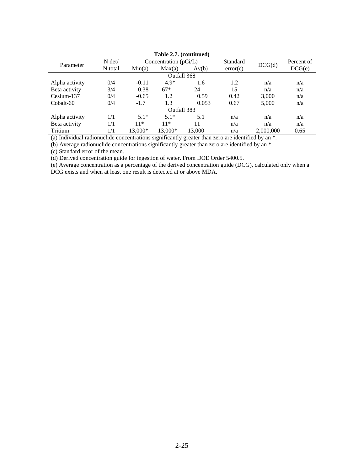| Table 2.7. (continued) |          |                         |             |        |          |           |            |  |
|------------------------|----------|-------------------------|-------------|--------|----------|-----------|------------|--|
| Parameter              | $N \det$ | Concentration $(pCi/L)$ |             |        | Standard | DCG(d)    | Percent of |  |
|                        | N total  | Min(a)                  | Max(a)      | Av(b)  | error(c) |           | DCG(e)     |  |
| Outfall 368            |          |                         |             |        |          |           |            |  |
| Alpha activity         | 0/4      | $-0.11$                 | $4.9*$      | 1.6    | 1.2      | n/a       | n/a        |  |
| Beta activity          | 3/4      | 0.38                    | $67*$       | 24     | 15       | n/a       | n/a        |  |
| Cesium-137             | 0/4      | $-0.65$                 | 1.2         | 0.59   | 0.42     | 3.000     | n/a        |  |
| Cobalt-60              | 0/4      | $-1.7$                  | 1.3         | 0.053  | 0.67     | 5,000     | n/a        |  |
|                        |          |                         | Outfall 383 |        |          |           |            |  |
| Alpha activity         | 1/1      | $5.1*$                  | $5.1*$      | 5.1    | n/a      | n/a       | n/a        |  |
| Beta activity          | 1/1      | $11*$                   | $11*$       | 11     | n/a      | n/a       | n/a        |  |
| Tritium                | 1/1      | 13,000*                 | 13.000*     | 13,000 | n/a      | 2,000,000 | 0.65       |  |

**Table 2.7. (continued)** 

(a) Individual radionuclide concentrations significantly greater than zero are identified by an \*.

(b) Average radionuclide concentrations significantly greater than zero are identified by an \*.

(c) Standard error of the mean.

(d) Derived concentration guide for ingestion of water. From DOE Order 5400.5.

(e) Bernica concentration galacter inglession of material concentration guide (DCG), calculated only when a (e) Average concentration as a percentage of the derived concentration guide (DCG), calculated only when a DCG exists and when at least one result is detected at or above MDA.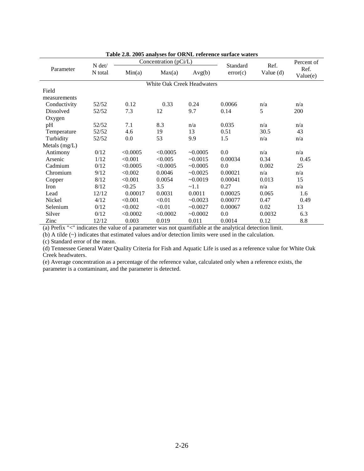|                  | N det/  |          | Concentration (pCi/L) |                            | Standard | Ref.        | Percent of       |
|------------------|---------|----------|-----------------------|----------------------------|----------|-------------|------------------|
| Parameter        | N total | Min(a)   | Max(a)                | Avg(b)                     | error(c) | Value $(d)$ | Ref.<br>Value(e) |
|                  |         |          |                       | White Oak Creek Headwaters |          |             |                  |
| Field            |         |          |                       |                            |          |             |                  |
| measurements     |         |          |                       |                            |          |             |                  |
| Conductivity     | 52/52   | 0.12     | 0.33                  | 0.24                       | 0.0066   | n/a         | n/a              |
| <b>Dissolved</b> | 52/52   | 7.3      | 12                    | 9.7                        | 0.14     | 5           | 200              |
| Oxygen           |         |          |                       |                            |          |             |                  |
| pH               | 52/52   | 7.1      | 8.3                   | n/a                        | 0.035    | n/a         | n/a              |
| Temperature      | 52/52   | 4.6      | 19                    | 13                         | 0.51     | 30.5        | 43               |
| Turbidity        | 52/52   | 0.0      | 53                    | 9.9                        | 1.5      | n/a         | n/a              |
| Metals $(mg/L)$  |         |          |                       |                            |          |             |                  |
| Antimony         | 0/12    | < 0.0005 | < 0.0005              | ~10.0005                   | 0.0      | n/a         | n/a              |
| Arsenic          | 1/12    | < 0.001  | < 0.005               | ~10.0015                   | 0.00034  | 0.34        | 0.45             |
| Cadmium          | 0/12    | < 0.0005 | < 0.0005              | ~10.0005                   | 0.0      | 0.002       | 25               |
| Chromium         | 9/12    | < 0.002  | 0.0046                | $\sim 0.0025$              | 0.00021  | n/a         | n/a              |
| Copper           | 8/12    | < 0.001  | 0.0054                | ~10.0019                   | 0.00041  | 0.013       | 15               |
| Iron             | 8/12    | < 0.25   | 3.5                   | ~1.1                       | 0.27     | n/a         | n/a              |
| Lead             | 12/12   | 0.00017  | 0.0031                | 0.0011                     | 0.00025  | 0.065       | 1.6              |
| Nickel           | 4/12    | < 0.001  | < 0.01                | ~10.0023                   | 0.00077  | 0.47        | 0.49             |
| Selenium         | 0/12    | < 0.002  | < 0.01                | ~10.0027                   | 0.00067  | 0.02        | 13               |
| Silver           | 0/12    | < 0.0002 | < 0.0002              | ~10.0002                   | 0.0      | 0.0032      | 6.3              |
| Zinc             | 12/12   | 0.003    | 0.019                 | 0.011                      | 0.0014   | 0.12        | 8.8              |

**Table 2.8. 2005 analyses for ORNL reference surface waters** 

(a) Prefix "<" indicates the value of a parameter was not quantifiable at the analytical detection limit.

(b) A tilde (~) indicates that estimated values and/or detection limits were used in the calculation.

(c) Standard error of the mean.

(d) Tennessee General Water Quality Criteria for Fish and Aquatic Life is used as a reference value for White Oak Creek headwaters.

(e) Average concentration as a percentage of the reference value, calculated only when a reference exists, the parameter is a contaminant, and the parameter is detected.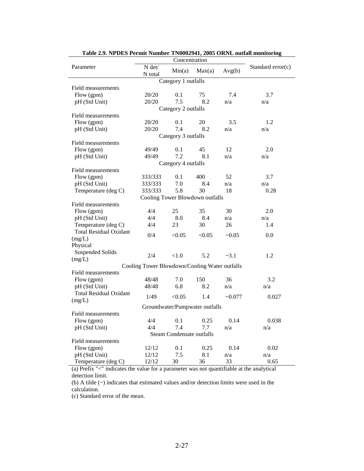| Table 2.9. NPDES Permit Number TN0002941, 2005 ORNL outlail monitoring |                                               | Concentration                    |                                |              |                   |
|------------------------------------------------------------------------|-----------------------------------------------|----------------------------------|--------------------------------|--------------|-------------------|
| Parameter                                                              | $N$ det/<br>N total                           | Min(a)                           | Max(a)                         | Avg(b)       | Standard error(c) |
|                                                                        |                                               | Category 1 outfalls              |                                |              |                   |
| Field measurements                                                     |                                               |                                  |                                |              |                   |
| Flow (gpm)                                                             | 20/20                                         | 0.1                              | 75                             | 7.4          | 3.7               |
| pH (Std Unit)                                                          | 20/20                                         | 7.5                              | 8.2                            | n/a          | n/a               |
|                                                                        |                                               | Category 2 outfalls              |                                |              |                   |
| Field measurements                                                     |                                               |                                  |                                |              |                   |
| Flow (gpm)                                                             | 20/20                                         | 0.1                              | 20                             | 3.5          | 1.2               |
| pH (Std Unit)                                                          | 20/20                                         | 7.4                              | 8.2                            | n/a          | n/a               |
|                                                                        |                                               | Category 3 outfalls              |                                |              |                   |
| Field measurements                                                     |                                               |                                  |                                |              |                   |
| Flow (gpm)                                                             | 49/49                                         | 0.1                              | 45                             | 12           | 2.0               |
| pH (Std Unit)                                                          | 49/49                                         | 7.2                              | 8.1                            | n/a          | n/a               |
|                                                                        |                                               | Category 4 outfalls              |                                |              |                   |
| Field measurements                                                     |                                               |                                  |                                |              |                   |
| Flow (gpm)                                                             | 333/333                                       | 0.1                              | 400                            | 52           | 3.7               |
| pH (Std Unit)                                                          | 333/333                                       | 7.0                              | 8.4                            | n/a          | n/a               |
| Temperature (deg C)                                                    | 333/333                                       | 5.8                              | 30                             | 18           | 0.28              |
|                                                                        | Cooling Tower Blowdown outfalls               |                                  |                                |              |                   |
| Field measurements                                                     |                                               |                                  |                                |              |                   |
| Flow (gpm)                                                             | 4/4                                           | 25                               | 35                             | 30           | 2.0               |
| pH (Std Unit)                                                          | 4/4                                           | 8.0                              | 8.4                            | n/a          | n/a               |
| Temperature (deg C)                                                    | 4/4                                           | 23                               | 30                             | 26           | 1.4               |
| <b>Total Residual Oxidant</b>                                          |                                               |                                  |                                |              |                   |
| (mg/L)                                                                 | 0/4                                           | < 0.05                           | < 0.05                         | ~10.05       | 0.0               |
| Physical                                                               |                                               |                                  |                                |              |                   |
| <b>Suspended Solids</b>                                                |                                               |                                  |                                |              |                   |
| (mg/L)                                                                 | 2/4                                           | < 1.0                            | 5.2                            | $-3.1$       | 1.2               |
|                                                                        | Cooling Tower Blowdown/Cooling Water outfalls |                                  |                                |              |                   |
| Field measurements                                                     |                                               |                                  |                                |              |                   |
| Flow (gpm)                                                             | 48/48                                         | 7.0                              | 150                            | 36           | 3.2               |
| pH (Std Unit)                                                          | 48/48                                         | 6.8                              | 8.2                            | n/a          | n/a               |
| <b>Total Residual Oxidant</b>                                          |                                               |                                  |                                |              |                   |
| (mg/L)                                                                 | 1/49                                          | < 0.05                           | 1.4                            | $\sim 0.077$ | 0.027             |
|                                                                        |                                               |                                  | Groundwater/Pumpwater outfalls |              |                   |
| Field measurements                                                     |                                               |                                  |                                |              |                   |
|                                                                        | 4/4                                           |                                  | $0.1 \qquad 0.25$              | 0.14         | 0.038             |
| Flow (gpm)                                                             | 4/4                                           | 7.4                              | 7.7                            |              |                   |
| pH (Std Unit)                                                          |                                               |                                  |                                | n/a          | n/a               |
|                                                                        |                                               | <b>Steam Condensate outfalls</b> |                                |              |                   |
| Field measurements                                                     |                                               |                                  |                                |              |                   |
| Flow (gpm)                                                             | 12/12                                         | 0.1                              | 0.25                           | 0.14         | 0.02              |
| pH (Std Unit)                                                          | 12/12                                         | 7.5                              | 8.1                            | n/a          | n/a               |
| Temperature (deg C)                                                    | 12/12                                         | 30                               | 36                             | 33           | 0.65              |

**Table 2.9. NPDES Permit Number TN0002941, 2005 ORNL outfall monitoring** 

(a) Prefix "<" indicates the value for a parameter was not quantifiable at the analytical detection limit.

(b) A tilde (~) indicates that estimated values and/or detection limits were used in the calculation.

(c) Standard error of the mean.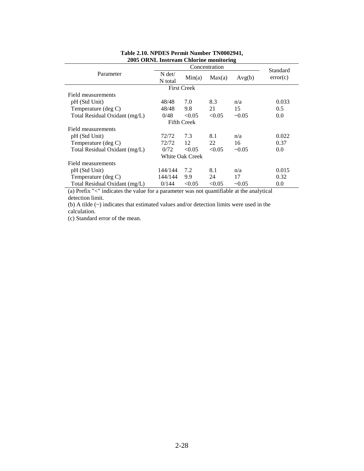| 2009 OKRE HISH CAM CHIOLING MOMENTING |                     |                    |          |             |          |  |  |  |
|---------------------------------------|---------------------|--------------------|----------|-------------|----------|--|--|--|
|                                       |                     |                    | Standard |             |          |  |  |  |
| Parameter                             | $N \det$<br>N total | Min(a)             | Max(a)   | Avg(b)      | error(c) |  |  |  |
|                                       |                     | <b>First Creek</b> |          |             |          |  |  |  |
| Field measurements                    |                     |                    |          |             |          |  |  |  |
| pH (Std Unit)                         | 48/48               | 7.0                | 8.3      | n/a         | 0.033    |  |  |  |
| Temperature (deg C)                   | 48/48               | 9.8                | 21       | 15          | 0.5      |  |  |  |
| Total Residual Oxidant (mg/L)         | 0/48                | < 0.05             | < 0.05   | $\sim 0.05$ | 0.0      |  |  |  |
|                                       |                     | <b>Fifth Creek</b> |          |             |          |  |  |  |
| Field measurements                    |                     |                    |          |             |          |  |  |  |
| pH (Std Unit)                         | 72/72               | 7.3                | 8.1      | n/a         | 0.022    |  |  |  |
| Temperature (deg C)                   | 72/72               | 12                 | 22       | 16          | 0.37     |  |  |  |
| Total Residual Oxidant (mg/L)         | 0/72                | < 0.05             | < 0.05   | $-0.05$     | 0.0      |  |  |  |
|                                       |                     | White Oak Creek    |          |             |          |  |  |  |
| Field measurements                    |                     |                    |          |             |          |  |  |  |
| pH (Std Unit)                         | 144/144             | 7.2                | 8.1      | n/a         | 0.015    |  |  |  |
| Temperature (deg C)                   | 144/144             | 9.9                | 24       | 17          | 0.32     |  |  |  |
| Total Residual Oxidant (mg/L)         | 0/144               | < 0.05             | < 0.05   | $-0.05$     | 0.0      |  |  |  |

## **Table 2.10. NPDES Permit Number TN0002941, 2005 ORNL Instream Chlorine monitoring**

(a) Prefix "<" indicates the value for a parameter was not quantifiable at the analytical detection limit.

(b) A tilde (~) indicates that estimated values and/or detection limits were used in the calculation.

(c) Standard error of the mean.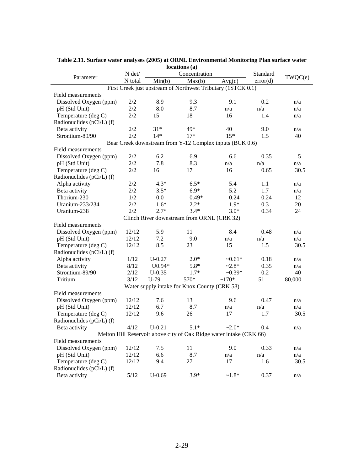|                           |         |          | locations (a)                                |                                                                     |          |         |
|---------------------------|---------|----------|----------------------------------------------|---------------------------------------------------------------------|----------|---------|
| Parameter                 | N det/  |          | Concentration                                |                                                                     | Standard | TWQC(e) |
|                           | N total | Min(b)   | Max(b)                                       | Avg(c)                                                              | error(d) |         |
|                           |         |          |                                              | First Creek just upstream of Northwest Tributary (1STCK 0.1)        |          |         |
| Field measurements        |         |          |                                              |                                                                     |          |         |
| Dissolved Oxygen (ppm)    | 2/2     | 8.9      | 9.3                                          | 9.1                                                                 | 0.2      | n/a     |
| pH (Std Unit)             | 2/2     | 8.0      | 8.7                                          | n/a                                                                 | n/a      | n/a     |
| Temperature (deg C)       | 2/2     | 15       | 18                                           | 16                                                                  | 1.4      | n/a     |
| Radionuclides (pCi/L) (f) |         |          |                                              |                                                                     |          |         |
| Beta activity             | 2/2     | $31*$    | 49*                                          | 40                                                                  | 9.0      | n/a     |
| Strontium-89/90           | 2/2     | $14*$    | $17*$                                        | $15*$                                                               | 1.5      | 40      |
|                           |         |          |                                              | Bear Creek downstream from Y-12 Complex inputs (BCK 0.6)            |          |         |
| Field measurements        |         |          |                                              |                                                                     |          |         |
| Dissolved Oxygen (ppm)    | 2/2     | 6.2      | 6.9                                          | 6.6                                                                 | 0.35     | 5       |
| pH (Std Unit)             | 2/2     | 7.8      | 8.3                                          | n/a                                                                 | n/a      | n/a     |
|                           | 2/2     | 16       | 17                                           | 16                                                                  | 0.65     | 30.5    |
| Temperature (deg C)       |         |          |                                              |                                                                     |          |         |
| Radionuclides (pCi/L) (f) |         |          |                                              |                                                                     |          |         |
| Alpha activity            | 2/2     | $4.3*$   | $6.5*$                                       | 5.4                                                                 | 1.1      | n/a     |
| Beta activity             | 2/2     | $3.5*$   | $6.9*$                                       | 5.2                                                                 | 1.7      | n/a     |
| Thorium-230               | 1/2     | 0.0      | $0.49*$                                      | 0.24                                                                | 0.24     | 12      |
| Uranium-233/234           | 2/2     | $1.6*$   | $2.2*$                                       | $1.9*$                                                              | 0.3      | 20      |
| Uranium-238               | 2/2     | $2.7*$   | $3.4*$                                       | $3.0*$                                                              | 0.34     | 24      |
|                           |         |          | Clinch River downstream from ORNL (CRK 32)   |                                                                     |          |         |
| Field measurements        |         |          |                                              |                                                                     |          |         |
| Dissolved Oxygen (ppm)    | 12/12   | 5.9      | 11                                           | 8.4                                                                 | 0.48     | n/a     |
| pH (Std Unit)             | 12/12   | 7.2      | 9.0                                          | n/a                                                                 | n/a      | n/a     |
| Temperature (deg C)       | 12/12   | 8.5      | 23                                           | 15                                                                  | 1.5      | 30.5    |
| Radionuclides (pCi/L) (f) |         |          |                                              |                                                                     |          |         |
| Alpha activity            | 1/12    | $U-0.27$ | $2.0*$                                       | $-0.61*$                                                            | 0.18     | n/a     |
| Beta activity             | 8/12    | U0.94*   | $5.8*$                                       | $-2.8*$                                                             | 0.35     | n/a     |
| Strontium-89/90           | 2/12    | $U-0.35$ | $1.7*$                                       | $-0.39*$                                                            | 0.2      | 40      |
| Tritium                   | 3/12    | $U-79$   | 570*                                         | $~170*$                                                             | 51       | 80,000  |
|                           |         |          | Water supply intake for Knox County (CRK 58) |                                                                     |          |         |
| Field measurements        |         |          |                                              |                                                                     |          |         |
| Dissolved Oxygen (ppm)    | 12/12   | 7.6      | 13                                           | 9.6                                                                 | 0.47     | n/a     |
| pH (Std Unit)             | 12/12   | 6.7      | 8.7                                          | n/a                                                                 | n/a      | n/a     |
| Temperature (deg C)       | 12/12   | 9.6      | 26                                           | 17                                                                  | 1.7      | 30.5    |
| Radionuclides (pCi/L) (f) |         |          |                                              |                                                                     |          |         |
| Beta activity             | 4/12    | $U-0.21$ | $5.1*$                                       | $-2.0*$                                                             | 0.4      | n/a     |
|                           |         |          |                                              | Melton Hill Reservoir above city of Oak Ridge water intake (CRK 66) |          |         |
|                           |         |          |                                              |                                                                     |          |         |
| Field measurements        | 12/12   |          |                                              |                                                                     |          |         |
| Dissolved Oxygen (ppm)    |         | 7.5      | 11                                           | 9.0                                                                 | 0.33     | n/a     |
| pH (Std Unit)             | 12/12   | 6.6      | 8.7                                          | n/a                                                                 | n/a      | n/a     |
| Temperature (deg C)       | 12/12   | 9.4      | 27                                           | 17                                                                  | 1.6      | 30.5    |
| Radionuclides (pCi/L) (f) |         |          |                                              |                                                                     |          |         |
| Beta activity             | 5/12    | $U-0.69$ | $3.9*$                                       | $-1.8*$                                                             | 0.37     | n/a     |

**Table 2.11. Surface water analyses (2005) at ORNL Environmental Monitoring Plan surface water locations (a)**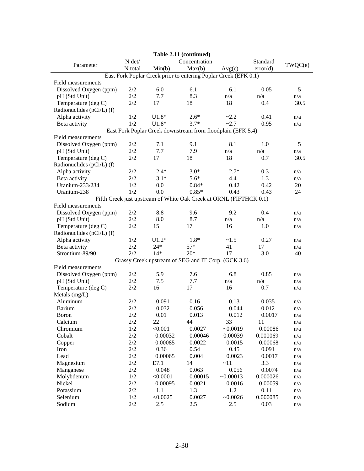| Table 2.11 (continued)    |                 |          |                                                                    |           |          |         |
|---------------------------|-----------------|----------|--------------------------------------------------------------------|-----------|----------|---------|
|                           | $N$ $\det\!/\!$ |          | Concentration                                                      |           | Standard |         |
| Parameter                 | N total         | Min(b)   | Max(b)                                                             | Avg(c)    | error(d) | TWQC(e) |
|                           |                 |          | East Fork Poplar Creek prior to entering Poplar Creek (EFK 0.1)    |           |          |         |
| Field measurements        |                 |          |                                                                    |           |          |         |
| Dissolved Oxygen (ppm)    | 2/2             | 6.0      | 6.1                                                                | 6.1       | 0.05     | 5       |
| pH (Std Unit)             | 2/2             | 7.7      | 8.3                                                                | n/a       | n/a      | n/a     |
| Temperature (deg C)       | 2/2             | 17       | 18                                                                 | 18        | 0.4      | 30.5    |
| Radionuclides (pCi/L) (f) |                 |          |                                                                    |           |          |         |
| Alpha activity            | 1/2             | $U1.8*$  | $2.6*$                                                             | ~2.2      | 0.41     | n/a     |
| Beta activity             | 1/2             | $U1.8*$  | $3.7*$                                                             | $-2.7$    | 0.95     | n/a     |
|                           |                 |          | East Fork Poplar Creek downstream from floodplain (EFK 5.4)        |           |          |         |
| Field measurements        |                 |          |                                                                    |           |          |         |
| Dissolved Oxygen (ppm)    | $2/2$           | 7.1      | 9.1                                                                | 8.1       | 1.0      | 5       |
| pH (Std Unit)             | 2/2             | 7.7      | 7.9                                                                | n/a       | n/a      | n/a     |
| Temperature (deg C)       | $2/2$           | 17       | 18                                                                 | 18        | 0.7      | 30.5    |
| Radionuclides (pCi/L) (f) |                 |          |                                                                    |           |          |         |
| Alpha activity            | 2/2             | $2.4*$   | $3.0*$                                                             | $2.7*$    | 0.3      | n/a     |
| Beta activity             | 2/2             | $3.1*$   | $5.6*$                                                             | 4.4       | 1.3      | n/a     |
| Uranium-233/234           | 1/2             | 0.0      | $0.84*$                                                            | 0.42      | 0.42     | 20      |
| Uranium-238               | 1/2             | 0.0      | $0.85*$                                                            | 0.43      | 0.43     | 24      |
|                           |                 |          | Fifth Creek just upstream of White Oak Creek at ORNL (FIFTHCK 0.1) |           |          |         |
| Field measurements        |                 |          |                                                                    |           |          |         |
| Dissolved Oxygen (ppm)    | 2/2             | 8.8      | 9.6                                                                | 9.2       | 0.4      | n/a     |
| pH (Std Unit)             | 2/2             | 8.0      | 8.7                                                                | n/a       | n/a      | n/a     |
| Temperature (deg C)       | 2/2             | 15       | 17                                                                 | 16        | 1.0      | n/a     |
| Radionuclides (pCi/L) (f) |                 |          |                                                                    |           |          |         |
| Alpha activity            | 1/2             | $U1.2*$  | $1.8*$                                                             | ~1.5      | 0.27     | n/a     |
| Beta activity             | 2/2             | $24*$    | $57*$                                                              | 41        | 17       | n/a     |
| Strontium-89/90           | 2/2             | $14*$    | $20*$                                                              | 17        | 3.0      | 40      |
|                           |                 |          | Grassy Creek upstream of SEG and IT Corp. (GCK 3.6)                |           |          |         |
| Field measurements        |                 |          |                                                                    |           |          |         |
| Dissolved Oxygen (ppm)    | 2/2             | 5.9      | 7.6                                                                | 6.8       | 0.85     | n/a     |
| pH (Std Unit)             | 2/2             | 7.5      | 7.7                                                                | n/a       | n/a      | n/a     |
| Temperature (deg C)       | 2/2             | 16       | 17                                                                 | 16        | 0.7      | n/a     |
| Metals (mg/L)             |                 |          |                                                                    |           |          |         |
| Aluminum                  | 2/2             | 0.091    | 0.16                                                               | 0.13      | 0.035    | n/a     |
| <b>Barium</b>             | 2/2             | 0.032    | 0.056                                                              | 0.044     | 0.012    | n/a     |
| <b>Boron</b>              | $2/2\,$         | 0.01     | 0.013                                                              | 0.012     | 0.0017   | n/a     |
| Calcium                   | $2/2\,$         | $22\,$   | 44                                                                 | 33        | 11       | n/a     |
| Chromium                  | 1/2             | < 0.001  | 0.0027                                                             | $-0.0019$ | 0.00086  | n/a     |
| Cobalt                    | 2/2             | 0.00032  | 0.00046                                                            | 0.00039   | 0.000069 | n/a     |
| Copper                    | 2/2             | 0.00085  | 0.0022                                                             | 0.0015    | 0.00068  | n/a     |
| Iron                      | $2/2\,$         | 0.36     | 0.54                                                               | 0.45      | 0.091    | n/a     |
| Lead                      | $2/2$           | 0.00065  | 0.004                                                              | 0.0023    | 0.0017   | n/a     |
| Magnesium                 | $2/2\,$         | E7.1     | 14                                                                 | ~11       | 3.3      | n/a     |
| Manganese                 | $2/2$           | 0.048    | 0.063                                                              | 0.056     | 0.0074   | n/a     |
| Molybdenum                | 1/2             | < 0.0001 | 0.00015                                                            | ~10.00013 | 0.000026 | n/a     |
| Nickel                    | $2/2$           | 0.00095  | 0.0021                                                             | 0.0016    | 0.00059  | n/a     |
| Potassium                 | 2/2             | 1.1      | 1.3                                                                | 1.2       | 0.11     | n/a     |
| Selenium                  | $1/2$           | < 0.0025 | 0.0027                                                             | $-0.0026$ | 0.000085 | n/a     |
| Sodium                    | $2/2\,$         | 2.5      | 2.5                                                                | 2.5       | 0.03     |         |
|                           |                 |          |                                                                    |           |          | n/a     |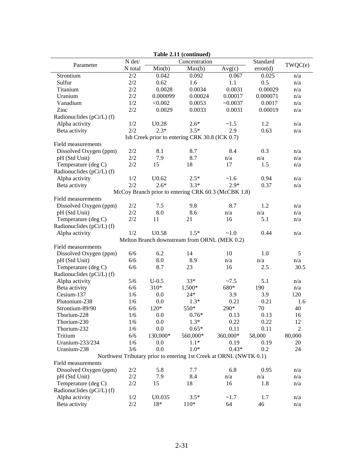|                           |          |                   | Table 2.11 (continued)                                             |              |              |                      |
|---------------------------|----------|-------------------|--------------------------------------------------------------------|--------------|--------------|----------------------|
| Parameter                 | $N$ det/ |                   | Concentration                                                      |              | Standard     | TWQC(e)              |
|                           | N total  | Min(b)            | Max(b)                                                             | Avg(c)       | error(d)     |                      |
| Strontium                 | 2/2      | 0.042             | 0.092                                                              | 0.067        | 0.025        | n/a                  |
| Sulfur                    | 2/2      | 0.62              | 1.6                                                                | 1.1          | 0.5          | n/a                  |
| Titanium                  | 2/2      | 0.0028            | 0.0034                                                             | 0.0031       | 0.00029      | n/a                  |
| Uranium                   | 2/2      | 0.000099          | 0.00024                                                            | 0.00017      | 0.000071     | n/a                  |
| Vanadium                  | 1/2      | < 0.002           | 0.0053                                                             | $-0.0037$    | 0.0017       | n/a                  |
| Zinc                      | 2/2      | 0.0029            | 0.0033                                                             | 0.0031       | 0.00019      | n/a                  |
| Radionuclides (pCi/L) (f) |          |                   |                                                                    |              |              |                      |
| Alpha activity            | 1/2      | U <sub>0.28</sub> | $2.6*$                                                             | ~1.5         | 1.2          | n/a                  |
| Beta activity             | 2/2      | $2.3*$            | $3.5*$                                                             | 2.9          | 0.63         | n/a                  |
|                           |          |                   | Ish Creek prior to entering CRK 30.8 (ICK 0.7)                     |              |              |                      |
| Field measurements        |          |                   |                                                                    |              |              |                      |
| Dissolved Oxygen (ppm)    | 2/2      | 8.1               | 8.7                                                                | 8.4          | 0.3          | n/a                  |
| pH (Std Unit)             | 2/2      | 7.9               | 8.7                                                                | n/a          | n/a          | n/a                  |
| Temperature (deg C)       | 2/2      | 15                | 18                                                                 | 17           | 1.5          | n/a                  |
| Radionuclides (pCi/L) (f) |          |                   |                                                                    |              |              |                      |
| Alpha activity            | 1/2      | U0.62             | $2.5*$                                                             | ~1.6         | 0.94         | n/a                  |
| Beta activity             | 2/2      | $2.6*$            | $3.3*$                                                             | $2.9*$       | 0.37         | n/a                  |
|                           |          |                   | McCoy Branch prior to entering CRK 60.3 (McCBK 1.8)                |              |              |                      |
| Field measurements        |          |                   |                                                                    |              |              |                      |
| Dissolved Oxygen (ppm)    | 2/2      | 7.5               | 9.8                                                                | 8.7          | 1.2          | n/a                  |
| pH (Std Unit)             | 2/2      | 8.0               | 8.6                                                                | n/a          | n/a          | n/a                  |
| Temperature (deg C)       | 2/2      | 11                | 21                                                                 | 16           | 5.1          | n/a                  |
| Radionuclides (pCi/L) (f) |          |                   |                                                                    |              |              |                      |
| Alpha activity            | 1/2      | U <sub>0.58</sub> | $1.5*$                                                             | ~1.0         | 0.44         | n/a                  |
|                           |          |                   | Melton Branch downstream from ORNL (MEK 0.2)                       |              |              |                      |
| Field measurements        |          |                   |                                                                    |              |              |                      |
| Dissolved Oxygen (ppm)    | 6/6      | 6.2               | 14                                                                 | 10           | 1.0          | 5                    |
| pH (Std Unit)             | 6/6      | 8.0               | 8.9                                                                | n/a          | n/a          | n/a                  |
| Temperature (deg C)       | 6/6      | 8.7               | 23                                                                 | 16           | 2.5          | 30.5                 |
| Radionuclides (pCi/L) (f) |          |                   |                                                                    |              |              |                      |
| Alpha activity            | 5/6      | $U-0.5$           | $33*$                                                              | ~27.5        | 5.1          | n/a                  |
| Beta activity             | 6/6      | 310*              | 1,500*                                                             | 680*         | 190          | n/a                  |
| Cesium-137                | 1/6      | 0.0               | $24*$                                                              | 3.9          | 3.9          | 120                  |
| Plutonium-238             | 1/6      | 0.0               | $1.3*$                                                             | 0.21         | 0.21         | 1.6                  |
| Strontium-89/90           | 6/6      | $120*$            | 550*                                                               | 290*         | 70           | 40                   |
| Thorium-228               | 1/6      | 0.0               | $0.76*$                                                            | 0.13         | 0.13         | 16                   |
| Thorium-230               | 1/6      |                   | $1.3*$                                                             |              |              |                      |
| Thorium-232               | 1/6      | 0.0<br>0.0        | $0.65*$                                                            | 0.22<br>0.11 | 0.22<br>0.11 | 12<br>$\overline{2}$ |
|                           |          | 130,000*          |                                                                    |              | 58,000       |                      |
| Tritium                   | 6/6      |                   | 560,000*                                                           | 360,000*     |              | 80,000               |
| Uranium-233/234           | 1/6      | 0.0               | $1.1*$                                                             | 0.19         | 0.19         | 20                   |
| Uranium-238               | 3/6      | 0.0               | $1.0*$                                                             | $0.43*$      | 0.2          | 24                   |
|                           |          |                   | Northwest Tributary prior to entering 1st Creek at ORNL (NWTK 0.1) |              |              |                      |
| Field measurements        |          |                   |                                                                    |              |              |                      |
| Dissolved Oxygen (ppm)    | 2/2      | 5.8               | 7.7                                                                | 6.8          | 0.95         | n/a                  |
| pH (Std Unit)             | 2/2      | 7.9               | 8.4                                                                | n/a          | n/a          | n/a                  |
| Temperature (deg C)       | 2/2      | 15                | 18                                                                 | 16           | 1.8          | n/a                  |
| Radionuclides (pCi/L) (f) |          |                   |                                                                    |              |              |                      |
| Alpha activity            | 1/2      | U0.035            | $3.5*$                                                             | ~1.7         | 1.7          | n/a                  |
| Beta activity             | $2/2\,$  | $18*$             | $110*$                                                             | 64           | 46           | n/a                  |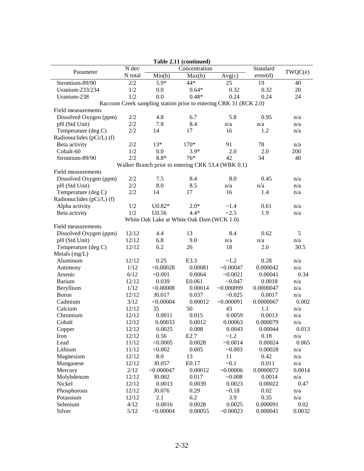|                           |                     |                                           | Table 2.11 (continued) |                                                                   |           |         |
|---------------------------|---------------------|-------------------------------------------|------------------------|-------------------------------------------------------------------|-----------|---------|
| Parameter                 | $N$ $\mathrm{det}/$ |                                           | Concentration          |                                                                   | Standard  | TWQC(e) |
|                           | N total             | Min(b)                                    | Max(b)                 | Avg(c)                                                            | error(d)  |         |
| Strontium-89/90           | 2/2                 | $5.9*$                                    | 44*                    | 25                                                                | 19        | 40      |
| Uranium-233/234           | 1/2                 | 0.0                                       | $0.64*$                | 0.32                                                              | 0.32      | 20      |
| Uranium-238               | 1/2                 | 0.0                                       | $0.48*$                | 0.24                                                              | 0.24      | 24      |
|                           |                     |                                           |                        | Raccoon Creek sampling station prior to entering CRK 31 (RCK 2.0) |           |         |
| Field measurements        |                     |                                           |                        |                                                                   |           |         |
| Dissolved Oxygen (ppm)    | 2/2                 | 4.8                                       | 6.7                    | 5.8                                                               | 0.95      | n/a     |
| pH (Std Unit)             | 2/2                 | 7.8                                       | 8.4                    | n/a                                                               | n/a       | n/a     |
| Temperature (deg C)       | 2/2                 | 14                                        | 17                     | 16                                                                | 1.2       | n/a     |
| Radionuclides (pCi/L) (f) |                     |                                           |                        |                                                                   |           |         |
| Beta activity             | 2/2                 | $13*$                                     | 170*                   | 91                                                                | 78        | n/a     |
| Cobalt-60                 | 1/2                 | 0.0                                       | $3.9*$                 | 2.0                                                               | 2.0       | 200     |
| Strontium-89/90           | 2/2                 | $8.8*$                                    | 76*                    | 42                                                                | 34        | 40      |
|                           |                     |                                           |                        | Walker Branch prior to entering CRK 53.4 (WBK 0.1)                |           |         |
| Field measurements        |                     |                                           |                        |                                                                   |           |         |
| Dissolved Oxygen (ppm)    | 2/2                 | 7.5                                       | 8.4                    | 8.0                                                               | 0.45      | n/a     |
| pH (Std Unit)             | 2/2                 | 8.0                                       | 8.5                    | n/a                                                               | n/a       | n/a     |
| Temperature (deg C)       | 2/2                 | 14                                        | 17                     | 16                                                                | 1.4       | n/a     |
| Radionuclides (pCi/L) (f) |                     |                                           |                        |                                                                   |           |         |
| Alpha activity            | 1/2                 | $U0.82*$                                  | $2.0*$                 | ~1.4                                                              | 0.61      | n/a     |
| Beta activity             | 1/2                 | U0.56                                     | $4.4*$                 | $-2.5$                                                            | 1.9       | n/a     |
|                           |                     | White Oak Lake at White Oak Dam (WCK 1.0) |                        |                                                                   |           |         |
| Field measurements        |                     |                                           |                        |                                                                   |           |         |
| Dissolved Oxygen (ppm)    | 12/12               | 4.4                                       | 13                     | 8.4                                                               | 0.62      | 5       |
| pH (Std Unit)             | 12/12               | 6.8                                       | 9.0                    | n/a                                                               | n/a       | n/a     |
| Temperature (deg C)       | 12/12               | 6.2                                       | 26                     | 18                                                                | 2.0       | 30.5    |
| Metals (mg/L)             |                     |                                           |                        |                                                                   |           |         |
| Aluminum                  | 12/12               | 0.25                                      | E3.3                   | ~1.2                                                              | 0.28      | n/a     |
| Antimony                  | 1/12                | < 0.00028                                 | 0.00081                | $-0.00047$                                                        | 0.000042  | n/a     |
| Arsenic                   | 6/12                | < 0.001                                   | 0.0064                 | $-0.0021$                                                         | 0.00041   | 0.34    |
| <b>Barium</b>             | 12/12               | 0.039                                     | E0.061                 | $-0.047$                                                          | 0.0018    | n/a     |
| Beryllium                 | 1/12                | < 0.00008                                 | 0.00014                | $-0.000099$                                                       | 0.0000047 | n/a     |
| Boron                     | 12/12               | J0.017                                    | 0.037                  | ~10.025                                                           | 0.0017    | n/a     |
| Cadmium                   | 3/12                | < 0.00004                                 | 0.00012                | $-0.000091$                                                       | 0.0000067 | 0.002   |
| Calcium                   | 12/12               | 35                                        | 50                     | 43                                                                | 1.1       | n/a     |
| Chromium                  | 12/12               | 0.0011                                    | 0.015                  | 0.0059                                                            | 0.0013    | n/a     |
| Cobalt                    | 12/12               | 0.00033                                   | 0.0012                 | 0.00063                                                           | 0.000079  | n/a     |
| Copper                    | 12/12               | 0.0025                                    | 0.008                  | 0.0043                                                            | 0.00044   | 0.013   |
| Iron                      | 12/12               | 0.56                                      | E <sub>2.7</sub>       | ~1.2                                                              | 0.18      | n/a     |
| Lead                      | 11/12               | < 0.0005                                  | 0.0028                 | $-0.0014$                                                         | 0.00024   | 0.065   |
| Lithium                   | 11/12               | < 0.002                                   | 0.005                  | ~10.003                                                           | 0.00028   | n/a     |
| Magnesium                 | 12/12               | 8.0                                       | 13                     | 11                                                                | 0.42      | n/a     |
| Manganese                 | 12/12               | J0.057                                    | E0.17                  | $-0.1$                                                            | 0.011     | n/a     |
| Mercury                   | 2/12                | < 0.000047                                | 0.00012                | $-0.00006$                                                        | 0.0000072 | 0.0014  |
| Molybdenum                | 12/12               | J0.002                                    | 0.017                  | $-0.008$                                                          | 0.0014    | n/a     |
| Nickel                    | 12/12               | 0.0013                                    | 0.0039                 | 0.0023                                                            | 0.00022   | 0.47    |
| Phosphorous               | 12/12               | J0.076                                    | 0.29                   | $-0.18$                                                           | 0.02      | n/a     |
| Potassium                 | 12/12               | 2.1                                       | 6.2                    | 3.9                                                               | 0.35      | n/a     |
| Selenium                  | 4/12                | 0.0016                                    | 0.0028                 | 0.0025                                                            | 0.000091  | 0.02    |
| Silver                    | 5/12                | < 0.00004                                 | 0.00055                | ~10.00023                                                         | 0.000041  | 0.0032  |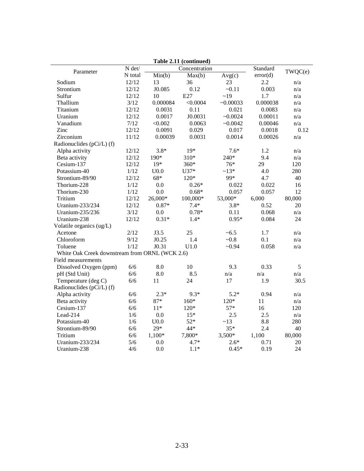|                                                |                                    |                  | Table 2.11 (continued) |           |          |         |  |
|------------------------------------------------|------------------------------------|------------------|------------------------|-----------|----------|---------|--|
| Parameter                                      | $\mathbf{N}$ det/<br>Concentration |                  |                        |           | Standard | TWQC(e) |  |
|                                                | N total                            | Min(b)           | Max(b)                 | Avg(c)    | error(d) |         |  |
| Sodium                                         | 12/12                              | 13               | 36                     | 23        | 2.2      | n/a     |  |
| Strontium                                      | 12/12                              | J0.085           | 0.12                   | $-0.11$   | 0.003    | n/a     |  |
| Sulfur                                         | 12/12                              | 10               | E27                    | ~19       | 1.7      | n/a     |  |
| Thallium                                       | 3/12                               | 0.000084         | < 0.0004               | ~10.00033 | 0.000038 | n/a     |  |
| Titanium                                       | 12/12                              | 0.0031           | 0.11                   | 0.021     | 0.0083   | n/a     |  |
| Uranium                                        | 12/12                              | 0.0017           | J0.0031                | ~10.0024  | 0.00011  | n/a     |  |
| Vanadium                                       | 7/12                               | < 0.002          | 0.0063                 | ~10.0042  | 0.00046  | n/a     |  |
| Zinc                                           | 12/12                              | 0.0091           | 0.029                  | 0.017     | 0.0018   | 0.12    |  |
| Zirconium                                      | 11/12                              | 0.00039          | 0.0031                 | 0.0014    | 0.00026  | n/a     |  |
| Radionuclides (pCi/L) (f)                      |                                    |                  |                        |           |          |         |  |
| Alpha activity                                 | 12/12                              | $3.8*$           | $19*$                  | $7.6*$    | 1.2      | n/a     |  |
| Beta activity                                  | 12/12                              | 190*             | 310*                   | 240*      | 9.4      | n/a     |  |
| Cesium-137                                     | 12/12                              | $19*$            | $360*$                 | 76*       | 29       | 120     |  |
| Potassium-40                                   | 1/12                               | U <sub>0.0</sub> | $U37*$                 | $~13*$    | 4.0      | 280     |  |
| Strontium-89/90                                | 12/12                              | $68*$            | $120*$                 | 99*       | 4.7      | 40      |  |
| Thorium-228                                    | 1/12                               | 0.0              | $0.26*$                | 0.022     | 0.022    | 16      |  |
| Thorium-230                                    | 1/12                               | 0.0              | $0.68*$                | 0.057     | 0.057    | 12      |  |
| Tritium                                        | 12/12                              | 26,000*          | 100,000*               | 53,000*   | 6,000    | 80,000  |  |
| Uranium-233/234                                | 12/12                              | $0.87*$          | $7.4*$                 | $3.8*$    | 0.52     | 20      |  |
| Uranium-235/236                                | 3/12                               | 0.0              | $0.78*$                | 0.11      | 0.068    | n/a     |  |
| Uranium-238                                    | 12/12                              | $0.31*$          | $1.4*$                 | $0.95*$   | 0.084    | 24      |  |
| Volatile organics (ug/L)                       |                                    |                  |                        |           |          |         |  |
| Acetone                                        | 2/12                               | J3.5             | 25                     | ~10.5     | 1.7      | n/a     |  |
| Chloroform                                     | 9/12                               | J0.25            | 1.4                    | ~10.8     | 0.1      | n/a     |  |
| Toluene                                        | 1/12                               | J0.31            | U1.0                   | $-0.94$   | 0.058    | n/a     |  |
| White Oak Creek downstream from ORNL (WCK 2.6) |                                    |                  |                        |           |          |         |  |
| <b>Field measurements</b>                      |                                    |                  |                        |           |          |         |  |
| Dissolved Oxygen (ppm)                         | 6/6                                | 8.0              | 10                     | 9.3       | 0.33     | 5       |  |
| pH (Std Unit)                                  | 6/6                                | 8.0              | 8.5                    | n/a       | n/a      | n/a     |  |
| Temperature (deg C)                            | 6/6                                | 11               | 24                     | 17        | 1.9      | 30.5    |  |
| Radionuclides (pCi/L) (f)                      |                                    |                  |                        |           |          |         |  |
| Alpha activity                                 | 6/6                                | $2.3*$           | $9.3*$                 | $5.2*$    | 0.94     | n/a     |  |
| Beta activity                                  | 6/6                                | $87*$            | $160*$                 | $120*$    | 11       | n/a     |  |
| Cesium-137                                     | 6/6                                | $11*$            | $120*$                 | $57*$     | 16       | 120     |  |
| Lead-214                                       | 1/6                                | 0.0              | $15*$                  | 2.5       | 2.5      | n/a     |  |
| Potassium-40                                   | 1/6                                | U <sub>0.0</sub> | $52*$                  | ~13       | 8.8      | 280     |  |
| Strontium-89/90                                | 6/6                                | $29*$            | 44*                    | $35*$     | 2.4      | 40      |  |
| Tritium                                        | 6/6                                | 1,100*           | 7,800*                 | $3,500*$  | 1,100    | 80,000  |  |
| Uranium-233/234                                | 5/6                                | 0.0              | $4.7*$                 | $2.6*$    | 0.71     | 20      |  |
| Uranium-238                                    | 4/6                                | 0.0              | $1.1*$                 | $0.45*$   | 0.19     | 24      |  |

**2.11 (continued)**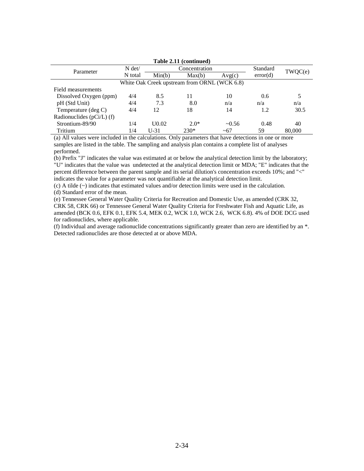|                               |          |                   | Table 2.11 (continued)                       |             |          |        |
|-------------------------------|----------|-------------------|----------------------------------------------|-------------|----------|--------|
| Parameter                     | $N \det$ |                   | Concentration                                | Standard    | TWQC(e)  |        |
|                               | N total  | Min(b)            | Max(b)                                       | Avg(c)      | error(d) |        |
|                               |          |                   | White Oak Creek upstream from ORNL (WCK 6.8) |             |          |        |
| Field measurements            |          |                   |                                              |             |          |        |
| Dissolved Oxygen (ppm)        | 4/4      | 8.5               | 11                                           | 10          | 0.6      |        |
| pH (Std Unit)                 | 4/4      | 7.3               | 8.0                                          | n/a         | n/a      | n/a    |
| Temperature (deg C)           | 4/4      | 12                | 18                                           | 14          | 1.2      | 30.5   |
| Radionuclides ( $pCi/L$ ) (f) |          |                   |                                              |             |          |        |
| Strontium-89/90               | 1/4      | U <sub>0.02</sub> | $2.0*$                                       | $\sim 0.56$ | 0.48     | 40     |
| Tritium                       | 1/4      | $U-31$            | $230*$                                       | $~10-67$    | 59       | 80,000 |

(a) All values were included in the calculations. Only parameters that have detections in one or more

samples are listed in the table. The sampling and analysis plan contains a complete list of analyses performed.

(b) Prefix "J" indicates the value was estimated at or below the analytical detection limit by the laboratory; "U" indicates that the value was undetected at the analytical detection limit or MDA; "E" indicates that the percent difference between the parent sample and its serial dilution's concentration exceeds 10%; and "<" indicates the value for a parameter was not quantifiable at the analytical detection limit.

(c) A tilde (~) indicates that estimated values and/or detection limits were used in the calculation.

(d) Standard error of the mean.

(e) Tennessee General Water Quality Criteria for Recreation and Domestic Use, as amended (CRK 32, CRK 58, CRK 66) or Tennessee General Water Quality Criteria for Freshwater Fish and Aquatic Life, as amended (BCK 0.6, EFK 0.1, EFK 5.4, MEK 0.2, WCK 1.0, WCK 2.6, WCK 6.8). 4% of DOE DCG used for radionuclides, where applicable.

(f) Individual and average radionuclide concentrations significantly greater than zero are identified by an \*. Detected radionuclides are those detected at or above MDA.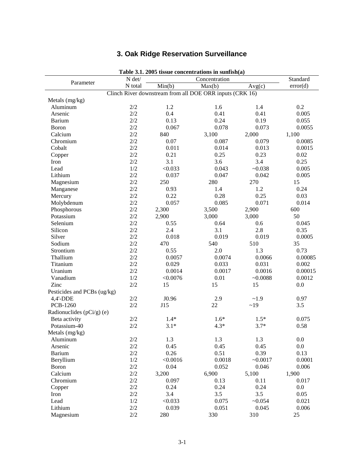## **3. Oak Ridge Reservation Surveillance**

| Table 3.1. 2005 ussue concentrations in sumismal<br>N det/ |         |          |                                                          |           | Standard |
|------------------------------------------------------------|---------|----------|----------------------------------------------------------|-----------|----------|
| Parameter                                                  | N total |          | Concentration                                            |           | error(d) |
|                                                            |         | Min(b)   | Max(b)                                                   | Avg(c)    |          |
|                                                            |         |          | Clinch River downstream from all DOE ORR inputs (CRK 16) |           |          |
| Metals (mg/kg)<br>Aluminum                                 | 2/2     | 1.2      | 1.6                                                      | 1.4       | 0.2      |
| Arsenic                                                    | 2/2     | 0.4      | 0.41                                                     | 0.41      |          |
|                                                            | 2/2     |          | 0.24                                                     |           | 0.005    |
| <b>Barium</b>                                              |         | 0.13     |                                                          | 0.19      | 0.055    |
| Boron                                                      | 2/2     | 0.067    | 0.078                                                    | 0.073     | 0.0055   |
| Calcium                                                    | 2/2     | 840      | 3,100                                                    | 2,000     | 1,100    |
| Chromium                                                   | 2/2     | 0.07     | 0.087                                                    | 0.079     | 0.0085   |
| Cobalt                                                     | 2/2     | 0.011    | 0.014                                                    | 0.013     | 0.0015   |
| Copper                                                     | 2/2     | 0.21     | 0.25                                                     | 0.23      | 0.02     |
| Iron                                                       | 2/2     | 3.1      | 3.6                                                      | 3.4       | 0.25     |
| Lead                                                       | 1/2     | < 0.033  | 0.043                                                    | $-0.038$  | 0.005    |
| Lithium                                                    | 2/2     | 0.037    | 0.047                                                    | 0.042     | 0.005    |
| Magnesium                                                  | 2/2     | 250      | 280                                                      | 270       | 15       |
| Manganese                                                  | 2/2     | 0.93     | 1.4                                                      | 1.2       | 0.24     |
| Mercury                                                    | $2/2$   | 0.22     | 0.28                                                     | 0.25      | 0.03     |
| Molybdenum                                                 | 2/2     | 0.057    | 0.085                                                    | 0.071     | 0.014    |
| Phosphorous                                                | 2/2     | 2,300    | 3,500                                                    | 2,900     | 600      |
| Potassium                                                  | 2/2     | 2,900    | 3,000                                                    | 3,000     | 50       |
| Selenium                                                   | 2/2     | 0.55     | 0.64                                                     | 0.6       | 0.045    |
| Silicon                                                    | 2/2     | 2.4      | 3.1                                                      | 2.8       | 0.35     |
| Silver                                                     | $2/2$   | 0.018    | 0.019                                                    | 0.019     | 0.0005   |
| Sodium                                                     | 2/2     | 470      | 540                                                      | 510       | 35       |
| Strontium                                                  | 2/2     | 0.55     | 2.0                                                      | 1.3       | 0.73     |
| Thallium                                                   | 2/2     | 0.0057   | 0.0074                                                   | 0.0066    | 0.00085  |
| Titanium                                                   | 2/2     | 0.029    | 0.033                                                    | 0.031     | 0.002    |
| Uranium                                                    | 2/2     | 0.0014   | 0.0017                                                   | 0.0016    | 0.00015  |
| Vanadium                                                   | 1/2     | < 0.0076 | 0.01                                                     | $-0.0088$ | 0.0012   |
| Zinc                                                       | $2/2$   | 15       | 15                                                       | 15        | 0.0      |
| Pesticides and PCBs (ug/kg)                                |         |          |                                                          |           |          |
| 4,4'-DDE                                                   | 2/2     | J0.96    | 2.9                                                      | ~1.9      | 0.97     |
| PCB-1260                                                   | 2/2     | J15      | 22                                                       | ~19       | 3.5      |
| Radionuclides ( $pCi/g$ ) (e)                              |         |          |                                                          |           |          |
| Beta activity                                              | $2/2$   | $1.4*$   | $1.6*$                                                   | $1.5*$    | 0.075    |
| Potassium-40                                               | 2/2     | $3.1*$   | $4.3*$                                                   | $3.7*$    | 0.58     |
| Metals (mg/kg)                                             |         |          |                                                          |           |          |
| Aluminum                                                   | $2/2\,$ | 1.3      | 1.3                                                      | 1.3       | $0.0\,$  |
| Arsenic                                                    | 2/2     | 0.45     | 0.45                                                     | 0.45      | 0.0      |
| <b>Barium</b>                                              | $2/2$   | 0.26     | 0.51                                                     | 0.39      | 0.13     |
| Beryllium                                                  | 1/2     | < 0.0016 | 0.0018                                                   | $-0.0017$ | 0.0001   |
| <b>Boron</b>                                               | $2/2$   | 0.04     | 0.052                                                    | 0.046     | 0.006    |
| Calcium                                                    | 2/2     | 3,200    | 6,900                                                    | 5,100     | 1,900    |
| Chromium                                                   | $2/2$   | 0.097    | 0.13                                                     | 0.11      | 0.017    |
| Copper                                                     | $2/2$   | 0.24     | 0.24                                                     | 0.24      | 0.0      |
| Iron                                                       | $2/2$   | 3.4      | 3.5                                                      | 3.5       | 0.05     |
| Lead                                                       | $1/2\,$ | < 0.033  | 0.075                                                    | ~10.054   | 0.021    |
| Lithium                                                    | $2/2$   | 0.039    | 0.051                                                    | 0.045     | 0.006    |
| Magnesium                                                  | $2/2$   |          |                                                          |           |          |
|                                                            |         | 280      | 330                                                      | 310       | 25       |

**Table 3.1. 2005 tissue concentrations in sunfish(a)**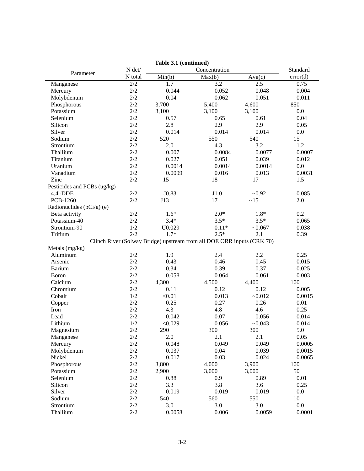|                               |                | rable 3.1 (continued) |                                                                        |          |          |
|-------------------------------|----------------|-----------------------|------------------------------------------------------------------------|----------|----------|
| Parameter                     | $N$ $\rm det/$ |                       | Concentration                                                          |          | Standard |
|                               | N total        | Min(b)                | Max(b)                                                                 | Avg(c)   | error(d) |
| Manganese                     | 2/2            | 1.7                   | 3.2                                                                    | 2.5      | 0.75     |
| Mercury                       | 2/2            | 0.044                 | 0.052                                                                  | 0.048    | 0.004    |
| Molybdenum                    | 2/2            | 0.04                  | 0.062                                                                  | 0.051    | 0.011    |
| Phosphorous                   | $2/2$          | 3,700                 | 5,400                                                                  | 4,600    | 850      |
| Potassium                     | $2/2$          | 3,100                 | 3,100                                                                  | 3,100    | 0.0      |
| Selenium                      | $2/2$          | 0.57                  | 0.65                                                                   | 0.61     | 0.04     |
| Silicon                       | 2/2            | 2.8                   | 2.9                                                                    | 2.9      | 0.05     |
| Silver                        | 2/2            | 0.014                 | 0.014                                                                  | 0.014    | 0.0      |
| Sodium                        | 2/2            | 520                   | 550                                                                    | 540      | 15       |
| Strontium                     | 2/2            | 2.0                   | 4.3                                                                    | 3.2      | 1.2      |
| Thallium                      | 2/2            | 0.007                 | 0.0084                                                                 | 0.0077   | 0.0007   |
| Titanium                      | $2/2$          | 0.027                 | 0.051                                                                  | 0.039    | 0.012    |
| Uranium                       | 2/2            | 0.0014                | 0.0014                                                                 | 0.0014   | $0.0\,$  |
| Vanadium                      | 2/2            | 0.0099                | 0.016                                                                  | 0.013    | 0.0031   |
| Zinc                          | 2/2            | 15                    | 18                                                                     | 17       | 1.5      |
| Pesticides and PCBs (ug/kg)   |                |                       |                                                                        |          |          |
| 4,4'-DDE                      | 2/2            | J0.83                 | J1.0                                                                   | $-0.92$  | 0.085    |
| PCB-1260                      | 2/2            | J13                   | 17                                                                     | ~15      | 2.0      |
| Radionuclides ( $pCi/g$ ) (e) |                |                       |                                                                        |          |          |
| Beta activity                 | 2/2            | $1.6*$                | $2.0*$                                                                 | $1.8*$   | 0.2      |
| Potassium-40                  | 2/2            | $3.4*$                | $3.5*$                                                                 | $3.5*$   | 0.065    |
| Strontium-90                  | 1/2            | U0.029                | $0.11*$                                                                | $-0.067$ | 0.038    |
| Tritium                       | 2/2            | $1.7*$                | $2.5*$                                                                 | 2.1      | 0.39     |
|                               |                |                       | Clinch River (Solway Bridge) upstream from all DOE ORR inputs (CRK 70) |          |          |
| Metals (mg/kg)                |                |                       |                                                                        |          |          |
| Aluminum                      | 2/2            | 1.9                   | 2.4                                                                    | 2.2      | 0.25     |
| Arsenic                       | 2/2            | 0.43                  | 0.46                                                                   | 0.45     | 0.015    |
| <b>Barium</b>                 | 2/2            | 0.34                  | 0.39                                                                   | 0.37     | 0.025    |
| <b>Boron</b>                  | 2/2            | 0.058                 | 0.064                                                                  | 0.061    | 0.003    |
| Calcium                       | 2/2            | 4,300                 | 4,500                                                                  | 4,400    | 100      |
| Chromium                      | 2/2            | 0.11                  | 0.12                                                                   | 0.12     | 0.005    |
|                               | 1/2            |                       |                                                                        |          |          |
| Cobalt                        |                | < 0.01                | 0.013                                                                  | $-0.012$ | 0.0015   |
| Copper                        | 2/2            | 0.25                  | 0.27                                                                   | 0.26     | 0.01     |
| Iron                          | 2/2            | 4.3                   | 4.8                                                                    | 4.6      | 0.25     |
| Lead                          | 2/2            | 0.042                 | 0.07                                                                   | 0.056    | 0.014    |
| Lithium                       | $1/2\,$        | < 0.029               | 0.056                                                                  | ~10.043  | 0.014    |
| Magnesium                     | $2/2\,$        | 290                   | 300                                                                    | 300      | 5.0      |
| Manganese                     | 2/2            | 2.0                   | 2.1                                                                    | 2.1      | 0.05     |
| Mercury                       | 2/2            | 0.048                 | 0.049                                                                  | 0.049    | 0.0005   |
| Molybdenum                    | $2/2$          | 0.037                 | 0.04                                                                   | 0.039    | 0.0015   |
| Nickel                        | $2/2$          | 0.017                 | 0.03                                                                   | 0.024    | 0.0065   |
| Phosphorous                   | $2/2$          | 3,800                 | 4,000                                                                  | 3,900    | 100      |
| Potassium                     | $2/2$          | 2,900                 | 3,000                                                                  | 3,000    | 50       |
| Selenium                      | 2/2            | 0.88                  | 0.9                                                                    | 0.89     | 0.01     |
| Silicon                       | 2/2            | 3.3                   | 3.8                                                                    | 3.6      | 0.25     |
| Silver                        | 2/2            | 0.019                 | 0.019                                                                  | 0.019    | 0.0      |
| Sodium                        | 2/2            | 540                   | 560                                                                    | 550      | $10\,$   |
| Strontium                     | 2/2            | 3.0                   | 3.0                                                                    | 3.0      | $0.0\,$  |
| Thallium                      | $2/2\,$        | 0.0058                | 0.006                                                                  | 0.0059   | 0.0001   |
|                               |                |                       |                                                                        |          |          |

**Table 3.1 (continued)**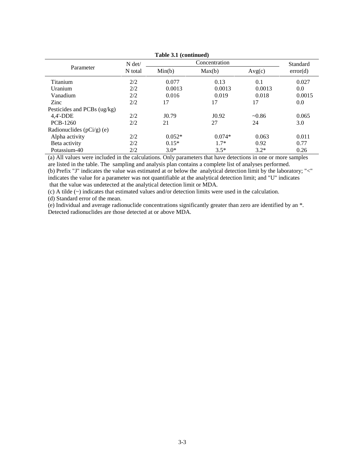|                                                                                 |          | $1.4510 \text{ yr}$ , committed, |               |         |          |
|---------------------------------------------------------------------------------|----------|----------------------------------|---------------|---------|----------|
|                                                                                 | $N \det$ |                                  | Concentration |         | Standard |
| Parameter<br>Titanium<br>Uranium<br>Vanadium<br>Zinc<br>$4,4'$ -DDE<br>PCB-1260 | N total  | Min(b)                           | Max(b)        | Avg(c)  | error(d) |
|                                                                                 | 2/2      | 0.077                            | 0.13          | 0.1     | 0.027    |
|                                                                                 | 2/2      | 0.0013                           | 0.0013        | 0.0013  | 0.0      |
|                                                                                 | 2/2      | 0.016                            | 0.019         | 0.018   | 0.0015   |
|                                                                                 | 2/2      | 17                               | 17            | 17      | 0.0      |
| Pesticides and PCBs (ug/kg)                                                     |          |                                  |               |         |          |
|                                                                                 | 2/2      | J0.79                            | J0.92         | $-0.86$ | 0.065    |
|                                                                                 | 2/2      | 21                               | 27            | 24      | 3.0      |
| Radionuclides $(pCi/g)$ (e)                                                     |          |                                  |               |         |          |
| Alpha activity                                                                  | 2/2      | $0.052*$                         | $0.074*$      | 0.063   | 0.011    |
| Beta activity                                                                   | 2/2      | $0.15*$                          | $1.7*$        | 0.92    | 0.77     |
| Potassium-40                                                                    | 2/2      | $3.0*$                           | $3.5*$        | $3.2*$  | 0.26     |

**Table 3.1 (continued)** 

(a) All values were included in the calculations. Only parameters that have detections in one or more samples are listed in the table. The sampling and analysis plan contains a complete list of analyses performed. (b) Prefix "J" indicates the value was estimated at or below the analytical detection limit by the laboratory; "<" indicates the value for a parameter was not quantifiable at the analytical detection limit; and "U" indicates that the value was undetected at the analytical detection limit or MDA.

(c) A tilde (~) indicates that estimated values and/or detection limits were used in the calculation.

(d) Standard error of the mean.

(e) Individual and average radionuclide concentrations significantly greater than zero are identified by an \*. Detected radionuclides are those detected at or above MDA.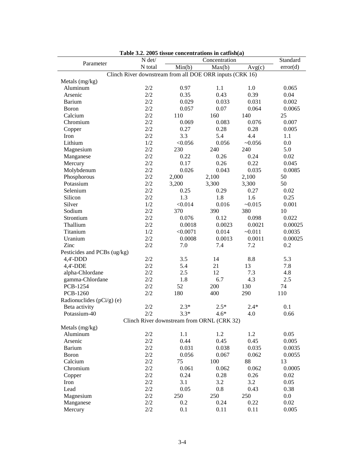|                             | $N \det$ |                                                          | Concentration |          | Standard |
|-----------------------------|----------|----------------------------------------------------------|---------------|----------|----------|
| Parameter                   | N total  | Min(b)                                                   | Max(b)        | Avg(c)   | error(d) |
|                             |          | Clinch River downstream from all DOE ORR inputs (CRK 16) |               |          |          |
| Metals (mg/kg)              |          |                                                          |               |          |          |
| Aluminum                    | 2/2      | 0.97                                                     | 1.1           | 1.0      | 0.065    |
| Arsenic                     | 2/2      | 0.35                                                     | 0.43          | 0.39     | 0.04     |
| <b>Barium</b>               | 2/2      | 0.029                                                    | 0.033         | 0.031    | 0.002    |
| <b>Boron</b>                | $2/2$    | 0.057                                                    | 0.07          | 0.064    | 0.0065   |
| Calcium                     | 2/2      | 110                                                      | 160           | 140      | 25       |
| Chromium                    | 2/2      | 0.069                                                    | 0.083         | 0.076    | 0.007    |
| Copper                      | 2/2      | 0.27                                                     | 0.28          | 0.28     | 0.005    |
| Iron                        | 2/2      | 3.3                                                      | 5.4           | 4.4      | 1.1      |
| Lithium                     | 1/2      | < 0.056                                                  | 0.056         | $-0.056$ | 0.0      |
| Magnesium                   | $2/2$    | 230                                                      | 240           | 240      | 5.0      |
| Manganese                   | 2/2      | 0.22                                                     | 0.26          | 0.24     | 0.02     |
| Mercury                     | 2/2      | 0.17                                                     | 0.26          | 0.22     | 0.045    |
| Molybdenum                  | 2/2      | 0.026                                                    | 0.043         | 0.035    | 0.0085   |
| Phosphorous                 | 2/2      | 2,000                                                    | 2,100         | 2,100    | 50       |
| Potassium                   | 2/2      | 3,200                                                    | 3,300         | 3,300    | 50       |
| Selenium                    | $2/2$    | 0.25                                                     | 0.29          | 0.27     | 0.02     |
| Silicon                     | 2/2      | 1.3                                                      | 1.8           | 1.6      | 0.25     |
| Silver                      | 1/2      | < 0.014                                                  | 0.016         | $-0.015$ | 0.001    |
| Sodium                      | 2/2      | 370                                                      | 390           | 380      | 10       |
| Strontium                   | 2/2      | 0.076                                                    | 0.12          | 0.098    | 0.022    |
| Thallium                    | 2/2      | 0.0018                                                   | 0.0023        | 0.0021   | 0.00025  |
| Titanium                    | 1/2      | < 0.0071                                                 | 0.014         | $-0.011$ | 0.0035   |
| Uranium                     | 2/2      | 0.0008                                                   | 0.0013        | 0.0011   | 0.00025  |
| Zinc                        | 2/2      | 7.0                                                      | 7.4           | 7.2      | 0.2      |
| Pesticides and PCBs (ug/kg) |          |                                                          |               |          |          |
| 4,4'-DDD                    | 2/2      | 3.5                                                      | 14            | 8.8      | 5.3      |
| 4,4'-DDE                    | 2/2      | 5.4                                                      | 21            | 13       | 7.8      |
| alpha-Chlordane             | 2/2      | 2.5                                                      | 12            | 7.3      | 4.8      |
| gamma-Chlordane             | 2/2      | 1.8                                                      | 6.7           | 4.3      | 2.5      |
| PCB-1254                    | 2/2      | 52                                                       | 200           | 130      | 74       |
| PCB-1260                    | 2/2      | 180                                                      | 400           | 290      | 110      |
| Radionuclides (pCi/g) (e)   |          |                                                          |               |          |          |
| Beta activity               | 2/2      | $2.3*$                                                   | $2.5*$        | $2.4*$   | 0.1      |
| Potassium-40                | 2/2      | $3.3*$                                                   | $4.6*$        | 4.0      | 0.66     |
|                             |          | Clinch River downstream from ORNL (CRK 32)               |               |          |          |
| Metals (mg/kg)              |          |                                                          |               |          |          |
| Aluminum                    | 2/2      | 1.1                                                      | 1.2           | 1.2      | 0.05     |
| Arsenic                     | 2/2      | 0.44                                                     | 0.45          | 0.45     | 0.005    |
| Barium                      | 2/2      | 0.031                                                    | 0.038         | 0.035    | 0.0035   |
| Boron                       | $2/2$    | 0.056                                                    | 0.067         | 0.062    | 0.0055   |
| Calcium                     | 2/2      | 75                                                       | 100           | 88       | 13       |
| Chromium                    | 2/2      | 0.061                                                    | 0.062         | 0.062    | 0.0005   |
| Copper                      | 2/2      | 0.24                                                     | 0.28          | 0.26     | 0.02     |
| Iron                        | 2/2      | 3.1                                                      | 3.2           | 3.2      | 0.05     |
| Lead                        | $2/2$    | 0.05                                                     | 0.8           | 0.43     | 0.38     |
| Magnesium                   | 2/2      | 250                                                      | 250           | 250      | 0.0      |
| Manganese                   | 2/2      | 0.2                                                      | 0.24          | 0.22     | 0.02     |
| Mercury                     | 2/2      | 0.1                                                      | 0.11          | 0.11     | 0.005    |

|  |  | Table 3.2. 2005 tissue concentrations in catfish(a) |  |  |
|--|--|-----------------------------------------------------|--|--|
|--|--|-----------------------------------------------------|--|--|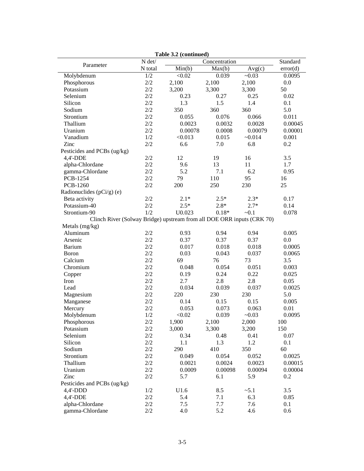|                                                                        |                         | Table 3.2 (continued) |                   |          |          |  |
|------------------------------------------------------------------------|-------------------------|-----------------------|-------------------|----------|----------|--|
| Parameter                                                              | N det/<br>Concentration |                       |                   |          |          |  |
|                                                                        | N total                 | Min(b)                | Max(b)            | Avg(c)   | error(d) |  |
| Molybdenum                                                             | 1/2                     | < 0.02                | 0.039             | $-0.03$  | 0.0095   |  |
| Phosphorous                                                            | 2/2                     | 2,100                 | 2,100             | 2,100    | 0.0      |  |
| Potassium                                                              | 2/2                     | 3,200                 | 3,300             | 3,300    | 50       |  |
| Selenium                                                               | 2/2                     | 0.23                  | 0.27              | 0.25     | 0.02     |  |
| Silicon                                                                | 2/2                     | 1.3                   | 1.5               | 1.4      | 0.1      |  |
| Sodium                                                                 | 2/2                     | 350                   | 360               | 360      | 5.0      |  |
| Strontium                                                              | 2/2                     | 0.055                 | 0.076             | 0.066    | 0.011    |  |
| Thallium                                                               | 2/2                     | 0.0023                | 0.0032            | 0.0028   | 0.00045  |  |
| Uranium                                                                | 2/2                     | 0.00078               | 0.0008            | 0.00079  | 0.00001  |  |
| Vanadium                                                               | 1/2                     | < 0.013               | 0.015             | $-0.014$ | 0.001    |  |
| Zinc                                                                   | 2/2                     | 6.6                   | 7.0               | 6.8      | 0.2      |  |
| Pesticides and PCBs (ug/kg)                                            |                         |                       |                   |          |          |  |
| 4,4'-DDE                                                               | 2/2                     | 12                    | 19                | 16       | 3.5      |  |
| alpha-Chlordane                                                        | 2/2                     | 9.6                   | 13                | 11       | 1.7      |  |
| gamma-Chlordane                                                        | 2/2                     | 5.2                   | 7.1               | 6.2      | 0.95     |  |
| PCB-1254                                                               | 2/2                     | 79                    | 110               | 95       | 16       |  |
| PCB-1260                                                               | 2/2                     | 200                   | 250               | 230      | 25       |  |
| Radionuclides ( $pCi/g$ ) (e)                                          |                         |                       |                   |          |          |  |
| Beta activity                                                          | 2/2                     | $2.1*$                | $2.5*$            | $2.3*$   | 0.17     |  |
| Potassium-40                                                           | $2/2$                   | $2.5*$                | $2.8*$            | $2.7*$   | 0.14     |  |
| Strontium-90                                                           | 1/2                     | U0.023                | $0.18*$           | $-0.1$   | 0.078    |  |
| Clinch River (Solway Bridge) upstream from all DOE ORR inputs (CRK 70) |                         |                       |                   |          |          |  |
| Metals (mg/kg)                                                         |                         |                       |                   |          |          |  |
| Aluminum                                                               | 2/2                     | 0.93                  | 0.94              | 0.94     | 0.005    |  |
| Arsenic                                                                | 2/2                     | 0.37                  | 0.37              | 0.37     | 0.0      |  |
| <b>Barium</b>                                                          | 2/2                     | 0.017                 | 0.018             | 0.018    | 0.0005   |  |
| <b>Boron</b>                                                           | 2/2                     | 0.03                  | 0.043             | 0.037    | 0.0065   |  |
| Calcium                                                                | 2/2                     | 69                    | 76                | 73       | 3.5      |  |
| Chromium                                                               | 2/2                     | 0.048                 | 0.054             | 0.051    | 0.003    |  |
| Copper                                                                 | 2/2                     | 0.19                  | 0.24              | 0.22     | 0.025    |  |
| Iron                                                                   | 2/2                     | 2.7                   | 2.8               | 2.8      | 0.05     |  |
| Lead                                                                   | 2/2                     | 0.034                 | 0.039             | 0.037    | 0.0025   |  |
| Magnesium                                                              | 2/2                     | 220                   | 230               | 230      | 5.0      |  |
| Manganese                                                              | 2/2                     | 0.14                  | 0.15              | 0.15     | 0.005    |  |
| Mercury                                                                | 2/2                     | 0.053                 | 0.073             | 0.063    | 0.01     |  |
| Molybdenum                                                             | 1/2                     | < 0.02                | 0.039             | $-0.03$  | 0.0095   |  |
| Phosphorous                                                            | $2/2\,$                 | 1,900                 | 2,100             | 2,000    | 100      |  |
| Potassium                                                              | 2/2                     | 3,000                 | 3,300             | 3,200    | 150      |  |
| Selenium                                                               | 2/2                     | 0.34                  | 0.48              | 0.41     | 0.07     |  |
| Silicon                                                                | 2/2                     | 1.1                   | 1.3               | 1.2      | 0.1      |  |
| Sodium                                                                 | 2/2                     | 290                   | 410               | 350      | 60       |  |
| Strontium                                                              | $2/2$                   | 0.049                 | 0.054             | 0.052    | 0.0025   |  |
|                                                                        |                         |                       |                   |          |          |  |
| Thallium<br>Uranium                                                    | 2/2<br>2/2              | 0.0021<br>0.0009      | 0.0024<br>0.00098 | 0.0023   | 0.00015  |  |
|                                                                        |                         |                       |                   | 0.00094  | 0.00004  |  |
| Zinc                                                                   | 2/2                     | 5.7                   | 6.1               | 5.9      | 0.2      |  |
| Pesticides and PCBs (ug/kg)                                            |                         |                       |                   |          |          |  |
| $4,4'$ -DDD                                                            | 1/2                     | U1.6                  | 8.5               | $-5.1$   | 3.5      |  |
| 4,4'-DDE                                                               | 2/2                     | 5.4                   | 7.1               | 6.3      | 0.85     |  |
| alpha-Chlordane                                                        | 2/2                     | $7.5\,$               | 7.7               | 7.6      | 0.1      |  |
| gamma-Chlordane                                                        | 2/2                     | 4.0                   | 5.2               | 4.6      | 0.6      |  |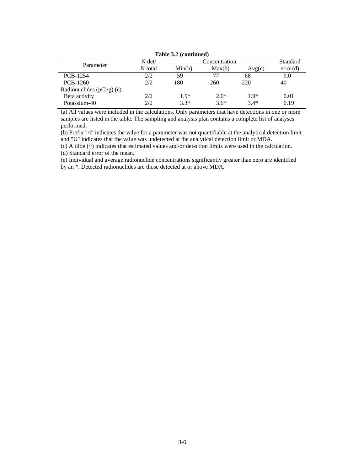| Table 3.2 (continued)       |          |        |          |        |          |  |  |  |  |
|-----------------------------|----------|--------|----------|--------|----------|--|--|--|--|
| Parameter                   | $N \det$ |        | Standard |        |          |  |  |  |  |
|                             | N total  | Min(b) | Max(b)   | Avg(c) | error(d) |  |  |  |  |
| <b>PCB-1254</b>             | 2/2      | 59     | 77       | 68     | 9.0      |  |  |  |  |
| PCB-1260                    | 2/2      | 180    | 260      | 220    | 40       |  |  |  |  |
| Radionuclides $(pCi/g)$ (e) |          |        |          |        |          |  |  |  |  |
| Beta activity               | 2/2      | $1.9*$ | $2.0*$   | $1.9*$ | 0.01     |  |  |  |  |
| Potassium-40                | 2/2      | $3.3*$ | $3.6*$   | $3.4*$ | 0.19     |  |  |  |  |

(a) All values were included in the calculations. Only parameters that have detections in one or more samples are listed in the table. The sampling and analysis plan contains a complete list of analyses performed.

(b) Prefix "<" indicates the value for a parameter was not quantifiable at the analytical detection limit and "U" indicates that the value was undetected at the analytical detection limit or MDA.

(c) A tilde (~) indicates that estimated values and/or detection limits were used in the calculation.

(d) Standard error of the mean.

(e) Individual and average radionuclide concentrations significantly greater than zero are identified by an \*. Detected radionuclides are those detected at or above MDA.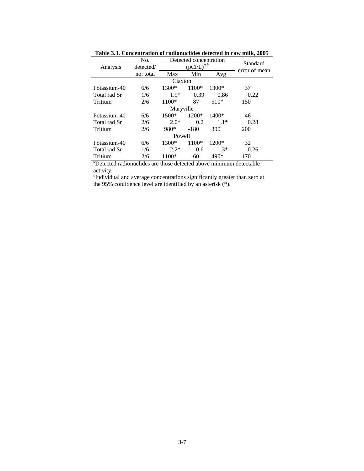|              | No.       | Detected concentration |        |         | Standard<br>error of mean |  |  |
|--------------|-----------|------------------------|--------|---------|---------------------------|--|--|
| Analysis     | detected/ | $(pCi/L)^{a,b}$        |        |         |                           |  |  |
|              | no. total | Max                    | Min    | Avg     |                           |  |  |
| Claxton      |           |                        |        |         |                           |  |  |
| Potassium-40 | 6/6       | 1300*                  | 1100*  | 1300*   | 37                        |  |  |
| Total rad Sr | 1/6       | $1.9*$                 | 0.39   | 0.86    | 0.22                      |  |  |
| Tritium      | 2/6       | 1100*                  | 87     | $510*$  | 150                       |  |  |
| Maryville    |           |                        |        |         |                           |  |  |
| Potassium-40 | 6/6       | $1500*$                | 1200*  | $1400*$ | 46                        |  |  |
| Total rad Sr | 2/6       | $2.0*$                 | 0.2    | $1.1*$  | 0.28                      |  |  |
| Tritium      | 2/6       | 980*                   | $-180$ | 390     | 200                       |  |  |
| Powell       |           |                        |        |         |                           |  |  |
| Potassium-40 | 6/6       | 1300*                  | 1100*  | 1200*   | 32                        |  |  |
| Total rad Sr | 1/6       | $2.2*$                 | 0.6    | $1.3*$  | 0.26                      |  |  |
| Tritium      | 2/6       | 1100*                  | -60    | $490*$  | 170                       |  |  |

**Table 3.3. Concentration of radionuclides detected in raw milk, 2005** 

*a* Detected radionuclides are those detected above minimum detectable activity.

*b* Individual and average concentrations significantly greater than zero at the 95% confidence level are identified by an asterisk (\*).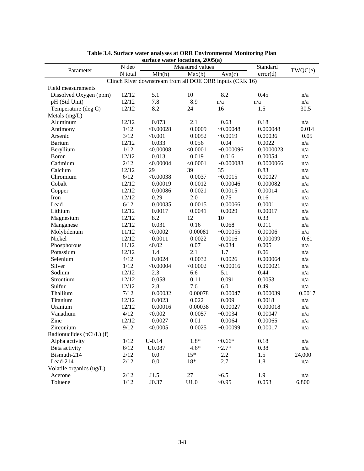| surface water locations, 2005(a)                         |                           |            |          |             |           |        |  |  |
|----------------------------------------------------------|---------------------------|------------|----------|-------------|-----------|--------|--|--|
| Parameter                                                | N det/<br>Measured values |            |          | Standard    | TWQC(e)   |        |  |  |
|                                                          | N total                   | Min(b)     | Max(b)   | Avg(c)      | error(d)  |        |  |  |
| Clinch River downstream from all DOE ORR inputs (CRK 16) |                           |            |          |             |           |        |  |  |
| Field measurements                                       |                           |            |          |             |           |        |  |  |
| Dissolved Oxygen (ppm)                                   | 12/12                     | 5.1        | 10       | 8.2         | 0.45      | n/a    |  |  |
| pH (Std Unit)                                            | 12/12                     | 7.8        | 8.9      | n/a         | n/a       | n/a    |  |  |
| Temperature (deg C)                                      | 12/12                     | 8.2        | 24       | 16          | 1.5       | 30.5   |  |  |
| Metals (mg/L)                                            |                           |            |          |             |           |        |  |  |
| Aluminum                                                 | 12/12                     | 0.073      | 2.1      | 0.63        | 0.18      | n/a    |  |  |
| Antimony                                                 | 1/12                      | < 0.00028  | 0.0009   | ~10.00048   | 0.000048  | 0.014  |  |  |
| Arsenic                                                  | 3/12                      | < 0.001    | 0.0052   | $-0.0019$   | 0.00036   | 0.05   |  |  |
| <b>Barium</b>                                            | 12/12                     | 0.033      | 0.056    | 0.04        | 0.0022    | n/a    |  |  |
| Beryllium                                                | 1/12                      | < 0.00008  | < 0.0001 | $-0.000096$ | 0.0000023 | n/a    |  |  |
| Boron                                                    | 12/12                     | 0.013      | 0.019    | 0.016       | 0.00054   | n/a    |  |  |
| Cadmium                                                  | 2/12                      | < 0.00004  | < 0.0001 | ~10.000088  | 0.0000066 | n/a    |  |  |
| Calcium                                                  | 12/12                     | 29         | 39       | 35          | 0.83      | n/a    |  |  |
| Chromium                                                 | 6/12                      | < 0.00038  | 0.0037   | $-0.0015$   | 0.00027   | n/a    |  |  |
| Cobalt                                                   | 12/12                     | 0.00019    | 0.0012   | 0.00046     | 0.000082  | n/a    |  |  |
| Copper                                                   | 12/12                     | 0.00086    | 0.0021   | 0.0015      | 0.00014   | n/a    |  |  |
| Iron                                                     | 12/12                     | 0.29       | 2.0      | 0.75        | 0.16      | n/a    |  |  |
| Lead                                                     | 6/12                      | 0.00035    | 0.0015   | 0.00066     | 0.0001    | n/a    |  |  |
| Lithium                                                  | 12/12                     | 0.0017     | 0.0041   | 0.0029      | 0.00017   | n/a    |  |  |
| Magnesium                                                | 12/12                     | 8.2        | 12       | 10          | 0.33      | n/a    |  |  |
| Manganese                                                | 12/12                     | 0.031      | 0.16     | 0.068       | 0.011     | n/a    |  |  |
| Molybdenum                                               | 11/12                     | < 0.0002   | 0.00081  | ~10.00055   | 0.00006   | n/a    |  |  |
| Nickel                                                   | 12/12                     | 0.0011     | 0.0022   | 0.0016      | 0.000099  | 0.61   |  |  |
| Phosphorous                                              | 11/12                     | < 0.02     | 0.07     | $-0.034$    | 0.005     | n/a    |  |  |
| Potassium                                                | 12/12                     | 1.4        | 2.1      | 1.7         | 0.06      | n/a    |  |  |
| Selenium                                                 | 4/12                      | 0.0024     | 0.0032   | 0.0026      | 0.000064  | n/a    |  |  |
| Silver                                                   | 1/12                      | < 0.00004  | < 0.0002 | $-0.00016$  | 0.000021  | n/a    |  |  |
| Sodium                                                   | 12/12                     | 2.3        | 6.6      | 5.1         | 0.44      | n/a    |  |  |
| Strontium                                                | 12/12                     | 0.058      | 0.11     | 0.091       | 0.0053    | n/a    |  |  |
| Sulfur                                                   | 12/12                     | 2.8        | 7.6      | 6.0         | 0.49      | n/a    |  |  |
| Thallium                                                 | $7/12$                    | 0.00032    | 0.00078  | 0.00047     | 0.000039  | 0.0017 |  |  |
| Titanium                                                 | 12/12                     | 0.0023     | 0.022    | 0.009       |           | n/a    |  |  |
|                                                          | 12/12                     |            | 0.00038  | 0.00027     | 0.0018    |        |  |  |
| Uranium                                                  |                           | 0.00016    |          |             | 0.000018  | n/a    |  |  |
| Vanadium                                                 | 4/12                      | < 0.002    | 0.0057   | $-0.0034$   | 0.00047   | n/a    |  |  |
| Zinc                                                     | 12/12                     | 0.0027     | 0.01     | 0.0064      | 0.00065   | n/a    |  |  |
| Zirconium                                                | 9/12                      | < 0.0005   | 0.0025   | $-0.00099$  | 0.00017   | n/a    |  |  |
| Radionuclides (pCi/L) (f)                                |                           |            |          |             |           |        |  |  |
| Alpha activity                                           | 1/12                      | $U - 0.14$ | $1.8*$   | $-0.66*$    | 0.18      | n/a    |  |  |
| Beta activity                                            | 6/12                      | U0.087     | $4.6*$   | $~2.7*$     | 0.38      | n/a    |  |  |
| Bismuth-214                                              | 2/12                      | 0.0        | $15*$    | 2.2         | 1.5       | 24,000 |  |  |
| Lead-214                                                 | 2/12                      | 0.0        | $18*$    | 2.7         | 1.8       | n/a    |  |  |
| Volatile organics (ug/L)                                 |                           |            |          |             |           |        |  |  |
| Acetone                                                  | 2/12                      | J1.5       | 27       | $~1 - 6.5$  | 1.9       | n/a    |  |  |
| Toluene                                                  | 1/12                      | J0.37      | U1.0     | $-0.95$     | 0.053     | 6,800  |  |  |

## **Table 3.4. Surface water analyses at ORR Environmental Monitoring Plan**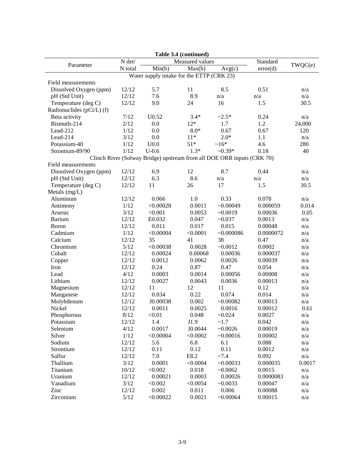|                           |         |                                                                        | Table 3.4 (continued) |             |           |         |
|---------------------------|---------|------------------------------------------------------------------------|-----------------------|-------------|-----------|---------|
|                           | N det/  |                                                                        | Measured values       |             | Standard  |         |
| Parameter                 | N total | Min(b)                                                                 | Max(b)                | Avg(c)      | error(d)  | TWQC(e) |
|                           |         | Water supply intake for the ETTP (CRK 23)                              |                       |             |           |         |
| Field measurements        |         |                                                                        |                       |             |           |         |
| Dissolved Oxygen (ppm)    | 12/12   | 5.7                                                                    | 11                    | 8.5         | 0.51      | n/a     |
| pH (Std Unit)             | 12/12   | 7.6                                                                    | 8.9                   | n/a         | n/a       | n/a     |
| Temperature (deg C)       | 12/12   | 9.0                                                                    | 24                    | 16          | 1.5       | 30.5    |
| Radionuclides (pCi/L) (f) |         |                                                                        |                       |             |           |         |
| Beta activity             | 7/12    | $U$ 0.52                                                               | $3.4*$                | $~2.5*$     | 0.24      | n/a     |
| Bismuth-214               | 2/12    | 0.0                                                                    | $12*$                 | 1.7         | 1.2       | 24,000  |
| Lead-212                  | 1/12    | 0.0                                                                    | $8.0*$                | 0.67        | 0.67      | 120     |
| Lead-214                  | 3/12    | 0.0                                                                    | $11*$                 | $2.0*$      | 1.1       | n/a     |
| Potassium-40              | 1/12    | U <sub>0.0</sub>                                                       | $51*$                 | $~16*$      | 4.6       | 280     |
| Strontium-89/90           | 1/12    | $U-0.6$                                                                | $1.3*$                | $-0.39*$    | 0.18      | 40      |
|                           |         | Clinch River (Solway Bridge) upstream from all DOE ORR inputs (CRK 70) |                       |             |           |         |
| Field measurements        |         |                                                                        |                       |             |           |         |
| Dissolved Oxygen (ppm)    | 12/12   | 6.9                                                                    | 12                    | 8.7         | 0.44      | n/a     |
| pH (Std Unit)             | 12/12   | 6.3                                                                    | 8.6                   | n/a         | n/a       | n/a     |
| Temperature (deg C)       | 12/12   | 11                                                                     | 26                    | 17          | 1.5       | 30.5    |
| Metals (mg/L)             |         |                                                                        |                       |             |           |         |
| Aluminum                  | 12/12   | 0.066                                                                  | 1.0                   | 0.33        | 0.078     | n/a     |
| Antimony                  | 1/12    | < 0.00028                                                              | 0.0011                | $-0.00049$  | 0.000059  | 0.014   |
| Arsenic                   | 3/12    | < 0.001                                                                | 0.0053                | $-0.0019$   | 0.00036   | 0.05    |
| <b>Barium</b>             | 12/12   | E0.032                                                                 | 0.047                 | $-0.037$    | 0.0013    | n/a     |
| Boron                     | 12/12   | 0.011                                                                  | 0.017                 | 0.015       | 0.00048   | n/a     |
| Cadmium                   | 1/12    | < 0.00004                                                              | < 0.0001              | $-0.000086$ | 0.0000072 | n/a     |
| Calcium                   | 12/12   | 35                                                                     | 41                    | 38          | 0.47      | n/a     |
| Chromium                  | 5/12    | < 0.00038                                                              | 0.0028                | $-0.0012$   | 0.0002    | n/a     |
| Cobalt                    | 12/12   | 0.00024                                                                | 0.00068               | 0.00036     | 0.000037  | n/a     |
|                           | 12/12   | 0.0012                                                                 | 0.0062                | 0.0026      | 0.00039   | n/a     |
| Copper<br>Iron            | 12/12   | 0.24                                                                   | 0.87                  | 0.47        | 0.054     | n/a     |
| Lead                      | 4/12    | 0.0003                                                                 | 0.0014                | 0.00056     | 0.00008   |         |
|                           |         |                                                                        |                       |             |           | n/a     |
| Lithium                   | 12/12   | 0.0027                                                                 | 0.0043                | 0.0036      | 0.00013   | n/a     |
| Magnesium                 | 12/12   | 11                                                                     | 12                    | 11          | 0.12      | n/a     |
| Manganese                 | 12/12   | 0.034                                                                  | 0.22                  | 0.074       | 0.014     | n/a     |
| Molybdenum<br>Nickel      | 12/12   | J0.00038                                                               | 0.002                 | ~10.00082   | 0.00013   | n/a     |
|                           | 12/12   | 0.0011                                                                 | 0.0025                | 0.0016      | 0.00012   | 0.61    |
| Phosphorous               | 8/12    | < 0.01                                                                 | 0.048                 | $-0.024$    | 0.0027    | n/a     |
| Potassium                 | 12/12   | 1.4                                                                    | J1.9                  | ~1.7        | 0.042     | n/a     |
| Selenium                  | 4/12    | 0.0017                                                                 | J0.0044               | $-0.0026$   | 0.00019   | n/a     |
| Silver                    | 1/12    | < 0.00004                                                              | < 0.0002              | $-0.00016$  | 0.00002   | n/a     |
| Sodium                    | 12/12   | 5.6                                                                    | 6.8                   | 6.1         | 0.088     | n/a     |
| Strontium                 | 12/12   | 0.11                                                                   | 0.12                  | 0.11        | 0.0012    | n/a     |
| Sulfur                    | 12/12   | 7.0                                                                    | E8.2                  | $~1 - 7.4$  | 0.092     | n/a     |
| Thallium                  | 3/12    | 0.0001                                                                 | < 0.0004              | ~10.00033   | 0.000035  | 0.0017  |
| Titanium                  | 10/12   | < 0.002                                                                | 0.018                 | ~10.0062    | 0.0015    | n/a     |
| Uranium                   | 12/12   | 0.00021                                                                | 0.0003                | 0.00026     | 0.0000083 | n/a     |
| Vanadium                  | 3/12    | < 0.002                                                                | < 0.0054              | ~10.0033    | 0.00047   | n/a     |
| Zinc                      | 12/12   | 0.002                                                                  | 0.011                 | 0.006       | 0.00088   | n/a     |
| Zirconium                 | $5/12$  | < 0.00022                                                              | 0.0021                | $-0.00064$  | 0.00015   | n/a     |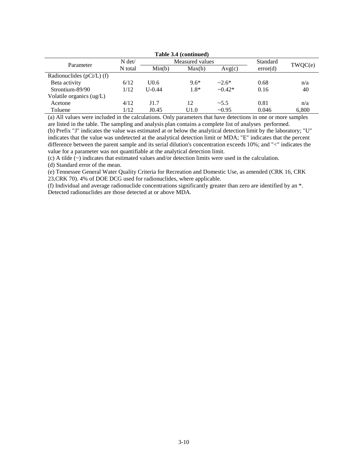| Table 3.4 (continued)     |          |                  |          |              |          |       |  |  |  |
|---------------------------|----------|------------------|----------|--------------|----------|-------|--|--|--|
| Parameter                 | $N \det$ | Measured values  | Standard | TWQC(e)      |          |       |  |  |  |
|                           | N total  | Min(b)           | Max(b)   | Avg(c)       | error(d) |       |  |  |  |
| Radionuclides (pCi/L) (f) |          |                  |          |              |          |       |  |  |  |
| Beta activity             | 6/12     | U <sub>0.6</sub> | $9.6*$   | $~2.6*$      | 0.68     | n/a   |  |  |  |
| Strontium-89/90           | 1/12     | $U-0.44$         | $1.8*$   | $\sim 0.42*$ | 0.16     | 40    |  |  |  |
| Volatile organics (ug/L)  |          |                  |          |              |          |       |  |  |  |
| Acetone                   | 4/12     | J1.7             | 12       | ~15.5        | 0.81     | n/a   |  |  |  |
| Toluene                   | 1/12     | J0.45            | U1.0     | $\sim 0.95$  | 0.046    | 6,800 |  |  |  |

(a) All values were included in the calculations. Only parameters that have detections in one or more samples are listed in the table. The sampling and analysis plan contains a complete list of analyses performed.

(b) Prefix "J" indicates the value was estimated at or below the analytical detection limit by the laboratory; "U" indicates that the value was undetected at the analytical detection limit or MDA; "E" indicates that the percent difference between the parent sample and its serial dilution's concentration exceeds 10%; and "<" indicates the value for a parameter was not quantifiable at the analytical detection limit.

(c) A tilde (~) indicates that estimated values and/or detection limits were used in the calculation.

(d) Standard error of the mean.

(e) Tennessee General Water Quality Criteria for Recreation and Domestic Use, as amended (CRK 16, CRK 23,CRK 70). 4% of DOE DCG used for radionuclides, where applicable.

(f) Individual and average radionuclide concentrations significantly greater than zero are identified by an \*. Detected radionuclides are those detected at or above MDA.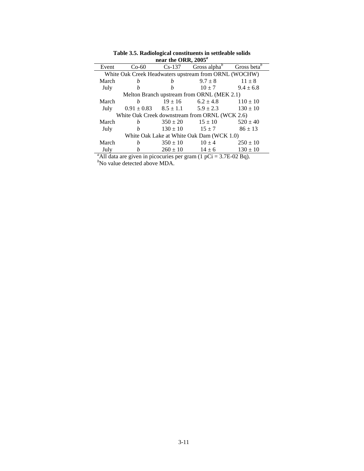|       | $\mu$ and $\mu$ and $\mu$ and $\mu$                   |              |                                                                              |                         |  |  |  |  |  |  |
|-------|-------------------------------------------------------|--------------|------------------------------------------------------------------------------|-------------------------|--|--|--|--|--|--|
| Event | $Co-60$                                               | $Cs-137$     | Gross alpha $\iota$                                                          | Gross beta <sup>b</sup> |  |  |  |  |  |  |
|       | White Oak Creek Headwaters upstream from ORNL (WOCHW) |              |                                                                              |                         |  |  |  |  |  |  |
| March | h                                                     | h            | $9.7 \pm 8$                                                                  | $11 \pm 8$              |  |  |  |  |  |  |
| July  | h                                                     | h            | $10 + 7$                                                                     | $9.4 \pm 6.8$           |  |  |  |  |  |  |
|       |                                                       |              | Melton Branch upstream from ORNL (MEK 2.1)                                   |                         |  |  |  |  |  |  |
| March | h                                                     |              | $19 \pm 16$ 6.2 $\pm 4.8$                                                    | $110 \pm 10$            |  |  |  |  |  |  |
| July  | $0.91 \pm 0.83$ $8.5 \pm 1.1$ $5.9 \pm 2.3$           |              |                                                                              | $130 \pm 10$            |  |  |  |  |  |  |
|       |                                                       |              | White Oak Creek downstream from ORNL (WCK 2.6)                               |                         |  |  |  |  |  |  |
| March | h                                                     | $350 \pm 20$ | $15 \pm 10$                                                                  | $520 \pm 40$            |  |  |  |  |  |  |
| July  | $\boldsymbol{h}$                                      | $130 \pm 10$ | $15 + 7$                                                                     | $86 \pm 13$             |  |  |  |  |  |  |
|       |                                                       |              | White Oak Lake at White Oak Dam (WCK 1.0)                                    |                         |  |  |  |  |  |  |
| March | h                                                     | $350 \pm 10$ | $10 \pm 4$                                                                   | $250 \pm 10$            |  |  |  |  |  |  |
| July  | h                                                     | $260 \pm 10$ | $14 \pm 6$                                                                   | $130 \pm 10$            |  |  |  |  |  |  |
|       |                                                       |              | <sup>a</sup> All data are given in picocuries per gram (1 pCi = 3.7E-02 Bq). |                         |  |  |  |  |  |  |
|       | "No value detected above MDA.                         |              |                                                                              |                         |  |  |  |  |  |  |

**Table 3.5. Radiological constituents in settleable solids near the ORR, 2005***<sup>a</sup>*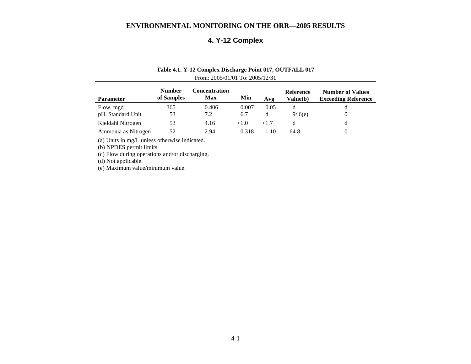# **4. Y-12 Complex**

### **Table 4.1. Y-12 Complex Discharge Point 017, OUTFALL 017**  From: 2005/01/01 To: 2005/12/31

| <b>Parameter</b>    | <b>Number</b><br>of Samples | Concentration<br>Max | Min   | Avg      | Reference<br>Value(b) | <b>Number of Values</b><br><b>Exceeding Reference</b> |
|---------------------|-----------------------------|----------------------|-------|----------|-----------------------|-------------------------------------------------------|
| Flow, mgd           | 365                         | 0.406                | 0.007 | 0.05     |                       |                                                       |
| pH, Standard Unit   | 53                          | 7.2                  | 6.7   | d        | 9/6(e)                | $\theta$                                              |
| Kjeldahl Nitrogen   | 53                          | 4.16                 | <1.0  | ${<}1.7$ |                       | d                                                     |
| Ammonia as Nitrogen | 52                          | 2.94                 | 0.318 | .10      | 64.8                  | $\theta$                                              |

(a) Units in mg/L unless otherwise indicated.

(b) NPDES permit limits.

(c) Flow during operations and/or discharging.

(d) Not applicable.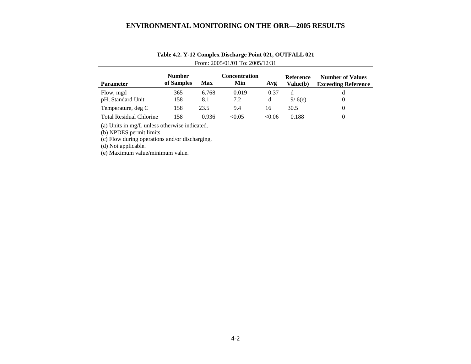| <b>Parameter</b>               | <b>Number</b><br>of Samples | <b>Max</b>   | Concentration<br>Min | Avg       | <b>Reference</b><br><b>Value(b)</b> | <b>Number of Values</b><br><b>Exceeding Reference</b> |
|--------------------------------|-----------------------------|--------------|----------------------|-----------|-------------------------------------|-------------------------------------------------------|
| Flow, mgd<br>pH, Standard Unit | 365<br>158                  | 6.768<br>8.1 | 0.019<br>7.2         | 0.37<br>d | d<br>9/6(e)                         | d<br>0                                                |
| Temperature, deg C             | 158                         | 23.5         | 9.4                  | 16        | 30.5                                | 0                                                     |
| <b>Total Residual Chlorine</b> | 158                         | 0.936        | < 0.05               | < 0.06    | 0.188                               | 0                                                     |

# **Table 4.2. Y-12 Complex Discharge Point 021, OUTFALL 021**  From: 2005/01/01 To: 2005/12/31

(a) Units in mg/L unless otherwise indicated.

(b) NPDES permit limits.

(c) Flow during operations and/or discharging.

(d) Not applicable.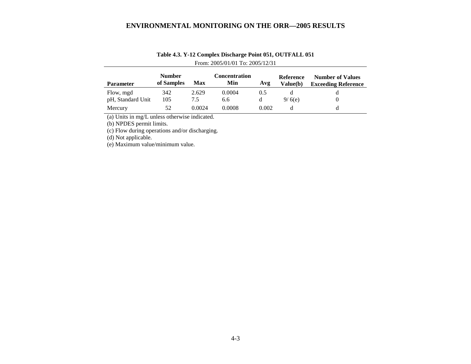| <b>Parameter</b>  | <b>Number</b><br>of Samples | Max    | Concentration<br>Min | Avg   | Reference<br><b>Value(b)</b> | <b>Number of Values</b><br><b>Exceeding Reference</b> |
|-------------------|-----------------------------|--------|----------------------|-------|------------------------------|-------------------------------------------------------|
| Flow, mgd         | 342                         | 2.629  | 0.0004               | (0.5) |                              |                                                       |
| pH, Standard Unit | 105                         | 7.5    | 6.6                  |       | 9/6(e)                       |                                                       |
| Mercury           | 52                          | 0.0024 | 0.0008               | 0.002 | a                            |                                                       |

# **Table 4.3. Y-12 Complex Discharge Point 051, OUTFALL 051**  From: 2005/01/01 To: 2005/12/31

(a) Units in mg/L unless otherwise indicated.

(b) NPDES permit limits.

(c) Flow during operations and/or discharging.

(d) Not applicable.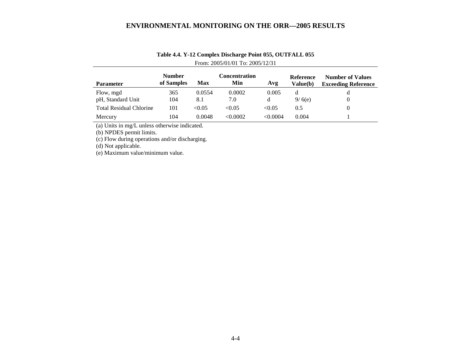| <b>Parameter</b>               | <b>Number</b><br>of Samples | Max           | <b>Concentration</b><br>Min | Avg        | Reference<br>Value(b) | <b>Number of Values</b><br><b>Exceeding Reference</b> |
|--------------------------------|-----------------------------|---------------|-----------------------------|------------|-----------------------|-------------------------------------------------------|
| Flow, mgd<br>pH, Standard Unit | 365<br>104                  | 0.0554<br>8.1 | 0.0002<br>7.0               | 0.005<br>d | 9/6(e)                | đ                                                     |
| <b>Total Residual Chlorine</b> | 101                         | < 0.05        | < 0.05                      | < 0.05     | 0.5                   |                                                       |
| Mercury                        | 104                         | 0.0048        | <0.0002                     | < 0.0004   | 0.004                 |                                                       |

# **Table 4.4. Y-12 Complex Discharge Point 055, OUTFALL 055**  From: 2005/01/01 To: 2005/12/31

(a) Units in mg/L unless otherwise indicated.

(b) NPDES permit limits.

(c) Flow during operations and/or discharging.

(d) Not applicable.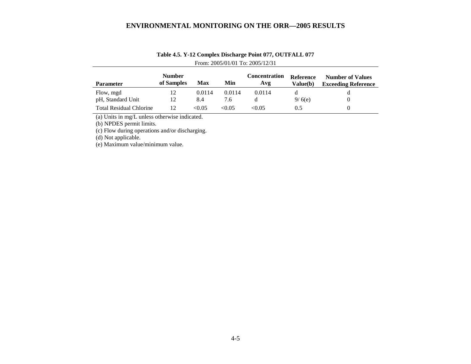| <b>Parameter</b>               | <b>Number</b><br>of Samples | Max    | Min    | Concentration<br>Avg | <b>Reference</b><br><b>Value</b> (b) | <b>Number of Values</b><br><b>Exceeding Reference</b> |
|--------------------------------|-----------------------------|--------|--------|----------------------|--------------------------------------|-------------------------------------------------------|
| Flow, mgd                      | 12                          | 0.0114 | 0.0114 | 0.0114               |                                      |                                                       |
| pH, Standard Unit              | 12                          | 8.4    | 7.6    |                      | 9/6(e)                               |                                                       |
| <b>Total Residual Chlorine</b> | 12                          | < 0.05 | < 0.05 | < 0.05               | 0.5                                  |                                                       |

# **Table 4.5. Y-12 Complex Discharge Point 077, OUTFALL 077**  From: 2005/01/01 To: 2005/12/31

(a) Units in mg/L unless otherwise indicated.

(b) NPDES permit limits.

(c) Flow during operations and/or discharging.

(d) Not applicable.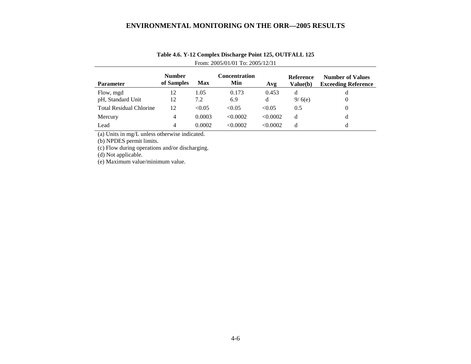| <b>Parameter</b>               | <b>Number</b><br>of Samples | <b>Max</b> | <b>Concentration</b><br>Min | Avg      | Reference<br><b>Value(b)</b> | <b>Number of Values</b><br><b>Exceeding Reference</b> |
|--------------------------------|-----------------------------|------------|-----------------------------|----------|------------------------------|-------------------------------------------------------|
| Flow, mgd                      | 12                          | 1.05       | 0.173                       | 0.453    | d                            | d                                                     |
| pH, Standard Unit              | 12                          | 7.2        | 6.9                         | d        | 9/6(e)                       | 0                                                     |
| <b>Total Residual Chlorine</b> | 12                          | < 0.05     | < 0.05                      | < 0.05   | 0.5                          | 0                                                     |
| Mercury                        | 4                           | 0.0003     | < 0.0002                    | < 0.0002 | d                            | d                                                     |
| Lead                           | 4                           | 0.0002     | < 0.0002                    | < 0.0002 | d                            | d                                                     |

# **Table 4.6. Y-12 Complex Discharge Point 125, OUTFALL 125**  From: 2005/01/01 To: 2005/12/31

(a) Units in mg/L unless otherwise indicated.

(b) NPDES permit limits.

(c) Flow during operations and/or discharging.

 $(d)$  Not applicable.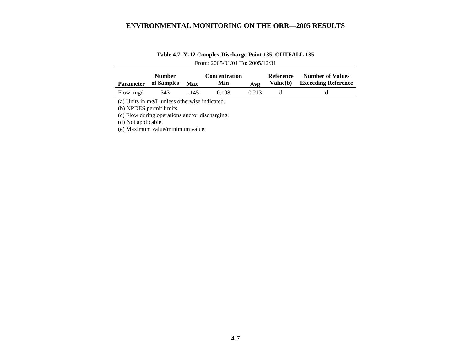| <b>Parameter</b> | <b>Number</b><br>of Samples | <b>Max</b> | <b>Concentration</b><br>Min | A v g | Reference<br>Value(b) | <b>Number of Values</b><br><b>Exceeding Reference</b> |
|------------------|-----------------------------|------------|-----------------------------|-------|-----------------------|-------------------------------------------------------|
| Flow, mgd        | 343                         | 1.145      | 0.108                       | 0.213 |                       |                                                       |

# **Table 4.7. Y-12 Complex Discharge Point 135, OUTFALL 135**  From: 2005/01/01 To: 2005/12/31

(a) Units in mg/L unless otherwise indicated.

(b) NPDES permit limits.

(c) Flow during operations and/or discharging.

(d) Not applicable.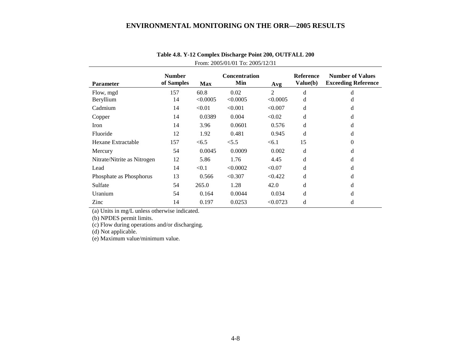| <b>Parameter</b>            | <b>Number</b><br>of Samples | <b>Max</b> | <b>Concentration</b><br>Min | Avg      | <b>Reference</b><br>Value(b) | <b>Number of Values</b><br><b>Exceeding Reference</b> |
|-----------------------------|-----------------------------|------------|-----------------------------|----------|------------------------------|-------------------------------------------------------|
| Flow, mgd                   | 157                         | 60.8       | 0.02                        | 2        | d                            | d                                                     |
| Beryllium                   | 14                          | < 0.0005   | < 0.0005                    | < 0.0005 | d                            | d                                                     |
| Cadmium                     | 14                          | < 0.01     | < 0.001                     | < 0.007  | d                            | d                                                     |
| Copper                      | 14                          | 0.0389     | 0.004                       | < 0.02   | d                            | d                                                     |
| Iron                        | 14                          | 3.96       | 0.0601                      | 0.576    | d                            | d                                                     |
| Fluoride                    | 12                          | 1.92       | 0.481                       | 0.945    | d                            | d                                                     |
| Hexane Extractable          | 157                         | < 6.5      | < 5.5                       | < 6.1    | 15                           | $\theta$                                              |
| Mercury                     | 54                          | 0.0045     | 0.0009                      | 0.002    | d                            | d                                                     |
| Nitrate/Nitrite as Nitrogen | 12                          | 5.86       | 1.76                        | 4.45     | d                            | d                                                     |
| Lead                        | 14                          | < 0.1      | < 0.0002                    | < 0.07   | d                            | d                                                     |
| Phosphate as Phosphorus     | 13                          | 0.566      | < 0.307                     | < 0.422  | d                            | d                                                     |
| Sulfate                     | 54                          | 265.0      | 1.28                        | 42.0     | d                            | d                                                     |
| Uranium                     | 54                          | 0.164      | 0.0044                      | 0.034    | d                            | d                                                     |
| Zinc                        | 14                          | 0.197      | 0.0253                      | < 0.0723 | d                            | d                                                     |

# **Table 4.8. Y-12 Complex Discharge Point 200, OUTFALL 200**  From: 2005/01/01 To: 2005/12/31

(a) Units in mg/L unless otherwise indicated.

(b) NPDES permit limits.

(c) Flow during operations and/or discharging.

(d) Not applicable.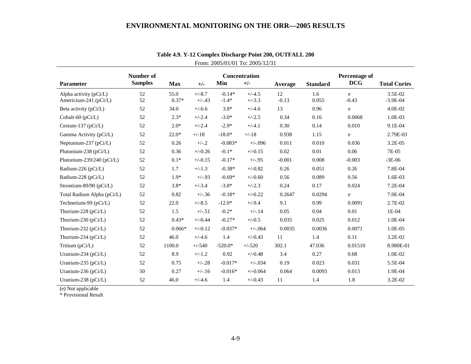|                                                   | Number of      |                 |                      |                     | <b>Concentration</b> |               |                 | Percentage of |                         |
|---------------------------------------------------|----------------|-----------------|----------------------|---------------------|----------------------|---------------|-----------------|---------------|-------------------------|
| <b>Parameter</b>                                  | <b>Samples</b> | <b>Max</b>      | $+/-$                | Min                 | $+/-$                | Average       | <b>Standard</b> | <b>DCG</b>    | <b>Total Curies</b>     |
| Alpha activity $(pCi/L)$<br>Americium-241 (pCi/L) | 52<br>52       | 55.0<br>$0.37*$ | $+/-8.7$<br>$+/-.43$ | $-0.14*$<br>$-1.4*$ | $+/-4.5$<br>$+/-3.3$ | 12<br>$-0.13$ | 1.6<br>0.055    | e<br>$-0.43$  | 3.5E-02<br>$-3.9E - 04$ |
| Beta activity $(pCi/L)$                           | 52             | 34.0            | $+/-6.6$             | $3.8*$              | $+/-4.6$             | 13            | 0.96            | e             | 4.0E-02                 |
| Cobalt-60 (pCi/L)                                 | 52             | $2.3*$          | $+/-2.4$             | $-3.0*$             | $+/-2.5$             | 0.34          | 0.16            | 0.0068        | 1.0E-03                 |
| Cesium-137 ( $pCi/L$ )                            | 52             | $2.0*$          | $+/-2.4$             | $-2.9*$             | $+/-4.1$             | 0.30          | 0.14            | 0.010         | 9.1E-04                 |
| Gamma Activity (pCi/L)                            | 52             | $22.0*$         | $+/-18$              | $-18.0*$            | $+/-18$              | 0.938         | 1.15            | e             | 2.79E-03                |
| Neptunium-237 (pCi/L)                             | 52             | 0.26            | $+/-.2$              | $-0.083*$           | $+/-0.096$           | 0.011         | 0.010           | 0.036         | $3.2E-05$               |
| Plutonium-238 (pCi/L)                             | 52             | 0.36            | $+/-0.26$            | $-0.1*$             | $+/-0.15$            | 0.02          | 0.01            | 0.06          | 7E-05                   |
| Plutonium-239/240 (pCi/L)                         | 52             | $0.1*$          | $+/-0.15$            | $-0.17*$            | $+/-.95$             | $-0.001$      | 0.008           | $-0.003$      | $-3E-06$                |
| Radium-226 (pCi/L)                                | 52             | 1.7             | $+/-1.3$             | $-0.38*$            | $+/-0.82$            | 0.26          | 0.051           | 0.26          | 7.8E-04                 |
| Radium-228 (pCi/L)                                | 52             | $1.9*$          | $+/-.93$             | $-0.69*$            | $+/-0.60$            | 0.56          | 0.089           | 0.56          | 1.6E-03                 |
| Strontium-89/90 (pCi/L)                           | 52             | $3.8*$          | $+/-3.4$             | $-3.8*$             | $+/-2.3$             | 0.24          | 0.17            | 0.024         | 7.2E-04                 |
| Total Radium Alpha (pCi/L)                        | 52             | 0.82            | $+/-.36$             | $-0.18*$            | $+/-0.22$            | 0.2647        | 0.0294          | e             | 7.9E-04                 |
| Technetium-99 (pCi/L)                             | 52             | 22.0            | $+/-8.5$             | $-12.0*$            | $+/-9.4$             | 9.1           | 0.99            | 0.0091        | 2.7E-02                 |
| Thorium-228 ( $pCi/L$ )                           | 52             | 1.5             | $+/-.51$             | $-0.2*$             | $+/-.14$             | 0.05          | 0.04            | 0.01          | 1E-04                   |
| Thorium-230 ( $pCi/L$ )                           | 52             | $0.43*$         | $+/-0.44$            | $-0.27*$            | $+/-0.5$             | 0.035         | 0.025           | 0.012         | 1.0E-04                 |
| Thorium-232 ( $pCi/L$ )                           | 52             | $0.066*$        | $+/-0.12$            | $-0.037*$           | $+/-064$             | 0.0035        | 0.0036          | 0.0071        | 1.0E-05                 |
| Thorium-234 ( $pCi/L$ )                           | 52             | 46.0            | $+/-4.6$             | 1.4                 | $+/-0.43$            | 11            | 1.4             | 0.11          | 3.2E-02                 |
| Tritium $(pCi/L)$                                 | 52             | 1100.0          | $+/-540$             | $-520.0*$           | $+/-520$             | 302.1         | 47.036          | 0.01510       | 8.980E-01               |
| Uranium-234 ( $pCi/L$ )                           | 52             | 8.9             | $+/-1.2$             | 0.92                | $+/-0.48$            | 3.4           | 0.27            | 0.68          | 1.0E-02                 |
| Uranium-235 (pCi/L)                               | 52             | 0.75            | $+/-.28$             | $-0.017*$           | $+/-034$             | 0.19          | 0.023           | 0.031         | 5.5E-04                 |
| Uranium-236 ( $pCi/L$ )                           | 50             | 0.27            | $+/-.16$             | $-0.016*$           | $+/-0.064$           | 0.064         | 0.0093          | 0.013         | 1.9E-04                 |
| Uranium-238 ( $pCi/L$ )                           | 52             | 46.0            | $+/-4.6$             | 1.4                 | $+/-0.43$            | 11            | 1.4             | 1.8           | 3.2E-02                 |

# **Table 4.9. Y-12 Complex Discharge Point 200, OUTFALL 200** From: 2005/01/01 To: 2005/12/31

(e) Not applicable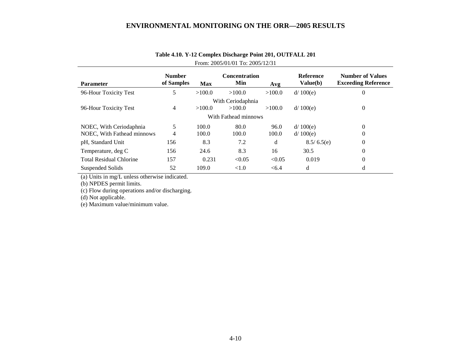| <b>Parameter</b>               | <b>Number</b><br>of Samples | <b>Max</b> | <b>Concentration</b><br>Min | Avg    | <b>Reference</b><br>Value(b) | <b>Number of Values</b><br><b>Exceeding Reference</b> |
|--------------------------------|-----------------------------|------------|-----------------------------|--------|------------------------------|-------------------------------------------------------|
| 96-Hour Toxicity Test          | 5                           | >100.0     | >100.0                      | >100.0 | d/ 100(e)                    | $\overline{0}$                                        |
|                                |                             |            | With Ceriodaphnia           |        |                              |                                                       |
| 96-Hour Toxicity Test          | 4                           | >100.0     | >100.0                      | >100.0 | d/ 100(e)                    | $\theta$                                              |
|                                |                             |            | With Fathead minnows        |        |                              |                                                       |
| NOEC, With Ceriodaphnia        | 5                           | 100.0      | 80.0                        | 96.0   | d/ 100(e)                    | $\Omega$                                              |
| NOEC, With Fathead minnows     | 4                           | 100.0      | 100.0                       | 100.0  | d/ 100(e)                    | 0                                                     |
| pH, Standard Unit              | 156                         | 8.3        | 7.2                         | d      | 8.5/6.5(e)                   | $\theta$                                              |
| Temperature, deg C             | 156                         | 24.6       | 8.3                         | 16     | 30.5                         | $\theta$                                              |
| <b>Total Residual Chlorine</b> | 157                         | 0.231      | < 0.05                      | < 0.05 | 0.019                        | $\Omega$                                              |
| Suspended Solids               | 52                          | 109.0      | < 1.0                       | < 6.4  | d                            | d                                                     |

# **Table 4.10. Y-12 Complex Discharge Point 201, OUTFALL 201**  From: 2005/01/01 To: 2005/12/31

(a) Units in mg/L unless otherwise indicated.

(b) NPDES permit limits.

(c) Flow during operations and/or discharging.

(d) Not applicable.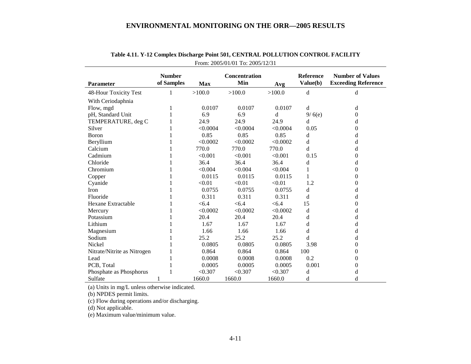| <b>Parameter</b>            | <b>Number</b><br>of Samples | <b>Max</b> | <b>Concentration</b><br>Min | Avg      | <b>Reference</b><br>Value(b) | <b>Number of Values</b><br><b>Exceeding Reference</b> |
|-----------------------------|-----------------------------|------------|-----------------------------|----------|------------------------------|-------------------------------------------------------|
|                             |                             |            |                             |          |                              |                                                       |
| 48-Hour Toxicity Test       | 1                           | >100.0     | >100.0                      | >100.0   | d                            | d                                                     |
| With Ceriodaphnia           |                             |            |                             |          |                              |                                                       |
| Flow, mgd                   |                             | 0.0107     | 0.0107                      | 0.0107   | d                            | d                                                     |
| pH, Standard Unit           |                             | 6.9        | 6.9                         | d        | 9/6(e)                       | 0                                                     |
| TEMPERATURE, deg C          |                             | 24.9       | 24.9                        | 24.9     | d                            | d                                                     |
| Silver                      |                             | < 0.0004   | < 0.0004                    | < 0.0004 | 0.05                         | 0                                                     |
| Boron                       |                             | 0.85       | 0.85                        | 0.85     | d                            | d                                                     |
| Beryllium                   |                             | < 0.0002   | < 0.0002                    | < 0.0002 | d                            | d                                                     |
| Calcium                     |                             | 770.0      | 770.0                       | 770.0    | d                            | d                                                     |
| Cadmium                     |                             | < 0.001    | < 0.001                     | < 0.001  | 0.15                         | 0                                                     |
| Chloride                    |                             | 36.4       | 36.4                        | 36.4     | d                            | d                                                     |
| Chromium                    |                             | < 0.004    | < 0.004                     | < 0.004  |                              | 0                                                     |
| Copper                      |                             | 0.0115     | 0.0115                      | 0.0115   |                              | 0                                                     |
| Cyanide                     |                             | < 0.01     | < 0.01                      | < 0.01   | 1.2                          | 0                                                     |
| Iron                        |                             | 0.0755     | 0.0755                      | 0.0755   | d                            | d                                                     |
| Fluoride                    |                             | 0.311      | 0.311                       | 0.311    | d                            | d                                                     |
| Hexane Extractable          |                             | < 6.4      | < 6.4                       | < 6.4    | 15                           | 0                                                     |
| Mercury                     |                             | < 0.0002   | < 0.0002                    | < 0.0002 | d                            | d                                                     |
| Potassium                   |                             | 20.4       | 20.4                        | 20.4     | d                            | d                                                     |
| Lithium                     |                             | 1.67       | 1.67                        | 1.67     | d                            | d                                                     |
| Magnesium                   |                             | 1.66       | 1.66                        | 1.66     | d                            | d                                                     |
| Sodium                      |                             | 25.2       | 25.2                        | 25.2     | d                            | d                                                     |
| Nickel                      |                             | 0.0805     | 0.0805                      | 0.0805   | 3.98                         | 0                                                     |
| Nitrate/Nitrite as Nitrogen |                             | 0.864      | 0.864                       | 0.864    | 100                          | 0                                                     |
| Lead                        |                             | 0.0008     | 0.0008                      | 0.0008   | 0.2                          | 0                                                     |
| PCB, Total                  |                             | 0.0005     | 0.0005                      | 0.0005   | 0.001                        | 0                                                     |
| Phosphate as Phosphorus     |                             | < 0.307    | < 0.307                     | < 0.307  | d                            | d                                                     |
| Sulfate                     |                             | 1660.0     | 1660.0                      | 1660.0   | d                            | d                                                     |

# **Table 4.11. Y-12 Complex Discharge Point 501, CENTRAL POLLUTION CONTROL FACILITY**  From: 2005/01/01 To: 2005/12/31

(a) Units in mg/L unless otherwise indicated.

(b) NPDES permit limits.

(c) Flow during operations and/or discharging.

(d) Not applicable.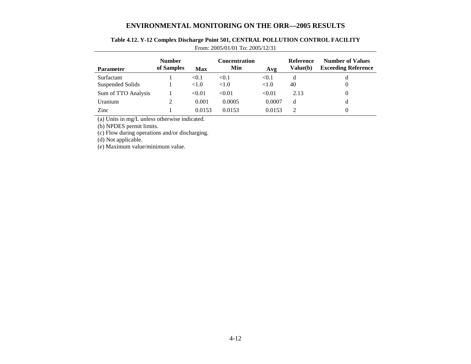| <b>Parameter</b>    | <b>Number</b><br>of Samples | <b>Max</b> | <b>Concentration</b><br>Min | Avg    | Reference<br>Value(b) | <b>Number of Values</b><br><b>Exceeding Reference</b> |
|---------------------|-----------------------------|------------|-----------------------------|--------|-----------------------|-------------------------------------------------------|
| <b>Surfactant</b>   |                             | < 0.1      | < 0.1                       | < 0.1  | d                     | d                                                     |
| Suspended Solids    |                             | <1.0       | < 1.0                       | < 1.0  | 40                    | 0                                                     |
| Sum of TTO Analysis |                             | < 0.01     | < 0.01                      | < 0.01 | 2.13                  | $\Omega$                                              |
| Uranium             | 2                           | 0.001      | 0.0005                      | 0.0007 | d                     | d                                                     |
| Zinc                |                             | 0.0153     | 0.0153                      | 0.0153 | $\mathcal{D}$         | 0                                                     |

## **Table 4.12. Y-12 Complex Discharge Point 501, CENTRAL POLLUTION CONTROL FACILITY**  From: 2005/01/01 To: 2005/12/31

(a) Units in mg/L unless otherwise indicated.

(b) NPDES permit limits.

(c) Flow during operations and/or discharging.

(d) Not applicable.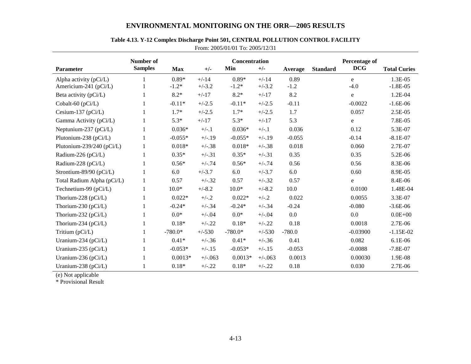|                            | From: 2005/01/01 To: 2005/12/31 |            |           |                      |          |          |                 |                             |                     |  |  |  |
|----------------------------|---------------------------------|------------|-----------|----------------------|----------|----------|-----------------|-----------------------------|---------------------|--|--|--|
| <b>Parameter</b>           | Number of<br><b>Samples</b>     | <b>Max</b> | $+/-$     | Concentration<br>Min | $+/-$    | Average  | <b>Standard</b> | Percentage of<br><b>DCG</b> | <b>Total Curies</b> |  |  |  |
| Alpha activity $(pCi/L)$   |                                 | $0.89*$    | $+/-14$   | $0.89*$              | $+/-14$  | 0.89     |                 | e                           | 1.3E-05             |  |  |  |
| Americium-241 (pCi/L)      |                                 | $-1.2*$    | $+/-3.2$  | $-1.2*$              | $+/-3.2$ | $-1.2$   |                 | $-4.0$                      | $-1.8E-05$          |  |  |  |
| Beta activity (pCi/L)      | 1                               | $8.2*$     | $+/-17$   | $8.2*$               | $+/-17$  | 8.2      |                 | e                           | 1.2E-04             |  |  |  |
| Cobalt-60 (pCi/L)          |                                 | $-0.11*$   | $+/-2.5$  | $-0.11*$             | $+/-2.5$ | $-0.11$  |                 | $-0.0022$                   | $-1.6E-06$          |  |  |  |
| Cesium-137 ( $pCi/L$ )     | $\mathbf{1}$                    | $1.7*$     | $+/-2.5$  | $1.7*$               | $+/-2.5$ | 1.7      |                 | 0.057                       | 2.5E-05             |  |  |  |
| Gamma Activity (pCi/L)     |                                 | $5.3*$     | $+/-17$   | $5.3*$               | $+/-17$  | 5.3      |                 | e                           | 7.8E-05             |  |  |  |
| Neptunium-237 (pCi/L)      |                                 | $0.036*$   | $+/-.1$   | $0.036*$             | $+/-.1$  | 0.036    |                 | 0.12                        | 5.3E-07             |  |  |  |
| Plutonium-238 (pCi/L)      |                                 | $-0.055*$  | $+/-.19$  | $-0.055*$            | $+/-.19$ | $-0.055$ |                 | $-0.14$                     | $-8.1E-07$          |  |  |  |
| Plutonium-239/240 (pCi/L)  | 1                               | $0.018*$   | $+/-.38$  | $0.018*$             | $+/-.38$ | 0.018    |                 | 0.060                       | 2.7E-07             |  |  |  |
| Radium-226 (pCi/L)         | 1                               | $0.35*$    | $+/-.31$  | $0.35*$              | $+/-.31$ | 0.35     |                 | 0.35                        | 5.2E-06             |  |  |  |
| Radium-228 (pCi/L)         |                                 | $0.56*$    | $+/-.74$  | $0.56*$              | $+/-.74$ | 0.56     |                 | 0.56                        | 8.3E-06             |  |  |  |
| Strontium-89/90 (pCi/L)    | 1                               | 6.0        | $+/-3.7$  | 6.0                  | $+/-3.7$ | 6.0      |                 | 0.60                        | 8.9E-05             |  |  |  |
| Total Radium Alpha (pCi/L) | $\mathbf{1}$                    | 0.57       | $+/-.32$  | 0.57                 | $+/-.32$ | 0.57     |                 | e                           | 8.4E-06             |  |  |  |
| Technetium-99 (pCi/L)      |                                 | $10.0*$    | $+/-8.2$  | $10.0*$              | $+/-8.2$ | 10.0     |                 | 0.0100                      | 1.48E-04            |  |  |  |
| Thorium-228 (pCi/L)        |                                 | $0.022*$   | $+/-.2$   | $0.022*$             | $+/-.2$  | 0.022    |                 | 0.0055                      | 3.3E-07             |  |  |  |
| Thorium-230 (pCi/L)        |                                 | $-0.24*$   | $+/-.34$  | $-0.24*$             | $+/-.34$ | $-0.24$  |                 | $-0.080$                    | $-3.6E-06$          |  |  |  |
| Thorium-232 (pCi/L)        | 1                               | $0.0*$     | $+/-0.04$ | $0.0*$               | $+/-.04$ | 0.0      |                 | 0.0                         | $0.0E + 00$         |  |  |  |
| Thorium-234 (pCi/L)        | 1                               | $0.18*$    | $+/-.22$  | $0.18*$              | $+/-.22$ | 0.18     |                 | 0.0018                      | 2.7E-06             |  |  |  |
| Tritium (pCi/L)            | 1                               | $-780.0*$  | $+/-530$  | $-780.0*$            | $+/-530$ | $-780.0$ |                 | $-0.03900$                  | $-1.15E-02$         |  |  |  |
| Uranium-234 (pCi/L)        |                                 | $0.41*$    | $+/-.36$  | $0.41*$              | $+/-.36$ | 0.41     |                 | 0.082                       | $6.1E-06$           |  |  |  |
| Uranium-235 (pCi/L)        | 1                               | $-0.053*$  | $+/-.15$  | $-0.053*$            | $+/-.15$ | $-0.053$ |                 | $-0.0088$                   | $-7.8E-07$          |  |  |  |
| Uranium-236 (pCi/L)        |                                 | $0.0013*$  | $+/-063$  | $0.0013*$            | $+/-063$ | 0.0013   |                 | 0.00030                     | 1.9E-08             |  |  |  |
| Uranium-238 (pCi/L)        |                                 | $0.18*$    | $+/-.22$  | $0.18*$              | $+/-.22$ | 0.18     |                 | 0.030                       | 2.7E-06             |  |  |  |

## **Table 4.13. Y-12 Complex Discharge Point 501, CENTRAL POLLUTION CONTROL FACILITY**

(e) Not applicable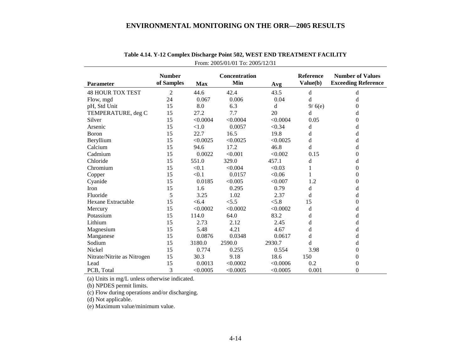| <b>Parameter</b>            | <b>Number</b><br>of Samples | <b>Max</b> | Concentration<br>Min | Avg      | Reference<br>Value(b) | <b>Number of Values</b><br><b>Exceeding Reference</b> |
|-----------------------------|-----------------------------|------------|----------------------|----------|-----------------------|-------------------------------------------------------|
| <b>48 HOUR TOX TEST</b>     | $\overline{2}$              | 44.6       | 42.4                 | 43.5     | d                     | d                                                     |
| Flow, mgd                   | 24                          | 0.067      | 0.006                | 0.04     | d                     | d                                                     |
| pH, Std Unit                | 15                          | 8.0        | 6.3                  | d        | 9/6(e)                | $\overline{0}$                                        |
| TEMPERATURE, deg C          | 15                          | 27.2       | 7.7                  | 20       | d                     | d                                                     |
| Silver                      | 15                          | < 0.0004   | < 0.0004             | < 0.0004 | 0.05                  | 0                                                     |
| Arsenic                     | 15                          | < 1.0      | 0.0057               | < 0.34   | d                     | d                                                     |
| Boron                       | 15                          | 22.7       | 16.5                 | 19.8     | d                     | d                                                     |
| Beryllium                   | 15                          | < 0.0025   | < 0.0025             | < 0.0025 | d                     | d                                                     |
| Calcium                     | 15                          | 94.6       | 17.2                 | 46.8     | d                     | d                                                     |
| Cadmium                     | 15                          | 0.0022     | < 0.001              | < 0.002  | 0.15                  | $\theta$                                              |
| Chloride                    | 15                          | 551.0      | 329.0                | 457.1    | d                     | d                                                     |
| Chromium                    | 15                          | < 0.1      | < 0.004              | < 0.03   | 1                     | $\theta$                                              |
| Copper                      | 15                          | < 0.1      | 0.0157               | < 0.06   |                       | $\overline{0}$                                        |
| Cyanide                     | 15                          | 0.0185     | < 0.005              | < 0.007  | 1.2                   | $\theta$                                              |
| Iron                        | 15                          | 1.6        | 0.295                | 0.79     | d                     | d                                                     |
| Fluoride                    | 5                           | 3.25       | 1.02                 | 2.37     | d                     | d                                                     |
| Hexane Extractable          | 15                          | < 6.4      | < 5.5                | < 5.8    | 15                    | $\overline{0}$                                        |
| Mercury                     | 15                          | < 0.0002   | < 0.0002             | < 0.0002 | d                     | d                                                     |
| Potassium                   | 15                          | 114.0      | 64.0                 | 83.2     | d                     | d                                                     |
| Lithium                     | 15                          | 2.73       | 2.12                 | 2.45     | d                     | d                                                     |
| Magnesium                   | 15                          | 5.48       | 4.21                 | 4.67     | d                     | d                                                     |
| Manganese                   | 15                          | 0.0876     | 0.0348               | 0.0617   | d                     | d                                                     |
| Sodium                      | 15                          | 3180.0     | 2590.0               | 2930.7   | d                     | d                                                     |
| Nickel                      | 15                          | 0.774      | 0.255                | 0.554    | 3.98                  | $\Omega$                                              |
| Nitrate/Nitrite as Nitrogen | 15                          | 30.3       | 9.18                 | 18.6     | 150                   | $\theta$                                              |
| Lead                        | 15                          | 0.0013     | < 0.0002             | < 0.0006 | 0.2                   | $\theta$                                              |
| PCB, Total                  | 3                           | < 0.0005   | < 0.0005             | < 0.0005 | 0.001                 | $\boldsymbol{0}$                                      |

| Table 4.14. Y-12 Complex Discharge Point 502, WEST END TREATMENT FACILITY |  |  |
|---------------------------------------------------------------------------|--|--|
| From: $2005/01/01$ To: $2005/12/31$                                       |  |  |

(a) Units in mg/L unless otherwise indicated.

(b) NPDES permit limits.

(c) Flow during operations and/or discharging.

(d) Not applicable.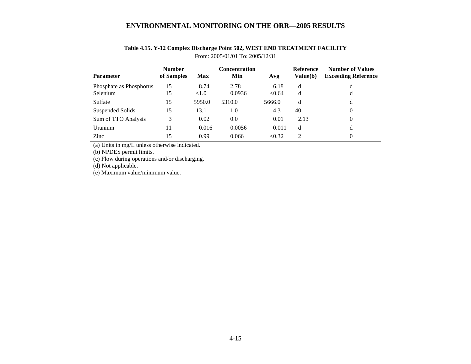| <b>Parameter</b>        | <b>Number</b><br>of Samples | <b>Max</b> | <b>Concentration</b><br>Min | Avg    | <b>Reference</b><br>Value(b) | <b>Number of Values</b><br><b>Exceeding Reference</b> |
|-------------------------|-----------------------------|------------|-----------------------------|--------|------------------------------|-------------------------------------------------------|
| Phosphate as Phosphorus | 15                          | 8.74       | 2.78                        | 6.18   | d                            | d                                                     |
| <b>Selenium</b>         | 15                          | < 1.0      | 0.0936                      | < 0.64 | d                            | d                                                     |
| Sulfate                 | 15                          | 5950.0     | 5310.0                      | 5666.0 | d                            | d                                                     |
| Suspended Solids        | 15                          | 13.1       | 1.0                         | 4.3    | 40                           | 0                                                     |
| Sum of TTO Analysis     | 3                           | 0.02       | 0.0                         | 0.01   | 2.13                         | 0                                                     |
| <b>Uranium</b>          | 11                          | 0.016      | 0.0056                      | 0.011  | d                            | d                                                     |
| Zinc                    | 15                          | 0.99       | 0.066                       | < 0.32 | $\mathfrak{D}$               | 0                                                     |

## **Table 4.15. Y-12 Complex Discharge Point 502, WEST END TREATMENT FACILITY**  From: 2005/01/01 To: 2005/12/31

(a) Units in mg/L unless otherwise indicated.

(b) NPDES permit limits.

(c) Flow during operations and/or discharging.

(d) Not applicable.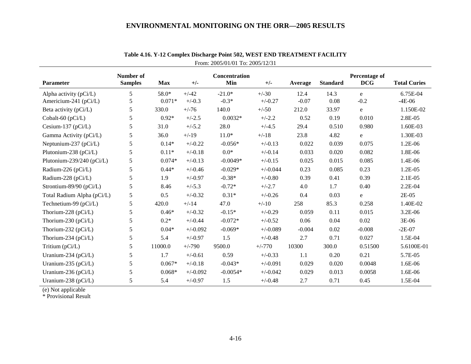| <b>Parameter</b>           | Number of<br><b>Samples</b> | <b>Max</b> | $+/-$      | Concentration<br>Min | $+/-$      | Average  | <b>Standard</b> | Percentage of<br><b>DCG</b> | <b>Total Curies</b> |
|----------------------------|-----------------------------|------------|------------|----------------------|------------|----------|-----------------|-----------------------------|---------------------|
| Alpha activity $(pCi/L)$   | 5                           | 58.0*      | $+/-42$    | $-21.0*$             | $+/-30$    | 12.4     | 14.3            | e                           | 6.75E-04            |
| Americium-241 (pCi/L)      | 5                           | $0.071*$   | $+/-0.3$   | $-0.3*$              | $+/-0.27$  | $-0.07$  | 0.08            | $-0.2$                      | $-4E-06$            |
| Beta activity (pCi/L)      | 5                           | 330.0      | $+/-76$    | 140.0                | $+/-50$    | 212.0    | 33.97           | e                           | 1.150E-02           |
| Cobalt-60 (pCi/L)          | 5                           | $0.92*$    | $+/-2.5$   | $0.0032*$            | $+/-2.2$   | 0.52     | 0.19            | 0.010                       | 2.8E-05             |
| Cesium-137 (pCi/L)         | 5                           | 31.0       | $+/-5.2$   | 28.0                 | $+/-4.5$   | 29.4     | 0.510           | 0.980                       | 1.60E-03            |
| Gamma Activity (pCi/L)     | 5                           | 36.0       | $+/-19$    | $11.0*$              | $+/-18$    | 23.8     | 4.82            | ${\bf e}$                   | 1.30E-03            |
| Neptunium-237 (pCi/L)      | 5                           | $0.14*$    | $+/-0.22$  | $-0.056*$            | $+/-0.13$  | 0.022    | 0.039           | 0.075                       | 1.2E-06             |
| Plutonium-238 (pCi/L)      | 5                           | $0.11*$    | $+/-0.18$  | $0.0*$               | $+/-0.14$  | 0.033    | 0.020           | 0.082                       | 1.8E-06             |
| Plutonium-239/240 (pCi/L)  | 5                           | $0.074*$   | $+/-0.13$  | $-0.0049*$           | $+/-0.15$  | 0.025    | 0.015           | 0.085                       | 1.4E-06             |
| Radium-226 (pCi/L)         | 5                           | $0.44*$    | $+/-0.46$  | $-0.029*$            | $+/-0.044$ | 0.23     | 0.085           | 0.23                        | 1.2E-05             |
| Radium-228 (pCi/L)         | 5                           | 1.9        | $+/-0.97$  | $-0.38*$             | $+/-0.80$  | 0.39     | 0.41            | 0.39                        | 2.1E-05             |
| Strontium-89/90 (pCi/L)    | 5                           | 8.46       | $+/-5.3$   | $-0.72*$             | $+/-2.7$   | 4.0      | 1.7             | 0.40                        | 2.2E-04             |
| Total Radium Alpha (pCi/L) | 5                           | 0.5        | $+/-0.32$  | $0.31*$              | $+/-0.26$  | 0.4      | 0.03            | $\mathbf e$                 | $2E-05$             |
| Technetium-99 (pCi/L)      | 5                           | 420.0      | $+/-14$    | 47.0                 | $+/-10$    | 258      | 85.3            | 0.258                       | 1.40E-02            |
| Thorium-228 (pCi/L)        | 5                           | $0.46*$    | $+/-0.32$  | $-0.15*$             | $+/-0.29$  | 0.059    | 0.11            | 0.015                       | 3.2E-06             |
| Thorium-230 (pCi/L)        | 5                           | $0.2*$     | $+/-0.44$  | $-0.072*$            | $+/-0.52$  | 0.06     | 0.04            | 0.02                        | 3E-06               |
| Thorium-232 (pCi/L)        | 5                           | $0.04*$    | $+/-0.092$ | $-0.069*$            | $+/-0.089$ | $-0.004$ | 0.02            | $-0.008$                    | $-2E-07$            |
| Thorium-234 (pCi/L)        | 5                           | 5.4        | $+/-0.97$  | 1.5                  | $+/-0.48$  | 2.7      | 0.71            | 0.027                       | 1.5E-04             |
| Tritium (pCi/L)            | 5                           | 11000.0    | $+/-790$   | 9500.0               | $+/-770$   | 10300    | 300.0           | 0.51500                     | 5.6100E-01          |
| Uranium-234 (pCi/L)        | 5                           | 1.7        | $+/-0.61$  | 0.59                 | $+/-0.33$  | 1.1      | 0.20            | 0.21                        | 5.7E-05             |
| Uranium-235 (pCi/L)        | 5                           | $0.067*$   | $+/-0.18$  | $-0.043*$            | $+/-0.091$ | 0.029    | 0.020           | 0.0048                      | 1.6E-06             |
| Uranium-236 (pCi/L)        | 5                           | $0.068*$   | $+/-0.092$ | $-0.0054*$           | $+/-0.042$ | 0.029    | 0.013           | 0.0058                      | 1.6E-06             |
| Uranium-238 (pCi/L)        | 5                           | 5.4        | $+/-0.97$  | 1.5                  | $+/-0.48$  | 2.7      | 0.71            | 0.45                        | 1.5E-04             |

# **Table 4.16. Y-12 Complex Discharge Point 502, WEST END TREATMENT FACILITY**  From: 2005/01/01 To: 2005/12/31

(e) Not applicable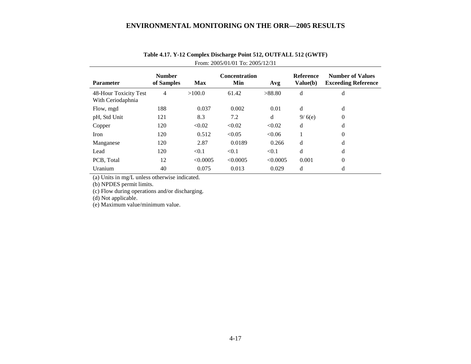| <b>Parameter</b>                           | <b>Number</b><br>of Samples | <b>Max</b> | <b>Concentration</b><br>Min | Avg      | <b>Reference</b><br>Value(b) | <b>Number of Values</b><br><b>Exceeding Reference</b> |
|--------------------------------------------|-----------------------------|------------|-----------------------------|----------|------------------------------|-------------------------------------------------------|
| 48-Hour Toxicity Test<br>With Ceriodaphnia | 4                           | >100.0     | 61.42                       | >88.80   | d                            | d                                                     |
| Flow, mgd                                  | 188                         | 0.037      | 0.002                       | 0.01     | d                            | d                                                     |
| pH, Std Unit                               | 121                         | 8.3        | 7.2                         | d        | 9/6(e)                       | $\theta$                                              |
| Copper                                     | 120                         | < 0.02     | < 0.02                      | < 0.02   | d                            | d                                                     |
| Iron                                       | 120                         | 0.512      | < 0.05                      | < 0.06   |                              | $\mathbf{0}$                                          |
| Manganese                                  | 120                         | 2.87       | 0.0189                      | 0.266    | d                            | d                                                     |
| Lead                                       | 120                         | < 0.1      | < 0.1                       | < 0.1    | d                            | d                                                     |
| PCB, Total                                 | 12                          | < 0.0005   | < 0.0005                    | < 0.0005 | 0.001                        | $\theta$                                              |
| Uranium                                    | 40                          | 0.075      | 0.013                       | 0.029    | d                            | d                                                     |

# **Table 4.17. Y-12 Complex Discharge Point 512, OUTFALL 512 (GWTF)**  From: 2005/01/01 To: 2005/12/31

(a) Units in mg/L unless otherwise indicated.

(b) NPDES permit limits.

(c) Flow during operations and/or discharging.

(d) Not applicable.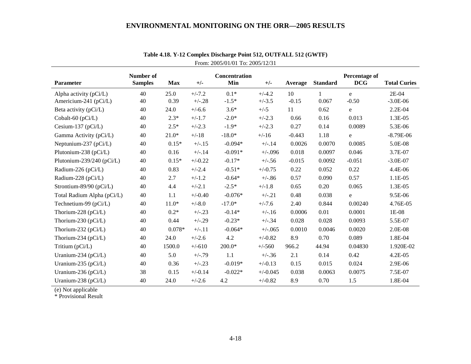|                            | Number of      |            |           | Concentration |            |          |                 | Percentage of |                     |
|----------------------------|----------------|------------|-----------|---------------|------------|----------|-----------------|---------------|---------------------|
| Parameter                  | <b>Samples</b> | <b>Max</b> | $+/-$     | Min           | $+/-$      | Average  | <b>Standard</b> | <b>DCG</b>    | <b>Total Curies</b> |
| Alpha activity $(pCi/L)$   | 40             | 25.0       | $+/-7.2$  | $0.1*$        | $+/-4.2$   | 10       |                 | e             | 2E-04               |
| Americium-241 (pCi/L)      | 40             | 0.39       | $+/-.28$  | $-1.5*$       | $+/-3.5$   | $-0.15$  | 0.067           | $-0.50$       | $-3.0E-06$          |
| Beta activity (pCi/L)      | 40             | 24.0       | $+/-6.6$  | $3.6*$        | $+/-5$     | 11       | 0.62            | $\mathbf e$   | 2.2E-04             |
| Cobalt-60 (pCi/L)          | 40             | $2.3*$     | $+/-1.7$  | $-2.0*$       | $+/-2.3$   | 0.66     | 0.16            | 0.013         | 1.3E-05             |
| Cesium-137 (pCi/L)         | 40             | $2.5*$     | $+/-2.3$  | $-1.9*$       | $+/-2.3$   | 0.27     | 0.14            | 0.0089        | 5.3E-06             |
| Gamma Activity (pCi/L)     | 40             | $21.0*$    | $+/-18$   | $-18.0*$      | $+/-16$    | $-0.443$ | 1.18            | $\mathbf e$   | $-8.79E-06$         |
| Neptunium-237 (pCi/L)      | 40             | $0.15*$    | $+/-.15$  | $-0.094*$     | $+/-.14$   | 0.0026   | 0.0070          | 0.0085        | 5.0E-08             |
| Plutonium-238 (pCi/L)      | 40             | 0.16       | $+/-.14$  | $-0.091*$     | $+/-0.96$  | 0.018    | 0.0097          | 0.046         | 3.7E-07             |
| Plutonium-239/240 (pCi/L)  | 40             | $0.15*$    | $+/-0.22$ | $-0.17*$      | $+/-.56$   | $-0.015$ | 0.0092          | $-0.051$      | $-3.0E-07$          |
| Radium-226 (pCi/L)         | 40             | 0.83       | $+/-2.4$  | $-0.51*$      | $+/-0.75$  | 0.22     | 0.052           | 0.22          | 4.4E-06             |
| Radium-228 (pCi/L)         | 40             | 2.7        | $+/-1.2$  | $-0.64*$      | $+/-.86$   | 0.57     | 0.090           | 0.57          | 1.1E-05             |
| Strontium-89/90 (pCi/L)    | 40             | 4.4        | $+/-2.1$  | $-2.5*$       | $+/-1.8$   | 0.65     | 0.20            | 0.065         | 1.3E-05             |
| Total Radium Alpha (pCi/L) | 40             | 1.1        | $+/-0.40$ | $-0.076*$     | $+/-.21$   | 0.48     | 0.038           | e             | 9.5E-06             |
| Technetium-99 (pCi/L)      | 40             | $11.0*$    | $+/-8.0$  | $-17.0*$      | $+/-7.6$   | 2.40     | 0.844           | 0.00240       | 4.76E-05            |
| Thorium-228 (pCi/L)        | 40             | $0.2*$     | $+/-.23$  | $-0.14*$      | $+/-.16$   | 0.0006   | 0.01            | 0.0001        | $1E-08$             |
| Thorium-230 (pCi/L)        | 40             | 0.44       | $+/-.29$  | $-0.23*$      | $+/-.34$   | 0.028    | 0.028           | 0.0093        | 5.5E-07             |
| Thorium-232 (pCi/L)        | 40             | $0.078*$   | $+/-.11$  | $-0.064*$     | $+/-0.065$ | 0.0010   | 0.0046          | 0.0020        | 2.0E-08             |
| Thorium-234 (pCi/L)        | 40             | 24.0       | $+/-2.6$  | 4.2           | $+/-0.82$  | 8.9      | 0.70            | 0.089         | 1.8E-04             |
| Tritium (pCi/L)            | 40             | 1500.0     | $+/-610$  | $200.0*$      | $+/-560$   | 966.2    | 44.94           | 0.04830       | 1.920E-02           |
| Uranium-234 (pCi/L)        | 40             | 5.0        | $+/-.79$  | 1.1           | $+/-.36$   | 2.1      | 0.14            | 0.42          | 4.2E-05             |
| Uranium-235 (pCi/L)        | 40             | 0.36       | $+/-.23$  | $-0.019*$     | $+/-0.13$  | 0.15     | 0.015           | 0.024         | 2.9E-06             |
| Uranium-236 (pCi/L)        | 38             | 0.15       | $+/-0.14$ | $-0.022*$     | $+/-0.045$ | 0.038    | 0.0063          | 0.0075        | 7.5E-07             |
| Uranium-238 (pCi/L)        | 40             | 24.0       | $+/-2.6$  | 4.2           | $+/-0.82$  | 8.9      | 0.70            | $1.5\,$       | 1.8E-04             |

**Table 4.18. Y-12 Complex Discharge Point 512, OUTFALL 512 (GWTF)**  From: 2005/01/01 To: 2005/12/31

(e) Not applicable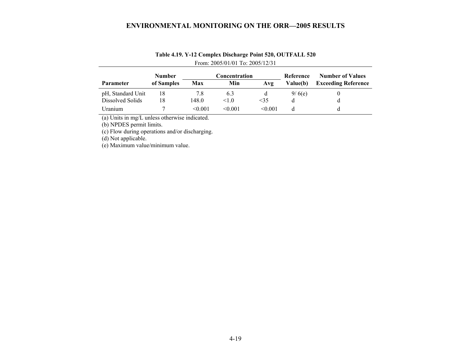|                   | <b>Number</b> |         | Concentration |         | Reference | <b>Number of Values</b>    |
|-------------------|---------------|---------|---------------|---------|-----------|----------------------------|
| <b>Parameter</b>  | of Samples    | Max     | Min           | Avg     | Value(b)  | <b>Exceeding Reference</b> |
| pH, Standard Unit | 18            | 7.8     | 6.3           |         | 9/6(e)    |                            |
| Dissolved Solids  | ۱8            | 148.0   | 1.0           | <35     |           |                            |
| Uranium.          |               | < 0.001 | < 0.001       | < 0.001 |           |                            |

# **Table 4.19. Y-12 Complex Discharge Point 520, OUTFALL 520**  From: 2005/01/01 To: 2005/12/31

(a) Units in mg/L unless otherwise indicated.

(b) NPDES permit limits.

(c) Flow during operations and/or discharging.

(d) Not applicable.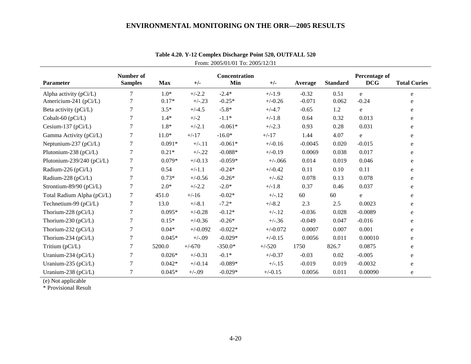| <b>Parameter</b>                                | Number of<br><b>Samples</b> | <b>Max</b>        | $+/-$                | Concentration<br>Min | $+/-$                 | Average             | <b>Standard</b> | Percentage of<br><b>DCG</b> | <b>Total Curies</b> |
|-------------------------------------------------|-----------------------------|-------------------|----------------------|----------------------|-----------------------|---------------------|-----------------|-----------------------------|---------------------|
|                                                 |                             |                   |                      |                      |                       |                     |                 |                             |                     |
| Alpha activity (pCi/L)<br>Americium-241 (pCi/L) | $\tau$<br>$\tau$            | $1.0*$<br>$0.17*$ | $+/-2.2$<br>$+/-.23$ | $-2.4*$<br>$-0.25*$  | $+/-1.9$<br>$+/-0.26$ | $-0.32$<br>$-0.071$ | 0.51<br>0.062   | e<br>$-0.24$                | e                   |
|                                                 |                             |                   |                      |                      |                       |                     |                 |                             | e                   |
| Beta activity (pCi/L)                           | 7                           | $3.5*$            | $+/-4.5$             | $-5.8*$              | $+/-4.7$              | $-0.65$             | 1.2             | e                           | e                   |
| Cobalt-60 (pCi/L)                               | 7                           | $1.4*$            | $+/-2$               | $-1.1*$              | $+/-1.8$              | 0.64                | 0.32            | 0.013                       | e                   |
| Cesium-137 ( $pCi/L$ )                          | 7                           | $1.8*$            | $+/-2.1$             | $-0.061*$            | $+/-2.3$              | 0.93                | 0.28            | 0.031                       | e                   |
| Gamma Activity (pCi/L)                          | 7                           | $11.0*$           | $+/-17$              | $-16.0*$             | $+/-17$               | 1.44                | 4.07            | e                           | e                   |
| Neptunium-237 (pCi/L)                           | $\overline{7}$              | $0.091*$          | $+/-.11$             | $-0.061*$            | $+/-0.16$             | $-0.0045$           | 0.020           | $-0.015$                    | e                   |
| Plutonium-238 (pCi/L)                           | 7                           | $0.21*$           | $+/-.22$             | $-0.088*$            | $+/-0.19$             | 0.0069              | 0.038           | 0.017                       | e                   |
| Plutonium-239/240 (pCi/L)                       | 7                           | $0.079*$          | $+/-0.13$            | $-0.059*$            | $+/-066$              | 0.014               | 0.019           | 0.046                       | e                   |
| Radium-226 (pCi/L)                              | 7                           | 0.54              | $+/-1.1$             | $-0.24*$             | $+/-0.42$             | 0.11                | 0.10            | 0.11                        | e                   |
| Radium-228 (pCi/L)                              | 7                           | $0.73*$           | $+/-0.56$            | $-0.26*$             | $+/-.62$              | 0.078               | 0.13            | 0.078                       | e                   |
| Strontium-89/90 (pCi/L)                         | 7                           | $2.0*$            | $+/-2.2$             | $-2.0*$              | $+/-1.8$              | 0.37                | 0.46            | 0.037                       | e                   |
| Total Radium Alpha (pCi/L)                      | 7                           | 451.0             | $+/-16$              | $-0.02*$             | $+/-.12$              | 60                  | 60              | e                           | e                   |
| Technetium-99 (pCi/L)                           | 7                           | 13.0              | $+/-8.1$             | $-7.2*$              | $+/-8.2$              | 2.3                 | 2.5             | 0.0023                      | e                   |
| Thorium-228 (pCi/L)                             | 7                           | $0.095*$          | $+/-0.28$            | $-0.12*$             | $+/-.12$              | $-0.036$            | 0.028           | $-0.0089$                   | e                   |
| Thorium-230 ( $pCi/L$ )                         | 7                           | $0.15*$           | $+/-0.36$            | $-0.26*$             | $+/-.36$              | $-0.049$            | 0.047           | $-0.016$                    | e                   |
| Thorium-232 (pCi/L)                             | 7                           | $0.04*$           | $+/-0.092$           | $-0.022*$            | $+/-0.072$            | 0.0007              | 0.007           | 0.001                       | e                   |
| Thorium-234 (pCi/L)                             | $\tau$                      | $0.045*$          | $+/-.09$             | $-0.029*$            | $+/-0.15$             | 0.0056              | 0.011           | 0.00010                     | e                   |
| Tritium (pCi/L)                                 | 7                           | 5200.0            | $+/-670$             | $-350.0*$            | $+/-520$              | 1750                | 826.7           | 0.0875                      | e                   |
| Uranium-234 ( $pCi/L$ )                         | 7                           | $0.026*$          | $+/-0.31$            | $-0.1*$              | $+/-0.37$             | $-0.03$             | 0.02            | $-0.005$                    | e                   |
| Uranium-235 ( $pCi/L$ )                         | 7                           | $0.042*$          | $+/-0.14$            | $-0.089*$            | $+/-.15$              | $-0.019$            | 0.019           | $-0.0032$                   | e                   |
| Uranium-238 (pCi/L)                             | 7                           | $0.045*$          | $+/-.09$             | $-0.029*$            | $+/-0.15$             | 0.0056              | 0.011           | 0.00090                     | e                   |

**Table 4.20. Y-12 Complex Discharge Point 520, OUTFALL 520**  From: 2005/01/01 To: 2005/12/31

(e) Not applicable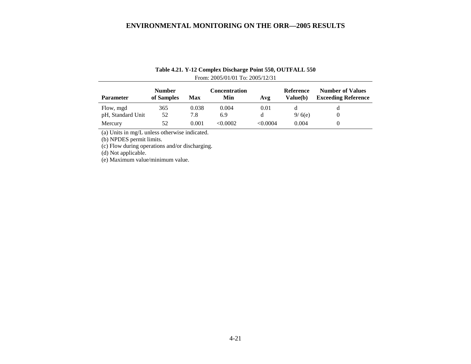| <b>Parameter</b>  | <b>Number</b><br>of Samples | Max   | Concentration<br>Min | Avg      | Reference<br>Value(b) | <b>Number of Values</b><br><b>Exceeding Reference</b> |
|-------------------|-----------------------------|-------|----------------------|----------|-----------------------|-------------------------------------------------------|
| Flow, mgd         | 365                         | 0.038 | 0.004                | 0.01     |                       |                                                       |
| pH, Standard Unit | 52                          | 7.8   | 6.9                  | a        | 9/6(e)                |                                                       |
| Mercury           | 52                          | 0.001 | < 0.0002             | < 0.0004 | 0.004                 |                                                       |

## **Table 4.21. Y-12 Complex Discharge Point 550, OUTFALL 550**  From: 2005/01/01 To: 2005/12/31

(a) Units in mg/L unless otherwise indicated.

(b) NPDES permit limits.

(c) Flow during operations and/or discharging.

(d) Not applicable.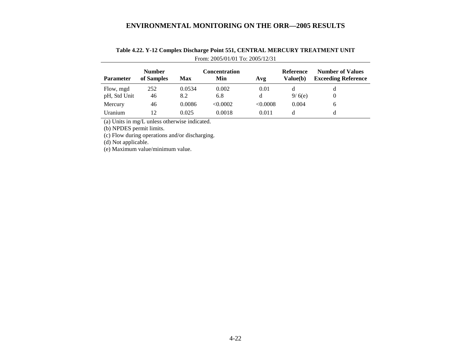| <b>Parameter</b>          | <b>Number</b><br>of Samples | Max           | Concentration<br>Min | Avg       | Reference<br>Value(b) | <b>Number of Values</b><br><b>Exceeding Reference</b> |
|---------------------------|-----------------------------|---------------|----------------------|-----------|-----------------------|-------------------------------------------------------|
| Flow, mgd<br>pH, Std Unit | 252<br>46                   | 0.0534<br>8.2 | 0.002<br>6.8         | 0.01<br>d | d<br>9/6(e)           | d                                                     |
| Mercury                   | 46                          | 0.0086        | < 0.0002             | <0.0008   | 0.004                 | 6                                                     |
| Uranium                   | 12                          | 0.025         | 0.0018               | 0.011     |                       | d                                                     |

## **Table 4.22. Y-12 Complex Discharge Point 551, CENTRAL MERCURY TREATMENT UNIT** From: 2005/01/01 To: 2005/12/31

(a) Units in mg/L unless otherwise indicated.

(b) NPDES permit limits.

(c) Flow during operations and/or discharging.

(d) Not applicable.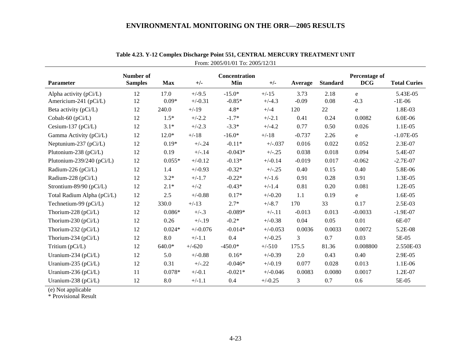| <b>Parameter</b>           | Number of<br><b>Samples</b> | <b>Max</b> | $+/-$      | Concentration<br>Min | $+/-$      | Average  | <b>Standard</b> | Percentage of<br><b>DCG</b> | <b>Total Curies</b> |
|----------------------------|-----------------------------|------------|------------|----------------------|------------|----------|-----------------|-----------------------------|---------------------|
| Alpha activity $(pCi/L)$   | 12                          | 17.0       | $+/-9.5$   | $-15.0*$             | $+/-15$    | 3.73     | 2.18            | e                           | 5.43E-05            |
| Americium-241 (pCi/L)      | 12                          | $0.09*$    | $+/-0.31$  | $-0.85*$             | $+/-4.3$   | $-0.09$  | 0.08            | $-0.3$                      | $-1E-06$            |
| Beta activity (pCi/L)      | 12                          | 240.0      | $+/-19$    | $4.8*$               | $+/-4$     | 120      | 22              | e                           | 1.8E-03             |
| Cobalt-60 $(pCi/L)$        | 12                          | $1.5*$     | $+/-2.2$   | $-1.7*$              | $+/-2.1$   | 0.41     | 0.24            | 0.0082                      | 6.0E-06             |
| Cesium-137 ( $pCi/L$ )     | 12                          | $3.1*$     | $+/-2.3$   | $-3.3*$              | $+/-4.2$   | 0.77     | 0.50            | 0.026                       | $1.1E-05$           |
| Gamma Activity (pCi/L)     | 12                          | $12.0*$    | $+/-18$    | $-16.0*$             | $+/-18$    | $-0.737$ | 2.26            | e                           | $-1.07E-05$         |
| Neptunium-237 $(pCi/L)$    | 12                          | $0.19*$    | $+/-.24$   | $-0.11*$             | $+/-037$   | 0.016    | 0.022           | 0.052                       | 2.3E-07             |
| Plutonium-238 (pCi/L)      | 12                          | 0.19       | $+/-.14$   | $-0.043*$            | $+/-.25$   | 0.038    | 0.018           | 0.094                       | 5.4E-07             |
| Plutonium-239/240 (pCi/L)  | 12                          | $0.055*$   | $+/-0.12$  | $-0.13*$             | $+/-0.14$  | $-0.019$ | 0.017           | $-0.062$                    | $-2.7E-07$          |
| Radium-226 (pCi/L)         | 12                          | 1.4        | $+/-0.93$  | $-0.32*$             | $+/-.25$   | 0.40     | 0.15            | 0.40                        | 5.8E-06             |
| Radium-228 (pCi/L)         | 12                          | $3.2*$     | $+/-1.7$   | $-0.22*$             | $+/-1.6$   | 0.91     | 0.28            | 0.91                        | 1.3E-05             |
| Strontium-89/90 (pCi/L)    | 12                          | $2.1*$     | $+/-2$     | $-0.43*$             | $+/-1.4$   | 0.81     | 0.20            | 0.081                       | 1.2E-05             |
| Total Radium Alpha (pCi/L) | 12                          | 2.5        | $+/-0.88$  | $0.17*$              | $+/-0.20$  | 1.1      | 0.19            | e                           | 1.6E-05             |
| Technetium-99 (pCi/L)      | 12                          | 330.0      | $+/-13$    | $2.7*$               | $+/-8.7$   | 170      | 33              | 0.17                        | 2.5E-03             |
| Thorium-228 (pCi/L)        | 12                          | $0.086*$   | $+/-.3$    | $-0.089*$            | $+/-.11$   | $-0.013$ | 0.013           | $-0.0033$                   | $-1.9E-07$          |
| Thorium-230 (pCi/L)        | 12                          | 0.26       | $+/-.19$   | $-0.2*$              | $+/-0.38$  | 0.04     | 0.05            | 0.01                        | 6E-07               |
| Thorium-232 (pCi/L)        | 12                          | $0.024*$   | $+/-0.076$ | $-0.014*$            | $+/-0.053$ | 0.0036   | 0.0033          | 0.0072                      | 5.2E-08             |
| Thorium-234 (pCi/L)        | 12                          | 8.0        | $+/-1.1$   | 0.4                  | $+/-0.25$  | 3        | 0.7             | 0.03                        | 5E-05               |
| Tritium (pCi/L)            | 12                          | 640.0*     | $+/-620$   | $-450.0*$            | $+/-510$   | 175.5    | 81.36           | 0.008800                    | 2.550E-03           |
| Uranium-234 ( $pCi/L$ )    | 12                          | 5.0        | $+/-0.88$  | $0.16*$              | $+/-0.39$  | 2.0      | 0.43            | 0.40                        | 2.9E-05             |
| Uranium-235 (pCi/L)        | 12                          | 0.31       | $+/-.22$   | $-0.046*$            | $+/-0.19$  | 0.077    | 0.028           | 0.013                       | 1.1E-06             |
| Uranium-236 (pCi/L)        | 11                          | $0.078*$   | $+/-0.1$   | $-0.021*$            | $+/-0.046$ | 0.0083   | 0.0080          | 0.0017                      | 1.2E-07             |
| Uranium-238 (pCi/L)        | 12                          | 8.0        | $+/-1.1$   | 0.4                  | $+/-0.25$  | 3        | 0.7             | 0.6                         | 5E-05               |

|                                 | Table 4.23. Y-12 Complex Discharge Point 551, CENTRAL MERCURY TREATMENT UNIT |
|---------------------------------|------------------------------------------------------------------------------|
| From: 2005/01/01 To: 2005/12/31 |                                                                              |

(e) Not applicable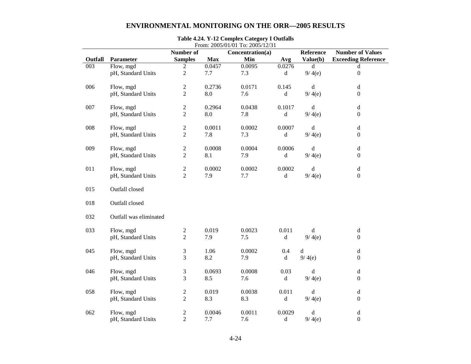|         |                        | Number of      |            | From: 2005/01/01 To: 2005/12/31<br>Concentration(a) |                                                                                              | Reference   | <b>Number of Values</b>    |
|---------|------------------------|----------------|------------|-----------------------------------------------------|----------------------------------------------------------------------------------------------|-------------|----------------------------|
| Outfall | Parameter              | <b>Samples</b> | <b>Max</b> | Min                                                 | Avg                                                                                          | Value(b)    | <b>Exceeding Reference</b> |
| 003     | Flow, mgd              | $\overline{2}$ | 0.0457     | 0.0095                                              | 0.0276                                                                                       | $\mathbf d$ | d                          |
|         | pH, Standard Units     | $\overline{2}$ | 7.7        | 7.3                                                 | $\mathbf d$                                                                                  | 9/4(e)      | $\boldsymbol{0}$           |
| 006     | Flow, mgd              | 2              | 0.2736     | 0.0171                                              | 0.145                                                                                        | d           | d                          |
|         | pH, Standard Units     | $\overline{2}$ | 8.0        | 7.6                                                 | $\mathrm{d}% \left\vert \mathcal{H}\right\vert =\mathrm{d}\left\vert \mathcal{H}\right\vert$ | 9/4(e)      | $\boldsymbol{0}$           |
| 007     | Flow, mgd              | $\overline{c}$ | 0.2964     | 0.0438                                              | 0.1017                                                                                       | d           | d                          |
|         | pH, Standard Units     | $\overline{2}$ | 8.0        | 7.8                                                 | $\rm d$                                                                                      | 9/4(e)      | $\boldsymbol{0}$           |
| 008     | Flow, mgd              | 2              | 0.0011     | 0.0002                                              | 0.0007                                                                                       | $\mathbf d$ | d                          |
|         | pH, Standard Units     | $\overline{2}$ | 7.8        | 7.3                                                 | $\rm d$                                                                                      | 9/4(e)      | $\boldsymbol{0}$           |
| 009     | Flow, mgd              | $\overline{c}$ | 0.0008     | 0.0004                                              | 0.0006                                                                                       | d           | d                          |
|         | pH, Standard Units     | $\overline{2}$ | 8.1        | 7.9                                                 | $\rm d$                                                                                      | 9/4(e)      | $\boldsymbol{0}$           |
| 011     | Flow, mgd              | 2              | 0.0002     | 0.0002                                              | 0.0002                                                                                       | $\mathbf d$ | d                          |
|         | pH, Standard Units     | $\overline{2}$ | 7.9        | 7.7                                                 | $\rm d$                                                                                      | 9/4(e)      | $\boldsymbol{0}$           |
| 015     | Outfall closed         |                |            |                                                     |                                                                                              |             |                            |
| 018     | Outfall closed         |                |            |                                                     |                                                                                              |             |                            |
| 032     | Outfall was eliminated |                |            |                                                     |                                                                                              |             |                            |
| 033     | Flow, mgd              | $\overline{c}$ | 0.019      | 0.0023                                              | 0.011                                                                                        | d           | $\mathbf d$                |
|         | pH, Standard Units     | $\sqrt{2}$     | 7.9        | 7.5                                                 | d                                                                                            | 9/4(e)      | $\boldsymbol{0}$           |
| 045     | Flow, mgd              | 3              | 1.06       | 0.0002                                              | 0.4                                                                                          | $\mathbf d$ | d                          |
|         | pH, Standard Units     | 3              | 8.2        | 7.9                                                 | $\rm d$                                                                                      | 9/4(e)      | $\boldsymbol{0}$           |
| 046     | Flow, mgd              | 3              | 0.0693     | 0.0008                                              | 0.03                                                                                         | d           | d                          |
|         | pH, Standard Units     | 3              | 8.5        | 7.6                                                 | $\rm d$                                                                                      | 9/4(e)      | $\overline{0}$             |
| 058     | Flow, mgd              | $\overline{c}$ | 0.019      | 0.0038                                              | 0.011                                                                                        | $\mathbf d$ | d                          |
|         | pH, Standard Units     | $\overline{2}$ | 8.3        | 8.3                                                 | $\rm d$                                                                                      | 9/4(e)      | $\boldsymbol{0}$           |
| 062     | Flow, mgd              | $\overline{c}$ | 0.0046     | 0.0011                                              | 0.0029                                                                                       | d           | $\rm d$                    |
|         | pH, Standard Units     | $\overline{2}$ | 7.7        | 7.6                                                 | $\rm d$                                                                                      | 9/4(e)      | $\overline{0}$             |

# **Table 4.24. Y-12 Complex Category I Outfalls**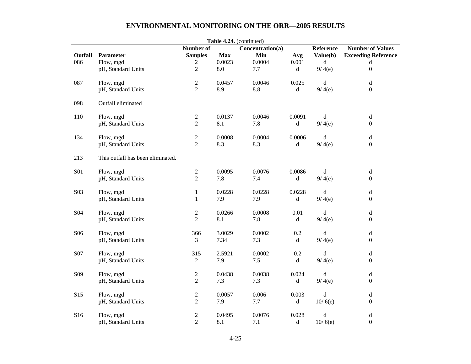|                 |                                   |                  |                    | Table 4.24. (continued) |             |             |                                                                                              |
|-----------------|-----------------------------------|------------------|--------------------|-------------------------|-------------|-------------|----------------------------------------------------------------------------------------------|
|                 |                                   | <b>Number of</b> |                    | Concentration(a)        |             | Reference   | <b>Number of Values</b>                                                                      |
| Outfall         | Parameter                         | <b>Samples</b>   | <b>Max</b>         | Min                     | Avg         | Value(b)    | <b>Exceeding Reference</b>                                                                   |
| 086             | Flow, mgd                         | $\overline{2}$   | 0.0023             | 0.0004                  | 0.001       | d           | $\rm d$                                                                                      |
|                 | pH, Standard Units                | $\overline{2}$   | $\boldsymbol{8.0}$ | 7.7                     | $\mathbf d$ | 9/4(e)      | $\boldsymbol{0}$                                                                             |
| 087             | Flow, mgd                         | $\overline{2}$   | 0.0457             | 0.0046                  | 0.025       | d           | $\rm d$                                                                                      |
|                 | pH, Standard Units                | $\overline{2}$   | 8.9                | 8.8                     | d           | 9/4(e)      | $\boldsymbol{0}$                                                                             |
|                 |                                   |                  |                    |                         |             |             |                                                                                              |
| 098             | Outfall eliminated                |                  |                    |                         |             |             |                                                                                              |
| 110             | Flow, mgd                         | $\overline{c}$   | 0.0137             | 0.0046                  | 0.0091      | d           | $\mathrm{d}% \left\  \mathcal{H}\right\  _{A}$                                               |
|                 | pH, Standard Units                | $\overline{2}$   | 8.1                | 7.8                     | d           | 9/4(e)      | $\boldsymbol{0}$                                                                             |
|                 |                                   |                  |                    |                         |             |             |                                                                                              |
| 134             | Flow, mgd                         | $\overline{2}$   | 0.0008             | 0.0004                  | 0.0006      | d           | $\rm d$                                                                                      |
|                 | pH, Standard Units                | $\overline{2}$   | 8.3                | 8.3                     | d           | 9/4(e)      | $\boldsymbol{0}$                                                                             |
|                 |                                   |                  |                    |                         |             |             |                                                                                              |
| 213             | This outfall has been eliminated. |                  |                    |                         |             |             |                                                                                              |
| <b>S01</b>      | Flow, mgd                         | $\sqrt{2}$       | 0.0095             | 0.0076                  | 0.0086      | $\mathbf d$ | $\rm d$                                                                                      |
|                 | pH, Standard Units                | $\overline{2}$   | 7.8                | 7.4                     | d           | 9/4(e)      | $\boldsymbol{0}$                                                                             |
|                 |                                   |                  |                    |                         |             |             |                                                                                              |
| S03             | Flow, mgd                         | $\mathbf{1}$     | 0.0228             | 0.0228                  | 0.0228      | d           | $\mathbf d$                                                                                  |
|                 | pH, Standard Units                | $\mathbf{1}$     | 7.9                | 7.9                     | d           | 9/4(e)      | $\boldsymbol{0}$                                                                             |
|                 |                                   |                  |                    |                         |             |             |                                                                                              |
| S <sub>04</sub> | Flow, mgd                         | $\sqrt{2}$       | 0.0266             | 0.0008                  | 0.01        | d           | $\mathrm{d}% \left\  \mathbf{G}\right\  ^{2}$                                                |
|                 | pH, Standard Units                | $\overline{2}$   | 8.1                | 7.8                     | $\mathbf d$ | 9/4(e)      | $\boldsymbol{0}$                                                                             |
|                 |                                   |                  |                    |                         |             |             |                                                                                              |
| S <sub>06</sub> | Flow, mgd                         | 366              | 3.0029             | 0.0002                  | 0.2         | d           | $\mathrm{d}% \left\vert \mathcal{H}\right\vert =\mathrm{d}\left\vert \mathcal{H}\right\vert$ |
|                 | pH, Standard Units                | 3                | 7.34               | 7.3                     | $\mathbf d$ | 9/4(e)      | $\boldsymbol{0}$                                                                             |
| S07             | Flow, mgd                         | 315              | 2.5921             | 0.0002                  | 0.2         | d           | $\mathrm{d}% \left\  \mathbf{G}\right\  ^{2}$                                                |
|                 | pH, Standard Units                | $\overline{2}$   | 7.9                | 7.5                     | $\mathbf d$ | 9/4(e)      | $\boldsymbol{0}$                                                                             |
|                 |                                   |                  |                    |                         |             |             |                                                                                              |
| S09             | Flow, mgd                         | $\overline{c}$   | 0.0438             | 0.0038                  | 0.024       | d           | $\mathrm{d}% \left\vert \mathcal{H}\right\vert =\mathrm{d}\left\vert \mathcal{H}\right\vert$ |
|                 | pH, Standard Units                | $\overline{2}$   | 7.3                | 7.3                     | d           | 9/4(e)      | $\boldsymbol{0}$                                                                             |
|                 |                                   |                  |                    |                         |             |             |                                                                                              |
| S15             | Flow, mgd                         | $\sqrt{2}$       | 0.0057             | 0.006                   | 0.003       | d           | $\mathrm{d}% \left\vert \mathcal{H}\right\vert =\mathrm{d}\left\vert \mathcal{H}\right\vert$ |
|                 | pH, Standard Units                | $\overline{2}$   | 7.9                | 7.7                     | d           | 10/6(e)     | $\boldsymbol{0}$                                                                             |
|                 |                                   |                  |                    |                         |             |             |                                                                                              |
| S16             | Flow, mgd                         | $\mathfrak{2}$   | 0.0495             | 0.0076                  | 0.028       | $\rm d$     | $\mathrm{d}% \left\  \mathbf{G}\right\  ^{2}$                                                |
|                 | pH, Standard Units                | $\overline{2}$   | 8.1                | 7.1                     | d           | 10/6(e)     | $\boldsymbol{0}$                                                                             |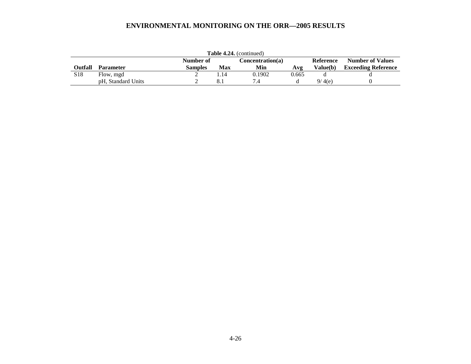|                 | <b>Table 4.24.</b> (continued) |                |     |                  |       |                  |                            |
|-----------------|--------------------------------|----------------|-----|------------------|-------|------------------|----------------------------|
|                 |                                | Number of      |     | Concentration(a) |       | <b>Reference</b> | <b>Number of Values</b>    |
| <b>Outfall</b>  | <b>Parameter</b>               | <b>Samples</b> | Max | Min              | Avg   | Value(b)         | <b>Exceeding Reference</b> |
| S <sub>18</sub> | Flow, mgd                      |                | .14 | 0.1902           | 0.665 |                  |                            |
|                 | pH, Standard Units             |                |     |                  |       | 9/4(e)           |                            |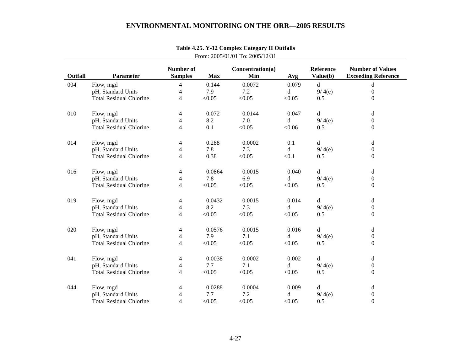|         |                                |                                    |            | <b>110III.</b> $2003/01/01$ 10. $2003/12/31$ |        |                       |                                                       |
|---------|--------------------------------|------------------------------------|------------|----------------------------------------------|--------|-----------------------|-------------------------------------------------------|
| Outfall | Parameter                      | <b>Number of</b><br><b>Samples</b> | <b>Max</b> | Concentration(a)<br>Min                      | Avg    | Reference<br>Value(b) | <b>Number of Values</b><br><b>Exceeding Reference</b> |
| 004     | Flow, mgd                      | 4                                  | 0.144      | 0.0072                                       | 0.079  | $\mathbf d$           | $\mathbf d$                                           |
|         | pH, Standard Units             | 4                                  | 7.9        | 7.2                                          | d      | 9/4(e)                | $\mathbf{0}$                                          |
|         | <b>Total Residual Chlorine</b> | 4                                  | < 0.05     | < 0.05                                       | < 0.05 | 0.5                   | $\boldsymbol{0}$                                      |
| 010     | Flow, mgd                      | 4                                  | 0.072      | 0.0144                                       | 0.047  | $\mathbf d$           | d                                                     |
|         | pH, Standard Units             | 4                                  | 8.2        | 7.0                                          | d      | 9/4(e)                | $\Omega$                                              |
|         | <b>Total Residual Chlorine</b> | 4                                  | 0.1        | < 0.05                                       | < 0.06 | 0.5                   | $\Omega$                                              |
| 014     | Flow, mgd                      | 4                                  | 0.288      | 0.0002                                       | 0.1    | $\mathbf d$           | d                                                     |
|         | pH, Standard Units             | 4                                  | 7.8        | 7.3                                          | d      | 9/4(e)                | $\boldsymbol{0}$                                      |
|         | <b>Total Residual Chlorine</b> | 4                                  | 0.38       | < 0.05                                       | < 0.1  | 0.5                   | $\mathbf{0}$                                          |
| 016     | Flow, mgd                      | 4                                  | 0.0864     | 0.0015                                       | 0.040  | d                     | d                                                     |
|         | pH, Standard Units             | 4                                  | 7.8        | 6.9                                          | d      | 9/4(e)                | $\boldsymbol{0}$                                      |
|         | <b>Total Residual Chlorine</b> | 4                                  | < 0.05     | < 0.05                                       | < 0.05 | 0.5                   | $\mathbf{0}$                                          |
| 019     | Flow, mgd                      | 4                                  | 0.0432     | 0.0015                                       | 0.014  | d                     | d                                                     |
|         | pH, Standard Units             | 4                                  | 8.2        | 7.3                                          | d      | 9/4(e)                | $\boldsymbol{0}$                                      |
|         | <b>Total Residual Chlorine</b> | 4                                  | < 0.05     | < 0.05                                       | < 0.05 | 0.5                   | $\boldsymbol{0}$                                      |
| 020     | Flow, mgd                      | 4                                  | 0.0576     | 0.0015                                       | 0.016  | d                     | d                                                     |
|         | pH, Standard Units             | 4                                  | 7.9        | 7.1                                          | d      | 9/4(e)                | $\boldsymbol{0}$                                      |
|         | <b>Total Residual Chlorine</b> | 4                                  | < 0.05     | < 0.05                                       | < 0.05 | 0.5                   | $\Omega$                                              |
| 041     | Flow, mgd                      | 4                                  | 0.0038     | 0.0002                                       | 0.002  | d                     | d                                                     |
|         | pH, Standard Units             | 4                                  | 7.7        | 7.1                                          | d      | 9/4(e)                | $\mathbf{0}$                                          |
|         | <b>Total Residual Chlorine</b> | 4                                  | < 0.05     | < 0.05                                       | < 0.05 | 0.5                   | $\Omega$                                              |
| 044     | Flow, mgd                      | 4                                  | 0.0288     | 0.0004                                       | 0.009  | d                     | $\mathbf d$                                           |
|         | pH, Standard Units             | 4                                  | 7.7        | 7.2                                          | d      | 9/4(e)                | $\boldsymbol{0}$                                      |
|         | <b>Total Residual Chlorine</b> | 4                                  | < 0.05     | < 0.05                                       | < 0.05 | 0.5                   | $\boldsymbol{0}$                                      |

# **Table 4.25. Y-12 Complex Category II Outfalls**  From: 2005/01/01 To: 2005/12/31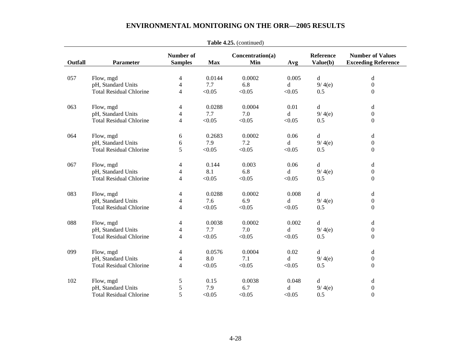|         |                                |                          |            | <b>Table 4.25.</b> (Continued) |        |             |                            |
|---------|--------------------------------|--------------------------|------------|--------------------------------|--------|-------------|----------------------------|
|         |                                | <b>Number of</b>         |            | Concentration(a)               |        | Reference   | <b>Number of Values</b>    |
| Outfall | <b>Parameter</b>               | <b>Samples</b>           | <b>Max</b> | Min                            | Avg    | Value(b)    | <b>Exceeding Reference</b> |
| 057     | Flow, mgd                      | 4                        | 0.0144     | 0.0002                         | 0.005  | d           | d                          |
|         | pH, Standard Units             | $\overline{\mathcal{L}}$ | 7.7        | 6.8                            | d      | 9/4(e)      | $\boldsymbol{0}$           |
|         | <b>Total Residual Chlorine</b> | 4                        | < 0.05     | < 0.05                         | < 0.05 | 0.5         | $\boldsymbol{0}$           |
|         |                                |                          |            |                                |        |             |                            |
| 063     | Flow, mgd                      | 4                        | 0.0288     | 0.0004                         | 0.01   | d           | $\rm d$                    |
|         | pH, Standard Units             | 4                        | 7.7        | 7.0                            | d      | 9/4(e)      | $\boldsymbol{0}$           |
|         | <b>Total Residual Chlorine</b> | 4                        | < 0.05     | < 0.05                         | < 0.05 | 0.5         | $\boldsymbol{0}$           |
| 064     | Flow, mgd                      | 6                        | 0.2683     | 0.0002                         | 0.06   | d           | d                          |
|         | pH, Standard Units             | 6                        | 7.9        | 7.2                            | d      | 9/4(e)      | $\boldsymbol{0}$           |
|         | <b>Total Residual Chlorine</b> | 5                        | < 0.05     | < 0.05                         | < 0.05 | 0.5         | $\boldsymbol{0}$           |
|         |                                |                          |            |                                |        |             |                            |
| 067     | Flow, mgd                      | 4                        | 0.144      | 0.003                          | 0.06   | d           | d                          |
|         | pH, Standard Units             | 4                        | 8.1        | 6.8                            | d      | 9/4(e)      | $\boldsymbol{0}$           |
|         | <b>Total Residual Chlorine</b> | 4                        | < 0.05     | < 0.05                         | < 0.05 | 0.5         | $\boldsymbol{0}$           |
| 083     | Flow, mgd                      | 4                        | 0.0288     | 0.0002                         | 0.008  | $\mathbf d$ | d                          |
|         | pH, Standard Units             | 4                        | 7.6        | 6.9                            | d      | 9/4(e)      | $\boldsymbol{0}$           |
|         | <b>Total Residual Chlorine</b> | 4                        | < 0.05     | < 0.05                         | < 0.05 | 0.5         | $\boldsymbol{0}$           |
| 088     | Flow, mgd                      | 4                        | 0.0038     | 0.0002                         | 0.002  | d           | d                          |
|         | pH, Standard Units             | 4                        | 7.7        | 7.0                            | d      | 9/4(e)      | $\boldsymbol{0}$           |
|         | <b>Total Residual Chlorine</b> | 4                        | < 0.05     | < 0.05                         | < 0.05 | 0.5         | $\boldsymbol{0}$           |
|         |                                |                          |            |                                |        |             |                            |
| 099     | Flow, mgd                      | 4                        | 0.0576     | 0.0004                         | 0.02   | d           | d                          |
|         | pH, Standard Units             | 4                        | 8.0        | 7.1                            | d      | 9/4(e)      | $\boldsymbol{0}$           |
|         | <b>Total Residual Chlorine</b> | 4                        | < 0.05     | < 0.05                         | < 0.05 | 0.5         | $\boldsymbol{0}$           |
| 102     | Flow, mgd                      | 5                        | 0.15       | 0.0038                         | 0.048  | d           | d                          |
|         | pH, Standard Units             | 5                        | 7.9        | 6.7                            | d      | 9/4(e)      | $\boldsymbol{0}$           |
|         | <b>Total Residual Chlorine</b> | 5                        | < 0.05     | < 0.05                         | < 0.05 | 0.5         | $\boldsymbol{0}$           |

**Table 4.25.** (continued)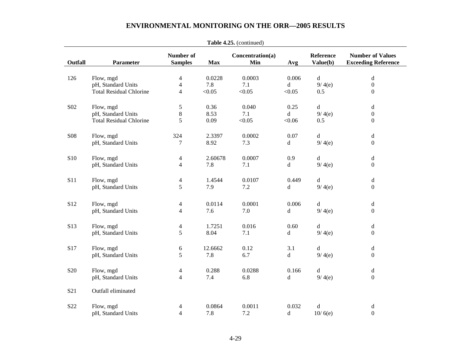|                 |                                |                                    |            | <b>Table 4.25.</b> (Continued) |             |                       |                                                                                              |
|-----------------|--------------------------------|------------------------------------|------------|--------------------------------|-------------|-----------------------|----------------------------------------------------------------------------------------------|
| Outfall         | Parameter                      | <b>Number of</b><br><b>Samples</b> | <b>Max</b> | Concentration(a)<br>Min        | Avg         | Reference<br>Value(b) | <b>Number of Values</b><br><b>Exceeding Reference</b>                                        |
| 126             | Flow, mgd                      | 4                                  | 0.0228     | 0.0003                         | 0.006       | $\mathbf d$           | $\rm d$                                                                                      |
|                 | pH, Standard Units             | $\overline{4}$                     | 7.8        | 7.1                            | d           | 9/4(e)                | $\boldsymbol{0}$                                                                             |
|                 | <b>Total Residual Chlorine</b> | 4                                  | < 0.05     | < 0.05                         | < 0.05      | 0.5                   | $\boldsymbol{0}$                                                                             |
| S02             | Flow, mgd                      | 5                                  | 0.36       | 0.040                          | 0.25        | $\mathbf d$           | d                                                                                            |
|                 | pH, Standard Units             | $8\,$                              | 8.53       | 7.1                            | d           | 9/4(e)                | $\boldsymbol{0}$                                                                             |
|                 | <b>Total Residual Chlorine</b> | 5                                  | 0.09       | < 0.05                         | < 0.06      | 0.5                   | $\boldsymbol{0}$                                                                             |
| <b>S08</b>      | Flow, mgd                      | 324                                | 2.3397     | 0.0002                         | 0.07        | $\mathbf d$           | $\rm d$                                                                                      |
|                 | pH, Standard Units             | 7                                  | 8.92       | 7.3                            | d           | 9/4(e)                | $\boldsymbol{0}$                                                                             |
| S <sub>10</sub> | Flow, mgd                      | 4                                  | 2.60678    | 0.0007                         | 0.9         | d                     | $\mathbf d$                                                                                  |
|                 | pH, Standard Units             | $\overline{4}$                     | 7.8        | 7.1                            | $\mathbf d$ | 9/4(e)                | $\boldsymbol{0}$                                                                             |
| S11             | Flow, mgd                      | $\overline{\mathbf{4}}$            | 1.4544     | 0.0107                         | 0.449       | d                     | $\mathrm{d}% \left\vert \mathcal{H}\right\vert =\mathrm{d}\left\vert \mathcal{H}\right\vert$ |
|                 | pH, Standard Units             | 5                                  | 7.9        | 7.2                            | d           | 9/4(e)                | $\boldsymbol{0}$                                                                             |
| S <sub>12</sub> | Flow, mgd                      | 4                                  | 0.0114     | 0.0001                         | 0.006       | $\rm d$               | $\rm d$                                                                                      |
|                 | pH, Standard Units             | $\overline{4}$                     | 7.6        | 7.0                            | d           | 9/4(e)                | $\boldsymbol{0}$                                                                             |
| S13             | Flow, mgd                      | 4                                  | 1.7251     | 0.016                          | 0.60        | d                     | $\mathbf d$                                                                                  |
|                 | pH, Standard Units             | 5                                  | 8.04       | 7.1                            | $\mathbf d$ | 9/4(e)                | $\boldsymbol{0}$                                                                             |
| S17             | Flow, mgd                      | 6                                  | 12.6662    | 0.12                           | 3.1         | d                     | $\mathbf d$                                                                                  |
|                 | pH, Standard Units             | 5                                  | 7.8        | 6.7                            | d           | 9/4(e)                | $\boldsymbol{0}$                                                                             |
| S <sub>20</sub> | Flow, mgd                      | 4                                  | 0.288      | 0.0288                         | 0.166       | d                     | $\rm d$                                                                                      |
|                 | pH, Standard Units             | $\overline{4}$                     | 7.4        | 6.8                            | d           | 9/4(e)                | $\boldsymbol{0}$                                                                             |
| S <sub>21</sub> | Outfall eliminated             |                                    |            |                                |             |                       |                                                                                              |
| S <sub>22</sub> | Flow, mgd                      | 4                                  | 0.0864     | 0.0011                         | 0.032       | ${\bf d}$             | $\mathbf d$                                                                                  |
|                 | pH, Standard Units             | $\overline{4}$                     | 7.8        | 7.2                            | $\mathbf d$ | 10/6(e)               | $\boldsymbol{0}$                                                                             |

**Table 4.25.** (continued)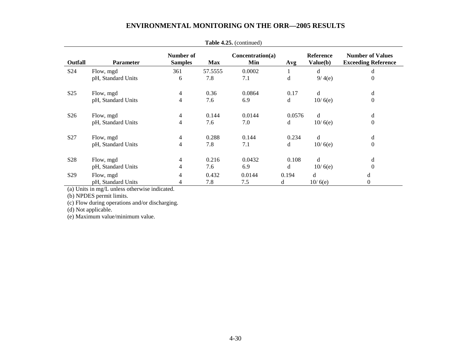|                 | <b>Lavit <math>\pi</math>.</b> 20. (Continued) |                             |            |                         |        |                       |                                                       |
|-----------------|------------------------------------------------|-----------------------------|------------|-------------------------|--------|-----------------------|-------------------------------------------------------|
| Outfall         | <b>Parameter</b>                               | Number of<br><b>Samples</b> | <b>Max</b> | Concentration(a)<br>Min | Avg    | Reference<br>Value(b) | <b>Number of Values</b><br><b>Exceeding Reference</b> |
| S <sub>24</sub> | Flow, mgd                                      | 361                         | 57.5555    | 0.0002                  | 1      | d                     | d                                                     |
|                 | pH, Standard Units                             | 6                           | 7.8        | 7.1                     | d      | 9/4(e)                | $\theta$                                              |
| S <sub>25</sub> | Flow, mgd                                      | 4                           | 0.36       | 0.0864                  | 0.17   | d                     | $\rm d$                                               |
|                 | pH, Standard Units                             | 4                           | 7.6        | 6.9                     | d      | 10/6(e)               | $\boldsymbol{0}$                                      |
| S <sub>26</sub> | Flow, mgd                                      | $\overline{4}$              | 0.144      | 0.0144                  | 0.0576 | d                     | d                                                     |
|                 | pH, Standard Units                             | 4                           | 7.6        | 7.0                     | d      | 10/6(e)               | $\mathbf{0}$                                          |
| S27             | Flow, mgd                                      | 4                           | 0.288      | 0.144                   | 0.234  | d                     | d                                                     |
|                 | pH, Standard Units                             | 4                           | 7.8        | 7.1                     | d      | 10/6(e)               | $\mathbf{0}$                                          |
| S <sub>28</sub> | Flow, mgd                                      | $\overline{4}$              | 0.216      | 0.0432                  | 0.108  | d                     | d                                                     |
|                 | pH, Standard Units                             | 4                           | 7.6        | 6.9                     | d      | 10/6(e)               | $\Omega$                                              |
| S <sub>29</sub> | Flow, mgd                                      | 4                           | 0.432      | 0.0144                  | 0.194  | d                     | d                                                     |
|                 | pH, Standard Units                             | 4                           | 7.8        | 7.5                     | d      | 10/6(e)               | 0                                                     |

| <b>Table 4.25.</b> (continued) |  |
|--------------------------------|--|
|--------------------------------|--|

(a) Units in mg/L unless otherwise indicated.

(b) NPDES permit limits.

(c) Flow during operations and/or discharging.

(d) Not applicable.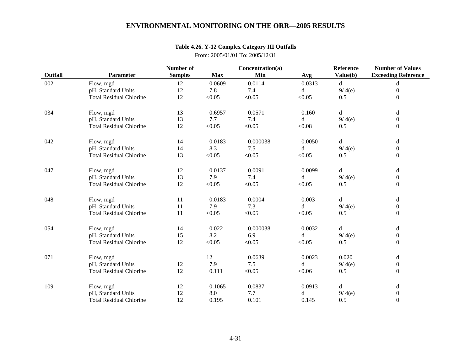| Outfall | Parameter                      | Number of<br><b>Samples</b> | <b>Max</b> | Concentration(a)<br>Min | Avg    | <b>Reference</b><br>Value(b) | <b>Number of Values</b><br><b>Exceeding Reference</b> |
|---------|--------------------------------|-----------------------------|------------|-------------------------|--------|------------------------------|-------------------------------------------------------|
| 002     | Flow, mgd                      | 12                          | 0.0609     | 0.0114                  | 0.0313 | d                            | d                                                     |
|         | pH, Standard Units             | 12                          | 7.8        | 7.4                     | d      | 9/4(e)                       | $\boldsymbol{0}$                                      |
|         | <b>Total Residual Chlorine</b> | 12                          | < 0.05     | < 0.05                  | < 0.05 | 0.5                          | $\overline{0}$                                        |
| 034     | Flow, mgd                      | 13                          | 0.6957     | 0.0571                  | 0.160  | $\rm d$                      | $\mathbf d$                                           |
|         | pH, Standard Units             | 13                          | 7.7        | 7.4                     | d      | 9/4(e)                       | $\boldsymbol{0}$                                      |
|         | <b>Total Residual Chlorine</b> | 12                          | < 0.05     | < 0.05                  | < 0.08 | 0.5                          | $\overline{0}$                                        |
| 042     | Flow, mgd                      | 14                          | 0.0183     | 0.000038                | 0.0050 | d                            | d                                                     |
|         | pH, Standard Units             | 14                          | 8.3        | 7.5                     | d      | 9/4(e)                       | $\boldsymbol{0}$                                      |
|         | <b>Total Residual Chlorine</b> | 13                          | < 0.05     | < 0.05                  | < 0.05 | 0.5                          | $\boldsymbol{0}$                                      |
| 047     | Flow, mgd                      | 12                          | 0.0137     | 0.0091                  | 0.0099 | d                            | d                                                     |
|         | pH, Standard Units             | 13                          | 7.9        | 7.4                     | d      | 9/4(e)                       | $\boldsymbol{0}$                                      |
|         | <b>Total Residual Chlorine</b> | 12                          | < 0.05     | < 0.05                  | < 0.05 | 0.5                          | $\mathbf{0}$                                          |
| 048     | Flow, mgd                      | 11                          | 0.0183     | 0.0004                  | 0.003  | d                            | d                                                     |
|         | pH, Standard Units             | 11                          | 7.9        | 7.3                     | d      | 9/4(e)                       | $\boldsymbol{0}$                                      |
|         | <b>Total Residual Chlorine</b> | 11                          | < 0.05     | < 0.05                  | < 0.05 | 0.5                          | $\mathbf{0}$                                          |
| 054     | Flow, mgd                      | 14                          | 0.022      | 0.000038                | 0.0032 | $\rm d$                      | d                                                     |
|         | pH, Standard Units             | 15                          | 8.2        | 6.9                     | d      | 9/4(e)                       | $\boldsymbol{0}$                                      |
|         | <b>Total Residual Chlorine</b> | 12                          | < 0.05     | < 0.05                  | < 0.05 | 0.5                          | $\overline{0}$                                        |
| 071     | Flow, mgd                      |                             | 12         | 0.0639                  | 0.0023 | 0.020                        | d                                                     |
|         | pH, Standard Units             | 12                          | 7.9        | 7.5                     | d      | 9/4(e)                       | $\boldsymbol{0}$                                      |
|         | <b>Total Residual Chlorine</b> | 12                          | 0.111      | < 0.05                  | < 0.06 | 0.5                          | $\mathbf{0}$                                          |
| 109     | Flow, mgd                      | 12                          | 0.1065     | 0.0837                  | 0.0913 | d                            | d                                                     |
|         | pH, Standard Units             | 12                          | 8.0        | 7.7                     | d      | 9/4(e)                       | $\boldsymbol{0}$                                      |
|         | <b>Total Residual Chlorine</b> | 12                          | 0.195      | 0.101                   | 0.145  | 0.5                          | $\mathbf{0}$                                          |

### **Table 4.26. Y-12 Complex Category III Outfalls** From: 2005/01/01 To: 2005/12/31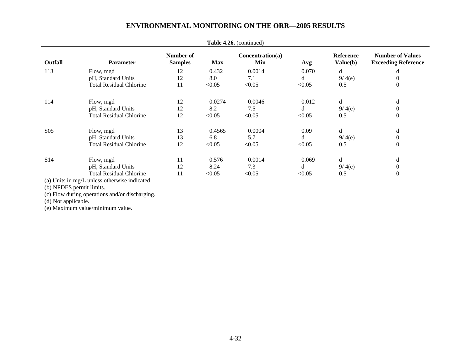| <b>Table 4.20.</b> (Continued)     |                                |                             |            |                         |        |                              |                                                       |  |  |
|------------------------------------|--------------------------------|-----------------------------|------------|-------------------------|--------|------------------------------|-------------------------------------------------------|--|--|
| <b>Outfall</b><br><b>Parameter</b> |                                | Number of<br><b>Samples</b> | <b>Max</b> | Concentration(a)<br>Min | Avg    | <b>Reference</b><br>Value(b) | <b>Number of Values</b><br><b>Exceeding Reference</b> |  |  |
| 113                                | Flow, mgd                      | 12                          | 0.432      | 0.0014                  | 0.070  | d                            | d                                                     |  |  |
|                                    | pH, Standard Units             | 12                          | 8.0        | 7.1                     | d      | 9/4(e)                       | $\overline{0}$                                        |  |  |
|                                    | <b>Total Residual Chlorine</b> | 11                          | < 0.05     | < 0.05                  | < 0.05 | 0.5                          | $\theta$                                              |  |  |
| 114                                | Flow, mgd                      | 12                          | 0.0274     | 0.0046                  | 0.012  | d                            | d                                                     |  |  |
|                                    | pH, Standard Units             | 12                          | 8.2        | 7.5                     | d      | 9/4(e)                       | $\theta$                                              |  |  |
|                                    | <b>Total Residual Chlorine</b> | 12                          | < 0.05     | < 0.05                  | < 0.05 | 0.5                          | $\overline{0}$                                        |  |  |
| S <sub>05</sub>                    | Flow, mgd                      | 13                          | 0.4565     | 0.0004                  | 0.09   | d                            | d                                                     |  |  |
|                                    | pH, Standard Units             | 13                          | 6.8        | 5.7                     | d      | 9/4(e)                       | $\theta$                                              |  |  |
|                                    | <b>Total Residual Chlorine</b> | 12                          | < 0.05     | < 0.05                  | < 0.05 | 0.5                          | $\mathbf{0}$                                          |  |  |
| S <sub>14</sub>                    | Flow, mgd                      | 11                          | 0.576      | 0.0014                  | 0.069  | d                            | d                                                     |  |  |
|                                    | pH, Standard Units             | 12                          | 8.24       | 7.3                     | d      | 9/4(e)                       | $\overline{0}$                                        |  |  |
|                                    | <b>Total Residual Chlorine</b> | 11                          | < 0.05     | < 0.05                  | < 0.05 | 0.5                          | $\overline{0}$                                        |  |  |
|                                    |                                |                             |            |                         |        |                              |                                                       |  |  |

**Table 4.26.** (continued)

(a) Units in mg/L unless otherwise indicated.

(b) NPDES permit limits.

(c) Flow during operations and/or discharging.

(d) Not applicable.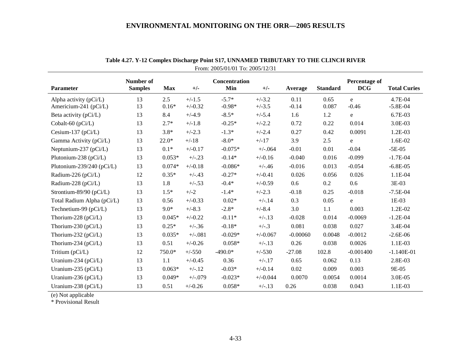| <b>Parameter</b>                                  | Number of<br><b>Samples</b> | <b>Max</b> | $+/-$     | Concentration<br>Min | $+/-$      | Average    | <b>Standard</b> | Percentage of<br><b>DCG</b> | <b>Total Curies</b> |
|---------------------------------------------------|-----------------------------|------------|-----------|----------------------|------------|------------|-----------------|-----------------------------|---------------------|
|                                                   | 13                          | 2.5        | $+/-1.5$  | $-5.7*$              | $+/-3.2$   | 0.11       | 0.65            | e                           | 4.7E-04             |
| Alpha activity $(pCi/L)$<br>Americium-241 (pCi/L) | 13                          | $0.16*$    | $+/-0.32$ | $-0.98*$             | $+/-3.5$   | $-0.14$    | 0.087           | $-0.46$                     | $-5.8E-04$          |
| Beta activity (pCi/L)                             | 13                          | 8.4        | $+/-4.9$  | $-8.5*$              | $+/-5.4$   | 1.6        | 1.2             | e                           | 6.7E-03             |
| Cobalt-60 (pCi/L)                                 | 13                          | $2.7*$     | $+/-1.8$  | $-0.25*$             | $+/-2.2$   | 0.72       | 0.22            | 0.014                       | 3.0E-03             |
| Cesium-137 $(pCi/L)$                              | 13                          | $3.8*$     | $+/-2.3$  | $-1.3*$              | $+/-2.4$   | 0.27       | 0.42            | 0.0091                      | 1.2E-03             |
| Gamma Activity (pCi/L)                            | 13                          | $22.0*$    | $+/-18$   | $-8.0*$              | $+/-17$    | 3.9        | 2.5             | e                           | 1.6E-02             |
| Neptunium-237 (pCi/L)                             | 13                          | $0.1*$     | $+/-0.17$ | $-0.075*$            | $+/-064$   | $-0.01$    | 0.01            | $-0.04$                     | $-5E-05$            |
| Plutonium-238 (pCi/L)                             | 13                          | $0.053*$   | $+/-.23$  | $-0.14*$             | $+/-0.16$  | $-0.040$   | 0.016           | $-0.099$                    | $-1.7E-04$          |
| Plutonium-239/240 (pCi/L)                         | 13                          | $0.074*$   | $+/-0.18$ | $-0.086*$            | $+/-.46$   | $-0.016$   | 0.013           | $-0.054$                    | $-6.8E-05$          |
| Radium-226 (pCi/L)                                | 12                          | $0.35*$    | $+/-.43$  | $-0.27*$             | $+/-0.41$  | 0.026      | 0.056           | 0.026                       | 1.1E-04             |
| Radium-228 (pCi/L)                                | 13                          | 1.8        | $+/-.53$  | $-0.4*$              | $+/-0.59$  | 0.6        | 0.2             | 0.6                         | 3E-03               |
| Strontium-89/90 (pCi/L)                           | 13                          | $1.5*$     | $+/-2$    | $-1.4*$              | $+/-2.3$   | $-0.18$    | 0.25            | $-0.018$                    | $-7.5E-04$          |
| Total Radium Alpha (pCi/L)                        | 13                          | 0.56       | $+/-0.33$ | $0.02*$              | $+/-.14$   | 0.3        | 0.05            | e                           | $1E-03$             |
| Technetium-99 (pCi/L)                             | 13                          | $9.0*$     | $+/-8.3$  | $-2.8*$              | $+/-8.4$   | 3.0        | 1.1             | 0.003                       | 1.2E-02             |
| Thorium-228 (pCi/L)                               | 13                          | $0.045*$   | $+/-0.22$ | $-0.11*$             | $+/-.13$   | $-0.028$   | 0.014           | $-0.0069$                   | $-1.2E-04$          |
| Thorium-230 ( $pCi/L$ )                           | 13                          | $0.25*$    | $+/-.36$  | $-0.18*$             | $+/-.3$    | 0.081      | 0.038           | 0.027                       | 3.4E-04             |
| Thorium-232 ( $pCi/L$ )                           | 13                          | $0.035*$   | $+/-.081$ | $-0.029*$            | $+/-0.067$ | $-0.00060$ | 0.0048          | $-0.0012$                   | $-2.6E-06$          |
| Thorium-234 ( $pCi/L$ )                           | 13                          | 0.51       | $+/-0.26$ | $0.058*$             | $+/-.13$   | 0.26       | 0.038           | 0.0026                      | 1.1E-03             |
| Tritium (pCi/L)                                   | 12                          | 750.0*     | $+/-550$  | $-490.0*$            | $+/-530$   | $-27.08$   | 102.8           | $-0.001400$                 | $-1.140E-01$        |
| Uranium-234 ( $pCi/L$ )                           | 13                          | 1.1        | $+/-0.45$ | 0.36                 | $+/-.17$   | 0.65       | 0.062           | 0.13                        | 2.8E-03             |
| Uranium-235 (pCi/L)                               | 13                          | $0.063*$   | $+/-.12$  | $-0.03*$             | $+/-0.14$  | 0.02       | 0.009           | 0.003                       | 9E-05               |
| Uranium-236 ( $pCi/L$ )                           | 13                          | $0.049*$   | $+/-079$  | $-0.023*$            | $+/-0.044$ | 0.0070     | 0.0054          | 0.0014                      | 3.0E-05             |
| Uranium-238 ( $pCi/L$ )                           | 13                          | 0.51       | $+/-0.26$ | $0.058*$             | $+/-.13$   | 0.26       | 0.038           | 0.043                       | 1.1E-03             |

# **Table 4.27. Y-12 Complex Discharge Point S17, UNNAMED TRIBUTARY TO THE CLINCH RIVER**

From: 2005/01/01 To: 2005/12/31

(e) Not applicable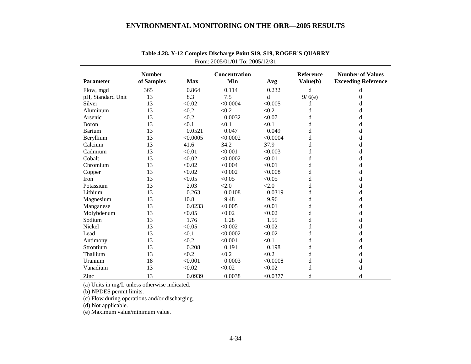|                   | <b>Number</b> | Concentration |          |          | Reference   | <b>Number of Values</b>    |
|-------------------|---------------|---------------|----------|----------|-------------|----------------------------|
| <b>Parameter</b>  | of Samples    | <b>Max</b>    | Min      | Avg      | Value(b)    | <b>Exceeding Reference</b> |
| Flow, mgd         | 365           | 0.864         | 0.114    | 0.232    | $\mathbf d$ | d                          |
| pH, Standard Unit | 13            | 8.3           | 7.5      | d        | 9/6(e)      | $\theta$                   |
| Silver            | 13            | < 0.02        | < 0.0004 | < 0.005  | d           | d                          |
| Aluminum          | 13            | < 0.2         | < 0.2    | < 0.2    | d           | d                          |
| Arsenic           | 13            | < 0.2         | 0.0032   | < 0.07   | d           | d                          |
| <b>B</b> oron     | 13            | < 0.1         | < 0.1    | < 0.1    | d           | d                          |
| <b>Barium</b>     | 13            | 0.0521        | 0.047    | 0.049    | d           | d                          |
| Beryllium         | 13            | < 0.0005      | < 0.0002 | < 0.0004 | d           | d                          |
| Calcium           | 13            | 41.6          | 34.2     | 37.9     | d           | d                          |
| Cadmium           | 13            | < 0.01        | < 0.001  | < 0.003  | d           | d                          |
| Cobalt            | 13            | < 0.02        | < 0.0002 | < 0.01   | d           | d                          |
| Chromium          | 13            | < 0.02        | < 0.004  | < 0.01   | d           | d                          |
| Copper            | 13            | < 0.02        | < 0.002  | < 0.008  | d           | d                          |
| Iron              | 13            | < 0.05        | < 0.05   | < 0.05   | d           | d                          |
| Potassium         | 13            | 2.03          | < 2.0    | < 2.0    | d           | d                          |
| Lithium           | 13            | 0.263         | 0.0108   | 0.0319   | d           | d                          |
| Magnesium         | 13            | 10.8          | 9.48     | 9.96     | d           | d                          |
| Manganese         | 13            | 0.0233        | < 0.005  | < 0.01   | d           | d                          |
| Molybdenum        | 13            | < 0.05        | < 0.02   | < 0.02   | d           | d                          |
| Sodium            | 13            | 1.76          | 1.28     | 1.55     | d           | d                          |
| Nickel            | 13            | < 0.05        | < 0.002  | < 0.02   | d           | d                          |
| Lead              | 13            | < 0.1         | < 0.0002 | < 0.02   | d           | d                          |
| Antimony          | 13            | < 0.2         | < 0.001  | < 0.1    | d           | d                          |
| Strontium         | 13            | 0.208         | 0.191    | 0.198    | d           | d                          |
| Thallium          | 13            | < 0.2         | < 0.2    | < 0.2    | d           | d                          |
| Uranium           | 18            | < 0.001       | 0.0003   | < 0.0008 | d           | d                          |
| Vanadium          | 13            | < 0.02        | < 0.02   | < 0.02   | d           | d                          |
| Zinc              | 13            | 0.0939        | 0.0038   | < 0.0377 | d           | d                          |

# **Table 4.28. Y-12 Complex Discharge Point S19, S19, ROGER'S QUARRY**  From: 2005/01/01 To: 2005/12/31

(a) Units in mg/L unless otherwise indicated.

(b) NPDES permit limits.

(c) Flow during operations and/or discharging.

(d) Not applicable.

(e) Maximum value/minimum value.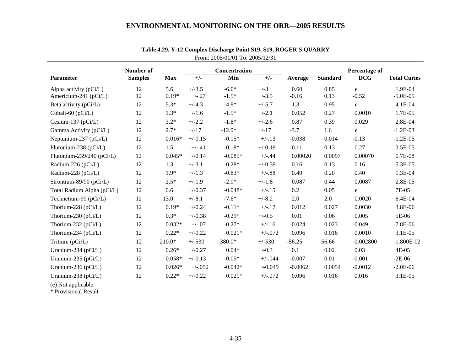|                            | Number of      |            |           | Concentration |            |           |                 | Percentage of |                     |
|----------------------------|----------------|------------|-----------|---------------|------------|-----------|-----------------|---------------|---------------------|
| <b>Parameter</b>           | <b>Samples</b> | <b>Max</b> | $+/-$     | Min           | $+/-$      | Average   | <b>Standard</b> | <b>DCG</b>    | <b>Total Curies</b> |
| Alpha activity $(pCi/L)$   | 12             | 5.6        | $+/-3.5$  | $-6.0*$       | $+/-3$     | 0.60      | 0.85            | e             | 1.9E-04             |
| Americium-241 (pCi/L)      | 12             | $0.19*$    | $+/-.27$  | $-1.5*$       | $+/-3.5$   | $-0.16$   | 0.13            | $-0.52$       | $-5.0E-05$          |
| Beta activity (pCi/L)      | 12             | $5.3*$     | $+/-4.3$  | $-4.8*$       | $+/-5.7$   | 1.3       | 0.95            | e             | 4.1E-04             |
| Cobalt-60 (pCi/L)          | 12             | $1.3*$     | $+/-1.6$  | $-1.5*$       | $+/-2.1$   | 0.052     | 0.27            | 0.0010        | 1.7E-05             |
| Cesium-137 ( $pCi/L$ )     | 12             | $3.2*$     | $+/-2.2$  | $-1.8*$       | $+/-2.6$   | 0.87      | 0.39            | 0.029         | 2.8E-04             |
| Gamma Activity (pCi/L)     | 12             | $2.7*$     | $+/-17$   | $-12.0*$      | $+/-17$    | $-3.7$    | 1.6             | e             | $-1.2E-03$          |
| Neptunium-237 (pCi/L)      | 12             | $0.016*$   | $+/-0.15$ | $-0.15*$      | $+/-.13$   | $-0.038$  | 0.014           | $-0.13$       | $-1.2E-05$          |
| Plutonium-238 (pCi/L)      | 12             | 1.5        | $+/-.41$  | $-0.18*$      | $+/-0.19$  | 0.11      | 0.13            | 0.27          | 3.5E-05             |
| Plutonium-239/240 (pCi/L)  | 12             | $0.045*$   | $+/-0.14$ | $-0.085*$     | $+/-.44$   | 0.00020   | 0.0097          | 0.00070       | 6.7E-08             |
| Radium-226 (pCi/L)         | 12             | 1.3        | $+/-3.1$  | $-0.28*$      | $+/-0.39$  | 0.16      | 0.13            | 0.16          | 5.3E-05             |
| Radium-228 (pCi/L)         | 12             | $1.9*$     | $+/-1.3$  | $-0.83*$      | $+/-.88$   | 0.40      | 0.20            | 0.40          | 1.3E-04             |
| Strontium-89/90 (pCi/L)    | 12             | $2.5*$     | $+/-1.9$  | $-2.9*$       | $+/-1.8$   | 0.087     | 0.44            | 0.0087        | 2.8E-05             |
| Total Radium Alpha (pCi/L) | 12             | 0.6        | $+/-0.37$ | $-0.048*$     | $+/-.15$   | 0.2       | 0.05            | e             | 7E-05               |
| Technetium-99 $(pCi/L)$    | 12             | 13.0       | $+/-8.1$  | $-7.6*$       | $+/-8.2$   | 2.0       | 2.0             | 0.0020        | 6.4E-04             |
| Thorium-228 (pCi/L)        | 12             | $0.19*$    | $+/-0.24$ | $-0.11*$      | $+/-.17$   | 0.012     | 0.027           | 0.0030        | 3.8E-06             |
| Thorium-230 ( $pCi/L$ )    | 12             | $0.3*$     | $+/-0.38$ | $-0.29*$      | $+/-0.5$   | 0.01      | 0.06            | 0.005         | 5E-06               |
| Thorium-232 ( $pCi/L$ )    | 12             | $0.032*$   | $+/-.07$  | $-0.27*$      | $+/-.16$   | $-0.024$  | 0.023           | $-0.049$      | $-7.8E - 06$        |
| Thorium-234 ( $pCi/L$ )    | 12             | $0.22*$    | $+/-0.22$ | $0.021*$      | $+/-072$   | 0.096     | 0.016           | 0.0010        | 3.1E-05             |
| Tritium (pCi/L)            | 12             | $210.0*$   | $+/-530$  | $-380.0*$     | $+/-530$   | $-56.25$  | 56.66           | $-0.002800$   | $-1.800E-02$        |
| Uranium-234 (pCi/L)        | 12             | $0.26*$    | $+/-0.27$ | $0.04*$       | $+/-0.3$   | 0.1       | 0.02            | 0.03          | 4E-05               |
| Uranium-235 (pCi/L)        | 12             | $0.058*$   | $+/-0.13$ | $-0.05*$      | $+/-0.44$  | $-0.007$  | 0.01            | $-0.001$      | $-2E-06$            |
| Uranium-236 (pCi/L)        | 12             | $0.026*$   | $+/-052$  | $-0.042*$     | $+/-0.049$ | $-0.0062$ | 0.0054          | $-0.0012$     | $-2.0E-06$          |
| Uranium-238 (pCi/L)        | 12             | $0.22*$    | $+/-0.22$ | $0.021*$      | $+/-072$   | 0.096     | 0.016           | 0.016         | 3.1E-05             |

### **Table 4.29. Y-12 Complex Discharge Point S19, S19, ROGER'S QUARRY**  From: 2005/01/01 To: 2005/12/31

(e) Not applicable

\* Provisional Result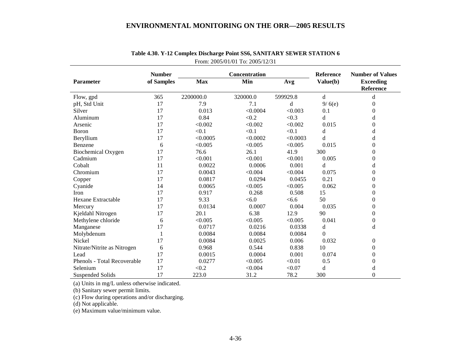|                             | <b>Number</b> |            | Concentration | <b>Reference</b> | <b>Number of Values</b> |                                      |
|-----------------------------|---------------|------------|---------------|------------------|-------------------------|--------------------------------------|
| <b>Parameter</b>            | of Samples    | <b>Max</b> | Min           | Avg              | Value(b)                | <b>Exceeding</b><br><b>Reference</b> |
| Flow, gpd                   | 365           | 2200000.0  | 320000.0      | 599929.8         | d                       | d                                    |
| pH, Std Unit                | 17            | 7.9        | 7.1           | d                | 9/6(e)                  | 0                                    |
| Silver                      | 17            | 0.013      | < 0.0004      | < 0.003          | 0.1                     | $\overline{0}$                       |
| Aluminum                    | 17            | 0.84       | < 0.2         | < 0.3            | d                       | d                                    |
| Arsenic                     | 17            | < 0.002    | < 0.002       | < 0.002          | 0.015                   | $\overline{0}$                       |
| Boron                       | 17            | < 0.1      | < 0.1         | < 0.1            | d                       | d                                    |
| Beryllium                   | 17            | < 0.0005   | < 0.0002      | < 0.0003         | d                       | d                                    |
| Benzene                     | 6             | < 0.005    | < 0.005       | < 0.005          | 0.015                   | $\theta$                             |
| <b>Biochemical Oxygen</b>   | 17            | 76.6       | 26.1          | 41.9             | 300                     | $\boldsymbol{0}$                     |
| Cadmium                     | 17            | < 0.001    | < 0.001       | < 0.001          | 0.005                   | $\boldsymbol{0}$                     |
| Cobalt                      | 11            | 0.0022     | 0.0006        | 0.001            | d                       | d                                    |
| Chromium                    | 17            | 0.0043     | < 0.004       | < 0.004          | 0.075                   | $\overline{0}$                       |
| Copper                      | 17            | 0.0817     | 0.0294        | 0.0455           | 0.21                    | $\boldsymbol{0}$                     |
| Cyanide                     | 14            | 0.0065     | < 0.005       | < 0.005          | 0.062                   | $\boldsymbol{0}$                     |
| Iron                        | 17            | 0.917      | 0.268         | 0.508            | 15                      | $\theta$                             |
| Hexane Extractable          | 17            | 9.33       | < 6.0         | <6.6             | 50                      | $\boldsymbol{0}$                     |
| Mercury                     | 17            | 0.0134     | 0.0007        | 0.004            | 0.035                   | $\overline{0}$                       |
| Kjeldahl Nitrogen           | 17            | 20.1       | 6.38          | 12.9             | 90                      | $\boldsymbol{0}$                     |
| Methylene chloride          | 6             | < 0.005    | < 0.005       | < 0.005          | 0.041                   | $\boldsymbol{0}$                     |
| Manganese                   | 17            | 0.0717     | 0.0216        | 0.0338           | d                       | d                                    |
| Molybdenum                  | 1             | 0.0084     | 0.0084        | 0.0084           | $\Omega$                |                                      |
| Nickel                      | 17            | 0.0084     | 0.0025        | 0.006            | 0.032                   | $\boldsymbol{0}$                     |
| Nitrate/Nitrite as Nitrogen | 6             | 0.968      | 0.544         | 0.838            | 10                      | $\boldsymbol{0}$                     |
| Lead                        | 17            | 0.0015     | 0.0004        | 0.001            | 0.074                   | $\theta$                             |
| Phenols - Total Recoverable | 17            | 0.0277     | < 0.005       | < 0.01           | 0.5                     | $\overline{0}$                       |
| Selenium                    | 17            | < 0.2      | < 0.004       | < 0.07           | d                       | d                                    |
| <b>Suspended Solids</b>     | 17            | 223.0      | 31.2          | 78.2             | 300                     | $\mathbf{0}$                         |

# **Table 4.30. Y-12 Complex Discharge Point SS6, SANITARY SEWER STATION 6**  From: 2005/01/01 To: 2005/12/31

(a) Units in mg/L unless otherwise indicated.

(b) Sanitary sewer permit limits.

(c) Flow during operations and/or discharging.

(d) Not applicable.

(e) Maximum value/minimum value.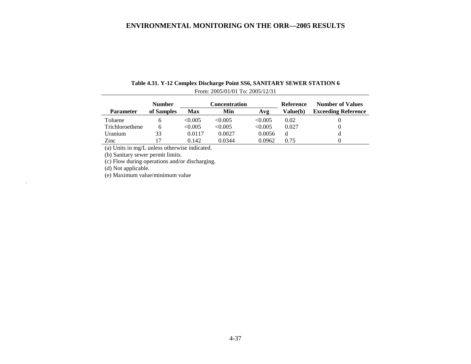|                  | <b>Number</b> |         | Concentration |         | Reference       | <b>Number of Values</b>    |
|------------------|---------------|---------|---------------|---------|-----------------|----------------------------|
| <b>Parameter</b> | of Samples    | Max     | Min           | Avg     | <b>Value(b)</b> | <b>Exceeding Reference</b> |
| Toluene          | n             | < 0.005 | < 0.005       | < 0.005 | 0.02            | 0                          |
| Trichloroethene  | n             | < 0.005 | < 0.005       | < 0.005 | 0.027           | 0                          |
| Uranium          | 33            | 0.0117  | 0.0027        | 0.0056  |                 | d                          |
| Zinc             |               | 0.142   | 0.0344        | 0.0962  | 0.75            | 0                          |

### **Table 4.31. Y-12 Complex Discharge Point SS6, SANITARY SEWER STATION 6**  From: 2005/01/01 To: 2005/12/31

(a) Units in mg/L unless otherwise indicated.

(b) Sanitary sewer permit limits.

(c) Flow during operations and/or discharging.

(d) Not applicable.

(e) Maximum value/minimum value .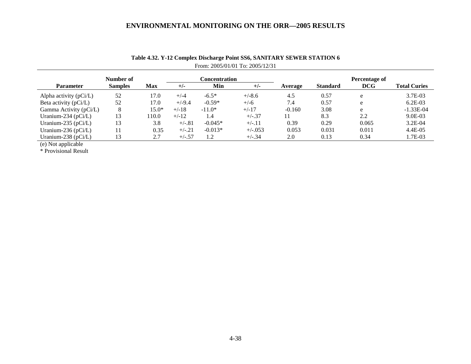|                         | Number of      |         | Concentration |           |            | Percentage of |                 |            |                     |  |
|-------------------------|----------------|---------|---------------|-----------|------------|---------------|-----------------|------------|---------------------|--|
| Parameter               | <b>Samples</b> | Max     | $+/-$         | Min       | $+/-$      | Average       | <b>Standard</b> | <b>DCG</b> | <b>Total Curies</b> |  |
| Alpha activity (pCi/L)  | 52             | 17.0    | $+/-4$        | $-6.5*$   | $+/-8.6$   | 4.5           | 0.57            | e          | 3.7E-03             |  |
| Beta activity $(pCi/L)$ | 52             | 17.0    | $+/-9.4$      | $-0.59*$  | $+/-6$     | 7.4           | 0.57            | e          | $6.2E-03$           |  |
| Gamma Activity (pCi/L)  | 8              | $15.0*$ | $+/-18$       | $-11.0*$  | $+/-17$    | $-0.160$      | 3.08            | e          | $-1.33E-04$         |  |
| Uranium-234 ( $pCi/L$ ) | 13             | 110.0   | $+/-12$       | 1.4       | $+/-.37$   | 11            | 8.3             | 2.2        | $9.0E-03$           |  |
| Uranium-235 ( $pCi/L$ ) | 13             | 3.8     | $+/-.81$      | $-0.045*$ | $+/-.11$   | 0.39          | 0.29            | 0.065      | $3.2E-04$           |  |
| Uranium-236 ( $pCi/L$ ) |                | 0.35    | $+/-.21$      | $-0.013*$ | $+/-0.053$ | 0.053         | 0.031           | 0.011      | $4.4E-05$           |  |
| Uranium-238 (pCi/L)     |                | 2.7     | $+/-.57$      | 1.2       | $+/-.34$   | 2.0           | 0.13            | 0.34       | 1.7E-03             |  |
|                         |                |         |               |           |            |               |                 |            |                     |  |

# **Table 4.32. Y-12 Complex Discharge Point SS6, SANITARY SEWER STATION 6**  From: 2005/01/01 To: 2005/12/31

(e) Not applicable

\* Provisional Result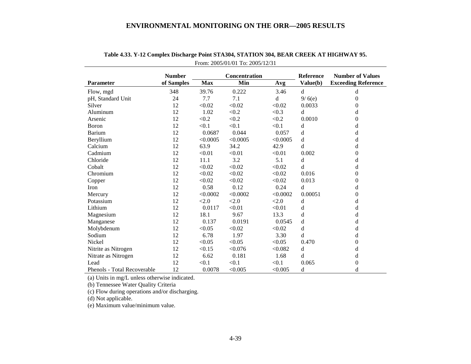|                             | <b>Number</b> |            | Concentration | <b>Reference</b> | <b>Number of Values</b> |                            |
|-----------------------------|---------------|------------|---------------|------------------|-------------------------|----------------------------|
| Parameter                   | of Samples    | <b>Max</b> | Min           | Avg              | Value(b)                | <b>Exceeding Reference</b> |
| Flow, mgd                   | 348           | 39.76      | 0.222         | 3.46             | d                       | d                          |
| pH, Standard Unit           | 24            | 7.7        | 7.1           | d                | 9/6(e)                  | $\Omega$                   |
| Silver                      | 12            | < 0.02     | < 0.02        | < 0.02           | 0.0033                  | $\theta$                   |
| Aluminum                    | 12            | 1.02       | < 0.2         | < 0.3            | d                       | d                          |
| Arsenic                     | 12            | < 0.2      | < 0.2         | < 0.2            | 0.0010                  | $\theta$                   |
| Boron                       | 12            | < 0.1      | < 0.1         | < 0.1            | d                       | d                          |
| Barium                      | 12            | 0.0687     | 0.044         | 0.057            | d                       | d                          |
| Beryllium                   | 12            | < 0.0005   | < 0.0005      | < 0.0005         | d                       | d                          |
| Calcium                     | 12            | 63.9       | 34.2          | 42.9             | d                       | d                          |
| Cadmium                     | 12            | < 0.01     | < 0.01        | < 0.01           | 0.002                   | $\overline{0}$             |
| Chloride                    | 12            | 11.1       | 3.2           | 5.1              | d                       | d                          |
| Cobalt                      | 12            | < 0.02     | < 0.02        | < 0.02           | d                       | d                          |
| Chromium                    | 12            | < 0.02     | < 0.02        | < 0.02           | 0.016                   | $\mathbf{0}$               |
| Copper                      | 12            | < 0.02     | < 0.02        | < 0.02           | 0.013                   | $\theta$                   |
| Iron                        | 12            | 0.58       | 0.12          | 0.24             | d                       | d                          |
| Mercury                     | 12            | < 0.0002   | < 0.0002      | < 0.0002         | 0.00051                 | $\theta$                   |
| Potassium                   | 12            | < 2.0      | < 2.0         | <2.0             | d                       | d                          |
| Lithium                     | 12            | 0.0117     | < 0.01        | < 0.01           | d                       | d                          |
| Magnesium                   | 12            | 18.1       | 9.67          | 13.3             | d                       | d                          |
| Manganese                   | 12            | 0.137      | 0.0191        | 0.0545           | d                       | d                          |
| Molybdenum                  | 12            | < 0.05     | < 0.02        | < 0.02           | d                       | d                          |
| Sodium                      | 12            | 6.78       | 1.97          | 3.30             | d                       | d                          |
| Nickel                      | 12            | < 0.05     | < 0.05        | < 0.05           | 0.470                   | 0                          |
| Nitrite as Nitrogen         | 12            | < 0.15     | < 0.076       | < 0.082          | d                       | d                          |
| Nitrate as Nitrogen         | 12            | 6.62       | 0.181         | 1.68             | d                       | d                          |
| Lead                        | 12            | < 0.1      | < 0.1         | < 0.1            | 0.065                   | $\boldsymbol{0}$           |
| Phenols - Total Recoverable | 12            | 0.0078     | < 0.005       | < 0.005          | d                       | d                          |

**Table 4.33. Y-12 Complex Discharge Point STA304, STATION 304, BEAR CREEK AT HIGHWAY 95.**  From: 2005/01/01 To: 2005/12/31

(a) Units in mg/L unless otherwise indicated.

(b) Tennessee Water Quality Criteria

(c) Flow during operations and/or discharging.

(d) Not applicable.

(e) Maximum value/minimum value.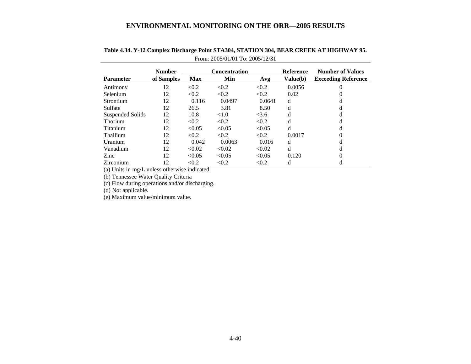|                         | <b>Number</b> | Concentration |        |        | Reference | <b>Number of Values</b>    |
|-------------------------|---------------|---------------|--------|--------|-----------|----------------------------|
| <b>Parameter</b>        | of Samples    | <b>Max</b>    | Min    | Avg    | Value(b)  | <b>Exceeding Reference</b> |
| Antimony                | 12            | < 0.2         | < 0.2  | < 0.2  | 0.0056    | 0                          |
| Selenium                | 12            | < 0.2         | < 0.2  | < 0.2  | 0.02      |                            |
| Strontium               | 12            | 0.116         | 0.0497 | 0.0641 | d         | d                          |
| Sulfate                 | 12            | 26.5          | 3.81   | 8.50   | d         |                            |
| <b>Suspended Solids</b> | 12            | 10.8          | < 1.0  | <3.6   | d         | d                          |
| Thorium                 | 12            | < 0.2         | < 0.2  | < 0.2  | d         | d                          |
| Titanium                | 12            | < 0.05        | < 0.05 | < 0.05 | d         | d                          |
| Thallium                | 12            | < 0.2         | < 0.2  | < 0.2  | 0.0017    | 0                          |
| Uranium                 | 12            | 0.042         | 0.0063 | 0.016  | d         |                            |
| Vanadium                | 12            | < 0.02        | < 0.02 | < 0.02 | d         | d                          |
| Zinc                    | 12            | < 0.05        | < 0.05 | < 0.05 | 0.120     |                            |
| Zirconium               | 12            | < 0.2         | < 0.2  | < 0.2  | d         | d                          |

# **Table 4.34. Y-12 Complex Discharge Point STA304, STATION 304, BEAR CREEK AT HIGHWAY 95.** From: 2005/01/01 To: 2005/12/31

(a) Units in mg/L unless otherwise indicated.

(b) Tennessee Water Quality Criteria

(c) Flow during operations and/or discharging.

(d) Not applicable.

(e) Maximum value/minimum value.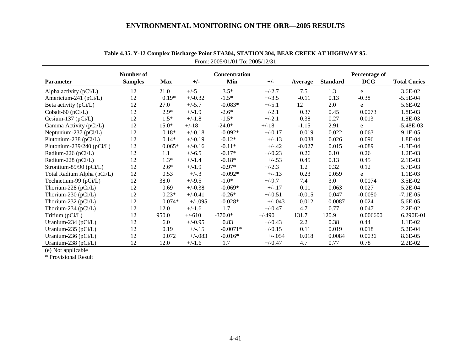|                               | Number of      |            |            | <b>Concentration</b> |            |                |                 | Percentage of |                     |
|-------------------------------|----------------|------------|------------|----------------------|------------|----------------|-----------------|---------------|---------------------|
| <b>Parameter</b>              | <b>Samples</b> | <b>Max</b> | $+/-$      | Min                  | $+/-$      | <b>Average</b> | <b>Standard</b> | <b>DCG</b>    | <b>Total Curies</b> |
| Alpha activity $(pCi/L)$      | 12             | 21.0       | $+/-5$     | $3.5*$               | $+/-2.7$   | 7.5            | 1.3             | e             | 3.6E-02             |
| Americium-241 (pCi/L)         | 12             | $0.19*$    | $+/-0.32$  | $-1.5*$              | $+/-3.5$   | $-0.11$        | 0.13            | $-0.38$       | $-5.5E-04$          |
| Beta activity (pCi/L)         | 12             | 27.0       | $+/-5.7$   | $-0.083*$            | $+/-5.1$   | 12             | 2.0             | e             | 5.6E-02             |
| Cobalt-60 (pCi/L)             | 12             | $2.9*$     | $+/-1.9$   | $-2.6*$              | $+/-2.1$   | 0.37           | 0.45            | 0.0073        | 1.8E-03             |
| Cesium-137 ( $pCi/L$ )        | 12             | $1.5*$     | $+/-1.8$   | $-1.5*$              | $+/-2.1$   | 0.38           | 0.27            | 0.013         | 1.8E-03             |
| Gamma Activity (pCi/L)        | 12             | $15.0*$    | $+/-18$    | $-24.0*$             | $+/-18$    | $-1.15$        | 2.91            | e             | $-5.48E-03$         |
| Neptunium-237 (pCi/L)         | 12             | $0.18*$    | $+/-0.18$  | $-0.092*$            | $+/-0.17$  | 0.019          | 0.022           | 0.063         | 9.1E-05             |
| Plutonium-238 (pCi/L)         | 12             | $0.14*$    | $+/-0.19$  | $-0.12*$             | $+/-.13$   | 0.038          | 0.026           | 0.096         | 1.8E-04             |
| Plutonium-239/240 ( $pCi/L$ ) | 12             | $0.065*$   | $+/-0.16$  | $-0.11*$             | $+/-.42$   | $-0.027$       | 0.015           | $-0.089$      | $-1.3E-04$          |
| Radium-226 (pCi/L)            | 12             | 1.1        | $+/-6.5$   | $-0.17*$             | $+/-0.23$  | 0.26           | 0.10            | 0.26          | 1.2E-03             |
| Radium-228 (pCi/L)            | 12             | $1.3*$     | $+/-1.4$   | $-0.18*$             | $+/-.53$   | 0.45           | 0.13            | 0.45          | 2.1E-03             |
| Strontium-89/90 (pCi/L)       | 12             | $2.6*$     | $+/-1.9$   | $-0.97*$             | $+/-2.3$   | 1.2            | 0.32            | 0.12          | 5.7E-03             |
| Total Radium Alpha (pCi/L)    | 12             | 0.53       | $+/-.3$    | $-0.092*$            | $+/-.13$   | 0.23           | 0.059           | e             | 1.1E-03             |
| Technetium-99 (pCi/L)         | 12             | 38.0       | $+/-9.5$   | $-1.0*$              | $+/-9.7$   | 7.4            | 3.0             | 0.0074        | 3.5E-02             |
| Thorium-228 (pCi/L)           | 12             | 0.69       | $+/-0.38$  | $-0.069*$            | $+/-.17$   | 0.11           | 0.063           | 0.027         | 5.2E-04             |
| Thorium-230 ( $pCi/L$ )       | 12             | $0.23*$    | $+/-0.41$  | $-0.26*$             | $+/-0.51$  | $-0.015$       | 0.047           | $-0.0050$     | $-7.1E-05$          |
| Thorium-232 ( $pCi/L$ )       | 12             | $0.074*$   | $+/-0.095$ | $-0.028*$            | $+/-0.043$ | 0.012          | 0.0087          | 0.024         | 5.6E-05             |
| Thorium-234 ( $pCi/L$ )       | 12             | 12.0       | $+/-1.6$   | 1.7                  | $+/-0.47$  | 4.7            | 0.77            | 0.047         | 2.2E-02             |
| Tritium (pCi/L)               | 12             | 950.0      | $+/-610$   | $-370.0*$            | $+/-490$   | 131.7          | 120.9           | 0.006600      | 6.290E-01           |
| Uranium-234 (pCi/L)           | 12             | 6.0        | $+/-0.95$  | 0.83                 | $+/-0.43$  | 2.2            | 0.38            | 0.44          | 1.1E-02             |
| Uranium-235 ( $pCi/L$ )       | 12             | 0.19       | $+/-.15$   | $-0.0071*$           | $+/-0.15$  | 0.11           | 0.019           | 0.018         | 5.2E-04             |
| Uranium-236 ( $pCi/L$ )       | 12             | 0.072      | $+/-083$   | $-0.016*$            | $+/-0.54$  | 0.018          | 0.0084          | 0.0036        | 8.6E-05             |
| Uranium-238 (pCi/L)           | 12             | 12.0       | $+/-1.6$   | 1.7                  | $+/-0.47$  | 4.7            | 0.77            | 0.78          | 2.2E-02             |

| Table 4.35. Y-12 Complex Discharge Point STA304, STATION 304, BEAR CREEK AT HIGHWAY 95. |
|-----------------------------------------------------------------------------------------|
| From: $2005/01/01$ To: $2005/12/31$                                                     |

(e) Not applicable

\* Provisional Result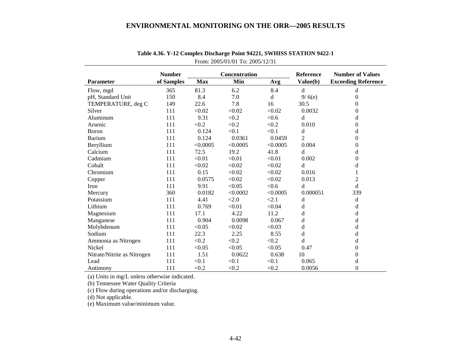|                             | <b>Number</b> | Concentration |          |          | Reference      | <b>Number of Values</b>    |
|-----------------------------|---------------|---------------|----------|----------|----------------|----------------------------|
| <b>Parameter</b>            | of Samples    | <b>Max</b>    | Min      | Avg      | Value(b)       | <b>Exceeding Reference</b> |
| Flow, mgd                   | 365           | 81.3          | 6.2      | 8.4      | d              | d                          |
| pH, Standard Unit           | 150           | 8.4           | 7.0      | d        | 9/6(e)         | $\boldsymbol{0}$           |
| TEMPERATURE, deg C          | 149           | 22.6          | 7.8      | 16       | 30.5           | $\theta$                   |
| Silver                      | 111           | < 0.02        | < 0.02   | < 0.02   | 0.0032         | $\Omega$                   |
| Aluminum                    | 111           | 9.31          | < 0.2    | < 0.6    | d              | d                          |
| Arsenic                     | 111           | < 0.2         | < 0.2    | < 0.2    | 0.010          | $\Omega$                   |
| Boron                       | 111           | 0.124         | < 0.1    | < 0.1    | d              | d                          |
| <b>Barium</b>               | 111           | 0.124         | 0.0361   | 0.0459   | $\overline{2}$ | $\theta$                   |
| Beryllium                   | 111           | < 0.0005      | < 0.0005 | < 0.0005 | 0.004          | $\theta$                   |
| Calcium                     | 111           | 72.5          | 19.2     | 41.8     | d              | d                          |
| Cadmium                     | 111           | < 0.01        | < 0.01   | < 0.01   | 0.002          | $\Omega$                   |
| Cobalt                      | 111           | < 0.02        | < 0.02   | < 0.02   | d              | d                          |
| Chromium                    | 111           | 0.15          | < 0.02   | < 0.02   | 0.016          | 1                          |
| Copper                      | 111           | 0.0575        | < 0.02   | < 0.02   | 0.013          | $\overline{c}$             |
| Iron                        | 111           | 9.91          | < 0.05   | < 0.6    | d              | $\mathbf d$                |
| Mercury                     | 360           | 0.0182        | < 0.0002 | < 0.0005 | 0.000051       | 339                        |
| Potassium                   | 111           | 4.41          | < 2.0    | < 2.1    | d              | d                          |
| Lithium                     | 111           | 0.769         | < 0.01   | < 0.04   | d              | d                          |
| Magnesium                   | 111           | 17.1          | 4.22     | 11.2     | d              | d                          |
| Manganese                   | 111           | 0.904         | 0.0098   | 0.067    | d              | d                          |
| Molybdenum                  | 111           | < 0.05        | < 0.02   | < 0.03   | d              | d                          |
| Sodium                      | 111           | 22.3          | 2.25     | 8.55     | d              | d                          |
| Ammonia as Nitrogen         | 111           | < 0.2         | < 0.2    | < 0.2    | d              | d                          |
| Nickel                      | 111           | < 0.05        | < 0.05   | < 0.05   | 0.47           | $\boldsymbol{0}$           |
| Nitrate/Nitrite as Nitrogen | 111           | 1.51          | 0.0622   | 0.638    | 10             | $\overline{0}$             |
| Lead                        | 111           | < 0.1         | < 0.1    | < 0.1    | 0.065          | d                          |
| Antimony                    | 111           | < 0.2         | < 0.2    | < 0.2    | 0.0056         | $\overline{0}$             |

**Table 4.36. Y-12 Complex Discharge Point 94221, SWHISS STATION 9422-1**  From: 2005/01/01 To: 2005/12/31

(a) Units in mg/L unless otherwise indicated.

(b) Tennessee Water Quality Criteria

(c) Flow during operations and/or discharging.

(d) Not applicable.

(e) Maximum value/minimum value.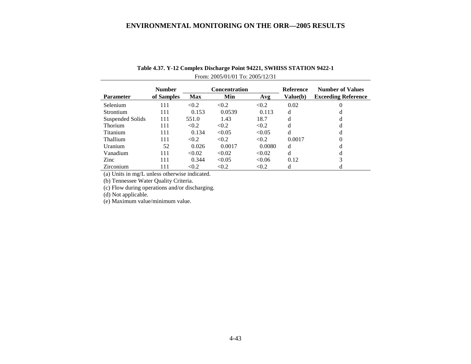|                  | <b>Number</b> | <b>Concentration</b> |        |        | <b>Reference</b> | <b>Number of Values</b>    |
|------------------|---------------|----------------------|--------|--------|------------------|----------------------------|
| <b>Parameter</b> | of Samples    | Max                  | Min    | Avg    | Value(b)         | <b>Exceeding Reference</b> |
| Selenium         | 111           | < 0.2                | < 0.2  | < 0.2  | 0.02             | 0                          |
| Strontium        | 111           | 0.153                | 0.0539 | 0.113  | d                | d                          |
| Suspended Solids | 111           | 551.0                | 1.43   | 18.7   | d                | d                          |
| <b>Thorium</b>   | 111           | < 0.2                | < 0.2  | < 0.2  | d                | d                          |
| Titanium         | 111           | 0.134                | < 0.05 | < 0.05 | d                | d                          |
| Thallium         | 111           | < 0.2                | < 0.2  | < 0.2  | 0.0017           | 0                          |
| Uranium          | 52            | 0.026                | 0.0017 | 0.0080 | d                | d                          |
| Vanadium         | 111           | < 0.02               | < 0.02 | < 0.02 | d                | d                          |
| Zinc             | 111           | 0.344                | < 0.05 | < 0.06 | 0.12             | 3                          |
| Zirconium        | 111           | < 0.2                | < 0.2  | < 0.2  | d                | d                          |

# **Table 4.37. Y-12 Complex Discharge Point 94221, SWHISS STATION 9422-1**  From: 2005/01/01 To: 2005/12/31

(a) Units in mg/L unless otherwise indicated.

(b) Tennessee Water Quality Criteria.

(c) Flow during operations and/or discharging.

(d) Not applicable.

(e) Maximum value/minimum value.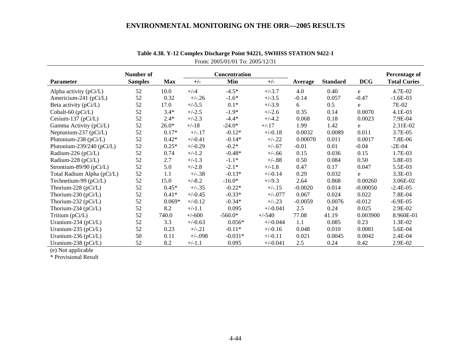|                               | Number of      |            |           | Concentration |            |           |                 |            | Percentage of       |
|-------------------------------|----------------|------------|-----------|---------------|------------|-----------|-----------------|------------|---------------------|
| <b>Parameter</b>              | <b>Samples</b> | <b>Max</b> | $+/-$     | Min           | $+/-$      | Average   | <b>Standard</b> | <b>DCG</b> | <b>Total Curies</b> |
| Alpha activity (pCi/L)        | 52             | 10.0       | $+/-4$    | $-4.5*$       | $+/-3.7$   | 4.0       | 0.40            | e          | 4.7E-02             |
| Americium-241 (pCi/L)         | 52             | 0.32       | $+/-.26$  | $-1.6*$       | $+/-3.5$   | $-0.14$   | 0.057           | $-0.47$    | $-1.6E-03$          |
| Beta activity (pCi/L)         | 52             | 17.0       | $+/-5.5$  | $0.1*$        | $+/-3.9$   | 6         | 0.5             | e          | 7E-02               |
| Cobalt-60 (pCi/L)             | 52             | $3.4*$     | $+/-2.5$  | $-1.9*$       | $+/-2.6$   | 0.35      | 0.14            | 0.0070     | 4.1E-03             |
| Cesium-137 (pCi/L)            | 52             | $2.4*$     | $+/-2.3$  | $-4.4*$       | $+/-4.2$   | 0.068     | 0.18            | 0.0023     | 7.9E-04             |
| Gamma Activity (pCi/L)        | 52             | $26.0*$    | $+/-18$   | $-24.0*$      | $+/-17$    | 1.99      | 1.42            | e          | 2.31E-02            |
| Neptunium-237 (pCi/L)         | 52             | $0.17*$    | $+/-.17$  | $-0.12*$      | $+/-0.18$  | 0.0032    | 0.0089          | 0.011      | 3.7E-05             |
| Plutonium-238 (pCi/L)         | 52             | $0.42*$    | $+/-0.41$ | $-0.14*$      | $+/-.22$   | 0.00070   | 0.011           | 0.0017     | 7.8E-06             |
| Plutonium-239/240 ( $pCi/L$ ) | 52             | $0.25*$    | $+/-0.29$ | $-0.2*$       | $+/-.67$   | $-0.01$   | 0.01            | $-0.04$    | $-2E-04$            |
| Radium-226 (pCi/L)            | 52             | 0.74       | $+/-1.2$  | $-0.48*$      | $+/-.66$   | 0.15      | 0.036           | 0.15       | 1.7E-03             |
| Radium-228 (pCi/L)            | 52             | 2.7        | $+/-1.3$  | $-1.1*$       | $+/-.88$   | 0.50      | 0.084           | 0.50       | 5.8E-03             |
| Strontium-89/90 (pCi/L)       | 52             | 5.0        | $+/-2.8$  | $-2.1*$       | $+/-1.8$   | 0.47      | 0.17            | 0.047      | 5.5E-03             |
| Total Radium Alpha (pCi/L)    | 52             | 1.1        | $+/-.38$  | $-0.13*$      | $+/-0.14$  | 0.29      | 0.032           | e          | 3.3E-03             |
| Technetium-99 (pCi/L)         | 52             | 15.0       | $+/-8.2$  | $-16.0*$      | $+/-9.3$   | 2.64      | 0.868           | 0.00260    | 3.06E-02            |
| Thorium-228 ( $pCi/L$ )       | 52             | $0.45*$    | $+/-.35$  | $-0.22*$      | $+/-.15$   | $-0.0020$ | 0.014           | $-0.00050$ | $-2.4E-05$          |
| Thorium-230 ( $pCi/L$ )       | 52             | $0.41*$    | $+/-0.45$ | $-0.33*$      | $+/-.077$  | 0.067     | 0.024           | 0.022      | 7.8E-04             |
| Thorium-232 ( $pCi/L$ )       | 52             | $0.069*$   | $+/-0.12$ | $-0.34*$      | $+/-.23$   | $-0.0059$ | 0.0076          | $-0.012$   | $-6.9E-05$          |
| Thorium-234 ( $pCi/L$ )       | 52             | 8.2        | $+/-1.1$  | 0.095         | $+/-0.041$ | 2.5       | 0.24            | 0.025      | 2.9E-02             |
| Tritium $(pCi/L)$             | 52             | 740.0      | $+/-600$  | $-560.0*$     | $+/-540$   | 77.08     | 41.19           | 0.003900   | 8.960E-01           |
| Uranium-234 (pCi/L)           | 52             | 3.3        | $+/-0.63$ | $0.056*$      | $+/-0.044$ | 1.1       | 0.085           | 0.23       | 1.3E-02             |
| Uranium-235 (pCi/L)           | 52             | 0.23       | $+/-.21$  | $-0.11*$      | $+/-0.16$  | 0.048     | 0.010           | 0.0081     | 5.6E-04             |
| Uranium-236 (pCi/L)           | 50             | 0.11       | $+/-098$  | $-0.031*$     | $+/-0.11$  | 0.021     | 0.0045          | 0.0042     | 2.4E-04             |
| Uranium-238 (pCi/L)           | 52             | 8.2        | $+/-1.1$  | 0.095         | $+/-0.041$ | 2.5       | 0.24            | 0.42       | 2.9E-02             |

**Table 4.38. Y-12 Complex Discharge Point 94221, SWHISS STATION 9422-1**  From: 2005/01/01 To: 2005/12/31

(e) Not applicable

\* Provisional Result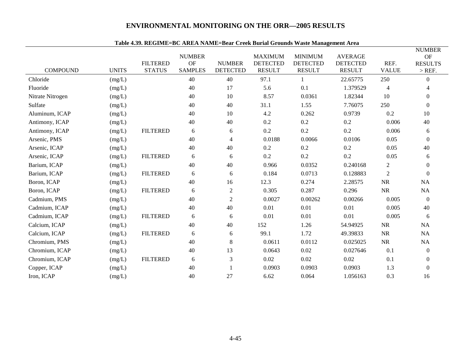|                  |              |                                  | <b>NUMBER</b>        |                                  | <b>MAXIMUM</b>                   | 7.97. KEGIME–DC AKEA NAME–DCar Creek Durial Grounus Wasit Management Area<br><b>MINIMUM</b> | <b>AVERAGE</b>                   |                      | <b>NUMBER</b><br><b>OF</b> |
|------------------|--------------|----------------------------------|----------------------|----------------------------------|----------------------------------|---------------------------------------------------------------------------------------------|----------------------------------|----------------------|----------------------------|
| <b>COMPOUND</b>  | <b>UNITS</b> | <b>FILTERED</b><br><b>STATUS</b> | OF<br><b>SAMPLES</b> | <b>NUMBER</b><br><b>DETECTED</b> | <b>DETECTED</b><br><b>RESULT</b> | <b>DETECTED</b><br><b>RESULT</b>                                                            | <b>DETECTED</b><br><b>RESULT</b> | REF.<br><b>VALUE</b> | <b>RESULTS</b><br>$>$ REF. |
| Chloride         | (mg/L)       |                                  | 40                   | 40                               | 97.1                             |                                                                                             | 22.65775                         | 250                  | $\overline{0}$             |
| Fluoride         | (mg/L)       |                                  | 40                   | 17                               | 5.6                              | 0.1                                                                                         | 1.379529                         | 4                    |                            |
| Nitrate Nitrogen | (mg/L)       |                                  | 40                   | 10                               | 8.57                             | 0.0361                                                                                      | 1.82344                          | 10                   | $\Omega$                   |
| Sulfate          | (mg/L)       |                                  | 40                   | 40                               | 31.1                             | 1.55                                                                                        | 7.76075                          | 250                  | $\Omega$                   |
| Aluminum, ICAP   | (mg/L)       |                                  | 40                   | 10                               | 4.2                              | 0.262                                                                                       | 0.9739                           | 0.2                  | 10                         |
| Antimony, ICAP   | (mg/L)       |                                  | 40                   | 40                               | 0.2                              | 0.2                                                                                         | 0.2                              | 0.006                | 40                         |
| Antimony, ICAP   | (mg/L)       | <b>FILTERED</b>                  | 6                    | 6                                | 0.2                              | 0.2                                                                                         | 0.2                              | 0.006                | 6                          |
| Arsenic, PMS     | (mg/L)       |                                  | 40                   | $\overline{4}$                   | 0.0188                           | 0.0066                                                                                      | 0.0106                           | 0.05                 | $\Omega$                   |
| Arsenic, ICAP    | (mg/L)       |                                  | 40                   | 40                               | 0.2                              | 0.2                                                                                         | 0.2                              | 0.05                 | 40                         |
| Arsenic, ICAP    | (mg/L)       | <b>FILTERED</b>                  | 6                    | 6                                | 0.2                              | 0.2                                                                                         | 0.2                              | 0.05                 | 6                          |
| Barium, ICAP     | (mg/L)       |                                  | 40                   | 40                               | 0.966                            | 0.0352                                                                                      | 0.240168                         | $\overline{c}$       | $\Omega$                   |
| Barium, ICAP     | (mg/L)       | <b>FILTERED</b>                  | 6                    | 6                                | 0.184                            | 0.0713                                                                                      | 0.128883                         | $\sqrt{2}$           | $\Omega$                   |
| Boron, ICAP      | (mg/L)       |                                  | 40                   | 16                               | 12.3                             | 0.274                                                                                       | 2.28575                          | $\rm NR$             | NA                         |
| Boron, ICAP      | (mg/L)       | <b>FILTERED</b>                  | 6                    | $\overline{c}$                   | 0.305                            | 0.287                                                                                       | 0.296                            | $\rm NR$             | NA                         |
| Cadmium, PMS     | (mg/L)       |                                  | 40                   | $\overline{c}$                   | 0.0027                           | 0.00262                                                                                     | 0.00266                          | 0.005                | $\theta$                   |
| Cadmium, ICAP    | (mg/L)       |                                  | 40                   | 40                               | 0.01                             | 0.01                                                                                        | 0.01                             | 0.005                | 40                         |
| Cadmium, ICAP    | (mg/L)       | <b>FILTERED</b>                  | 6                    | 6                                | 0.01                             | 0.01                                                                                        | 0.01                             | 0.005                | 6                          |
| Calcium, ICAP    | (mg/L)       |                                  | 40                   | 40                               | 152                              | 1.26                                                                                        | 54.94925                         | <b>NR</b>            | NA                         |
| Calcium, ICAP    | (mg/L)       | <b>FILTERED</b>                  | 6                    | 6                                | 99.1                             | 1.72                                                                                        | 49.39833                         | $\rm NR$             | NA                         |
| Chromium, PMS    | (mg/L)       |                                  | 40                   | $\,8\,$                          | 0.0611                           | 0.0112                                                                                      | 0.025025                         | $\rm NR$             | NA                         |
| Chromium, ICAP   | (mg/L)       |                                  | 40                   | 13                               | 0.0643                           | 0.02                                                                                        | 0.027646                         | 0.1                  | $\overline{0}$             |
| Chromium, ICAP   | (mg/L)       | <b>FILTERED</b>                  | 6                    | 3                                | 0.02                             | 0.02                                                                                        | 0.02                             | 0.1                  | $\overline{0}$             |
| Copper, ICAP     | (mg/L)       |                                  | 40                   | $\mathbf{1}$                     | 0.0903                           | 0.0903                                                                                      | 0.0903                           | 1.3                  | $\overline{0}$             |
| Iron, ICAP       | (mg/L)       |                                  | 40                   | 27                               | 6.62                             | 0.064                                                                                       | 1.056163                         | 0.3                  | 16                         |

### **Table 4.39. REGIME=BC AREA NAME=Bear Creek Burial Grounds Waste Management Area**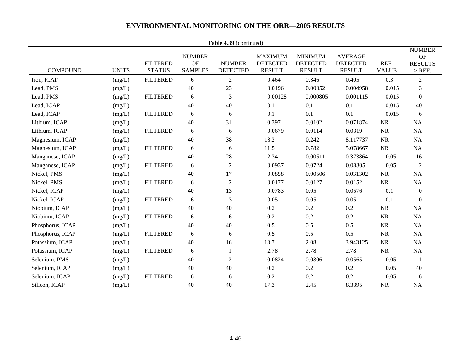| Table 4.39 (continued) |              |                                  |                                       |                                  |                                                    |                                                    |                                                    |                      |                                                          |  |  |
|------------------------|--------------|----------------------------------|---------------------------------------|----------------------------------|----------------------------------------------------|----------------------------------------------------|----------------------------------------------------|----------------------|----------------------------------------------------------|--|--|
| <b>COMPOUND</b>        | <b>UNITS</b> | <b>FILTERED</b><br><b>STATUS</b> | <b>NUMBER</b><br>OF<br><b>SAMPLES</b> | <b>NUMBER</b><br><b>DETECTED</b> | <b>MAXIMUM</b><br><b>DETECTED</b><br><b>RESULT</b> | <b>MINIMUM</b><br><b>DETECTED</b><br><b>RESULT</b> | <b>AVERAGE</b><br><b>DETECTED</b><br><b>RESULT</b> | REF.<br><b>VALUE</b> | <b>NUMBER</b><br><b>OF</b><br><b>RESULTS</b><br>$>$ REF. |  |  |
| Iron, ICAP             | (mg/L)       | <b>FILTERED</b>                  | 6                                     | $\overline{2}$                   | 0.464                                              | 0.346                                              | 0.405                                              | 0.3                  | $\overline{2}$                                           |  |  |
| Lead, PMS              | (mg/L)       |                                  | 40                                    | 23                               | 0.0196                                             | 0.00052                                            | 0.004958                                           | 0.015                | 3                                                        |  |  |
| Lead, PMS              | (mg/L)       | <b>FILTERED</b>                  | 6                                     | $\mathfrak{Z}$                   | 0.00128                                            | 0.000805                                           | 0.001115                                           | 0.015                | $\mathbf{0}$                                             |  |  |
| Lead, ICAP             | (mg/L)       |                                  | 40                                    | 40                               | 0.1                                                | 0.1                                                | 0.1                                                | 0.015                | 40                                                       |  |  |
| Lead, ICAP             | (mg/L)       | <b>FILTERED</b>                  | 6                                     | 6                                | 0.1                                                | 0.1                                                | 0.1                                                | 0.015                | 6                                                        |  |  |
| Lithium, ICAP          | (mg/L)       |                                  | 40                                    | 31                               | 0.397                                              | 0.0102                                             | 0.071874                                           | NR                   | NA                                                       |  |  |
| Lithium, ICAP          | (mg/L)       | <b>FILTERED</b>                  | 6                                     | 6                                | 0.0679                                             | 0.0114                                             | 0.0319                                             | <b>NR</b>            | NA                                                       |  |  |
| Magnesium, ICAP        | (mg/L)       |                                  | 40                                    | 38                               | 18.2                                               | 0.242                                              | 8.117737                                           | <b>NR</b>            | NA                                                       |  |  |
| Magnesium, ICAP        | (mg/L)       | <b>FILTERED</b>                  | 6                                     | 6                                | 11.5                                               | 0.782                                              | 5.078667                                           | NR                   | NA                                                       |  |  |
| Manganese, ICAP        | (mg/L)       |                                  | 40                                    | 28                               | 2.34                                               | 0.00511                                            | 0.373864                                           | 0.05                 | 16                                                       |  |  |
| Manganese, ICAP        | (mg/L)       | <b>FILTERED</b>                  | 6                                     | $\overline{c}$                   | 0.0937                                             | 0.0724                                             | 0.08305                                            | 0.05                 | $\overline{2}$                                           |  |  |
| Nickel, PMS            | (mg/L)       |                                  | 40                                    | 17                               | 0.0858                                             | 0.00506                                            | 0.031302                                           | <b>NR</b>            | NA                                                       |  |  |
| Nickel, PMS            | (mg/L)       | <b>FILTERED</b>                  | 6                                     | $\overline{2}$                   | 0.0177                                             | 0.0127                                             | 0.0152                                             | <b>NR</b>            | NA                                                       |  |  |
| Nickel, ICAP           | (mg/L)       |                                  | 40                                    | 13                               | 0.0783                                             | 0.05                                               | 0.0576                                             | 0.1                  | $\mathbf{0}$                                             |  |  |
| Nickel, ICAP           | (mg/L)       | <b>FILTERED</b>                  | 6                                     | $\ensuremath{\mathfrak{Z}}$      | 0.05                                               | 0.05                                               | 0.05                                               | 0.1                  | $\mathbf{0}$                                             |  |  |
| Niobium, ICAP          | (mg/L)       |                                  | 40                                    | 40                               | 0.2                                                | 0.2                                                | 0.2                                                | <b>NR</b>            | NA                                                       |  |  |
| Niobium, ICAP          | (mg/L)       | <b>FILTERED</b>                  | 6                                     | 6                                | 0.2                                                | 0.2                                                | 0.2                                                | NR                   | NA                                                       |  |  |
| Phosphorus, ICAP       | (mg/L)       |                                  | 40                                    | 40                               | 0.5                                                | 0.5                                                | 0.5                                                | NR                   | NA                                                       |  |  |
| Phosphorus, ICAP       | (mg/L)       | <b>FILTERED</b>                  | 6                                     | 6                                | 0.5                                                | 0.5                                                | 0.5                                                | NR                   | NA                                                       |  |  |
| Potassium, ICAP        | (mg/L)       |                                  | 40                                    | 16                               | 13.7                                               | 2.08                                               | 3.943125                                           | NR                   | NA                                                       |  |  |
| Potassium, ICAP        | (mg/L)       | <b>FILTERED</b>                  | 6                                     | $\mathbf{1}$                     | 2.78                                               | 2.78                                               | 2.78                                               | <b>NR</b>            | NA                                                       |  |  |
| Selenium, PMS          | (mg/L)       |                                  | 40                                    | $\overline{2}$                   | 0.0824                                             | 0.0306                                             | 0.0565                                             | 0.05                 | -1                                                       |  |  |
| Selenium, ICAP         | (mg/L)       |                                  | 40                                    | 40                               | 0.2                                                | $0.2\,$                                            | 0.2                                                | 0.05                 | 40                                                       |  |  |
| Selenium, ICAP         | (mg/L)       | <b>FILTERED</b>                  | 6                                     | 6                                | 0.2                                                | 0.2                                                | 0.2                                                | 0.05                 | 6                                                        |  |  |
| Silicon, ICAP          | (mg/L)       |                                  | 40                                    | 40                               | 17.3                                               | 2.45                                               | 8.3395                                             | <b>NR</b>            | NA                                                       |  |  |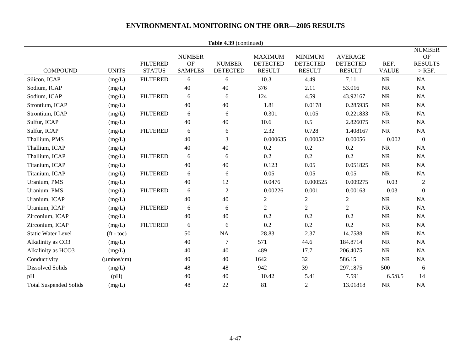|                               |                          |                                  |                                       | Table 4.39 (continued)           |                                                    |                                                    |                                                    |                      |                                                          |
|-------------------------------|--------------------------|----------------------------------|---------------------------------------|----------------------------------|----------------------------------------------------|----------------------------------------------------|----------------------------------------------------|----------------------|----------------------------------------------------------|
| <b>COMPOUND</b>               | <b>UNITS</b>             | <b>FILTERED</b><br><b>STATUS</b> | <b>NUMBER</b><br>OF<br><b>SAMPLES</b> | <b>NUMBER</b><br><b>DETECTED</b> | <b>MAXIMUM</b><br><b>DETECTED</b><br><b>RESULT</b> | <b>MINIMUM</b><br><b>DETECTED</b><br><b>RESULT</b> | <b>AVERAGE</b><br><b>DETECTED</b><br><b>RESULT</b> | REF.<br><b>VALUE</b> | <b>NUMBER</b><br><b>OF</b><br><b>RESULTS</b><br>$>$ REF. |
| Silicon, ICAP                 | (mg/L)                   | <b>FILTERED</b>                  | 6                                     | 6                                | 10.3                                               | 4.49                                               | 7.11                                               | $\rm NR$             | $\rm NA$                                                 |
| Sodium, ICAP                  | (mg/L)                   |                                  | 40                                    | 40                               | 376                                                | 2.11                                               | 53.016                                             | $\rm NR$             | <b>NA</b>                                                |
| Sodium, ICAP                  | (mg/L)                   | <b>FILTERED</b>                  | 6                                     | 6                                | 124                                                | 4.59                                               | 43.92167                                           | $\rm NR$             | NA                                                       |
| Strontium, ICAP               | (mg/L)                   |                                  | 40                                    | 40                               | 1.81                                               | 0.0178                                             | 0.285935                                           | NR                   | NA                                                       |
| Strontium, ICAP               | (mg/L)                   | <b>FILTERED</b>                  | $\epsilon$                            | 6                                | 0.301                                              | 0.105                                              | 0.221833                                           | $\rm NR$             | <b>NA</b>                                                |
| Sulfur, ICAP                  | (mg/L)                   |                                  | 40                                    | 40                               | 10.6                                               | 0.5                                                | 2.826075                                           | $\rm NR$             | <b>NA</b>                                                |
| Sulfur, ICAP                  | (mg/L)                   | <b>FILTERED</b>                  | 6                                     | 6                                | 2.32                                               | 0.728                                              | 1.408167                                           | NR                   | NA                                                       |
| Thallium, PMS                 | (mg/L)                   |                                  | 40                                    | 3                                | 0.000635                                           | 0.00052                                            | 0.00056                                            | 0.002                | $\boldsymbol{0}$                                         |
| Thallium, ICAP                | (mg/L)                   |                                  | 40                                    | 40                               | 0.2                                                | 0.2                                                | 0.2                                                | $\rm NR$             | <b>NA</b>                                                |
| Thallium, ICAP                | (mg/L)                   | <b>FILTERED</b>                  | $\sqrt{6}$                            | $6\,$                            | 0.2                                                | 0.2                                                | 0.2                                                | $\rm NR$             | <b>NA</b>                                                |
| Titanium, ICAP                | (mg/L)                   |                                  | 40                                    | 40                               | 0.123                                              | 0.05                                               | 0.051825                                           | NR                   | NA                                                       |
| Titanium, ICAP                | (mg/L)                   | <b>FILTERED</b>                  | 6                                     | 6                                | 0.05                                               | 0.05                                               | 0.05                                               | NR                   | <b>NA</b>                                                |
| Uranium, PMS                  | (mg/L)                   |                                  | 40                                    | 12                               | 0.0476                                             | 0.000525                                           | 0.009275                                           | 0.03                 | $\boldsymbol{2}$                                         |
| Uranium, PMS                  | (mg/L)                   | <b>FILTERED</b>                  | 6                                     | $\sqrt{2}$                       | 0.00226                                            | 0.001                                              | 0.00163                                            | 0.03                 | $\boldsymbol{0}$                                         |
| Uranium, ICAP                 | (mg/L)                   |                                  | 40                                    | 40                               | $\boldsymbol{2}$                                   | $\overline{c}$                                     | $\overline{c}$                                     | $\rm NR$             | NA                                                       |
| Uranium, ICAP                 | (mg/L)                   | <b>FILTERED</b>                  | 6                                     | 6                                | 2                                                  | $\overline{2}$                                     | $\overline{2}$                                     | NR                   | NA                                                       |
| Zirconium, ICAP               | (mg/L)                   |                                  | 40                                    | 40                               | 0.2                                                | 0.2                                                | 0.2                                                | NR                   | NA                                                       |
| Zirconium, ICAP               | (mg/L)                   | <b>FILTERED</b>                  | 6                                     | 6                                | 0.2                                                | 0.2                                                | 0.2                                                | $\rm NR$             | NA                                                       |
| <b>Static Water Level</b>     | $({\rm ft} - {\rm toc})$ |                                  | 50                                    | <b>NA</b>                        | 28.83                                              | 2.37                                               | 14.7588                                            | $\rm NR$             | <b>NA</b>                                                |
| Alkalinity as CO3             | (mg/L)                   |                                  | 40                                    | $\overline{7}$                   | 571                                                | 44.6                                               | 184.8714                                           | $\rm NR$             | NA                                                       |
| Alkalinity as HCO3            | (mg/L)                   |                                  | 40                                    | 40                               | 489                                                | 17.7                                               | 206.4075                                           | <b>NR</b>            | NA                                                       |
| Conductivity                  | $(\mu$ mhos/cm $)$       |                                  | 40                                    | 40                               | 1642                                               | 32                                                 | 586.15                                             | NR                   | NA                                                       |
| <b>Dissolved Solids</b>       | (mg/L)                   |                                  | 48                                    | 48                               | 942                                                | 39                                                 | 297.1875                                           | 500                  | 6                                                        |
| pH                            | (pH)                     |                                  | 40                                    | 40                               | 10.42                                              | 5.41                                               | 7.591                                              | 6.5/8.5              | 14                                                       |
| <b>Total Suspended Solids</b> | (mg/L)                   |                                  | 48                                    | 22                               | 81                                                 | 2                                                  | 13.01818                                           | <b>NR</b>            | NA                                                       |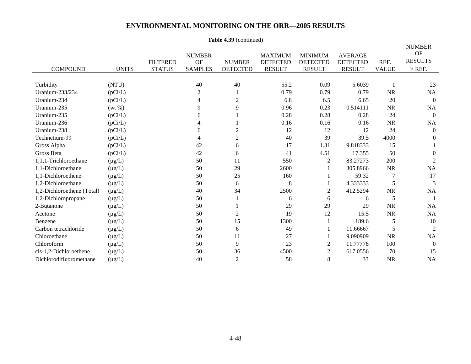### **Table 4.39** (continued)

|                            |              |                                  |                                              |                                  |                                                    |                                                    |                                                    |                      | <b>NUMBER</b>                           |
|----------------------------|--------------|----------------------------------|----------------------------------------------|----------------------------------|----------------------------------------------------|----------------------------------------------------|----------------------------------------------------|----------------------|-----------------------------------------|
| <b>COMPOUND</b>            | <b>UNITS</b> | <b>FILTERED</b><br><b>STATUS</b> | <b>NUMBER</b><br><b>OF</b><br><b>SAMPLES</b> | <b>NUMBER</b><br><b>DETECTED</b> | <b>MAXIMUM</b><br><b>DETECTED</b><br><b>RESULT</b> | <b>MINIMUM</b><br><b>DETECTED</b><br><b>RESULT</b> | <b>AVERAGE</b><br><b>DETECTED</b><br><b>RESULT</b> | REF.<br><b>VALUE</b> | <b>OF</b><br><b>RESULTS</b><br>$>$ REF. |
| Turbidity                  | (NTU)        |                                  | 40                                           | 40                               | 55.2                                               | 0.09                                               | 5.6039                                             |                      | 23                                      |
| Uranium-233/234            | (pCi/L)      |                                  | $\overline{c}$                               |                                  | 0.79                                               | 0.79                                               | 0.79                                               | <b>NR</b>            | NA                                      |
| Uranium-234                | (pCi/L)      |                                  | 4                                            | 2                                | 6.8                                                | 6.5                                                | 6.65                                               | 20                   | $\Omega$                                |
| Uranium-235                | $(wt\% )$    |                                  | 9                                            | 9                                | 0.96                                               | 0.23                                               | 0.514111                                           | <b>NR</b>            | NA                                      |
| Uranium-235                | (pCi/L)      |                                  | 6                                            |                                  | 0.28                                               | 0.28                                               | 0.28                                               | 24                   | $\Omega$                                |
| Uranium-236                | (pCi/L)      |                                  | 4                                            |                                  | 0.16                                               | 0.16                                               | 0.16                                               | NR                   | NA                                      |
| Uranium-238                | (pCi/L)      |                                  | 6                                            | 2                                | 12                                                 | 12                                                 | 12                                                 | 24                   | $\theta$                                |
| Technetium-99              | (pCi/L)      |                                  | 4                                            | 2                                | 40                                                 | 39                                                 | 39.5                                               | 4000                 | $\theta$                                |
| Gross Alpha                | (pCi/L)      |                                  | 42                                           | 6                                | 17                                                 | 1.31                                               | 9.818333                                           | 15                   |                                         |
| Gross Beta                 | (pCi/L)      |                                  | 42                                           | 6                                | 41                                                 | 4.51                                               | 17.355                                             | 50                   | 0                                       |
| 1,1,1-Trichloroethane      | $(\mu g/L)$  |                                  | 50                                           | 11                               | 550                                                | $\overline{c}$                                     | 83.27273                                           | 200                  | 2                                       |
| 1,1-Dichloroethane         | $(\mu g/L)$  |                                  | 50                                           | 29                               | 2600                                               |                                                    | 305.8966                                           | <b>NR</b>            | NA                                      |
| 1,1-Dichloroethene         | $(\mu g/L)$  |                                  | 50                                           | 25                               | 160                                                |                                                    | 59.32                                              | 7                    | 17                                      |
| 1,2-Dichloroethane         | $(\mu g/L)$  |                                  | 50                                           | 6                                | 8                                                  |                                                    | 4.333333                                           | 5                    | 3                                       |
| 1,2-Dichloroethene (Total) | $(\mu g/L)$  |                                  | 40                                           | 34                               | 2500                                               | $\overline{c}$                                     | 412.5294                                           | <b>NR</b>            | NA                                      |
| 1,2-Dichloropropane        | $(\mu g/L)$  |                                  | 50                                           |                                  | 6                                                  | 6                                                  | 6                                                  | 5                    |                                         |
| 2-Butanone                 | $(\mu g/L)$  |                                  | 50                                           |                                  | 29                                                 | 29                                                 | 29                                                 | <b>NR</b>            | NA                                      |
| Acetone                    | $(\mu g/L)$  |                                  | 50                                           | 2                                | 19                                                 | 12                                                 | 15.5                                               | <b>NR</b>            | NA                                      |
| Benzene                    | $(\mu g/L)$  |                                  | 50                                           | 15                               | 1300                                               |                                                    | 189.6                                              | 5                    | 10                                      |
| Carbon tetrachloride       | $(\mu g/L)$  |                                  | 50                                           | 6                                | 49                                                 |                                                    | 11.66667                                           | 5                    | 2                                       |
| Chloroethane               | $(\mu g/L)$  |                                  | 50                                           | 11                               | 27                                                 |                                                    | 9.090909                                           | <b>NR</b>            | NA                                      |
| Chloroform                 | $(\mu g/L)$  |                                  | 50                                           | 9                                | 23                                                 | 2                                                  | 11.77778                                           | 100                  | $\theta$                                |
| cis-1,2-Dichloroethene     | $(\mu g/L)$  |                                  | 50                                           | 36                               | 4500                                               | $\overline{c}$                                     | 617.0556                                           | 70                   | 15                                      |
| Dichlorodifluoromethane    | $(\mu g/L)$  |                                  | 40                                           | $\overline{2}$                   | 58                                                 | 8                                                  | 33                                                 | <b>NR</b>            | <b>NA</b>                               |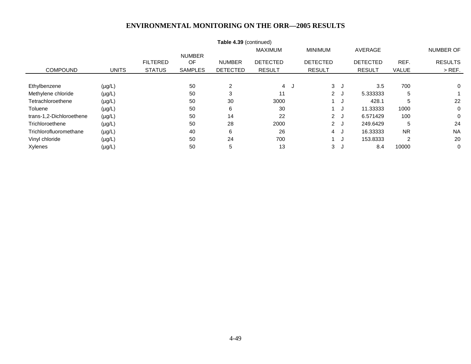| Table 4.39 (continued)   |              |                 |                |                 |                 |  |                 |     |                 |              |                |
|--------------------------|--------------|-----------------|----------------|-----------------|-----------------|--|-----------------|-----|-----------------|--------------|----------------|
|                          |              |                 |                |                 | <b>MAXIMUM</b>  |  | <b>MINIMUM</b>  |     | AVERAGE         |              | NUMBER OF      |
|                          |              |                 | <b>NUMBER</b>  |                 |                 |  |                 |     |                 |              |                |
|                          |              | <b>FILTERED</b> | OF             | <b>NUMBER</b>   | <b>DETECTED</b> |  | <b>DETECTED</b> |     | <b>DETECTED</b> | REF.         | <b>RESULTS</b> |
| <b>COMPOUND</b>          | <b>UNITS</b> | <b>STATUS</b>   | <b>SAMPLES</b> | <b>DETECTED</b> | <b>RESULT</b>   |  | <b>RESULT</b>   |     | <b>RESULT</b>   | <b>VALUE</b> | $>$ REF.       |
|                          |              |                 |                |                 |                 |  |                 |     |                 |              |                |
| Ethylbenzene             | $(\mu g/L)$  |                 | 50             | 2               | 4 J             |  | 3J              |     | 3.5             | 700          | 0              |
| Methylene chloride       | $(\mu g/L)$  |                 | 50             | 3               | 11              |  | 2J              |     | 5.333333        | 5            |                |
| Tetrachloroethene        | $(\mu g/L)$  |                 | 50             | 30              | 3000            |  |                 | ا ل | 428.1           | 5            | 22             |
| Toluene                  | $(\mu g/L)$  |                 | 50             | 6               | 30              |  |                 |     | 11.33333        | 1000         | 0              |
| trans-1,2-Dichloroethene | $(\mu g/L)$  |                 | 50             | 14              | 22              |  | 2J              |     | 6.571429        | 100          | 0              |
| Trichloroethene          | $(\mu g/L)$  |                 | 50             | 28              | 2000            |  | 2J              |     | 249.6429        | 5            | 24             |
| Trichlorofluoromethane   | $(\mu g/L)$  |                 | 40             | 6               | 26              |  | 4 J             |     | 16.33333        | <b>NR</b>    | <b>NA</b>      |
| Vinyl chloride           | $(\mu g/L)$  |                 | 50             | 24              | 700             |  |                 |     | 153.8333        | 2            | 20             |
| Xylenes                  | $(\mu g/L)$  |                 | 50             | 5               | 13              |  | 3J              |     | 8.4             | 10000        | 0              |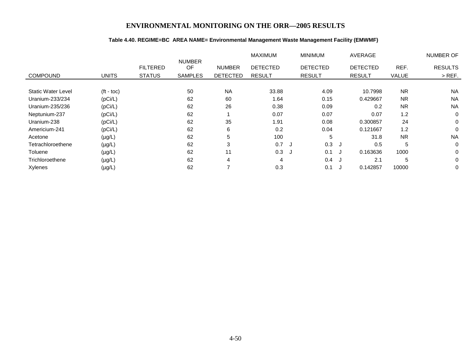### **Table 4.40. REGIME=BC AREA NAME= Environmental Management Waste Management Facility (EMWMF)**

|                           |              |                 |                     |                 | <b>MAXIMUM</b>  |   | <b>MINIMUM</b>  | <b>AVERAGE</b>  |           | <b>NUMBER OF</b> |
|---------------------------|--------------|-----------------|---------------------|-----------------|-----------------|---|-----------------|-----------------|-----------|------------------|
|                           |              | <b>FILTERED</b> | <b>NUMBER</b><br>OF | <b>NUMBER</b>   | <b>DETECTED</b> |   | <b>DETECTED</b> | <b>DETECTED</b> | REF.      | <b>RESULTS</b>   |
| <b>COMPOUND</b>           | <b>UNITS</b> | <b>STATUS</b>   | <b>SAMPLES</b>      | <b>DETECTED</b> | <b>RESULT</b>   |   | <b>RESULT</b>   | <b>RESULT</b>   | VALUE     | $>$ REF.         |
| <b>Static Water Level</b> | $(t - toc)$  |                 | 50                  | <b>NA</b>       | 33.88           |   | 4.09            | 10.7998         | <b>NR</b> | <b>NA</b>        |
| Uranium-233/234           | (pCi/L)      |                 | 62                  | 60              | 1.64            |   | 0.15            | 0.429667        | <b>NR</b> | <b>NA</b>        |
| Uranium-235/236           | (pCi/L)      |                 | 62                  | 26              | 0.38            |   | 0.09            | 0.2             | <b>NR</b> | <b>NA</b>        |
| Neptunium-237             | (pCi/L)      |                 | 62                  |                 | 0.07            |   | 0.07            | 0.07            | 1.2       | 0                |
| Uranium-238               | (pCi/L)      |                 | 62                  | 35              | 1.91            |   | 0.08            | 0.300857        | 24        | 0                |
| Americium-241             | (pCi/L)      |                 | 62                  | 6               | 0.2             |   | 0.04            | 0.121667        | 1.2       | $\Omega$         |
| Acetone                   | $(\mu g/L)$  |                 | 62                  | 5               | 100             |   | 5               | 31.8            | <b>NR</b> | <b>NA</b>        |
| Tetrachloroethene         | $(\mu g/L)$  |                 | 62                  | 3               | 0.7             | J | $0.3$ J         | 0.5             | 5         | $\mathbf 0$      |
| Toluene                   | $(\mu g/L)$  |                 | 62                  | 11              | 0.3             |   | 0.1             | 0.163636        | 1000      | 0                |
| Trichloroethene           | $(\mu g/L)$  |                 | 62                  | 4               | 4               |   | 0.4             | 2.1<br><b>ل</b> | 5         | $\mathbf 0$      |
| Xylenes                   | $(\mu g/L)$  |                 | 62                  | ⇁               | 0.3             |   | 0.1             | 0.142857<br>ل.  | 10000     | $\mathbf 0$      |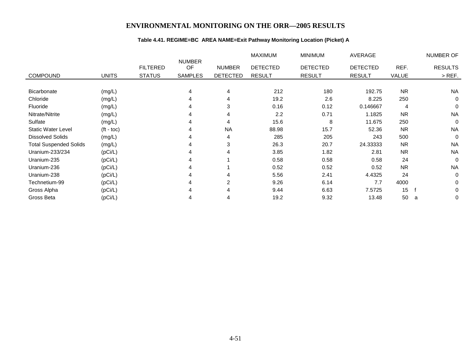### **Table 4.41. REGIME=BC AREA NAME=Exit Pathway Monitoring Location (Picket) A**

|                               |                    |                                  |                                       |                                  | <b>MAXIMUM</b>                   | <b>MINIMUM</b>                   | AVERAGE                          |               | NUMBER OF                  |
|-------------------------------|--------------------|----------------------------------|---------------------------------------|----------------------------------|----------------------------------|----------------------------------|----------------------------------|---------------|----------------------------|
| <b>COMPOUND</b>               | <b>UNITS</b>       | <b>FILTERED</b><br><b>STATUS</b> | <b>NUMBER</b><br>OF<br><b>SAMPLES</b> | <b>NUMBER</b><br><b>DETECTED</b> | <b>DETECTED</b><br><b>RESULT</b> | <b>DETECTED</b><br><b>RESULT</b> | <b>DETECTED</b><br><b>RESULT</b> | REF.<br>VALUE | <b>RESULTS</b><br>$>$ REF. |
|                               |                    |                                  |                                       |                                  |                                  |                                  |                                  |               |                            |
| Bicarbonate                   | (mg/L)             |                                  | 4                                     | 4                                | 212                              | 180                              | 192.75                           | <b>NR</b>     | <b>NA</b>                  |
| Chloride                      | (mg/L)             |                                  | 4                                     | 4                                | 19.2                             | 2.6                              | 8.225                            | 250           | $\mathbf 0$                |
| Fluoride                      | (mg/L)             |                                  |                                       | 3                                | 0.16                             | 0.12                             | 0.146667                         | 4             | 0                          |
| Nitrate/Nitrite               | (mg/L)             |                                  | 4                                     | 4                                | 2.2                              | 0.71                             | 1.1825                           | <b>NR</b>     | <b>NA</b>                  |
| Sulfate                       | (mg/L)             |                                  | 4                                     | 4                                | 15.6                             | 8                                | 11.675                           | 250           | $\mathbf 0$                |
| <b>Static Water Level</b>     | $(t - \text{toc})$ |                                  | 4                                     | <b>NA</b>                        | 88.98                            | 15.7                             | 52.36                            | <b>NR</b>     | <b>NA</b>                  |
| <b>Dissolved Solids</b>       | (mg/L)             |                                  | 4                                     | 4                                | 285                              | 205                              | 243                              | 500           | $\mathbf 0$                |
| <b>Total Suspended Solids</b> | (mg/L)             |                                  | 4                                     | 3                                | 26.3                             | 20.7                             | 24.33333                         | <b>NR</b>     | <b>NA</b>                  |
| Uranium-233/234               | (pCi/L)            |                                  | 4                                     | 4                                | 3.85                             | 1.82                             | 2.81                             | <b>NR</b>     | <b>NA</b>                  |
| Uranium-235                   | (pCi/L)            |                                  |                                       |                                  | 0.58                             | 0.58                             | 0.58                             | 24            | $\Omega$                   |
| Uranium-236                   | (pCi/L)            |                                  |                                       |                                  | 0.52                             | 0.52                             | 0.52                             | <b>NR</b>     | <b>NA</b>                  |
| Uranium-238                   | (pCi/L)            |                                  | 4                                     | 4                                | 5.56                             | 2.41                             | 4.4325                           | 24            | $\Omega$                   |
| Technetium-99                 | (pCi/L)            |                                  | 4                                     | $\overline{2}$                   | 9.26                             | 6.14                             | 7.7                              | 4000          | $\Omega$                   |
| Gross Alpha                   | (pCi/L)            |                                  |                                       | 4                                | 9.44                             | 6.63                             | 7.5725                           | 15            | 0                          |
| Gross Beta                    | (pCi/L)            |                                  |                                       | 4                                | 19.2                             | 9.32                             | 13.48                            | 50            | 0<br>a                     |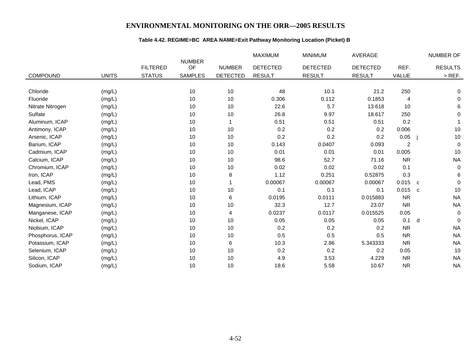### **Table 4.42. REGIME=BC AREA NAME=Exit Pathway Monitoring Location (Picket) B**

|                  |              |                 |                     |                 | <b>MAXIMUM</b>  | <b>MINIMUM</b>  | <b>AVERAGE</b>  |                | NUMBER OF                   |
|------------------|--------------|-----------------|---------------------|-----------------|-----------------|-----------------|-----------------|----------------|-----------------------------|
|                  |              | <b>FILTERED</b> | <b>NUMBER</b><br>OF | <b>NUMBER</b>   | <b>DETECTED</b> | <b>DETECTED</b> | <b>DETECTED</b> | REF.           | <b>RESULTS</b>              |
| <b>COMPOUND</b>  | <b>UNITS</b> | <b>STATUS</b>   | <b>SAMPLES</b>      | <b>DETECTED</b> | <b>RESULT</b>   | <b>RESULT</b>   | <b>RESULT</b>   | VALUE          | $>$ REF.                    |
|                  |              |                 |                     |                 |                 |                 |                 |                |                             |
| Chloride         | (mg/L)       |                 | 10                  | 10              | 48              | 10.1            | 21.2            | 250            | 0                           |
| Fluoride         | (mg/L)       |                 | 10                  | 10              | 0.306           | 0.112           | 0.1853          | 4              | $\mathbf 0$                 |
| Nitrate Nitrogen | (mg/L)       |                 | 10                  | 10              | 22.6            | 5.7             | 13.618          | 10             | 6                           |
| Sulfate          | (mg/L)       |                 | 10                  | 10              | 26.8            | 9.97            | 18.617          | 250            | 0                           |
| Aluminum, ICAP   | (mg/L)       |                 | 10                  |                 | 0.51            | 0.51            | 0.51            | 0.2            |                             |
| Antimony, ICAP   | (mg/L)       |                 | 10                  | 10              | 0.2             | 0.2             | 0.2             | 0.006          | $10$                        |
| Arsenic, ICAP    | (mg/L)       |                 | 10                  | 10              | 0.2             | 0.2             | 0.2             | 0.05           | $10$                        |
| Barium, ICAP     | (mg/L)       |                 | 10                  | 10              | 0.143           | 0.0407          | 0.093           | $\overline{c}$ | $\mathbf 0$                 |
| Cadmium, ICAP    | (mg/L)       |                 | 10                  | 10              | 0.01            | 0.01            | 0.01            | 0.005          | 10                          |
| Calcium, ICAP    | (mg/L)       |                 | 10                  | 10              | 98.6            | 52.7            | 71.16           | <b>NR</b>      | <b>NA</b>                   |
| Chromium, ICAP   | (mg/L)       |                 | 10                  | 10              | 0.02            | 0.02            | 0.02            | 0.1            | $\mathbf 0$                 |
| Iron, ICAP       | (mg/L)       |                 | 10                  | 8               | 1.12            | 0.251           | 0.52875         | 0.3            | $\,6$                       |
| Lead, PMS        | (mg/L)       |                 | 10                  |                 | 0.00067         | 0.00067         | 0.00067         | 0.015          | $\mathbf 0$<br>$\mathbf{C}$ |
| Lead, ICAP       | (mg/L)       |                 | 10                  | 10              | 0.1             | 0.1             | 0.1             | 0.015          | 10<br>C                     |
| Lithium, ICAP    | (mg/L)       |                 | 10                  | 6               | 0.0195          | 0.0111          | 0.015883        | <b>NR</b>      | <b>NA</b>                   |
| Magnesium, ICAP  | (mg/L)       |                 | 10                  | 10              | 32.3            | 12.7            | 23.07           | <b>NR</b>      | <b>NA</b>                   |
| Manganese, ICAP  | (mg/L)       |                 | 10                  | 4               | 0.0237          | 0.0117          | 0.015525        | 0.05           | $\mathbf 0$                 |
| Nickel, ICAP     | (mg/L)       |                 | 10                  | 10              | 0.05            | 0.05            | 0.05            | 0.1            | d<br>$\mathbf 0$            |
| Niobium, ICAP    | (mg/L)       |                 | 10                  | 10              | 0.2             | 0.2             | 0.2             | <b>NR</b>      | <b>NA</b>                   |
| Phosphorus, ICAP | (mg/L)       |                 | 10                  | 10              | 0.5             | 0.5             | 0.5             | <b>NR</b>      | <b>NA</b>                   |
| Potassium, ICAP  | (mg/L)       |                 | 10                  | 6               | 10.3            | 2.86            | 5.343333        | <b>NR</b>      | <b>NA</b>                   |
| Selenium, ICAP   | (mg/L)       |                 | 10                  | 10              | 0.2             | 0.2             | 0.2             | 0.05           | 10                          |
| Silicon, ICAP    | (mg/L)       |                 | 10                  | 10              | 4.9             | 3.53            | 4.229           | <b>NR</b>      | <b>NA</b>                   |
| Sodium, ICAP     | (mg/L)       |                 | 10                  | 10              | 18.6            | 5.58            | 10.67           | <b>NR</b>      | <b>NA</b>                   |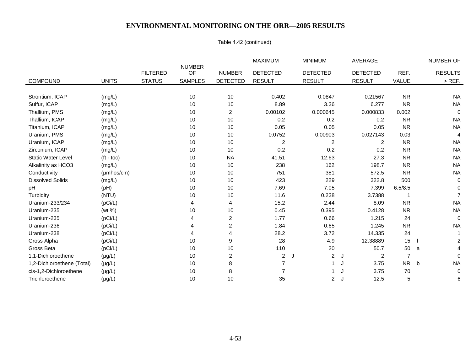### Table 4.42 (continued)

|                            |                    |                 |                     |                 | <b>MAXIMUM</b>  | <b>MINIMUM</b>      | AVERAGE             |                | <b>NUMBER OF</b> |
|----------------------------|--------------------|-----------------|---------------------|-----------------|-----------------|---------------------|---------------------|----------------|------------------|
|                            |                    | <b>FILTERED</b> | <b>NUMBER</b><br>OF | <b>NUMBER</b>   | <b>DETECTED</b> | <b>DETECTED</b>     | <b>DETECTED</b>     | REF.           | <b>RESULTS</b>   |
| <b>COMPOUND</b>            | <b>UNITS</b>       | <b>STATUS</b>   | <b>SAMPLES</b>      | <b>DETECTED</b> | <b>RESULT</b>   | <b>RESULT</b>       | <b>RESULT</b>       | VALUE          | $>$ REF.         |
|                            |                    |                 |                     |                 |                 |                     |                     |                |                  |
| Strontium, ICAP            | (mg/L)             |                 | 10                  | 10              | 0.402           | 0.0847              | 0.21567             | <b>NR</b>      | <b>NA</b>        |
| Sulfur, ICAP               | (mg/L)             |                 | 10                  | 10              | 8.89            | 3.36                | 6.277               | <b>NR</b>      | <b>NA</b>        |
| Thallium, PMS              | (mg/L)             |                 | 10                  | 2               | 0.00102         | 0.000645            | 0.000833            | 0.002          | $\mathbf 0$      |
| Thallium, ICAP             | (mg/L)             |                 | 10                  | 10              | 0.2             | 0.2                 | 0.2                 | <b>NR</b>      | NA.              |
| Titanium, ICAP             | (mg/L)             |                 | 10                  | 10              | 0.05            | 0.05                | 0.05                | <b>NR</b>      | <b>NA</b>        |
| Uranium, PMS               | (mg/L)             |                 | $10$                | 10              | 0.0752          | 0.00903             | 0.027143            | 0.03           | 4                |
| Uranium, ICAP              | (mg/L)             |                 | 10                  | 10              | 2               | $\overline{c}$      | 2                   | <b>NR</b>      | NA.              |
| Zirconium, ICAP            | (mg/L)             |                 | 10                  | 10              | 0.2             | 0.2                 | 0.2                 | <b>NR</b>      | <b>NA</b>        |
| <b>Static Water Level</b>  | $(t - \text{toc})$ |                 | 10                  | <b>NA</b>       | 41.51           | 12.63               | 27.3                | <b>NR</b>      | NA.              |
| Alkalinity as HCO3         | (mg/L)             |                 | 10                  | 10              | 238             | 162                 | 198.7               | <b>NR</b>      | <b>NA</b>        |
| Conductivity               | $(\mu$ mhos/cm $)$ |                 | 10                  | 10              | 751             | 381                 | 572.5               | <b>NR</b>      | <b>NA</b>        |
| <b>Dissolved Solids</b>    | (mg/L)             |                 | 10                  | 10              | 423             | 229                 | 322.8               | 500            | 0                |
| pH                         | (pH)               |                 | 10                  | 10              | 7.69            | 7.05                | 7.399               | 6.5/8.5        | $\Omega$         |
| Turbidity                  | (NTU)              |                 | 10                  | 10              | 11.6            | 0.238               | 3.7388              |                |                  |
| Uranium-233/234            | (pCi/L)            |                 | 4                   | 4               | 15.2            | 2.44                | 8.09                | <b>NR</b>      | <b>NA</b>        |
| Uranium-235                | (wt %)             |                 | 10                  | 10              | 0.45            | 0.395               | 0.4128              | <b>NR</b>      | <b>NA</b>        |
| Uranium-235                | (pCi/L)            |                 | 4                   | $\overline{2}$  | 1.77            | 0.66                | 1.215               | 24             | 0                |
| Uranium-236                | (pCi/L)            |                 | 4                   | $\overline{2}$  | 1.84            | 0.65                | 1.245               | <b>NR</b>      | <b>NA</b>        |
| Uranium-238                | (pCi/L)            |                 | 4                   | 4               | 28.2            | 3.72                | 14.335              | 24             |                  |
| Gross Alpha                | (pCi/L)            |                 | 10                  | 9               | 28              | 4.9                 | 12.38889            | 15             | f<br>2           |
| Gross Beta                 | (pCi/L)            |                 | 10                  | 10              | 110             | 20                  | 50.7                | 50             | a                |
| 1,1-Dichloroethene         | $(\mu g/L)$        |                 | 10                  | 2               | $\overline{2}$  | $\overline{c}$<br>J | $\overline{c}$<br>J | $\overline{7}$ | $\Omega$         |
| 1,2-Dichloroethene (Total) | $(\mu g/L)$        |                 | 10                  | 8               | $\overline{7}$  |                     | 3.75<br>IJ          | <b>NR</b>      | <b>NA</b><br>b   |
| cis-1,2-Dichloroethene     | $(\mu g/L)$        |                 | 10                  | 8               | $\overline{7}$  |                     | 3.75                | 70             | 0                |
| Trichloroethene            | $(\mu g/L)$        |                 | 10                  | 10              | 35              | $\overline{2}$      | 12.5<br>J           | 5              | 6                |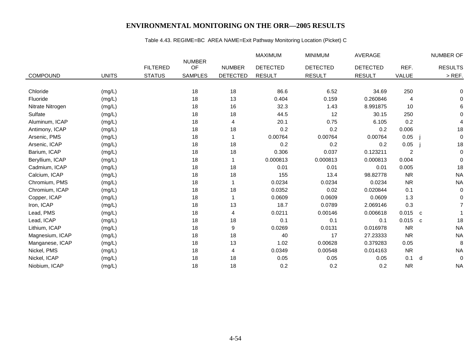# Table 4.43. REGIME=BC AREA NAME=Exit Pathway Monitoring Location (Picket) C

|                  |              |                 |                     |                 | <b>MAXIMUM</b>  | <b>MINIMUM</b>  | AVERAGE         |                |   | NUMBER OF      |
|------------------|--------------|-----------------|---------------------|-----------------|-----------------|-----------------|-----------------|----------------|---|----------------|
|                  |              | <b>FILTERED</b> | <b>NUMBER</b><br>OF | <b>NUMBER</b>   | <b>DETECTED</b> | <b>DETECTED</b> | <b>DETECTED</b> | REF.           |   | <b>RESULTS</b> |
| <b>COMPOUND</b>  | <b>UNITS</b> | <b>STATUS</b>   | <b>SAMPLES</b>      | <b>DETECTED</b> | <b>RESULT</b>   | <b>RESULT</b>   | <b>RESULT</b>   | VALUE          |   | $>$ REF.       |
|                  |              |                 |                     |                 |                 |                 |                 |                |   |                |
| Chloride         | (mg/L)       |                 | 18                  | 18              | 86.6            | 6.52            | 34.69           | 250            |   | $\Omega$       |
| Fluoride         | (mg/L)       |                 | 18                  | 13              | 0.404           | 0.159           | 0.260846        | 4              |   | 0              |
| Nitrate Nitrogen | (mg/L)       |                 | 18                  | 16              | 32.3            | 1.43            | 8.991875        | 10             |   | 6              |
| Sulfate          | (mg/L)       |                 | 18                  | 18              | 44.5            | 12              | 30.15           | 250            |   | $\Omega$       |
| Aluminum, ICAP   | (mg/L)       |                 | 18                  | 4               | 20.1            | 0.75            | 6.105           | 0.2            |   | 4              |
| Antimony, ICAP   | (mg/L)       |                 | 18                  | 18              | 0.2             | 0.2             | 0.2             | 0.006          |   | 18             |
| Arsenic, PMS     | (mg/L)       |                 | 18                  |                 | 0.00764         | 0.00764         | 0.00764         | 0.05           |   | $\mathbf 0$    |
| Arsenic, ICAP    | (mg/L)       |                 | 18                  | 18              | 0.2             | 0.2             | 0.2             | 0.05           |   | 18             |
| Barium, ICAP     | (mg/L)       |                 | 18                  | 18              | 0.306           | 0.037           | 0.123211        | $\overline{2}$ |   | $\mathbf 0$    |
| Beryllium, ICAP  | (mg/L)       |                 | 18                  | 1               | 0.000813        | 0.000813        | 0.000813        | 0.004          |   | $\mathbf 0$    |
| Cadmium, ICAP    | (mg/L)       |                 | 18                  | 18              | 0.01            | 0.01            | 0.01            | 0.005          |   | 18             |
| Calcium, ICAP    | (mg/L)       |                 | 18                  | 18              | 155             | 13.4            | 98.82778        | <b>NR</b>      |   | <b>NA</b>      |
| Chromium, PMS    | (mg/L)       |                 | 18                  |                 | 0.0234          | 0.0234          | 0.0234          | <b>NR</b>      |   | <b>NA</b>      |
| Chromium, ICAP   | (mg/L)       |                 | 18                  | 18              | 0.0352          | 0.02            | 0.020844        | 0.1            |   | $\mathbf 0$    |
| Copper, ICAP     | (mg/L)       |                 | 18                  | 1               | 0.0609          | 0.0609          | 0.0609          | 1.3            |   | $\Omega$       |
| Iron, ICAP       | (mg/L)       |                 | 18                  | 13              | 18.7            | 0.0789          | 2.069146        | 0.3            |   | 7              |
| Lead, PMS        | (mg/L)       |                 | 18                  | 4               | 0.0211          | 0.00146         | 0.006618        | 0.015          | C |                |
| Lead, ICAP       | (mg/L)       |                 | 18                  | 18              | 0.1             | 0.1             | 0.1             | 0.015          | C | 18             |
| Lithium, ICAP    | (mg/L)       |                 | 18                  | 9               | 0.0269          | 0.0131          | 0.016978        | <b>NR</b>      |   | <b>NA</b>      |
| Magnesium, ICAP  | (mg/L)       |                 | 18                  | 18              | 40              | 17              | 27.23333        | <b>NR</b>      |   | <b>NA</b>      |
| Manganese, ICAP  | (mg/L)       |                 | 18                  | 13              | 1.02            | 0.00628         | 0.379283        | 0.05           |   | 8              |
| Nickel, PMS      | (mg/L)       |                 | 18                  | 4               | 0.0349          | 0.00548         | 0.014163        | <b>NR</b>      |   | <b>NA</b>      |
| Nickel, ICAP     | (mg/L)       |                 | 18                  | 18              | 0.05            | 0.05            | 0.05            | 0.1            | d | $\mathbf 0$    |
| Niobium, ICAP    | (mg/L)       |                 | 18                  | 18              | 0.2             | 0.2             | 0.2             | <b>NR</b>      |   | <b>NA</b>      |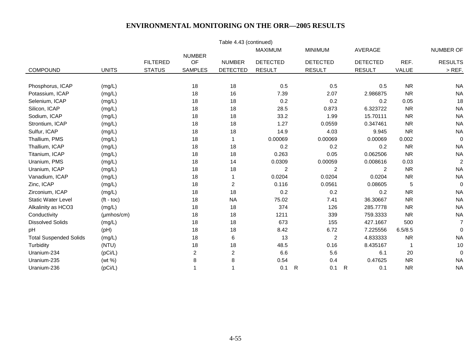| Table 4.43 (continued)        |                    |                 |                     |                 |                 |   |                 |                 |                |                |
|-------------------------------|--------------------|-----------------|---------------------|-----------------|-----------------|---|-----------------|-----------------|----------------|----------------|
|                               |                    |                 |                     |                 | <b>MAXIMUM</b>  |   | <b>MINIMUM</b>  | AVERAGE         |                | NUMBER OF      |
|                               |                    | <b>FILTERED</b> | <b>NUMBER</b><br>OF | <b>NUMBER</b>   | <b>DETECTED</b> |   | <b>DETECTED</b> | <b>DETECTED</b> | REF.           | <b>RESULTS</b> |
| COMPOUND                      | <b>UNITS</b>       | <b>STATUS</b>   | <b>SAMPLES</b>      | <b>DETECTED</b> | <b>RESULT</b>   |   | <b>RESULT</b>   | <b>RESULT</b>   | VALUE          | $>$ REF.       |
|                               |                    |                 |                     |                 |                 |   |                 |                 |                |                |
| Phosphorus, ICAP              | (mg/L)             |                 | 18                  | 18              | 0.5             |   | 0.5             | 0.5             | <b>NR</b>      | <b>NA</b>      |
| Potassium, ICAP               | (mg/L)             |                 | 18                  | 16              | 7.39            |   | 2.07            | 2.986875        | <b>NR</b>      | <b>NA</b>      |
| Selenium, ICAP                | (mg/L)             |                 | 18                  | 18              | 0.2             |   | 0.2             | 0.2             | 0.05           | 18             |
| Silicon, ICAP                 | (mg/L)             |                 | 18                  | 18              | 28.5            |   | 0.873           | 6.323722        | <b>NR</b>      | <b>NA</b>      |
| Sodium, ICAP                  | (mg/L)             |                 | 18                  | 18              | 33.2            |   | 1.99            | 15.70111        | <b>NR</b>      | <b>NA</b>      |
| Strontium, ICAP               | (mg/L)             |                 | 18                  | 18              | 1.27            |   | 0.0559          | 0.347461        | <b>NR</b>      | <b>NA</b>      |
| Sulfur, ICAP                  | (mg/L)             |                 | 18                  | 18              | 14.9            |   | 4.03            | 9.945           | <b>NR</b>      | <b>NA</b>      |
| Thallium, PMS                 | (mg/L)             |                 | 18                  | $\mathbf 1$     | 0.00069         |   | 0.00069         | 0.00069         | 0.002          | $\pmb{0}$      |
| Thallium, ICAP                | (mg/L)             |                 | 18                  | 18              | 0.2             |   | 0.2             | 0.2             | <b>NR</b>      | <b>NA</b>      |
| Titanium, ICAP                | (mg/L)             |                 | 18                  | 18              | 0.263           |   | 0.05            | 0.062506        | <b>NR</b>      | <b>NA</b>      |
| Uranium, PMS                  | (mg/L)             |                 | 18                  | 14              | 0.0309          |   | 0.00059         | 0.008616        | 0.03           | $\overline{c}$ |
| Uranium, ICAP                 | (mg/L)             |                 | 18                  | 18              | $\overline{c}$  |   | $\overline{c}$  | 2               | <b>NR</b>      | <b>NA</b>      |
| Vanadium, ICAP                | (mg/L)             |                 | 18                  |                 | 0.0204          |   | 0.0204          | 0.0204          | <b>NR</b>      | <b>NA</b>      |
| Zinc, ICAP                    | (mg/L)             |                 | 18                  | $\overline{2}$  | 0.116           |   | 0.0561          | 0.08605         | 5              | 0              |
| Zirconium, ICAP               | (mg/L)             |                 | 18                  | 18              | 0.2             |   | 0.2             | 0.2             | <b>NR</b>      | <b>NA</b>      |
| <b>Static Water Level</b>     | $(t - \text{toc})$ |                 | 18                  | <b>NA</b>       | 75.02           |   | 7.41            | 36.30667        | <b>NR</b>      | <b>NA</b>      |
| Alkalinity as HCO3            | (mg/L)             |                 | 18                  | 18              | 374             |   | 126             | 285.7778        | <b>NR</b>      | <b>NA</b>      |
| Conductivity                  | $(\mu$ mhos/cm $)$ |                 | 18                  | 18              | 1211            |   | 339             | 759.3333        | <b>NR</b>      | <b>NA</b>      |
| <b>Dissolved Solids</b>       | (mg/L)             |                 | 18                  | 18              | 673             |   | 155             | 427.1667        | 500            | $\overline{7}$ |
| pH                            | (pH)               |                 | 18                  | 18              | 8.42            |   | 6.72            | 7.225556        | 6.5/8.5        | 0              |
| <b>Total Suspended Solids</b> | (mg/L)             |                 | 18                  | 6               | 13              |   | $\overline{2}$  | 4.833333        | <b>NR</b>      | <b>NA</b>      |
| Turbidity                     | (NTU)              |                 | 18                  | 18              | 48.5            |   | 0.16            | 8.435167        | $\overline{1}$ | 10             |
| Uranium-234                   | (pCi/L)            |                 | 2                   | $\overline{c}$  | 6.6             |   | 5.6             | 6.1             | 20             | 0              |
| Uranium-235                   | (wt %)             |                 | 8                   | 8               | 0.54            |   | 0.4             | 0.47625         | <b>NR</b>      | <b>NA</b>      |
| Uranium-236                   | (pCi/L)            |                 |                     |                 | 0.1             | R | 0.1             | R<br>0.1        | <b>NR</b>      | <b>NA</b>      |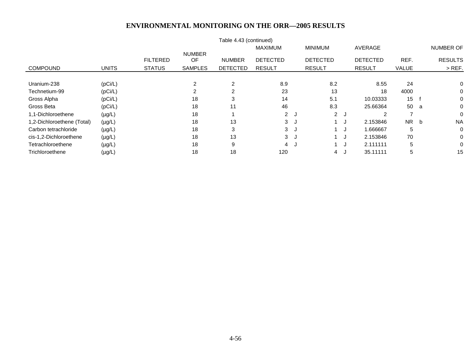|                            |              |                 |                     | Table 4.43 (continued) |                 |     |                 |     |                 |              |   |                  |
|----------------------------|--------------|-----------------|---------------------|------------------------|-----------------|-----|-----------------|-----|-----------------|--------------|---|------------------|
|                            |              |                 |                     |                        | <b>MAXIMUM</b>  |     | <b>MINIMUM</b>  |     | AVERAGE         |              |   | <b>NUMBER OF</b> |
|                            |              | <b>FILTERED</b> | <b>NUMBER</b><br>OF | <b>NUMBER</b>          | <b>DETECTED</b> |     | <b>DETECTED</b> |     | <b>DETECTED</b> | REF.         |   | <b>RESULTS</b>   |
| <b>COMPOUND</b>            | <b>UNITS</b> | <b>STATUS</b>   | <b>SAMPLES</b>      | <b>DETECTED</b>        | <b>RESULT</b>   |     | <b>RESULT</b>   |     | <b>RESULT</b>   | <b>VALUE</b> |   | $>$ REF.         |
|                            |              |                 |                     |                        |                 |     |                 |     |                 |              |   |                  |
| Uranium-238                | (pCi/L)      |                 | 2                   | $\overline{2}$         | 8.9             |     | 8.2             |     | 8.55            | 24           |   | 0                |
| Technetium-99              | (pCi/L)      |                 | $\overline{2}$      | $\overline{c}$         | 23              |     | 13              |     | 18              | 4000         |   | 0                |
| Gross Alpha                | (pCi/L)      |                 | 18                  | 3                      | 14              |     | 5.1             |     | 10.03333        | 15           |   | 0                |
| Gross Beta                 | (pCi/L)      |                 | 18                  | 11                     | 46              |     | 8.3             |     | 25.66364        | 50           | a | 0                |
| 1,1-Dichloroethene         | $(\mu g/L)$  |                 | 18                  |                        | 2J              |     |                 | 2J  | 2               |              |   | 0                |
| 1,2-Dichloroethene (Total) | $(\mu g/L)$  |                 | 18                  | 13                     | 3               | ل.  |                 | J.  | 2.153846        | NR 1         | b | <b>NA</b>        |
| Carbon tetrachloride       | $(\mu g/L)$  |                 | 18                  | 3                      | 3               | ل - |                 | . J | 1.666667        | 5            |   | 0                |
| cis-1,2-Dichloroethene     | $(\mu g/L)$  |                 | 18                  | 13                     | 3               | ູ   |                 | ل ( | 2.153846        | 70           |   | 0                |
| Tetrachloroethene          | $(\mu g/L)$  |                 | 18                  | 9                      | $\overline{4}$  | J   |                 | ل ا | 2.111111        | 5            |   | 0                |
| Trichloroethene            | $(\mu g/L)$  |                 | 18                  | 18                     | 120             |     | 4               | ل.  | 35.11111        | 5            |   | 15               |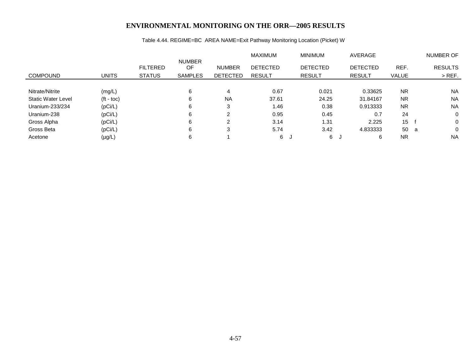# Table 4.44. REGIME=BC AREA NAME=Exit Pathway Monitoring Location (Picket) W

|                           |              |                                  |                                       |                                  | MAXIMUM                          | <b>MINIMUM</b>                   | AVERAGE                          |               | NUMBER OF                  |
|---------------------------|--------------|----------------------------------|---------------------------------------|----------------------------------|----------------------------------|----------------------------------|----------------------------------|---------------|----------------------------|
| <b>COMPOUND</b>           | <b>UNITS</b> | <b>FILTERED</b><br><b>STATUS</b> | <b>NUMBER</b><br>OF<br><b>SAMPLES</b> | <b>NUMBER</b><br><b>DETECTED</b> | <b>DETECTED</b><br><b>RESULT</b> | <b>DETECTED</b><br><b>RESULT</b> | <b>DETECTED</b><br><b>RESULT</b> | REF.<br>VALUE | <b>RESULTS</b><br>$>$ REF. |
|                           |              |                                  |                                       |                                  |                                  |                                  |                                  |               |                            |
| Nitrate/Nitrite           | (mg/L)       |                                  | 6                                     | 4                                | 0.67                             | 0.021                            | 0.33625                          | <b>NR</b>     | <b>NA</b>                  |
| <b>Static Water Level</b> | $(t - toc)$  |                                  | 6                                     | <b>NA</b>                        | 37.61                            | 24.25                            | 31.84167                         | <b>NR</b>     | <b>NA</b>                  |
| Uranium-233/234           | (pCi/L)      |                                  | 6                                     | 3                                | 1.46                             | 0.38                             | 0.913333                         | <b>NR</b>     | <b>NA</b>                  |
| Uranium-238               | (pCi/L)      |                                  | 6                                     | 2                                | 0.95                             | 0.45                             | 0.7                              | 24            | 0                          |
| Gross Alpha               | (pCi/L)      |                                  | 6                                     | $\mathfrak{p}$                   | 3.14                             | 1.31                             | 2.225                            | 15            | 0                          |
| Gross Beta                | (pCi/L)      |                                  | 6                                     | 3                                | 5.74                             | 3.42                             | 4.833333                         | 50            | 0<br>- a                   |
| Acetone                   | $(\mu g/L)$  |                                  | 6                                     |                                  | 6                                | 6<br>്യ                          | 6                                | <b>NR</b>     | <b>NA</b>                  |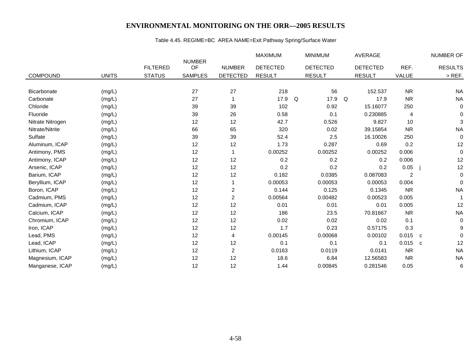# Table 4.45. REGIME=BC AREA NAME=Exit Pathway Spring/Surface Water

|                    |              |                 |                     |                         | <b>MAXIMUM</b>  |   | <b>MINIMUM</b>  |   | AVERAGE         |                |             | <b>NUMBER OF</b> |
|--------------------|--------------|-----------------|---------------------|-------------------------|-----------------|---|-----------------|---|-----------------|----------------|-------------|------------------|
|                    |              | <b>FILTERED</b> | <b>NUMBER</b><br>OF | <b>NUMBER</b>           | <b>DETECTED</b> |   | <b>DETECTED</b> |   | <b>DETECTED</b> | REF.           |             | <b>RESULTS</b>   |
| <b>COMPOUND</b>    | <b>UNITS</b> | <b>STATUS</b>   | <b>SAMPLES</b>      | <b>DETECTED</b>         | <b>RESULT</b>   |   | <b>RESULT</b>   |   | <b>RESULT</b>   | VALUE          |             | $>$ REF.         |
|                    |              |                 |                     |                         |                 |   |                 |   |                 |                |             |                  |
| <b>Bicarbonate</b> | (mg/L)       |                 | 27                  | 27                      | 218             |   | 56              |   | 152.537         | <b>NR</b>      |             | <b>NA</b>        |
| Carbonate          | (mg/L)       |                 | 27                  | 1                       | 17.9            | Q | 17.9            | Q | 17.9            | <b>NR</b>      |             | <b>NA</b>        |
| Chloride           | (mg/L)       |                 | 39                  | 39                      | 102             |   | 0.92            |   | 15.16077        | 250            |             | $\mathbf 0$      |
| Fluoride           | (mg/L)       |                 | 39                  | 26                      | 0.58            |   | 0.1             |   | 0.230885        | 4              |             | 0                |
| Nitrate Nitrogen   | (mg/L)       |                 | 12                  | 12                      | 42.7            |   | 0.526           |   | 9.827           | 10             |             | 3                |
| Nitrate/Nitrite    | (mg/L)       |                 | 66                  | 65                      | 320             |   | 0.02            |   | 39.15854        | <b>NR</b>      |             | <b>NA</b>        |
| Sulfate            | (mg/L)       |                 | 39                  | 39                      | 52.4            |   | 2.5             |   | 16.10026        | 250            |             | 0                |
| Aluminum, ICAP     | (mg/L)       |                 | 12                  | 12                      | 1.73            |   | 0.287           |   | 0.69            | 0.2            |             | 12               |
| Antimony, PMS      | (mg/L)       |                 | 12                  | 1                       | 0.00252         |   | 0.00252         |   | 0.00252         | 0.006          |             | 0                |
| Antimony, ICAP     | (mg/L)       |                 | 12                  | 12                      | 0.2             |   | 0.2             |   | 0.2             | 0.006          |             | 12               |
| Arsenic, ICAP      | (mg/L)       |                 | 12                  | 12                      | 0.2             |   | 0.2             |   | 0.2             | 0.05           |             | 12               |
| Barium, ICAP       | (mg/L)       |                 | 12                  | 12                      | 0.182           |   | 0.0385          |   | 0.087083        | $\overline{2}$ |             | $\mathbf 0$      |
| Beryllium, ICAP    | (mg/L)       |                 | 12                  |                         | 0.00053         |   | 0.00053         |   | 0.00053         | 0.004          |             | $\Omega$         |
| Boron, ICAP        | (mg/L)       |                 | 12                  | $\overline{\mathbf{c}}$ | 0.144           |   | 0.125           |   | 0.1345          | <b>NR</b>      |             | <b>NA</b>        |
| Cadmium, PMS       | (mg/L)       |                 | 12                  | $\overline{c}$          | 0.00564         |   | 0.00482         |   | 0.00523         | 0.005          |             | $\mathbf 1$      |
| Cadmium, ICAP      | (mg/L)       |                 | 12                  | 12                      | 0.01            |   | 0.01            |   | 0.01            | 0.005          |             | 12               |
| Calcium, ICAP      | (mg/L)       |                 | 12                  | 12                      | 186             |   | 23.5            |   | 70.81667        | <b>NR</b>      |             | <b>NA</b>        |
| Chromium, ICAP     | (mg/L)       |                 | 12                  | 12                      | 0.02            |   | 0.02            |   | 0.02            | 0.1            |             | 0                |
| Iron, ICAP         | (mg/L)       |                 | 12                  | 12                      | 1.7             |   | 0.23            |   | 0.57175         | 0.3            |             | 9                |
| Lead, PMS          | (mg/L)       |                 | 12                  | 4                       | 0.00145         |   | 0.00068         |   | 0.00102         | 0.015          | C           | $\Omega$         |
| Lead, ICAP         | (mg/L)       |                 | 12                  | 12                      | 0.1             |   | 0.1             |   | 0.1             | 0.015          | $\mathbf c$ | 12               |
| Lithium, ICAP      | (mg/L)       |                 | 12                  | $\overline{\mathbf{c}}$ | 0.0163          |   | 0.0119          |   | 0.0141          | <b>NR</b>      |             | <b>NA</b>        |
| Magnesium, ICAP    | (mg/L)       |                 | 12                  | 12                      | 18.6            |   | 6.84            |   | 12.56583        | <b>NR</b>      |             | <b>NA</b>        |
| Manganese, ICAP    | (mg/L)       |                 | 12                  | 12                      | 1.44            |   | 0.00845         |   | 0.281546        | 0.05           |             | 6                |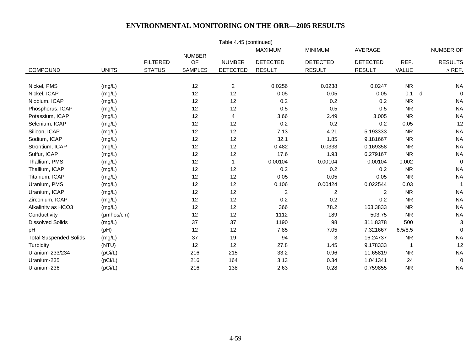|                               |              |                 |                     | Table 4.45 (continued) |                 |                 |                 |                          |   |                  |
|-------------------------------|--------------|-----------------|---------------------|------------------------|-----------------|-----------------|-----------------|--------------------------|---|------------------|
|                               |              |                 |                     |                        | <b>MAXIMUM</b>  | <b>MINIMUM</b>  | AVERAGE         |                          |   | <b>NUMBER OF</b> |
|                               |              | <b>FILTERED</b> | <b>NUMBER</b><br>OF | <b>NUMBER</b>          | <b>DETECTED</b> | <b>DETECTED</b> | <b>DETECTED</b> | REF.                     |   | <b>RESULTS</b>   |
| COMPOUND                      | <b>UNITS</b> | <b>STATUS</b>   | <b>SAMPLES</b>      | <b>DETECTED</b>        | <b>RESULT</b>   | <b>RESULT</b>   | <b>RESULT</b>   | VALUE                    |   | $>$ REF.         |
|                               |              |                 |                     |                        |                 |                 |                 |                          |   |                  |
| Nickel, PMS                   | (mg/L)       |                 | 12                  | $\overline{2}$         | 0.0256          | 0.0238          | 0.0247          | <b>NR</b>                |   | <b>NA</b>        |
| Nickel, ICAP                  | (mg/L)       |                 | 12                  | 12                     | 0.05            | 0.05            | 0.05            | 0.1                      | d | $\mathbf 0$      |
| Niobium, ICAP                 | (mg/L)       |                 | 12                  | 12                     | 0.2             | 0.2             | 0.2             | <b>NR</b>                |   | <b>NA</b>        |
| Phosphorus, ICAP              | (mg/L)       |                 | 12                  | 12                     | 0.5             | 0.5             | 0.5             | <b>NR</b>                |   | <b>NA</b>        |
| Potassium, ICAP               | (mg/L)       |                 | 12                  | 4                      | 3.66            | 2.49            | 3.005           | <b>NR</b>                |   | <b>NA</b>        |
| Selenium, ICAP                | (mg/L)       |                 | 12                  | 12                     | 0.2             | 0.2             | 0.2             | 0.05                     |   | 12               |
| Silicon, ICAP                 | (mg/L)       |                 | 12                  | 12                     | 7.13            | 4.21            | 5.193333        | <b>NR</b>                |   | <b>NA</b>        |
| Sodium, ICAP                  | (mg/L)       |                 | 12                  | 12                     | 32.1            | 1.85            | 9.181667        | <b>NR</b>                |   | <b>NA</b>        |
| Strontium, ICAP               | (mg/L)       |                 | 12                  | 12                     | 0.482           | 0.0333          | 0.169358        | <b>NR</b>                |   | <b>NA</b>        |
| Sulfur, ICAP                  | (mg/L)       |                 | 12                  | 12                     | 17.6            | 1.93            | 6.279167        | <b>NR</b>                |   | <b>NA</b>        |
| Thallium, PMS                 | (mg/L)       |                 | 12                  | 1                      | 0.00104         | 0.00104         | 0.00104         | 0.002                    |   | $\mathbf 0$      |
| Thallium, ICAP                | (mg/L)       |                 | 12                  | 12                     | 0.2             | 0.2             | 0.2             | <b>NR</b>                |   | <b>NA</b>        |
| Titanium, ICAP                | (mg/L)       |                 | 12                  | 12                     | 0.05            | 0.05            | 0.05            | <b>NR</b>                |   | <b>NA</b>        |
| Uranium, PMS                  | (mg/L)       |                 | 12                  | 12                     | 0.106           | 0.00424         | 0.022544        | 0.03                     |   | $\overline{1}$   |
| Uranium, ICAP                 | (mg/L)       |                 | 12                  | 12                     | $\overline{c}$  | $\overline{2}$  | 2               | <b>NR</b>                |   | <b>NA</b>        |
| Zirconium, ICAP               | (mg/L)       |                 | 12                  | 12                     | 0.2             | 0.2             | 0.2             | <b>NR</b>                |   | <b>NA</b>        |
| Alkalinity as HCO3            | (mg/L)       |                 | 12                  | 12                     | 366             | 78.2            | 163.3833        | <b>NR</b>                |   | <b>NA</b>        |
| Conductivity                  | (µmhos/cm)   |                 | 12                  | 12                     | 1112            | 189             | 503.75          | <b>NR</b>                |   | <b>NA</b>        |
| <b>Dissolved Solids</b>       | (mg/L)       |                 | 37                  | 37                     | 1190            | 98              | 311.8378        | 500                      |   | 3                |
| pH                            | (pH)         |                 | 12                  | 12                     | 7.85            | 7.05            | 7.321667        | 6.5/8.5                  |   | $\mathbf 0$      |
| <b>Total Suspended Solids</b> | (mg/L)       |                 | 37                  | 19                     | 94              | $\sqrt{3}$      | 16.24737        | <b>NR</b>                |   | <b>NA</b>        |
| Turbidity                     | (NTU)        |                 | 12                  | 12                     | 27.8            | 1.45            | 9.178333        | $\overline{\phantom{a}}$ |   | 12               |
| Uranium-233/234               | (pCi/L)      |                 | 216                 | 215                    | 33.2            | 0.96            | 11.65819        | <b>NR</b>                |   | <b>NA</b>        |
| Uranium-235                   | (pCi/L)      |                 | 216                 | 164                    | 3.13            | 0.34            | 1.041341        | 24                       |   | 0                |
| Uranium-236                   | (pCi/L)      |                 | 216                 | 138                    | 2.63            | 0.28            | 0.759855        | <b>NR</b>                |   | <b>NA</b>        |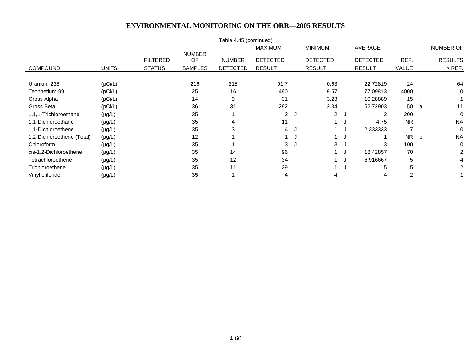|                            |              |                                  |                                       |                                  | <b>MAXIMUM</b>                   |    | <b>MINIMUM</b>                   |            | AVERAGE                          |                 |   | NUMBER OF                  |
|----------------------------|--------------|----------------------------------|---------------------------------------|----------------------------------|----------------------------------|----|----------------------------------|------------|----------------------------------|-----------------|---|----------------------------|
| <b>COMPOUND</b>            | <b>UNITS</b> | <b>FILTERED</b><br><b>STATUS</b> | <b>NUMBER</b><br>OF<br><b>SAMPLES</b> | <b>NUMBER</b><br><b>DETECTED</b> | <b>DETECTED</b><br><b>RESULT</b> |    | <b>DETECTED</b><br><b>RESULT</b> |            | <b>DETECTED</b><br><b>RESULT</b> | REF.<br>VALUE   |   | <b>RESULTS</b><br>$>$ REF. |
|                            |              |                                  |                                       |                                  |                                  |    |                                  |            |                                  |                 |   |                            |
| Uranium-238                | (pCi/L)      |                                  | 216                                   | 215                              | 91.7                             |    | 0.63                             |            | 22.72819                         | 24              |   | 64                         |
| Technetium-99              | (pCi/L)      |                                  | 25                                    | 16                               | 490                              |    | 9.57                             |            | 77.09813                         | 4000            |   | 0                          |
| Gross Alpha                | (pCi/L)      |                                  | 14                                    | 9                                | 31                               |    | 3.23                             |            | 10.28889                         | 15 <sub>1</sub> |   |                            |
| Gross Beta                 | (pCi/L)      |                                  | 36                                    | 31                               | 292                              |    | 2.34                             |            | 52.72903                         | 50              | a | 11                         |
| 1,1,1-Trichloroethane      | $(\mu g/L)$  |                                  | 35                                    |                                  | $\overline{2}$                   | J. | $2^{\circ}$                      | J          | 2                                | 200             |   | 0                          |
| 1,1-Dichloroethane         | $(\mu g/L)$  |                                  | 35                                    | 4                                | 11                               |    |                                  | ل (        | 4.75                             | <b>NR</b>       |   | <b>NA</b>                  |
| 1,1-Dichloroethene         | $(\mu g/L)$  |                                  | 35                                    | 3                                | $\overline{4}$                   | J  |                                  | ل ا        | 2.333333                         |                 |   | 0                          |
| 1,2-Dichloroethene (Total) | $(\mu g/L)$  |                                  | 12                                    |                                  |                                  | J. |                                  | <b>ل</b> ا |                                  | NR.             | b | <b>NA</b>                  |
| Chloroform                 | $(\mu g/L)$  |                                  | 35                                    |                                  | 3                                | J. | 3                                | J          | 3                                | 100             |   | 0                          |
| cis-1,2-Dichloroethene     | $(\mu g/L)$  |                                  | 35                                    | 14                               | 96                               |    |                                  | ل ا        | 18.42857                         | 70              |   | 2                          |
| Tetrachloroethene          | $(\mu g/L)$  |                                  | 35                                    | 12                               | 34                               |    |                                  | ل ا        | 6.916667                         | 5               |   | 4                          |
| Trichloroethene            | $(\mu g/L)$  |                                  | 35                                    | 11                               | 29                               |    |                                  | ل          | 5                                | 5               |   | 2                          |
| Vinyl chloride             | $(\mu g/L)$  |                                  | 35                                    |                                  | 4                                |    | 4                                |            | 4                                | 2               |   |                            |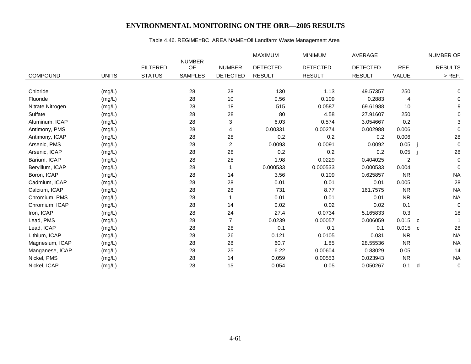# Table 4.46. REGIME=BC AREA NAME=Oil Landfarm Waste Management Area

|                  |              |                 |                     |                 | <b>MAXIMUM</b>  | <b>MINIMUM</b>  | <b>AVERAGE</b>  |           |              | NUMBER OF      |
|------------------|--------------|-----------------|---------------------|-----------------|-----------------|-----------------|-----------------|-----------|--------------|----------------|
|                  |              | <b>FILTERED</b> | <b>NUMBER</b><br>OF | <b>NUMBER</b>   | <b>DETECTED</b> | <b>DETECTED</b> | <b>DETECTED</b> | REF.      |              | <b>RESULTS</b> |
| <b>COMPOUND</b>  | <b>UNITS</b> | <b>STATUS</b>   | <b>SAMPLES</b>      | <b>DETECTED</b> | <b>RESULT</b>   | <b>RESULT</b>   | <b>RESULT</b>   | VALUE     |              | $>$ REF.       |
|                  |              |                 |                     |                 |                 |                 |                 |           |              |                |
| Chloride         | (mg/L)       |                 | 28                  | 28              | 130             | 1.13            | 49.57357        | 250       |              | 0              |
| Fluoride         | (mg/L)       |                 | 28                  | 10              | 0.56            | 0.109           | 0.2883          | 4         |              | 0              |
| Nitrate Nitrogen | (mg/L)       |                 | 28                  | 18              | 515             | 0.0587          | 69.61988        | 10        |              | 9              |
| Sulfate          | (mg/L)       |                 | 28                  | 28              | 80              | 4.58            | 27.91607        | 250       |              | 0              |
| Aluminum, ICAP   | (mg/L)       |                 | 28                  | 3               | 6.03            | 0.574           | 3.054667        | 0.2       |              | 3              |
| Antimony, PMS    | (mg/L)       |                 | 28                  | 4               | 0.00331         | 0.00274         | 0.002988        | 0.006     |              | $\mathbf 0$    |
| Antimony, ICAP   | (mg/L)       |                 | 28                  | 28              | 0.2             | 0.2             | 0.2             | 0.006     |              | 28             |
| Arsenic, PMS     | (mg/L)       |                 | 28                  | 2               | 0.0093          | 0.0091          | 0.0092          | 0.05      |              | $\mathbf 0$    |
| Arsenic, ICAP    | (mg/L)       |                 | 28                  | 28              | 0.2             | 0.2             | 0.2             | 0.05      |              | 28             |
| Barium, ICAP     | (mg/L)       |                 | 28                  | 28              | 1.98            | 0.0229          | 0.404025        | 2         |              | 0              |
| Beryllium, ICAP  | (mg/L)       |                 | 28                  |                 | 0.000533        | 0.000533        | 0.000533        | 0.004     |              | 0              |
| Boron, ICAP      | (mg/L)       |                 | 28                  | 14              | 3.56            | 0.109           | 0.625857        | <b>NR</b> |              | <b>NA</b>      |
| Cadmium, ICAP    | (mg/L)       |                 | 28                  | 28              | 0.01            | 0.01            | 0.01            | 0.005     |              | 28             |
| Calcium, ICAP    | (mg/L)       |                 | 28                  | 28              | 731             | 8.77            | 161.7575        | <b>NR</b> |              | <b>NA</b>      |
| Chromium, PMS    | (mg/L)       |                 | 28                  |                 | 0.01            | 0.01            | 0.01            | <b>NR</b> |              | <b>NA</b>      |
| Chromium, ICAP   | (mg/L)       |                 | 28                  | 14              | 0.02            | 0.02            | 0.02            | 0.1       |              | $\mathbf 0$    |
| Iron, ICAP       | (mg/L)       |                 | 28                  | 24              | 27.4            | 0.0734          | 5.165833        | 0.3       |              | 18             |
| Lead, PMS        | (mg/L)       |                 | 28                  | $\overline{7}$  | 0.0239          | 0.00057         | 0.006059        | 0.015     | C            |                |
| Lead, ICAP       | (mg/L)       |                 | 28                  | 28              | 0.1             | 0.1             | 0.1             | 0.015     | $\mathbf{C}$ | 28             |
| Lithium, ICAP    | (mg/L)       |                 | 28                  | 26              | 0.121           | 0.0105          | 0.031           | <b>NR</b> |              | <b>NA</b>      |
| Magnesium, ICAP  | (mg/L)       |                 | 28                  | 28              | 60.7            | 1.85            | 28.55536        | <b>NR</b> |              | <b>NA</b>      |
| Manganese, ICAP  | (mg/L)       |                 | 28                  | 25              | 6.22            | 0.00604         | 0.83029         | 0.05      |              | 14             |
| Nickel, PMS      | (mg/L)       |                 | 28                  | 14              | 0.059           | 0.00553         | 0.023943        | <b>NR</b> |              | <b>NA</b>      |
| Nickel, ICAP     | (mg/L)       |                 | 28                  | 15              | 0.054           | 0.05            | 0.050267        | 0.1       | d            | $\pmb{0}$      |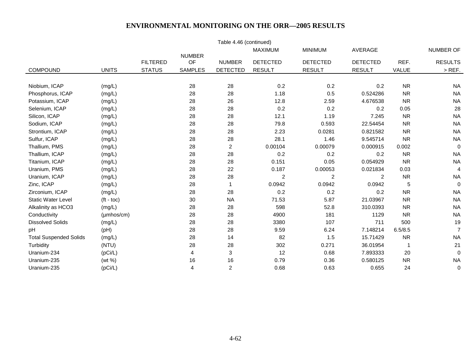|                               |                     |                 |                     | Table 4.46 (continued) |                 |                 |                 |           |                |
|-------------------------------|---------------------|-----------------|---------------------|------------------------|-----------------|-----------------|-----------------|-----------|----------------|
|                               |                     |                 |                     |                        | MAXIMUM         | <b>MINIMUM</b>  | AVERAGE         |           | NUMBER OF      |
|                               |                     | <b>FILTERED</b> | <b>NUMBER</b><br>OF | <b>NUMBER</b>          | <b>DETECTED</b> | <b>DETECTED</b> | <b>DETECTED</b> | REF.      | <b>RESULTS</b> |
| COMPOUND                      | <b>UNITS</b>        | <b>STATUS</b>   | <b>SAMPLES</b>      | <b>DETECTED</b>        | <b>RESULT</b>   | <b>RESULT</b>   | <b>RESULT</b>   | VALUE     | $>$ REF.       |
|                               |                     |                 |                     |                        |                 |                 |                 |           |                |
| Niobium, ICAP                 | (mg/L)              |                 | 28                  | 28                     | 0.2             | 0.2             | 0.2             | <b>NR</b> | <b>NA</b>      |
| Phosphorus, ICAP              | (mg/L)              |                 | 28                  | 28                     | 1.18            | 0.5             | 0.524286        | <b>NR</b> | <b>NA</b>      |
| Potassium, ICAP               | (mg/L)              |                 | 28                  | 26                     | 12.8            | 2.59            | 4.676538        | <b>NR</b> | <b>NA</b>      |
| Selenium, ICAP                | (mg/L)              |                 | 28                  | 28                     | 0.2             | 0.2             | 0.2             | 0.05      | 28             |
| Silicon, ICAP                 | (mg/L)              |                 | 28                  | 28                     | 12.1            | 1.19            | 7.245           | <b>NR</b> | <b>NA</b>      |
| Sodium, ICAP                  | (mg/L)              |                 | 28                  | 28                     | 79.8            | 0.593           | 22.54454        | <b>NR</b> | <b>NA</b>      |
| Strontium, ICAP               | (mg/L)              |                 | 28                  | 28                     | 2.23            | 0.0281          | 0.821582        | <b>NR</b> | <b>NA</b>      |
| Sulfur, ICAP                  | (mg/L)              |                 | 28                  | 28                     | 28.1            | 1.46            | 9.545714        | <b>NR</b> | <b>NA</b>      |
| Thallium, PMS                 | (mg/L)              |                 | 28                  | $\overline{2}$         | 0.00104         | 0.00079         | 0.000915        | 0.002     | $\mathbf 0$    |
| Thallium, ICAP                | (mg/L)              |                 | 28                  | 28                     | 0.2             | 0.2             | 0.2             | <b>NR</b> | <b>NA</b>      |
| Titanium, ICAP                | (mg/L)              |                 | 28                  | 28                     | 0.151           | 0.05            | 0.054929        | <b>NR</b> | <b>NA</b>      |
| Uranium, PMS                  | (mg/L)              |                 | 28                  | 22                     | 0.187           | 0.00053         | 0.021834        | 0.03      | $\overline{4}$ |
| Uranium, ICAP                 | (mg/L)              |                 | 28                  | 28                     | $\overline{c}$  | $\overline{2}$  | $\overline{2}$  | <b>NR</b> | <b>NA</b>      |
| Zinc, ICAP                    | (mg/L)              |                 | 28                  |                        | 0.0942          | 0.0942          | 0.0942          | 5         | $\mathbf 0$    |
| Zirconium, ICAP               | (mg/L)              |                 | 28                  | 28                     | 0.2             | 0.2             | 0.2             | <b>NR</b> | <b>NA</b>      |
| <b>Static Water Level</b>     | $(t - \text{toc})$  |                 | 30                  | <b>NA</b>              | 71.53           | 5.87            | 21.03967        | <b>NR</b> | <b>NA</b>      |
| Alkalinity as HCO3            | (mg/L)              |                 | 28                  | 28                     | 598             | 52.8            | 310.0393        | <b>NR</b> | <b>NA</b>      |
| Conductivity                  | $(\mu m$ hos/cm $)$ |                 | 28                  | 28                     | 4900            | 181             | 1129            | <b>NR</b> | <b>NA</b>      |
| <b>Dissolved Solids</b>       | (mg/L)              |                 | 28                  | 28                     | 3380            | 107             | 711             | 500       | 19             |
| pH                            | (pH)                |                 | 28                  | 28                     | 9.59            | 6.24            | 7.148214        | 6.5/8.5   | $\overline{7}$ |
| <b>Total Suspended Solids</b> | (mg/L)              |                 | 28                  | 14                     | 82              | 1.5             | 15.71429        | <b>NR</b> | <b>NA</b>      |
| Turbidity                     | (NTU)               |                 | 28                  | 28                     | 302             | 0.271           | 36.01954        | -1        | 21             |
| Uranium-234                   | (pCi/L)             |                 | 4                   | 3                      | 12              | 0.68            | 7.893333        | 20        | $\mathbf 0$    |
| Uranium-235                   | (wt %)              |                 | 16                  | 16                     | 0.79            | 0.36            | 0.580125        | <b>NR</b> | <b>NA</b>      |
| Uranium-235                   | (pCi/L)             |                 | 4                   | $\overline{c}$         | 0.68            | 0.63            | 0.655           | 24        | 0              |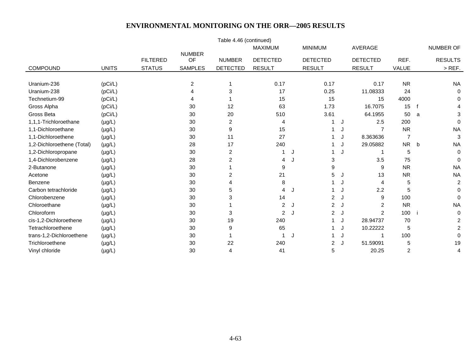|                            |              |                 |                     | Table 4.46 (continued) |                 |   |                 |   |                 |                |             |                |
|----------------------------|--------------|-----------------|---------------------|------------------------|-----------------|---|-----------------|---|-----------------|----------------|-------------|----------------|
|                            |              |                 |                     |                        | <b>MAXIMUM</b>  |   | <b>MINIMUM</b>  |   | <b>AVERAGE</b>  |                |             | NUMBER OF      |
|                            |              | <b>FILTERED</b> | <b>NUMBER</b><br>OF | <b>NUMBER</b>          | <b>DETECTED</b> |   | <b>DETECTED</b> |   | <b>DETECTED</b> | REF.           |             | <b>RESULTS</b> |
| COMPOUND                   | <b>UNITS</b> | <b>STATUS</b>   | <b>SAMPLES</b>      | <b>DETECTED</b>        | <b>RESULT</b>   |   | <b>RESULT</b>   |   | <b>RESULT</b>   | VALUE          |             | $>$ REF.       |
|                            |              |                 |                     |                        |                 |   |                 |   |                 |                |             |                |
| Uranium-236                | (pCi/L)      |                 | 2                   |                        | 0.17            |   | 0.17            |   | 0.17            | <b>NR</b>      |             | <b>NA</b>      |
| Uranium-238                | (pCi/L)      |                 |                     | 3                      | 17              |   | 0.25            |   | 11.08333        | 24             |             | 0              |
| Technetium-99              | (pCi/L)      |                 |                     |                        | 15              |   | 15              |   | 15              | 4000           |             | 0              |
| Gross Alpha                | (pCi/L)      |                 | 30                  | 12                     | 63              |   | 1.73            |   | 16.7075         | 15             |             | 4              |
| Gross Beta                 | (pCi/L)      |                 | 30                  | 20                     | 510             |   | 3.61            |   | 64.1955         | 50             | a           | 3              |
| 1,1,1-Trichloroethane      | $(\mu g/L)$  |                 | 30                  | 2                      | 4               |   |                 | J | 2.5             | 200            |             | $\Omega$       |
| 1,1-Dichloroethane         | $(\mu g/L)$  |                 | 30                  | 9                      | 15              |   |                 |   |                 | <b>NR</b>      |             | <b>NA</b>      |
| 1,1-Dichloroethene         | $(\mu g/L)$  |                 | 30                  | 11                     | 27              |   |                 | J | 8.363636        | 7              |             | $\sqrt{3}$     |
| 1,2-Dichloroethene (Total) | $(\mu g/L)$  |                 | 28                  | 17                     | 240             |   |                 | J | 29.05882        | <b>NR</b>      | $\mathbf b$ | <b>NA</b>      |
| 1,2-Dichloropropane        | $(\mu g/L)$  |                 | 30                  | $\overline{2}$         | 1               | J |                 | J |                 | 5              |             | $\Omega$       |
| 1,4-Dichlorobenzene        | $(\mu g/L)$  |                 | 28                  | 2                      | 4               | J | 3               |   | 3.5             | 75             |             | $\Omega$       |
| 2-Butanone                 | $(\mu g/L)$  |                 | 30                  |                        | 9               |   | 9               |   | 9               | <b>NR</b>      |             | <b>NA</b>      |
| Acetone                    | $(\mu g/L)$  |                 | 30                  | $\overline{2}$         | 21              |   | 5               | J | 13              | <b>NR</b>      |             | <b>NA</b>      |
| Benzene                    | $(\mu g/L)$  |                 | 30                  | 4                      | 8               |   |                 |   | 4               | 5              |             | $\overline{c}$ |
| Carbon tetrachloride       | $(\mu g/L)$  |                 | 30                  | 5                      | 4               | J |                 |   | 2.2             | 5              |             | $\Omega$       |
| Chlorobenzene              | $(\mu g/L)$  |                 | 30                  | 3                      | 14              |   | $\overline{2}$  | J | 9               | 100            |             | $\Omega$       |
| Chloroethane               | $(\mu g/L)$  |                 | 30                  |                        | 2               | J | $\overline{2}$  | J | $\overline{2}$  | <b>NR</b>      |             | <b>NA</b>      |
| Chloroform                 | $(\mu g/L)$  |                 | 30                  | 3                      | $\overline{2}$  | J | 2               | J | 2               | 100            |             | 0              |
| cis-1,2-Dichloroethene     | $(\mu g/L)$  |                 | 30                  | 19                     | 240             |   |                 |   | 28.94737        | 70             |             | $\overline{c}$ |
| Tetrachloroethene          | $(\mu g/L)$  |                 | 30                  | 9                      | 65              |   |                 | J | 10.22222        | 5              |             | $\overline{c}$ |
| trans-1,2-Dichloroethene   | $(\mu g/L)$  |                 | 30                  |                        |                 | J |                 | J |                 | 100            |             | 0              |
| Trichloroethene            | $(\mu g/L)$  |                 | 30                  | 22                     | 240             |   | $\overline{2}$  | J | 51.59091        | 5              |             | 19             |
| Vinyl chloride             | $(\mu g/L)$  |                 | 30                  | 4                      | 41              |   | 5               |   | 20.25           | $\overline{c}$ |             | 4              |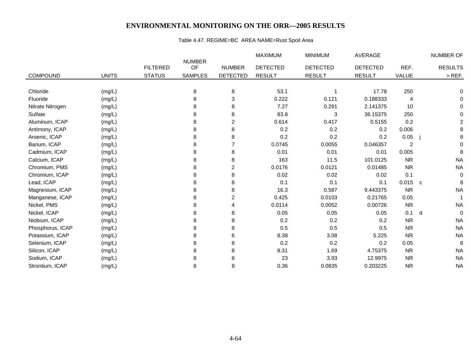# Table 4.47. REGIME=BC AREA NAME=Rust Spoil Area

|                  |              |                 |                     |                         | <b>MAXIMUM</b>  | <b>MINIMUM</b>  | AVERAGE         |                |   | NUMBER OF      |
|------------------|--------------|-----------------|---------------------|-------------------------|-----------------|-----------------|-----------------|----------------|---|----------------|
|                  |              | <b>FILTERED</b> | <b>NUMBER</b><br>OF | <b>NUMBER</b>           | <b>DETECTED</b> | <b>DETECTED</b> | <b>DETECTED</b> | REF.           |   | <b>RESULTS</b> |
| <b>COMPOUND</b>  | <b>UNITS</b> | <b>STATUS</b>   | <b>SAMPLES</b>      | <b>DETECTED</b>         | <b>RESULT</b>   | <b>RESULT</b>   | <b>RESULT</b>   | VALUE          |   | $>$ REF.       |
|                  |              |                 |                     |                         |                 |                 |                 |                |   |                |
| Chloride         | (mg/L)       |                 | 8                   | 8                       | 53.1            |                 | 17.78           | 250            |   | 0              |
| Fluoride         | (mg/L)       |                 | 8                   | 3                       | 0.222           | 0.121           | 0.188333        | 4              |   | $\Omega$       |
| Nitrate Nitrogen | (mg/L)       |                 | 8                   | 8                       | 7.27            | 0.291           | 2.141375        | 10             |   | $\Omega$       |
| Sulfate          | (mg/L)       |                 | 8                   | 8                       | 83.8            | 3               | 36.15375        | 250            |   | 0              |
| Aluminum, ICAP   | (mg/L)       |                 | 8                   | 2                       | 0.614           | 0.417           | 0.5155          | 0.2            |   | $\overline{2}$ |
| Antimony, ICAP   | (mg/L)       |                 | 8                   | 8                       | 0.2             | 0.2             | 0.2             | 0.006          |   | 8              |
| Arsenic, ICAP    | (mg/L)       |                 | 8                   | 8                       | 0.2             | 0.2             | 0.2             | 0.05           |   | 8              |
| Barium, ICAP     | (mg/L)       |                 | 8                   | 7                       | 0.0745          | 0.0055          | 0.046357        | $\overline{c}$ |   | $\mathbf 0$    |
| Cadmium, ICAP    | (mg/L)       |                 | 8                   | 8                       | 0.01            | 0.01            | 0.01            | 0.005          |   | 8              |
| Calcium, ICAP    | (mg/L)       |                 | 8                   | 8                       | 163             | 11.5            | 101.0125        | <b>NR</b>      |   | <b>NA</b>      |
| Chromium, PMS    | (mg/L)       |                 | 8                   | $\overline{\mathbf{c}}$ | 0.0176          | 0.0121          | 0.01485         | <b>NR</b>      |   | <b>NA</b>      |
| Chromium, ICAP   | (mg/L)       |                 | 8                   | 8                       | 0.02            | 0.02            | 0.02            | 0.1            |   | $\mathbf 0$    |
| Lead, ICAP       | (mg/L)       |                 | 8                   | 8                       | 0.1             | 0.1             | 0.1             | 0.015          | C | 8              |
| Magnesium, ICAP  | (mg/L)       |                 | 8                   | 8                       | 16.3            | 0.587           | 9.443375        | <b>NR</b>      |   | <b>NA</b>      |
| Manganese, ICAP  | (mg/L)       |                 | 8                   | 2                       | 0.425           | 0.0103          | 0.21765         | 0.05           |   |                |
| Nickel, PMS      | (mg/L)       |                 | 8                   | 4                       | 0.0114          | 0.0052          | 0.00726         | <b>NR</b>      |   | <b>NA</b>      |
| Nickel, ICAP     | (mg/L)       |                 | 8                   | 8                       | 0.05            | 0.05            | 0.05            | 0.1            | d | $\mathbf 0$    |
| Niobium, ICAP    | (mg/L)       |                 | 8                   | 8                       | 0.2             | 0.2             | 0.2             | <b>NR</b>      |   | <b>NA</b>      |
| Phosphorus, ICAP | (mg/L)       |                 | 8                   | 8                       | 0.5             | 0.5             | 0.5             | <b>NR</b>      |   | <b>NA</b>      |
| Potassium, ICAP  | (mg/L)       |                 | 8                   | 6                       | 8.38            | 3.08            | 5.225           | <b>NR</b>      |   | <b>NA</b>      |
| Selenium, ICAP   | (mg/L)       |                 | 8                   | 8                       | 0.2             | 0.2             | 0.2             | 0.05           |   | 8              |
| Silicon, ICAP    | (mg/L)       |                 | 8                   | 8                       | 8.31            | 1.69            | 4.75375         | <b>NR</b>      |   | <b>NA</b>      |
| Sodium, ICAP     | (mg/L)       |                 | 8                   | 8                       | 23              | 3.93            | 12.9975         | <b>NR</b>      |   | <b>NA</b>      |
| Strontium, ICAP  | (mg/L)       |                 | 8                   | 8                       | 0.36            | 0.0835          | 0.203225        | <b>NR</b>      |   | <b>NA</b>      |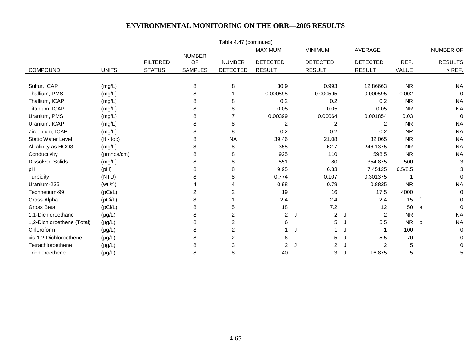|                            |                    |                 |                     | Table 4.47 (continued) |                 |                 |                |                     |           |   |                  |
|----------------------------|--------------------|-----------------|---------------------|------------------------|-----------------|-----------------|----------------|---------------------|-----------|---|------------------|
|                            |                    |                 |                     |                        | <b>MAXIMUM</b>  | <b>MINIMUM</b>  |                | AVERAGE             |           |   | <b>NUMBER OF</b> |
|                            |                    | <b>FILTERED</b> | <b>NUMBER</b><br>OF | <b>NUMBER</b>          | <b>DETECTED</b> | <b>DETECTED</b> |                | <b>DETECTED</b>     | REF.      |   | <b>RESULTS</b>   |
| <b>COMPOUND</b>            | <b>UNITS</b>       | <b>STATUS</b>   | <b>SAMPLES</b>      | <b>DETECTED</b>        | <b>RESULT</b>   | <b>RESULT</b>   |                | <b>RESULT</b>       | VALUE     |   | $>$ REF.         |
|                            |                    |                 |                     |                        |                 |                 |                |                     |           |   |                  |
| Sulfur, ICAP               | (mg/L)             |                 | 8                   | 8                      | 30.9            |                 | 0.993          | 12.86663            | <b>NR</b> |   | <b>NA</b>        |
| Thallium, PMS              | (mg/L)             |                 | 8                   |                        | 0.000595        |                 | 0.000595       | 0.000595            | 0.002     |   | 0                |
| Thallium, ICAP             | (mg/L)             |                 | 8                   | 8                      | 0.2             |                 | 0.2            | 0.2                 | <b>NR</b> |   | <b>NA</b>        |
| Titanium, ICAP             | (mg/L)             |                 | 8                   | 8                      | 0.05            |                 | 0.05           | 0.05                | <b>NR</b> |   | <b>NA</b>        |
| Uranium, PMS               | (mg/L)             |                 | 8                   |                        | 0.00399         |                 | 0.00064        | 0.001854            | 0.03      |   | 0                |
| Uranium, ICAP              | (mg/L)             |                 | 8                   | 8                      | $\overline{c}$  |                 | $\overline{2}$ | $\overline{2}$      | <b>NR</b> |   | <b>NA</b>        |
| Zirconium, ICAP            | (mg/L)             |                 | 8                   | 8                      | 0.2             |                 | 0.2            | 0.2                 | <b>NR</b> |   | <b>NA</b>        |
| <b>Static Water Level</b>  | $(t - \text{toc})$ |                 | 8                   | <b>NA</b>              | 39.46           |                 | 21.08          | 32.065              | <b>NR</b> |   | <b>NA</b>        |
| Alkalinity as HCO3         | (mg/L)             |                 |                     | 8                      | 355             |                 | 62.7           | 246.1375            | <b>NR</b> |   | <b>NA</b>        |
| Conductivity               | (µmhos/cm)         |                 | 8                   | 8                      | 925             |                 | 110            | 598.5               | <b>NR</b> |   | <b>NA</b>        |
| <b>Dissolved Solids</b>    | (mg/L)             |                 | 8                   | 8                      | 551             |                 | 80             | 354.875             | 500       |   | 3                |
| pH                         | (pH)               |                 |                     | 8                      | 9.95            |                 | 6.33           | 7.45125             | 6.5/8.5   |   | 3                |
| Turbidity                  | (NTU)              |                 | 8                   | 8                      | 0.774           |                 | 0.107          | 0.301375            |           |   | $\Omega$         |
| Uranium-235                | (wt %)             |                 |                     | 4                      | 0.98            |                 | 0.79           | 0.8825              | <b>NR</b> |   | <b>NA</b>        |
| Technetium-99              | (pCi/L)            |                 | 2                   | $\overline{2}$         | 19              |                 | 16             | 17.5                | 4000      |   | 0                |
| Gross Alpha                | (pCi/L)            |                 | 8                   |                        | 2.4             |                 | 2.4            | 2.4                 | 15        |   | 0                |
| Gross Beta                 | (pCi/L)            |                 | 8                   | 5                      | 18              |                 | 7.2            | 12                  | 50        | a | 0                |
| 1,1-Dichloroethane         | $(\mu g/L)$        |                 | 8                   | 2                      | $\overline{c}$  | J               | $\overline{c}$ | $\overline{c}$<br>J | <b>NR</b> |   | <b>NA</b>        |
| 1,2-Dichloroethene (Total) | $(\mu g/L)$        |                 |                     | 2                      | 6               |                 | $\sqrt{5}$     | 5.5                 | <b>NR</b> | b | <b>NA</b>        |
| Chloroform                 | $(\mu g/L)$        |                 | 8                   | 2                      |                 |                 |                |                     | 100       |   | 0                |
| cis-1,2-Dichloroethene     | $(\mu g/L)$        |                 | 8                   | $\overline{c}$         | 6               |                 | 5              | 5.5<br>J            | 70        |   | 0                |
| Tetrachloroethene          | $(\mu g/L)$        |                 | 8                   | 3                      | $\overline{2}$  | J               | $\overline{2}$ | $\overline{2}$      | 5         |   | 0                |
| Trichloroethene            | $(\mu g/L)$        |                 | 8                   | 8                      | 40              |                 | 3              | 16.875<br>J         | 5         |   | 5                |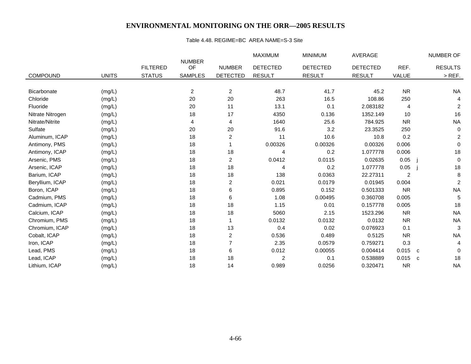#### Table 4.48. REGIME=BC AREA NAME=S-3 Site

|                  |              |                 |                     |                 | <b>MAXIMUM</b>  | <b>MINIMUM</b>  | <b>AVERAGE</b>  |                |              | NUMBER OF        |
|------------------|--------------|-----------------|---------------------|-----------------|-----------------|-----------------|-----------------|----------------|--------------|------------------|
|                  |              | <b>FILTERED</b> | <b>NUMBER</b><br>OF | <b>NUMBER</b>   | <b>DETECTED</b> | <b>DETECTED</b> | <b>DETECTED</b> | REF.           |              | <b>RESULTS</b>   |
| <b>COMPOUND</b>  | <b>UNITS</b> | <b>STATUS</b>   | <b>SAMPLES</b>      | <b>DETECTED</b> | <b>RESULT</b>   | <b>RESULT</b>   | <b>RESULT</b>   | VALUE          |              | $>$ REF.         |
|                  |              |                 |                     |                 |                 |                 |                 |                |              |                  |
| Bicarbonate      | (mg/L)       |                 | $\overline{c}$      | $\overline{c}$  | 48.7            | 41.7            | 45.2            | <b>NR</b>      |              | <b>NA</b>        |
| Chloride         | (mg/L)       |                 | 20                  | 20              | 263             | 16.5            | 108.86          | 250            |              |                  |
| Fluoride         | (mg/L)       |                 | 20                  | 11              | 13.1            | 0.1             | 2.083182        | 4              |              | $\overline{c}$   |
| Nitrate Nitrogen | (mg/L)       |                 | 18                  | 17              | 4350            | 0.136           | 1352.149        | 10             |              | 16               |
| Nitrate/Nitrite  | (mg/L)       |                 | 4                   | 4               | 1640            | 25.6            | 784.925         | <b>NR</b>      |              | <b>NA</b>        |
| Sulfate          | (mg/L)       |                 | 20                  | 20              | 91.6            | 3.2             | 23.3525         | 250            |              | 0                |
| Aluminum, ICAP   | (mg/L)       |                 | 18                  | 2               | 11              | 10.6            | 10.8            | 0.2            |              | 2                |
| Antimony, PMS    | (mg/L)       |                 | 18                  |                 | 0.00326         | 0.00326         | 0.00326         | 0.006          |              | $\mathbf 0$      |
| Antimony, ICAP   | (mg/L)       |                 | 18                  | 18              | 4               | 0.2             | 1.077778        | 0.006          |              | 18               |
| Arsenic, PMS     | (mg/L)       |                 | 18                  | 2               | 0.0412          | 0.0115          | 0.02635         | 0.05           |              | 0                |
| Arsenic, ICAP    | (mg/L)       |                 | 18                  | 18              | 4               | 0.2             | 1.077778        | 0.05           |              | 18               |
| Barium, ICAP     | (mg/L)       |                 | 18                  | 18              | 138             | 0.0363          | 22.27311        | $\overline{2}$ |              | $\bf 8$          |
| Beryllium, ICAP  | (mg/L)       |                 | 18                  | 2               | 0.021           | 0.0179          | 0.01945         | 0.004          |              | $\boldsymbol{2}$ |
| Boron, ICAP      | (mg/L)       |                 | 18                  | 6               | 0.895           | 0.152           | 0.501333        | <b>NR</b>      |              | $\sf NA$         |
| Cadmium, PMS     | (mg/L)       |                 | 18                  | 6               | 1.08            | 0.00495         | 0.360708        | 0.005          |              | 5                |
| Cadmium, ICAP    | (mg/L)       |                 | 18                  | 18              | 1.15            | 0.01            | 0.157778        | 0.005          |              | 18               |
| Calcium, ICAP    | (mg/L)       |                 | 18                  | 18              | 5060            | 2.15            | 1523.296        | <b>NR</b>      |              | <b>NA</b>        |
| Chromium, PMS    | (mg/L)       |                 | 18                  |                 | 0.0132          | 0.0132          | 0.0132          | <b>NR</b>      |              | <b>NA</b>        |
| Chromium, ICAP   | (mg/L)       |                 | 18                  | 13              | 0.4             | 0.02            | 0.076923        | 0.1            |              | 3                |
| Cobalt, ICAP     | (mg/L)       |                 | 18                  | 2               | 0.536           | 0.489           | 0.5125          | <b>NR</b>      |              | <b>NA</b>        |
| Iron, ICAP       | (mg/L)       |                 | 18                  | 7               | 2.35            | 0.0579          | 0.759271        | 0.3            |              | 4                |
| Lead, PMS        | (mg/L)       |                 | 18                  | 6               | 0.012           | 0.00055         | 0.004414        | 0.015          | C            | 0                |
| Lead, ICAP       | (mg/L)       |                 | 18                  | 18              | $\overline{c}$  | 0.1             | 0.538889        | 0.015          | $\mathbf{C}$ | 18               |
| Lithium, ICAP    | (mg/L)       |                 | 18                  | 14              | 0.989           | 0.0256          | 0.320471        | <b>NR</b>      |              | <b>NA</b>        |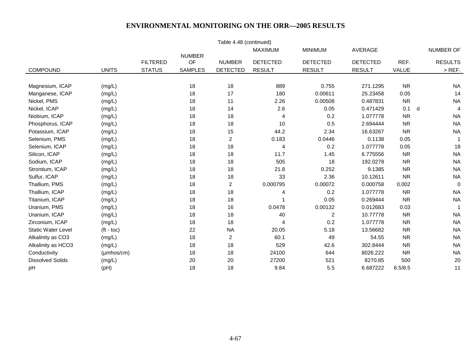|                           |                     |                 |                     | Table 4.48 (continued) |                 |                 |                 |              |                     |
|---------------------------|---------------------|-----------------|---------------------|------------------------|-----------------|-----------------|-----------------|--------------|---------------------|
|                           |                     |                 |                     |                        | <b>MAXIMUM</b>  | <b>MINIMUM</b>  | <b>AVERAGE</b>  |              | NUMBER OF           |
|                           |                     | <b>FILTERED</b> | <b>NUMBER</b><br>OF | <b>NUMBER</b>          | <b>DETECTED</b> | <b>DETECTED</b> | <b>DETECTED</b> | REF.         | <b>RESULTS</b>      |
| <b>COMPOUND</b>           | <b>UNITS</b>        | <b>STATUS</b>   | <b>SAMPLES</b>      | <b>DETECTED</b>        | <b>RESULT</b>   | <b>RESULT</b>   | <b>RESULT</b>   | <b>VALUE</b> | $>$ REF.            |
|                           |                     |                 |                     |                        |                 |                 |                 |              |                     |
| Magnesium, ICAP           | (mg/L)              |                 | 18                  | 18                     | 889             | 0.755           | 271.1295        | <b>NR</b>    | <b>NA</b>           |
| Manganese, ICAP           | (mg/L)              |                 | 18                  | 17                     | 180             | 0.00611         | 25.23458        | 0.05         | 14                  |
| Nickel, PMS               | (mg/L)              |                 | 18                  | 11                     | 2.26            | 0.00508         | 0.487831        | <b>NR</b>    | <b>NA</b>           |
| Nickel, ICAP              | (mg/L)              |                 | 18                  | 14                     | 2.6             | 0.05            | 0.471429        | 0.1          | d<br>$\overline{4}$ |
| Niobium, ICAP             | (mg/L)              |                 | 18                  | 18                     | 4               | 0.2             | 1.077778        | <b>NR</b>    | <b>NA</b>           |
| Phosphorus, ICAP          | (mg/L)              |                 | 18                  | 18                     | 10              | 0.5             | 2.694444        | <b>NR</b>    | <b>NA</b>           |
| Potassium, ICAP           | (mg/L)              |                 | 18                  | 15                     | 44.2            | 2.34            | 16.63267        | <b>NR</b>    | <b>NA</b>           |
| Selenium, PMS             | (mg/L)              |                 | 18                  | $\overline{2}$         | 0.183           | 0.0446          | 0.1138          | 0.05         |                     |
| Selenium, ICAP            | (mg/L)              |                 | 18                  | 18                     | 4               | 0.2             | 1.077778        | 0.05         | 18                  |
| Silicon, ICAP             | (mg/L)              |                 | 18                  | 18                     | 11.7            | 1.45            | 6.775556        | <b>NR</b>    | <b>NA</b>           |
| Sodium, ICAP              | (mg/L)              |                 | 18                  | 18                     | 505             | 18              | 192.0278        | <b>NR</b>    | <b>NA</b>           |
| Strontium, ICAP           | (mg/L)              |                 | 18                  | 18                     | 21.8            | 0.252           | 9.1385          | <b>NR</b>    | <b>NA</b>           |
| Sulfur, ICAP              | (mg/L)              |                 | 18                  | 18                     | 33              | 2.36            | 10.12611        | <b>NR</b>    | <b>NA</b>           |
| Thallium, PMS             | (mg/L)              |                 | 18                  | $\overline{c}$         | 0.000795        | 0.00072         | 0.000758        | 0.002        | $\mathbf 0$         |
| Thallium, ICAP            | (mg/L)              |                 | 18                  | 18                     | 4               | 0.2             | 1.077778        | <b>NR</b>    | <b>NA</b>           |
| Titanium, ICAP            | (mg/L)              |                 | 18                  | 18                     |                 | 0.05            | 0.269444        | <b>NR</b>    | <b>NA</b>           |
| Uranium, PMS              | (mg/L)              |                 | 18                  | 16                     | 0.0478          | 0.00132         | 0.012683        | 0.03         |                     |
| Uranium, ICAP             | (mg/L)              |                 | 18                  | 18                     | 40              | $\overline{2}$  | 10.77778        | <b>NR</b>    | <b>NA</b>           |
| Zirconium, ICAP           | (mg/L)              |                 | 18                  | 18                     | 4               | 0.2             | 1.077778        | <b>NR</b>    | <b>NA</b>           |
| <b>Static Water Level</b> | $(t - t)$           |                 | 22                  | <b>NA</b>              | 20.05           | 5.18            | 13.56682        | <b>NR</b>    | <b>NA</b>           |
| Alkalinity as CO3         | (mg/L)              |                 | 18                  | $\overline{c}$         | 60.1            | 49              | 54.55           | <b>NR</b>    | <b>NA</b>           |
| Alkalinity as HCO3        | (mg/L)              |                 | 18                  | 18                     | 529             | 42.6            | 302.8444        | <b>NR</b>    | <b>NA</b>           |
| Conductivity              | $(\mu m$ hos/cm $)$ |                 | 18                  | 18                     | 24100           | 644             | 8026.222        | <b>NR</b>    | <b>NA</b>           |
| <b>Dissolved Solids</b>   | (mg/L)              |                 | 20                  | 20                     | 27200           | 521             | 8270.85         | 500          | 20                  |
| pH                        | (pH)                |                 | 18                  | 18                     | 9.84            | 5.5             | 6.687222        | 6.5/8.5      | 11                  |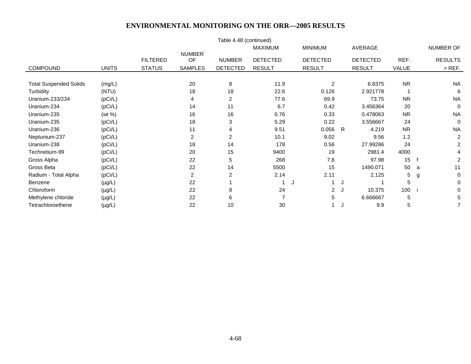|                               |              |                 |                | Table 4.48 (continued) | <b>MAXIMUM</b>  | <b>MINIMUM</b>  | AVERAGE         |                  | NUMBER OF        |
|-------------------------------|--------------|-----------------|----------------|------------------------|-----------------|-----------------|-----------------|------------------|------------------|
|                               |              |                 | <b>NUMBER</b>  |                        |                 |                 |                 |                  |                  |
|                               |              | <b>FILTERED</b> | OF             | <b>NUMBER</b>          | <b>DETECTED</b> | <b>DETECTED</b> | <b>DETECTED</b> | REF.             | <b>RESULTS</b>   |
| <b>COMPOUND</b>               | <b>UNITS</b> | <b>STATUS</b>   | <b>SAMPLES</b> | <b>DETECTED</b>        | <b>RESULT</b>   | <b>RESULT</b>   | <b>RESULT</b>   | VALUE            | $>$ REF.         |
|                               |              |                 |                |                        |                 |                 |                 |                  |                  |
| <b>Total Suspended Solids</b> | (mg/L)       |                 | 20             | 8                      | 11.9            | $\overline{c}$  | 6.8375          | <b>NR</b>        | <b>NA</b>        |
| Turbidity                     | (NTU)        |                 | 18             | 18                     | 22.6            | 0.126           | 2.921778        |                  | 6                |
| Uranium-233/234               | (pCi/L)      |                 | 4              | $\overline{2}$         | 77.6            | 69.9            | 73.75           | <b>NR</b>        | <b>NA</b>        |
| Uranium-234                   | (pCi/L)      |                 | 14             | 11                     | 6.7             | 0.42            | 3.456364        | 20               | $\mathbf 0$      |
| Uranium-235                   | (wt %)       |                 | 16             | 16                     | 0.76            | 0.33            | 0.478063        | <b>NR</b>        | <b>NA</b>        |
| Uranium-235                   | (pCi/L)      |                 | 18             | 3                      | 5.29            | 0.22            | 3.556667        | 24               | $\Omega$         |
| Uranium-236                   | (pCi/L)      |                 | 11             | 4                      | 9.51            | 0.056           | 4.219<br>R      | <b>NR</b>        | <b>NA</b>        |
| Neptunium-237                 | (pCi/L)      |                 | $\overline{a}$ | $\overline{2}$         | 10.1            | 9.02            | 9.56            | 1.2              | 2                |
| Uranium-238                   | (pCi/L)      |                 | 18             | 14                     | 178             | 0.56            | 27.99286        | 24               | $\overline{2}$   |
| Technetium-99                 | (pCi/L)      |                 | 20             | 15                     | 9400            | 19              | 2981.4          | 4000             |                  |
| Gross Alpha                   | (pCi/L)      |                 | 22             | 5                      | 268             | 7.8             | 97.98           | 15 <sub>15</sub> | 2                |
| Gross Beta                    | (pCi/L)      |                 | 22             | 14                     | 5500            | 15              | 1490.071        | 50               | 11<br>a          |
| Radium - Total Alpha          | (pCi/L)      |                 | $\overline{a}$ | $\overline{2}$         | 2.14            | 2.11            | 2.125           | 5                | $\mathbf 0$<br>g |
| Benzene                       | $(\mu g/L)$  |                 | 22             |                        |                 | J               | J               | 5                | 0                |
| Chloroform                    | $(\mu g/L)$  |                 | 22             | 8                      | 24              | $\overline{2}$  | 10.375<br>- u   | 100              | 0                |
| Methylene chloride            | $(\mu g/L)$  |                 | 22             | 6                      |                 | 5               | 6.666667        | 5                | 5                |
| Tetrachloroethene             | $(\mu g/L)$  |                 | 22             | 10                     | 30              |                 | 9.9             | 5                | 7                |
|                               |              |                 |                |                        |                 |                 |                 |                  |                  |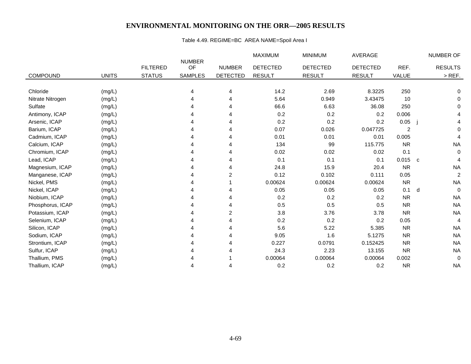# Table 4.49. REGIME=BC AREA NAME=Spoil Area I

|                  |              |                 |                     |                 | <b>MAXIMUM</b>  | <b>MINIMUM</b>  | <b>AVERAGE</b>  |                | NUMBER OF      |
|------------------|--------------|-----------------|---------------------|-----------------|-----------------|-----------------|-----------------|----------------|----------------|
|                  |              | <b>FILTERED</b> | <b>NUMBER</b><br>OF | <b>NUMBER</b>   | <b>DETECTED</b> | <b>DETECTED</b> | <b>DETECTED</b> | REF.           | <b>RESULTS</b> |
| <b>COMPOUND</b>  | <b>UNITS</b> | <b>STATUS</b>   | <b>SAMPLES</b>      | <b>DETECTED</b> | <b>RESULT</b>   | <b>RESULT</b>   | <b>RESULT</b>   | <b>VALUE</b>   | $>$ REF.       |
|                  |              |                 |                     |                 |                 |                 |                 |                |                |
| Chloride         | (mg/L)       |                 |                     | 4               | 14.2            | 2.69            | 8.3225          | 250            | 0              |
| Nitrate Nitrogen | (mg/L)       |                 |                     | 4               | 5.64            | 0.949           | 3.43475         | 10             | 0              |
| Sulfate          |              |                 |                     |                 | 66.6            | 6.63            | 36.08           | 250            | $\Omega$       |
|                  | (mg/L)       |                 |                     |                 |                 |                 |                 |                |                |
| Antimony, ICAP   | (mg/L)       |                 |                     |                 | 0.2             | 0.2             | 0.2             | 0.006          | 4              |
| Arsenic, ICAP    | (mg/L)       |                 |                     | 4               | 0.2             | 0.2             | 0.2             | 0.05           | 4              |
| Barium, ICAP     | (mg/L)       |                 |                     |                 | 0.07            | 0.026           | 0.047725        | $\overline{c}$ | $\Omega$       |
| Cadmium, ICAP    | (mg/L)       |                 |                     | 4               | 0.01            | 0.01            | 0.01            | 0.005          | 4              |
| Calcium, ICAP    | (mg/L)       |                 |                     |                 | 134             | 99              | 115.775         | <b>NR</b>      | <b>NA</b>      |
| Chromium, ICAP   | (mg/L)       |                 |                     |                 | 0.02            | 0.02            | 0.02            | 0.1            | $\mathbf 0$    |
| Lead, ICAP       | (mg/L)       |                 |                     | 4               | 0.1             | 0.1             | 0.1             | $0.015$ c      |                |
| Magnesium, ICAP  | (mg/L)       |                 |                     |                 | 24.8            | 15.9            | 20.4            | <b>NR</b>      | <b>NA</b>      |
| Manganese, ICAP  | (mg/L)       |                 |                     | 2               | 0.12            | 0.102           | 0.111           | 0.05           | $\overline{c}$ |
| Nickel, PMS      | (mg/L)       |                 |                     |                 | 0.00624         | 0.00624         | 0.00624         | <b>NR</b>      | <b>NA</b>      |
| Nickel, ICAP     | (mg/L)       |                 |                     |                 | 0.05            | 0.05            | 0.05            | 0.1            | $\Omega$<br>d  |
| Niobium, ICAP    | (mg/L)       |                 |                     | 4               | 0.2             | 0.2             | 0.2             | <b>NR</b>      | <b>NA</b>      |
| Phosphorus, ICAP | (mg/L)       |                 |                     |                 | 0.5             | 0.5             | 0.5             | <b>NR</b>      | <b>NA</b>      |
| Potassium, ICAP  | (mg/L)       |                 |                     | 2               | 3.8             | 3.76            | 3.78            | <b>NR</b>      | <b>NA</b>      |
| Selenium, ICAP   | (mg/L)       |                 |                     |                 | 0.2             | 0.2             | 0.2             | 0.05           | 4              |
| Silicon, ICAP    | (mg/L)       |                 |                     |                 | 5.6             | 5.22            | 5.385           | <b>NR</b>      | <b>NA</b>      |
| Sodium, ICAP     | (mg/L)       |                 |                     | 4               | 9.05            | 1.6             | 5.1275          | <b>NR</b>      | <b>NA</b>      |
| Strontium, ICAP  | (mg/L)       |                 |                     |                 | 0.227           | 0.0791          | 0.152425        | <b>NR</b>      | <b>NA</b>      |
| Sulfur, ICAP     | (mg/L)       |                 |                     |                 | 24.3            | 2.23            | 13.155          | <b>NR</b>      | <b>NA</b>      |
| Thallium, PMS    | (mg/L)       |                 |                     |                 | 0.00064         | 0.00064         | 0.00064         | 0.002          | $\mathbf 0$    |
| Thallium, ICAP   | (mg/L)       |                 |                     |                 | 0.2             | 0.2             | 0.2             | <b>NR</b>      | <b>NA</b>      |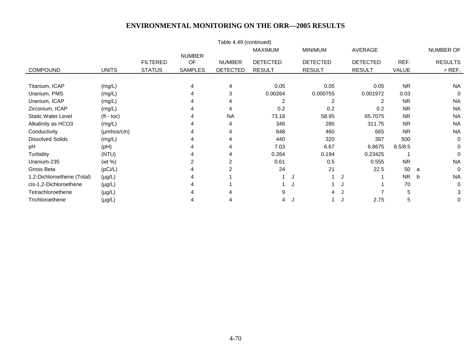|                            |                         |                 |                     | Table 4.49 (continued) |                 |                 |                 |              |                |
|----------------------------|-------------------------|-----------------|---------------------|------------------------|-----------------|-----------------|-----------------|--------------|----------------|
|                            |                         |                 |                     |                        | <b>MAXIMUM</b>  | <b>MINIMUM</b>  | AVERAGE         |              | NUMBER OF      |
|                            |                         | <b>FILTERED</b> | <b>NUMBER</b><br>OF | <b>NUMBER</b>          | <b>DETECTED</b> | <b>DETECTED</b> | <b>DETECTED</b> | REF.         | <b>RESULTS</b> |
| <b>COMPOUND</b>            | <b>UNITS</b>            | <b>STATUS</b>   | <b>SAMPLES</b>      | <b>DETECTED</b>        | <b>RESULT</b>   | <b>RESULT</b>   | <b>RESULT</b>   | <b>VALUE</b> | $>$ REF.       |
|                            |                         |                 |                     |                        |                 |                 |                 |              |                |
| Titanium, ICAP             | (mg/L)                  |                 | 4                   | 4                      | 0.05            | 0.05            | 0.05            | <b>NR</b>    | <b>NA</b>      |
| Uranium, PMS               | (mg/L)                  |                 | 4                   | 3                      | 0.00264         | 0.000755        | 0.001972        | 0.03         | 0              |
| Uranium, ICAP              | (mg/L)                  |                 | 4                   |                        | 2               | 2               | 2               | <b>NR</b>    | <b>NA</b>      |
| Zirconium, ICAP            | (mg/L)                  |                 | 4                   |                        | 0.2             | 0.2             | 0.2             | <b>NR</b>    | <b>NA</b>      |
| <b>Static Water Level</b>  | $(t - \text{toc})$      |                 |                     | <b>NA</b>              | 73.18           | 58.95           | 65.7075         | <b>NR</b>    | <b>NA</b>      |
| Alkalinity as HCO3         | (mg/L)                  |                 | 4                   |                        | 348             | 285             | 311.75          | <b>NR</b>    | <b>NA</b>      |
| Conductivity               | $(\mu m \text{hos/cm})$ |                 |                     |                        | 848             | 460             | 665             | <b>NR</b>    | <b>NA</b>      |
| <b>Dissolved Solids</b>    | (mg/L)                  |                 | 4                   |                        | 440             | 320             | 387             | 500          | $\Omega$       |
| рH                         | (Hq)                    |                 |                     |                        | 7.03            | 6.67            | 6.8675          | 6.5/8.5      | 0              |
| Turbidity                  | (NTU)                   |                 |                     |                        | 0.264           | 0.194           | 0.23425         |              | $\Omega$       |
| Uranium-235                | (wt %)                  |                 | 2                   | 2                      | 0.61            | 0.5             | 0.555           | <b>NR</b>    | <b>NA</b>      |
| Gross Beta                 | (pCi/L)                 |                 |                     |                        | 24              | 21              | 22.5            | 50           | $\Omega$<br>a  |
| 1,2-Dichloroethene (Total) | $(\mu g/L)$             |                 | 4                   |                        |                 | J               |                 | <b>NR</b>    | <b>NA</b><br>b |
| cis-1,2-Dichloroethene     | $(\mu g/L)$             |                 |                     |                        |                 | J               |                 | 70           | 0              |
| Tetrachloroethene          | $(\mu g/L)$             |                 |                     |                        | 9               | 4               |                 | 5            | 3              |
| Trichloroethene            | $(\mu g/L)$             |                 | 4                   |                        | 4               | J.              | 2.75            | 5            | 0              |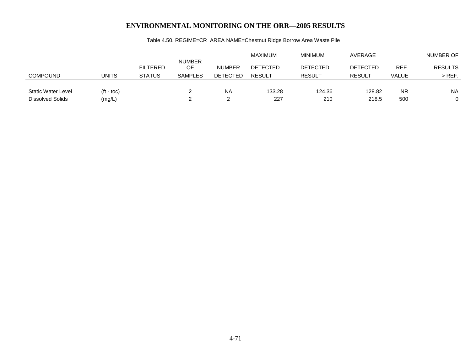|                    |                    |                 |                     |                 | <b>MAXIMUM</b>  | <b>MINIMUM</b>  | AVERAGE         |              | NUMBER OF      |
|--------------------|--------------------|-----------------|---------------------|-----------------|-----------------|-----------------|-----------------|--------------|----------------|
|                    |                    | <b>FILTERED</b> | <b>NUMBER</b><br>OF | <b>NUMBER</b>   | <b>DETECTED</b> | <b>DETECTED</b> | <b>DETECTED</b> | REF.         | <b>RESULTS</b> |
| COMPOUND           | <b>UNITS</b>       | <b>STATUS</b>   | <b>SAMPLES</b>      | <b>DETECTED</b> | <b>RESULT</b>   | <b>RESULT</b>   | <b>RESULT</b>   | <b>VALUE</b> | $>$ REF.       |
|                    |                    |                 |                     |                 |                 |                 |                 |              |                |
| Static Water Level | $(t - \text{toc})$ |                 |                     | NA              | 133.28          | 124.36          | 128.82          | <b>NR</b>    | <b>NA</b>      |
| Dissolved Solids   | (mg/L)             |                 |                     |                 | 227             | 210             | 218.5           | 500          | 0              |

# Table 4.50. REGIME=CR AREA NAME=Chestnut Ridge Borrow Area Waste Pile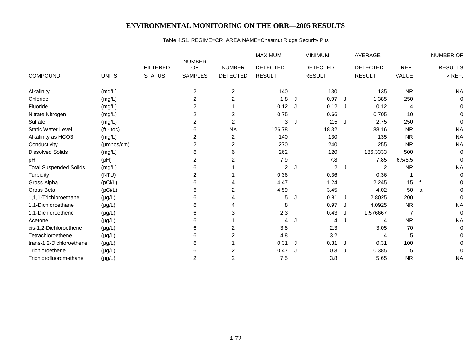# Table 4.51. REGIME=CR AREA NAME=Chestnut Ridge Security Pits

|                               |                    |                 |                     |                         | <b>MAXIMUM</b>  |   | <b>MINIMUM</b>  |   | <b>AVERAGE</b>  |           |   | <b>NUMBER OF</b> |
|-------------------------------|--------------------|-----------------|---------------------|-------------------------|-----------------|---|-----------------|---|-----------------|-----------|---|------------------|
|                               |                    | <b>FILTERED</b> | <b>NUMBER</b><br>OF | <b>NUMBER</b>           | <b>DETECTED</b> |   | <b>DETECTED</b> |   | <b>DETECTED</b> | REF.      |   | <b>RESULTS</b>   |
| <b>COMPOUND</b>               | <b>UNITS</b>       | <b>STATUS</b>   | <b>SAMPLES</b>      | <b>DETECTED</b>         | <b>RESULT</b>   |   | <b>RESULT</b>   |   | <b>RESULT</b>   | VALUE     |   | $>$ REF.         |
|                               |                    |                 |                     |                         |                 |   |                 |   |                 |           |   |                  |
| Alkalinity                    | (mg/L)             |                 | $\overline{2}$      | $\overline{2}$          | 140             |   | 130             |   | 135             | <b>NR</b> |   | <b>NA</b>        |
| Chloride                      | (mg/L)             |                 | 2                   | $\overline{c}$          | 1.8             |   | 0.97            | J | 1.385           | 250       |   | 0                |
| Fluoride                      | (mg/L)             |                 | 2                   |                         | $0.12$ J        |   | 0.12            | J | 0.12            | 4         |   | 0                |
| Nitrate Nitrogen              | (mg/L)             |                 | $\overline{2}$      | $\overline{2}$          | 0.75            |   | 0.66            |   | 0.705           | 10        |   | 0                |
| Sulfate                       | (mg/L)             |                 | $\overline{2}$      | 2                       | 3               |   | 2.5             | J | 2.75            | 250       |   | $\Omega$         |
| <b>Static Water Level</b>     | $(t - \text{toc})$ |                 | 6                   | <b>NA</b>               | 126.78          |   | 18.32           |   | 88.16           | <b>NR</b> |   | <b>NA</b>        |
| Alkalinity as HCO3            | (mg/L)             |                 | 2                   | 2                       | 140             |   | 130             |   | 135             | <b>NR</b> |   | <b>NA</b>        |
| Conductivity                  | (µmhos/cm)         |                 | 2                   | $\overline{\mathbf{c}}$ | 270             |   | 240             |   | 255             | <b>NR</b> |   | <b>NA</b>        |
| <b>Dissolved Solids</b>       | (mg/L)             |                 | 6                   | 6                       | 262             |   | 120             |   | 186.3333        | 500       |   | $\mathbf 0$      |
| pH                            | (pH)               |                 | $\overline{2}$      | $\overline{2}$          | 7.9             |   | 7.8             |   | 7.85            | 6.5/8.5   |   | $\mathbf 0$      |
| <b>Total Suspended Solids</b> | (mg/L)             |                 | 6                   |                         | $\overline{2}$  | J | 2               | J | 2               | <b>NR</b> |   | <b>NA</b>        |
| Turbidity                     | (NTU)              |                 | 2                   |                         | 0.36            |   | 0.36            |   | 0.36            | 1         |   | 0                |
| Gross Alpha                   | (pCi/L)            |                 | 6                   | 4                       | 4.47            |   | 1.24            |   | 2.245           | 15        | f | $\Omega$         |
| Gross Beta                    | (pCi/L)            |                 | 6                   | 2                       | 4.59            |   | 3.45            |   | 4.02            | 50        | a | 0                |
| 1,1,1-Trichloroethane         | $(\mu g/L)$        |                 | 6                   |                         | 5               |   | 0.81            | J | 2.8025          | 200       |   | $\mathbf 0$      |
| 1,1-Dichloroethane            | $(\mu g/L)$        |                 | 6                   | 4                       | 8               |   | 0.97            |   | 4.0925          | <b>NR</b> |   | <b>NA</b>        |
| 1,1-Dichloroethene            | $(\mu g/L)$        |                 | 6                   | 3                       | 2.3             |   | 0.43            | J | 1.576667        | 7         |   | $\mathbf 0$      |
| Acetone                       | $(\mu g/L)$        |                 | 6                   |                         | 4               |   | 4               | J | $\overline{4}$  | <b>NR</b> |   | <b>NA</b>        |
| cis-1,2-Dichloroethene        | $(\mu g/L)$        |                 | 6                   | $\overline{2}$          | 3.8             |   | 2.3             |   | 3.05            | 70        |   | 0                |
| Tetrachloroethene             | $(\mu g/L)$        |                 | 6                   | 2                       | 4.8             |   | 3.2             |   | 4               | 5         |   | 0                |
| trans-1,2-Dichloroethene      | $(\mu g/L)$        |                 | 6                   |                         | 0.31            | J | 0.31            | J | 0.31            | 100       |   | 0                |
| Trichloroethene               | $(\mu g/L)$        |                 | 6                   | 2                       | 0.47            |   | 0.3             |   | 0.385           | 5         |   | $\mathbf 0$      |
| Trichlorofluoromethane        | $(\mu g/L)$        |                 | 2                   | $\overline{\mathbf{c}}$ | 7.5             |   | 3.8             |   | 5.65            | <b>NR</b> |   | <b>NA</b>        |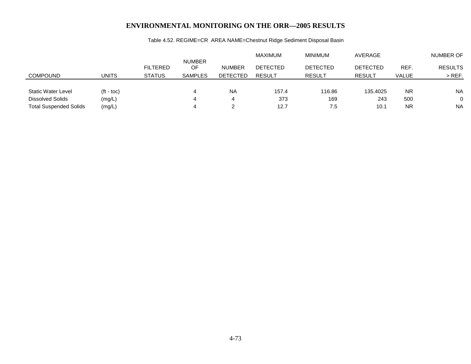|                    |                 |                     |                 | MAXIMUM         | <b>MINIMUM</b>  | AVERAGE         |              | NUMBER OF      |
|--------------------|-----------------|---------------------|-----------------|-----------------|-----------------|-----------------|--------------|----------------|
|                    | <b>FILTERED</b> | <b>NUMBER</b><br>OF | <b>NUMBER</b>   | <b>DETECTED</b> | <b>DETECTED</b> | <b>DETECTED</b> | REF.         | <b>RESULTS</b> |
| UNITS              | <b>STATUS</b>   | <b>SAMPLES</b>      | <b>DETECTED</b> | <b>RESULT</b>   | <b>RESULT</b>   | <b>RESULT</b>   | <b>VALUE</b> | $>$ REF.       |
|                    |                 |                     |                 |                 |                 |                 |              |                |
| $(t - \text{toc})$ |                 |                     | <b>NA</b>       | 157.4           | 116.86          | 135.4025        | <b>NR</b>    | <b>NA</b>      |
| (mg/L)             |                 |                     | 4               | 373             | 169             | 243             | 500          | $\Omega$       |
| (mg/L)             |                 |                     |                 | 12.7            | 7.5             | 10.1            | <b>NR</b>    | <b>NA</b>      |
|                    |                 |                     |                 |                 |                 |                 |              |                |

# Table 4.52. REGIME=CR AREA NAME=Chestnut Ridge Sediment Disposal Basin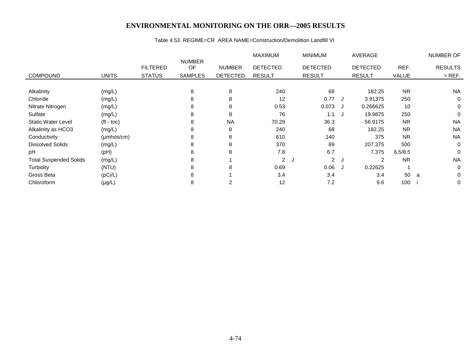#### Table 4.53. REGIME=CR AREA NAME=Construction/Demolition Landfill VI

|                               |                    |                 |                     |                 | <b>MAXIMUM</b>  | <b>MINIMUM</b>             |     | AVERAGE         |           | NUMBER OF      |
|-------------------------------|--------------------|-----------------|---------------------|-----------------|-----------------|----------------------------|-----|-----------------|-----------|----------------|
|                               |                    | <b>FILTERED</b> | <b>NUMBER</b><br>OF | <b>NUMBER</b>   | <b>DETECTED</b> | <b>DETECTED</b>            |     | <b>DETECTED</b> | REF.      | <b>RESULTS</b> |
| <b>COMPOUND</b>               | <b>UNITS</b>       | <b>STATUS</b>   | <b>SAMPLES</b>      | <b>DETECTED</b> | <b>RESULT</b>   | <b>RESULT</b>              |     | <b>RESULT</b>   | VALUE     | $>$ REF.       |
|                               |                    |                 |                     |                 |                 |                            |     |                 |           |                |
| Alkalinity                    | (mg/L)             |                 | 8                   | 8               | 240             | 68                         |     | 182.25          | <b>NR</b> | <b>NA</b>      |
| Chloride                      | (mg/L)             |                 | 8                   | 8               | 12              | 0.77                       |     | 3.91375         | 250       | 0              |
| Nitrate Nitrogen              | (mg/L)             |                 | 8                   | 8               | 0.53            | 0.073                      |     | 0.266625        | 10        | 0              |
| Sulfate                       | (mg/L)             |                 | 8                   | 8               | 76              | 1.1                        |     | 19.9875         | 250       | $\Omega$       |
| <b>Static Water Level</b>     | $(t - \text{toc})$ |                 | 8                   | <b>NA</b>       | 70.29           | 36.3                       |     | 56.9175         | <b>NR</b> | <b>NA</b>      |
| Alkalinity as HCO3            | (mg/L)             |                 | 8                   | 8               | 240             | 68                         |     | 182.25          | <b>NR</b> | <b>NA</b>      |
| Conductivity                  | $(\mu$ mhos/cm $)$ |                 | 8                   | 8               | 610             | 140                        |     | 375             | <b>NR</b> | <b>NA</b>      |
| <b>Dissolved Solids</b>       | (mg/L)             |                 | 8                   | 8               | 370             | 89                         |     | 207.375         | 500       | 0              |
| pH                            | (pH)               |                 | 8                   | 8               | 7.8             | 6.7                        |     | 7.375           | 6.5/8.5   | 0              |
| <b>Total Suspended Solids</b> | (mg/L)             |                 | 8                   |                 | $\overline{2}$  | $\mathbf{2}^{\circ}$<br>J. | ل ا | 2               | <b>NR</b> | <b>NA</b>      |
| Turbidity                     | (NTU)              |                 | 8                   | 8               | 0.69            | 0.06                       |     | 0.22625         |           | 0              |
| Gross Beta                    | (pCi/L)            |                 | 8                   |                 | 3.4             | 3.4                        |     | 3.4             | 50        | 0<br>a         |
| Chloroform                    | $(\mu g/L)$        |                 | 8                   |                 | 12              | 7.2                        |     | 9.6             | 100       | 0              |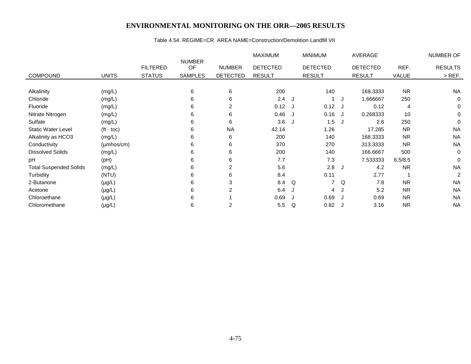#### Table 4.54. REGIME=CR AREA NAME=Construction/Demolition Landfill VII

|                               |                        |                 |                     |                 | MAXIMUM         |            | <b>MINIMUM</b>  |     | AVERAGE         |           | NUMBER OF      |
|-------------------------------|------------------------|-----------------|---------------------|-----------------|-----------------|------------|-----------------|-----|-----------------|-----------|----------------|
|                               |                        | <b>FILTERED</b> | <b>NUMBER</b><br>OF | <b>NUMBER</b>   | <b>DETECTED</b> |            | <b>DETECTED</b> |     | <b>DETECTED</b> | REF.      | <b>RESULTS</b> |
| <b>COMPOUND</b>               | <b>UNITS</b>           | <b>STATUS</b>   | <b>SAMPLES</b>      | <b>DETECTED</b> | <b>RESULT</b>   |            | <b>RESULT</b>   |     | <b>RESULT</b>   | VALUE     | $>$ REF.       |
|                               |                        |                 |                     |                 |                 |            |                 |     |                 |           |                |
| Alkalinity                    | (mg/L)                 |                 | 6                   | 6               | 200             |            | 140             |     | 168.3333        | <b>NR</b> | <b>NA</b>      |
| Chloride                      | (mg/L)                 |                 | 6                   | 6               | 2.4             | <b>ل</b> ا |                 | J.  | 1.666667        | 250       | 0              |
| Fluoride                      | (mg/L)                 |                 | 6                   | $\overline{2}$  | 0.12            |            | 0.12 J          |     | 0.12            | 4         | 0              |
| Nitrate Nitrogen              | (mg/L)                 |                 | 6                   | 6               | 0.46            | J          | 0.16            | J.  | 0.268333        | 10        | 0              |
| Sulfate                       | (mg/L)                 |                 | 6                   | 6               | 3.6             | J          | 1.5             | ل ا | 2.6             | 250       | 0              |
| <b>Static Water Level</b>     | $(t - \text{toc})$     |                 | 6                   | <b>NA</b>       | 42.14           |            | 1.26            |     | 17.285          | <b>NR</b> | <b>NA</b>      |
| Alkalinity as HCO3            | (mg/L)                 |                 | 6                   | 6               | 200             |            | 140             |     | 168.3333        | <b>NR</b> | <b>NA</b>      |
| Conductivity                  | $(\mu \text{mhos/cm})$ |                 | 6                   | 6               | 370             |            | 270             |     | 313.3333        | <b>NR</b> | <b>NA</b>      |
| <b>Dissolved Solids</b>       | (mg/L)                 |                 | 6                   | 6               | 200             |            | 140             |     | 166.6667        | 500       | 0              |
| pH                            | (Hq)                   |                 | 6                   | 6               | 7.7             |            | 7.3             |     | 7.533333        | 6.5/8.5   | 0              |
| <b>Total Suspended Solids</b> | (mg/L)                 |                 | 6                   | $\overline{2}$  | 5.6             |            | $2.8$ J         |     | 4.2             | <b>NR</b> | <b>NA</b>      |
| Turbidity                     | (NTU)                  |                 | 6                   | 6               | 8.4             |            | 0.11            |     | 2.77            |           | 2              |
| 2-Butanone                    | $(\mu g/L)$            |                 | 6                   | 3               | 8.4             | Q          | 7               | Q   | 7.8             | <b>NR</b> | <b>NA</b>      |
| Acetone                       | $(\mu g/L)$            |                 | 6                   | 2               | 6.4             | J          | 4 J             |     | 5.2             | <b>NR</b> | <b>NA</b>      |
| Chloroethane                  | $(\mu g/L)$            |                 | 6                   |                 | 0.69            |            | 0.69            | ل ا | 0.69            | <b>NR</b> | <b>NA</b>      |
| Chloromethane                 | $(\mu g/L)$            |                 | 6                   | $\overline{2}$  | 5.5             | Q          | $0.82$ J        |     | 3.16            | <b>NR</b> | <b>NA</b>      |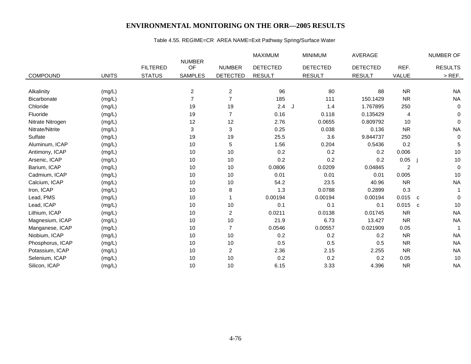# Table 4.55. REGIME=CR AREA NAME=Exit Pathway Spring/Surface Water

|                  |              |                 |                     |                 | MAXIMUM         |    | <b>MINIMUM</b>  | <b>AVERAGE</b>  |                |   | NUMBER OF      |
|------------------|--------------|-----------------|---------------------|-----------------|-----------------|----|-----------------|-----------------|----------------|---|----------------|
|                  |              | <b>FILTERED</b> | <b>NUMBER</b><br>OF | <b>NUMBER</b>   | <b>DETECTED</b> |    | <b>DETECTED</b> | <b>DETECTED</b> | REF.           |   | <b>RESULTS</b> |
| <b>COMPOUND</b>  | <b>UNITS</b> |                 | <b>SAMPLES</b>      |                 | <b>RESULT</b>   |    | <b>RESULT</b>   | <b>RESULT</b>   |                |   | $>$ REF.       |
|                  |              | <b>STATUS</b>   |                     | <b>DETECTED</b> |                 |    |                 |                 | VALUE          |   |                |
| Alkalinity       | (mg/L)       |                 | $\overline{c}$      | $\overline{c}$  | 96              |    | 80              | 88              | <b>NR</b>      |   | <b>NA</b>      |
| Bicarbonate      | (mg/L)       |                 | $\overline{7}$      | $\overline{7}$  | 185             |    | 111             | 150.1429        | <b>NR</b>      |   | <b>NA</b>      |
| Chloride         | (mg/L)       |                 | 19                  | 19              | 2.4             | J. | 1.4             | 1.767895        | 250            |   | $\mathbf 0$    |
| Fluoride         | (mg/L)       |                 | 19                  | $\overline{7}$  | 0.16            |    | 0.118           | 0.135429        | 4              |   | 0              |
| Nitrate Nitrogen | (mg/L)       |                 | 12                  | 12              | 2.76            |    | 0.0655          | 0.809792        | 10             |   | $\Omega$       |
| Nitrate/Nitrite  | (mg/L)       |                 | 3                   | 3               | 0.25            |    | 0.038           | 0.136           | <b>NR</b>      |   | <b>NA</b>      |
| Sulfate          | (mg/L)       |                 | 19                  | 19              | 25.5            |    | 3.6             | 9.844737        | 250            |   | $\mathbf 0$    |
| Aluminum, ICAP   |              |                 | 10                  | 5               | 1.56            |    | 0.204           | 0.5436          | 0.2            |   | 5              |
| Antimony, ICAP   | (mg/L)       |                 | 10                  | 10              | 0.2             |    | 0.2             | 0.2             | 0.006          |   | 10             |
|                  | (mg/L)       |                 |                     |                 |                 |    |                 |                 |                |   |                |
| Arsenic, ICAP    | (mg/L)       |                 | 10                  | 10              | 0.2             |    | 0.2             | 0.2             | 0.05           |   | $10$           |
| Barium, ICAP     | (mg/L)       |                 | 10                  | 10              | 0.0806          |    | 0.0209          | 0.04845         | $\overline{2}$ |   | $\mathbf 0$    |
| Cadmium, ICAP    | (mg/L)       |                 | 10                  | 10              | 0.01            |    | 0.01            | 0.01            | 0.005          |   | 10             |
| Calcium, ICAP    | (mg/L)       |                 | 10                  | 10              | 54.2            |    | 23.5            | 40.96           | <b>NR</b>      |   | <b>NA</b>      |
| Iron, ICAP       | (mg/L)       |                 | 10                  | 8               | 1.3             |    | 0.0788          | 0.2899          | 0.3            |   |                |
| Lead, PMS        | (mg/L)       |                 | 10                  |                 | 0.00194         |    | 0.00194         | 0.00194         | 0.015          | C | $\Omega$       |
| Lead, ICAP       | (mg/L)       |                 | 10                  | 10              | 0.1             |    | 0.1             | 0.1             | 0.015          | C | 10             |
| Lithium, ICAP    | (mg/L)       |                 | 10                  | $\overline{c}$  | 0.0211          |    | 0.0138          | 0.01745         | <b>NR</b>      |   | <b>NA</b>      |
| Magnesium, ICAP  | (mg/L)       |                 | 10                  | 10              | 21.9            |    | 6.73            | 13.427          | <b>NR</b>      |   | <b>NA</b>      |
| Manganese, ICAP  | (mg/L)       |                 | 10                  | $\overline{7}$  | 0.0546          |    | 0.00557         | 0.021909        | 0.05           |   |                |
| Niobium, ICAP    | (mg/L)       |                 | 10                  | 10              | 0.2             |    | 0.2             | 0.2             | <b>NR</b>      |   | <b>NA</b>      |
| Phosphorus, ICAP | (mg/L)       |                 | 10                  | 10              | 0.5             |    | 0.5             | 0.5             | <b>NR</b>      |   | <b>NA</b>      |
| Potassium, ICAP  | (mg/L)       |                 | 10                  | $\overline{c}$  | 2.36            |    | 2.15            | 2.255           | <b>NR</b>      |   | <b>NA</b>      |
| Selenium, ICAP   | (mg/L)       |                 | 10                  | 10              | 0.2             |    | 0.2             | 0.2             | 0.05           |   | 10             |
| Silicon, ICAP    | (mg/L)       |                 | 10                  | 10              | 6.15            |    | 3.33            | 4.396           | <b>NR</b>      |   | <b>NA</b>      |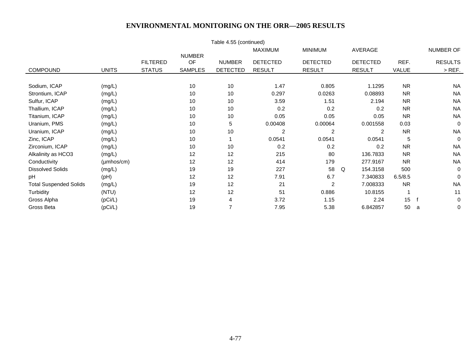|                               |                        |                 |                | Table 4.55 (continued) |                 |                 |                 |           |                |
|-------------------------------|------------------------|-----------------|----------------|------------------------|-----------------|-----------------|-----------------|-----------|----------------|
|                               |                        |                 |                |                        | <b>MAXIMUM</b>  | <b>MINIMUM</b>  | AVERAGE         |           | NUMBER OF      |
|                               |                        | <b>FILTERED</b> | <b>NUMBER</b>  |                        |                 |                 |                 |           |                |
|                               |                        |                 | OF             | <b>NUMBER</b>          | <b>DETECTED</b> | <b>DETECTED</b> | <b>DETECTED</b> | REF.      | <b>RESULTS</b> |
| <b>COMPOUND</b>               | <b>UNITS</b>           | <b>STATUS</b>   | <b>SAMPLES</b> | <b>DETECTED</b>        | <b>RESULT</b>   | <b>RESULT</b>   | <b>RESULT</b>   | VALUE     | $>$ REF.       |
|                               |                        |                 |                |                        |                 |                 |                 |           |                |
| Sodium, ICAP                  | (mg/L)                 |                 | 10             | 10                     | 1.47            | 0.805           | 1.1295          | <b>NR</b> | <b>NA</b>      |
| Strontium, ICAP               | (mg/L)                 |                 | 10             | 10                     | 0.297           | 0.0263          | 0.08893         | <b>NR</b> | <b>NA</b>      |
| Sulfur, ICAP                  | (mg/L)                 |                 | 10             | 10                     | 3.59            | 1.51            | 2.194           | <b>NR</b> | <b>NA</b>      |
| Thallium, ICAP                | (mg/L)                 |                 | 10             | 10                     | 0.2             | 0.2             | 0.2             | <b>NR</b> | <b>NA</b>      |
| Titanium, ICAP                | (mg/L)                 |                 | 10             | 10                     | 0.05            | 0.05            | 0.05            | <b>NR</b> | <b>NA</b>      |
| Uranium, PMS                  | (mg/L)                 |                 | 10             | 5                      | 0.00408         | 0.00064         | 0.001558        | 0.03      | $\Omega$       |
| Uranium, ICAP                 | (mg/L)                 |                 | 10             | 10                     | 2               | 2               | 2               | <b>NR</b> | <b>NA</b>      |
| Zinc, ICAP                    | (mg/L)                 |                 | 10             |                        | 0.0541          | 0.0541          | 0.0541          | 5         | $\Omega$       |
| Zirconium, ICAP               | (mg/L)                 |                 | 10             | 10                     | 0.2             | 0.2             | 0.2             | <b>NR</b> | <b>NA</b>      |
| Alkalinity as HCO3            | (mg/L)                 |                 | 12             | 12                     | 215             | 80              | 136.7833        | <b>NR</b> | <b>NA</b>      |
| Conductivity                  | $(\mu \text{mhos/cm})$ |                 | 12             | 12                     | 414             | 179             | 277.9167        | <b>NR</b> | <b>NA</b>      |
| <b>Dissolved Solids</b>       | (mg/L)                 |                 | 19             | 19                     | 227             | 58              | 154.3158<br>Q   | 500       | $\mathbf 0$    |
| рH                            | (pH)                   |                 | 12             | 12                     | 7.91            | 6.7             | 7.340833        | 6.5/8.5   | $\mathbf 0$    |
| <b>Total Suspended Solids</b> | (mg/L)                 |                 | 19             | 12                     | 21              | $\overline{c}$  | 7.008333        | <b>NR</b> | <b>NA</b>      |
| Turbidity                     | (NTU)                  |                 | 12             | 12                     | 51              | 0.886           | 10.8155         |           | 11             |
| Gross Alpha                   | (pCi/L)                |                 | 19             | 4                      | 3.72            | 1.15            | 2.24            | 15        | $\mathbf 0$    |
| Gross Beta                    | (pCi/L)                |                 | 19             |                        | 7.95            | 5.38            | 6.842857        | 50        | 0<br>a         |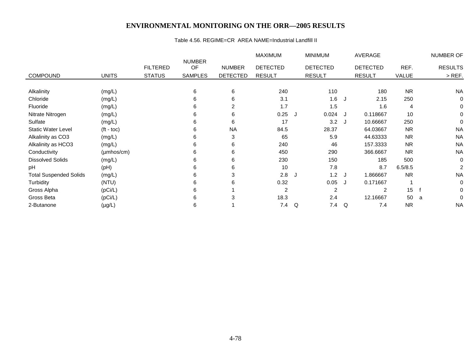#### Table 4.56. REGIME=CR AREA NAME=Industrial Landfill II

|                               |                        |                 |                     |                 | <b>MAXIMUM</b>  |   | <b>MINIMUM</b>  |         | AVERAGE         |           |   | NUMBER OF      |
|-------------------------------|------------------------|-----------------|---------------------|-----------------|-----------------|---|-----------------|---------|-----------------|-----------|---|----------------|
|                               |                        | <b>FILTERED</b> | <b>NUMBER</b><br>OF | <b>NUMBER</b>   | <b>DETECTED</b> |   | <b>DETECTED</b> |         | <b>DETECTED</b> | REF.      |   | <b>RESULTS</b> |
|                               |                        |                 |                     |                 |                 |   |                 |         |                 |           |   |                |
| <b>COMPOUND</b>               | <b>UNITS</b>           | <b>STATUS</b>   | <b>SAMPLES</b>      | <b>DETECTED</b> | <b>RESULT</b>   |   | <b>RESULT</b>   |         | <b>RESULT</b>   | VALUE     |   | $>$ REF.       |
|                               |                        |                 |                     |                 |                 |   |                 |         |                 |           |   |                |
| Alkalinity                    | (mg/L)                 |                 | 6                   | 6               | 240             |   | 110             |         | 180             | <b>NR</b> |   | <b>NA</b>      |
| Chloride                      | (mg/L)                 |                 | 6                   | 6               | 3.1             |   | 1.6             | J.      | 2.15            | 250       |   | 0              |
| Fluoride                      | (mg/L)                 |                 | 6                   | 2               | 1.7             |   | 1.5             |         | 1.6             | 4         |   | 0              |
| Nitrate Nitrogen              | (mg/L)                 |                 | 6                   | 6               | 0.25            |   | 0.024           |         | 0.118667        | 10        |   | 0              |
| Sulfate                       | (mg/L)                 |                 | 6                   | 6               | 17              |   | 3.2             | J       | 10.66667        | 250       |   | 0              |
| <b>Static Water Level</b>     | $(t - \text{toc})$     |                 | 6                   | <b>NA</b>       | 84.5            |   | 28.37           |         | 64.03667        | <b>NR</b> |   | <b>NA</b>      |
| Alkalinity as CO3             | (mg/L)                 |                 | 6                   | 3               | 65              |   | 5.9             |         | 44.63333        | <b>NR</b> |   | <b>NA</b>      |
| Alkalinity as HCO3            | (mg/L)                 |                 | 6                   | 6               | 240             |   | 46              |         | 157.3333        | <b>NR</b> |   | <b>NA</b>      |
| Conductivity                  | $(\mu \text{mhos/cm})$ |                 | 6                   | 6               | 450             |   | 290             |         | 366.6667        | <b>NR</b> |   | <b>NA</b>      |
| <b>Dissolved Solids</b>       | (mg/L)                 |                 | 6                   | 6               | 230             |   | 150             |         | 185             | 500       |   | 0              |
| рH                            | (Hq)                   |                 | 6                   | 6               | 10              |   | 7.8             |         | 8.7             | 6.5/8.5   |   | 2              |
| <b>Total Suspended Solids</b> | (mg/L)                 |                 | 6                   | 3               | 2.8             | J | 1.2             | $\cdot$ | 1.866667        | <b>NR</b> |   | <b>NA</b>      |
| Turbidity                     | (NTU)                  |                 | 6                   | 6               | 0.32            |   | 0.05            | J       | 0.171667        |           |   | 0              |
| Gross Alpha                   | (pCi/L)                |                 | 6                   |                 | $\overline{c}$  |   | $\overline{2}$  |         | 2               | 15        |   | 0              |
| Gross Beta                    | (pCi/L)                |                 | 6                   | 3               | 18.3            |   | 2.4             |         | 12.16667        | 50        | a | 0              |
| 2-Butanone                    | $(\mu g/L)$            |                 | 6                   |                 | 7.4             | Q | 7.4             | Q       | 7.4             | <b>NR</b> |   | <b>NA</b>      |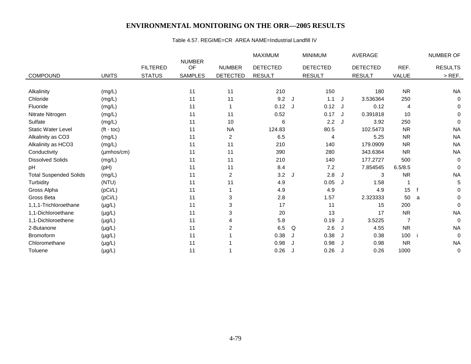#### Table 4.57. REGIME=CR AREA NAME=Industrial Landfill IV

|                               |                    |                 |                     |                 | <b>MAXIMUM</b>  |    | <b>MINIMUM</b>  |    | AVERAGE         |                |   | NUMBER OF      |
|-------------------------------|--------------------|-----------------|---------------------|-----------------|-----------------|----|-----------------|----|-----------------|----------------|---|----------------|
|                               |                    | <b>FILTERED</b> | <b>NUMBER</b><br>OF | <b>NUMBER</b>   | <b>DETECTED</b> |    | <b>DETECTED</b> |    | <b>DETECTED</b> | REF.           |   | <b>RESULTS</b> |
| <b>COMPOUND</b>               | <b>UNITS</b>       | <b>STATUS</b>   | <b>SAMPLES</b>      | <b>DETECTED</b> | <b>RESULT</b>   |    | <b>RESULT</b>   |    | <b>RESULT</b>   | VALUE          |   | $>$ REF.       |
|                               |                    |                 |                     |                 |                 |    |                 |    |                 |                |   |                |
| Alkalinity                    | (mg/L)             |                 | 11                  | 11              | 210             |    | 150             |    | 180             | <b>NR</b>      |   | <b>NA</b>      |
| Chloride                      | (mg/L)             |                 | 11                  | 11              | 9.2             | J. | 1.1             | J  | 3.536364        | 250            |   | 0              |
| Fluoride                      | (mg/L)             |                 | 11                  |                 | 0.12            | J  | $0.12$ J        |    | 0.12            | 4              |   | 0              |
| Nitrate Nitrogen              | (mg/L)             |                 | 11                  | 11              | 0.52            |    | 0.17 J          |    | 0.391818        | 10             |   | 0              |
| Sulfate                       | (mg/L)             |                 | 11                  | 10              | 6               |    | 2.2             | J  | 3.92            | 250            |   | 0              |
| <b>Static Water Level</b>     | $(t - \text{toc})$ |                 | 11                  | <b>NA</b>       | 124.83          |    | 80.5            |    | 102.5473        | <b>NR</b>      |   | <b>NA</b>      |
| Alkalinity as CO3             | (mg/L)             |                 | 11                  | 2               | 6.5             |    | 4               |    | 5.25            | <b>NR</b>      |   | <b>NA</b>      |
| Alkalinity as HCO3            | (mg/L)             |                 | 11                  | 11              | 210             |    | 140             |    | 179.0909        | <b>NR</b>      |   | <b>NA</b>      |
| Conductivity                  | $(\mu$ mhos/cm $)$ |                 | 11                  | 11              | 390             |    | 280             |    | 343.6364        | <b>NR</b>      |   | <b>NA</b>      |
| <b>Dissolved Solids</b>       | (mg/L)             |                 | 11                  | 11              | 210             |    | 140             |    | 177.2727        | 500            |   | 0              |
| рH                            | (pH)               |                 | 11                  | 11              | 8.4             |    | 7.2             |    | 7.854545        | 6.5/8.5        |   | $\Omega$       |
| <b>Total Suspended Solids</b> | (mg/L)             |                 | 11                  | 2               | 3.2             | J. | 2.8             | J  | 3               | <b>NR</b>      |   | <b>NA</b>      |
| Turbidity                     | (NTU)              |                 | 11                  | 11              | 4.9             |    | 0.05            | J  | 1.58            |                |   | 5              |
| Gross Alpha                   | (pCi/L)            |                 | 11                  |                 | 4.9             |    | 4.9             |    | 4.9             | 15             |   | 0              |
| Gross Beta                    | (pCi/L)            |                 | 11                  | 3               | 2.8             |    | 1.57            |    | 2.323333        | 50             | a | 0              |
| 1,1,1-Trichloroethane         | $(\mu g/L)$        |                 | 11                  | 3               | 17              |    | 11              |    | 15              | 200            |   | 0              |
| 1,1-Dichloroethane            | $(\mu g/L)$        |                 | 11                  | 3               | 20              |    | 13              |    | 17              | <b>NR</b>      |   | <b>NA</b>      |
| 1,1-Dichloroethene            | $(\mu g/L)$        |                 | 11                  | 4               | 5.8             |    | 0.19            | J  | 3.5225          | $\overline{7}$ |   | $\mathbf 0$    |
| 2-Butanone                    | $(\mu g/L)$        |                 | 11                  | 2               | 6.5             | Q  | 2.6             | J  | 4.55            | <b>NR</b>      |   | <b>NA</b>      |
| Bromoform                     | $(\mu g/L)$        |                 | 11                  |                 | 0.38            | J  | 0.38            | J  | 0.38            | 100            |   | 0              |
| Chloromethane                 | $(\mu g/L)$        |                 | 11                  |                 | 0.98            |    | 0.98            | J  | 0.98            | <b>NR</b>      |   | <b>NA</b>      |
| Toluene                       | $(\mu g/L)$        |                 | 11                  |                 | 0.26            | J  | 0.26            | IJ | 0.26            | 1000           |   | 0              |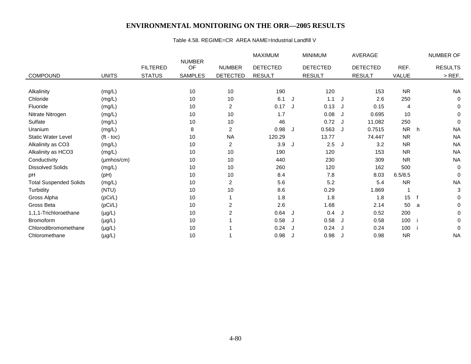#### Table 4.58. REGIME=CR AREA NAME=Industrial Landfill V

|                               |                     |                 |                     |                 | MAXIMUM         |    | <b>MINIMUM</b>  |   | AVERAGE         |           |   | NUMBER OF      |
|-------------------------------|---------------------|-----------------|---------------------|-----------------|-----------------|----|-----------------|---|-----------------|-----------|---|----------------|
|                               |                     | <b>FILTERED</b> | <b>NUMBER</b><br>OF | <b>NUMBER</b>   | <b>DETECTED</b> |    | <b>DETECTED</b> |   | <b>DETECTED</b> | REF.      |   | <b>RESULTS</b> |
| <b>COMPOUND</b>               | <b>UNITS</b>        | <b>STATUS</b>   | <b>SAMPLES</b>      | <b>DETECTED</b> | <b>RESULT</b>   |    | <b>RESULT</b>   |   | <b>RESULT</b>   | VALUE     |   | $>$ REF.       |
|                               |                     |                 |                     |                 |                 |    |                 |   |                 |           |   |                |
| Alkalinity                    | (mg/L)              |                 | 10                  | 10              | 190             |    | 120             |   | 153             | <b>NR</b> |   | <b>NA</b>      |
| Chloride                      | (mg/L)              |                 | 10                  | 10              | 6.1             | J. | 1.1             | J | 2.6             | 250       |   | 0              |
| Fluoride                      | (mg/L)              |                 | 10                  | 2               | 0.17            | J. | 0.13            | J | 0.15            | 4         |   | 0              |
| Nitrate Nitrogen              | (mg/L)              |                 | 10                  | 10              | 1.7             |    | 0.08            | J | 0.695           | 10        |   | 0              |
| Sulfate                       | (mg/L)              |                 | 10                  | 10              | 46              |    | 0.72            | J | 11.082          | 250       |   | 0              |
| Uranium                       | (mg/L)              |                 | 8                   | $\mathbf{2}$    | 0.98            | J. | 0.563           | J | 0.7515          | <b>NR</b> | h | <b>NA</b>      |
| <b>Static Water Level</b>     | $(t - \text{toc})$  |                 | 10                  | <b>NA</b>       | 120.29          |    | 13.77           |   | 74.447          | <b>NR</b> |   | <b>NA</b>      |
| Alkalinity as CO3             | (mg/L)              |                 | 10                  | $\overline{2}$  | 3.9             | J  | 2.5             | J | 3.2             | <b>NR</b> |   | <b>NA</b>      |
| Alkalinity as HCO3            | (mg/L)              |                 | 10                  | 10              | 190             |    | 120             |   | 153             | <b>NR</b> |   | <b>NA</b>      |
| Conductivity                  | $(\mu m$ hos/cm $)$ |                 | 10                  | 10              | 440             |    | 230             |   | 309             | <b>NR</b> |   | <b>NA</b>      |
| <b>Dissolved Solids</b>       | (mg/L)              |                 | 10                  | 10              | 260             |    | 120             |   | 162             | 500       |   | 0              |
| pH                            | (pH)                |                 | 10                  | 10              | 8.4             |    | 7.8             |   | 8.03            | 6.5/8.5   |   | 0              |
| <b>Total Suspended Solids</b> | (mg/L)              |                 | 10                  | $\mathbf{2}$    | 5.6             |    | 5.2             |   | 5.4             | <b>NR</b> |   | <b>NA</b>      |
| Turbidity                     | (NTU)               |                 | 10                  | 10              | 8.6             |    | 0.29            |   | 1.869           |           |   | 3              |
| Gross Alpha                   | (pCi/L)             |                 | 10                  |                 | 1.8             |    | 1.8             |   | 1.8             | 15        |   | 0              |
| Gross Beta                    | (pCi/L)             |                 | 10                  | $\overline{2}$  | 2.6             |    | 1.68            |   | 2.14            | 50        | a | 0              |
| 1,1,1-Trichloroethane         | $(\mu g/L)$         |                 | 10                  | 2               | 0.64            | J  | $0.4$ J         |   | 0.52            | 200       |   | 0              |
| <b>Bromoform</b>              | $(\mu g/L)$         |                 | 10                  |                 | 0.58            | J  | $0.58$ J        |   | 0.58            | 100       |   | 0              |
| Chlorodibromomethane          | $(\mu g/L)$         |                 | 10                  |                 | 0.24            | J  | 0.24            | J | 0.24            | 100       |   | $\Omega$       |
| Chloromethane                 | $(\mu g/L)$         |                 | 10                  |                 | 0.98            | J  | 0.98            | J | 0.98            | <b>NR</b> |   | <b>NA</b>      |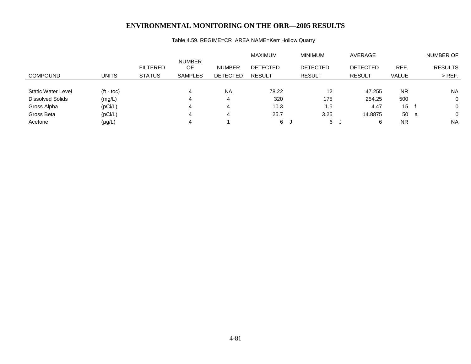# Table 4.59. REGIME=CR AREA NAME=Kerr Hollow Quarry

|                           |                    |                                  |                                       |                                  | <b>MAXIMUM</b>                   |    | <b>MINIMUM</b>                   | AVERAGE                          |               | <b>NUMBER OF</b>           |
|---------------------------|--------------------|----------------------------------|---------------------------------------|----------------------------------|----------------------------------|----|----------------------------------|----------------------------------|---------------|----------------------------|
| <b>COMPOUND</b>           | <b>UNITS</b>       | <b>FILTERED</b><br><b>STATUS</b> | <b>NUMBER</b><br>OF<br><b>SAMPLES</b> | <b>NUMBER</b><br><b>DETECTED</b> | <b>DETECTED</b><br><b>RESULT</b> |    | <b>DETECTED</b><br><b>RESULT</b> | <b>DETECTED</b><br><b>RESULT</b> | REF.<br>VALUE | <b>RESULTS</b><br>$>$ REF. |
|                           |                    |                                  |                                       |                                  |                                  |    |                                  |                                  |               |                            |
| <b>Static Water Level</b> | $(t - \text{toc})$ |                                  | 4                                     | <b>NA</b>                        | 78.22                            |    | 12                               | 47.255                           | <b>NR</b>     | <b>NA</b>                  |
| Dissolved Solids          | (mg/L)             |                                  | 4                                     | 4                                | 320                              |    | 175                              | 254.25                           | 500           | 0                          |
| Gross Alpha               | (pCi/L)            |                                  | 4                                     |                                  | 10.3                             |    | 1.5                              | 4.47                             | 15            | $\Omega$                   |
| Gross Beta                | (pCi/L)            |                                  | 4                                     | 4                                | 25.7                             |    | 3.25                             | 14.8875                          | 50 a          | $\Omega$                   |
| Acetone                   | $(\mu g/L)$        |                                  |                                       |                                  | 6                                | J. | 6                                | 6                                | <b>NR</b>     | <b>NA</b>                  |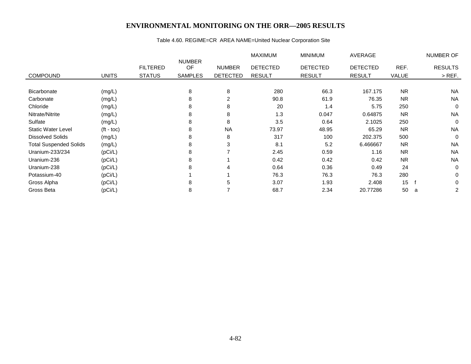# Table 4.60. REGIME=CR AREA NAME=United Nuclear Corporation Site

|                               |                    |                                  |                                       |                                  | <b>MAXIMUM</b>                   | <b>MINIMUM</b>                   | AVERAGE                          |               | NUMBER OF                  |
|-------------------------------|--------------------|----------------------------------|---------------------------------------|----------------------------------|----------------------------------|----------------------------------|----------------------------------|---------------|----------------------------|
| <b>COMPOUND</b>               | <b>UNITS</b>       | <b>FILTERED</b><br><b>STATUS</b> | <b>NUMBER</b><br>OF<br><b>SAMPLES</b> | <b>NUMBER</b><br><b>DETECTED</b> | <b>DETECTED</b><br><b>RESULT</b> | <b>DETECTED</b><br><b>RESULT</b> | <b>DETECTED</b><br><b>RESULT</b> | REF.<br>VALUE | <b>RESULTS</b><br>$>$ REF. |
|                               |                    |                                  |                                       |                                  |                                  |                                  |                                  |               |                            |
| Bicarbonate                   | (mg/L)             |                                  | 8                                     | 8                                | 280                              | 66.3                             | 167.175                          | <b>NR</b>     | <b>NA</b>                  |
| Carbonate                     | (mg/L)             |                                  | 8                                     | 2                                | 90.8                             | 61.9                             | 76.35                            | <b>NR</b>     | <b>NA</b>                  |
| Chloride                      | (mg/L)             |                                  | 8                                     | 8                                | 20                               | 1.4                              | 5.75                             | 250           | $\mathbf 0$                |
| Nitrate/Nitrite               | (mg/L)             |                                  | 8                                     | 8                                | 1.3                              | 0.047                            | 0.64875                          | <b>NR</b>     | <b>NA</b>                  |
| Sulfate                       | (mg/L)             |                                  | 8                                     | 8                                | 3.5                              | 0.64                             | 2.1025                           | 250           | $\mathbf 0$                |
| <b>Static Water Level</b>     | $(t - \text{toc})$ |                                  | 8                                     | <b>NA</b>                        | 73.97                            | 48.95                            | 65.29                            | <b>NR</b>     | <b>NA</b>                  |
| <b>Dissolved Solids</b>       | (mg/L)             |                                  | 8                                     | 8                                | 317                              | 100                              | 202.375                          | 500           | $\mathbf 0$                |
| <b>Total Suspended Solids</b> | (mg/L)             |                                  | 8                                     | 3                                | 8.1                              | 5.2                              | 6.466667                         | <b>NR</b>     | <b>NA</b>                  |
| Uranium-233/234               | (pCi/L)            |                                  | 8                                     |                                  | 2.45                             | 0.59                             | 1.16                             | <b>NR</b>     | <b>NA</b>                  |
| Uranium-236                   | (pCi/L)            |                                  | 8                                     |                                  | 0.42                             | 0.42                             | 0.42                             | <b>NR</b>     | <b>NA</b>                  |
| Uranium-238                   | (pCi/L)            |                                  | 8                                     | 4                                | 0.64                             | 0.36                             | 0.49                             | 24            | $\mathbf 0$                |
| Potassium-40                  | (pCi/L)            |                                  |                                       |                                  | 76.3                             | 76.3                             | 76.3                             | 280           | 0                          |
| Gross Alpha                   | (pCi/L)            |                                  | 8                                     | 5                                | 3.07                             | 1.93                             | 2.408                            | 15            | $\Omega$                   |
| Gross Beta                    | (pCi/L)            |                                  | 8                                     |                                  | 68.7                             | 2.34                             | 20.77286                         | 50            | 2<br>a                     |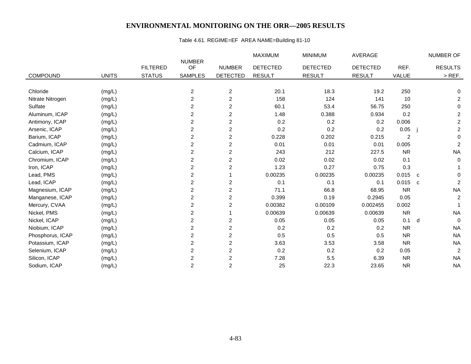# Table 4.61. REGIME=EF AREA NAME=Building 81-10

|                  |              |                 |                         |                         | MAXIMUM         | <b>MINIMUM</b>  | AVERAGE         |           |              | NUMBER OF               |
|------------------|--------------|-----------------|-------------------------|-------------------------|-----------------|-----------------|-----------------|-----------|--------------|-------------------------|
|                  |              | <b>FILTERED</b> | <b>NUMBER</b><br>OF     | <b>NUMBER</b>           | <b>DETECTED</b> | <b>DETECTED</b> | <b>DETECTED</b> | REF.      |              | <b>RESULTS</b>          |
| <b>COMPOUND</b>  | <b>UNITS</b> | <b>STATUS</b>   | <b>SAMPLES</b>          | <b>DETECTED</b>         | <b>RESULT</b>   | <b>RESULT</b>   | <b>RESULT</b>   | VALUE     |              | $>$ REF.                |
|                  |              |                 |                         |                         |                 |                 |                 |           |              |                         |
| Chloride         | (mg/L)       |                 | $\overline{c}$          | $\overline{c}$          | 20.1            | 18.3            | 19.2            | 250       |              | 0                       |
| Nitrate Nitrogen | (mg/L)       |                 | $\overline{\mathbf{c}}$ | $\overline{\mathbf{c}}$ | 158             | 124             | 141             | 10        |              | $\overline{c}$          |
| Sulfate          | (mg/L)       |                 | $\overline{2}$          | 2                       | 60.1            | 53.4            | 56.75           | 250       |              | 0                       |
| Aluminum, ICAP   | (mg/L)       |                 | 2                       | $\overline{c}$          | 1.48            | 0.388           | 0.934           | 0.2       |              | $\overline{\mathbf{c}}$ |
| Antimony, ICAP   | (mg/L)       |                 | 2                       | $\overline{c}$          | 0.2             | 0.2             | 0.2             | 0.006     |              | $\overline{c}$          |
| Arsenic, ICAP    | (mg/L)       |                 | $\overline{c}$          | $\overline{\mathbf{c}}$ | 0.2             | 0.2             | 0.2             | 0.05      |              | $\overline{c}$          |
| Barium, ICAP     | (mg/L)       |                 | 2                       | $\overline{c}$          | 0.228           | 0.202           | 0.215           | 2         |              | $\mathbf 0$             |
| Cadmium, ICAP    | (mg/L)       |                 | $\overline{c}$          | $\overline{c}$          | 0.01            | 0.01            | 0.01            | 0.005     |              | $\overline{c}$          |
| Calcium, ICAP    | (mg/L)       |                 | 2                       | $\overline{2}$          | 243             | 212             | 227.5           | <b>NR</b> |              | <b>NA</b>               |
| Chromium, ICAP   | (mg/L)       |                 | $\overline{c}$          | $\overline{c}$          | 0.02            | 0.02            | 0.02            | 0.1       |              | $\Omega$                |
| Iron, ICAP       | (mg/L)       |                 | $\overline{c}$          | $\overline{c}$          | 1.23            | 0.27            | 0.75            | 0.3       |              |                         |
| Lead, PMS        | (mg/L)       |                 | 2                       |                         | 0.00235         | 0.00235         | 0.00235         | 0.015     | $\mathbf{C}$ | 0                       |
| Lead, ICAP       | (mg/L)       |                 | $\overline{c}$          | $\overline{c}$          | 0.1             | 0.1             | 0.1             | $0.015$ c |              | $\overline{c}$          |
| Magnesium, ICAP  | (mg/L)       |                 | $\overline{c}$          | $\overline{c}$          | 71.1            | 66.8            | 68.95           | <b>NR</b> |              | <b>NA</b>               |
| Manganese, ICAP  | (mg/L)       |                 | 2                       | $\overline{c}$          | 0.399           | 0.19            | 0.2945          | 0.05      |              | $\overline{c}$          |
| Mercury, CVAA    | (mg/L)       |                 | $\overline{c}$          | 2                       | 0.00382         | 0.00109         | 0.002455        | 0.002     |              |                         |
| Nickel, PMS      | (mg/L)       |                 | $\overline{c}$          |                         | 0.00639         | 0.00639         | 0.00639         | <b>NR</b> |              | <b>NA</b>               |
| Nickel, ICAP     | (mg/L)       |                 | 2                       | $\overline{2}$          | 0.05            | 0.05            | 0.05            | 0.1       | d            | $\Omega$                |
| Niobium, ICAP    | (mg/L)       |                 | 2                       | $\overline{\mathbf{c}}$ | 0.2             | 0.2             | 0.2             | <b>NR</b> |              | <b>NA</b>               |
| Phosphorus, ICAP | (mg/L)       |                 | $\overline{2}$          | $\overline{c}$          | 0.5             | 0.5             | 0.5             | <b>NR</b> |              | <b>NA</b>               |
| Potassium, ICAP  | (mg/L)       |                 | 2                       | $\mathbf{2}$            | 3.63            | 3.53            | 3.58            | <b>NR</b> |              | <b>NA</b>               |
| Selenium, ICAP   | (mg/L)       |                 | $\overline{c}$          | $\overline{\mathbf{c}}$ | 0.2             | 0.2             | 0.2             | 0.05      |              | $\overline{c}$          |
| Silicon, ICAP    | (mg/L)       |                 | $\overline{2}$          | $\overline{c}$          | 7.28            | 5.5             | 6.39            | <b>NR</b> |              | <b>NA</b>               |
| Sodium, ICAP     | (mg/L)       |                 | $\overline{c}$          | $\overline{2}$          | 25              | 22.3            | 23.65           | <b>NR</b> |              | <b>NA</b>               |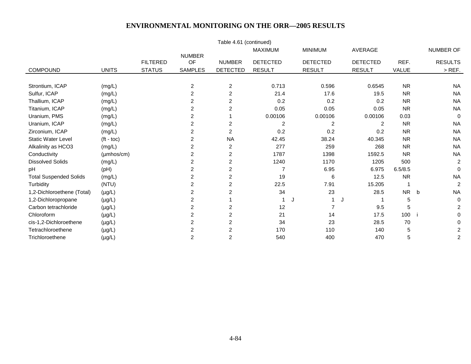| Table 4.61 (continued)        |                        |                 |                     |                 |                 |                 |                 |           |                |  |  |  |
|-------------------------------|------------------------|-----------------|---------------------|-----------------|-----------------|-----------------|-----------------|-----------|----------------|--|--|--|
|                               |                        |                 |                     |                 | <b>MAXIMUM</b>  | <b>MINIMUM</b>  | AVERAGE         |           | NUMBER OF      |  |  |  |
|                               |                        | <b>FILTERED</b> | <b>NUMBER</b><br>OF | <b>NUMBER</b>   | <b>DETECTED</b> | <b>DETECTED</b> | <b>DETECTED</b> | REF.      | <b>RESULTS</b> |  |  |  |
| COMPOUND                      | <b>UNITS</b>           | <b>STATUS</b>   | <b>SAMPLES</b>      | <b>DETECTED</b> | <b>RESULT</b>   | <b>RESULT</b>   | <b>RESULT</b>   | VALUE     | $>$ REF.       |  |  |  |
|                               |                        |                 |                     |                 |                 |                 |                 |           |                |  |  |  |
| Strontium, ICAP               | (mg/L)                 |                 | $\overline{c}$      | $\overline{c}$  | 0.713           | 0.596           | 0.6545          | <b>NR</b> | <b>NA</b>      |  |  |  |
| Sulfur, ICAP                  | (mg/L)                 |                 | $\overline{c}$      | $\overline{c}$  | 21.4            | 17.6            | 19.5            | <b>NR</b> | <b>NA</b>      |  |  |  |
| Thallium, ICAP                | (mg/L)                 |                 | 2                   | $\overline{c}$  | 0.2             | 0.2             | 0.2             | <b>NR</b> | <b>NA</b>      |  |  |  |
| Titanium, ICAP                | (mg/L)                 |                 | $\overline{2}$      | 2               | 0.05            | 0.05            | 0.05            | <b>NR</b> | <b>NA</b>      |  |  |  |
| Uranium, PMS                  | (mg/L)                 |                 | 2                   |                 | 0.00106         | 0.00106         | 0.00106         | 0.03      | $\Omega$       |  |  |  |
| Uranium, ICAP                 | (mg/L)                 |                 | $\overline{2}$      | $\overline{2}$  | $\overline{c}$  | $\overline{2}$  | $\overline{2}$  | <b>NR</b> | <b>NA</b>      |  |  |  |
| Zirconium, ICAP               | (mg/L)                 |                 | 2                   | $\overline{c}$  | 0.2             | 0.2             | 0.2             | <b>NR</b> | <b>NA</b>      |  |  |  |
| <b>Static Water Level</b>     | $(t - \text{toc})$     |                 | 2                   | <b>NA</b>       | 42.45           | 38.24           | 40.345          | <b>NR</b> | <b>NA</b>      |  |  |  |
| Alkalinity as HCO3            | (mg/L)                 |                 | 2                   | 2               | 277             | 259             | 268             | <b>NR</b> | <b>NA</b>      |  |  |  |
| Conductivity                  | $(\mu \text{mhos/cm})$ |                 | $\overline{2}$      | $\overline{2}$  | 1787            | 1398            | 1592.5          | <b>NR</b> | <b>NA</b>      |  |  |  |
| <b>Dissolved Solids</b>       | (mg/L)                 |                 | 2                   | $\overline{c}$  | 1240            | 1170            | 1205            | 500       | 2              |  |  |  |
| pH                            | (PH)                   |                 | 2                   | $\overline{c}$  | $\overline{7}$  | 6.95            | 6.975           | 6.5/8.5   | $\mathbf 0$    |  |  |  |
| <b>Total Suspended Solids</b> | (mg/L)                 |                 | 2                   | 2               | 19              | 6               | 12.5            | <b>NR</b> | <b>NA</b>      |  |  |  |
| Turbidity                     | (NTU)                  |                 | 2                   | 2               | 22.5            | 7.91            | 15.205          |           | 2              |  |  |  |
| 1,2-Dichloroethene (Total)    | $(\mu g/L)$            |                 | 2                   | 2               | 34              | 23              | 28.5            | <b>NR</b> | <b>NA</b><br>b |  |  |  |
| 1,2-Dichloropropane           | $(\mu g/L)$            |                 | $\overline{c}$      |                 |                 | J<br>1          | J               | 5         | $\mathbf 0$    |  |  |  |
| Carbon tetrachloride          | $(\mu g/L)$            |                 | 2                   | $\overline{c}$  | 12              | $\overline{7}$  | 9.5             | 5         | 2              |  |  |  |
| Chloroform                    | $(\mu g/L)$            |                 | 2                   | 2               | 21              | 14              | 17.5            | 100       | 0              |  |  |  |
| cis-1,2-Dichloroethene        | $(\mu g/L)$            |                 | 2                   | 2               | 34              | 23              | 28.5            | 70        | 0              |  |  |  |
| Tetrachloroethene             | $(\mu g/L)$            |                 | 2                   | $\overline{c}$  | 170             | 110             | 140             | 5         | 2              |  |  |  |
| Trichloroethene               | $(\mu g/L)$            |                 | $\overline{2}$      | $\overline{c}$  | 540             | 400             | 470             | 5         | $\overline{c}$ |  |  |  |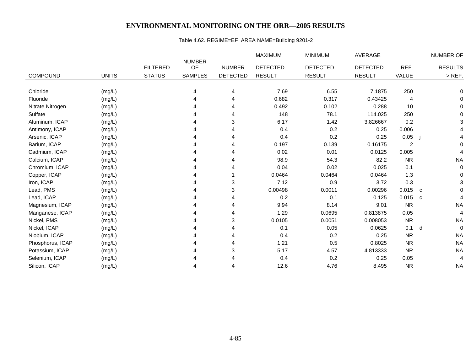# Table 4.62. REGIME=EF AREA NAME=Building 9201-2

|                  |              |                 |                     |                 | <b>MAXIMUM</b>  | <b>MINIMUM</b>  | <b>AVERAGE</b>  |                | NUMBER OF        |
|------------------|--------------|-----------------|---------------------|-----------------|-----------------|-----------------|-----------------|----------------|------------------|
|                  |              | <b>FILTERED</b> | <b>NUMBER</b><br>OF | <b>NUMBER</b>   | <b>DETECTED</b> | <b>DETECTED</b> | <b>DETECTED</b> | REF.           | <b>RESULTS</b>   |
| <b>COMPOUND</b>  | <b>UNITS</b> | <b>STATUS</b>   | <b>SAMPLES</b>      | <b>DETECTED</b> | <b>RESULT</b>   | <b>RESULT</b>   | <b>RESULT</b>   | VALUE          | $>$ REF.         |
|                  |              |                 |                     |                 |                 |                 |                 |                |                  |
| Chloride         | (mg/L)       |                 | 4                   | 4               | 7.69            | 6.55            | 7.1875          | 250            | 0                |
| Fluoride         | (mg/L)       |                 | Δ                   | 4               | 0.682           | 0.317           | 0.43425         | 4              | 0                |
| Nitrate Nitrogen | (mg/L)       |                 |                     |                 | 0.492           | 0.102           | 0.288           | 10             | 0                |
| Sulfate          | (mg/L)       |                 |                     | 4               | 148             | 78.1            | 114.025         | 250            | 0                |
| Aluminum, ICAP   | (mg/L)       |                 |                     | 3               | 6.17            | 1.42            | 3.826667        | 0.2            | 3                |
| Antimony, ICAP   | (mg/L)       |                 |                     | 4               | 0.4             | 0.2             | 0.25            | 0.006          |                  |
| Arsenic, ICAP    | (mg/L)       |                 |                     | 4               | 0.4             | 0.2             | 0.25            | 0.05           |                  |
| Barium, ICAP     | (mg/L)       |                 |                     |                 | 0.197           | 0.139           | 0.16175         | $\overline{2}$ | $\Omega$         |
| Cadmium, ICAP    | (mg/L)       |                 |                     | 4               | 0.02            | 0.01            | 0.0125          | 0.005          | 4                |
| Calcium, ICAP    | (mg/L)       |                 |                     | 4               | 98.9            | 54.3            | 82.2            | <b>NR</b>      | <b>NA</b>        |
| Chromium, ICAP   | (mg/L)       |                 |                     |                 | 0.04            | 0.02            | 0.025           | 0.1            | 0                |
| Copper, ICAP     | (mg/L)       |                 |                     |                 | 0.0464          | 0.0464          | 0.0464          | 1.3            | 0                |
| Iron, ICAP       | (mg/L)       |                 |                     | 3               | 7.12            | 0.9             | 3.72            | 0.3            | 3                |
| Lead, PMS        | (mg/L)       |                 |                     | 3               | 0.00498         | 0.0011          | 0.00296         | 0.015          | $\Omega$<br>C    |
| Lead, ICAP       | (mg/L)       |                 |                     | 4               | 0.2             | 0.1             | 0.125           | 0.015          | C<br>4           |
| Magnesium, ICAP  | (mg/L)       |                 |                     | 4               | 9.94            | 8.14            | 9.01            | <b>NR</b>      | <b>NA</b>        |
| Manganese, ICAP  | (mg/L)       |                 |                     | 4               | 1.29            | 0.0695          | 0.813875        | 0.05           | $\overline{4}$   |
| Nickel, PMS      | (mg/L)       |                 |                     | 3               | 0.0105          | 0.0051          | 0.008053        | <b>NR</b>      | <b>NA</b>        |
| Nickel, ICAP     | (mg/L)       |                 |                     |                 | 0.1             | 0.05            | 0.0625          | 0.1            | $\mathbf 0$<br>d |
| Niobium, ICAP    | (mg/L)       |                 |                     | 4               | 0.4             | 0.2             | 0.25            | <b>NR</b>      | <b>NA</b>        |
| Phosphorus, ICAP | (mg/L)       |                 |                     | 4               | 1.21            | 0.5             | 0.8025          | <b>NR</b>      | <b>NA</b>        |
| Potassium, ICAP  | (mg/L)       |                 |                     | 3               | 5.17            | 4.57            | 4.813333        | <b>NR</b>      | <b>NA</b>        |
| Selenium, ICAP   | (mg/L)       |                 |                     |                 | 0.4             | 0.2             | 0.25            | 0.05           | 4                |
| Silicon, ICAP    | (mg/L)       |                 |                     | 4               | 12.6            | 4.76            | 8.495           | <b>NR</b>      | <b>NA</b>        |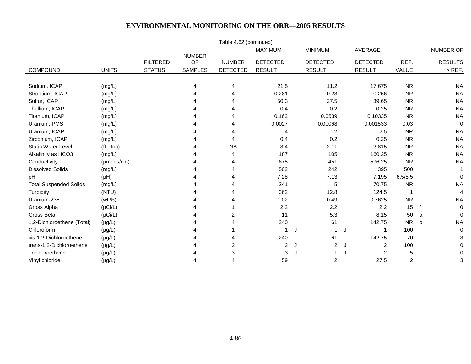|                               |                    |                 |                     | Table 4.62 (continued) |                 |    |                 |                 |                |             |                  |
|-------------------------------|--------------------|-----------------|---------------------|------------------------|-----------------|----|-----------------|-----------------|----------------|-------------|------------------|
|                               |                    |                 |                     |                        | <b>MAXIMUM</b>  |    | <b>MINIMUM</b>  | AVERAGE         |                |             | <b>NUMBER OF</b> |
|                               |                    | <b>FILTERED</b> | <b>NUMBER</b><br>OF | <b>NUMBER</b>          | <b>DETECTED</b> |    | <b>DETECTED</b> | <b>DETECTED</b> | REF.           |             | <b>RESULTS</b>   |
| <b>COMPOUND</b>               | <b>UNITS</b>       | <b>STATUS</b>   | <b>SAMPLES</b>      | <b>DETECTED</b>        | <b>RESULT</b>   |    | <b>RESULT</b>   | <b>RESULT</b>   | VALUE          |             | $>$ REF.         |
|                               |                    |                 |                     |                        |                 |    |                 |                 |                |             |                  |
| Sodium, ICAP                  | (mg/L)             |                 | 4                   | 4                      | 21.5            |    | 11.2            | 17.675          | <b>NR</b>      |             | <b>NA</b>        |
| Strontium, ICAP               | (mg/L)             |                 | 4                   | 4                      | 0.281           |    | 0.23            | 0.266           | <b>NR</b>      |             | <b>NA</b>        |
| Sulfur, ICAP                  | (mg/L)             |                 |                     | Δ                      | 50.3            |    | 27.5            | 39.65           | <b>NR</b>      |             | <b>NA</b>        |
| Thallium, ICAP                | (mg/L)             |                 |                     | 4                      | 0.4             |    | 0.2             | 0.25            | <b>NR</b>      |             | <b>NA</b>        |
| Titanium, ICAP                | (mg/L)             |                 |                     | 4                      | 0.162           |    | 0.0539          | 0.10335         | <b>NR</b>      |             | <b>NA</b>        |
| Uranium, PMS                  | (mg/L)             |                 |                     |                        | 0.0027          |    | 0.00068         | 0.001533        | 0.03           |             | 0                |
| Uranium, ICAP                 | (mg/L)             |                 |                     |                        | 4               |    | $\overline{2}$  | 2.5             | <b>NR</b>      |             | <b>NA</b>        |
| Zirconium, ICAP               | (mg/L)             |                 |                     | 4                      | 0.4             |    | 0.2             | 0.25            | <b>NR</b>      |             | <b>NA</b>        |
| <b>Static Water Level</b>     | $(t - \text{toc})$ |                 |                     | <b>NA</b>              | 3.4             |    | 2.11            | 2.815           | <b>NR</b>      |             | <b>NA</b>        |
| Alkalinity as HCO3            | (mg/L)             |                 |                     | 4                      | 187             |    | 105             | 160.25          | <b>NR</b>      |             | <b>NA</b>        |
| Conductivity                  | $(\mu$ mhos/cm $)$ |                 |                     | 4                      | 675             |    | 451             | 596.25          | <b>NR</b>      |             | <b>NA</b>        |
| <b>Dissolved Solids</b>       | (mg/L)             |                 |                     |                        | 502             |    | 242             | 395             | 500            |             | 1                |
| pH                            | (pH)               |                 |                     |                        | 7.28            |    | 7.13            | 7.195           | 6.5/8.5        |             | 0                |
| <b>Total Suspended Solids</b> | (mg/L)             |                 |                     |                        | 241             |    | 5               | 70.75           | <b>NR</b>      |             | <b>NA</b>        |
| Turbidity                     | (NTU)              |                 |                     | Δ                      | 362             |    | 12.8            | 124.5           | $\overline{1}$ |             | $\overline{4}$   |
| Uranium-235                   | (wt %)             |                 |                     |                        | 1.02            |    | 0.49            | 0.7625          | <b>NR</b>      |             | <b>NA</b>        |
| Gross Alpha                   | (pCi/L)            |                 |                     |                        | 2.2             |    | 2.2             | 2.2             | 15             |             | 0                |
| Gross Beta                    | (pCi/L)            |                 |                     | $\overline{2}$         | 11              |    | 5.3             | 8.15            | 50             | a           | $\Omega$         |
| 1,2-Dichloroethene (Total)    | $(\mu g/L)$        |                 |                     |                        | 240             |    | 61              | 142.75          | <b>NR</b>      | $\mathbf b$ | <b>NA</b>        |
| Chloroform                    | $(\mu g/L)$        |                 |                     |                        | 1               | IJ | $\mathbf 1$     | J<br>-1         | 100            |             | $\Omega$         |
| cis-1,2-Dichloroethene        | $(\mu g/L)$        |                 |                     | 4                      | 240             |    | 61              | 142.75          | 70             |             | 3                |
| trans-1,2-Dichloroethene      | $(\mu g/L)$        |                 |                     | 2                      | $\overline{a}$  | J  | 2               | 2<br>J          | 100            |             | O                |
| Trichloroethene               | $(\mu g/L)$        |                 |                     | 3                      | 3               | J  |                 | 2<br>J          | 5              |             | 0                |
| Vinyl chloride                | $(\mu g/L)$        |                 | 4                   | 4                      | 59              |    | 2               | 27.5            | 2              |             | 3                |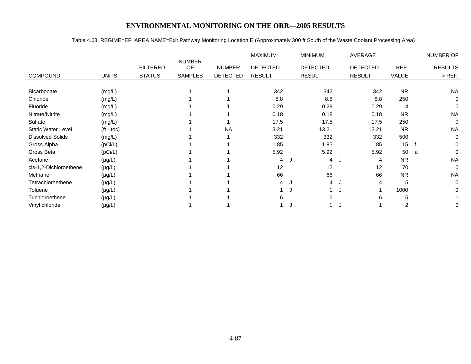#### Table 4.63. REGIME=EF AREA NAME=Exit Pathway Monitoring Location E (Approximately 300 ft South of the Waste Coolant Processing Area)

|                           |              |                 |                     |                 | <b>MAXIMUM</b>  |    | <b>MINIMUM</b>  | AVERAGE         |           | <b>NUMBER OF</b> |
|---------------------------|--------------|-----------------|---------------------|-----------------|-----------------|----|-----------------|-----------------|-----------|------------------|
|                           |              | <b>FILTERED</b> | <b>NUMBER</b><br>OF | <b>NUMBER</b>   | <b>DETECTED</b> |    | <b>DETECTED</b> | <b>DETECTED</b> | REF.      | <b>RESULTS</b>   |
| <b>COMPOUND</b>           | <b>UNITS</b> | <b>STATUS</b>   | <b>SAMPLES</b>      | <b>DETECTED</b> | <b>RESULT</b>   |    | <b>RESULT</b>   | <b>RESULT</b>   | VALUE     | $>$ REF.         |
|                           |              |                 |                     |                 |                 |    |                 |                 |           |                  |
| Bicarbonate               | (mg/L)       |                 |                     |                 | 342             |    | 342             | 342             | <b>NR</b> | <b>NA</b>        |
| Chloride                  | (mg/L)       |                 |                     |                 | 8.8             |    | 8.8             | 8.8             | 250       | $\Omega$         |
| Fluoride                  | (mg/L)       |                 |                     |                 | 0.29            |    | 0.29            | 0.29            | 4         | $\Omega$         |
| Nitrate/Nitrite           | (mg/L)       |                 |                     |                 | 0.18            |    | 0.18            | 0.18            | <b>NR</b> | <b>NA</b>        |
| Sulfate                   | (mg/L)       |                 |                     |                 | 17.5            |    | 17.5            | 17.5            | 250       | $\mathbf 0$      |
| <b>Static Water Level</b> | $(t - toc)$  |                 |                     | <b>NA</b>       | 13.21           |    | 13.21           | 13.21           | <b>NR</b> | <b>NA</b>        |
| <b>Dissolved Solids</b>   | (mg/L)       |                 |                     |                 | 332             |    | 332             | 332             | 500       | $\Omega$         |
| Gross Alpha               | (pCi/L)      |                 |                     |                 | 1.85            |    | 1.85            | 1.85            | 15        | $\Omega$         |
| Gross Beta                | (pCi/L)      |                 |                     |                 | 5.92            |    | 5.92            | 5.92            | 50        | $\Omega$<br>a    |
| Acetone                   | $(\mu g/L)$  |                 |                     |                 | 4               |    | 4               | 4               | <b>NR</b> | <b>NA</b>        |
| cis-1,2-Dichloroethene    | $(\mu g/L)$  |                 |                     |                 | 12              |    | 12              | 12              | 70        | $\Omega$         |
| Methane                   | $(\mu g/L)$  |                 |                     |                 | 66              |    | 66              | 66              | <b>NR</b> | <b>NA</b>        |
| Tetrachloroethene         | $(\mu g/L)$  |                 |                     |                 | 4               |    | 4               | 4               | 5         | 0                |
| Toluene                   | $(\mu g/L)$  |                 |                     |                 |                 | IJ |                 |                 | 1000      | $\Omega$         |
| Trichloroethene           | $(\mu g/L)$  |                 |                     |                 | 6               |    | 6               | 6               | 5         |                  |
| Vinyl chloride            | $(\mu g/L)$  |                 |                     |                 |                 |    |                 |                 | 2         | 0                |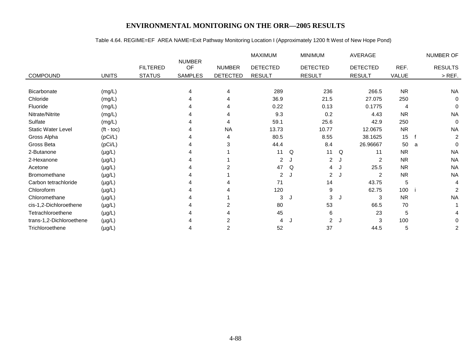# Table 4.64. REGIME=EF AREA NAME=Exit Pathway Monitoring Location I (Approximately 1200 ft West of New Hope Pond)

|                           |              |                 |                     |                 | <b>MAXIMUM</b>  |    | <b>MINIMUM</b>  |   | AVERAGE         |           |   | NUMBER OF      |
|---------------------------|--------------|-----------------|---------------------|-----------------|-----------------|----|-----------------|---|-----------------|-----------|---|----------------|
|                           |              | <b>FILTERED</b> | <b>NUMBER</b><br>OF | <b>NUMBER</b>   | <b>DETECTED</b> |    | <b>DETECTED</b> |   | <b>DETECTED</b> | REF.      |   | <b>RESULTS</b> |
|                           |              |                 |                     |                 |                 |    |                 |   |                 |           |   |                |
| COMPOUND                  | <b>UNITS</b> | <b>STATUS</b>   | <b>SAMPLES</b>      | <b>DETECTED</b> | <b>RESULT</b>   |    | <b>RESULT</b>   |   | <b>RESULT</b>   | VALUE     |   | $>$ REF.       |
| <b>Bicarbonate</b>        | (mg/L)       |                 | 4                   | 4               | 289             |    | 236             |   | 266.5           | <b>NR</b> |   | <b>NA</b>      |
|                           |              |                 |                     |                 |                 |    |                 |   |                 |           |   |                |
| Chloride                  | (mg/L)       |                 |                     | 4               | 36.9            |    | 21.5            |   | 27.075          | 250       |   | 0              |
| Fluoride                  | (mg/L)       |                 |                     | 4               | 0.22            |    | 0.13            |   | 0.1775          | 4         |   | $\mathbf{0}$   |
| Nitrate/Nitrite           | (mg/L)       |                 |                     | 4               | 9.3             |    | 0.2             |   | 4.43            | <b>NR</b> |   | <b>NA</b>      |
| Sulfate                   | (mg/L)       |                 |                     | 4               | 59.1            |    | 25.6            |   | 42.9            | 250       |   | $\Omega$       |
| <b>Static Water Level</b> | $(t - toc)$  |                 |                     | <b>NA</b>       | 13.73           |    | 10.77           |   | 12.0675         | <b>NR</b> |   | <b>NA</b>      |
| Gross Alpha               | (pCi/L)      |                 |                     | 4               | 80.5            |    | 8.55            |   | 38.1625         | 15        |   | $\overline{c}$ |
| Gross Beta                | (pCi/L)      |                 |                     | 3               | 44.4            |    | 8.4             |   | 26.96667        | 50        | a | $\mathbf{0}$   |
| 2-Butanone                | $(\mu g/L)$  |                 |                     |                 | 11              | Q  | 11              | Q | 11              | <b>NR</b> |   | <b>NA</b>      |
| 2-Hexanone                | $(\mu g/L)$  |                 |                     |                 | $\overline{2}$  | J. | $\overline{2}$  | J | 2               | <b>NR</b> |   | <b>NA</b>      |
| Acetone                   | $(\mu g/L)$  |                 |                     | $\overline{2}$  | 47              | Q  | 4               |   | 25.5            | <b>NR</b> |   | <b>NA</b>      |
| Bromomethane              | $(\mu g/L)$  |                 |                     |                 | $\overline{2}$  | J  | $\overline{2}$  | J | $\overline{2}$  | <b>NR</b> |   | <b>NA</b>      |
| Carbon tetrachloride      | $(\mu g/L)$  |                 |                     |                 | 71              |    | 14              |   | 43.75           | 5         |   | 4              |
| Chloroform                | $(\mu g/L)$  |                 |                     |                 | 120             |    | 9               |   | 62.75           | 100       |   | 2              |
| Chloromethane             | $(\mu g/L)$  |                 |                     |                 | 3               | J  | 3               | J | 3               | <b>NR</b> |   | <b>NA</b>      |
| cis-1,2-Dichloroethene    | $(\mu g/L)$  |                 |                     | $\overline{2}$  | 80              |    | 53              |   | 66.5            | 70        |   |                |
| Tetrachloroethene         | $(\mu g/L)$  |                 |                     | 4               | 45              |    | 6               |   | 23              | 5         |   |                |
| trans-1,2-Dichloroethene  | $(\mu g/L)$  |                 |                     | 2               | 4               | J  | $\overline{2}$  | J | 3               | 100       |   | 0              |
| Trichloroethene           | $(\mu g/L)$  |                 |                     | $\overline{2}$  | 52              |    | 37              |   | 44.5            | 5         |   | $\overline{c}$ |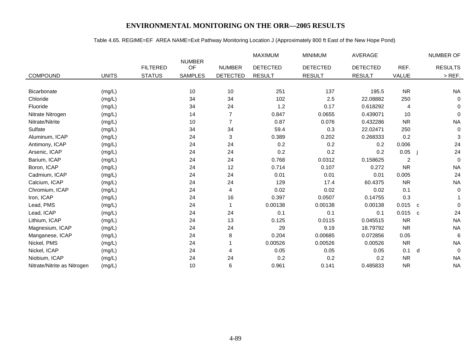# Table 4.65. REGIME=EF AREA NAME=Exit Pathway Monitoring Location J (Approximately 800 ft East of the New Hope Pond)

|                             |              |                 |                     |                 | MAXIMUM         | <b>MINIMUM</b>  | <b>AVERAGE</b>  |                | NUMBER OF                |
|-----------------------------|--------------|-----------------|---------------------|-----------------|-----------------|-----------------|-----------------|----------------|--------------------------|
|                             |              | <b>FILTERED</b> | <b>NUMBER</b><br>OF | <b>NUMBER</b>   | <b>DETECTED</b> | <b>DETECTED</b> | <b>DETECTED</b> | REF.           | <b>RESULTS</b>           |
| COMPOUND                    | <b>UNITS</b> | <b>STATUS</b>   | <b>SAMPLES</b>      | <b>DETECTED</b> | <b>RESULT</b>   | <b>RESULT</b>   | <b>RESULT</b>   | VALUE          | $>$ REF.                 |
|                             |              |                 |                     |                 |                 |                 |                 |                |                          |
| Bicarbonate                 | (mg/L)       |                 | 10                  | 10              | 251             | 137             | 195.5           | <b>NR</b>      | <b>NA</b>                |
| Chloride                    | (mg/L)       |                 | 34                  | 34              | 102             | 2.5             | 22.08882        | 250            | $\mathbf 0$              |
| Fluoride                    | (mg/L)       |                 | 34                  | 24              | 1.2             | 0.17            | 0.618292        | 4              | $\mathbf{0}$             |
| Nitrate Nitrogen            | (mg/L)       |                 | 14                  | $\overline{7}$  | 0.847           | 0.0655          | 0.439071        | 10             | $\Omega$                 |
| Nitrate/Nitrite             | (mg/L)       |                 | 10                  | $\overline{7}$  | 0.87            | 0.076           | 0.432286        | <b>NR</b>      | <b>NA</b>                |
| Sulfate                     | (mg/L)       |                 | 34                  | 34              | 59.4            | 0.3             | 22.02471        | 250            | $\mathbf 0$              |
| Aluminum, ICAP              | (mg/L)       |                 | 24                  | 3               | 0.389           | 0.202           | 0.268333        | 0.2            | 3                        |
| Antimony, ICAP              | (mg/L)       |                 | 24                  | 24              | 0.2             | 0.2             | 0.2             | 0.006          | 24                       |
| Arsenic, ICAP               | (mg/L)       |                 | 24                  | 24              | 0.2             | 0.2             | 0.2             | 0.05           | 24                       |
| Barium, ICAP                | (mg/L)       |                 | 24                  | 24              | 0.768           | 0.0312          | 0.158625        | $\overline{2}$ | $\Omega$                 |
| Boron, ICAP                 | (mg/L)       |                 | 24                  | 12              | 0.714           | 0.107           | 0.272           | <b>NR</b>      | <b>NA</b>                |
| Cadmium, ICAP               | (mg/L)       |                 | 24                  | 24              | 0.01            | 0.01            | 0.01            | 0.005          | 24                       |
| Calcium, ICAP               | (mg/L)       |                 | 24                  | 24              | 129             | 17.4            | 60.4375         | <b>NR</b>      | <b>NA</b>                |
| Chromium, ICAP              | (mg/L)       |                 | 24                  | 4               | 0.02            | 0.02            | 0.02            | 0.1            | $\mathbf 0$              |
| Iron, ICAP                  | (mg/L)       |                 | 24                  | 16              | 0.397           | 0.0507          | 0.14755         | 0.3            |                          |
| Lead, PMS                   | (mg/L)       |                 | 24                  |                 | 0.00138         | 0.00138         | 0.00138         | 0.015          | $\Omega$<br>$\mathbf{C}$ |
| Lead, ICAP                  | (mg/L)       |                 | 24                  | 24              | 0.1             | 0.1             | 0.1             | 0.015          | 24<br>C                  |
| Lithium, ICAP               | (mg/L)       |                 | 24                  | 13              | 0.125           | 0.0115          | 0.045515        | <b>NR</b>      | <b>NA</b>                |
| Magnesium, ICAP             | (mg/L)       |                 | 24                  | 24              | 29              | 9.19            | 18.79792        | <b>NR</b>      | <b>NA</b>                |
| Manganese, ICAP             | (mg/L)       |                 | 24                  | 8               | 0.204           | 0.00685         | 0.072856        | 0.05           | 6                        |
| Nickel, PMS                 | (mg/L)       |                 | 24                  |                 | 0.00526         | 0.00526         | 0.00526         | <b>NR</b>      | <b>NA</b>                |
| Nickel, ICAP                | (mg/L)       |                 | 24                  | 4               | 0.05            | 0.05            | 0.05            | 0.1            | $\Omega$<br>d            |
| Niobium, ICAP               | (mg/L)       |                 | 24                  | 24              | 0.2             | 0.2             | 0.2             | <b>NR</b>      | <b>NA</b>                |
| Nitrate/Nitrite as Nitrogen | (mg/L)       |                 | 10                  | 6               | 0.961           | 0.141           | 0.485833        | <b>NR</b>      | <b>NA</b>                |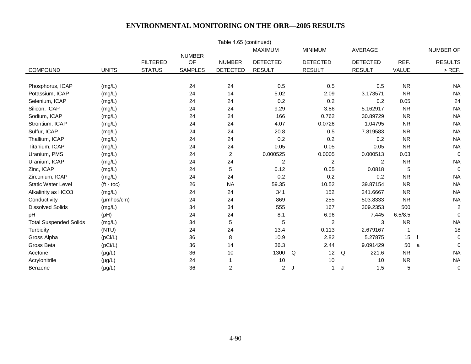| Table 4.65 (continued)        |                         |                 |                     |                         |                 |   |                 |                 |           |                            |  |
|-------------------------------|-------------------------|-----------------|---------------------|-------------------------|-----------------|---|-----------------|-----------------|-----------|----------------------------|--|
|                               |                         |                 |                     |                         | <b>MAXIMUM</b>  |   | <b>MINIMUM</b>  | AVERAGE         |           | NUMBER OF                  |  |
|                               |                         | <b>FILTERED</b> | <b>NUMBER</b><br>OF | <b>NUMBER</b>           | <b>DETECTED</b> |   | <b>DETECTED</b> | <b>DETECTED</b> | REF.      | <b>RESULTS</b>             |  |
| COMPOUND                      | <b>UNITS</b>            | <b>STATUS</b>   | <b>SAMPLES</b>      | <b>DETECTED</b>         | <b>RESULT</b>   |   | <b>RESULT</b>   | <b>RESULT</b>   | VALUE     | $>$ REF.                   |  |
|                               |                         |                 |                     |                         |                 |   |                 |                 |           |                            |  |
| Phosphorus, ICAP              | (mg/L)                  |                 | 24                  | 24                      | 0.5             |   | 0.5             | 0.5             | <b>NR</b> | <b>NA</b>                  |  |
| Potassium, ICAP               | (mg/L)                  |                 | 24                  | 14                      | 5.02            |   | 2.09            | 3.173571        | <b>NR</b> | <b>NA</b>                  |  |
| Selenium, ICAP                | (mg/L)                  |                 | 24                  | 24                      | 0.2             |   | 0.2             | 0.2             | 0.05      | 24                         |  |
| Silicon, ICAP                 | (mg/L)                  |                 | 24                  | 24                      | 9.29            |   | 3.86            | 5.162917        | <b>NR</b> | <b>NA</b>                  |  |
| Sodium, ICAP                  | (mg/L)                  |                 | 24                  | 24                      | 166             |   | 0.762           | 30.89729        | <b>NR</b> | <b>NA</b>                  |  |
| Strontium, ICAP               | (mg/L)                  |                 | 24                  | 24                      | 4.07            |   | 0.0726          | 1.04795         | <b>NR</b> | <b>NA</b>                  |  |
| Sulfur, ICAP                  | (mg/L)                  |                 | 24                  | 24                      | 20.8            |   | 0.5             | 7.819583        | <b>NR</b> | <b>NA</b>                  |  |
| Thallium, ICAP                | (mg/L)                  |                 | 24                  | 24                      | 0.2             |   | 0.2             | 0.2             | <b>NR</b> | <b>NA</b>                  |  |
| Titanium, ICAP                | (mg/L)                  |                 | 24                  | 24                      | 0.05            |   | 0.05            | 0.05            | <b>NR</b> | <b>NA</b>                  |  |
| Uranium, PMS                  | (mg/L)                  |                 | 24                  | $\overline{2}$          | 0.000525        |   | 0.0005          | 0.000513        | 0.03      | $\mathbf 0$                |  |
| Uranium, ICAP                 | (mg/L)                  |                 | 24                  | 24                      | 2               |   | 2               | 2               | <b>NR</b> | <b>NA</b>                  |  |
| Zinc, ICAP                    | (mg/L)                  |                 | 24                  | 5                       | 0.12            |   | 0.05            | 0.0818          | 5         | $\mathbf 0$                |  |
| Zirconium, ICAP               | (mg/L)                  |                 | 24                  | 24                      | 0.2             |   | 0.2             | 0.2             | <b>NR</b> | <b>NA</b>                  |  |
| <b>Static Water Level</b>     | $(t - \text{toc})$      |                 | 26                  | <b>NA</b>               | 59.35           |   | 10.52           | 39.87154        | <b>NR</b> | <b>NA</b>                  |  |
| Alkalinity as HCO3            | (mg/L)                  |                 | 24                  | 24                      | 341             |   | 152             | 241.6667        | <b>NR</b> | <b>NA</b>                  |  |
| Conductivity                  | $(\mu m \text{hos/cm})$ |                 | 24                  | 24                      | 869             |   | 255             | 503.8333        | <b>NR</b> | <b>NA</b>                  |  |
| <b>Dissolved Solids</b>       | (mg/L)                  |                 | 34                  | 34                      | 555             |   | 167             | 309.2353        | 500       | $\overline{c}$             |  |
| pH                            | (pH)                    |                 | 24                  | 24                      | 8.1             |   | 6.96            | 7.445           | 6.5/8.5   | $\mathbf 0$                |  |
| <b>Total Suspended Solids</b> | (mg/L)                  |                 | 34                  | 5                       | 5               |   | $\overline{c}$  | 3               | <b>NR</b> | <b>NA</b>                  |  |
| Turbidity                     | (NTU)                   |                 | 24                  | 24                      | 13.4            |   | 0.113           | 2.679167        | 1         | 18                         |  |
| Gross Alpha                   | (pCi/L)                 |                 | 36                  | 8                       | 10.9            |   | 2.82            | 5.27875         | 15        | $\mathbf 0$<br>$\mathbf f$ |  |
| Gross Beta                    | (pCi/L)                 |                 | 36                  | 14                      | 36.3            |   | 2.44            | 9.091429        | 50        | $\Omega$<br>a              |  |
| Acetone                       | $(\mu g/L)$             |                 | 36                  | 10                      | 1300            | Q | 12              | 221.6<br>Q      | <b>NR</b> | <b>NA</b>                  |  |
| Acrylonitrile                 | $(\mu g/L)$             |                 | 24                  |                         | 10              |   | 10              | 10              | <b>NR</b> | <b>NA</b>                  |  |
| Benzene                       | $(\mu g/L)$             |                 | 36                  | $\overline{\mathbf{c}}$ | 2               | J | 1               | 1.5<br>J        | 5         | $\mathbf 0$                |  |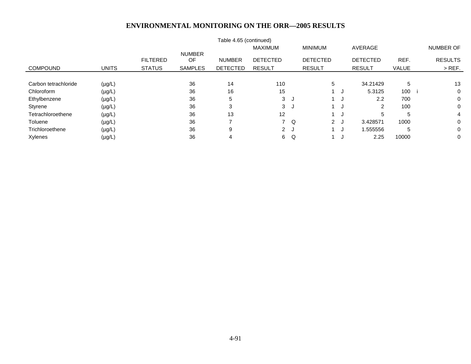|                      |              |                 |                | Table 4.65 (continued) |                 |     |                 |      |                 |              |                |
|----------------------|--------------|-----------------|----------------|------------------------|-----------------|-----|-----------------|------|-----------------|--------------|----------------|
|                      |              |                 |                |                        | <b>MAXIMUM</b>  |     | <b>MINIMUM</b>  |      | AVERAGE         |              | NUMBER OF      |
|                      |              |                 | <b>NUMBER</b>  |                        |                 |     |                 |      |                 |              |                |
|                      |              | <b>FILTERED</b> | OF             | <b>NUMBER</b>          | <b>DETECTED</b> |     | <b>DETECTED</b> |      | <b>DETECTED</b> | REF.         | <b>RESULTS</b> |
| <b>COMPOUND</b>      | <b>UNITS</b> | <b>STATUS</b>   | <b>SAMPLES</b> | <b>DETECTED</b>        | <b>RESULT</b>   |     | <b>RESULT</b>   |      | <b>RESULT</b>   | <b>VALUE</b> | $>$ REF.       |
|                      |              |                 |                |                        |                 |     |                 |      |                 |              |                |
| Carbon tetrachloride | $(\mu g/L)$  |                 | 36             | 14                     | 110             |     | 5               |      | 34.21429        | 5            | 13             |
| Chloroform           | $(\mu g/L)$  |                 | 36             | 16                     | 15              |     |                 | ل.   | 5.3125          | 100          | 0              |
| Ethylbenzene         | $(\mu g/L)$  |                 | 36             | 5                      | 3               | ل - |                 | - 11 | 2.2             | 700          | 0              |
| Styrene              | $(\mu g/L)$  |                 | 36             |                        | 3               | ل - |                 | ل.   |                 | 100          | 0              |
| Tetrachloroethene    | $(\mu g/L)$  |                 | 36             | 13                     | 12              |     |                 |      | 5               | 5            | 4              |
| Toluene              | $(\mu g/L)$  |                 | 36             |                        |                 | 7 Q | 2J              |      | 3.428571        | 1000         | 0              |
| Trichloroethene      | $(\mu g/L)$  |                 | 36             | 9                      | 2J              |     |                 |      | .555556         | 5            | 0              |
| Xylenes              | $(\mu g/L)$  |                 | 36             | 4                      | 6.              | Q   |                 | ل.   | 2.25            | 10000        | 0              |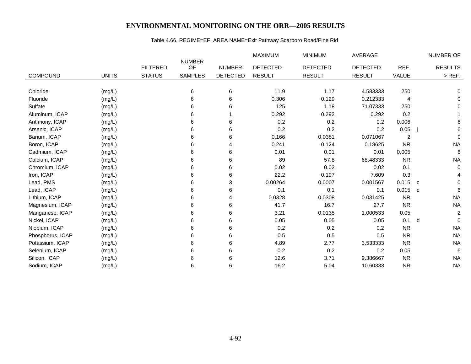# Table 4.66. REGIME=EF AREA NAME=Exit Pathway Scarboro Road/Pine Rid

|                  |              |                 |                     |                 | <b>MAXIMUM</b>  | <b>MINIMUM</b>  | <b>AVERAGE</b>  |                | NUMBER OF         |
|------------------|--------------|-----------------|---------------------|-----------------|-----------------|-----------------|-----------------|----------------|-------------------|
|                  |              | <b>FILTERED</b> | <b>NUMBER</b><br>OF | <b>NUMBER</b>   | <b>DETECTED</b> | <b>DETECTED</b> | <b>DETECTED</b> | REF.           | <b>RESULTS</b>    |
| <b>COMPOUND</b>  | <b>UNITS</b> | <b>STATUS</b>   | <b>SAMPLES</b>      | <b>DETECTED</b> | <b>RESULT</b>   | <b>RESULT</b>   | <b>RESULT</b>   | VALUE          | $>$ REF.          |
|                  |              |                 |                     |                 |                 |                 |                 |                |                   |
| Chloride         | (mg/L)       |                 | 6                   | 6               | 11.9            | 1.17            | 4.583333        | 250            | 0                 |
| Fluoride         | (mg/L)       |                 | 6                   | 6               | 0.306           | 0.129           | 0.212333        | 4              | 0                 |
| Sulfate          | (mg/L)       |                 | 6                   | 6               | 125             | 1.18            | 71.07333        | 250            | $\Omega$          |
| Aluminum, ICAP   | (mg/L)       |                 | 6                   |                 | 0.292           | 0.292           | 0.292           | 0.2            |                   |
| Antimony, ICAP   | (mg/L)       |                 | 6                   | 6               | 0.2             | 0.2             | 0.2             | 0.006          | 6                 |
| Arsenic, ICAP    | (mg/L)       |                 | 6                   | 6               | 0.2             | 0.2             | 0.2             | 0.05           | 6                 |
| Barium, ICAP     | (mg/L)       |                 | 6                   | 6               | 0.166           | 0.0381          | 0.071067        | $\overline{c}$ | $\mathbf 0$       |
| Boron, ICAP      | (mg/L)       |                 | 6                   | 4               | 0.241           | 0.124           | 0.18625         | <b>NR</b>      | <b>NA</b>         |
| Cadmium, ICAP    | (mg/L)       |                 | 6                   | 6               | 0.01            | 0.01            | 0.01            | 0.005          | $\,6\,$           |
| Calcium, ICAP    | (mg/L)       |                 | 6                   | 6               | 89              | 57.8            | 68.48333        | <b>NR</b>      | <b>NA</b>         |
| Chromium, ICAP   | (mg/L)       |                 | 6                   | 6               | 0.02            | 0.02            | 0.02            | 0.1            | 0                 |
| Iron, ICAP       | (mg/L)       |                 | 6                   | 6               | 22.2            | 0.197           | 7.609           | 0.3            | 4                 |
| Lead, PMS        | (mg/L)       |                 | 6                   | 3               | 0.00264         | 0.0007          | 0.001567        | 0.015          | 0<br>$\mathbf{C}$ |
| Lead, ICAP       | (mg/L)       |                 | 6                   | 6               | 0.1             | 0.1             | 0.1             | 0.015          | 6<br>$\mathbf{C}$ |
| Lithium, ICAP    | (mg/L)       |                 | 6                   | 4               | 0.0328          | 0.0308          | 0.031425        | <b>NR</b>      | <b>NA</b>         |
| Magnesium, ICAP  | (mg/L)       |                 | 6                   | 6               | 41.7            | 16.7            | 27.7            | <b>NR</b>      | <b>NA</b>         |
| Manganese, ICAP  | (mg/L)       |                 | 6                   | 6               | 3.21            | 0.0135          | 1.000533        | 0.05           | $\overline{c}$    |
| Nickel, ICAP     | (mg/L)       |                 | 6                   | 6               | 0.05            | 0.05            | 0.05            | 0.1            | $\mathbf 0$<br>d  |
| Niobium, ICAP    | (mg/L)       |                 | 6                   | 6               | 0.2             | 0.2             | 0.2             | <b>NR</b>      | <b>NA</b>         |
| Phosphorus, ICAP | (mg/L)       |                 | 6                   | 6               | 0.5             | 0.5             | 0.5             | <b>NR</b>      | <b>NA</b>         |
| Potassium, ICAP  | (mg/L)       |                 | 6                   | 6               | 4.89            | 2.77            | 3.533333        | <b>NR</b>      | <b>NA</b>         |
| Selenium, ICAP   | (mg/L)       |                 | 6                   | 6               | 0.2             | 0.2             | 0.2             | 0.05           | 6                 |
| Silicon, ICAP    | (mg/L)       |                 | 6                   | 6               | 12.6            | 3.71            | 9.386667        | <b>NR</b>      | <b>NA</b>         |
| Sodium, ICAP     | (mg/L)       |                 | 6                   | 6               | 16.2            | 5.04            | 10.60333        | <b>NR</b>      | <b>NA</b>         |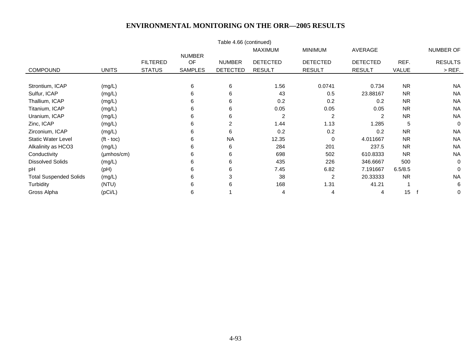|                               |                         |                 |                     | Table 4.66 (continued) |                 |                 |                 |                  |                |
|-------------------------------|-------------------------|-----------------|---------------------|------------------------|-----------------|-----------------|-----------------|------------------|----------------|
|                               |                         |                 |                     |                        | <b>MAXIMUM</b>  | <b>MINIMUM</b>  | AVERAGE         |                  | NUMBER OF      |
|                               |                         | <b>FILTERED</b> | <b>NUMBER</b><br>OF | <b>NUMBER</b>          | <b>DETECTED</b> | <b>DETECTED</b> | <b>DETECTED</b> | REF.             | <b>RESULTS</b> |
| <b>COMPOUND</b>               | <b>UNITS</b>            | <b>STATUS</b>   | <b>SAMPLES</b>      | <b>DETECTED</b>        | <b>RESULT</b>   | <b>RESULT</b>   | <b>RESULT</b>   | VALUE            | $>$ REF.       |
|                               |                         |                 |                     |                        |                 |                 |                 |                  |                |
| Strontium, ICAP               | (mg/L)                  |                 | 6                   | 6                      | 1.56            | 0.0741          | 0.734           | <b>NR</b>        | <b>NA</b>      |
| Sulfur, ICAP                  | (mg/L)                  |                 | 6                   | 6                      | 43              | 0.5             | 23.88167        | <b>NR</b>        | <b>NA</b>      |
| Thallium, ICAP                | (mg/L)                  |                 | 6                   | 6                      | 0.2             | 0.2             | 0.2             | <b>NR</b>        | <b>NA</b>      |
| Titanium, ICAP                | (mg/L)                  |                 | 6                   | 6                      | 0.05            | 0.05            | 0.05            | <b>NR</b>        | <b>NA</b>      |
| Uranium, ICAP                 | (mg/L)                  |                 | 6                   | 6                      | 2               | 2               | 2               | <b>NR</b>        | <b>NA</b>      |
| Zinc, ICAP                    | (mg/L)                  |                 | 6                   | 2                      | 1.44            | 1.13            | 1.285           | 5                | $\Omega$       |
| Zirconium, ICAP               | (mg/L)                  |                 | 6                   | 6                      | 0.2             | 0.2             | 0.2             | <b>NR</b>        | <b>NA</b>      |
| <b>Static Water Level</b>     | $(t - \text{toc})$      |                 | 6                   | <b>NA</b>              | 12.35           | 0               | 4.011667        | <b>NR</b>        | <b>NA</b>      |
| Alkalinity as HCO3            | (mg/L)                  |                 | 6                   | 6                      | 284             | 201             | 237.5           | <b>NR</b>        | <b>NA</b>      |
| Conductivity                  | $(\mu m \text{hos/cm})$ |                 | 6                   | 6                      | 698             | 502             | 610.8333        | <b>NR</b>        | <b>NA</b>      |
| <b>Dissolved Solids</b>       | (mg/L)                  |                 | 6                   | 6                      | 435             | 226             | 346.6667        | 500              | $\Omega$       |
| pH                            | (Hq)                    |                 | 6                   | 6                      | 7.45            | 6.82            | 7.191667        | 6.5/8.5          | $\Omega$       |
| <b>Total Suspended Solids</b> | (mg/L)                  |                 | 6                   | 3                      | 38              | 2               | 20.33333        | <b>NR</b>        | <b>NA</b>      |
| Turbidity                     | (NTU)                   |                 | 6                   |                        | 168             | 1.31            | 41.21           |                  | 6              |
| Gross Alpha                   | (pCi/L)                 |                 | 6                   |                        | 4               | 4               | 4               | 15 <sub>15</sub> | $\mathbf 0$    |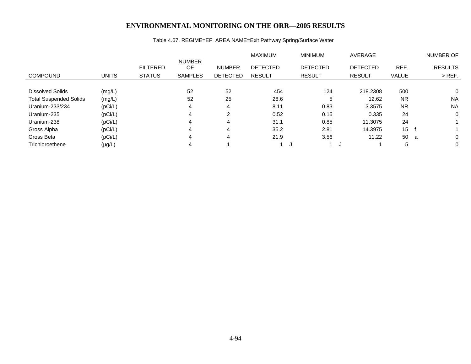# Table 4.67. REGIME=EF AREA NAME=Exit Pathway Spring/Surface Water

|                               |              |                 |                     |                 | <b>MAXIMUM</b>  | <b>MINIMUM</b>  | AVERAGE         |                | <b>NUMBER OF</b> |
|-------------------------------|--------------|-----------------|---------------------|-----------------|-----------------|-----------------|-----------------|----------------|------------------|
|                               |              | <b>FILTERED</b> | <b>NUMBER</b><br>OF | <b>NUMBER</b>   | <b>DETECTED</b> | <b>DETECTED</b> | <b>DETECTED</b> | REF.           | <b>RESULTS</b>   |
| <b>COMPOUND</b>               | <b>UNITS</b> | <b>STATUS</b>   | <b>SAMPLES</b>      | <b>DETECTED</b> | <b>RESULT</b>   | <b>RESULT</b>   | <b>RESULT</b>   | <b>VALUE</b>   | $>$ REF.         |
|                               |              |                 |                     |                 |                 |                 |                 |                |                  |
| <b>Dissolved Solids</b>       | (mg/L)       |                 | 52                  | 52              | 454             | 124             | 218,2308        | 500            | $\Omega$         |
| <b>Total Suspended Solids</b> | (mg/L)       |                 | 52                  | 25              | 28.6            | 5               | 12.62           | <b>NR</b>      | <b>NA</b>        |
| Uranium-233/234               | (pCi/L)      |                 | 4                   | 4               | 8.11            | 0.83            | 3.3575          | <b>NR</b>      | <b>NA</b>        |
| Uranium-235                   | (pCi/L)      |                 | 4                   | 2               | 0.52            | 0.15            | 0.335           | 24             | $\mathbf 0$      |
| Uranium-238                   | (pCi/L)      |                 | 4                   | 4               | 31.1            | 0.85            | 11.3075         | 24             |                  |
| Gross Alpha                   | (pCi/L)      |                 | 4                   | 4               | 35.2            | 2.81            | 14.3975         | $15 \text{ f}$ |                  |
| Gross Beta                    | (pCi/L)      |                 | 4                   | 4               | 21.9            | 3.56            | 11.22           | 50 a           | $\Omega$         |
| Trichloroethene               | $(\mu g/L)$  |                 |                     |                 |                 |                 |                 | 5              | $\Omega$         |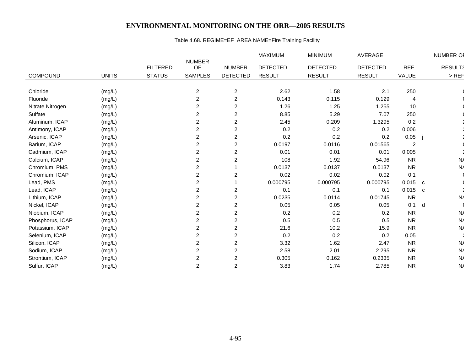# Table 4.68. REGIME=EF AREA NAME=Fire Training Facility

|                  |              |                 |                     |                  | MAXIMUM         | <b>MINIMUM</b>  | AVERAGE         |           |              | NUMBER OF      |
|------------------|--------------|-----------------|---------------------|------------------|-----------------|-----------------|-----------------|-----------|--------------|----------------|
|                  |              | <b>FILTERED</b> | <b>NUMBER</b><br>OF | <b>NUMBER</b>    | <b>DETECTED</b> | <b>DETECTED</b> | <b>DETECTED</b> | REF.      |              | <b>RESULTS</b> |
| COMPOUND         | <b>UNITS</b> | <b>STATUS</b>   | <b>SAMPLES</b>      | <b>DETECTED</b>  | <b>RESULT</b>   | <b>RESULT</b>   | <b>RESULT</b>   | VALUE     |              | $>$ REF        |
|                  |              |                 |                     |                  |                 |                 |                 |           |              |                |
| Chloride         | (mg/L)       |                 | $\overline{c}$      | $\overline{2}$   | 2.62            | 1.58            | 2.1             | 250       |              |                |
| Fluoride         | (mg/L)       |                 | $\overline{c}$      | $\boldsymbol{2}$ | 0.143           | 0.115           | 0.129           | 4         |              |                |
| Nitrate Nitrogen | (mg/L)       |                 | $\overline{c}$      | $\overline{c}$   | 1.26            | 1.25            | 1.255           | 10        |              |                |
| Sulfate          | (mg/L)       |                 | $\overline{c}$      | $\overline{c}$   | 8.85            | 5.29            | 7.07            | 250       |              |                |
| Aluminum, ICAP   | (mg/L)       |                 | 2                   | $\overline{c}$   | 2.45            | 0.209           | 1.3295          | 0.2       |              |                |
| Antimony, ICAP   | (mg/L)       |                 | $\overline{c}$      | $\boldsymbol{2}$ | 0.2             | 0.2             | 0.2             | 0.006     |              |                |
| Arsenic, ICAP    | (mg/L)       |                 | $\overline{c}$      | $\boldsymbol{2}$ | 0.2             | 0.2             | 0.2             | 0.05      |              |                |
| Barium, ICAP     | (mg/L)       |                 | $\overline{c}$      | $\boldsymbol{2}$ | 0.0197          | 0.0116          | 0.01565         | 2         |              |                |
| Cadmium, ICAP    | (mg/L)       |                 | $\overline{c}$      | $\overline{c}$   | 0.01            | 0.01            | 0.01            | 0.005     |              |                |
| Calcium, ICAP    | (mg/L)       |                 | 2                   | $\overline{c}$   | 108             | 1.92            | 54.96           | <b>NR</b> |              | N/             |
| Chromium, PMS    | (mg/L)       |                 | $\overline{c}$      |                  | 0.0137          | 0.0137          | 0.0137          | <b>NR</b> |              | N/             |
| Chromium, ICAP   | (mg/L)       |                 | $\overline{c}$      | $\overline{2}$   | 0.02            | 0.02            | 0.02            | 0.1       |              |                |
| Lead, PMS        | (mg/L)       |                 | $\overline{c}$      |                  | 0.000795        | 0.000795        | 0.000795        | $0.015$ c |              |                |
| Lead, ICAP       | (mg/L)       |                 | $\overline{c}$      | $\overline{c}$   | 0.1             | 0.1             | 0.1             | 0.015     | $\mathbf{C}$ |                |
| Lithium, ICAP    | (mg/L)       |                 | 2                   | $\overline{c}$   | 0.0235          | 0.0114          | 0.01745         | <b>NR</b> |              | N/             |
| Nickel, ICAP     | (mg/L)       |                 | $\overline{c}$      | $\boldsymbol{2}$ | 0.05            | 0.05            | 0.05            | 0.1       | d            |                |
| Niobium, ICAP    | (mg/L)       |                 | $\overline{c}$      | $\boldsymbol{2}$ | 0.2             | 0.2             | 0.2             | <b>NR</b> |              | N/             |
| Phosphorus, ICAP | (mg/L)       |                 | 2                   | $\overline{c}$   | 0.5             | 0.5             | 0.5             | <b>NR</b> |              | N/             |
| Potassium, ICAP  | (mg/L)       |                 | $\overline{c}$      | $\overline{c}$   | 21.6            | 10.2            | 15.9            | <b>NR</b> |              | N/             |
| Selenium, ICAP   | (mg/L)       |                 | 2                   | $\overline{c}$   | 0.2             | 0.2             | 0.2             | 0.05      |              |                |
| Silicon, ICAP    | (mg/L)       |                 | 2                   | $\overline{c}$   | 3.32            | 1.62            | 2.47            | <b>NR</b> |              | N/             |
| Sodium, ICAP     | (mg/L)       |                 | $\overline{c}$      | $\overline{c}$   | 2.58            | 2.01            | 2.295           | <b>NR</b> |              | N/             |
| Strontium, ICAP  | (mg/L)       |                 | 2                   | $\overline{c}$   | 0.305           | 0.162           | 0.2335          | <b>NR</b> |              | N/             |
| Sulfur, ICAP     | (mg/L)       |                 | $\overline{c}$      | 2                | 3.83            | 1.74            | 2.785           | <b>NR</b> |              | N/             |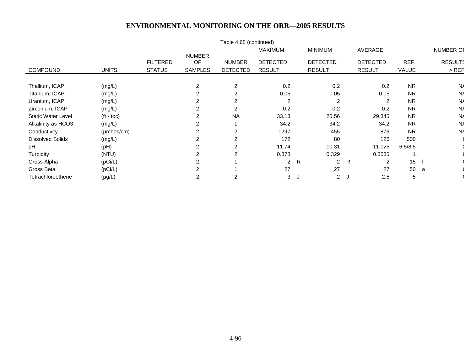|                           |                         |                 |                            | Table 4.68 (continued) | <b>MAXIMUM</b>  | <b>MINIMUM</b>  |                      | AVERAGE         |           | <b>NUMBER OF</b> |
|---------------------------|-------------------------|-----------------|----------------------------|------------------------|-----------------|-----------------|----------------------|-----------------|-----------|------------------|
|                           |                         | <b>FILTERED</b> | <b>NUMBER</b><br><b>OF</b> | <b>NUMBER</b>          | <b>DETECTED</b> | <b>DETECTED</b> |                      | <b>DETECTED</b> | REF.      | <b>RESULTS</b>   |
| <b>COMPOUND</b>           | <b>UNITS</b>            | <b>STATUS</b>   | <b>SAMPLES</b>             | <b>DETECTED</b>        | <b>RESULT</b>   | <b>RESULT</b>   |                      | <b>RESULT</b>   | VALUE     | $>$ REF          |
| Thallium, ICAP            | (mg/L)                  |                 | 2                          | 2                      | 0.2             |                 | 0.2                  | 0.2             | <b>NR</b> | N/               |
| Titanium, ICAP            | (mg/L)                  |                 | $\overline{c}$             | 2                      | 0.05            |                 | 0.05                 | 0.05            | <b>NR</b> | N/               |
| Uranium, ICAP             | (mg/L)                  |                 | 2                          | 2                      | 2               |                 | 2                    | $\overline{2}$  | <b>NR</b> | N/               |
| Zirconium, ICAP           | (mg/L)                  |                 | 2                          | 2                      | 0.2             |                 | 0.2                  | 0.2             | <b>NR</b> | N/               |
| <b>Static Water Level</b> | $(t - toc)$             |                 | 2                          | <b>NA</b>              | 33.13           |                 | 25.56                | 29.345          | <b>NR</b> | N/               |
| Alkalinity as HCO3        | (mg/L)                  |                 | 2                          |                        | 34.2            |                 | 34.2                 | 34.2            | <b>NR</b> | N/               |
| Conductivity              | $(\mu m \text{hos/cm})$ |                 | 2                          | 2                      | 1297            |                 | 455                  | 876             | <b>NR</b> | N/               |
| <b>Dissolved Solids</b>   | (mg/L)                  |                 | 2                          | 2                      | 172             |                 | 80                   | 126             | 500       |                  |
| pH                        | (pH)                    |                 | 2                          | 2                      | 11.74           |                 | 10.31                | 11.025          | 6.5/8.5   |                  |
| Turbidity                 | (NTU)                   |                 | $\overline{2}$             | $\overline{2}$         | 0.378           |                 | 0.329                | 0.3535          |           |                  |
| Gross Alpha               | (pCi/L)                 |                 | 2                          |                        | $\overline{2}$  | R               | $\overline{2}$<br>R  | $\overline{2}$  | 15        |                  |
| Gross Beta                | (pCi/L)                 |                 | 2                          |                        | 27              |                 | 27                   | 27              | 50        | a                |
| Tetrachloroethene         | $(\mu g/L)$             |                 | 2                          | 2                      | 3               |                 | $\overline{2}$<br>ل. | 2.5             | 5         |                  |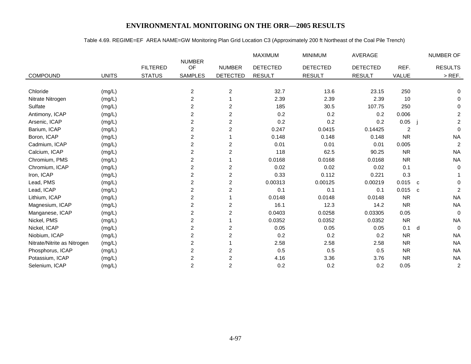## Table 4.69. REGIME=EF AREA NAME=GW Monitoring Plan Grid Location C3 (Approximately 200 ft Northeast of the Coal Pile Trench)

|                             |              |                 |                         |                         | MAXIMUM         | <b>MINIMUM</b>  | <b>AVERAGE</b>  |                | NUMBER OF                      |
|-----------------------------|--------------|-----------------|-------------------------|-------------------------|-----------------|-----------------|-----------------|----------------|--------------------------------|
|                             |              | <b>FILTERED</b> | <b>NUMBER</b><br>OF     | <b>NUMBER</b>           | <b>DETECTED</b> | <b>DETECTED</b> | <b>DETECTED</b> | REF.           | <b>RESULTS</b>                 |
| COMPOUND                    | <b>UNITS</b> | <b>STATUS</b>   | <b>SAMPLES</b>          | <b>DETECTED</b>         | <b>RESULT</b>   | <b>RESULT</b>   | <b>RESULT</b>   | VALUE          | $>$ REF.                       |
|                             |              |                 |                         |                         |                 |                 |                 |                |                                |
| Chloride                    | (mg/L)       |                 | $\boldsymbol{2}$        | $\overline{\mathbf{c}}$ | 32.7            | 13.6            | 23.15           | 250            | 0                              |
| Nitrate Nitrogen            | (mg/L)       |                 | $\overline{c}$          |                         | 2.39            | 2.39            | 2.39            | 10             | 0                              |
| Sulfate                     | (mg/L)       |                 | 2                       | $\overline{2}$          | 185             | 30.5            | 107.75          | 250            | 0                              |
| Antimony, ICAP              | (mg/L)       |                 | 2                       | 2                       | 0.2             | 0.2             | 0.2             | 0.006          | 2                              |
| Arsenic, ICAP               | (mg/L)       |                 | $\overline{c}$          | $\overline{c}$          | 0.2             | 0.2             | 0.2             | 0.05           | $\overline{c}$                 |
| Barium, ICAP                | (mg/L)       |                 | $\overline{c}$          | $\overline{c}$          | 0.247           | 0.0415          | 0.14425         | $\overline{2}$ | $\mathbf 0$                    |
| Boron, ICAP                 | (mg/L)       |                 | 2                       |                         | 0.148           | 0.148           | 0.148           | <b>NR</b>      | <b>NA</b>                      |
| Cadmium, ICAP               | (mg/L)       |                 | $\overline{\mathbf{c}}$ | $\overline{\mathbf{c}}$ | 0.01            | 0.01            | 0.01            | 0.005          | $\overline{2}$                 |
| Calcium, ICAP               | (mg/L)       |                 | 2                       | 2                       | 118             | 62.5            | 90.25           | <b>NR</b>      | <b>NA</b>                      |
| Chromium, PMS               | (mg/L)       |                 | $\overline{\mathbf{c}}$ |                         | 0.0168          | 0.0168          | 0.0168          | <b>NR</b>      | <b>NA</b>                      |
| Chromium, ICAP              | (mg/L)       |                 | $\overline{\mathbf{c}}$ | $\overline{c}$          | 0.02            | 0.02            | 0.02            | 0.1            | $\pmb{0}$                      |
| Iron, ICAP                  | (mg/L)       |                 | 2                       | $\overline{2}$          | 0.33            | 0.112           | 0.221           | 0.3            |                                |
| Lead, PMS                   | (mg/L)       |                 | $\overline{c}$          | $\overline{c}$          | 0.00313         | 0.00125         | 0.00219         | 0.015          | 0<br>$\mathbf{C}$              |
| Lead, ICAP                  | (mg/L)       |                 | $\overline{\mathbf{c}}$ | $\overline{c}$          | 0.1             | 0.1             | 0.1             | 0.015          | $\overline{2}$<br>$\mathbf{C}$ |
| Lithium, ICAP               | (mg/L)       |                 | $\overline{c}$          |                         | 0.0148          | 0.0148          | 0.0148          | <b>NR</b>      | <b>NA</b>                      |
| Magnesium, ICAP             | (mg/L)       |                 | 2                       | $\overline{c}$          | 16.1            | 12.3            | 14.2            | <b>NR</b>      | <b>NA</b>                      |
| Manganese, ICAP             | (mg/L)       |                 | 2                       | $\overline{c}$          | 0.0403          | 0.0258          | 0.03305         | 0.05           | $\Omega$                       |
| Nickel, PMS                 | (mg/L)       |                 | $\overline{c}$          |                         | 0.0352          | 0.0352          | 0.0352          | <b>NR</b>      | <b>NA</b>                      |
| Nickel, ICAP                | (mg/L)       |                 | $\overline{\mathbf{c}}$ | 2                       | 0.05            | 0.05            | 0.05            | 0.1            | $\mathbf 0$<br>d               |
| Niobium, ICAP               | (mg/L)       |                 | $\overline{\mathbf{c}}$ | $\overline{c}$          | 0.2             | 0.2             | 0.2             | <b>NR</b>      | <b>NA</b>                      |
| Nitrate/Nitrite as Nitrogen | (mg/L)       |                 | 2                       |                         | 2.58            | 2.58            | 2.58            | <b>NR</b>      | <b>NA</b>                      |
| Phosphorus, ICAP            | (mg/L)       |                 | $\overline{\mathbf{c}}$ | $\overline{\mathbf{c}}$ | 0.5             | 0.5             | 0.5             | <b>NR</b>      | <b>NA</b>                      |
| Potassium, ICAP             | (mg/L)       |                 | $\overline{\mathbf{c}}$ | 2                       | 4.16            | 3.36            | 3.76            | <b>NR</b>      | <b>NA</b>                      |
| Selenium, ICAP              | (mg/L)       |                 | $\overline{c}$          | $\overline{c}$          | 0.2             | 0.2             | 0.2             | 0.05           | $\overline{c}$                 |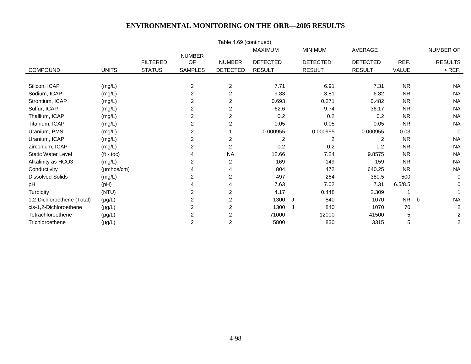|                            |                    |                 |                         | Table 4.69 (continued)  |                 |                 |                 |           |                |
|----------------------------|--------------------|-----------------|-------------------------|-------------------------|-----------------|-----------------|-----------------|-----------|----------------|
|                            |                    |                 |                         |                         | <b>MAXIMUM</b>  | <b>MINIMUM</b>  | AVERAGE         |           | NUMBER OF      |
|                            |                    | <b>FILTERED</b> | <b>NUMBER</b><br>OF     | <b>NUMBER</b>           | <b>DETECTED</b> | <b>DETECTED</b> | <b>DETECTED</b> | REF.      | <b>RESULTS</b> |
| <b>COMPOUND</b>            | <b>UNITS</b>       | <b>STATUS</b>   | <b>SAMPLES</b>          | <b>DETECTED</b>         | <b>RESULT</b>   | <b>RESULT</b>   | <b>RESULT</b>   | VALUE     | $>$ REF.       |
|                            |                    |                 |                         |                         |                 |                 |                 |           |                |
| Silicon, ICAP              | (mg/L)             |                 | $\overline{a}$          | $\overline{c}$          | 7.71            | 6.91            | 7.31            | <b>NR</b> | <b>NA</b>      |
| Sodium, ICAP               | (mg/L)             |                 | $\overline{c}$          | $\overline{2}$          | 9.83            | 3.81            | 6.82            | <b>NR</b> | <b>NA</b>      |
| Strontium, ICAP            | (mg/L)             |                 | 2                       | $\overline{c}$          | 0.693           | 0.271           | 0.482           | <b>NR</b> | <b>NA</b>      |
| Sulfur, ICAP               | (mg/L)             |                 | 2                       | $\overline{c}$          | 62.6            | 9.74            | 36.17           | <b>NR</b> | <b>NA</b>      |
| Thallium, ICAP             | (mg/L)             |                 | 2                       | 2                       | 0.2             | 0.2             | 0.2             | <b>NR</b> | <b>NA</b>      |
| Titanium, ICAP             | (mg/L)             |                 | $\overline{\mathbf{c}}$ | $\overline{\mathbf{c}}$ | 0.05            | 0.05            | 0.05            | <b>NR</b> | <b>NA</b>      |
| Uranium, PMS               | (mg/L)             |                 | 2                       |                         | 0.000955        | 0.000955        | 0.000955        | 0.03      | $\Omega$       |
| Uranium, ICAP              | (mg/L)             |                 | $\overline{c}$          | 2                       | $\overline{2}$  | 2               | 2               | <b>NR</b> | <b>NA</b>      |
| Zirconium, ICAP            | (mg/L)             |                 | 2                       | $\overline{c}$          | 0.2             | 0.2             | 0.2             | <b>NR</b> | <b>NA</b>      |
| <b>Static Water Level</b>  | $(t - \text{toc})$ |                 |                         | <b>NA</b>               | 12.66           | 7.24            | 9.8575          | <b>NR</b> | <b>NA</b>      |
| Alkalinity as HCO3         | (mg/L)             |                 | 2                       | $\overline{a}$          | 169             | 149             | 159             | <b>NR</b> | <b>NA</b>      |
| Conductivity               | (µmhos/cm)         |                 | 4                       | 4                       | 804             | 472             | 640.25          | <b>NR</b> | <b>NA</b>      |
| <b>Dissolved Solids</b>    | (mg/L)             |                 | 2                       | $\overline{\mathbf{c}}$ | 497             | 264             | 380.5           | 500       | $\mathbf 0$    |
| pH                         | (Hq)               |                 | 4                       | 4                       | 7.63            | 7.02            | 7.31            | 6.5/8.5   | 0              |
| Turbidity                  | (NTU)              |                 | 2                       | $\overline{2}$          | 4.17            | 0.448           | 2.309           |           |                |
| 1,2-Dichloroethene (Total) | $(\mu g/L)$        |                 | $\overline{\mathbf{c}}$ | $\overline{c}$          | 1300            | 840<br>J        | 1070            | <b>NR</b> | <b>NA</b><br>b |
| cis-1,2-Dichloroethene     | $(\mu g/L)$        |                 | 2                       | $\overline{2}$          | 1300            | 840<br>J.       | 1070            | 70        | $\overline{2}$ |
| Tetrachloroethene          | $(\mu g/L)$        |                 | $\overline{c}$          | $\overline{2}$          | 71000           | 12000           | 41500           | 5         | $\overline{c}$ |
| Trichloroethene            | $(\mu g/L)$        |                 | $\overline{c}$          | $\overline{2}$          | 5800            | 830             | 3315            | 5         | $\overline{c}$ |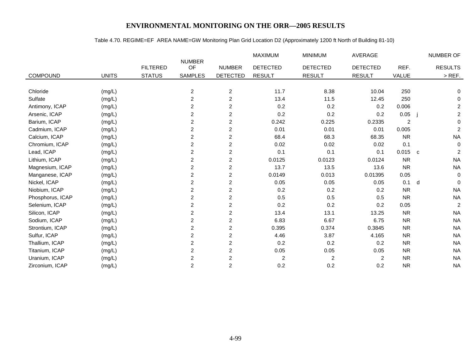# Table 4.70. REGIME=EF AREA NAME=GW Monitoring Plan Grid Location D2 (Approximately 1200 ft North of Building 81-10)

|                  |              |                 |                         |                         | MAXIMUM         | <b>MINIMUM</b>  | AVERAGE         |                |                | NUMBER OF      |
|------------------|--------------|-----------------|-------------------------|-------------------------|-----------------|-----------------|-----------------|----------------|----------------|----------------|
|                  |              | <b>FILTERED</b> | <b>NUMBER</b><br>OF     | <b>NUMBER</b>           | <b>DETECTED</b> | <b>DETECTED</b> | <b>DETECTED</b> | REF.           |                | <b>RESULTS</b> |
| <b>COMPOUND</b>  | <b>UNITS</b> | <b>STATUS</b>   | <b>SAMPLES</b>          | <b>DETECTED</b>         | <b>RESULT</b>   | <b>RESULT</b>   | <b>RESULT</b>   | VALUE          |                | $>$ REF.       |
|                  |              |                 |                         |                         |                 |                 |                 |                |                |                |
| Chloride         | (mg/L)       |                 | $\boldsymbol{2}$        | $\overline{c}$          | 11.7            | 8.38            | 10.04           | 250            |                | 0              |
| Sulfate          | (mg/L)       |                 | 2                       | $\overline{c}$          | 13.4            | 11.5            | 12.45           | 250            |                | 0              |
| Antimony, ICAP   | (mg/L)       |                 | 2                       | $\overline{c}$          | 0.2             | 0.2             | 0.2             | 0.006          |                | $\overline{c}$ |
| Arsenic, ICAP    | (mg/L)       |                 | $\overline{c}$          | $\overline{\mathbf{c}}$ | 0.2             | 0.2             | 0.2             | 0.05           |                | $\overline{a}$ |
| Barium, ICAP     | (mg/L)       |                 | 2                       | $\overline{\mathbf{c}}$ | 0.242           | 0.225           | 0.2335          | $\overline{c}$ |                | 0              |
| Cadmium, ICAP    | (mg/L)       |                 | 2                       | $\overline{c}$          | 0.01            | 0.01            | 0.01            | 0.005          |                | $\overline{c}$ |
| Calcium, ICAP    | (mg/L)       |                 | 2                       | $\overline{c}$          | 68.4            | 68.3            | 68.35           | <b>NR</b>      |                | <b>NA</b>      |
| Chromium, ICAP   | (mg/L)       |                 | 2                       | $\overline{\mathbf{c}}$ | 0.02            | 0.02            | 0.02            | 0.1            |                | $\mathbf 0$    |
| Lead, ICAP       | (mg/L)       |                 | $\overline{\mathbf{c}}$ | $\overline{c}$          | 0.1             | 0.1             | 0.1             | 0.015          | $\overline{c}$ | 2              |
| Lithium, ICAP    | (mg/L)       |                 | 2                       | $\overline{c}$          | 0.0125          | 0.0123          | 0.0124          | <b>NR</b>      |                | <b>NA</b>      |
| Magnesium, ICAP  | (mg/L)       |                 | 2                       | $\overline{c}$          | 13.7            | 13.5            | 13.6            | <b>NR</b>      |                | <b>NA</b>      |
| Manganese, ICAP  | (mg/L)       |                 | 2                       | $\overline{c}$          | 0.0149          | 0.013           | 0.01395         | 0.05           |                | 0              |
| Nickel, ICAP     | (mg/L)       |                 | $\overline{c}$          | 2                       | 0.05            | 0.05            | 0.05            | 0.1            | d              | $\Omega$       |
| Niobium, ICAP    | (mg/L)       |                 | $\overline{\mathbf{c}}$ | $\overline{c}$          | 0.2             | 0.2             | 0.2             | <b>NR</b>      |                | <b>NA</b>      |
| Phosphorus, ICAP | (mg/L)       |                 | 2                       | $\overline{c}$          | 0.5             | 0.5             | 0.5             | <b>NR</b>      |                | <b>NA</b>      |
| Selenium, ICAP   | (mg/L)       |                 | 2                       | $\overline{c}$          | 0.2             | 0.2             | 0.2             | 0.05           |                | $\overline{2}$ |
| Silicon, ICAP    | (mg/L)       |                 | 2                       | $\overline{\mathbf{c}}$ | 13.4            | 13.1            | 13.25           | <b>NR</b>      |                | <b>NA</b>      |
| Sodium, ICAP     | (mg/L)       |                 | 2                       | $\overline{c}$          | 6.83            | 6.67            | 6.75            | <b>NR</b>      |                | <b>NA</b>      |
| Strontium, ICAP  | (mg/L)       |                 | 2                       | $\overline{2}$          | 0.395           | 0.374           | 0.3845          | <b>NR</b>      |                | <b>NA</b>      |
| Sulfur, ICAP     | (mg/L)       |                 | $\overline{\mathbf{c}}$ | $\overline{c}$          | 4.46            | 3.87            | 4.165           | <b>NR</b>      |                | <b>NA</b>      |
| Thallium, ICAP   | (mg/L)       |                 | 2                       | $\overline{\mathbf{c}}$ | 0.2             | 0.2             | 0.2             | <b>NR</b>      |                | <b>NA</b>      |
| Titanium, ICAP   | (mg/L)       |                 | $\overline{2}$          | $\overline{c}$          | 0.05            | 0.05            | 0.05            | <b>NR</b>      |                | <b>NA</b>      |
| Uranium, ICAP    | (mg/L)       |                 | 2                       | 2                       | $\overline{c}$  | $\overline{c}$  | $\overline{2}$  | <b>NR</b>      |                | <b>NA</b>      |
| Zirconium, ICAP  | (mg/L)       |                 | 2                       | 2                       | 0.2             | 0.2             | 0.2             | <b>NR</b>      |                | <b>NA</b>      |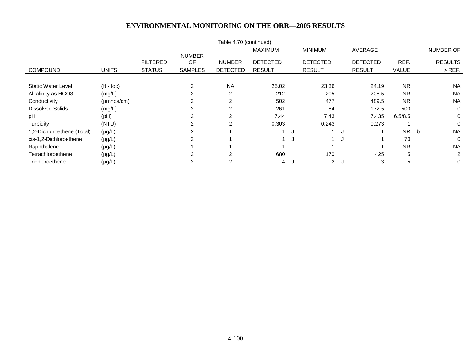| Table 4.70 (continued)     |                         |                 |                |                 |                 |          |                 |                 |              |                |  |
|----------------------------|-------------------------|-----------------|----------------|-----------------|-----------------|----------|-----------------|-----------------|--------------|----------------|--|
|                            |                         |                 |                |                 | <b>MAXIMUM</b>  |          | <b>MINIMUM</b>  | AVERAGE         |              | NUMBER OF      |  |
|                            |                         |                 | <b>NUMBER</b>  |                 |                 |          |                 |                 |              |                |  |
|                            |                         | <b>FILTERED</b> | OF             | <b>NUMBER</b>   | <b>DETECTED</b> |          | <b>DETECTED</b> | <b>DETECTED</b> | REF.         | <b>RESULTS</b> |  |
| <b>COMPOUND</b>            | <b>UNITS</b>            | <b>STATUS</b>   | <b>SAMPLES</b> | <b>DETECTED</b> | <b>RESULT</b>   |          | <b>RESULT</b>   | <b>RESULT</b>   | <b>VALUE</b> | $>$ REF.       |  |
|                            |                         |                 |                |                 |                 |          |                 |                 |              |                |  |
| <b>Static Water Level</b>  | $(t - \text{toc})$      |                 | 2              | <b>NA</b>       | 25.02           |          | 23.36           | 24.19           | <b>NR</b>    | <b>NA</b>      |  |
| Alkalinity as HCO3         | (mg/L)                  |                 | 2              | $\overline{2}$  | 212             |          | 205             | 208.5           | <b>NR</b>    | <b>NA</b>      |  |
| Conductivity               | $(\mu m \text{hos/cm})$ |                 | 2              | 2               | 502             |          | 477             | 489.5           | <b>NR</b>    | <b>NA</b>      |  |
| <b>Dissolved Solids</b>    | (mg/L)                  |                 | 2              | 2               | 261             |          | 84              | 172.5           | 500          | $\Omega$       |  |
| рH                         | (Hq)                    |                 | 2              |                 | 7.44            |          | 7.43            | 7.435           | 6.5/8.5      | 0              |  |
| Turbidity                  | (NTU)                   |                 | 2              | 2               | 0.303           |          | 0.243           | 0.273           |              | $\Omega$       |  |
| 1,2-Dichloroethene (Total) | $(\mu g/L)$             |                 |                |                 |                 |          |                 |                 | NR b         | <b>NA</b>      |  |
| cis-1,2-Dichloroethene     | $(\mu g/L)$             |                 | 2              |                 |                 | - 11     |                 |                 | 70           | $\Omega$       |  |
| Naphthalene                | $(\mu g/L)$             |                 |                |                 |                 |          |                 |                 | <b>NR</b>    | <b>NA</b>      |  |
| Tetrachloroethene          | $(\mu g/L)$             |                 | 2              | 2               | 680             |          | 170             | 425             | 5            | $\overline{2}$ |  |
| Trichloroethene            | $(\mu g/L)$             |                 |                |                 | 4               | <b>N</b> | 2J              | 3               | 5            | 0              |  |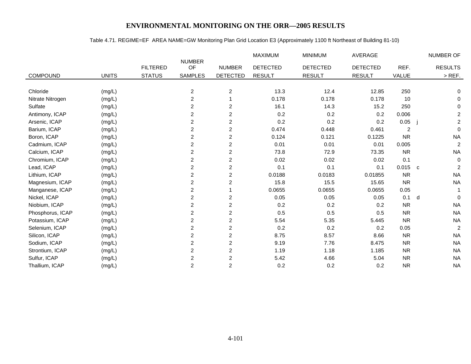# Table 4.71. REGIME=EF AREA NAME=GW Monitoring Plan Grid Location E3 (Approximately 1100 ft Northeast of Building 81-10)

|                  |              |                 |                         |                         | MAXIMUM         | <b>MINIMUM</b>  | AVERAGE         |                |              | NUMBER OF      |
|------------------|--------------|-----------------|-------------------------|-------------------------|-----------------|-----------------|-----------------|----------------|--------------|----------------|
|                  |              | <b>FILTERED</b> | <b>NUMBER</b><br>OF     | <b>NUMBER</b>           | <b>DETECTED</b> | <b>DETECTED</b> | <b>DETECTED</b> | REF.           |              | <b>RESULTS</b> |
| COMPOUND         | <b>UNITS</b> | <b>STATUS</b>   | <b>SAMPLES</b>          | <b>DETECTED</b>         | <b>RESULT</b>   | <b>RESULT</b>   | <b>RESULT</b>   | VALUE          |              | $>$ REF.       |
|                  |              |                 |                         |                         |                 |                 |                 |                |              |                |
| Chloride         | (mg/L)       |                 | $\overline{c}$          | $\overline{\mathbf{c}}$ | 13.3            | 12.4            | 12.85           | 250            |              | 0              |
| Nitrate Nitrogen | (mg/L)       |                 | $\overline{c}$          |                         | 0.178           | 0.178           | 0.178           | 10             |              | 0              |
| Sulfate          | (mg/L)       |                 | 2                       | 2                       | 16.1            | 14.3            | 15.2            | 250            |              | $\mathbf 0$    |
| Antimony, ICAP   | (mg/L)       |                 | 2                       | $\overline{c}$          | 0.2             | 0.2             | 0.2             | 0.006          |              | $\overline{c}$ |
| Arsenic, ICAP    | (mg/L)       |                 | $\overline{c}$          | $\overline{c}$          | 0.2             | 0.2             | 0.2             | 0.05           |              | $\overline{a}$ |
| Barium, ICAP     | (mg/L)       |                 | $\overline{\mathbf{c}}$ | $\overline{\mathbf{c}}$ | 0.474           | 0.448           | 0.461           | $\overline{c}$ |              | $\mathbf 0$    |
| Boron, ICAP      | (mg/L)       |                 | $\overline{\mathbf{c}}$ | $\overline{c}$          | 0.124           | 0.121           | 0.1225          | <b>NR</b>      |              | <b>NA</b>      |
| Cadmium, ICAP    | (mg/L)       |                 | $\boldsymbol{2}$        | $\overline{2}$          | 0.01            | 0.01            | 0.01            | 0.005          |              | $\overline{2}$ |
| Calcium, ICAP    | (mg/L)       |                 | $\overline{\mathbf{c}}$ | $\overline{c}$          | 73.8            | 72.9            | 73.35           | <b>NR</b>      |              | <b>NA</b>      |
| Chromium, ICAP   | (mg/L)       |                 | 2                       | $\overline{c}$          | 0.02            | 0.02            | 0.02            | 0.1            |              | $\mathbf 0$    |
| Lead, ICAP       | (mg/L)       |                 | $\overline{c}$          | $\overline{c}$          | 0.1             | 0.1             | 0.1             | 0.015          | $\mathbf{C}$ | 2              |
| Lithium, ICAP    | (mg/L)       |                 | 2                       | $\overline{c}$          | 0.0188          | 0.0183          | 0.01855         | <b>NR</b>      |              | <b>NA</b>      |
| Magnesium, ICAP  | (mg/L)       |                 | 2                       | 2                       | 15.8            | 15.5            | 15.65           | <b>NR</b>      |              | <b>NA</b>      |
| Manganese, ICAP  | (mg/L)       |                 | 2                       |                         | 0.0655          | 0.0655          | 0.0655          | 0.05           |              |                |
| Nickel, ICAP     | (mg/L)       |                 | $\overline{c}$          | $\overline{c}$          | 0.05            | 0.05            | 0.05            | 0.1            | d            | $\Omega$       |
| Niobium, ICAP    | (mg/L)       |                 | 2                       | $\overline{c}$          | 0.2             | 0.2             | 0.2             | <b>NR</b>      |              | <b>NA</b>      |
| Phosphorus, ICAP | (mg/L)       |                 | $\overline{c}$          | $\overline{c}$          | 0.5             | 0.5             | 0.5             | <b>NR</b>      |              | <b>NA</b>      |
| Potassium, ICAP  | (mg/L)       |                 | $\overline{c}$          | $\overline{c}$          | 5.54            | 5.35            | 5.445           | <b>NR</b>      |              | <b>NA</b>      |
| Selenium, ICAP   | (mg/L)       |                 | 2                       | 2                       | 0.2             | 0.2             | 0.2             | 0.05           |              | $\overline{2}$ |
| Silicon, ICAP    | (mg/L)       |                 | $\boldsymbol{2}$        | $\overline{c}$          | 8.75            | 8.57            | 8.66            | <b>NR</b>      |              | <b>NA</b>      |
| Sodium, ICAP     | (mg/L)       |                 | 2                       | $\overline{c}$          | 9.19            | 7.76            | 8.475           | <b>NR</b>      |              | <b>NA</b>      |
| Strontium, ICAP  | (mg/L)       |                 | $\overline{\mathbf{c}}$ | $\overline{c}$          | 1.19            | 1.18            | 1.185           | <b>NR</b>      |              | <b>NA</b>      |
| Sulfur, ICAP     | (mg/L)       |                 | $\overline{c}$          | $\overline{c}$          | 5.42            | 4.66            | 5.04            | <b>NR</b>      |              | <b>NA</b>      |
| Thallium, ICAP   | (mg/L)       |                 | $\overline{c}$          | $\overline{c}$          | 0.2             | 0.2             | 0.2             | <b>NR</b>      |              | <b>NA</b>      |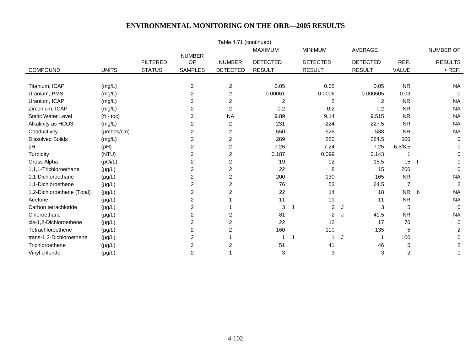| Table 4.71 (continued)     |              |                 |                         |                         |                 |                 |                 |                |                |  |  |
|----------------------------|--------------|-----------------|-------------------------|-------------------------|-----------------|-----------------|-----------------|----------------|----------------|--|--|
|                            |              |                 |                         |                         | <b>MAXIMUM</b>  | <b>MINIMUM</b>  | <b>AVERAGE</b>  |                | NUMBER OF      |  |  |
|                            |              | <b>FILTERED</b> | <b>NUMBER</b><br>OF     | <b>NUMBER</b>           | <b>DETECTED</b> | <b>DETECTED</b> | <b>DETECTED</b> | REF.           | <b>RESULTS</b> |  |  |
| <b>COMPOUND</b>            | <b>UNITS</b> | <b>STATUS</b>   | <b>SAMPLES</b>          | <b>DETECTED</b>         | <b>RESULT</b>   | <b>RESULT</b>   | <b>RESULT</b>   | <b>VALUE</b>   | $>$ REF.       |  |  |
|                            |              |                 |                         |                         |                 |                 |                 |                |                |  |  |
| Titanium, ICAP             | (mg/L)       |                 | $\overline{\mathbf{c}}$ | $\overline{c}$          | 0.05            | 0.05            | 0.05            | <b>NR</b>      | <b>NA</b>      |  |  |
| Uranium, PMS               | (mg/L)       |                 | 2                       | $\overline{2}$          | 0.00061         | 0.0006          | 0.000605        | 0.03           | $\mathbf 0$    |  |  |
| Uranium, ICAP              | (mg/L)       |                 | 2                       | $\overline{\mathbf{c}}$ | 2               | $\overline{c}$  | 2               | <b>NR</b>      | <b>NA</b>      |  |  |
| Zirconium, ICAP            | (mg/L)       |                 | 2                       | $\overline{c}$          | 0.2             | 0.2             | 0.2             | <b>NR</b>      | <b>NA</b>      |  |  |
| <b>Static Water Level</b>  | $(t - toc)$  |                 | $\overline{2}$          | <b>NA</b>               | 9.89            | 9.14            | 9.515           | <b>NR</b>      | <b>NA</b>      |  |  |
| Alkalinity as HCO3         | (mg/L)       |                 | 2                       | $\overline{c}$          | 231             | 224             | 227.5           | <b>NR</b>      | <b>NA</b>      |  |  |
| Conductivity               | (µmhos/cm)   |                 | 2                       | $\overline{2}$          | 550             | 526             | 538             | <b>NR</b>      | <b>NA</b>      |  |  |
| <b>Dissolved Solids</b>    | (mg/L)       |                 | $\overline{c}$          | $\overline{c}$          | 289             | 280             | 284.5           | 500            | $\mathbf 0$    |  |  |
| pH                         | (pH)         |                 | 2                       | $\overline{\mathbf{c}}$ | 7.26            | 7.24            | 7.25            | 6.5/8.5        | 0              |  |  |
| Turbidity                  | (NTU)        |                 | $\overline{2}$          | $\overline{2}$          | 0.187           | 0.099           | 0.143           |                | 0              |  |  |
| Gross Alpha                | (pCi/L)      |                 | 2                       | $\overline{c}$          | 19              | 12              | 15.5            | 15             | f              |  |  |
| 1,1,1-Trichloroethane      | $(\mu g/L)$  |                 | 2                       | $\overline{2}$          | 22              | 8               | 15              | 200            | $\Omega$       |  |  |
| 1,1-Dichloroethane         | $(\mu g/L)$  |                 | 2                       | 2                       | 200             | 130             | 165             | <b>NR</b>      | <b>NA</b>      |  |  |
| 1,1-Dichloroethene         | $(\mu g/L)$  |                 | 2                       | 2                       | 76              | 53              | 64.5            | $\overline{7}$ | 2              |  |  |
| 1,2-Dichloroethene (Total) | $(\mu g/L)$  |                 | $\overline{2}$          | $\overline{2}$          | 22              | 14              | 18              | <b>NR</b>      | <b>NA</b><br>b |  |  |
| Acetone                    | $(\mu g/L)$  |                 | $\overline{\mathbf{c}}$ |                         | 11              | 11              | 11              | <b>NR</b>      | <b>NA</b>      |  |  |
| Carbon tetrachloride       | $(\mu g/L)$  |                 | 2                       |                         | 3               | 3<br>J          | 3<br>J          | 5              | $\mathbf 0$    |  |  |
| Chloroethane               | $(\mu g/L)$  |                 | $\overline{c}$          | $\overline{2}$          | 81              | $\overline{a}$  | 41.5<br>J       | <b>NR</b>      | <b>NA</b>      |  |  |
| cis-1,2-Dichloroethene     | $(\mu g/L)$  |                 | 2                       | 2                       | 22              | 12              | 17              | 70             | $\mathbf 0$    |  |  |
| Tetrachloroethene          | $(\mu g/L)$  |                 | $\overline{2}$          | 2                       | 160             | 110             | 135             | 5              | $\overline{c}$ |  |  |
| trans-1,2-Dichloroethene   | $(\mu g/L)$  |                 | $\overline{c}$          |                         |                 | J               | J               | 100            | 0              |  |  |
| Trichloroethene            | $(\mu g/L)$  |                 | 2                       | 2                       | 51              | 41              | 46              | 5              | 2              |  |  |
| Vinyl chloride             | $(\mu g/L)$  |                 | $\overline{c}$          |                         | 3               | 3               | 3               | $\overline{c}$ |                |  |  |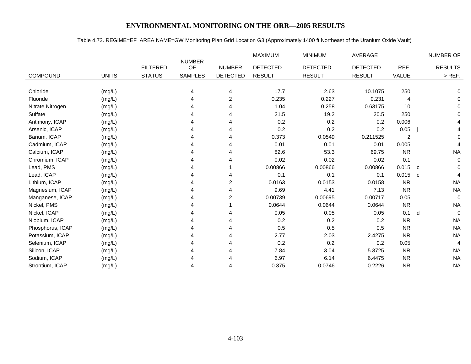# Table 4.72. REGIME=EF AREA NAME=GW Monitoring Plan Grid Location G3 (Approximately 1400 ft Northeast of the Uranium Oxide Vault)

|                  |              |                 |                     |                 | MAXIMUM         | <b>MINIMUM</b>  | AVERAGE         |           | NUMBER OF         |
|------------------|--------------|-----------------|---------------------|-----------------|-----------------|-----------------|-----------------|-----------|-------------------|
|                  |              | <b>FILTERED</b> | <b>NUMBER</b><br>OF | <b>NUMBER</b>   | <b>DETECTED</b> | <b>DETECTED</b> | <b>DETECTED</b> | REF.      | <b>RESULTS</b>    |
| <b>COMPOUND</b>  | <b>UNITS</b> | <b>STATUS</b>   | <b>SAMPLES</b>      | <b>DETECTED</b> | <b>RESULT</b>   | <b>RESULT</b>   | <b>RESULT</b>   | VALUE     | $>$ REF.          |
|                  |              |                 |                     |                 |                 |                 |                 |           |                   |
| Chloride         | (mg/L)       |                 | 4                   | 4               | 17.7            | 2.63            | 10.1075         | 250       | 0                 |
| Fluoride         | (mg/L)       |                 |                     | $\overline{c}$  | 0.235           | 0.227           | 0.231           | 4         | 0                 |
| Nitrate Nitrogen | (mg/L)       |                 |                     | 4               | 1.04            | 0.258           | 0.63175         | 10        | $\Omega$          |
| Sulfate          | (mg/L)       |                 |                     |                 | 21.5            | 19.2            | 20.5            | 250       | 0                 |
| Antimony, ICAP   | (mg/L)       |                 |                     | 4               | 0.2             | 0.2             | 0.2             | 0.006     |                   |
| Arsenic, ICAP    | (mg/L)       |                 |                     |                 | 0.2             | 0.2             | 0.2             | 0.05      |                   |
| Barium, ICAP     | (mg/L)       |                 |                     |                 | 0.373           | 0.0549          | 0.211525        | 2         | 0                 |
| Cadmium, ICAP    | (mg/L)       |                 |                     |                 | 0.01            | 0.01            | 0.01            | 0.005     | 4                 |
| Calcium, ICAP    | (mg/L)       |                 |                     |                 | 82.6            | 53.3            | 69.75           | <b>NR</b> | <b>NA</b>         |
| Chromium, ICAP   | (mg/L)       |                 |                     |                 | 0.02            | 0.02            | 0.02            | 0.1       | $\Omega$          |
| Lead, PMS        | (mg/L)       |                 |                     |                 | 0.00866         | 0.00866         | 0.00866         | $0.015$ c | 0                 |
| Lead, ICAP       | (mg/L)       |                 |                     |                 | 0.1             | 0.1             | 0.1             | 0.015     | 4<br>$\mathbf{C}$ |
| Lithium, ICAP    | (mg/L)       |                 |                     | $\overline{c}$  | 0.0163          | 0.0153          | 0.0158          | <b>NR</b> | <b>NA</b>         |
| Magnesium, ICAP  | (mg/L)       |                 |                     |                 | 9.69            | 4.41            | 7.13            | <b>NR</b> | <b>NA</b>         |
| Manganese, ICAP  | (mg/L)       |                 |                     | 2               | 0.00739         | 0.00695         | 0.00717         | 0.05      | $\Omega$          |
| Nickel, PMS      | (mg/L)       |                 |                     |                 | 0.0644          | 0.0644          | 0.0644          | <b>NR</b> | <b>NA</b>         |
| Nickel, ICAP     | (mg/L)       |                 |                     | 4               | 0.05            | 0.05            | 0.05            | 0.1       | $\Omega$<br>d     |
| Niobium, ICAP    | (mg/L)       |                 |                     |                 | 0.2             | 0.2             | 0.2             | <b>NR</b> | <b>NA</b>         |
| Phosphorus, ICAP | (mg/L)       |                 |                     |                 | 0.5             | 0.5             | 0.5             | <b>NR</b> | <b>NA</b>         |
| Potassium, ICAP  | (mg/L)       |                 |                     | 4               | 2.77            | 2.03            | 2.4275          | <b>NR</b> | <b>NA</b>         |
| Selenium, ICAP   | (mg/L)       |                 |                     |                 | 0.2             | 0.2             | 0.2             | 0.05      | $\overline{4}$    |
| Silicon, ICAP    | (mg/L)       |                 |                     | Δ               | 7.84            | 3.04            | 5.3725          | <b>NR</b> | <b>NA</b>         |
| Sodium, ICAP     | (mg/L)       |                 |                     |                 | 6.97            | 6.14            | 6.4475          | <b>NR</b> | <b>NA</b>         |
| Strontium, ICAP  | (mg/L)       |                 |                     | 4               | 0.375           | 0.0746          | 0.2226          | <b>NR</b> | <b>NA</b>         |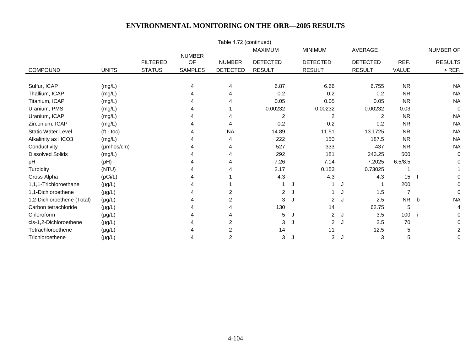| Table 4.72 (continued)     |                    |                 |                     |                 |                 |   |                 |                 |              |                |  |
|----------------------------|--------------------|-----------------|---------------------|-----------------|-----------------|---|-----------------|-----------------|--------------|----------------|--|
|                            |                    |                 |                     |                 | <b>MAXIMUM</b>  |   | <b>MINIMUM</b>  | AVERAGE         |              | NUMBER OF      |  |
|                            |                    | <b>FILTERED</b> | <b>NUMBER</b><br>OF | <b>NUMBER</b>   | <b>DETECTED</b> |   | <b>DETECTED</b> | <b>DETECTED</b> | REF.         | <b>RESULTS</b> |  |
| <b>COMPOUND</b>            | <b>UNITS</b>       | <b>STATUS</b>   | <b>SAMPLES</b>      | <b>DETECTED</b> | <b>RESULT</b>   |   | <b>RESULT</b>   | <b>RESULT</b>   | <b>VALUE</b> | $>$ REF.       |  |
|                            |                    |                 |                     |                 |                 |   |                 |                 |              |                |  |
| Sulfur, ICAP               | (mg/L)             |                 | 4                   | 4               | 6.87            |   | 6.66            | 6.755           | <b>NR</b>    | <b>NA</b>      |  |
| Thallium, ICAP             | (mg/L)             |                 |                     |                 | 0.2             |   | 0.2             | 0.2             | <b>NR</b>    | <b>NA</b>      |  |
| Titanium, ICAP             | (mg/L)             |                 |                     |                 | 0.05            |   | 0.05            | 0.05            | <b>NR</b>    | <b>NA</b>      |  |
| Uranium, PMS               | (mg/L)             |                 |                     |                 | 0.00232         |   | 0.00232         | 0.00232         | 0.03         | $\Omega$       |  |
| Uranium, ICAP              | (mg/L)             |                 |                     |                 | 2               |   | 2               | 2               | <b>NR</b>    | <b>NA</b>      |  |
| Zirconium, ICAP            | (mg/L)             |                 |                     | 4               | 0.2             |   | 0.2             | 0.2             | <b>NR</b>    | <b>NA</b>      |  |
| <b>Static Water Level</b>  | $(t - \text{toc})$ |                 |                     | <b>NA</b>       | 14.89           |   | 11.51           | 13.1725         | <b>NR</b>    | <b>NA</b>      |  |
| Alkalinity as HCO3         | (mg/L)             |                 |                     |                 | 222             |   | 150             | 187.5           | <b>NR</b>    | <b>NA</b>      |  |
| Conductivity               | (µmhos/cm)         |                 |                     | 4               | 527             |   | 333             | 437             | <b>NR</b>    | <b>NA</b>      |  |
| <b>Dissolved Solids</b>    | (mg/L)             |                 |                     | 4               | 292             |   | 181             | 243.25          | 500          | $\Omega$       |  |
| pH                         | (pH)               |                 |                     |                 | 7.26            |   | 7.14            | 7.2025          | 6.5/8.5      |                |  |
| Turbidity                  | (NTU)              |                 |                     |                 | 2.17            |   | 0.153           | 0.73025         |              |                |  |
| Gross Alpha                | (pCi/L)            |                 |                     |                 | 4.3             |   | 4.3             | 4.3             | 15           | 0              |  |
| 1,1,1-Trichloroethane      | $(\mu g/L)$        |                 |                     |                 |                 |   |                 |                 | 200          | 0              |  |
| 1,1-Dichloroethene         | $(\mu g/L)$        |                 |                     | $\overline{2}$  | $\overline{2}$  | J |                 | 1.5<br>J        |              | $\Omega$       |  |
| 1,2-Dichloroethene (Total) | $(\mu g/L)$        |                 |                     | $\overline{2}$  | 3               |   | $\overline{2}$  | 2.5<br>J        | NR b         | <b>NA</b>      |  |
| Carbon tetrachloride       | $(\mu g/L)$        |                 |                     |                 | 130             |   | 14              | 62.75           | 5            | 4              |  |
| Chloroform                 | $(\mu g/L)$        |                 |                     |                 | 5               |   | $\overline{2}$  | 3.5<br>J        | 100          | 0              |  |
| cis-1,2-Dichloroethene     | $(\mu g/L)$        |                 |                     | 2               | 3               |   | $\overline{2}$  | 2.5<br>J.       | 70           | 0              |  |
| Tetrachloroethene          | $(\mu g/L)$        |                 |                     | $\overline{2}$  | 14              |   | 11              | 12.5            | 5            | 2              |  |
| Trichloroethene            | $(\mu g/L)$        |                 |                     | $\overline{2}$  | 3               | J | 3               | 3<br>J.         | 5            | 0              |  |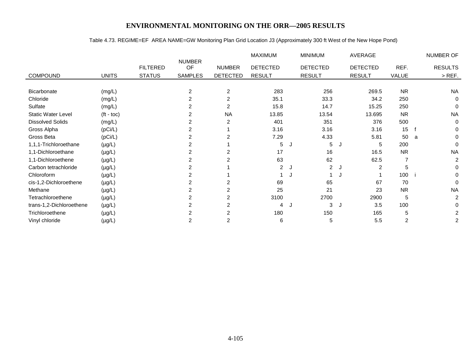# Table 4.73. REGIME=EF AREA NAME=GW Monitoring Plan Grid Location J3 (Approximately 300 ft West of the New Hope Pond)

|                           |                    |                 |                |                 | <b>MAXIMUM</b>  |    | <b>MINIMUM</b>  |   | AVERAGE         |           |   | NUMBER OF      |
|---------------------------|--------------------|-----------------|----------------|-----------------|-----------------|----|-----------------|---|-----------------|-----------|---|----------------|
|                           |                    |                 | <b>NUMBER</b>  |                 |                 |    |                 |   |                 |           |   |                |
|                           |                    | <b>FILTERED</b> | OF             | <b>NUMBER</b>   | <b>DETECTED</b> |    | <b>DETECTED</b> |   | <b>DETECTED</b> | REF.      |   | <b>RESULTS</b> |
| <b>COMPOUND</b>           | <b>UNITS</b>       | <b>STATUS</b>   | <b>SAMPLES</b> | <b>DETECTED</b> | <b>RESULT</b>   |    | <b>RESULT</b>   |   | <b>RESULT</b>   | VALUE     |   | $>$ REF.       |
|                           |                    |                 |                |                 |                 |    |                 |   |                 |           |   |                |
| Bicarbonate               | (mg/L)             |                 | 2              | $\overline{2}$  | 283             |    | 256             |   | 269.5           | <b>NR</b> |   | <b>NA</b>      |
| Chloride                  | (mg/L)             |                 | 2              | 2               | 35.1            |    | 33.3            |   | 34.2            | 250       |   | 0              |
| Sulfate                   | (mg/L)             |                 | 2              | 2               | 15.8            |    | 14.7            |   | 15.25           | 250       |   | 0              |
| <b>Static Water Level</b> | $(t - \text{toc})$ |                 |                | <b>NA</b>       | 13.85           |    | 13.54           |   | 13.695          | <b>NR</b> |   | <b>NA</b>      |
| <b>Dissolved Solids</b>   | (mg/L)             |                 |                | $\overline{2}$  | 401             |    | 351             |   | 376             | 500       |   | $\mathbf 0$    |
| Gross Alpha               | (pCi/L)            |                 |                |                 | 3.16            |    | 3.16            |   | 3.16            | 15        |   | 0              |
| Gross Beta                | (pCi/L)            |                 | 2              | 2               | 7.29            |    | 4.33            |   | 5.81            | 50        | a | 0              |
| 1,1,1-Trichloroethane     | $(\mu g/L)$        |                 |                |                 | 5               | J. | 5               |   | 5               | 200       |   | $\Omega$       |
| 1,1-Dichloroethane        | $(\mu g/L)$        |                 |                | 2               | 17              |    | 16              |   | 16.5            | <b>NR</b> |   | <b>NA</b>      |
| 1,1-Dichloroethene        | $(\mu g/L)$        |                 |                |                 | 63              |    | 62              |   | 62.5            | 7         |   | $\overline{c}$ |
| Carbon tetrachloride      | $(\mu g/L)$        |                 |                |                 | $\overline{2}$  | J  | $\overline{2}$  |   | 2               | 5         |   | 0              |
| Chloroform                | $(\mu g/L)$        |                 |                |                 |                 |    |                 |   |                 | 100       |   | 0              |
| cis-1,2-Dichloroethene    | $(\mu g/L)$        |                 |                | $\overline{2}$  | 69              |    | 65              |   | 67              | 70        |   | 0              |
| Methane                   | $(\mu g/L)$        |                 |                | 2               | 25              |    | 21              |   | 23              | <b>NR</b> |   | <b>NA</b>      |
| Tetrachloroethene         | $(\mu g/L)$        |                 | 2              | 2               | 3100            |    | 2700            |   | 2900            | 5         |   | 2              |
| trans-1,2-Dichloroethene  | $(\mu g/L)$        |                 | 2              | $\overline{2}$  | 4               | J  | 3               | J | 3.5             | 100       |   | 0              |
| Trichloroethene           | $(\mu g/L)$        |                 |                | $\overline{2}$  | 180             |    | 150             |   | 165             | 5         |   | 2              |
| Vinyl chloride            | $(\mu g/L)$        |                 | 2              | $\overline{2}$  | 6               |    | 5               |   | 5.5             | 2         |   | 2              |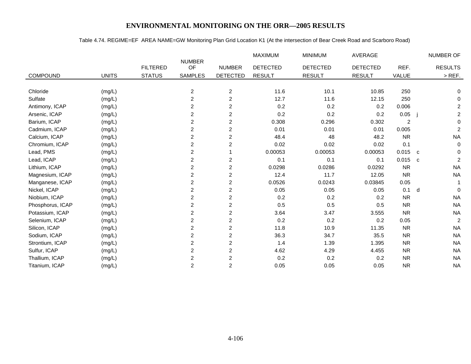#### Table 4.74. REGIME=EF AREA NAME=GW Monitoring Plan Grid Location K1 (At the intersection of Bear Creek Road and Scarboro Road)

|                  |              |                 |                         |                         | <b>MAXIMUM</b>  | <b>MINIMUM</b>  | <b>AVERAGE</b>  |                | NUMBER OF                      |
|------------------|--------------|-----------------|-------------------------|-------------------------|-----------------|-----------------|-----------------|----------------|--------------------------------|
|                  |              | <b>FILTERED</b> | <b>NUMBER</b><br>OF     | <b>NUMBER</b>           | <b>DETECTED</b> | <b>DETECTED</b> | <b>DETECTED</b> | REF.           | <b>RESULTS</b>                 |
| <b>COMPOUND</b>  | <b>UNITS</b> | <b>STATUS</b>   | <b>SAMPLES</b>          | <b>DETECTED</b>         | <b>RESULT</b>   | <b>RESULT</b>   | <b>RESULT</b>   | <b>VALUE</b>   | $>$ REF.                       |
|                  |              |                 |                         |                         |                 |                 |                 |                |                                |
| Chloride         | (mg/L)       |                 | $\overline{c}$          | $\overline{c}$          | 11.6            | 10.1            | 10.85           | 250            | 0                              |
| Sulfate          | (mg/L)       |                 | 2                       | 2                       | 12.7            | 11.6            | 12.15           | 250            | 0                              |
| Antimony, ICAP   | (mg/L)       |                 | 2                       | $\overline{\mathbf{c}}$ | 0.2             | 0.2             | 0.2             | 0.006          | $\overline{c}$                 |
| Arsenic, ICAP    | (mg/L)       |                 | $\overline{\mathbf{c}}$ | $\overline{\mathbf{c}}$ | 0.2             | 0.2             | 0.2             | 0.05           | $\overline{a}$                 |
| Barium, ICAP     | (mg/L)       |                 | 2                       | $\overline{2}$          | 0.308           | 0.296           | 0.302           | $\overline{c}$ | $\mathbf 0$                    |
| Cadmium, ICAP    | (mg/L)       |                 | $\boldsymbol{2}$        | $\overline{c}$          | 0.01            | 0.01            | 0.01            | 0.005          | $\overline{c}$                 |
| Calcium, ICAP    | (mg/L)       |                 | 2                       | $\overline{2}$          | 48.4            | 48              | 48.2            | <b>NR</b>      | <b>NA</b>                      |
| Chromium, ICAP   | (mg/L)       |                 | $\boldsymbol{2}$        | 2                       | 0.02            | 0.02            | 0.02            | 0.1            | $\mathbf 0$                    |
| Lead, PMS        | (mg/L)       |                 | $\overline{\mathbf{c}}$ |                         | 0.00053         | 0.00053         | 0.00053         | $0.015$ c      | 0                              |
| Lead, ICAP       | (mg/L)       |                 | 2                       | 2                       | 0.1             | 0.1             | 0.1             | 0.015          | $\overline{2}$<br>$\mathbf{C}$ |
| Lithium, ICAP    | (mg/L)       |                 | $\overline{c}$          | $\overline{\mathbf{c}}$ | 0.0298          | 0.0286          | 0.0292          | <b>NR</b>      | <b>NA</b>                      |
| Magnesium, ICAP  | (mg/L)       |                 | 2                       | 2                       | 12.4            | 11.7            | 12.05           | <b>NR</b>      | <b>NA</b>                      |
| Manganese, ICAP  | (mg/L)       |                 | $\overline{\mathbf{c}}$ | $\overline{2}$          | 0.0526          | 0.0243          | 0.03845         | 0.05           |                                |
| Nickel, ICAP     | (mg/L)       |                 | 2                       | 2                       | 0.05            | 0.05            | 0.05            | 0.1            | d<br>$\Omega$                  |
| Niobium, ICAP    | (mg/L)       |                 | $\overline{c}$          | 2                       | 0.2             | 0.2             | 0.2             | <b>NR</b>      | <b>NA</b>                      |
| Phosphorus, ICAP | (mg/L)       |                 | $\overline{\mathbf{c}}$ | $\overline{c}$          | 0.5             | 0.5             | 0.5             | <b>NR</b>      | <b>NA</b>                      |
| Potassium, ICAP  | (mg/L)       |                 | 2                       | $\overline{c}$          | 3.64            | 3.47            | 3.555           | <b>NR</b>      | <b>NA</b>                      |
| Selenium, ICAP   | (mg/L)       |                 | $\boldsymbol{2}$        | $\overline{c}$          | 0.2             | 0.2             | 0.2             | 0.05           | $\overline{2}$                 |
| Silicon, ICAP    | (mg/L)       |                 | 2                       | 2                       | 11.8            | 10.9            | 11.35           | <b>NR</b>      | <b>NA</b>                      |
| Sodium, ICAP     | (mg/L)       |                 | $\overline{c}$          | $\overline{\mathbf{c}}$ | 36.3            | 34.7            | 35.5            | <b>NR</b>      | <b>NA</b>                      |
| Strontium, ICAP  | (mg/L)       |                 | $\overline{\mathbf{c}}$ | 2                       | 1.4             | 1.39            | 1.395           | <b>NR</b>      | <b>NA</b>                      |
| Sulfur, ICAP     | (mg/L)       |                 | 2                       | $\overline{c}$          | 4.62            | 4.29            | 4.455           | <b>NR</b>      | <b>NA</b>                      |
| Thallium, ICAP   | (mg/L)       |                 | $\boldsymbol{2}$        | $\overline{c}$          | 0.2             | 0.2             | 0.2             | <b>NR</b>      | <b>NA</b>                      |
| Titanium, ICAP   | (mg/L)       |                 | $\overline{2}$          | $\overline{2}$          | 0.05            | 0.05            | 0.05            | <b>NR</b>      | <b>NA</b>                      |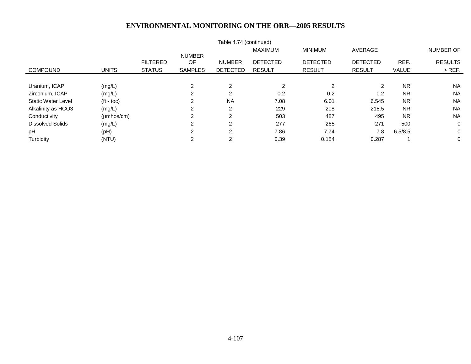| Table 4.74 (continued)    |                          |                 |                |                 |                 |                 |                 |              |                |  |  |  |
|---------------------------|--------------------------|-----------------|----------------|-----------------|-----------------|-----------------|-----------------|--------------|----------------|--|--|--|
|                           |                          |                 |                |                 |                 | NUMBER OF       |                 |              |                |  |  |  |
|                           |                          |                 | <b>NUMBER</b>  |                 |                 |                 |                 |              |                |  |  |  |
|                           |                          | <b>FILTERED</b> | <b>OF</b>      | <b>NUMBER</b>   | <b>DETECTED</b> | <b>DETECTED</b> | <b>DETECTED</b> | REF.         | <b>RESULTS</b> |  |  |  |
| <b>COMPOUND</b>           | <b>UNITS</b>             | <b>STATUS</b>   | <b>SAMPLES</b> | <b>DETECTED</b> | <b>RESULT</b>   | <b>RESULT</b>   | <b>RESULT</b>   | <b>VALUE</b> | $>$ REF.       |  |  |  |
|                           |                          |                 |                |                 |                 |                 |                 |              |                |  |  |  |
| Uranium, ICAP             | (mg/L)                   |                 | 2              | 2               | $\overline{2}$  | 2               | 2               | <b>NR</b>    | <b>NA</b>      |  |  |  |
| Zirconium, ICAP           | (mg/L)                   |                 | ◠<br>۷         | 2               | 0.2             | 0.2             | 0.2             | <b>NR</b>    | <b>NA</b>      |  |  |  |
| <b>Static Water Level</b> | $({\sf ft -} {\sf toc})$ |                 | ົ              | <b>NA</b>       | 7.08            | 6.01            | 6.545           | <b>NR</b>    | <b>NA</b>      |  |  |  |
| Alkalinity as HCO3        | (mg/L)                   |                 | ⌒              | 2               | 229             | 208             | 218.5           | <b>NR</b>    | <b>NA</b>      |  |  |  |
| Conductivity              | $(\mu \text{mhos/cm})$   |                 | 2              | 2               | 503             | 487             | 495             | <b>NR</b>    | <b>NA</b>      |  |  |  |
| <b>Dissolved Solids</b>   | (mg/L)                   |                 | 2              | $\overline{2}$  | 277             | 265             | 271             | 500          | 0              |  |  |  |
| pH                        | (pH)                     |                 | 2              | 2               | 7.86            | 7.74            | 7.8             | 6.5/8.5      | $\mathbf 0$    |  |  |  |
| Turbidity                 | (NTU)                    |                 | 2              | 2               | 0.39            | 0.184           | 0.287           |              | 0              |  |  |  |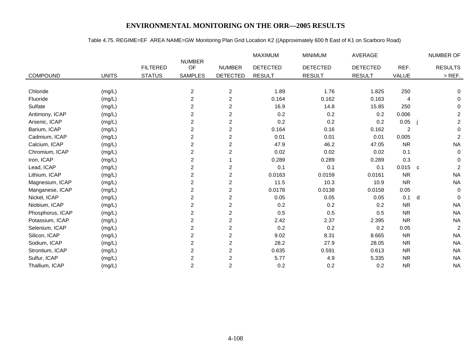#### Table 4.75. REGIME=EF AREA NAME=GW Monitoring Plan Grid Location K2 ((Approximately 600 ft East of K1 on Scarboro Road)

|                  |              |                 |                         |                         | MAXIMUM         | <b>MINIMUM</b>  | <b>AVERAGE</b>  |                | <b>NUMBER OF</b>               |
|------------------|--------------|-----------------|-------------------------|-------------------------|-----------------|-----------------|-----------------|----------------|--------------------------------|
|                  |              | <b>FILTERED</b> | <b>NUMBER</b><br>OF     | <b>NUMBER</b>           | <b>DETECTED</b> | <b>DETECTED</b> | <b>DETECTED</b> | REF.           | <b>RESULTS</b>                 |
| COMPOUND         | <b>UNITS</b> | <b>STATUS</b>   | <b>SAMPLES</b>          | <b>DETECTED</b>         | <b>RESULT</b>   | <b>RESULT</b>   | <b>RESULT</b>   | <b>VALUE</b>   | $>$ REF.                       |
|                  |              |                 |                         |                         |                 |                 |                 |                |                                |
| Chloride         | (mg/L)       |                 | $\overline{\mathbf{c}}$ | $\overline{\mathbf{c}}$ | 1.89            | 1.76            | 1.825           | 250            | 0                              |
| Fluoride         | (mg/L)       |                 | $\overline{c}$          | $\overline{c}$          | 0.164           | 0.162           | 0.163           | 4              | 0                              |
| Sulfate          | (mg/L)       |                 | 2                       | $\overline{c}$          | 16.9            | 14.8            | 15.85           | 250            | $\mathbf 0$                    |
| Antimony, ICAP   | (mg/L)       |                 | 2                       | $\overline{\mathbf{c}}$ | 0.2             | 0.2             | 0.2             | 0.006          | $\overline{c}$                 |
| Arsenic, ICAP    | (mg/L)       |                 | $\overline{2}$          | $\overline{c}$          | 0.2             | 0.2             | 0.2             | 0.05           | $\overline{a}$                 |
| Barium, ICAP     | (mg/L)       |                 | $\overline{2}$          | $\overline{c}$          | 0.164           | 0.16            | 0.162           | $\overline{c}$ | $\mathbf 0$                    |
| Cadmium, ICAP    | (mg/L)       |                 | 2                       | $\mathbf{2}$            | 0.01            | 0.01            | 0.01            | 0.005          | $\overline{c}$                 |
| Calcium, ICAP    | (mg/L)       |                 | $\overline{c}$          | $\overline{c}$          | 47.9            | 46.2            | 47.05           | <b>NR</b>      | <b>NA</b>                      |
| Chromium, ICAP   | (mg/L)       |                 | 2                       | $\overline{c}$          | 0.02            | 0.02            | 0.02            | 0.1            | 0                              |
| Iron, ICAP       | (mg/L)       |                 | $\overline{\mathbf{c}}$ |                         | 0.289           | 0.289           | 0.289           | 0.3            | $\mathbf 0$                    |
| Lead, ICAP       | (mg/L)       |                 | $\overline{c}$          | $\overline{c}$          | 0.1             | 0.1             | 0.1             | 0.015          | $\overline{2}$<br>$\mathbf{C}$ |
| Lithium, ICAP    | (mg/L)       |                 | 2                       | $\overline{c}$          | 0.0163          | 0.0159          | 0.0161          | <b>NR</b>      | <b>NA</b>                      |
| Magnesium, ICAP  | (mg/L)       |                 | $\overline{c}$          | $\overline{c}$          | 11.5            | 10.3            | 10.9            | <b>NR</b>      | <b>NA</b>                      |
| Manganese, ICAP  | (mg/L)       |                 | 2                       | $\overline{\mathbf{c}}$ | 0.0178          | 0.0138          | 0.0158          | 0.05           | $\mathbf 0$                    |
| Nickel, ICAP     | (mg/L)       |                 | $\overline{c}$          | $\overline{c}$          | 0.05            | 0.05            | 0.05            | 0.1            | $\Omega$<br>d                  |
| Niobium, ICAP    | (mg/L)       |                 | 2                       | $\overline{c}$          | 0.2             | 0.2             | 0.2             | <b>NR</b>      | <b>NA</b>                      |
| Phosphorus, ICAP | (mg/L)       |                 | 2                       | $\overline{c}$          | 0.5             | 0.5             | 0.5             | <b>NR</b>      | <b>NA</b>                      |
| Potassium, ICAP  | (mg/L)       |                 | $\overline{c}$          | $\overline{c}$          | 2.42            | 2.37            | 2.395           | <b>NR</b>      | <b>NA</b>                      |
| Selenium, ICAP   | (mg/L)       |                 | 2                       | $\mathbf{2}$            | 0.2             | 0.2             | 0.2             | 0.05           | $\overline{2}$                 |
| Silicon, ICAP    | (mg/L)       |                 | $\overline{c}$          | $\overline{\mathbf{c}}$ | 9.02            | 8.31            | 8.665           | <b>NR</b>      | <b>NA</b>                      |
| Sodium, ICAP     | (mg/L)       |                 | $\overline{c}$          | $\overline{c}$          | 28.2            | 27.9            | 28.05           | <b>NR</b>      | <b>NA</b>                      |
| Strontium, ICAP  | (mg/L)       |                 | $\overline{c}$          | $\overline{c}$          | 0.635           | 0.591           | 0.613           | <b>NR</b>      | <b>NA</b>                      |
| Sulfur, ICAP     | (mg/L)       |                 | $\overline{c}$          | $\boldsymbol{2}$        | 5.77            | 4.9             | 5.335           | <b>NR</b>      | <b>NA</b>                      |
| Thallium, ICAP   | (mg/L)       |                 | $\overline{2}$          | $\overline{2}$          | 0.2             | 0.2             | 0.2             | <b>NR</b>      | <b>NA</b>                      |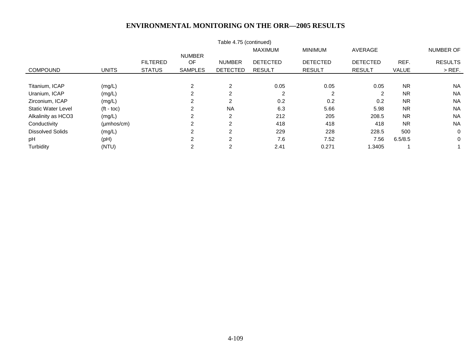|                           |                        |                 |                | Table 4.75 (continued) |                 |                 |                 |              |                |
|---------------------------|------------------------|-----------------|----------------|------------------------|-----------------|-----------------|-----------------|--------------|----------------|
|                           |                        |                 |                |                        | <b>MAXIMUM</b>  | <b>MINIMUM</b>  | AVERAGE         |              | NUMBER OF      |
|                           |                        |                 | <b>NUMBER</b>  |                        |                 |                 |                 |              |                |
|                           |                        | <b>FILTERED</b> | <b>OF</b>      | <b>NUMBER</b>          | <b>DETECTED</b> | <b>DETECTED</b> | <b>DETECTED</b> | REF.         | <b>RESULTS</b> |
| <b>COMPOUND</b>           | <b>UNITS</b>           | <b>STATUS</b>   | <b>SAMPLES</b> | <b>DETECTED</b>        | <b>RESULT</b>   | <b>RESULT</b>   | <b>RESULT</b>   | <b>VALUE</b> | $>$ REF.       |
|                           |                        |                 |                |                        |                 |                 |                 |              |                |
| Titanium, ICAP            | (mg/L)                 |                 | 2              | 2                      | 0.05            | 0.05            | 0.05            | <b>NR</b>    | <b>NA</b>      |
| Uranium, ICAP             | (mg/L)                 |                 | 2              | 2                      | $\overline{2}$  | 2               | 2               | <b>NR</b>    | <b>NA</b>      |
| Zirconium, ICAP           | (mg/L)                 |                 | 2              | 2                      | 0.2             | 0.2             | 0.2             | <b>NR</b>    | <b>NA</b>      |
| <b>Static Water Level</b> | $(t - \text{toc})$     |                 | 2              | <b>NA</b>              | 6.3             | 5.66            | 5.98            | <b>NR</b>    | <b>NA</b>      |
| Alkalinity as HCO3        | (mg/L)                 |                 | 2              | $\overline{2}$         | 212             | 205             | 208.5           | <b>NR</b>    | <b>NA</b>      |
| Conductivity              | $(\mu \text{mhos/cm})$ |                 | 2              | $\overline{2}$         | 418             | 418             | 418             | <b>NR</b>    | <b>NA</b>      |
| <b>Dissolved Solids</b>   | (mg/L)                 |                 | $\sim$         | 2                      | 229             | 228             | 228.5           | 500          | $\mathbf 0$    |
| pH                        | (pH)                   |                 | ົ              | 2                      | 7.6             | 7.52            | 7.56            | 6.5/8.5      | 0              |
| Turbidity                 | (NTU)                  |                 | 2              | 2                      | 2.41            | 0.271           | 1.3405          |              |                |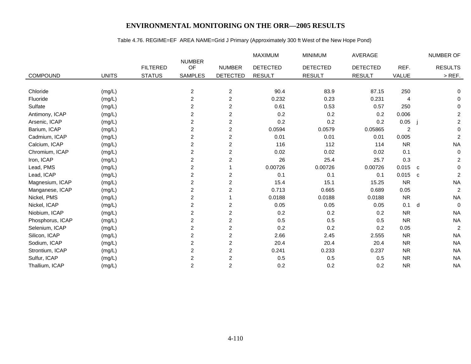## Table 4.76. REGIME=EF AREA NAME=Grid J Primary (Approximately 300 ft West of the New Hope Pond)

|                  |              |                 |                         |                 | <b>MAXIMUM</b>  | <b>MINIMUM</b>  | <b>AVERAGE</b>  |                | NUMBER OF                   |
|------------------|--------------|-----------------|-------------------------|-----------------|-----------------|-----------------|-----------------|----------------|-----------------------------|
|                  |              | <b>FILTERED</b> | <b>NUMBER</b><br>OF     | <b>NUMBER</b>   | <b>DETECTED</b> | <b>DETECTED</b> | <b>DETECTED</b> | REF.           | <b>RESULTS</b>              |
| <b>COMPOUND</b>  | <b>UNITS</b> | <b>STATUS</b>   | <b>SAMPLES</b>          | <b>DETECTED</b> | <b>RESULT</b>   | <b>RESULT</b>   | <b>RESULT</b>   | <b>VALUE</b>   | $>$ REF.                    |
|                  |              |                 |                         |                 |                 |                 |                 |                |                             |
| Chloride         | (mg/L)       |                 | $\overline{\mathbf{c}}$ | $\overline{c}$  | 90.4            | 83.9            | 87.15           | 250            | 0                           |
| Fluoride         | (mg/L)       |                 | 2                       | $\overline{c}$  | 0.232           | 0.23            | 0.231           | 4              | 0                           |
| Sulfate          | (mg/L)       |                 | $\overline{2}$          | $\overline{c}$  | 0.61            | 0.53            | 0.57            | 250            | 0                           |
| Antimony, ICAP   | (mg/L)       |                 | 2                       | $\overline{c}$  | 0.2             | 0.2             | 0.2             | 0.006          | $\overline{\mathbf{c}}$     |
| Arsenic, ICAP    | (mg/L)       |                 | $\overline{c}$          | $\overline{c}$  | 0.2             | 0.2             | 0.2             | 0.05           | $\overline{c}$              |
| Barium, ICAP     | (mg/L)       |                 | $\overline{c}$          | $\overline{c}$  | 0.0594          | 0.0579          | 0.05865         | $\overline{c}$ | $\mathbf 0$                 |
| Cadmium, ICAP    | (mg/L)       |                 | 2                       | 2               | 0.01            | 0.01            | 0.01            | 0.005          | $\overline{c}$              |
| Calcium, ICAP    | (mg/L)       |                 | $\overline{c}$          | $\overline{c}$  | 116             | 112             | 114             | <b>NR</b>      | <b>NA</b>                   |
| Chromium, ICAP   | (mg/L)       |                 | 2                       | $\overline{c}$  | 0.02            | 0.02            | 0.02            | 0.1            | $\mathbf 0$                 |
| Iron, ICAP       | (mg/L)       |                 | $\overline{\mathbf{c}}$ | 2               | 26              | 25.4            | 25.7            | 0.3            | $\overline{\mathbf{c}}$     |
| Lead, PMS        | (mg/L)       |                 | $\overline{c}$          |                 | 0.00726         | 0.00726         | 0.00726         | 0.015          | $\mathbf 0$<br>$\mathbf{C}$ |
| Lead, ICAP       | (mg/L)       |                 | $\overline{c}$          | 2               | 0.1             | 0.1             | 0.1             | 0.015          | $\overline{c}$<br>C         |
| Magnesium, ICAP  | (mg/L)       |                 | 2                       | 2               | 15.4            | 15.1            | 15.25           | <b>NR</b>      | <b>NA</b>                   |
| Manganese, ICAP  | (mg/L)       |                 | 2                       | 2               | 0.713           | 0.665           | 0.689           | 0.05           | $\overline{c}$              |
| Nickel, PMS      | (mg/L)       |                 | 2                       |                 | 0.0188          | 0.0188          | 0.0188          | <b>NR</b>      | <b>NA</b>                   |
| Nickel, ICAP     | (mg/L)       |                 | $\overline{c}$          | $\overline{c}$  | 0.05            | 0.05            | 0.05            | 0.1            | $\Omega$<br>d               |
| Niobium, ICAP    | (mg/L)       |                 | 2                       | 2               | 0.2             | 0.2             | 0.2             | <b>NR</b>      | <b>NA</b>                   |
| Phosphorus, ICAP | (mg/L)       |                 | $\overline{c}$          | $\overline{c}$  | 0.5             | 0.5             | 0.5             | <b>NR</b>      | <b>NA</b>                   |
| Selenium, ICAP   | (mg/L)       |                 | 2                       | 2               | 0.2             | 0.2             | 0.2             | 0.05           | $\overline{c}$              |
| Silicon, ICAP    | (mg/L)       |                 | $\overline{c}$          | 2               | 2.66            | 2.45            | 2.555           | <b>NR</b>      | <b>NA</b>                   |
| Sodium, ICAP     | (mg/L)       |                 | 2                       | $\overline{c}$  | 20.4            | 20.4            | 20.4            | <b>NR</b>      | <b>NA</b>                   |
| Strontium, ICAP  | (mg/L)       |                 | $\overline{c}$          | $\overline{c}$  | 0.241           | 0.233           | 0.237           | <b>NR</b>      | <b>NA</b>                   |
| Sulfur, ICAP     | (mg/L)       |                 | $\overline{c}$          | $\overline{c}$  | 0.5             | 0.5             | 0.5             | <b>NR</b>      | <b>NA</b>                   |
| Thallium, ICAP   | (mg/L)       |                 | 2                       | $\overline{c}$  | 0.2             | 0.2             | 0.2             | <b>NR</b>      | <b>NA</b>                   |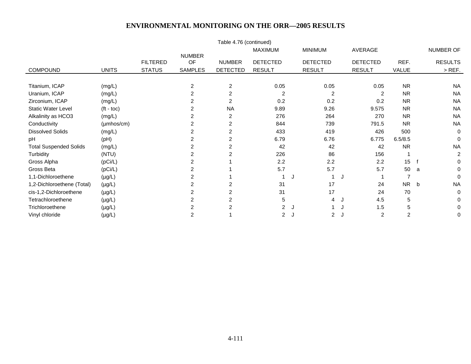|                               |                    |                 |                     | Table 4.76 (continued) |                 |                     |                     |                  |                |
|-------------------------------|--------------------|-----------------|---------------------|------------------------|-----------------|---------------------|---------------------|------------------|----------------|
|                               |                    |                 |                     |                        | <b>MAXIMUM</b>  | <b>MINIMUM</b>      | AVERAGE             |                  | NUMBER OF      |
|                               |                    | <b>FILTERED</b> | <b>NUMBER</b><br>OF | <b>NUMBER</b>          | <b>DETECTED</b> | <b>DETECTED</b>     | <b>DETECTED</b>     | REF.             | <b>RESULTS</b> |
| <b>COMPOUND</b>               | <b>UNITS</b>       | <b>STATUS</b>   | <b>SAMPLES</b>      | <b>DETECTED</b>        | <b>RESULT</b>   | <b>RESULT</b>       | <b>RESULT</b>       | VALUE            | $>$ REF.       |
|                               |                    |                 |                     |                        |                 |                     |                     |                  |                |
| Titanium, ICAP                | (mg/L)             |                 | $\overline{2}$      | $\overline{2}$         | 0.05            | 0.05                | 0.05                | <b>NR</b>        | <b>NA</b>      |
| Uranium, ICAP                 | (mg/L)             |                 | $\overline{2}$      | $\overline{2}$         | 2               | 2                   | 2                   | <b>NR</b>        | <b>NA</b>      |
| Zirconium, ICAP               | (mg/L)             |                 |                     | $\overline{2}$         | 0.2             | 0.2                 | 0.2                 | <b>NR</b>        | <b>NA</b>      |
| <b>Static Water Level</b>     | $(t - \text{toc})$ |                 |                     | <b>NA</b>              | 9.89            | 9.26                | 9.575               | <b>NR</b>        | <b>NA</b>      |
| Alkalinity as HCO3            | (mg/L)             |                 | 2                   | $\overline{2}$         | 276             | 264                 | 270                 | <b>NR</b>        | <b>NA</b>      |
| Conductivity                  | $(\mu$ mhos/cm $)$ |                 | 2                   | 2                      | 844             | 739                 | 791.5               | <b>NR</b>        | <b>NA</b>      |
| <b>Dissolved Solids</b>       | (mg/L)             |                 |                     | 2                      | 433             | 419                 | 426                 | 500              | $\mathbf 0$    |
| pH                            | (pH)               |                 | 2                   | 2                      | 6.79            | 6.76                | 6.775               | 6.5/8.5          | $\Omega$       |
| <b>Total Suspended Solids</b> | (mg/L)             |                 |                     | $\overline{2}$         | 42              | 42                  | 42                  | <b>NR</b>        | <b>NA</b>      |
| Turbidity                     | (NTU)              |                 |                     |                        | 226             | 86                  | 156                 |                  | 2              |
| Gross Alpha                   | (pCi/L)            |                 | 2                   |                        | 2.2             | 2.2                 | 2.2                 | 15 <sub>15</sub> | $\Omega$       |
| Gross Beta                    | (pCi/L)            |                 | 2                   |                        | 5.7             | 5.7                 | 5.7                 | 50               | $\Omega$<br>a  |
| 1,1-Dichloroethene            | $(\mu g/L)$        |                 |                     |                        |                 | J                   | J                   |                  | $\Omega$       |
| 1,2-Dichloroethene (Total)    | $(\mu g/L)$        |                 |                     | 2                      | 31              | 17                  | 24                  | NR b             | <b>NA</b>      |
| cis-1,2-Dichloroethene        | $(\mu g/L)$        |                 |                     | 2                      | 31              | 17                  | 24                  | 70               | 0              |
| Tetrachloroethene             | $(\mu g/L)$        |                 |                     | 2                      | 5               | 4                   | 4.5<br>J            | 5                | $\Omega$       |
| Trichloroethene               | $(\mu g/L)$        |                 |                     | 2                      | $\overline{c}$  | J                   | 1.5                 | 5                | 0              |
| Vinyl chloride                | $(\mu g/L)$        |                 | $\overline{2}$      |                        | 2               | $\overline{2}$<br>J | $\overline{2}$<br>J | 2                | $\mathbf 0$    |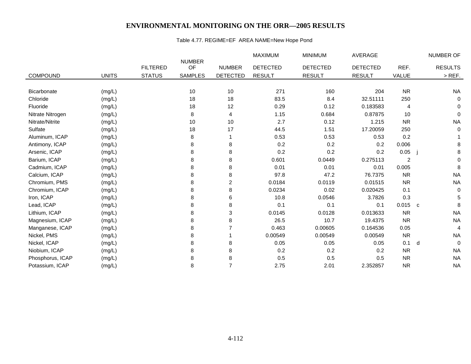## Table 4.77. REGIME=EF AREA NAME=New Hope Pond

|                  |              |                 |                     |                 | MAXIMUM         | <b>MINIMUM</b>  | AVERAGE         |              | NUMBER OF         |
|------------------|--------------|-----------------|---------------------|-----------------|-----------------|-----------------|-----------------|--------------|-------------------|
|                  |              | <b>FILTERED</b> | <b>NUMBER</b><br>OF | <b>NUMBER</b>   | <b>DETECTED</b> | <b>DETECTED</b> | <b>DETECTED</b> | REF.         | <b>RESULTS</b>    |
|                  |              |                 |                     |                 |                 |                 |                 |              |                   |
| <b>COMPOUND</b>  | <b>UNITS</b> | <b>STATUS</b>   | <b>SAMPLES</b>      | <b>DETECTED</b> | <b>RESULT</b>   | <b>RESULT</b>   | <b>RESULT</b>   | <b>VALUE</b> | $>$ REF.          |
|                  |              |                 |                     |                 |                 |                 |                 |              |                   |
| Bicarbonate      | (mg/L)       |                 | 10                  | 10              | 271             | 160             | 204             | <b>NR</b>    | <b>NA</b>         |
| Chloride         | (mg/L)       |                 | 18                  | 18              | 83.5            | 8.4             | 32.51111        | 250          | 0                 |
| Fluoride         | (mg/L)       |                 | 18                  | 12              | 0.29            | 0.12            | 0.183583        | 4            | 0                 |
| Nitrate Nitrogen | (mg/L)       |                 | 8                   | 4               | 1.15            | 0.684           | 0.87875         | 10           | $\Omega$          |
| Nitrate/Nitrite  | (mg/L)       |                 | 10                  | 10              | 2.7             | 0.12            | 1.215           | <b>NR</b>    | <b>NA</b>         |
| Sulfate          | (mg/L)       |                 | 18                  | 17              | 44.5            | 1.51            | 17.20059        | 250          | $\mathbf 0$       |
| Aluminum, ICAP   | (mg/L)       |                 | 8                   |                 | 0.53            | 0.53            | 0.53            | 0.2          |                   |
| Antimony, ICAP   | (mg/L)       |                 | 8                   | 8               | 0.2             | 0.2             | 0.2             | 0.006        | 8                 |
| Arsenic, ICAP    | (mg/L)       |                 | 8                   | 8               | 0.2             | 0.2             | 0.2             | 0.05         | 8                 |
| Barium, ICAP     | (mg/L)       |                 | 8                   | 8               | 0.601           | 0.0449          | 0.275113        | 2            | $\Omega$          |
| Cadmium, ICAP    | (mg/L)       |                 | 8                   | 8               | 0.01            | 0.01            | 0.01            | 0.005        | 8                 |
| Calcium, ICAP    | (mg/L)       |                 | 8                   | 8               | 97.8            | 47.2            | 76.7375         | <b>NR</b>    | <b>NA</b>         |
| Chromium, PMS    | (mg/L)       |                 | 8                   | 2               | 0.0184          | 0.0119          | 0.01515         | <b>NR</b>    | <b>NA</b>         |
| Chromium, ICAP   | (mg/L)       |                 | 8                   | 8               | 0.0234          | 0.02            | 0.020425        | 0.1          | $\mathbf 0$       |
| Iron, ICAP       | (mg/L)       |                 | 8                   | 6               | 10.8            | 0.0546          | 3.7826          | 0.3          | 5                 |
| Lead, ICAP       | (mg/L)       |                 | 8                   | 8               | 0.1             | 0.1             | 0.1             | 0.015        | 8<br>$\mathbf{C}$ |
| Lithium, ICAP    | (mg/L)       |                 | 8                   | 3               | 0.0145          | 0.0128          | 0.013633        | <b>NR</b>    | <b>NA</b>         |
| Magnesium, ICAP  | (mg/L)       |                 | 8                   | 8               | 26.5            | 10.7            | 19.4375         | <b>NR</b>    | <b>NA</b>         |
| Manganese, ICAP  | (mg/L)       |                 | 8                   |                 | 0.463           | 0.00605         | 0.164536        | 0.05         | 4                 |
| Nickel, PMS      | (mg/L)       |                 | 8                   |                 | 0.00549         | 0.00549         | 0.00549         | <b>NR</b>    | <b>NA</b>         |
| Nickel, ICAP     | (mg/L)       |                 | 8                   | 8               | 0.05            | 0.05            | 0.05            | 0.1          | $\mathbf 0$<br>d  |
| Niobium, ICAP    | (mg/L)       |                 | 8                   | 8               | 0.2             | 0.2             | 0.2             | <b>NR</b>    | <b>NA</b>         |
| Phosphorus, ICAP | (mg/L)       |                 | 8                   | 8               | 0.5             | 0.5             | 0.5             | <b>NR</b>    | <b>NA</b>         |
| Potassium, ICAP  | (mg/L)       |                 | 8                   | $\overline{7}$  | 2.75            | 2.01            | 2.352857        | <b>NR</b>    | <b>NA</b>         |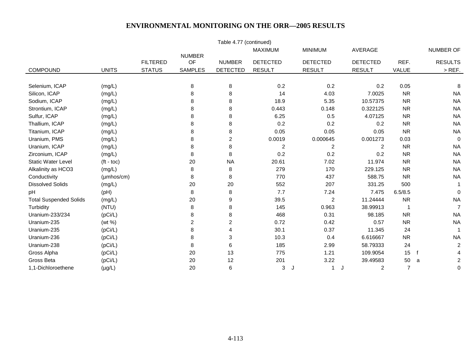| Table 4.77 (continued)        |                    |                 |                |                 |                         |                 |                     |                |                              |  |  |
|-------------------------------|--------------------|-----------------|----------------|-----------------|-------------------------|-----------------|---------------------|----------------|------------------------------|--|--|
|                               |                    |                 | <b>NUMBER</b>  |                 | <b>MAXIMUM</b>          | <b>MINIMUM</b>  | <b>AVERAGE</b>      |                | NUMBER OF                    |  |  |
|                               |                    | <b>FILTERED</b> | OF             | <b>NUMBER</b>   | <b>DETECTED</b>         | <b>DETECTED</b> | <b>DETECTED</b>     | REF.           | <b>RESULTS</b>               |  |  |
| COMPOUND                      | <b>UNITS</b>       | <b>STATUS</b>   | <b>SAMPLES</b> | <b>DETECTED</b> | <b>RESULT</b>           | <b>RESULT</b>   | <b>RESULT</b>       | <b>VALUE</b>   | $>$ REF.                     |  |  |
|                               |                    |                 |                |                 |                         |                 |                     |                |                              |  |  |
| Selenium, ICAP                | (mg/L)             |                 | 8              | 8               | 0.2                     | 0.2             | 0.2                 | 0.05           | 8                            |  |  |
| Silicon, ICAP                 | (mg/L)             |                 | 8              | 8               | 14                      | 4.03            | 7.0025              | <b>NR</b>      | <b>NA</b>                    |  |  |
| Sodium, ICAP                  | (mg/L)             |                 | 8              | 8               | 18.9                    | 5.35            | 10.57375            | <b>NR</b>      | <b>NA</b>                    |  |  |
| Strontium, ICAP               | (mg/L)             |                 | 8              | 8               | 0.443                   | 0.148           | 0.322125            | <b>NR</b>      | <b>NA</b>                    |  |  |
| Sulfur, ICAP                  | (mg/L)             |                 | 8              | 8               | 6.25                    | $0.5\,$         | 4.07125             | <b>NR</b>      | <b>NA</b>                    |  |  |
| Thallium, ICAP                | (mg/L)             |                 | 8              | 8               | 0.2                     | 0.2             | 0.2                 | <b>NR</b>      | <b>NA</b>                    |  |  |
| Titanium, ICAP                | (mg/L)             |                 | 8              | 8               | 0.05                    | 0.05            | 0.05                | <b>NR</b>      | <b>NA</b>                    |  |  |
| Uranium, PMS                  | (mg/L)             |                 | 8              | 2               | 0.0019                  | 0.000645        | 0.001273            | 0.03           | $\mathbf 0$                  |  |  |
| Uranium, ICAP                 | (mg/L)             |                 | 8              | 8               | $\overline{\mathbf{c}}$ | $\overline{c}$  | 2                   | <b>NR</b>      | <b>NA</b>                    |  |  |
| Zirconium, ICAP               | (mg/L)             |                 | 8              | 8               | 0.2                     | 0.2             | 0.2                 | <b>NR</b>      | <b>NA</b>                    |  |  |
| <b>Static Water Level</b>     | $(t - toc)$        |                 | 20             | <b>NA</b>       | 20.61                   | 7.02            | 11.974              | <b>NR</b>      | <b>NA</b>                    |  |  |
| Alkalinity as HCO3            | (mg/L)             |                 | 8              | 8               | 279                     | 170             | 229.125             | <b>NR</b>      | <b>NA</b>                    |  |  |
| Conductivity                  | $(\mu$ mhos/cm $)$ |                 | 8              | 8               | 770                     | 437             | 588.75              | <b>NR</b>      | <b>NA</b>                    |  |  |
| <b>Dissolved Solids</b>       | (mg/L)             |                 | 20             | 20              | 552                     | 207             | 331.25              | 500            | 1                            |  |  |
| pH                            | (pH)               |                 | $\bf8$         | 8               | 7.7                     | 7.24            | 7.475               | 6.5/8.5        | $\mathbf 0$                  |  |  |
| <b>Total Suspended Solids</b> | (mg/L)             |                 | 20             | 9               | 39.5                    | $\overline{c}$  | 11.24444            | <b>NR</b>      | <b>NA</b>                    |  |  |
| Turbidity                     | (NTU)              |                 | 8              | 8               | 145                     | 0.963           | 38.99913            | 1              | $\overline{7}$               |  |  |
| Uranium-233/234               | (pCi/L)            |                 | 8              | 8               | 468                     | 0.31            | 98.185              | <b>NR</b>      | <b>NA</b>                    |  |  |
| Uranium-235                   | (wt %)             |                 | $\overline{c}$ | 2               | 0.72                    | 0.42            | 0.57                | <b>NR</b>      | <b>NA</b>                    |  |  |
| Uranium-235                   | (pCi/L)            |                 | 8              | 4               | 30.1                    | 0.37            | 11.345              | 24             |                              |  |  |
| Uranium-236                   | (pCi/L)            |                 | 8              | 3               | 10.3                    | 0.4             | 6.616667            | <b>NR</b>      | <b>NA</b>                    |  |  |
| Uranium-238                   | (pCi/L)            |                 | 8              | 6               | 185                     | 2.99            | 58.79333            | 24             | $\overline{c}$               |  |  |
| Gross Alpha                   | (pCi/L)            |                 | 20             | 13              | 775                     | 1.21            | 109.9054            | 15             | 4                            |  |  |
| Gross Beta                    | (pCi/L)            |                 | 20             | 12              | 201                     | 3.22            | 39.49583            | 50             | $\overline{\mathbf{c}}$<br>a |  |  |
| 1,1-Dichloroethene            | $(\mu g/L)$        |                 | 20             | 6               | 3                       | 1<br>J          | $\overline{2}$<br>J | $\overline{7}$ | 0                            |  |  |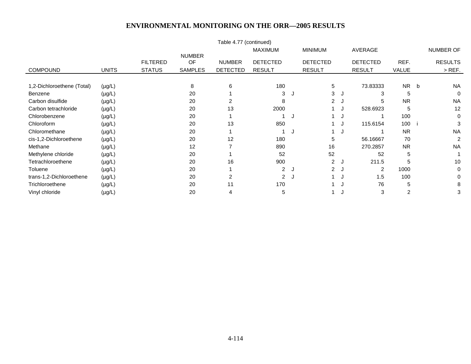|                            |              |                 |                     | Table 4.77 (continued) |                 |   |                      |      |                 |           |                |
|----------------------------|--------------|-----------------|---------------------|------------------------|-----------------|---|----------------------|------|-----------------|-----------|----------------|
|                            |              |                 |                     |                        | <b>MAXIMUM</b>  |   | <b>MINIMUM</b>       |      | AVERAGE         |           | NUMBER OF      |
|                            |              | <b>FILTERED</b> | <b>NUMBER</b><br>OF | <b>NUMBER</b>          | <b>DETECTED</b> |   | <b>DETECTED</b>      |      | <b>DETECTED</b> | REF.      | <b>RESULTS</b> |
| <b>COMPOUND</b>            | <b>UNITS</b> | <b>STATUS</b>   | <b>SAMPLES</b>      | <b>DETECTED</b>        | <b>RESULT</b>   |   | <b>RESULT</b>        |      | <b>RESULT</b>   | VALUE     | $>$ REF.       |
|                            |              |                 |                     |                        |                 |   |                      |      |                 |           |                |
| 1,2-Dichloroethene (Total) | $(\mu g/L)$  |                 | 8                   | 6                      | 180             |   | 5                    |      | 73.83333        | NR b      | <b>NA</b>      |
| Benzene                    | $(\mu g/L)$  |                 | 20                  |                        | 3               | J | 3                    | - 64 |                 | 5         | $\mathbf 0$    |
| Carbon disulfide           | $(\mu g/L)$  |                 | 20                  | $\overline{2}$         | 8               |   | $\mathbf{2}^{\circ}$ |      | 5               | <b>NR</b> | <b>NA</b>      |
| Carbon tetrachloride       | $(\mu g/L)$  |                 | 20                  | 13                     | 2000            |   |                      |      | 528.6923        | 5         | 12             |
| Chlorobenzene              | $(\mu g/L)$  |                 | 20                  |                        |                 | J |                      |      |                 | 100       | 0              |
| Chloroform                 | $(\mu g/L)$  |                 | 20                  | 13                     | 850             |   |                      | J    | 115.6154        | 100       | 3              |
| Chloromethane              | $(\mu g/L)$  |                 | 20                  |                        |                 | J |                      | J    |                 | <b>NR</b> | <b>NA</b>      |
| cis-1,2-Dichloroethene     | $(\mu g/L)$  |                 | 20                  | 12                     | 180             |   | 5                    |      | 56.16667        | 70        | 2              |
| Methane                    | $(\mu g/L)$  |                 | 12                  |                        | 890             |   | 16                   |      | 270.2857        | <b>NR</b> | <b>NA</b>      |
| Methylene chloride         | $(\mu g/L)$  |                 | 20                  |                        | 52              |   | 52                   |      | 52              | 5         |                |
| Tetrachloroethene          | $(\mu g/L)$  |                 | 20                  | 16                     | 900             |   | $\overline{2}$       |      | 211.5           | 5         | 10             |
| <b>Toluene</b>             | $(\mu g/L)$  |                 | 20                  |                        | $\overline{2}$  | J | $\overline{2}$       | J    | 2               | 1000      | 0              |
| trans-1,2-Dichloroethene   | $(\mu g/L)$  |                 | 20                  | 2                      | $\overline{2}$  | J |                      |      | 1.5             | 100       | $\Omega$       |
| Trichloroethene            | $(\mu g/L)$  |                 | 20                  | 11                     | 170             |   |                      |      | 76              | 5         | 8              |
| Vinyl chloride             | $(\mu g/L)$  |                 | 20                  |                        | 5               |   |                      |      | 3               | 2         | 3              |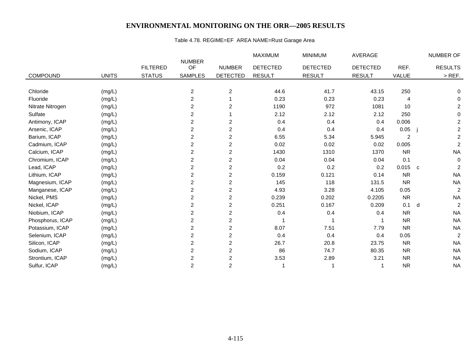## Table 4.78. REGIME=EF AREA NAME=Rust Garage Area

|                  |              |                 |                         |                         | <b>MAXIMUM</b>  | <b>MINIMUM</b>  | <b>AVERAGE</b>  |           |              | NUMBER OF               |
|------------------|--------------|-----------------|-------------------------|-------------------------|-----------------|-----------------|-----------------|-----------|--------------|-------------------------|
|                  |              | <b>FILTERED</b> | <b>NUMBER</b><br>OF     | <b>NUMBER</b>           | <b>DETECTED</b> | <b>DETECTED</b> | <b>DETECTED</b> | REF.      |              | <b>RESULTS</b>          |
| <b>COMPOUND</b>  | <b>UNITS</b> | <b>STATUS</b>   | <b>SAMPLES</b>          | <b>DETECTED</b>         | <b>RESULT</b>   | <b>RESULT</b>   | <b>RESULT</b>   | VALUE     |              | $>$ REF.                |
|                  |              |                 |                         |                         |                 |                 |                 |           |              |                         |
| Chloride         | (mg/L)       |                 | $\overline{c}$          | 2                       | 44.6            | 41.7            | 43.15           | 250       |              | 0                       |
| Fluoride         | (mg/L)       |                 | $\overline{c}$          |                         | 0.23            | 0.23            | 0.23            | 4         |              | 0                       |
| Nitrate Nitrogen | (mg/L)       |                 | 2                       | $\overline{2}$          | 1190            | 972             | 1081            | 10        |              | $\overline{\mathbf{c}}$ |
| Sulfate          | (mg/L)       |                 | 2                       |                         | 2.12            | 2.12            | 2.12            | 250       |              | 0                       |
| Antimony, ICAP   | (mg/L)       |                 | $\overline{c}$          | $\overline{2}$          | 0.4             | 0.4             | 0.4             | 0.006     |              | $\overline{c}$          |
| Arsenic, ICAP    | (mg/L)       |                 | 2                       | $\overline{\mathbf{c}}$ | 0.4             | 0.4             | 0.4             | 0.05      |              | $\overline{c}$          |
| Barium, ICAP     |              |                 | 2                       | $\overline{2}$          | 6.55            | 5.34            |                 | 2         |              | $\overline{c}$          |
|                  | (mg/L)       |                 |                         |                         |                 |                 | 5.945           |           |              |                         |
| Cadmium, ICAP    | (mg/L)       |                 | $\overline{c}$          | $\overline{2}$          | 0.02            | 0.02            | 0.02            | 0.005     |              | $\overline{c}$          |
| Calcium, ICAP    | (mg/L)       |                 | 2                       | $\overline{c}$          | 1430            | 1310            | 1370            | <b>NR</b> |              | <b>NA</b>               |
| Chromium, ICAP   | (mg/L)       |                 | $\overline{2}$          | $\overline{c}$          | 0.04            | 0.04            | 0.04            | 0.1       |              | $\mathbf 0$             |
| Lead, ICAP       | (mg/L)       |                 | $\overline{c}$          | $\overline{2}$          | 0.2             | 0.2             | 0.2             | 0.015     | $\mathbf{C}$ | $\overline{c}$          |
| Lithium, ICAP    | (mg/L)       |                 | 2                       | $\overline{2}$          | 0.159           | 0.121           | 0.14            | <b>NR</b> |              | <b>NA</b>               |
| Magnesium, ICAP  | (mg/L)       |                 | 2                       | 2                       | 145             | 118             | 131.5           | <b>NR</b> |              | <b>NA</b>               |
| Manganese, ICAP  | (mg/L)       |                 | 2                       | $\overline{c}$          | 4.93            | 3.28            | 4.105           | 0.05      |              | $\overline{c}$          |
| Nickel, PMS      | (mg/L)       |                 | 2                       | $\overline{2}$          | 0.239           | 0.202           | 0.2205          | <b>NR</b> |              | <b>NA</b>               |
| Nickel, ICAP     | (mg/L)       |                 | 2                       | $\overline{c}$          | 0.251           | 0.167           | 0.209           | 0.1       | d            | $\overline{c}$          |
| Niobium, ICAP    | (mg/L)       |                 | 2                       | $\overline{c}$          | 0.4             | 0.4             | 0.4             | <b>NR</b> |              | <b>NA</b>               |
| Phosphorus, ICAP | (mg/L)       |                 | $\overline{c}$          | $\overline{c}$          |                 |                 |                 | <b>NR</b> |              | <b>NA</b>               |
| Potassium, ICAP  | (mg/L)       |                 | 2                       | 2                       | 8.07            | 7.51            | 7.79            | <b>NR</b> |              | <b>NA</b>               |
| Selenium, ICAP   | (mg/L)       |                 | 2                       | 2                       | 0.4             | 0.4             | 0.4             | 0.05      |              | $\overline{c}$          |
| Silicon, ICAP    | (mg/L)       |                 | $\overline{\mathbf{c}}$ | $\overline{c}$          | 26.7            | 20.8            | 23.75           | <b>NR</b> |              | <b>NA</b>               |
| Sodium, ICAP     | (mg/L)       |                 | $\overline{c}$          | $\overline{2}$          | 86              | 74.7            | 80.35           | <b>NR</b> |              | <b>NA</b>               |
| Strontium, ICAP  | (mg/L)       |                 | $\overline{c}$          | $\overline{2}$          | 3.53            | 2.89            | 3.21            | <b>NR</b> |              | <b>NA</b>               |
| Sulfur, ICAP     | (mg/L)       |                 | $\overline{c}$          | $\overline{2}$          |                 |                 |                 | <b>NR</b> |              | <b>NA</b>               |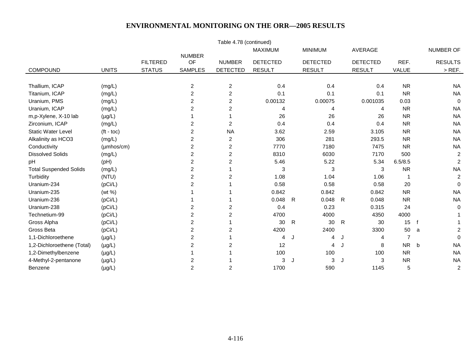|                               |                     |                 |                     | Table 4.78 (continued) |                 |                 |         |                 |                |      |                         |
|-------------------------------|---------------------|-----------------|---------------------|------------------------|-----------------|-----------------|---------|-----------------|----------------|------|-------------------------|
|                               |                     |                 |                     |                        | <b>MAXIMUM</b>  | <b>MINIMUM</b>  |         | <b>AVERAGE</b>  |                |      | NUMBER OF               |
|                               |                     | <b>FILTERED</b> | <b>NUMBER</b><br>OF | <b>NUMBER</b>          | <b>DETECTED</b> | <b>DETECTED</b> |         | <b>DETECTED</b> | REF.           |      | <b>RESULTS</b>          |
| COMPOUND                      | <b>UNITS</b>        | <b>STATUS</b>   | <b>SAMPLES</b>      | <b>DETECTED</b>        | <b>RESULT</b>   | <b>RESULT</b>   |         | <b>RESULT</b>   | VALUE          |      | $>$ REF.                |
|                               |                     |                 |                     |                        |                 |                 |         |                 |                |      |                         |
| Thallium, ICAP                | (mg/L)              |                 | $\overline{c}$      | $\overline{c}$         | 0.4             |                 | 0.4     | 0.4             | <b>NR</b>      |      | <b>NA</b>               |
| Titanium, ICAP                | (mg/L)              |                 | 2                   | $\overline{c}$         | 0.1             |                 | 0.1     | 0.1             | <b>NR</b>      |      | <b>NA</b>               |
| Uranium, PMS                  | (mg/L)              |                 | 2                   | $\overline{c}$         | 0.00132         |                 | 0.00075 | 0.001035        | 0.03           |      | $\mathbf 0$             |
| Uranium, ICAP                 | (mg/L)              |                 | 2                   | 2                      | 4               |                 | 4       | 4               | <b>NR</b>      |      | <b>NA</b>               |
| m,p-Xylene, X-10 lab          | $(\mu g/L)$         |                 |                     |                        | 26              |                 | 26      | 26              | <b>NR</b>      |      | <b>NA</b>               |
| Zirconium, ICAP               | (mg/L)              |                 | 2                   | $\overline{c}$         | 0.4             |                 | 0.4     | 0.4             | <b>NR</b>      |      | <b>NA</b>               |
| <b>Static Water Level</b>     | $(t - \text{toc})$  |                 | 2                   | <b>NA</b>              | 3.62            |                 | 2.59    | 3.105           | <b>NR</b>      |      | <b>NA</b>               |
| Alkalinity as HCO3            | (mg/L)              |                 | $\overline{c}$      | $\overline{2}$         | 306             |                 | 281     | 293.5           | <b>NR</b>      |      | <b>NA</b>               |
| Conductivity                  | $(\mu m$ hos/cm $)$ |                 | 2                   | $\overline{c}$         | 7770            |                 | 7180    | 7475            | <b>NR</b>      |      | <b>NA</b>               |
| <b>Dissolved Solids</b>       | (mg/L)              |                 | 2                   | 2                      | 8310            |                 | 6030    | 7170            | 500            |      | $\overline{c}$          |
| pH                            | (pH)                |                 | 2                   | 2                      | 5.46            |                 | 5.22    | 5.34            | 6.5/8.5        |      | $\overline{c}$          |
| <b>Total Suspended Solids</b> | (mg/L)              |                 | $\overline{c}$      |                        | 3               |                 | 3       | 3               | <b>NR</b>      |      | <b>NA</b>               |
| Turbidity                     | (NTU)               |                 | 2                   | $\overline{2}$         | 1.08            |                 | 1.04    | 1.06            |                |      | $\overline{c}$          |
| Uranium-234                   | (pCi/L)             |                 | 2                   |                        | 0.58            |                 | 0.58    | 0.58            | 20             |      | $\Omega$                |
| Uranium-235                   | (wt %)              |                 |                     |                        | 0.842           |                 | 0.842   | 0.842           | <b>NR</b>      |      | <b>NA</b>               |
| Uranium-236                   | (pCi/L)             |                 |                     |                        | 0.048           | $\mathsf{R}$    | 0.048   | 0.048<br>R      | <b>NR</b>      |      | <b>NA</b>               |
| Uranium-238                   | (pCi/L)             |                 | 2                   | 2                      | 0.4             |                 | 0.23    | 0.315           | 24             |      | $\mathbf 0$             |
| Technetium-99                 | (pCi/L)             |                 | 2                   | 2                      | 4700            |                 | 4000    | 4350            | 4000           |      |                         |
| Gross Alpha                   | (pCi/L)             |                 | 2                   |                        | 30              | $\mathsf{R}$    | 30      | 30<br>R         | 15             | $-f$ |                         |
| Gross Beta                    | (pCi/L)             |                 | 2                   | 2                      | 4200            |                 | 2400    | 3300            | 50             | a    | $\overline{\mathbf{c}}$ |
| 1,1-Dichloroethene            | $(\mu g/L)$         |                 | $\overline{c}$      |                        | 4               | J               | 4       | J<br>4          | $\overline{7}$ |      | $\mathbf 0$             |
| 1,2-Dichloroethene (Total)    | $(\mu g/L)$         |                 | 2                   | $\overline{2}$         | 12              |                 | 4       | 8               | NR             | b    | <b>NA</b>               |
| 1,2-Dimethylbenzene           | $(\mu g/L)$         |                 |                     |                        | 100             |                 | 100     | 100             | <b>NR</b>      |      | <b>NA</b>               |
| 4-Methyl-2-pentanone          | $(\mu g/L)$         |                 | 2                   |                        | 3               | $\cdot$         | 3       | 3               | <b>NR</b>      |      | <b>NA</b>               |
| Benzene                       | $(\mu g/L)$         |                 | $\overline{c}$      | $\overline{c}$         | 1700            |                 | 590     | 1145            | 5              |      | $\overline{c}$          |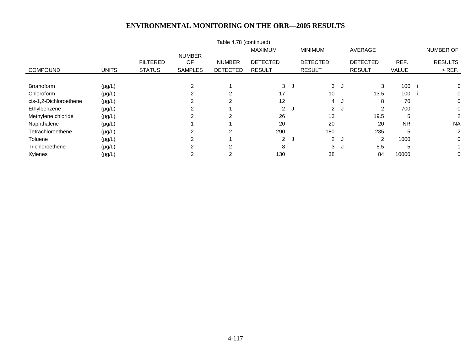|                        |              |                 |                            | Table 4.78 (continued) |                 |    |                 |    |                 |              |                |
|------------------------|--------------|-----------------|----------------------------|------------------------|-----------------|----|-----------------|----|-----------------|--------------|----------------|
|                        |              |                 |                            |                        | <b>MAXIMUM</b>  |    | <b>MINIMUM</b>  |    | AVERAGE         |              | NUMBER OF      |
|                        |              | <b>FILTERED</b> | <b>NUMBER</b><br><b>OF</b> | <b>NUMBER</b>          | <b>DETECTED</b> |    | <b>DETECTED</b> |    | <b>DETECTED</b> | REF.         | <b>RESULTS</b> |
| <b>COMPOUND</b>        | <b>UNITS</b> | <b>STATUS</b>   | <b>SAMPLES</b>             | <b>DETECTED</b>        | <b>RESULT</b>   |    | <b>RESULT</b>   |    | <b>RESULT</b>   | <b>VALUE</b> | $>$ REF.       |
|                        |              |                 |                            |                        |                 |    |                 |    |                 |              |                |
| <b>Bromoform</b>       | $(\mu g/L)$  |                 | $\overline{2}$             |                        | 3               | J. | 3 <sup>1</sup>  | J. | 3               | 100          | 0              |
| Chloroform             | $(\mu g/L)$  |                 |                            | 2                      | 17              |    | 10              |    | 13.5            | 100          | 0              |
| cis-1,2-Dichloroethene | $(\mu g/L)$  |                 | 2                          | $\mathcal{P}$          | 12              |    | $\overline{4}$  | J  | 8               | 70           | 0              |
| Ethylbenzene           | $(\mu g/L)$  |                 | 2                          |                        |                 | 2J | $\mathbf{2}$    | J  | 2               | 700          | 0              |
| Methylene chloride     | $(\mu g/L)$  |                 | 2                          | $\overline{2}$         | 26              |    | 13              |    | 19.5            | 5            | 2              |
| Naphthalene            | $(\mu g/L)$  |                 |                            |                        | 20              |    | 20              |    | 20              | <b>NR</b>    | <b>NA</b>      |
| Tetrachloroethene      | $(\mu g/L)$  |                 | ⌒                          | 2                      | 290             |    | 180             |    | 235             | 5            | $\overline{2}$ |
| Toluene                | $(\mu g/L)$  |                 | 2                          |                        |                 | 2J | $\mathbf{2}$    | ل. | 2               | 1000         | 0              |
| Trichloroethene        | $(\mu g/L)$  |                 | ົ                          | C                      | 8               |    | 3               | J  | 5.5             | 5            |                |
| Xylenes                | $(\mu g/L)$  |                 | 2                          | 2                      | 130             |    | 38              |    | 84              | 10000        | 0              |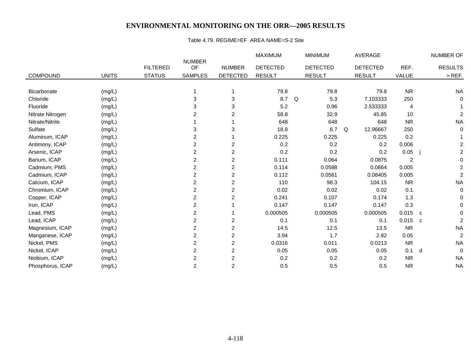#### Table 4.79. REGIME=EF AREA NAME=S-2 Site

|                  |              |                 |                     |                 | <b>MAXIMUM</b>  |   | <b>MINIMUM</b>  |   | AVERAGE         |           |             | NUMBER OF      |
|------------------|--------------|-----------------|---------------------|-----------------|-----------------|---|-----------------|---|-----------------|-----------|-------------|----------------|
|                  |              | <b>FILTERED</b> | <b>NUMBER</b><br>OF | <b>NUMBER</b>   | <b>DETECTED</b> |   | <b>DETECTED</b> |   | <b>DETECTED</b> | REF.      |             | <b>RESULTS</b> |
| <b>COMPOUND</b>  | <b>UNITS</b> | <b>STATUS</b>   | <b>SAMPLES</b>      | <b>DETECTED</b> | <b>RESULT</b>   |   | <b>RESULT</b>   |   | <b>RESULT</b>   | VALUE     |             | $>$ REF.       |
|                  |              |                 |                     |                 |                 |   |                 |   |                 |           |             |                |
| Bicarbonate      | (mg/L)       |                 |                     |                 | 79.8            |   | 79.8            |   | 79.8            | <b>NR</b> |             | <b>NA</b>      |
| Chloride         | (mg/L)       |                 | 3                   | 3               | 8.7             | Q | 5.3             |   | 7.103333        | 250       |             | $\Omega$       |
| Fluoride         | (mg/L)       |                 | 3                   | 3               | 5.2             |   | 0.96            |   | 2.533333        | 4         |             |                |
| Nitrate Nitrogen | (mg/L)       |                 | 2                   | 2               | 58.8            |   | 32.9            |   | 45.85           | 10        |             | 2              |
| Nitrate/Nitrite  | (mg/L)       |                 |                     |                 | 648             |   | 648             |   | 648             | <b>NR</b> |             | <b>NA</b>      |
| Sulfate          | (mg/L)       |                 | 3                   | 3               | 18.8            |   | 6.7             | Q | 12.96667        | 250       |             | $\Omega$       |
| Aluminum, ICAP   | (mg/L)       |                 | 2                   |                 | 0.225           |   | 0.225           |   | 0.225           | 0.2       |             |                |
| Antimony, ICAP   | (mg/L)       |                 | 2                   | 2               | 0.2             |   | 0.2             |   | 0.2             | 0.006     |             |                |
| Arsenic, ICAP    | (mg/L)       |                 | 2                   | 2               | 0.2             |   | 0.2             |   | 0.2             | 0.05      |             |                |
| Barium, ICAP     | (mg/L)       |                 | 2                   | 2               | 0.111           |   | 0.064           |   | 0.0875          | 2         |             |                |
| Cadmium, PMS     | (mg/L)       |                 | 2                   | 2               | 0.114           |   | 0.0588          |   | 0.0864          | 0.005     |             | 2              |
| Cadmium, ICAP    | (mg/L)       |                 | 2                   | 2               | 0.112           |   | 0.0561          |   | 0.08405         | 0.005     |             | $\overline{2}$ |
| Calcium, ICAP    | (mg/L)       |                 | 2                   | $\overline{c}$  | 110             |   | 98.3            |   | 104.15          | <b>NR</b> |             | <b>NA</b>      |
| Chromium, ICAP   | (mg/L)       |                 | 2                   | 2               | 0.02            |   | 0.02            |   | 0.02            | 0.1       |             | $\Omega$       |
| Copper, ICAP     | (mg/L)       |                 | 2                   | 2               | 0.241           |   | 0.107           |   | 0.174           | 1.3       |             |                |
| Iron, ICAP       | (mg/L)       |                 | 2                   |                 | 0.147           |   | 0.147           |   | 0.147           | 0.3       |             |                |
| Lead, PMS        | (mg/L)       |                 | $\overline{c}$      |                 | 0.000505        |   | 0.000505        |   | 0.000505        | 0.015     | c           |                |
| Lead, ICAP       | (mg/L)       |                 | 2                   | 2               | 0.1             |   | 0.1             |   | 0.1             | 0.015     | $\mathbf c$ | $\overline{2}$ |
| Magnesium, ICAP  | (mg/L)       |                 | 2                   | 2               | 14.5            |   | 12.5            |   | 13.5            | <b>NR</b> |             | <b>NA</b>      |
| Manganese, ICAP  | (mg/L)       |                 | 2                   | 2               | 3.94            |   | 1.7             |   | 2.82            | 0.05      |             | $\overline{c}$ |
| Nickel, PMS      | (mg/L)       |                 | 2                   | 2               | 0.0316          |   | 0.011           |   | 0.0213          | <b>NR</b> |             | <b>NA</b>      |
| Nickel, ICAP     | (mg/L)       |                 | 2                   | 2               | 0.05            |   | 0.05            |   | 0.05            | 0.1       | d           | $\mathbf 0$    |
| Niobium, ICAP    | (mg/L)       |                 | 2                   | 2               | 0.2             |   | 0.2             |   | 0.2             | <b>NR</b> |             | <b>NA</b>      |
| Phosphorus, ICAP | (mg/L)       |                 | $\overline{c}$      | 2               | 0.5             |   | 0.5             |   | 0.5             | <b>NR</b> |             | <b>NA</b>      |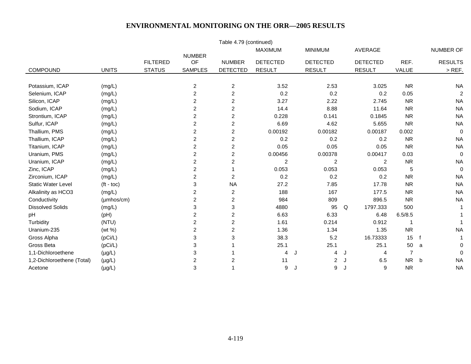|                            |                    |                 |                         | Table 4.79 (continued)  |                 |    |                 |                 |                |                  |
|----------------------------|--------------------|-----------------|-------------------------|-------------------------|-----------------|----|-----------------|-----------------|----------------|------------------|
|                            |                    |                 |                         |                         | <b>MAXIMUM</b>  |    | <b>MINIMUM</b>  | <b>AVERAGE</b>  |                | <b>NUMBER OF</b> |
|                            |                    | <b>FILTERED</b> | <b>NUMBER</b><br>OF     | <b>NUMBER</b>           | <b>DETECTED</b> |    | <b>DETECTED</b> | <b>DETECTED</b> | REF.           | <b>RESULTS</b>   |
| COMPOUND                   | <b>UNITS</b>       | <b>STATUS</b>   | <b>SAMPLES</b>          | <b>DETECTED</b>         | <b>RESULT</b>   |    | <b>RESULT</b>   | <b>RESULT</b>   | VALUE          | $>$ REF.         |
|                            |                    |                 |                         |                         |                 |    |                 |                 |                |                  |
| Potassium, ICAP            | (mg/L)             |                 | $\boldsymbol{2}$        | $\overline{c}$          | 3.52            |    | 2.53            | 3.025           | <b>NR</b>      | <b>NA</b>        |
| Selenium, ICAP             | (mg/L)             |                 | $\overline{c}$          | $\overline{c}$          | 0.2             |    | 0.2             | 0.2             | 0.05           | $\overline{2}$   |
| Silicon, ICAP              | (mg/L)             |                 | $\overline{\mathbf{c}}$ | $\overline{c}$          | 3.27            |    | 2.22            | 2.745           | <b>NR</b>      | <b>NA</b>        |
| Sodium, ICAP               | (mg/L)             |                 | $\overline{c}$          | $\overline{c}$          | 14.4            |    | 8.88            | 11.64           | <b>NR</b>      | <b>NA</b>        |
| Strontium, ICAP            | (mg/L)             |                 | 2                       | 2                       | 0.228           |    | 0.141           | 0.1845          | <b>NR</b>      | <b>NA</b>        |
| Sulfur, ICAP               | (mg/L)             |                 | 2                       | $\overline{\mathbf{c}}$ | 6.69            |    | 4.62            | 5.655           | <b>NR</b>      | <b>NA</b>        |
| Thallium, PMS              | (mg/L)             |                 | $\overline{c}$          | $\overline{\mathbf{c}}$ | 0.00192         |    | 0.00182         | 0.00187         | 0.002          | $\mathbf 0$      |
| Thallium, ICAP             | (mg/L)             |                 | $\overline{c}$          | $\overline{c}$          | 0.2             |    | 0.2             | 0.2             | <b>NR</b>      | <b>NA</b>        |
| Titanium, ICAP             | (mg/L)             |                 | $\overline{c}$          | $\overline{c}$          | 0.05            |    | 0.05            | 0.05            | <b>NR</b>      | <b>NA</b>        |
| Uranium, PMS               | (mg/L)             |                 | $\overline{c}$          | $\overline{c}$          | 0.00456         |    | 0.00378         | 0.00417         | 0.03           | 0                |
| Uranium, ICAP              | (mg/L)             |                 | 2                       | $\overline{\mathbf{c}}$ | 2               |    | $\overline{2}$  | 2               | <b>NR</b>      | <b>NA</b>        |
| Zinc, ICAP                 | (mg/L)             |                 | $\overline{\mathbf{c}}$ |                         | 0.053           |    | 0.053           | 0.053           | 5              | $\mathbf 0$      |
| Zirconium, ICAP            | (mg/L)             |                 | $\overline{2}$          | 2                       | 0.2             |    | 0.2             | 0.2             | <b>NR</b>      | <b>NA</b>        |
| <b>Static Water Level</b>  | $(t - toc)$        |                 | 3                       | <b>NA</b>               | 27.2            |    | 7.85            | 17.78           | <b>NR</b>      | <b>NA</b>        |
| Alkalinity as HCO3         | (mg/L)             |                 | 2                       | $\overline{c}$          | 188             |    | 167             | 177.5           | <b>NR</b>      | <b>NA</b>        |
| Conductivity               | $(\mu$ mhos/cm $)$ |                 | $\overline{\mathbf{c}}$ | 2                       | 984             |    | 809             | 896.5           | <b>NR</b>      | <b>NA</b>        |
| <b>Dissolved Solids</b>    | (mg/L)             |                 | 3                       | 3                       | 4880            |    | 95              | 1797.333<br>Q   | 500            | -1               |
| pH                         | (pH)               |                 | 2                       | 2                       | 6.63            |    | 6.33            | 6.48            | 6.5/8.5        |                  |
| Turbidity                  | (NTU)              |                 | $\overline{c}$          | 2                       | 1.61            |    | 0.214           | 0.912           | $\mathbf 1$    |                  |
| Uranium-235                | (wt %)             |                 | $\overline{c}$          | 2                       | 1.36            |    | 1.34            | 1.35            | <b>NR</b>      | <b>NA</b>        |
| Gross Alpha                | (pCi/L)            |                 | 3                       | 3                       | 38.3            |    | 5.2             | 16.73333        | 15             |                  |
| Gross Beta                 | (pCi/L)            |                 | 3                       |                         | 25.1            |    | 25.1            | 25.1            | 50             | 0<br>a           |
| 1,1-Dichloroethene         | $(\mu g/L)$        |                 | 3                       |                         | 4               |    | 4               | 4<br>J          | $\overline{7}$ | $\mathbf 0$      |
| 1,2-Dichloroethene (Total) | $(\mu g/L)$        |                 | $\overline{2}$          | 2                       | 11              |    | 2               | 6.5<br>J        | <b>NR</b>      | <b>NA</b><br>b   |
| Acetone                    | $(\mu g/L)$        |                 | 3                       | 1                       | 9               | IJ | 9               | 9<br>J          | <b>NR</b>      | <b>NA</b>        |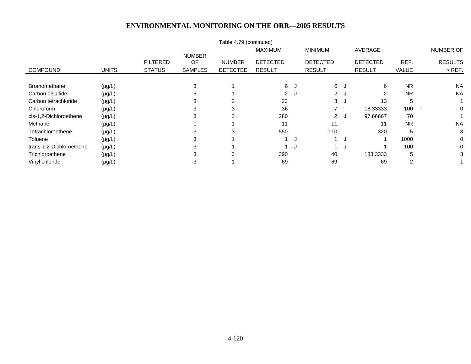|                          |              |                 |                     | Table 4.79 (continued) |                 |   |                 |                      |                 |           |                |
|--------------------------|--------------|-----------------|---------------------|------------------------|-----------------|---|-----------------|----------------------|-----------------|-----------|----------------|
|                          |              |                 |                     |                        | <b>MAXIMUM</b>  |   | <b>MINIMUM</b>  |                      | AVERAGE         |           | NUMBER OF      |
|                          |              | <b>FILTERED</b> | <b>NUMBER</b><br>OF | <b>NUMBER</b>          | <b>DETECTED</b> |   | <b>DETECTED</b> |                      | <b>DETECTED</b> | REF.      | <b>RESULTS</b> |
| <b>COMPOUND</b>          | <b>UNITS</b> | <b>STATUS</b>   | <b>SAMPLES</b>      | <b>DETECTED</b>        | <b>RESULT</b>   |   | <b>RESULT</b>   |                      | <b>RESULT</b>   | VALUE     | $>$ REF.       |
|                          |              |                 |                     |                        |                 |   |                 |                      |                 |           |                |
| <b>Bromomethane</b>      | $(\mu g/L)$  |                 | 3                   |                        | 6 J             |   | 6               | $\ddot{\phantom{a}}$ | 6               | <b>NR</b> | <b>NA</b>      |
| Carbon disulfide         | $(\mu g/L)$  |                 | 3                   |                        | 2J              |   | 2J              |                      | ົ               | <b>NR</b> | <b>NA</b>      |
| Carbon tetrachloride     | $(\mu g/L)$  |                 |                     |                        | 23              |   | 3               | $\ddot{\phantom{a}}$ | 13              | 5         |                |
| Chloroform               | $(\mu g/L)$  |                 |                     |                        | 36              |   |                 |                      | 18.33333        | 100       | 0              |
| cis-1,2-Dichloroethene   | $(\mu g/L)$  |                 |                     | 3                      | 280             |   | $\overline{2}$  | ل.                   | 97.66667        | 70        |                |
| Methane                  | $(\mu g/L)$  |                 |                     |                        | 11              |   | 11              |                      | 11              | <b>NR</b> | <b>NA</b>      |
| Tetrachloroethene        | $(\mu g/L)$  |                 |                     | 3                      | 550             |   | 110             |                      | 320             | 5         | 3              |
| Toluene                  | $(\mu g/L)$  |                 | 3                   |                        |                 | J |                 | $\ddot{\phantom{a}}$ |                 | 1000      | 0              |
| trans-1,2-Dichloroethene | $(\mu g/L)$  |                 |                     |                        |                 |   |                 | J.                   |                 | 100       | 0              |
| Trichloroethene          | $(\mu g/L)$  |                 |                     | 3                      | 390             |   | 40              |                      | 183.3333        | 5         | 3              |
| Vinyl chloride           | $(\mu g/L)$  |                 |                     |                        | 69              |   | 69              |                      | 69              | 2         |                |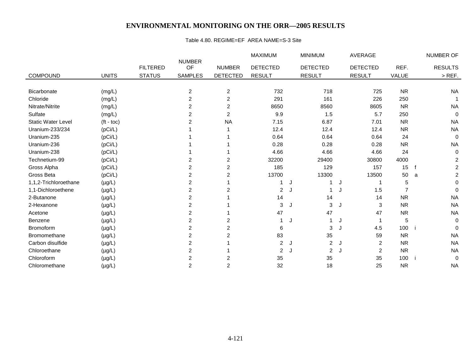#### Table 4.80. REGIME=EF AREA NAME=S-3 Site

|                           |              |                 |                     |                 | <b>MAXIMUM</b>  |   | <b>MINIMUM</b>  |               | <b>AVERAGE</b>  |           |   | NUMBER OF      |
|---------------------------|--------------|-----------------|---------------------|-----------------|-----------------|---|-----------------|---------------|-----------------|-----------|---|----------------|
|                           |              | <b>FILTERED</b> | <b>NUMBER</b><br>OF | <b>NUMBER</b>   | <b>DETECTED</b> |   | <b>DETECTED</b> |               | <b>DETECTED</b> | REF.      |   | <b>RESULTS</b> |
| <b>COMPOUND</b>           | <b>UNITS</b> | <b>STATUS</b>   | <b>SAMPLES</b>      | <b>DETECTED</b> | <b>RESULT</b>   |   | <b>RESULT</b>   | <b>RESULT</b> |                 | VALUE     |   | $>$ REF.       |
|                           |              |                 |                     |                 |                 |   |                 |               |                 |           |   |                |
| Bicarbonate               | (mg/L)       |                 | $\overline{2}$      | $\overline{2}$  | 732             |   | 718             |               | 725             | <b>NR</b> |   | <b>NA</b>      |
| Chloride                  | (mg/L)       |                 | $\overline{c}$      | $\overline{c}$  | 291             |   | 161             |               | 226             | 250       |   |                |
| Nitrate/Nitrite           | (mg/L)       |                 | 2                   | 2               | 8650            |   | 8560            |               | 8605            | <b>NR</b> |   | <b>NA</b>      |
| Sulfate                   | (mg/L)       |                 | 2                   | 2               | 9.9             |   | 1.5             |               | 5.7             | 250       |   | 0              |
| <b>Static Water Level</b> | $(t - toc)$  |                 | 2                   | <b>NA</b>       | 7.15            |   | 6.87            |               | 7.01            | <b>NR</b> |   | <b>NA</b>      |
| Uranium-233/234           | (pCi/L)      |                 |                     |                 | 12.4            |   | 12.4            |               | 12.4            | <b>NR</b> |   | <b>NA</b>      |
| Uranium-235               | (pCi/L)      |                 |                     |                 | 0.64            |   | 0.64            |               | 0.64            | 24        |   | $\mathbf 0$    |
| Uranium-236               | (pCi/L)      |                 |                     |                 | 0.28            |   | 0.28            |               | 0.28            | <b>NR</b> |   | <b>NA</b>      |
| Uranium-238               | (pCi/L)      |                 |                     |                 | 4.66            |   | 4.66            |               | 4.66            | 24        |   | 0              |
| Technetium-99             | (pCi/L)      |                 | 2                   | $\overline{c}$  | 32200           |   | 29400           |               | 30800           | 4000      |   | 2              |
| Gross Alpha               | (pCi/L)      |                 | $\overline{c}$      | 2               | 185             |   | 129             |               | 157             | 15        | f | $\overline{c}$ |
| Gross Beta                | (pCi/L)      |                 | $\overline{2}$      | 2               | 13700           |   | 13300           |               | 13500           | 50        | a | 2              |
| 1,1,2-Trichloroethane     | $(\mu g/L)$  |                 | $\overline{c}$      |                 |                 | J |                 | J             |                 | 5         |   | 0              |
| 1,1-Dichloroethene        | $(\mu g/L)$  |                 | $\overline{c}$      | 2               | 2               |   |                 |               | 1.5             |           |   | $\mathbf{0}$   |
| 2-Butanone                | $(\mu g/L)$  |                 | 2                   |                 | 14              |   | 14              |               | 14              | <b>NR</b> |   | <b>NA</b>      |
| 2-Hexanone                | $(\mu g/L)$  |                 | $\overline{c}$      |                 | 3               | J | 3               | J             | 3               | <b>NR</b> |   | <b>NA</b>      |
| Acetone                   | $(\mu g/L)$  |                 | $\overline{c}$      |                 | 47              |   | 47              |               | 47              | <b>NR</b> |   | <b>NA</b>      |
| <b>Benzene</b>            | $(\mu g/L)$  |                 | $\overline{c}$      | 2               |                 | J |                 | J             |                 | 5         |   | 0              |
| Bromoform                 | $(\mu g/L)$  |                 | $\overline{2}$      | 2               | 6               |   | 3               | J             | 4.5             | 100       |   | $\Omega$       |
| Bromomethane              | $(\mu g/L)$  |                 | $\overline{c}$      | 2               | 83              |   | 35              |               | 59              | <b>NR</b> |   | <b>NA</b>      |
| Carbon disulfide          | $(\mu g/L)$  |                 | $\overline{c}$      |                 | $\overline{2}$  | J | $\overline{2}$  | J.            | $\overline{2}$  | <b>NR</b> |   | <b>NA</b>      |
| Chloroethane              | $(\mu g/L)$  |                 | $\overline{2}$      |                 | $\overline{2}$  |   | $\overline{2}$  |               | $\overline{2}$  | <b>NR</b> |   | <b>NA</b>      |
| Chloroform                | $(\mu g/L)$  |                 | $\overline{c}$      | 2               | 35              |   | 35              |               | 35              | 100       |   | 0              |
| Chloromethane             | $(\mu g/L)$  |                 | $\overline{2}$      | 2               | 32              |   | 18              |               | 25              | <b>NR</b> |   | <b>NA</b>      |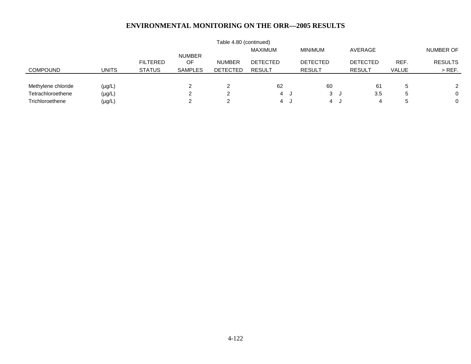|                    |              |                 |                      | Table 4.80 (continued) |                 |                 |                 |              |                |
|--------------------|--------------|-----------------|----------------------|------------------------|-----------------|-----------------|-----------------|--------------|----------------|
|                    |              |                 |                      |                        | MAXIMUM         | <b>MINIMUM</b>  | AVERAGE         |              | NUMBER OF      |
|                    |              | <b>FILTERED</b> | <b>NUMBER</b><br>OF. | <b>NUMBER</b>          | <b>DETECTED</b> | <b>DETECTED</b> | <b>DETECTED</b> | REF.         | <b>RESULTS</b> |
| <b>COMPOUND</b>    | <b>UNITS</b> | <b>STATUS</b>   | <b>SAMPLES</b>       | <b>DETECTED</b>        | <b>RESULT</b>   | <b>RESULT</b>   | <b>RESULT</b>   | <b>VALUE</b> | $>$ REF.       |
|                    |              |                 |                      |                        |                 |                 |                 |              |                |
| Methylene chloride | $(\mu g/L)$  |                 |                      | 2                      | 62              | 60              | 61              | $\mathbf b$  |                |
| Tetrachloroethene  | $(\mu g/L)$  |                 |                      | ົ                      | 4 J             | 3 J             | 3.5             | b            | $\mathbf{0}$   |
| Trichloroethene    | $(\mu g/L)$  |                 |                      | റ                      | 4 J             | 4 J             | 4               |              | $\mathbf{0}$   |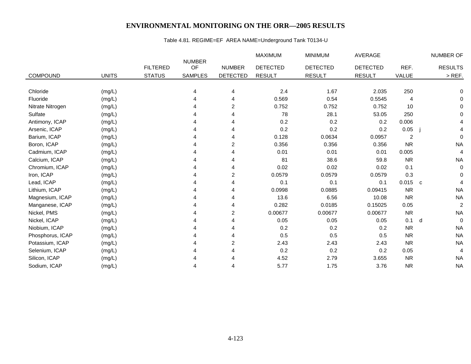## Table 4.81. REGIME=EF AREA NAME=Underground Tank T0134-U

|                  |              |                 |                     |                         | <b>MAXIMUM</b>  | <b>MINIMUM</b>  | <b>AVERAGE</b>  |           | <b>NUMBER OF</b>         |
|------------------|--------------|-----------------|---------------------|-------------------------|-----------------|-----------------|-----------------|-----------|--------------------------|
|                  |              | <b>FILTERED</b> | <b>NUMBER</b><br>OF | <b>NUMBER</b>           | <b>DETECTED</b> | <b>DETECTED</b> | <b>DETECTED</b> | REF.      | <b>RESULTS</b>           |
| <b>COMPOUND</b>  | <b>UNITS</b> | <b>STATUS</b>   | <b>SAMPLES</b>      | <b>DETECTED</b>         | <b>RESULT</b>   | <b>RESULT</b>   | <b>RESULT</b>   | VALUE     | $>$ REF.                 |
|                  |              |                 |                     |                         |                 |                 |                 |           |                          |
| Chloride         | (mg/L)       |                 | 4                   | 4                       | 2.4             | 1.67            | 2.035           | 250       | $\Omega$                 |
| Fluoride         | (mg/L)       |                 |                     | 4                       | 0.569           | 0.54            | 0.5545          | 4         | 0                        |
| Nitrate Nitrogen | (mg/L)       |                 |                     | 2                       | 0.752           | 0.752           | 0.752           | 10        | 0                        |
| Sulfate          | (mg/L)       |                 |                     | Δ                       | 78              | 28.1            | 53.05           | 250       | $\Omega$                 |
| Antimony, ICAP   | (mg/L)       |                 |                     | Δ                       | 0.2             | 0.2             | 0.2             | 0.006     |                          |
| Arsenic, ICAP    | (mg/L)       |                 |                     | 4                       | 0.2             | 0.2             | 0.2             | 0.05      |                          |
| Barium, ICAP     | (mg/L)       |                 |                     | Δ                       | 0.128           | 0.0634          | 0.0957          | 2         | $\mathbf 0$              |
| Boron, ICAP      | (mg/L)       |                 |                     | 2                       | 0.356           | 0.356           | 0.356           | <b>NR</b> | <b>NA</b>                |
| Cadmium, ICAP    | (mg/L)       |                 |                     | 4                       | 0.01            | 0.01            | 0.01            | 0.005     | 4                        |
| Calcium, ICAP    | (mg/L)       |                 |                     | Δ                       | 81              | 38.6            | 59.8            | <b>NR</b> | <b>NA</b>                |
| Chromium, ICAP   | (mg/L)       |                 |                     | 4                       | 0.02            | 0.02            | 0.02            | 0.1       | 0                        |
| Iron, ICAP       | (mg/L)       |                 |                     | 2                       | 0.0579          | 0.0579          | 0.0579          | 0.3       | $\Omega$                 |
| Lead, ICAP       | (mg/L)       |                 |                     | 4                       | 0.1             | 0.1             | 0.1             | 0.015     | $\mathbf{C}$             |
| Lithium, ICAP    | (mg/L)       |                 |                     | 4                       | 0.0998          | 0.0885          | 0.09415         | <b>NR</b> | <b>NA</b>                |
| Magnesium, ICAP  | (mg/L)       |                 |                     | 4                       | 13.6            | 6.56            | 10.08           | <b>NR</b> | <b>NA</b>                |
| Manganese, ICAP  | (mg/L)       |                 |                     | 4                       | 0.282           | 0.0185          | 0.15025         | 0.05      | $\overline{2}$           |
| Nickel, PMS      | (mg/L)       |                 | Δ                   | $\overline{c}$          | 0.00677         | 0.00677         | 0.00677         | <b>NR</b> | <b>NA</b>                |
| Nickel, ICAP     | (mg/L)       |                 |                     |                         | 0.05            | 0.05            | 0.05            | 0.1       | $\mathbf 0$<br>d         |
| Niobium, ICAP    | (mg/L)       |                 |                     | Δ                       | 0.2             | 0.2             | 0.2             | <b>NR</b> | <b>NA</b>                |
| Phosphorus, ICAP | (mg/L)       |                 |                     |                         | 0.5             | 0.5             | 0.5             | <b>NR</b> | <b>NA</b>                |
| Potassium, ICAP  | (mg/L)       |                 |                     | $\overline{\mathbf{c}}$ | 2.43            | 2.43            | 2.43            | <b>NR</b> | <b>NA</b>                |
| Selenium, ICAP   | (mg/L)       |                 |                     | 4                       | 0.2             | 0.2             | 0.2             | 0.05      | $\overline{\mathcal{L}}$ |
| Silicon, ICAP    | (mg/L)       |                 |                     |                         | 4.52            | 2.79            | 3.655           | <b>NR</b> | <b>NA</b>                |
| Sodium, ICAP     | (mg/L)       |                 | 4                   | 4                       | 5.77            | 1.75            | 3.76            | <b>NR</b> | <b>NA</b>                |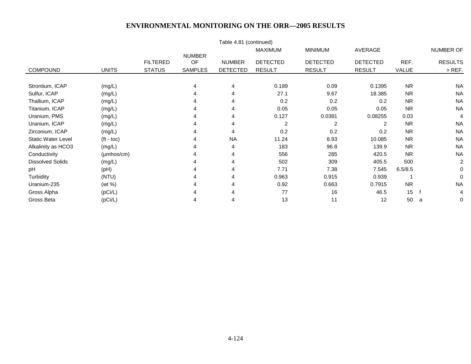|                           |                        |                 |                     | Table 4.81 (continued) |                 |                 |                 |           |                |
|---------------------------|------------------------|-----------------|---------------------|------------------------|-----------------|-----------------|-----------------|-----------|----------------|
|                           |                        |                 |                     |                        | <b>MAXIMUM</b>  | <b>MINIMUM</b>  | AVERAGE         |           | NUMBER OF      |
|                           |                        | <b>FILTERED</b> | <b>NUMBER</b><br>OF | <b>NUMBER</b>          | <b>DETECTED</b> | <b>DETECTED</b> | <b>DETECTED</b> | REF.      | <b>RESULTS</b> |
| <b>COMPOUND</b>           | <b>UNITS</b>           | <b>STATUS</b>   | <b>SAMPLES</b>      | <b>DETECTED</b>        | <b>RESULT</b>   | <b>RESULT</b>   | <b>RESULT</b>   | VALUE     | $>$ REF.       |
|                           |                        |                 |                     |                        |                 |                 |                 |           |                |
| Strontium, ICAP           | (mg/L)                 |                 | 4                   | 4                      | 0.189           | 0.09            | 0.1395          | <b>NR</b> | <b>NA</b>      |
| Sulfur, ICAP              | (mg/L)                 |                 | 4                   | 4                      | 27.1            | 9.67            | 18.385          | <b>NR</b> | <b>NA</b>      |
| Thallium, ICAP            | (mg/L)                 |                 |                     |                        | 0.2             | 0.2             | 0.2             | <b>NR</b> | <b>NA</b>      |
| Titanium, ICAP            | (mg/L)                 |                 |                     | 4                      | 0.05            | 0.05            | 0.05            | <b>NR</b> | <b>NA</b>      |
| Uranium, PMS              | (mg/L)                 |                 |                     |                        | 0.127           | 0.0381          | 0.08255         | 0.03      | 4              |
| Uranium, ICAP             | (mg/L)                 |                 |                     |                        | $\overline{c}$  | 2               | 2               | <b>NR</b> | <b>NA</b>      |
| Zirconium, ICAP           | (mg/L)                 |                 |                     | 4                      | 0.2             | 0.2             | 0.2             | <b>NR</b> | <b>NA</b>      |
| <b>Static Water Level</b> | $(t - \text{toc})$     |                 |                     | <b>NA</b>              | 11.24           | 8.93            | 10.085          | <b>NR</b> | <b>NA</b>      |
| Alkalinity as HCO3        | (mg/L)                 |                 |                     | 4                      | 183             | 96.8            | 139.9           | <b>NR</b> | <b>NA</b>      |
| Conductivity              | $(\mu \text{mhos/cm})$ |                 |                     | 4                      | 556             | 285             | 420.5           | <b>NR</b> | <b>NA</b>      |
| <b>Dissolved Solids</b>   | (mg/L)                 |                 |                     | 4                      | 502             | 309             | 405.5           | 500       | $\overline{2}$ |
| pH                        | (Hq)                   |                 |                     |                        | 7.71            | 7.38            | 7.545           | 6.5/8.5   | 0              |
| Turbidity                 | (NTU)                  |                 |                     |                        | 0.963           | 0.915           | 0.939           |           | 0              |
| Uranium-235               | (wt %)                 |                 |                     | 4                      | 0.92            | 0.663           | 0.7915          | <b>NR</b> | <b>NA</b>      |
| Gross Alpha               | (pCi/L)                |                 |                     |                        | 77              | 16              | 46.5            | 15        | 4              |
| Gross Beta                | (pCi/L)                |                 | 4                   | 4                      | 13              | 11              | 12              | 50        | 0<br>a         |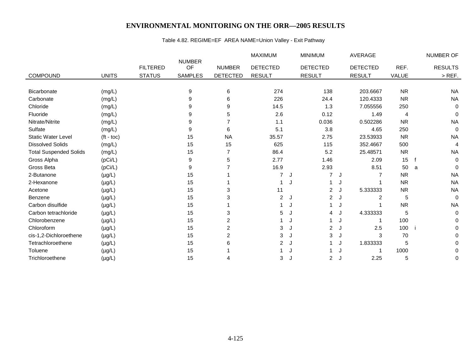## Table 4.82. REGIME=EF AREA NAME=Union Valley - Exit Pathway

|                               |                    |                 |                     |                 | <b>MAXIMUM</b>  |    | <b>MINIMUM</b>  |     | <b>AVERAGE</b>  |           |   | NUMBER OF      |
|-------------------------------|--------------------|-----------------|---------------------|-----------------|-----------------|----|-----------------|-----|-----------------|-----------|---|----------------|
|                               |                    | <b>FILTERED</b> | <b>NUMBER</b><br>OF | <b>NUMBER</b>   | <b>DETECTED</b> |    | <b>DETECTED</b> |     | <b>DETECTED</b> | REF.      |   | <b>RESULTS</b> |
| <b>COMPOUND</b>               | <b>UNITS</b>       | <b>STATUS</b>   | <b>SAMPLES</b>      | <b>DETECTED</b> | <b>RESULT</b>   |    | <b>RESULT</b>   |     | <b>RESULT</b>   | VALUE     |   | $>$ REF.       |
|                               |                    |                 |                     |                 |                 |    |                 |     |                 |           |   |                |
| Bicarbonate                   | (mg/L)             |                 | 9                   | 6               | 274             |    | 138             |     | 203.6667        | <b>NR</b> |   | <b>NA</b>      |
| Carbonate                     | (mg/L)             |                 | 9                   | 6               | 226             |    | 24.4            |     | 120.4333        | <b>NR</b> |   | <b>NA</b>      |
| Chloride                      | (mg/L)             |                 | 9                   | 9               | 14.5            |    | 1.3             |     | 7.055556        | 250       |   | 0              |
| Fluoride                      | (mg/L)             |                 | 9                   | 5               | 2.6             |    | 0.12            |     | 1.49            | 4         |   | 0              |
| Nitrate/Nitrite               | (mg/L)             |                 | 9                   |                 | 1.1             |    | 0.036           |     | 0.502286        | <b>NR</b> |   | <b>NA</b>      |
| Sulfate                       | (mg/L)             |                 | 9                   | 6               | 5.1             |    | 3.8             |     | 4.65            | 250       |   | 0              |
| <b>Static Water Level</b>     | $(t - \text{toc})$ |                 | 15                  | <b>NA</b>       | 35.57           |    | 2.75            |     | 23.53933        | <b>NR</b> |   | <b>NA</b>      |
| <b>Dissolved Solids</b>       | (mg/L)             |                 | 15                  | 15              | 625             |    | 115             |     | 352.4667        | 500       |   | 4              |
| <b>Total Suspended Solids</b> | (mg/L)             |                 | 15                  |                 | 86.4            |    | 5.2             |     | 25.48571        | <b>NR</b> |   | <b>NA</b>      |
| Gross Alpha                   | (pCi/L)            |                 | 9                   | 5               | 2.77            |    | 1.46            |     | 2.09            | 15        |   | 0              |
| Gross Beta                    | (pCi/L)            |                 | 9                   |                 | 16.9            |    | 2.93            |     | 8.51            | 50        | a | 0              |
| 2-Butanone                    | $(\mu g/L)$        |                 | 15                  |                 | 7               | J  | 7               | J   |                 | <b>NR</b> |   | <b>NA</b>      |
| 2-Hexanone                    | $(\mu g/L)$        |                 | 15                  |                 |                 |    |                 | J   |                 | <b>NR</b> |   | <b>NA</b>      |
| Acetone                       | $(\mu g/L)$        |                 | 15                  | 3               | 11              |    | $\overline{2}$  | J   | 5.333333        | <b>NR</b> |   | <b>NA</b>      |
| Benzene                       | $(\mu g/L)$        |                 | 15                  | 3               | $\overline{c}$  | J  | 2J              |     | 2               | 5         |   | $\mathbf 0$    |
| Carbon disulfide              | $(\mu g/L)$        |                 | 15                  |                 |                 |    |                 | J   |                 | <b>NR</b> |   | <b>NA</b>      |
| Carbon tetrachloride          | $(\mu g/L)$        |                 | 15                  | 3               | 5               | J. | 4               | J   | 4.333333        | 5         |   | 0              |
| Chlorobenzene                 | $(\mu g/L)$        |                 | 15                  | 2               |                 |    |                 | J   |                 | 100       |   | 0              |
| Chloroform                    | $(\mu g/L)$        |                 | 15                  | $\overline{c}$  | 3               |    | $\overline{2}$  | J   | 2.5             | 100       |   | 0              |
| cis-1,2-Dichloroethene        | $(\mu g/L)$        |                 | 15                  | $\overline{2}$  | 3               | J. | 3               | J   | 3               | 70        |   | 0              |
| Tetrachloroethene             | $(\mu g/L)$        |                 | 15                  | 6               | $\overline{2}$  | J  |                 | J   | 1.833333        | 5         |   | 0              |
| Toluene                       | $(\mu g/L)$        |                 | 15                  |                 |                 |    |                 | J   |                 | 1000      |   | 0              |
| Trichloroethene               | $(\mu g/L)$        |                 | 15                  | 4               | 3               | J  | $\overline{2}$  | — J | 2.25            | 5         |   | 0              |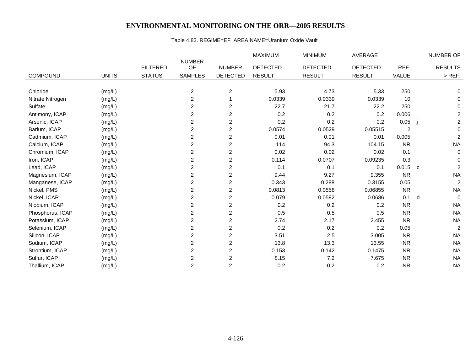#### Table 4.83. REGIME=EF AREA NAME=Uranium Oxide Vault

|                  |              |                 |                         |                         | MAXIMUM         | <b>MINIMUM</b>  | <b>AVERAGE</b>  |                |              | NUMBER OF      |
|------------------|--------------|-----------------|-------------------------|-------------------------|-----------------|-----------------|-----------------|----------------|--------------|----------------|
|                  |              | <b>FILTERED</b> | <b>NUMBER</b><br>OF     | <b>NUMBER</b>           | <b>DETECTED</b> | <b>DETECTED</b> | <b>DETECTED</b> | REF.           |              | <b>RESULTS</b> |
| <b>COMPOUND</b>  | <b>UNITS</b> | <b>STATUS</b>   | <b>SAMPLES</b>          | <b>DETECTED</b>         | <b>RESULT</b>   | <b>RESULT</b>   | <b>RESULT</b>   | VALUE          |              | $>$ REF.       |
|                  |              |                 |                         |                         |                 |                 |                 |                |              |                |
| Chloride         | (mg/L)       |                 | $\overline{\mathbf{c}}$ | $\overline{c}$          | 5.93            | 4.73            | 5.33            | 250            |              | 0              |
| Nitrate Nitrogen | (mg/L)       |                 | $\overline{\mathbf{c}}$ |                         | 0.0339          | 0.0339          | 0.0339          | 10             |              | 0              |
| Sulfate          | (mg/L)       |                 | 2                       | $\overline{c}$          | 22.7            | 21.7            | 22.2            | 250            |              | $\Omega$       |
| Antimony, ICAP   | (mg/L)       |                 | $\overline{a}$          | $\overline{c}$          | 0.2             | 0.2             | 0.2             | 0.006          |              | $\overline{c}$ |
| Arsenic, ICAP    | (mg/L)       |                 | 2                       | $\overline{c}$          | 0.2             | 0.2             | 0.2             | 0.05           |              | $\overline{c}$ |
| Barium, ICAP     | (mg/L)       |                 | $\overline{c}$          | $\overline{c}$          | 0.0574          | 0.0529          | 0.05515         | $\overline{c}$ |              | $\mathbf 0$    |
| Cadmium, ICAP    | (mg/L)       |                 | 2                       | $\overline{2}$          | 0.01            | 0.01            | 0.01            | 0.005          |              | $\overline{c}$ |
| Calcium, ICAP    | (mg/L)       |                 | $\overline{c}$          | $\overline{c}$          | 114             | 94.3            | 104.15          | <b>NR</b>      |              | <b>NA</b>      |
| Chromium, ICAP   | (mg/L)       |                 | $\overline{c}$          | $\overline{c}$          | 0.02            | 0.02            | 0.02            | 0.1            |              | $\mathbf 0$    |
| Iron, ICAP       | (mg/L)       |                 | $\overline{\mathbf{c}}$ | $\overline{c}$          | 0.114           | 0.0707          | 0.09235         | 0.3            |              | $\Omega$       |
| Lead, ICAP       | (mg/L)       |                 | $\overline{c}$          | $\overline{c}$          | 0.1             | 0.1             | 0.1             | 0.015          | $\mathbf{C}$ | $\overline{c}$ |
| Magnesium, ICAP  | (mg/L)       |                 | $\overline{c}$          | $\overline{2}$          | 9.44            | 9.27            | 9.355           | <b>NR</b>      |              | <b>NA</b>      |
| Manganese, ICAP  | (mg/L)       |                 | $\overline{c}$          | $\overline{c}$          | 0.343           | 0.288           | 0.3155          | 0.05           |              | $\overline{c}$ |
| Nickel, PMS      | (mg/L)       |                 | $\overline{\mathbf{c}}$ | $\overline{c}$          | 0.0813          | 0.0558          | 0.06855         | <b>NR</b>      |              | <b>NA</b>      |
| Nickel, ICAP     | (mg/L)       |                 | 2                       | $\overline{c}$          | 0.079           | 0.0582          | 0.0686          | 0.1            | d            | $\Omega$       |
| Niobium, ICAP    | (mg/L)       |                 | $\overline{c}$          | $\overline{c}$          | 0.2             | 0.2             | 0.2             | <b>NR</b>      |              | <b>NA</b>      |
| Phosphorus, ICAP | (mg/L)       |                 | 2                       | $\overline{2}$          | 0.5             | 0.5             | 0.5             | <b>NR</b>      |              | <b>NA</b>      |
| Potassium, ICAP  | (mg/L)       |                 | $\overline{c}$          | $\overline{\mathbf{c}}$ | 2.74            | 2.17            | 2.455           | <b>NR</b>      |              | <b>NA</b>      |
| Selenium, ICAP   | (mg/L)       |                 | $\overline{2}$          | $\overline{\mathbf{c}}$ | 0.2             | 0.2             | 0.2             | 0.05           |              | $\overline{c}$ |
| Silicon, ICAP    | (mg/L)       |                 | $\overline{c}$          | $\overline{c}$          | 3.51            | 2.5             | 3.005           | <b>NR</b>      |              | <b>NA</b>      |
| Sodium, ICAP     | (mg/L)       |                 | $\overline{c}$          | $\overline{c}$          | 13.8            | 13.3            | 13.55           | <b>NR</b>      |              | <b>NA</b>      |
| Strontium, ICAP  | (mg/L)       |                 | 2                       | $\overline{c}$          | 0.153           | 0.142           | 0.1475          | <b>NR</b>      |              | <b>NA</b>      |
| Sulfur, ICAP     | (mg/L)       |                 | $\overline{c}$          | $\overline{c}$          | 8.15            | 7.2             | 7.675           | <b>NR</b>      |              | <b>NA</b>      |
| Thallium, ICAP   | (mg/L)       |                 | $\overline{c}$          | $\overline{c}$          | 0.2             | 0.2             | 0.2             | <b>NR</b>      |              | <b>NA</b>      |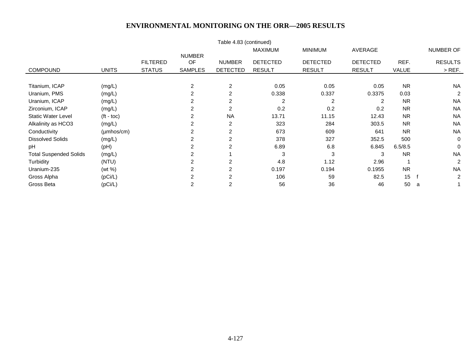|                               |                        |                 |                     | Table 4.83 (continued) |                 |                 |                 |           |                |
|-------------------------------|------------------------|-----------------|---------------------|------------------------|-----------------|-----------------|-----------------|-----------|----------------|
|                               |                        |                 |                     |                        | <b>MAXIMUM</b>  | <b>MINIMUM</b>  | AVERAGE         |           | NUMBER OF      |
|                               |                        | <b>FILTERED</b> | <b>NUMBER</b><br>OF | <b>NUMBER</b>          | <b>DETECTED</b> | <b>DETECTED</b> | <b>DETECTED</b> | REF.      | <b>RESULTS</b> |
| <b>COMPOUND</b>               | <b>UNITS</b>           | <b>STATUS</b>   | <b>SAMPLES</b>      | <b>DETECTED</b>        | <b>RESULT</b>   | <b>RESULT</b>   | <b>RESULT</b>   | VALUE     | $>$ REF.       |
|                               |                        |                 |                     |                        |                 |                 |                 |           |                |
| Titanium, ICAP                | (mg/L)                 |                 | 2                   | $\overline{2}$         | 0.05            | 0.05            | 0.05            | <b>NR</b> | <b>NA</b>      |
| Uranium, PMS                  | (mg/L)                 |                 | 2                   | $\overline{2}$         | 0.338           | 0.337           | 0.3375          | 0.03      | 2              |
| Uranium, ICAP                 | (mg/L)                 |                 | 2                   | $\overline{2}$         | $\overline{2}$  | $\overline{2}$  | $\overline{2}$  | <b>NR</b> | <b>NA</b>      |
| Zirconium, ICAP               | (mg/L)                 |                 | 2                   | 2                      | 0.2             | 0.2             | 0.2             | <b>NR</b> | <b>NA</b>      |
| <b>Static Water Level</b>     | $(t - \text{toc})$     |                 | 2                   | <b>NA</b>              | 13.71           | 11.15           | 12.43           | <b>NR</b> | <b>NA</b>      |
| Alkalinity as HCO3            | (mg/L)                 |                 | 2                   | $\overline{2}$         | 323             | 284             | 303.5           | <b>NR</b> | <b>NA</b>      |
| Conductivity                  | $(\mu \text{mhos/cm})$ |                 | 2                   | 2                      | 673             | 609             | 641             | <b>NR</b> | <b>NA</b>      |
| <b>Dissolved Solids</b>       | (mg/L)                 |                 | 2                   | $\overline{2}$         | 378             | 327             | 352.5           | 500       | $\mathbf 0$    |
| pH                            | (Hq)                   |                 | 2                   | 2                      | 6.89            | 6.8             | 6.845           | 6.5/8.5   | $\Omega$       |
| <b>Total Suspended Solids</b> | (mg/L)                 |                 | 2                   |                        | 3               | 3               | 3               | <b>NR</b> | <b>NA</b>      |
| Turbidity                     | (NTU)                  |                 | 2                   | $\overline{2}$         | 4.8             | 1.12            | 2.96            |           | $\overline{2}$ |
| Uranium-235                   | (wt %)                 |                 | 2                   | $\overline{2}$         | 0.197           | 0.194           | 0.1955          | <b>NR</b> | <b>NA</b>      |
| Gross Alpha                   | (pCi/L)                |                 | 2                   |                        | 106             | 59              | 82.5            | 15        | $\overline{c}$ |
| Gross Beta                    | (pCi/L)                |                 | 2                   | $\overline{2}$         | 56              | 36              | 46              | 50        | a              |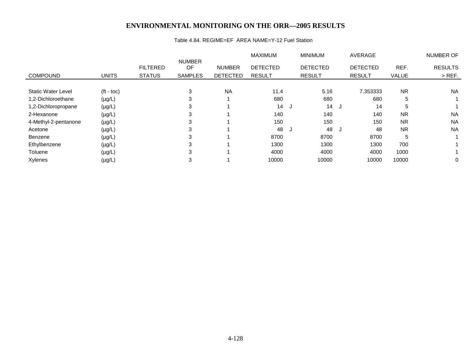#### Table 4.84. REGIME=EF AREA NAME=Y-12 Fuel Station

|                           |                    |                 |                     |                 | <b>MAXIMUM</b>  |   | <b>MINIMUM</b>  |     | AVERAGE         |              | NUMBER OF      |
|---------------------------|--------------------|-----------------|---------------------|-----------------|-----------------|---|-----------------|-----|-----------------|--------------|----------------|
|                           |                    | <b>FILTERED</b> | <b>NUMBER</b><br>OF | <b>NUMBER</b>   | <b>DETECTED</b> |   | <b>DETECTED</b> |     | <b>DETECTED</b> | REF.         | <b>RESULTS</b> |
| <b>COMPOUND</b>           | <b>UNITS</b>       | <b>STATUS</b>   | <b>SAMPLES</b>      | <b>DETECTED</b> | <b>RESULT</b>   |   | <b>RESULT</b>   |     | <b>RESULT</b>   | <b>VALUE</b> | $>$ REF.       |
|                           |                    |                 |                     |                 |                 |   |                 |     |                 |              |                |
| <b>Static Water Level</b> | $(t - \text{toc})$ |                 | 3                   | <b>NA</b>       | 11.4            |   | 5.16            |     | 7.353333        | <b>NR</b>    | <b>NA</b>      |
| 1,2-Dichloroethane        | $(\mu g/L)$        |                 | 3                   |                 | 680             |   | 680             |     | 680             | 5            |                |
| 1,2-Dichloropropane       | $(\mu g/L)$        |                 | 3                   |                 | 14              | J | 14J             |     | 14              | 5            |                |
| 2-Hexanone                | $(\mu g/L)$        |                 | 3                   |                 | 140             |   | 140             |     | 140             | <b>NR</b>    | <b>NA</b>      |
| 4-Methyl-2-pentanone      | $(\mu g/L)$        |                 | 3                   |                 | 150             |   | 150             |     | 150             | <b>NR</b>    | <b>NA</b>      |
| Acetone                   | $(\mu g/L)$        |                 | 3                   |                 | 48              | J | 48              | ل - | 48              | <b>NR</b>    | <b>NA</b>      |
| Benzene                   | $(\mu g/L)$        |                 | 3                   |                 | 8700            |   | 8700            |     | 8700            | 5            |                |
| Ethylbenzene              | $(\mu g/L)$        |                 | 3                   |                 | 1300            |   | 1300            |     | 1300            | 700          |                |
| Toluene                   | $(\mu g/L)$        |                 | 3                   |                 | 4000            |   | 4000            |     | 4000            | 1000         |                |
| Xylenes                   | $(\mu g/L)$        |                 | 3                   |                 | 10000           |   | 10000           |     | 10000           | 10000        | 0              |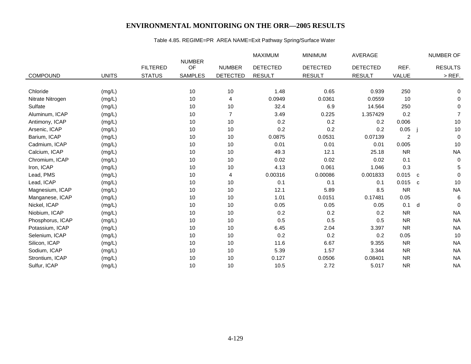## Table 4.85. REGIME=PR AREA NAME=Exit Pathway Spring/Surface Water

|                  |              |                 |                     |                 | <b>MAXIMUM</b>  | <b>MINIMUM</b>  | AVERAGE         |                | NUMBER OF                              |
|------------------|--------------|-----------------|---------------------|-----------------|-----------------|-----------------|-----------------|----------------|----------------------------------------|
|                  |              | <b>FILTERED</b> | <b>NUMBER</b><br>OF | <b>NUMBER</b>   | <b>DETECTED</b> | <b>DETECTED</b> | <b>DETECTED</b> | REF.           | <b>RESULTS</b>                         |
|                  |              |                 |                     |                 |                 |                 |                 |                |                                        |
| <b>COMPOUND</b>  | <b>UNITS</b> | <b>STATUS</b>   | <b>SAMPLES</b>      | <b>DETECTED</b> | <b>RESULT</b>   | <b>RESULT</b>   | <b>RESULT</b>   | VALUE          | $>$ REF.                               |
|                  |              |                 |                     |                 |                 |                 |                 |                |                                        |
| Chloride         | (mg/L)       |                 | 10                  | 10              | 1.48            | 0.65            | 0.939           | 250            | 0                                      |
| Nitrate Nitrogen | (mg/L)       |                 | 10                  | 4               | 0.0949          | 0.0361          | 0.0559          | 10             | 0                                      |
| Sulfate          | (mg/L)       |                 | 10                  | 10              | 32.4            | 6.9             | 14.564          | 250            | $\mathbf 0$                            |
| Aluminum, ICAP   | (mg/L)       |                 | 10                  | $\overline{7}$  | 3.49            | 0.225           | 1.357429        | 0.2            | $\overline{7}$                         |
| Antimony, ICAP   | (mg/L)       |                 | 10                  | 10              | 0.2             | 0.2             | 0.2             | 0.006          | 10                                     |
| Arsenic, ICAP    | (mg/L)       |                 | 10                  | 10              | 0.2             | 0.2             | 0.2             | 0.05           | $10$                                   |
| Barium, ICAP     | (mg/L)       |                 | 10                  | 10              | 0.0875          | 0.0531          | 0.07139         | $\overline{2}$ | $\mathbf 0$                            |
| Cadmium, ICAP    | (mg/L)       |                 | 10                  | 10              | 0.01            | 0.01            | 0.01            | 0.005          | 10                                     |
| Calcium, ICAP    | (mg/L)       |                 | 10                  | 10              | 49.3            | 12.1            | 25.18           | <b>NR</b>      | <b>NA</b>                              |
| Chromium, ICAP   | (mg/L)       |                 | 10                  | 10              | 0.02            | 0.02            | 0.02            | 0.1            | $\mathbf 0$                            |
| Iron, ICAP       | (mg/L)       |                 | 10                  | 10              | 4.13            | 0.061           | 1.046           | 0.3            | 5                                      |
| Lead, PMS        | (mg/L)       |                 | 10                  | 4               | 0.00316         | 0.00086         | 0.001833        | 0.015          | $\mathbf 0$<br>$\overline{\mathbf{C}}$ |
| Lead, ICAP       | (mg/L)       |                 | 10                  | 10              | 0.1             | 0.1             | 0.1             | 0.015          | $10$<br>$\mathbf{C}$                   |
| Magnesium, ICAP  | (mg/L)       |                 | 10                  | 10              | 12.1            | 5.89            | 8.5             | <b>NR</b>      | <b>NA</b>                              |
| Manganese, ICAP  | (mg/L)       |                 | 10                  | 10              | 1.01            | 0.0151          | 0.17481         | 0.05           | $\,6\,$                                |
| Nickel, ICAP     | (mg/L)       |                 | 10                  | 10              | 0.05            | 0.05            | 0.05            | 0.1            | d<br>$\mathbf 0$                       |
| Niobium, ICAP    | (mg/L)       |                 | 10                  | 10              | 0.2             | 0.2             | 0.2             | <b>NR</b>      | <b>NA</b>                              |
| Phosphorus, ICAP | (mg/L)       |                 | 10                  | 10              | 0.5             | 0.5             | 0.5             | <b>NR</b>      | <b>NA</b>                              |
| Potassium, ICAP  | (mg/L)       |                 | 10                  | 10              | 6.45            | 2.04            | 3.397           | <b>NR</b>      | <b>NA</b>                              |
| Selenium, ICAP   | (mg/L)       |                 | 10                  | 10              | 0.2             | 0.2             | 0.2             | 0.05           | 10                                     |
| Silicon, ICAP    | (mg/L)       |                 | 10                  | 10              | 11.6            | 6.67            | 9.355           | <b>NR</b>      | <b>NA</b>                              |
| Sodium, ICAP     | (mg/L)       |                 | 10                  | 10              | 5.39            | 1.57            | 3.344           | <b>NR</b>      | <b>NA</b>                              |
| Strontium, ICAP  | (mg/L)       |                 | 10                  | 10              | 0.127           | 0.0506          | 0.08401         | <b>NR</b>      | <b>NA</b>                              |
| Sulfur, ICAP     | (mg/L)       |                 | 10                  | 10              | 10.5            | 2.72            | 5.017           | <b>NR</b>      | <b>NA</b>                              |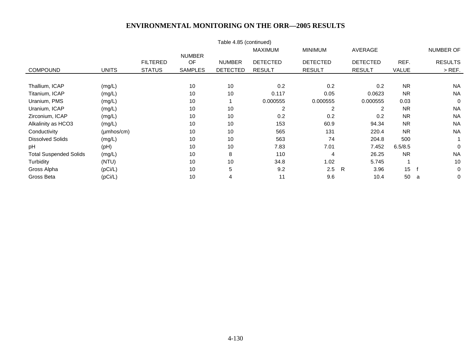| Table 4.85 (continued)        |                        |                 |                            |                 |                 |                 |                 |              |                |
|-------------------------------|------------------------|-----------------|----------------------------|-----------------|-----------------|-----------------|-----------------|--------------|----------------|
|                               |                        |                 |                            |                 | <b>MAXIMUM</b>  | <b>MINIMUM</b>  | AVERAGE         |              | NUMBER OF      |
|                               |                        | <b>FILTERED</b> | <b>NUMBER</b><br><b>OF</b> | <b>NUMBER</b>   | <b>DETECTED</b> | <b>DETECTED</b> | <b>DETECTED</b> | REF.         | <b>RESULTS</b> |
|                               |                        |                 |                            |                 |                 |                 |                 |              |                |
| <b>COMPOUND</b>               | <b>UNITS</b>           | <b>STATUS</b>   | <b>SAMPLES</b>             | <b>DETECTED</b> | <b>RESULT</b>   | <b>RESULT</b>   | <b>RESULT</b>   | <b>VALUE</b> | $>$ REF.       |
| Thallium, ICAP                | (mg/L)                 |                 | 10                         | 10              | 0.2             | 0.2             | 0.2             | <b>NR</b>    | <b>NA</b>      |
| Titanium, ICAP                | (mg/L)                 |                 | 10                         | 10              | 0.117           | 0.05            | 0.0623          | <b>NR</b>    | <b>NA</b>      |
| Uranium, PMS                  | (mg/L)                 |                 | 10                         |                 | 0.000555        | 0.000555        | 0.000555        | 0.03         | $\overline{0}$ |
| Uranium, ICAP                 | (mg/L)                 |                 | 10                         | 10              | 2               | $\overline{2}$  | 2               | <b>NR</b>    | <b>NA</b>      |
| Zirconium, ICAP               | (mg/L)                 |                 | 10                         | 10              | 0.2             | 0.2             | 0.2             | <b>NR</b>    | <b>NA</b>      |
| Alkalinity as HCO3            | (mg/L)                 |                 | 10                         | 10              | 153             | 60.9            | 94.34           | <b>NR</b>    | <b>NA</b>      |
| Conductivity                  | $(\mu \text{mhos/cm})$ |                 | 10                         | 10              | 565             | 131             | 220.4           | <b>NR</b>    | <b>NA</b>      |
| <b>Dissolved Solids</b>       | (mg/L)                 |                 | 10                         | 10              | 563             | 74              | 204.8           | 500          |                |
| pH                            | (Hq)                   |                 | 10                         | 10              | 7.83            | 7.01            | 7.452           | 6.5/8.5      | $\Omega$       |
| <b>Total Suspended Solids</b> | (mg/L)                 |                 | 10                         | 8               | 110             | 4               | 26.25           | <b>NR</b>    | <b>NA</b>      |
| Turbidity                     | (NTU)                  |                 | 10                         | 10              | 34.8            | 1.02            | 5.745           |              | 10             |
| Gross Alpha                   | (pCi/L)                |                 | 10                         | 5               | 9.2             | 2.5             | R<br>3.96       | 15           | 0              |
| Gross Beta                    | (pCi/L)                |                 | 10                         | 4               | 11              | 9.6             | 10.4            | 50           | 0<br>a         |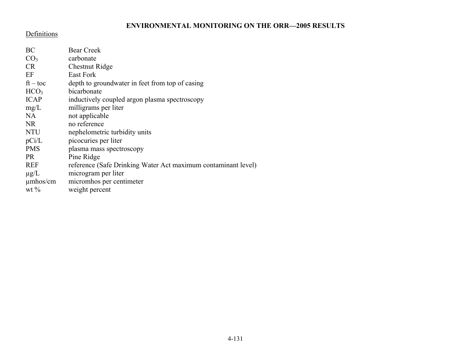#### Definitions

| BC               | <b>Bear Creek</b>                                             |  |  |  |  |
|------------------|---------------------------------------------------------------|--|--|--|--|
| CO <sub>3</sub>  | carbonate                                                     |  |  |  |  |
| <b>CR</b>        | Chestnut Ridge                                                |  |  |  |  |
| EF               | East Fork                                                     |  |  |  |  |
| $ft - toc$       | depth to groundwater in feet from top of casing               |  |  |  |  |
| HCO <sub>3</sub> | bicarbonate                                                   |  |  |  |  |
| <b>ICAP</b>      | inductively coupled argon plasma spectroscopy                 |  |  |  |  |
| mg/L             | milligrams per liter                                          |  |  |  |  |
| NA               | not applicable                                                |  |  |  |  |
| NR.              | no reference                                                  |  |  |  |  |
| <b>NTU</b>       | nephelometric turbidity units                                 |  |  |  |  |
| pCi/L            | picocuries per liter                                          |  |  |  |  |
| <b>PMS</b>       | plasma mass spectroscopy                                      |  |  |  |  |
| <b>PR</b>        | Pine Ridge                                                    |  |  |  |  |
| <b>REF</b>       | reference (Safe Drinking Water Act maximum contaminant level) |  |  |  |  |
| $\mu$ g/L        | microgram per liter                                           |  |  |  |  |
| $\mu$ mhos/cm    | micromhos per centimeter                                      |  |  |  |  |
| wt $\%$          | weight percent                                                |  |  |  |  |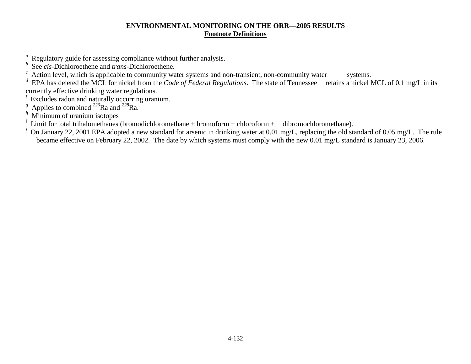## **ENVIRONMENTAL MONITORING ON THE ORR—2005 RESULTS Footnote Definitions**

- *<sup>a</sup>* Regulatory guide for assessing compliance without further analysis.
- See *cis*-Dichloroethene and *trans*-Dichloroethene.
- $c<sup>c</sup>$  Action level, which is applicable to community water systems and non-transient, non-community water systems.

*<sup>d</sup>* EPA has deleted the MCL for nickel from the *Code of Federal Regulations*. The state of Tennessee retains a nickel MCL of 0.1 mg/L in its currently effective drinking water regulations.

- *<sup>f</sup>* Excludes radon and naturally occurring uranium.
- *<sup>g</sup>* Applies to combined *<sup>226</sup>*Ra and *<sup>228</sup>*Ra.
- *<sup>h</sup>* Minimum of uranium isotopes
- Limit for total trihalomethanes (bromodichloromethane + bromoform + chloroform + dibromochloromethane).
- <sup>*j*</sup> On January 22, 2001 EPA adopted a new standard for arsenic in drinking water at 0.01 mg/L, replacing the old standard of 0.05 mg/L. The rule became effective on February 22, 2002. The date by which systems must comply with the new 0.01 mg/L standard is January 23, 2006.